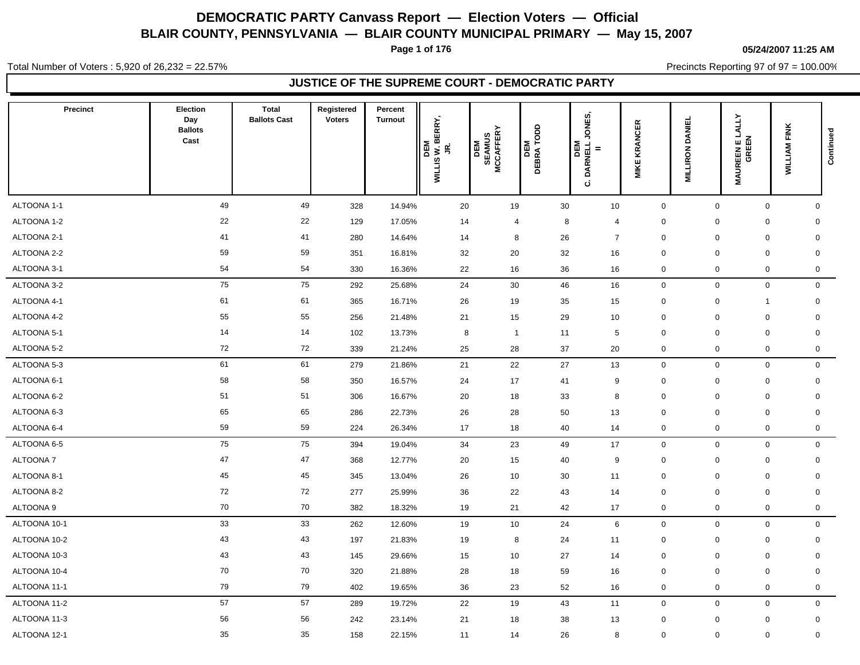**Page 1 of 176**

#### **05/24/2007 11:25 AM**

Total Number of Voters : 5,920 of 26,232 = 22.57%

Precincts Reporting 97 of 97 = 100.00%

| Election<br>Day<br><b>Ballots</b><br>Cast | <b>Total</b><br><b>Ballots Cast</b> | Registered<br><b>Voters</b> | Percent<br><b>Turnout</b> | JR.<br>WILLIS W. BERRY,<br>DEM | <b>SEAMUS<br/>MCCAFFERY</b><br>DEM |                                                                                                                                                                           | ONES,<br>ن                                                                                                                                                                                   | <b>KRANCER</b><br><b>MIKE</b>                                                                                                                                                          | <b>DANIEL</b><br><b>MILLIRON</b>                                                                                                                                                       | LALLY<br>GREEN<br><b>MAUREENE</b> | <b>WILLIAM FINK</b>                                                                                                                                                                                                                                                                                                                                                                                                    | Continued                                                                                                                                                                                                                                                                                                                                                                                     |
|-------------------------------------------|-------------------------------------|-----------------------------|---------------------------|--------------------------------|------------------------------------|---------------------------------------------------------------------------------------------------------------------------------------------------------------------------|----------------------------------------------------------------------------------------------------------------------------------------------------------------------------------------------|----------------------------------------------------------------------------------------------------------------------------------------------------------------------------------------|----------------------------------------------------------------------------------------------------------------------------------------------------------------------------------------|-----------------------------------|------------------------------------------------------------------------------------------------------------------------------------------------------------------------------------------------------------------------------------------------------------------------------------------------------------------------------------------------------------------------------------------------------------------------|-----------------------------------------------------------------------------------------------------------------------------------------------------------------------------------------------------------------------------------------------------------------------------------------------------------------------------------------------------------------------------------------------|
| 49                                        | 49                                  | 328                         | 14.94%                    |                                |                                    |                                                                                                                                                                           |                                                                                                                                                                                              | $\mathbf 0$                                                                                                                                                                            |                                                                                                                                                                                        |                                   |                                                                                                                                                                                                                                                                                                                                                                                                                        | $\mathbf 0$                                                                                                                                                                                                                                                                                                                                                                                   |
| 22                                        | 22                                  | 129                         | 17.05%                    |                                |                                    |                                                                                                                                                                           |                                                                                                                                                                                              | 0                                                                                                                                                                                      |                                                                                                                                                                                        |                                   |                                                                                                                                                                                                                                                                                                                                                                                                                        | $\mathbf 0$                                                                                                                                                                                                                                                                                                                                                                                   |
| 41                                        | 41                                  | 280                         | 14.64%                    |                                |                                    |                                                                                                                                                                           |                                                                                                                                                                                              | $\mathbf 0$                                                                                                                                                                            |                                                                                                                                                                                        |                                   |                                                                                                                                                                                                                                                                                                                                                                                                                        | $\mathbf 0$                                                                                                                                                                                                                                                                                                                                                                                   |
| 59                                        | 59                                  | 351                         | 16.81%                    |                                |                                    |                                                                                                                                                                           |                                                                                                                                                                                              | $\mathbf 0$                                                                                                                                                                            |                                                                                                                                                                                        |                                   |                                                                                                                                                                                                                                                                                                                                                                                                                        | $\mathbf 0$                                                                                                                                                                                                                                                                                                                                                                                   |
| 54                                        | 54                                  | 330                         | 16.36%                    |                                |                                    |                                                                                                                                                                           |                                                                                                                                                                                              | 0                                                                                                                                                                                      |                                                                                                                                                                                        |                                   |                                                                                                                                                                                                                                                                                                                                                                                                                        | $\mathbf 0$                                                                                                                                                                                                                                                                                                                                                                                   |
| 75                                        |                                     | 292                         | 25.68%                    |                                |                                    |                                                                                                                                                                           |                                                                                                                                                                                              | $\mathbf 0$                                                                                                                                                                            |                                                                                                                                                                                        |                                   |                                                                                                                                                                                                                                                                                                                                                                                                                        | $\mathbf 0$                                                                                                                                                                                                                                                                                                                                                                                   |
| 61                                        | 61                                  | 365                         | 16.71%                    |                                |                                    |                                                                                                                                                                           |                                                                                                                                                                                              | 0                                                                                                                                                                                      |                                                                                                                                                                                        | $\mathbf 1$                       |                                                                                                                                                                                                                                                                                                                                                                                                                        | 0                                                                                                                                                                                                                                                                                                                                                                                             |
| 55                                        | 55                                  | 256                         | 21.48%                    |                                |                                    |                                                                                                                                                                           |                                                                                                                                                                                              | $\mathbf 0$                                                                                                                                                                            |                                                                                                                                                                                        |                                   |                                                                                                                                                                                                                                                                                                                                                                                                                        | $\mathbf 0$                                                                                                                                                                                                                                                                                                                                                                                   |
| 14                                        | 14                                  | 102                         | 13.73%                    |                                |                                    |                                                                                                                                                                           |                                                                                                                                                                                              | $\mathbf 0$                                                                                                                                                                            |                                                                                                                                                                                        |                                   |                                                                                                                                                                                                                                                                                                                                                                                                                        | $\mathbf 0$                                                                                                                                                                                                                                                                                                                                                                                   |
| 72                                        |                                     | 339                         | 21.24%                    |                                |                                    |                                                                                                                                                                           |                                                                                                                                                                                              | 0                                                                                                                                                                                      |                                                                                                                                                                                        |                                   |                                                                                                                                                                                                                                                                                                                                                                                                                        | $\mathbf 0$                                                                                                                                                                                                                                                                                                                                                                                   |
| 61                                        | 61                                  | 279                         | 21.86%                    |                                |                                    |                                                                                                                                                                           |                                                                                                                                                                                              | $\mathbf 0$                                                                                                                                                                            |                                                                                                                                                                                        |                                   |                                                                                                                                                                                                                                                                                                                                                                                                                        | $\mathbf 0$                                                                                                                                                                                                                                                                                                                                                                                   |
| 58                                        | 58                                  | 350                         | 16.57%                    |                                |                                    |                                                                                                                                                                           |                                                                                                                                                                                              | $\mathbf 0$                                                                                                                                                                            |                                                                                                                                                                                        |                                   |                                                                                                                                                                                                                                                                                                                                                                                                                        | $\mathbf 0$                                                                                                                                                                                                                                                                                                                                                                                   |
| 51                                        | 51                                  | 306                         | 16.67%                    |                                |                                    |                                                                                                                                                                           |                                                                                                                                                                                              | $\mathbf 0$                                                                                                                                                                            |                                                                                                                                                                                        |                                   |                                                                                                                                                                                                                                                                                                                                                                                                                        | 0                                                                                                                                                                                                                                                                                                                                                                                             |
| 65                                        | 65                                  | 286                         | 22.73%                    |                                |                                    |                                                                                                                                                                           |                                                                                                                                                                                              | $\mathbf 0$                                                                                                                                                                            |                                                                                                                                                                                        |                                   |                                                                                                                                                                                                                                                                                                                                                                                                                        | $\mathbf 0$                                                                                                                                                                                                                                                                                                                                                                                   |
| 59                                        | 59                                  | 224                         | 26.34%                    |                                |                                    |                                                                                                                                                                           |                                                                                                                                                                                              | 0                                                                                                                                                                                      |                                                                                                                                                                                        |                                   |                                                                                                                                                                                                                                                                                                                                                                                                                        | $\mathbf 0$                                                                                                                                                                                                                                                                                                                                                                                   |
| 75                                        |                                     | 394                         | 19.04%                    |                                |                                    |                                                                                                                                                                           |                                                                                                                                                                                              | $\mathbf 0$                                                                                                                                                                            |                                                                                                                                                                                        |                                   |                                                                                                                                                                                                                                                                                                                                                                                                                        | $\mathbf 0$                                                                                                                                                                                                                                                                                                                                                                                   |
| 47                                        | 47                                  | 368                         | 12.77%                    |                                |                                    |                                                                                                                                                                           |                                                                                                                                                                                              | $\mathbf 0$                                                                                                                                                                            |                                                                                                                                                                                        |                                   |                                                                                                                                                                                                                                                                                                                                                                                                                        | $\mathbf 0$                                                                                                                                                                                                                                                                                                                                                                                   |
| 45                                        | 45                                  | 345                         | 13.04%                    |                                |                                    |                                                                                                                                                                           |                                                                                                                                                                                              | $\mathbf 0$                                                                                                                                                                            |                                                                                                                                                                                        |                                   |                                                                                                                                                                                                                                                                                                                                                                                                                        | $\mathbf 0$                                                                                                                                                                                                                                                                                                                                                                                   |
| 72                                        | 72                                  | 277                         | 25.99%                    |                                |                                    |                                                                                                                                                                           |                                                                                                                                                                                              | $\pmb{0}$                                                                                                                                                                              |                                                                                                                                                                                        |                                   |                                                                                                                                                                                                                                                                                                                                                                                                                        | $\mathbf 0$                                                                                                                                                                                                                                                                                                                                                                                   |
| 70                                        | 70                                  | 382                         | 18.32%                    |                                |                                    |                                                                                                                                                                           |                                                                                                                                                                                              | 0                                                                                                                                                                                      |                                                                                                                                                                                        |                                   |                                                                                                                                                                                                                                                                                                                                                                                                                        | $\mathbf 0$                                                                                                                                                                                                                                                                                                                                                                                   |
| 33                                        | 33                                  | 262                         | 12.60%                    |                                |                                    |                                                                                                                                                                           |                                                                                                                                                                                              | $\mathbf 0$                                                                                                                                                                            |                                                                                                                                                                                        |                                   |                                                                                                                                                                                                                                                                                                                                                                                                                        | $\mathbf 0$                                                                                                                                                                                                                                                                                                                                                                                   |
| 43                                        | 43                                  | 197                         | 21.83%                    |                                |                                    |                                                                                                                                                                           |                                                                                                                                                                                              | $\mathbf 0$                                                                                                                                                                            |                                                                                                                                                                                        |                                   |                                                                                                                                                                                                                                                                                                                                                                                                                        | 0                                                                                                                                                                                                                                                                                                                                                                                             |
| 43                                        | 43                                  | 145                         | 29.66%                    |                                |                                    |                                                                                                                                                                           |                                                                                                                                                                                              | $\mathbf 0$                                                                                                                                                                            |                                                                                                                                                                                        |                                   |                                                                                                                                                                                                                                                                                                                                                                                                                        | $\mathbf 0$                                                                                                                                                                                                                                                                                                                                                                                   |
| 70                                        | 70                                  | 320                         | 21.88%                    |                                |                                    |                                                                                                                                                                           |                                                                                                                                                                                              | $\mathbf 0$                                                                                                                                                                            |                                                                                                                                                                                        |                                   |                                                                                                                                                                                                                                                                                                                                                                                                                        | $\mathbf 0$                                                                                                                                                                                                                                                                                                                                                                                   |
| 79                                        | 79                                  | 402                         | 19.65%                    |                                |                                    |                                                                                                                                                                           |                                                                                                                                                                                              | $\mathbf 0$                                                                                                                                                                            |                                                                                                                                                                                        |                                   |                                                                                                                                                                                                                                                                                                                                                                                                                        | $\mathbf 0$                                                                                                                                                                                                                                                                                                                                                                                   |
| 57                                        | 57                                  | 289                         | 19.72%                    |                                |                                    |                                                                                                                                                                           |                                                                                                                                                                                              | $\mathbf 0$                                                                                                                                                                            |                                                                                                                                                                                        |                                   |                                                                                                                                                                                                                                                                                                                                                                                                                        | $\mathbf 0$                                                                                                                                                                                                                                                                                                                                                                                   |
| 56                                        | 56                                  | 242                         | 23.14%                    |                                |                                    |                                                                                                                                                                           |                                                                                                                                                                                              | $\mathbf 0$                                                                                                                                                                            |                                                                                                                                                                                        |                                   |                                                                                                                                                                                                                                                                                                                                                                                                                        | $\mathbf 0$                                                                                                                                                                                                                                                                                                                                                                                   |
| 35                                        | 35                                  | 158                         | 22.15%                    |                                |                                    |                                                                                                                                                                           |                                                                                                                                                                                              | $\mathbf 0$                                                                                                                                                                            |                                                                                                                                                                                        |                                   |                                                                                                                                                                                                                                                                                                                                                                                                                        | $\mathbf 0$                                                                                                                                                                                                                                                                                                                                                                                   |
|                                           |                                     |                             | 75<br>72<br>75            |                                |                                    | 20<br>14<br>14<br>32<br>22<br>24<br>26<br>21<br>8<br>25<br>21<br>24<br>20<br>26<br>17<br>34<br>20<br>26<br>36<br>21<br>19<br>19<br>19<br>15<br>28<br>36<br>22<br>21<br>11 | DEM<br>DEBRA TODD<br>19<br>4<br>8<br>20<br>16<br>30<br>19<br>15<br>$\overline{1}$<br>28<br>22<br>17<br>18<br>28<br>18<br>23<br>15<br>10<br>22<br>10<br>8<br>10<br>18<br>23<br>19<br>18<br>14 | DEM<br>DARNELL,<br>30<br>8<br>26<br>32<br>36<br>46<br>35<br>29<br>11<br>37<br>27<br>41<br>33<br>50<br>40<br>49<br>40<br>30<br>43<br>42<br>24<br>24<br>27<br>59<br>52<br>43<br>38<br>26 | 10<br>$\overline{4}$<br>$\overline{7}$<br>16<br>16<br>16<br>15<br>10<br>5<br>20<br>13<br>9<br>8<br>13<br>14<br>17<br>9<br>11<br>14<br>17<br>6<br>11<br>14<br>16<br>16<br>11<br>13<br>8 |                                   | $\mathbf 0$<br>$\mathbf 0$<br>$\mathbf 0$<br>$\mathbf 0$<br>$\mathbf 0$<br>$\mathbf 0$<br>$\mathbf 0$<br>$\mathbf 0$<br>$\mathbf 0$<br>$\mathbf 0$<br>$\mathbf 0$<br>$\mathbf 0$<br>0<br>$\mathbf 0$<br>$\mathbf 0$<br>$\mathbf 0$<br>$\mathbf 0$<br>$\mathbf 0$<br>$\mathbf 0$<br>$\mathbf 0$<br>$\mathbf 0$<br>$\mathbf 0$<br>$\mathbf 0$<br>$\mathbf 0$<br>$\mathbf 0$<br>$\mathbf 0$<br>$\mathbf 0$<br>$\mathbf 0$ | $\mathbf 0$<br>$\mathbf 0$<br>$\mathbf 0$<br>$\mathbf 0$<br>$\mathbf 0$<br>$\mathbf 0$<br>$\mathbf 0$<br>$\mathbf 0$<br>$\mathbf 0$<br>$\mathbf 0$<br>$\mathbf 0$<br>0<br>$\mathbf 0$<br>$\mathbf 0$<br>$\mathbf 0$<br>$\mathbf 0$<br>$\mathbf 0$<br>$\mathbf 0$<br>$\mathbf 0$<br>$\mathbf 0$<br>$\mathbf 0$<br>$\mathbf 0$<br>$\mathbf 0$<br>$\mathbf 0$<br>$\mathbf 0$<br>0<br>$\mathbf 0$ |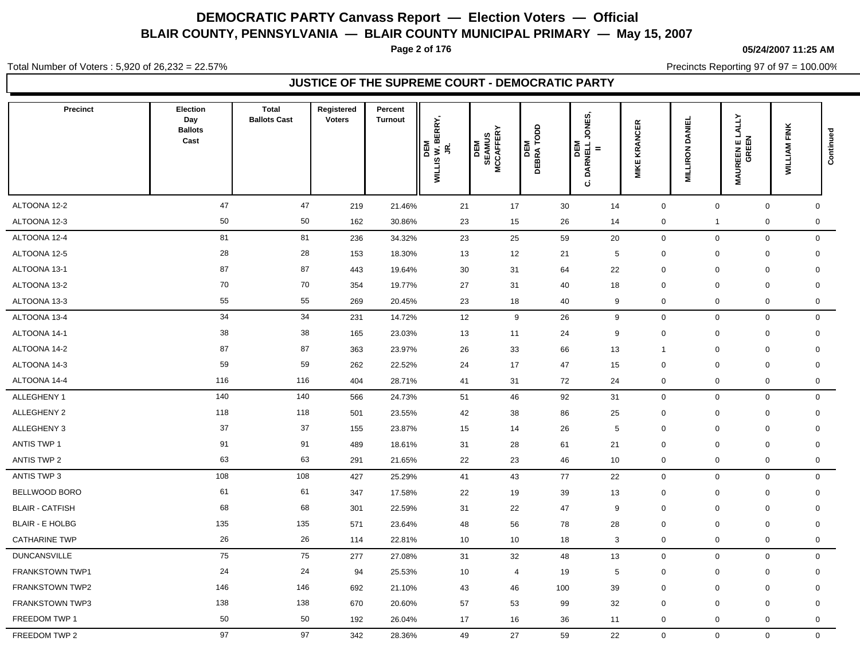**Page 2 of 176**

#### **05/24/2007 11:25 AM**

Total Number of Voters : 5,920 of 26,232 = 22.57%

Precincts Reporting 97 of 97 = 100.00%

| <b>Precinct</b>        | Election<br>Day<br><b>Ballots</b><br>Cast | <b>Total</b><br><b>Ballots Cast</b> | Registered<br><b>Voters</b> | Percent<br><b>Turnout</b> | BERRY,<br>DEM<br>WILLIS W. I<br>JR. | <b>SEAMUS<br/>MCCAFFERY</b><br><b>ABL</b> | DEM<br>DEBRA TODD | ONES,<br>DEM<br>DARNELL.<br>ن | <b>KRANCER</b><br><b>MIKE</b> | <b>DANIEL</b><br><b>MILLIRON</b> | <b>LALLY</b><br><b>MAUREEN E L.<br/>GREEN</b> | <b>WILLIAM FINK</b> | Continued   |
|------------------------|-------------------------------------------|-------------------------------------|-----------------------------|---------------------------|-------------------------------------|-------------------------------------------|-------------------|-------------------------------|-------------------------------|----------------------------------|-----------------------------------------------|---------------------|-------------|
| ALTOONA 12-2           | 47                                        | 47                                  | 219                         | 21.46%                    | 21                                  | 17                                        | 30                | 14                            | $\mathsf{O}$                  | $\mathbf 0$                      | $\mathbf 0$                                   |                     | $\mathbf 0$ |
| ALTOONA 12-3           | 50                                        | 50                                  | 162                         | 30.86%                    | 23                                  | 15                                        | 26                | 14                            | 0                             | $\mathbf{1}$                     | $\mathsf 0$                                   |                     | $\mathbf 0$ |
| ALTOONA 12-4           | 81                                        | 81                                  | 236                         | 34.32%                    | 23                                  | 25                                        | 59                | 20                            | $\mathsf{O}$                  | $\mathbf 0$                      | $\mathsf{O}\xspace$                           |                     | $\mathbf 0$ |
| ALTOONA 12-5           | 28                                        | 28                                  | 153                         | 18.30%                    | 13                                  | 12                                        | 21                | 5                             | 0                             | $\mathbf 0$                      | $\mathbf 0$                                   |                     | $\mathbf 0$ |
| ALTOONA 13-1           | 87                                        | 87                                  | 443                         | 19.64%                    | 30                                  | 31                                        | 64                | 22                            | $\mathbf 0$                   | $\mathbf 0$                      | $\mathbf 0$                                   |                     | $\mathbf 0$ |
| ALTOONA 13-2           | 70                                        | 70                                  | 354                         | 19.77%                    | 27                                  | 31                                        | 40                | 18                            | $\mathbf 0$                   | $\mathbf 0$                      | $\mathbf 0$                                   |                     | 0           |
| ALTOONA 13-3           | 55                                        | 55                                  | 269                         | 20.45%                    | 23                                  | 18                                        | 40                | 9                             | 0                             | $\mathbf 0$                      | $\mathbf 0$                                   |                     | $\mathbf 0$ |
| ALTOONA 13-4           | 34                                        | 34                                  | 231                         | 14.72%                    | 12                                  | 9                                         | 26                | 9                             | $\mathbf 0$                   | $\mathbf 0$                      | $\mathsf{O}\xspace$                           |                     | $\mathbf 0$ |
| ALTOONA 14-1           | 38                                        | 38                                  | 165                         | 23.03%                    | 13                                  | 11                                        | 24                | 9                             | $\pmb{0}$                     | $\mathbf 0$                      | $\mathbf 0$                                   |                     | $\mathbf 0$ |
| ALTOONA 14-2           | 87                                        | 87                                  | 363                         | 23.97%                    | 26                                  | 33                                        | 66                | 13                            | $\mathbf{1}$                  | $\mathbf 0$                      | $\mathbf 0$                                   |                     | $\mathbf 0$ |
| ALTOONA 14-3           | 59                                        | 59                                  | 262                         | 22.52%                    | 24                                  | 17                                        | 47                | 15                            | $\mathbf 0$                   | 0                                | $\mathbf 0$                                   |                     | 0           |
| ALTOONA 14-4           | 116                                       | 116                                 | 404                         | 28.71%                    | 41                                  | 31                                        | 72                | 24                            | 0                             | $\mathbf 0$                      | $\mathbf 0$                                   |                     | $\mathbf 0$ |
| ALLEGHENY 1            | 140                                       | 140                                 | 566                         | 24.73%                    | 51                                  | 46                                        | 92                | 31                            | 0                             | $\mathbf 0$                      | $\mathbf 0$                                   |                     | $\mathbf 0$ |
| ALLEGHENY 2            | 118                                       | 118                                 | 501                         | 23.55%                    | 42                                  | 38                                        | 86                | 25                            | 0                             | $\mathbf 0$                      | $\mathbf 0$                                   |                     | $\mathbf 0$ |
| ALLEGHENY 3            | 37                                        | 37                                  | 155                         | 23.87%                    | 15                                  | 14                                        | 26                | 5                             | $\mathbf 0$                   | $\mathbf 0$                      | $\mathbf 0$                                   |                     | $\mathbf 0$ |
| <b>ANTIS TWP 1</b>     | 91                                        | 91                                  | 489                         | 18.61%                    | 31                                  | 28                                        | 61                | 21                            | $\mathbf 0$                   | $\mathbf 0$                      | $\mathbf 0$                                   |                     | $\mathbf 0$ |
| <b>ANTIS TWP 2</b>     | 63                                        | 63                                  | 291                         | 21.65%                    | 22                                  | 23                                        | 46                | 10                            | 0                             | $\mathbf 0$                      | $\mathbf 0$                                   |                     | $\mathbf 0$ |
| ANTIS TWP 3            | 108                                       | 108                                 | 427                         | 25.29%                    | 41                                  | 43                                        | 77                | 22                            | $\mathsf{O}$                  | $\mathbf 0$                      | $\mathsf 0$                                   |                     | $\mathbf 0$ |
| BELLWOOD BORO          | 61                                        | 61                                  | 347                         | 17.58%                    | 22                                  | 19                                        | 39                | 13                            | $\pmb{0}$                     | $\mathbf 0$                      | $\mathbf 0$                                   |                     | $\mathbf 0$ |
| <b>BLAIR - CATFISH</b> | 68                                        | 68                                  | 301                         | 22.59%                    | 31                                  | 22                                        | 47                | 9                             | $\mathbf 0$                   | $\mathbf 0$                      | $\mathbf 0$                                   |                     | $\mathbf 0$ |
| <b>BLAIR - E HOLBG</b> | 135                                       | 135                                 | 571                         | 23.64%                    | 48                                  | 56                                        | 78                | 28                            | $\mathbf 0$                   | $\mathbf 0$                      | 0                                             |                     | $\mathbf 0$ |
| <b>CATHARINE TWP</b>   | 26                                        | 26                                  | 114                         | 22.81%                    | 10                                  | 10                                        | 18                | $\mathbf{3}$                  | 0                             | $\mathbf 0$                      | $\mathsf{O}\xspace$                           |                     | 0           |
| <b>DUNCANSVILLE</b>    | 75                                        | 75                                  | 277                         | 27.08%                    | 31                                  | 32                                        | 48                | 13                            | $\mathbf 0$                   | $\mathbf 0$                      | $\mathbf 0$                                   |                     | $\mathbf 0$ |
| FRANKSTOWN TWP1        | 24                                        | 24                                  | 94                          | 25.53%                    | 10                                  | $\overline{4}$                            | 19                | 5                             | 0                             | $\mathbf 0$                      | $\mathbf 0$                                   |                     | $\mathbf 0$ |
| FRANKSTOWN TWP2        | 146                                       | 146                                 | 692                         | 21.10%                    | 43                                  | 46                                        | 100               | 39                            | $\mathbf 0$                   | $\mathbf 0$                      | $\mathbf 0$                                   |                     | $\mathbf 0$ |
| FRANKSTOWN TWP3        | 138                                       | 138                                 | 670                         | 20.60%                    | 57                                  | 53                                        | 99                | 32                            | $\Omega$                      | 0                                | $\mathbf 0$                                   |                     | $\mathbf 0$ |
| FREEDOM TWP 1          | 50                                        | 50                                  | 192                         | 26.04%                    | 17                                  | 16                                        | 36                | 11                            | $\mathbf 0$                   | $\mathbf 0$                      | $\mathbf 0$                                   |                     | $\mathbf 0$ |
| FREEDOM TWP 2          | 97                                        | 97                                  | 342                         | 28.36%                    | 49                                  | 27                                        | 59                | 22                            | $\mathbf{0}$                  | $\mathbf 0$                      | $\mathsf{O}\xspace$                           |                     | $\mathbf 0$ |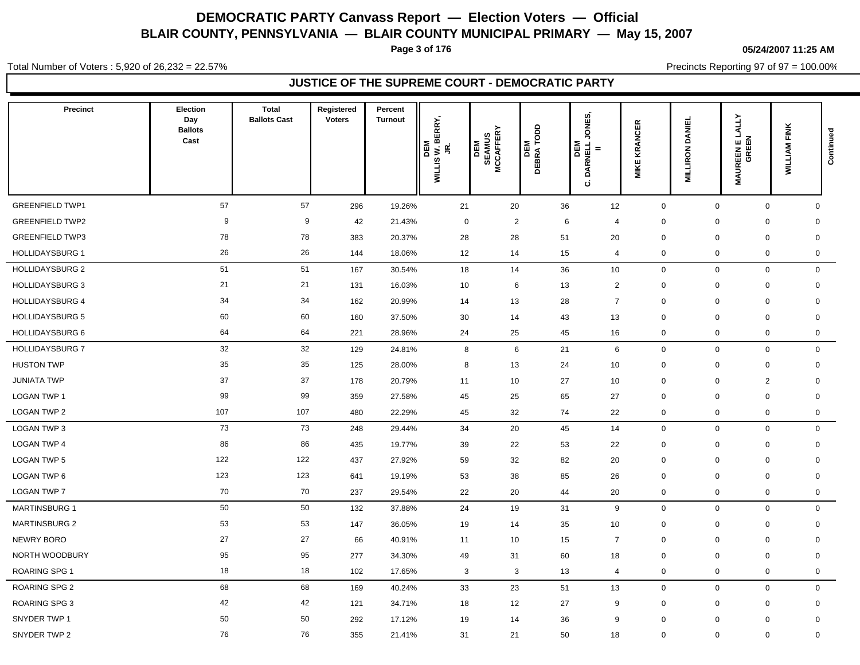**Page 3 of 176**

#### **05/24/2007 11:25 AM**

Total Number of Voters : 5,920 of 26,232 = 22.57%

Precincts Reporting 97 of 97 = 100.00%

| <b>Precinct</b>        | Election<br>Day<br><b>Ballots</b><br>Cast | <b>Total</b><br><b>Ballots Cast</b> | Registered<br><b>Voters</b> | Percent<br><b>Turnout</b> | JR.<br>WILLIS W. BERRY,<br>DEM | <b>SEAMUS<br/>MCCAFFERY</b><br>DEM | <b>DEM</b><br>DEBRA TODD | ONES,<br>DEM<br>DARNELL<br>ن | <b>KRANCER</b><br><b>MIKE</b> | <b>DANIEL</b><br><b>MILLIRON</b> | LALLY<br>GREEN<br><b>MAUREENE</b> | <b>WILLIAM FINK</b> | Continued    |
|------------------------|-------------------------------------------|-------------------------------------|-----------------------------|---------------------------|--------------------------------|------------------------------------|--------------------------|------------------------------|-------------------------------|----------------------------------|-----------------------------------|---------------------|--------------|
| <b>GREENFIELD TWP1</b> | 57                                        | 57                                  | 296                         | 19.26%                    | 21                             | 20                                 | 36                       | 12                           | 0                             | $\mathbf 0$                      | $\mathbf 0$                       |                     | $\mathbf 0$  |
| <b>GREENFIELD TWP2</b> | 9                                         | 9                                   | 42                          | 21.43%                    | $\mathbf 0$                    | $\overline{2}$                     | 6                        | $\overline{4}$               | 0                             | $\mathbf 0$                      | $\mathbf 0$                       |                     | $\mathbf 0$  |
| <b>GREENFIELD TWP3</b> | 78                                        | 78                                  | 383                         | 20.37%                    | 28                             | 28                                 | 51                       | 20                           | 0                             | $\mathbf 0$                      | $\mathbf 0$                       |                     | $\mathbf 0$  |
| <b>HOLLIDAYSBURG 1</b> | 26                                        | 26                                  | 144                         | 18.06%                    | 12                             | 14                                 | 15                       | $\overline{4}$               | $\mathbf 0$                   | $\mathbf 0$                      | $\mathbf 0$                       |                     | 0            |
| <b>HOLLIDAYSBURG 2</b> | 51                                        | 51                                  | 167                         | 30.54%                    | 18                             | 14                                 | 36                       | 10                           | $\mathbf 0$                   | $\mathbf 0$                      | $\mathbf 0$                       |                     | $\mathbf 0$  |
| <b>HOLLIDAYSBURG 3</b> | 21                                        | 21                                  | 131                         | 16.03%                    | 10                             | 6                                  | 13                       | $\overline{c}$               | $\Omega$                      | $\mathbf 0$                      | $\mathbf 0$                       |                     | $\mathbf 0$  |
| <b>HOLLIDAYSBURG 4</b> | 34                                        | 34                                  | 162                         | 20.99%                    | 14                             | 13                                 | 28                       | $\overline{7}$               | 0                             | $\mathbf 0$                      | $\mathbf 0$                       |                     | $\mathbf 0$  |
| <b>HOLLIDAYSBURG 5</b> | 60                                        | 60                                  | 160                         | 37.50%                    | 30                             | 14                                 | 43                       | 13                           | 0                             | $\mathbf 0$                      | $\mathbf 0$                       |                     | $\mathbf 0$  |
| HOLLIDAYSBURG 6        | 64                                        | 64                                  | 221                         | 28.96%                    | 24                             | 25                                 | 45                       | 16                           | 0                             | $\mathbf 0$                      | $\mathbf 0$                       |                     | $\mathbf 0$  |
| <b>HOLLIDAYSBURG 7</b> | 32                                        | 32                                  | 129                         | 24.81%                    | 8                              | 6                                  | 21                       | 6                            | 0                             | $\mathbf 0$                      | $\mathbf 0$                       |                     | $\mathbf 0$  |
| <b>HUSTON TWP</b>      | 35                                        | 35                                  | 125                         | 28.00%                    | 8                              | 13                                 | 24                       | 10                           | $\mathbf 0$                   | 0                                | $\mathbf 0$                       |                     | $\mathbf 0$  |
| <b>JUNIATA TWP</b>     | 37                                        | 37                                  | 178                         | 20.79%                    | 11                             | 10                                 | 27                       | 10                           | 0                             | $\mathbf 0$                      | 2                                 |                     | $\mathbf 0$  |
| LOGAN TWP 1            | 99                                        | 99                                  | 359                         | 27.58%                    | 45                             | 25                                 | 65                       | 27                           | 0                             | $\mathbf 0$                      | $\mathbf 0$                       |                     | $\mathbf 0$  |
| LOGAN TWP 2            | 107                                       | 107                                 | 480                         | 22.29%                    | 45                             | 32                                 | 74                       | 22                           | 0                             | $\mathbf 0$                      | $\mathbf 0$                       |                     | $\mathbf 0$  |
| LOGAN TWP 3            | 73                                        | 73                                  | 248                         | 29.44%                    | 34                             | 20                                 | 45                       | 14                           | $\mathsf 0$                   | $\mathbf 0$                      | $\mathsf{O}\xspace$               |                     | $\mathbf 0$  |
| <b>LOGAN TWP 4</b>     | 86                                        | 86                                  | 435                         | 19.77%                    | 39                             | 22                                 | 53                       | 22                           | 0                             | $\mathbf 0$                      | $\mathbf 0$                       |                     | 0            |
| <b>LOGAN TWP 5</b>     | 122                                       | 122                                 | 437                         | 27.92%                    | 59                             | 32                                 | 82                       | 20                           | $\mathbf 0$                   | $\mathbf 0$                      | $\mathbf 0$                       |                     | $\mathbf 0$  |
| LOGAN TWP 6            | 123                                       | 123                                 | 641                         | 19.19%                    | 53                             | 38                                 | 85                       | 26                           | 0                             | $\mathbf 0$                      | $\mathbf 0$                       |                     | $\mathbf 0$  |
| LOGAN TWP 7            | 70                                        | 70                                  | 237                         | 29.54%                    | 22                             | 20                                 | 44                       | 20                           | 0                             | $\mathbf 0$                      | $\mathbf 0$                       |                     | $\mathsf{O}$ |
| <b>MARTINSBURG 1</b>   | 50                                        | 50                                  | 132                         | 37.88%                    | 24                             | 19                                 | 31                       | 9                            | $\mathbf 0$                   | $\mathbf 0$                      | $\mathbf 0$                       |                     | $\mathsf{O}$ |
| <b>MARTINSBURG 2</b>   | 53                                        | 53                                  | 147                         | 36.05%                    | 19                             | 14                                 | 35                       | 10                           | $\mathbf 0$                   | $\mathbf 0$                      | $\mathbf 0$                       |                     | $\mathbf 0$  |
| NEWRY BORO             | 27                                        | 27                                  | 66                          | 40.91%                    | 11                             | 10                                 | 15                       | $\overline{7}$               | $\mathbf 0$                   | 0                                | $\pmb{0}$                         |                     | $\mathbf 0$  |
| NORTH WOODBURY         | 95                                        | 95                                  | 277                         | 34.30%                    | 49                             | 31                                 | 60                       | 18                           | $\mathbf 0$                   | $\mathbf 0$                      | $\mathbf 0$                       |                     | $\mathbf 0$  |
| <b>ROARING SPG 1</b>   | 18                                        | 18                                  | 102                         | 17.65%                    | 3                              | 3                                  | 13                       | $\overline{4}$               | 0                             | $\mathbf 0$                      | $\mathbf 0$                       |                     | $\mathbf 0$  |
| ROARING SPG 2          | 68                                        | 68                                  | 169                         | 40.24%                    | 33                             | 23                                 | 51                       | 13                           | $\mathbf 0$                   | $\mathbf 0$                      | $\mathbf 0$                       |                     | $\mathbf 0$  |
| <b>ROARING SPG 3</b>   | 42                                        | 42                                  | 121                         | 34.71%                    | 18                             | 12                                 | 27                       | 9                            | 0                             | $\mathbf 0$                      | $\mathbf 0$                       |                     | $\mathbf 0$  |
| SNYDER TWP 1           | 50                                        | 50                                  | 292                         | 17.12%                    | 19                             | 14                                 | 36                       | 9                            | $\mathbf 0$                   | 0                                | $\mathbf 0$                       |                     | $\mathbf 0$  |
| SNYDER TWP 2           | 76                                        | 76                                  | 355                         | 21.41%                    | 31                             | 21                                 | 50                       | 18                           | $\mathbf 0$                   | $\mathbf 0$                      | $\mathbf 0$                       |                     | $\mathbf 0$  |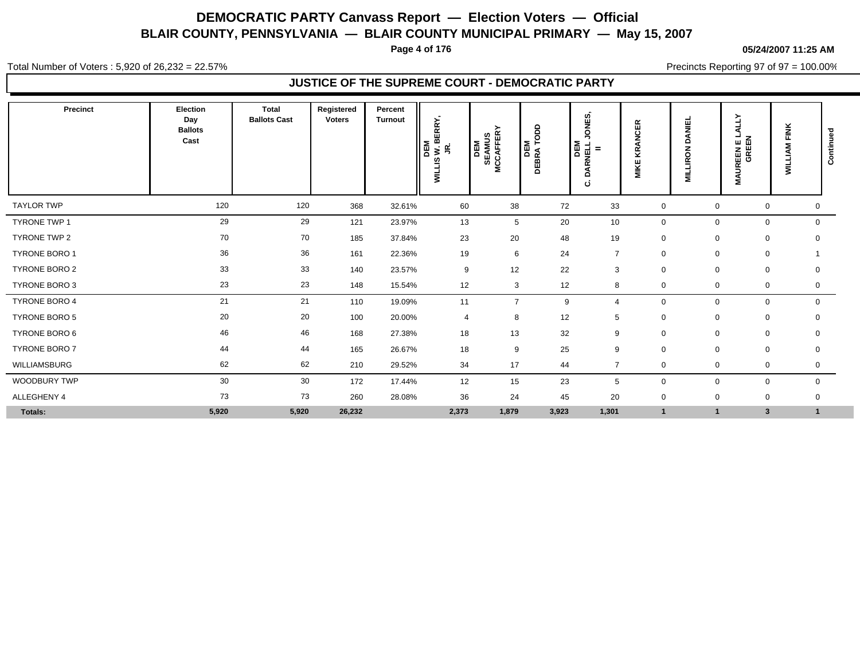**Page 4 of 176**

#### **05/24/2007 11:25 AM**

Total Number of Voters : 5,920 of 26,232 = 22.57%

Precincts Reporting 97 of 97 = 100.00%

| Precinct            | Election<br>Day<br><b>Ballots</b><br>Cast | Total<br><b>Ballots Cast</b> | Registered<br><b>Voters</b> | Percent<br><b>Turnout</b> | BERRY,<br>DEM<br>$\overline{\mathbf{s}}$ is<br><b>WILLIS</b> | <b>SEAMUS<br/>MCCAFFERY</b><br>DEM | ado<br>DEM<br>DEBRA TO | ທົ<br>i<br>Bö<br>⇒<br>ARNELL.<br>$\equiv$<br>ó<br>ن | $\alpha$<br>ш<br>$\overline{O}$<br>⋖<br>ΚŊ<br>ш<br>MIKI | <b>DANIEL</b><br>LLIRON<br>Ξ | Ě<br>⋖<br><b>MAUREEN E L<br/>GREEN</b> | FINK<br><b>WILLIAM</b> | Continued   |
|---------------------|-------------------------------------------|------------------------------|-----------------------------|---------------------------|--------------------------------------------------------------|------------------------------------|------------------------|-----------------------------------------------------|---------------------------------------------------------|------------------------------|----------------------------------------|------------------------|-------------|
| <b>TAYLOR TWP</b>   | 120                                       | 120                          | 368                         | 32.61%                    | 60                                                           | 38                                 | 72                     | 33                                                  | $\mathbf 0$                                             | $\Omega$                     | 0                                      |                        | 0           |
| <b>TYRONE TWP 1</b> | 29                                        | 29                           | 121                         | 23.97%                    | 13                                                           | 5                                  | 20                     | 10                                                  | 0                                                       | $\Omega$                     | $\mathbf 0$                            |                        | 0           |
| TYRONE TWP 2        | 70                                        | 70                           | 185                         | 37.84%                    | 23                                                           | 20                                 | 48                     | 19                                                  | $\mathbf 0$                                             | $\mathbf 0$                  | 0                                      |                        | $\mathbf 0$ |
| TYRONE BORO 1       | 36                                        | 36                           | 161                         | 22.36%                    | 19                                                           | 6                                  | 24                     | $\overline{7}$                                      | $\mathbf 0$                                             | $\mathbf 0$                  | 0                                      |                        |             |
| TYRONE BORO 2       | 33                                        | 33                           | 140                         | 23.57%                    | 9                                                            | 12                                 | 22                     | 3                                                   | $\mathbf 0$                                             | $\mathbf 0$                  | 0                                      |                        | 0           |
| TYRONE BORO 3       | 23                                        | 23                           | 148                         | 15.54%                    | 12                                                           | 3                                  | 12                     | 8                                                   | $\mathbf 0$                                             | $\mathbf 0$                  | 0                                      |                        | 0           |
| TYRONE BORO 4       | 21                                        | 21                           | 110                         | 19.09%                    | 11                                                           | $\overline{7}$                     | 9                      | $\overline{4}$                                      | $\mathbf 0$                                             | $\Omega$                     |                                        | 0                      | $\mathbf 0$ |
| TYRONE BORO 5       | 20                                        | 20                           | 100                         | 20.00%                    | $\overline{4}$                                               | 8                                  | 12                     | 5                                                   | 0                                                       | $\mathbf 0$                  | 0                                      |                        | 0           |
| TYRONE BORO 6       | 46                                        | 46                           | 168                         | 27.38%                    | 18                                                           | 13                                 | 32                     | 9                                                   | $\mathbf 0$                                             | 0                            | $\mathbf 0$                            |                        | 0           |
| TYRONE BORO 7       | 44                                        | 44                           | 165                         | 26.67%                    | 18                                                           | 9                                  | 25                     | 9                                                   | $\mathbf 0$                                             | $\mathbf 0$                  | 0                                      |                        | 0           |
| WILLIAMSBURG        | 62                                        | 62                           | 210                         | 29.52%                    | 34                                                           | 17                                 | 44                     | $\overline{7}$                                      | $\mathbf 0$                                             | $\mathbf 0$                  | $\mathbf 0$                            |                        | 0           |
| WOODBURY TWP        | 30                                        | 30                           | 172                         | 17.44%                    | 12                                                           | 15                                 | 23                     | 5                                                   | $\mathbf 0$                                             | $\mathbf 0$                  | $\mathbf 0$                            |                        | $\mathbf 0$ |
| ALLEGHENY 4         | 73                                        | 73                           | 260                         | 28.08%                    | 36                                                           | 24                                 | 45                     | 20                                                  | $\pmb{0}$                                               | $\mathbf 0$                  | $\mathbf 0$                            |                        | 0           |
| Totals:             | 5,920                                     | 5,920                        | 26,232                      |                           | 2,373                                                        | 1,879                              | 3,923                  | 1,301                                               | $\overline{1}$                                          | <b>F</b>                     | $\mathbf{3}$                           | $\mathbf{1}$           |             |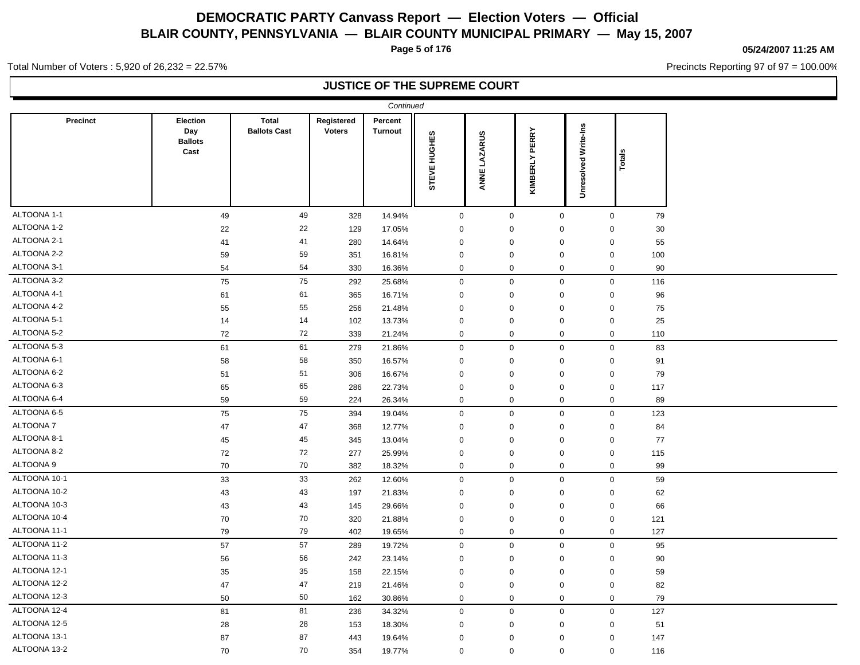**Page 5 of 176**

#### **05/24/2007 11:25 AM**

Precincts Reporting 97 of 97 = 100.00%

Total Number of Voters : 5,920 of 26,232 = 22.57%

### **JUSTICE OF THE SUPREME COURT**

| Continued       |                                           |                                     |                             |                           |                  |              |                  |                             |        |  |  |  |  |
|-----------------|-------------------------------------------|-------------------------------------|-----------------------------|---------------------------|------------------|--------------|------------------|-----------------------------|--------|--|--|--|--|
| <b>Precinct</b> | Election<br>Day<br><b>Ballots</b><br>Cast | <b>Total</b><br><b>Ballots Cast</b> | Registered<br><b>Voters</b> | Percent<br><b>Turnout</b> | STEVE HUGHES     | ANNE LAZARUS | KIMBERLY PERRY   | <b>Unresolved Write-Ins</b> | Totals |  |  |  |  |
| ALTOONA 1-1     | 49                                        | 49                                  | 328                         | 14.94%                    | $\mathbf 0$      | $\mathbf 0$  | $\mathbf 0$      | $\mathbf 0$                 | 79     |  |  |  |  |
| ALTOONA 1-2     | 22                                        | 22                                  | 129                         | 17.05%                    | $\mathbf 0$      | $\mathbf 0$  | $\mathbf 0$      | $\mathbf 0$                 | 30     |  |  |  |  |
| ALTOONA 2-1     | 41                                        | 41                                  | 280                         | 14.64%                    | $\mathbf 0$      | $\mathbf 0$  | $\mathbf 0$      | $\mathbf 0$                 | 55     |  |  |  |  |
| ALTOONA 2-2     | 59                                        | 59                                  | 351                         | 16.81%                    | $\mathbf 0$      | $\mathbf 0$  | $\mathbf 0$      | $\mathsf{O}\xspace$         | 100    |  |  |  |  |
| ALTOONA 3-1     | 54                                        | 54                                  | 330                         | 16.36%                    | $\mathbf 0$      | $\mathbf 0$  | $\mathbf 0$      | $\mathbf 0$                 | 90     |  |  |  |  |
| ALTOONA 3-2     | 75                                        | 75                                  | 292                         | 25.68%                    | $\mathbf 0$      | $\mathbf 0$  | $\mathbf 0$      | $\mathbf 0$                 | 116    |  |  |  |  |
| ALTOONA 4-1     | 61                                        | 61                                  | 365                         | 16.71%                    | $\mathbf 0$      | $\mathbf 0$  | $\mathbf 0$      | $\mathbf 0$                 | 96     |  |  |  |  |
| ALTOONA 4-2     | 55                                        | 55                                  | 256                         | 21.48%                    | $\mathbf 0$      | $\mathbf 0$  | $\mathbf 0$      | 0                           | 75     |  |  |  |  |
| ALTOONA 5-1     | 14                                        | 14                                  | 102                         | 13.73%                    | $\mathbf 0$      | $\mathbf 0$  | $\mathbf 0$      | $\mathbf 0$                 | 25     |  |  |  |  |
| ALTOONA 5-2     | 72                                        | 72                                  | 339                         | 21.24%                    | $\boldsymbol{0}$ | $\mathbf 0$  | 0                | $\mathbf 0$                 | 110    |  |  |  |  |
| ALTOONA 5-3     | 61                                        | 61                                  | 279                         | 21.86%                    | $\mathbf 0$      | $\mathbf 0$  | $\mathbf 0$      | $\mathbf 0$                 | 83     |  |  |  |  |
| ALTOONA 6-1     | 58                                        | 58                                  | 350                         | 16.57%                    | $\mathbf 0$      | $\mathbf 0$  | $\mathbf 0$      | $\mathbf 0$                 | 91     |  |  |  |  |
| ALTOONA 6-2     | 51                                        | 51                                  | 306                         | 16.67%                    | $\mathbf 0$      | $\mathbf 0$  | $\mathbf 0$      | $\mathbf 0$                 | 79     |  |  |  |  |
| ALTOONA 6-3     | 65                                        | 65                                  | 286                         | 22.73%                    | $\mathbf 0$      | $\mathbf 0$  | $\mathbf 0$      | $\mathsf{O}\xspace$         | 117    |  |  |  |  |
| ALTOONA 6-4     | 59                                        | 59                                  | 224                         | 26.34%                    | $\mathbf 0$      | $\mathbf 0$  | 0                | 0                           | 89     |  |  |  |  |
| ALTOONA 6-5     | 75                                        | 75                                  | 394                         | 19.04%                    | $\mathbf 0$      | $\mathbf 0$  | $\mathbf 0$      | $\mathbf 0$                 | 123    |  |  |  |  |
| ALTOONA 7       | 47                                        | 47                                  | 368                         | 12.77%                    | $\mathbf 0$      | $\mathbf 0$  | $\mathbf 0$      | $\mathbf 0$                 | 84     |  |  |  |  |
| ALTOONA 8-1     | 45                                        | 45                                  | 345                         | 13.04%                    | $\mathbf 0$      | $\mathbf 0$  | $\mathbf 0$      | 0                           | 77     |  |  |  |  |
| ALTOONA 8-2     | 72                                        | 72                                  | 277                         | 25.99%                    | $\mathbf 0$      | $\mathbf 0$  | $\mathbf 0$      | 0                           | 115    |  |  |  |  |
| ALTOONA 9       | 70                                        | ${\bf 70}$                          | 382                         | 18.32%                    | $\mathbf 0$      | 0            | 0                | 0                           | 99     |  |  |  |  |
| ALTOONA 10-1    | 33                                        | 33                                  | 262                         | 12.60%                    | $\mathbf 0$      | $\mathbf 0$  | $\mathbf 0$      | $\mathbf 0$                 | 59     |  |  |  |  |
| ALTOONA 10-2    | 43                                        | 43                                  | 197                         | 21.83%                    | $\boldsymbol{0}$ | $\mathbf 0$  | $\mathbf 0$      | $\mathbf 0$                 | 62     |  |  |  |  |
| ALTOONA 10-3    | 43                                        | 43                                  | 145                         | 29.66%                    | $\boldsymbol{0}$ | $\mathbf 0$  | $\mathbf 0$      | $\mathbf 0$                 | 66     |  |  |  |  |
| ALTOONA 10-4    | 70                                        | $70\,$                              | 320                         | 21.88%                    | $\mathbf 0$      | $\mathbf 0$  | $\mathbf 0$      | $\mathbf 0$                 | 121    |  |  |  |  |
| ALTOONA 11-1    | 79                                        | 79                                  | 402                         | 19.65%                    | $\mathbf 0$      | $\mathbf 0$  | 0                | 0                           | 127    |  |  |  |  |
| ALTOONA 11-2    | 57                                        | 57                                  | 289                         | 19.72%                    | $\mathbf 0$      | $\mathbf{0}$ | $\mathbf 0$      | $\mathbf 0$                 | 95     |  |  |  |  |
| ALTOONA 11-3    | 56                                        | 56                                  | 242                         | 23.14%                    | $\boldsymbol{0}$ | $\mathbf 0$  | $\mathbf 0$      | 0                           | 90     |  |  |  |  |
| ALTOONA 12-1    | 35                                        | 35                                  | 158                         | 22.15%                    | $\mathbf 0$      | $\mathbf 0$  | $\mathbf 0$      | 0                           | 59     |  |  |  |  |
| ALTOONA 12-2    | 47                                        | 47                                  | 219                         | 21.46%                    | $\boldsymbol{0}$ | $\mathbf 0$  | $\mathbf 0$      | $\mathbf 0$                 | 82     |  |  |  |  |
| ALTOONA 12-3    | 50                                        | 50                                  | 162                         | 30.86%                    | $\mathbf 0$      | $\mathbf 0$  | $\mathbf 0$      | $\mathsf{O}\xspace$         | 79     |  |  |  |  |
| ALTOONA 12-4    | 81                                        | 81                                  | 236                         | 34.32%                    | $\boldsymbol{0}$ | $\mathbf 0$  | $\mathbf 0$      | $\mathbf 0$                 | 127    |  |  |  |  |
| ALTOONA 12-5    | 28                                        | 28                                  | 153                         | 18.30%                    | $\mathbf 0$      | $\mathbf 0$  | $\mathbf 0$      | $\mathbf 0$                 | 51     |  |  |  |  |
| ALTOONA 13-1    | 87                                        | 87                                  | 443                         | 19.64%                    | $\mathbf 0$      | $\mathbf 0$  | $\mathbf 0$      | $\mathbf 0$                 | 147    |  |  |  |  |
| ALTOONA 13-2    | 70                                        | 70                                  | 354                         | 19.77%                    | $\mathbf 0$      | $\mathbf 0$  | $\boldsymbol{0}$ | 0                           | 116    |  |  |  |  |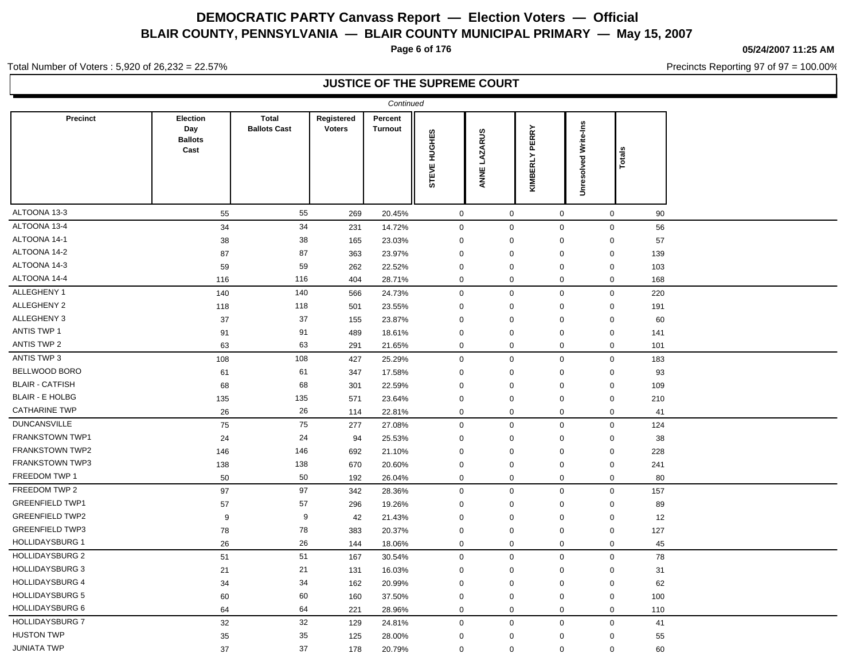**Page 6 of 176**

**05/24/2007 11:25 AM**

Precincts Reporting 97 of 97 = 100.00%

Total Number of Voters : 5,920 of 26,232 = 22.57%

### **JUSTICE OF THE SUPREME COURT**

|                        |                                           |                                     |                             | Continued                 |                     |                        |                   |                             |       |  |
|------------------------|-------------------------------------------|-------------------------------------|-----------------------------|---------------------------|---------------------|------------------------|-------------------|-----------------------------|-------|--|
| <b>Precinct</b>        | Election<br>Day<br><b>Ballots</b><br>Cast | <b>Total</b><br><b>Ballots Cast</b> | Registered<br><b>Voters</b> | Percent<br><b>Turnout</b> | STEVE HUGHES        | <b>LAZARUS</b><br>ANNE | PERRY<br>KIMBERLY | <b>Unresolved Write-Ins</b> | Total |  |
| ALTOONA 13-3           | 55                                        | 55                                  | 269                         | 20.45%                    | $\mathbf 0$         | $\mathbf 0$            | $\mathbf 0$       | $\mathbf 0$                 | 90    |  |
| ALTOONA 13-4           | 34                                        | 34                                  | 231                         | 14.72%                    | $\mathbf{0}$        | $\mathbf 0$            | $\mathbf 0$       | $\mathbf 0$                 | 56    |  |
| ALTOONA 14-1           | 38                                        | 38                                  | 165                         | 23.03%                    | $\mathbf 0$         | 0                      | 0                 | 0                           | 57    |  |
| ALTOONA 14-2           | 87                                        | 87                                  | 363                         | 23.97%                    | $\mathbf 0$         | 0                      | 0                 | 0                           | 139   |  |
| ALTOONA 14-3           | 59                                        | 59                                  | 262                         | 22.52%                    | $\mathbf 0$         | $\mathbf 0$            | 0                 | 0                           | 103   |  |
| ALTOONA 14-4           | 116                                       | 116                                 | 404                         | 28.71%                    | $\mathbf 0$         | 0                      | 0                 | 0                           | 168   |  |
| ALLEGHENY 1            | 140                                       | 140                                 | 566                         | 24.73%                    | $\mathsf{O}\xspace$ | $\mathsf 0$            | $\mathbf 0$       | 0                           | 220   |  |
| ALLEGHENY 2            | 118                                       | 118                                 | 501                         | 23.55%                    | $\mathbf 0$         | 0                      | 0                 | 0                           | 191   |  |
| ALLEGHENY 3            | 37                                        | 37                                  | 155                         | 23.87%                    | $\mathbf 0$         | 0                      | 0                 | 0                           | 60    |  |
| <b>ANTIS TWP 1</b>     | 91                                        | 91                                  | 489                         | 18.61%                    | $\mathbf 0$         | 0                      | 0                 | 0                           | 141   |  |
| <b>ANTIS TWP 2</b>     | 63                                        | 63                                  | 291                         | 21.65%                    | $\mathbf 0$         | 0                      | 0                 | 0                           | 101   |  |
| ANTIS TWP 3            | 108                                       | 108                                 | 427                         | 25.29%                    | $\mathbf 0$         | $\mathbf 0$            | 0                 | 0                           | 183   |  |
| BELLWOOD BORO          | 61                                        | 61                                  | 347                         | 17.58%                    | $\mathbf 0$         | $\mathbf 0$            | 0                 | 0                           | 93    |  |
| <b>BLAIR - CATFISH</b> | 68                                        | 68                                  | 301                         | 22.59%                    | $\mathbf 0$         | 0                      | $\mathbf 0$       | 0                           | 109   |  |
| <b>BLAIR - E HOLBG</b> | 135                                       | 135                                 | 571                         | 23.64%                    | $\mathbf 0$         | 0                      | 0                 | 0                           | 210   |  |
| <b>CATHARINE TWP</b>   | 26                                        | 26                                  | 114                         | 22.81%                    | $\mathbf 0$         | 0                      | 0                 | 0                           | 41    |  |
| <b>DUNCANSVILLE</b>    | 75                                        | 75                                  | 277                         | 27.08%                    | $\mathbf 0$         | $\mathbf 0$            | $\mathbf 0$       | 0                           | 124   |  |
| FRANKSTOWN TWP1        | 24                                        | 24                                  | 94                          | 25.53%                    | $\mathbf 0$         | $\mathbf 0$            | 0                 | 0                           | 38    |  |
| FRANKSTOWN TWP2        | 146                                       | 146                                 | 692                         | 21.10%                    | $\mathbf 0$         | 0                      | 0                 | 0                           | 228   |  |
| FRANKSTOWN TWP3        | 138                                       | 138                                 | 670                         | 20.60%                    | $\mathbf 0$         | $\mathsf 0$            | 0                 | 0                           | 241   |  |
| FREEDOM TWP 1          | 50                                        | 50                                  | 192                         | 26.04%                    | $\mathbf 0$         | 0                      | 0                 | 0                           | 80    |  |
| FREEDOM TWP 2          | 97                                        | 97                                  | 342                         | 28.36%                    | $\mathbf 0$         | $\mathbf 0$            | 0                 | 0                           | 157   |  |
| <b>GREENFIELD TWP1</b> | 57                                        | 57                                  | 296                         | 19.26%                    | $\mathbf 0$         | 0                      | 0                 | 0                           | 89    |  |
| <b>GREENFIELD TWP2</b> | 9                                         | 9                                   | 42                          | 21.43%                    | $\mathbf 0$         | 0                      | 0                 | 0                           | 12    |  |
| <b>GREENFIELD TWP3</b> | 78                                        | 78                                  | 383                         | 20.37%                    | $\mathbf 0$         | $\mathbf 0$            | $\mathbf 0$       | 0                           | 127   |  |
| <b>HOLLIDAYSBURG 1</b> | 26                                        | 26                                  | 144                         | 18.06%                    | $\mathbf 0$         | 0                      | $\mathbf 0$       | 0                           | 45    |  |
| <b>HOLLIDAYSBURG 2</b> | 51                                        | 51                                  | 167                         | 30.54%                    | $\mathbf 0$         | $\mathbf 0$            | 0                 | $\mathsf{O}$                | 78    |  |
| <b>HOLLIDAYSBURG 3</b> | 21                                        | 21                                  | 131                         | 16.03%                    | $\mathbf 0$         | 0                      | 0                 | 0                           | 31    |  |
| <b>HOLLIDAYSBURG 4</b> | 34                                        | 34                                  | 162                         | 20.99%                    | $\mathbf 0$         | $\mathbf 0$            | $\mathbf 0$       | 0                           | 62    |  |
| <b>HOLLIDAYSBURG 5</b> | 60                                        | 60                                  | 160                         | 37.50%                    | $\mathbf 0$         | 0                      | 0                 | 0                           | 100   |  |
| <b>HOLLIDAYSBURG 6</b> | 64                                        | 64                                  | 221                         | 28.96%                    | $\mathbf 0$         | $\mathbf 0$            | $\mathbf 0$       | 0                           | 110   |  |
| <b>HOLLIDAYSBURG 7</b> | 32                                        | 32                                  | 129                         | 24.81%                    | $\mathbf 0$         | $\mathbf 0$            | $\mathbf 0$       | $\mathsf{O}$                | 41    |  |
| <b>HUSTON TWP</b>      | 35                                        | 35                                  | 125                         | 28.00%                    | $\mathbf 0$         | 0                      | $\Omega$          | 0                           | 55    |  |
| <b>JUNIATA TWP</b>     | 37                                        | 37                                  | 178                         | 20.79%                    | $\mathbf 0$         | $\Omega$               | $\Omega$          | 0                           | 60    |  |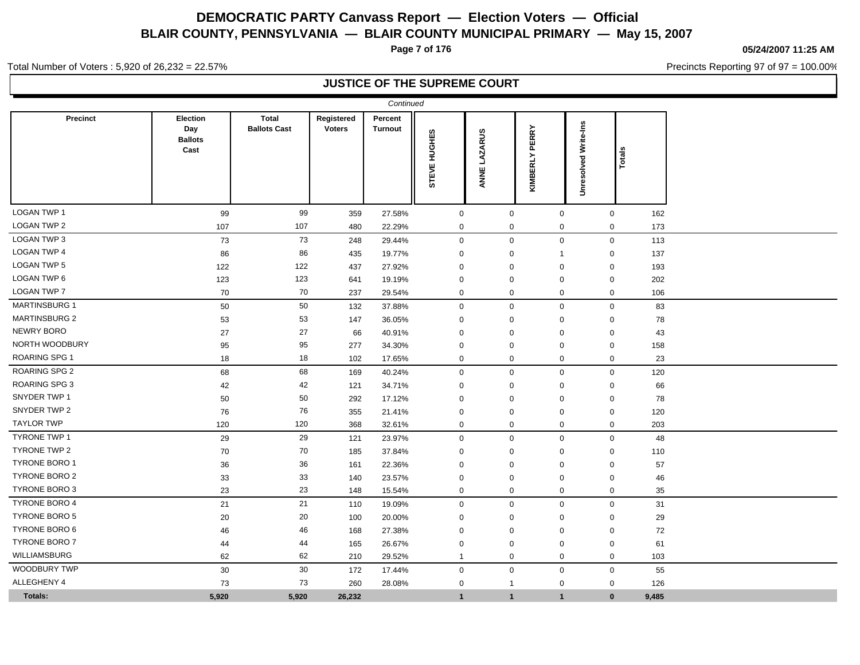**Page 7 of 176**

**05/24/2007 11:25 AM**

Precincts Reporting 97 of 97 = 100.00%

Total Number of Voters : 5,920 of 26,232 = 22.57%

### **JUSTICE OF THE SUPREME COURT**

|                      |                                                  |                                     |                             | Continued                 |                        |                        |                          |                             |        |  |
|----------------------|--------------------------------------------------|-------------------------------------|-----------------------------|---------------------------|------------------------|------------------------|--------------------------|-----------------------------|--------|--|
| <b>Precinct</b>      | <b>Election</b><br>Day<br><b>Ballots</b><br>Cast | <b>Total</b><br><b>Ballots Cast</b> | Registered<br><b>Voters</b> | Percent<br><b>Turnout</b> | HUGHES<br><b>STEVE</b> | <b>LAZARUS</b><br>ANNE | <b>PERRY</b><br>KIMBERLY | <b>Unresolved Write-Ins</b> | Totals |  |
| <b>LOGAN TWP 1</b>   | 99                                               | 99                                  | 359                         | 27.58%                    | $\mathsf 0$            | $\mathsf{O}\xspace$    | $\mathsf{O}\xspace$      | $\mathsf{O}\xspace$         | 162    |  |
| <b>LOGAN TWP 2</b>   | 107                                              | 107                                 | 480                         | 22.29%                    | $\boldsymbol{0}$       | $\mathbf 0$            | $\mathbf 0$              | $\mathsf 0$                 | 173    |  |
| <b>LOGAN TWP 3</b>   | 73                                               | 73                                  | 248                         | 29.44%                    | $\mathsf 0$            | $\mathbf 0$            | $\mathbf 0$              | $\mathsf{O}\xspace$         | 113    |  |
| <b>LOGAN TWP 4</b>   | 86                                               | 86                                  | 435                         | 19.77%                    | 0                      | $\mathbf 0$            | $\overline{1}$           | $\mathbf 0$                 | 137    |  |
| <b>LOGAN TWP 5</b>   | 122                                              | 122                                 | 437                         | 27.92%                    | $\mathbf 0$            | $\mathbf 0$            | $\mathbf 0$              | $\mathbf 0$                 | 193    |  |
| <b>LOGAN TWP 6</b>   | 123                                              | 123                                 | 641                         | 19.19%                    | $\mathbf 0$            | $\mathbf 0$            | 0                        | $\mathbf 0$                 | 202    |  |
| <b>LOGAN TWP 7</b>   | 70                                               | 70                                  | 237                         | 29.54%                    | 0                      | $\mathbf 0$            | $\mathbf 0$              | $\mathbf 0$                 | 106    |  |
| <b>MARTINSBURG 1</b> | 50                                               | 50                                  | 132                         | 37.88%                    | $\mathbf 0$            | $\mathbf 0$            | $\mathbf 0$              | $\mathbf 0$                 | 83     |  |
| <b>MARTINSBURG 2</b> | 53                                               | 53                                  | 147                         | 36.05%                    | 0                      | $\mathbf 0$            | 0                        | 0                           | 78     |  |
| <b>NEWRY BORO</b>    | 27                                               | 27                                  | 66                          | 40.91%                    | $\mathbf 0$            | $\mathbf 0$            | $\mathbf 0$              | 0                           | 43     |  |
| NORTH WOODBURY       | 95                                               | 95                                  | 277                         | 34.30%                    | $\mathbf 0$            | $\mathbf 0$            | $\mathbf 0$              | $\mathbf 0$                 | 158    |  |
| <b>ROARING SPG 1</b> | 18                                               | 18                                  | 102                         | 17.65%                    | $\mathbf 0$            | $\mathbf 0$            | $\mathbf 0$              | $\mathbf 0$                 | 23     |  |
| <b>ROARING SPG 2</b> | 68                                               | 68                                  | 169                         | 40.24%                    | $\mathbf 0$            | $\mathbf 0$            | $\mathbf 0$              | $\mathsf 0$                 | 120    |  |
| <b>ROARING SPG 3</b> | 42                                               | 42                                  | 121                         | 34.71%                    | $\mathbf 0$            | $\mathbf 0$            | $\mathbf 0$              | $\mathbf 0$                 | 66     |  |
| SNYDER TWP 1         | 50                                               | 50                                  | 292                         | 17.12%                    | $\mathbf 0$            | $\mathbf 0$            | $\mathbf 0$              | $\mathbf 0$                 | 78     |  |
| SNYDER TWP 2         | 76                                               | 76                                  | 355                         | 21.41%                    | 0                      | $\mathbf 0$            | $\mathbf 0$              | $\mathbf 0$                 | 120    |  |
| <b>TAYLOR TWP</b>    | 120                                              | 120                                 | 368                         | 32.61%                    | 0                      | $\mathbf 0$            | $\mathbf 0$              | $\mathbf 0$                 | 203    |  |
| <b>TYRONE TWP 1</b>  | 29                                               | 29                                  | 121                         | 23.97%                    | $\mathbf 0$            | $\mathbf 0$            | $\mathbf 0$              | $\mathbf 0$                 | 48     |  |
| TYRONE TWP 2         | 70                                               | 70                                  | 185                         | 37.84%                    | $\mathbf 0$            | $\mathbf 0$            | $\mathbf 0$              | $\mathbf 0$                 | 110    |  |
| <b>TYRONE BORO 1</b> | 36                                               | 36                                  | 161                         | 22.36%                    | $\mathbf 0$            | $\mathbf 0$            | $\mathbf 0$              | $\mathbf 0$                 | 57     |  |
| <b>TYRONE BORO 2</b> | 33                                               | 33                                  | 140                         | 23.57%                    | 0                      | 0                      | 0                        | 0                           | 46     |  |
| <b>TYRONE BORO 3</b> | 23                                               | 23                                  | 148                         | 15.54%                    | 0                      | 0                      | 0                        | 0                           | 35     |  |
| <b>TYRONE BORO 4</b> | 21                                               | 21                                  | 110                         | 19.09%                    | $\mathbf 0$            | $\mathbf 0$            | $\mathbf 0$              | $\mathbf 0$                 | 31     |  |
| <b>TYRONE BORO 5</b> | 20                                               | 20                                  | 100                         | 20.00%                    | 0                      | $\mathbf 0$            | 0                        | $\mathbf 0$                 | 29     |  |
| <b>TYRONE BORO 6</b> | 46                                               | 46                                  | 168                         | 27.38%                    | 0                      | $\mathbf 0$            | $\mathbf 0$              | 0                           | 72     |  |
| <b>TYRONE BORO 7</b> | 44                                               | 44                                  | 165                         | 26.67%                    | $\mathbf 0$            | $\mathbf 0$            | $\mathbf 0$              | $\mathbf 0$                 | 61     |  |
| <b>WILLIAMSBURG</b>  | 62                                               | 62                                  | 210                         | 29.52%                    | $\overline{1}$         | $\mathbf 0$            | $\mathbf 0$              | $\mathbf 0$                 | 103    |  |
| WOODBURY TWP         | $30\,$                                           | 30                                  | 172                         | 17.44%                    | $\mathbf 0$            | $\mathbf 0$            | $\mathbf 0$              | $\mathsf{O}\xspace$         | 55     |  |
| ALLEGHENY 4          | 73                                               | 73                                  | 260                         | 28.08%                    | $\mathbf 0$            | $\mathbf{1}$           | $\mathbf 0$              | $\mathbf 0$                 | 126    |  |
| Totals:              | 5,920                                            | 5,920                               | 26,232                      |                           | $\overline{1}$         | $\mathbf{1}$           | $\overline{1}$           | $\mathbf{0}$                | 9,485  |  |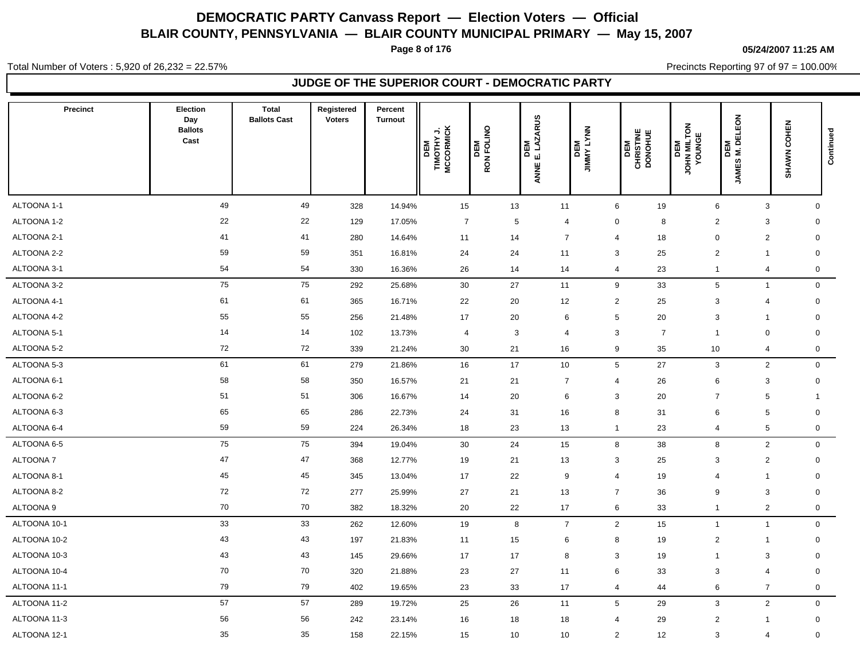**Page 8 of 176**

**05/24/2007 11:25 AM**

Total Number of Voters : 5,920 of 26,232 = 22.57%

Precincts Reporting 97 of 97 = 100.00% **JUDGE OF THE SUPERIOR COURT - DEMOCRATIC PARTY**

| Precinct        | Election<br>Day<br><b>Ballots</b><br>Cast | <b>Total</b><br><b>Ballots Cast</b> | Registered<br><b>Voters</b> | Percent<br><b>Turnout</b> | TIMOTHY J.<br>MCCORMICK<br>DEM<br>I | DEM<br>RON FOLINO | <b>LAZARUS</b><br>DEM<br>$\dot{\mathbf{u}}$<br>ANNE | DEM<br>JIMNY LYNN |                 | CHRISTINE<br>DONOHUE<br>DEM | JOHN MILTON<br>YOUNGE<br>DEM | ELEON<br>DEM<br>M. DE<br>JAMES | SHAWN COHEN    | Continued           |
|-----------------|-------------------------------------------|-------------------------------------|-----------------------------|---------------------------|-------------------------------------|-------------------|-----------------------------------------------------|-------------------|-----------------|-----------------------------|------------------------------|--------------------------------|----------------|---------------------|
| ALTOONA 1-1     | 49                                        | 49                                  | 328                         | 14.94%                    | 15                                  |                   | 13                                                  | 11                | $6\phantom{.}6$ | 19                          |                              | $\,6\,$                        | $\mathbf{3}$   | $\mathbf{0}$        |
| ALTOONA 1-2     | 22                                        | 22                                  | 129                         | 17.05%                    | $\overline{7}$                      |                   | $5\phantom{.0}$                                     | $\overline{4}$    | 0               | 8                           |                              | $\overline{2}$                 | 3              | $\mathbf 0$         |
| ALTOONA 2-1     | 41                                        | 41                                  | 280                         | 14.64%                    | 11                                  |                   | 14                                                  | $\overline{7}$    | $\overline{4}$  | 18                          |                              | $\mathbf 0$                    | $\overline{2}$ | $\mathbf 0$         |
| ALTOONA 2-2     | 59                                        | 59                                  | 351                         | 16.81%                    | 24                                  |                   | 24                                                  | 11                | 3               | 25                          |                              | $\overline{2}$                 | -1             | $\mathbf 0$         |
| ALTOONA 3-1     | 54                                        | 54                                  | 330                         | 16.36%                    | 26                                  |                   | 14                                                  | 14                | $\overline{4}$  | 23                          |                              | $\mathbf{1}$                   | $\overline{4}$ | $\mathsf{O}\xspace$ |
| ALTOONA 3-2     | 75                                        | 75                                  | 292                         | 25.68%                    | 30                                  |                   | 27                                                  | 11                | 9               | 33                          |                              | $\,$ 5 $\,$                    | $\mathbf{1}$   | $\mathsf{O}\xspace$ |
| ALTOONA 4-1     | 61                                        | 61                                  | 365                         | 16.71%                    | 22                                  |                   | 20                                                  | 12                | $\overline{2}$  | 25                          |                              | 3                              | $\overline{4}$ | $\mathbf 0$         |
| ALTOONA 4-2     | 55                                        | 55                                  | 256                         | 21.48%                    | 17                                  |                   | 20                                                  | 6                 | 5               | 20                          |                              | 3                              | -1             | $\mathbf 0$         |
| ALTOONA 5-1     | 14                                        | 14                                  | 102                         | 13.73%                    | $\overline{4}$                      |                   | 3                                                   | $\overline{4}$    | 3               | $\overline{7}$              |                              | $\overline{1}$                 | $\mathbf 0$    | $\mathbf 0$         |
| ALTOONA 5-2     | 72                                        | 72                                  | 339                         | 21.24%                    | 30                                  |                   | 21                                                  | 16                | 9               | 35                          |                              | 10                             | 4              | $\mathsf{O}\xspace$ |
| ALTOONA 5-3     | 61                                        | 61                                  | 279                         | 21.86%                    | 16                                  |                   | 17                                                  | 10                | $5\phantom{.0}$ | 27                          |                              | $\mathbf{3}$                   | $\overline{2}$ | $\mathbf 0$         |
| ALTOONA 6-1     | 58                                        | 58                                  | 350                         | 16.57%                    | 21                                  |                   | 21                                                  | $\overline{7}$    | $\overline{4}$  | 26                          |                              | 6                              | 3              | $\mathbf 0$         |
| ALTOONA 6-2     | 51                                        | 51                                  | 306                         | 16.67%                    | 14                                  |                   | 20                                                  | 6                 | 3               | 20                          |                              | $\overline{7}$                 | 5              | 1                   |
| ALTOONA 6-3     | 65                                        | 65                                  | 286                         | 22.73%                    | 24                                  |                   | 31                                                  | 16                | 8               | 31                          |                              | 6                              | 5              | $\mathbf 0$         |
| ALTOONA 6-4     | 59                                        | 59                                  | 224                         | 26.34%                    | 18                                  |                   | 23                                                  | 13                | $\overline{1}$  | 23                          |                              | 4                              | 5              | $\mathbf 0$         |
| ALTOONA 6-5     | 75                                        | 75                                  | 394                         | 19.04%                    | 30                                  |                   | 24                                                  | 15                | 8               | 38                          |                              | 8                              | $\overline{2}$ | $\mathbf 0$         |
| <b>ALTOONA7</b> | 47                                        | 47                                  | 368                         | 12.77%                    | 19                                  |                   | 21                                                  | 13                | 3               | 25                          |                              | 3                              | $\overline{c}$ | $\mathbf 0$         |
| ALTOONA 8-1     | 45                                        | 45                                  | 345                         | 13.04%                    | 17                                  |                   | 22                                                  | 9                 | $\overline{4}$  | 19                          |                              | $\overline{4}$                 | $\mathbf{1}$   | $\mathbf 0$         |
| ALTOONA 8-2     | 72                                        | 72                                  | 277                         | 25.99%                    | 27                                  |                   | 21                                                  | 13                | $\overline{7}$  | 36                          |                              | 9                              | 3              | $\mathbf 0$         |
| ALTOONA 9       | 70                                        | 70                                  | 382                         | 18.32%                    | 20                                  |                   | 22                                                  | 17                | 6               | 33                          |                              | $\overline{1}$                 | $\overline{c}$ | 0                   |
| ALTOONA 10-1    | 33                                        | 33                                  | 262                         | 12.60%                    | 19                                  |                   | 8                                                   | $\overline{7}$    | $\overline{2}$  | 15                          |                              | $\overline{1}$                 | $\mathbf{1}$   | $\mathbf 0$         |
| ALTOONA 10-2    | 43                                        | 43                                  | 197                         | 21.83%                    | 11                                  |                   | 15                                                  | 6                 | 8               | 19                          |                              | $\overline{2}$                 | $\mathbf{1}$   | $\mathbf 0$         |
| ALTOONA 10-3    | 43                                        | 43                                  | 145                         | 29.66%                    | 17                                  |                   | 17                                                  | 8                 | 3               | 19                          |                              | -1                             | 3              | $\mathbf 0$         |
| ALTOONA 10-4    | 70                                        | 70                                  | 320                         | 21.88%                    | 23                                  |                   | 27                                                  | 11                | 6               | 33                          |                              | 3                              | $\overline{4}$ | $\mathbf 0$         |
| ALTOONA 11-1    | 79                                        | 79                                  | 402                         | 19.65%                    | 23                                  |                   | 33                                                  | 17                | $\overline{4}$  | 44                          |                              | 6                              | $\overline{7}$ | $\mathsf{O}\xspace$ |
| ALTOONA 11-2    | 57                                        | 57                                  | 289                         | 19.72%                    | 25                                  |                   | 26                                                  | 11                | $5\phantom{.0}$ | 29                          |                              | $\mathbf{3}$                   | $\overline{c}$ | $\mathsf{O}\xspace$ |
| ALTOONA 11-3    | 56                                        | 56                                  | 242                         | 23.14%                    | 16                                  |                   | 18                                                  | 18                | $\overline{4}$  | 29                          |                              | $\overline{2}$                 | $\mathbf{1}$   | $\mathbf 0$         |
| ALTOONA 12-1    | 35                                        | 35                                  | 158                         | 22.15%                    | 15                                  |                   | 10                                                  | 10                | 2               | 12                          |                              | 3                              | $\overline{4}$ | $\mathbf 0$         |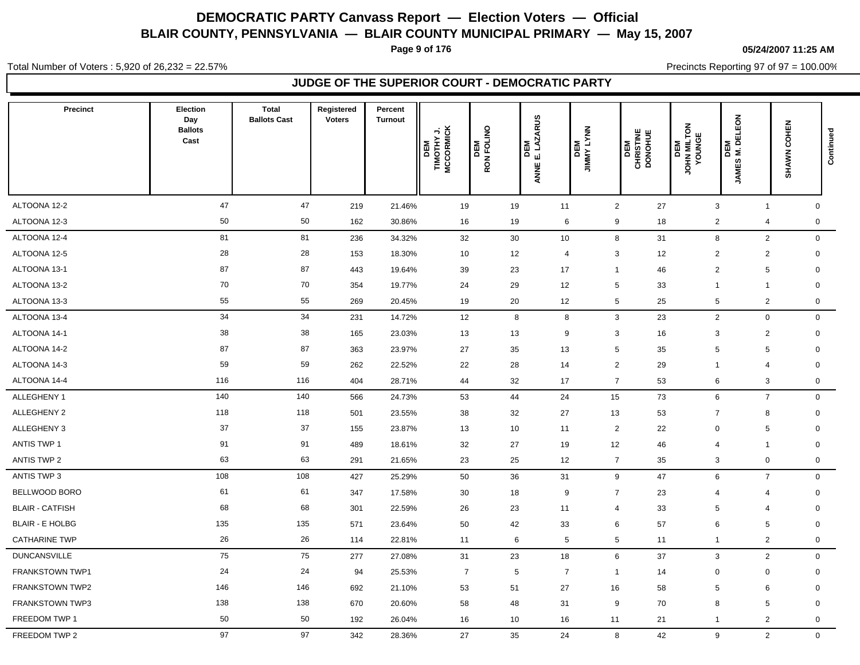**Page 9 of 176**

**05/24/2007 11:25 AM**

Precincts Reporting 97 of 97 = 100.00%

Total Number of Voters : 5,920 of 26,232 = 22.57%

### **JUDGE OF THE SUPERIOR COURT - DEMOCRATIC PARTY**

| Precinct               | Election<br>Day<br><b>Ballots</b><br>Cast | <b>Total</b><br><b>Ballots Cast</b> | Registered<br><b>Voters</b> | Percent<br><b>Turnout</b> | TIMOTHY J.<br>MCCORMICK<br>DEM | <b>DEM</b><br>RON FOLINO | <b>LAZARUS</b><br>및<br>$\circ$<br>цj<br>ANNE | NNAJ AWWIC<br>WBO | DEM<br>CHRISTINE<br>DONOHUE | JOHN MILTON<br>YOUNGE<br>DEM | DEM<br>M. DELEON<br><b>JAMES</b> | COHEN<br>SHAWN | Continued   |
|------------------------|-------------------------------------------|-------------------------------------|-----------------------------|---------------------------|--------------------------------|--------------------------|----------------------------------------------|-------------------|-----------------------------|------------------------------|----------------------------------|----------------|-------------|
| ALTOONA 12-2           | 47                                        | 47                                  | 219                         | 21.46%                    | 19                             | 19                       | 11                                           |                   | $\overline{2}$<br>27        |                              | 3                                | $\overline{1}$ | $\mathbf 0$ |
| ALTOONA 12-3           | 50                                        | 50                                  | 162                         | 30.86%                    | 16                             | 19                       |                                              | 6                 | 9<br>18                     |                              | $\overline{2}$                   | $\overline{4}$ | $\mathbf 0$ |
| ALTOONA 12-4           | 81                                        | 81                                  | 236                         | 34.32%                    | 32                             | 30                       | 10                                           |                   | 8<br>31                     |                              | 8                                | $\mathbf{2}$   | $\mathbf 0$ |
| ALTOONA 12-5           | 28                                        | 28                                  | 153                         | 18.30%                    | 10                             | 12                       | $\overline{4}$                               |                   | 3<br>12                     |                              | $\overline{2}$                   | $\overline{2}$ | 0           |
| ALTOONA 13-1           | 87                                        | 87                                  | 443                         | 19.64%                    | 39                             | 23                       | 17                                           |                   | 46<br>$\overline{1}$        |                              | $\overline{2}$                   | 5              | $\mathbf 0$ |
| ALTOONA 13-2           | 70                                        | 70                                  | 354                         | 19.77%                    | 24                             | 29                       | 12                                           |                   | 5<br>33                     |                              | $\mathbf{1}$                     | $\overline{1}$ | $\mathbf 0$ |
| ALTOONA 13-3           | 55                                        | 55                                  | 269                         | 20.45%                    | 19                             | 20                       | 12                                           |                   | 5<br>25                     |                              | 5                                | $\overline{c}$ | 0           |
| ALTOONA 13-4           | 34                                        | 34                                  | 231                         | 14.72%                    | 12                             |                          | 8                                            | 8                 | $\mathbf{3}$<br>23          |                              | $\overline{2}$                   | $\mathbf 0$    | $\mathbf 0$ |
| ALTOONA 14-1           | 38                                        | 38                                  | 165                         | 23.03%                    | 13                             | 13                       | 9                                            |                   | 3<br>16                     |                              | 3                                | $\overline{2}$ | $\mathbf 0$ |
| ALTOONA 14-2           | 87                                        | 87                                  | 363                         | 23.97%                    | 27                             | 35                       | 13                                           |                   | 5<br>35                     |                              | 5                                | 5              | $\mathbf 0$ |
| ALTOONA 14-3           | 59                                        | 59                                  | 262                         | 22.52%                    | 22                             | 28                       | 14                                           |                   | $\overline{2}$<br>29        |                              | -1                               | 4              | 0           |
| ALTOONA 14-4           | 116                                       | 116                                 | 404                         | 28.71%                    | 44                             | 32                       | 17                                           |                   | $\overline{7}$<br>53        |                              | 6                                | 3              | $\mathbf 0$ |
| ALLEGHENY 1            | 140                                       | 140                                 | 566                         | 24.73%                    | 53                             | 44                       | 24                                           |                   | 73<br>15                    |                              | 6                                | $\overline{7}$ | $\mathbf 0$ |
| ALLEGHENY 2            | 118                                       | 118                                 | 501                         | 23.55%                    | 38                             | 32                       | 27                                           |                   | 53<br>13                    |                              | $\overline{7}$                   | 8              | $\mathbf 0$ |
| ALLEGHENY 3            | 37                                        | 37                                  | 155                         | 23.87%                    | 13                             | 10                       | 11                                           |                   | $\overline{2}$<br>22        |                              | $\Omega$                         | 5              | $\mathbf 0$ |
| <b>ANTIS TWP 1</b>     | 91                                        | 91                                  | 489                         | 18.61%                    | 32                             | 27                       | 19                                           |                   | 12<br>46                    |                              | $\overline{4}$                   | $\mathbf{1}$   | $\mathbf 0$ |
| <b>ANTIS TWP 2</b>     | 63                                        | 63                                  | 291                         | 21.65%                    | 23                             | 25                       | 12                                           |                   | $\overline{7}$<br>35        |                              | 3                                | $\mathbf 0$    | $\mathbf 0$ |
| ANTIS TWP 3            | 108                                       | 108                                 | 427                         | 25.29%                    | 50                             | 36                       | 31                                           |                   | 9<br>47                     |                              | 6                                | $\overline{7}$ | $\mathbf 0$ |
| BELLWOOD BORO          | 61                                        | 61                                  | 347                         | 17.58%                    | 30                             | 18                       | 9                                            |                   | $\overline{7}$<br>23        |                              | 4                                | 4              | $\mathbf 0$ |
| <b>BLAIR - CATFISH</b> | 68                                        | 68                                  | 301                         | 22.59%                    | 26                             | 23                       | 11                                           |                   | 33<br>$\overline{4}$        |                              | 5                                | $\overline{4}$ | $\mathbf 0$ |
| <b>BLAIR - E HOLBG</b> | 135                                       | 135                                 | 571                         | 23.64%                    | 50                             | 42                       | 33                                           |                   | $6\phantom{1}6$<br>57       |                              | 6                                | 5              | $\mathbf 0$ |
| <b>CATHARINE TWP</b>   | 26                                        | 26                                  | 114                         | 22.81%                    | 11                             |                          | 6                                            | $5\phantom{.0}$   | 5<br>11                     |                              | $\mathbf{1}$                     | $\overline{c}$ | $\mathbf 0$ |
| <b>DUNCANSVILLE</b>    | 75                                        | 75                                  | 277                         | 27.08%                    | 31                             | 23                       | 18                                           |                   | 6<br>37                     |                              | 3                                | $\overline{2}$ | $\mathbf 0$ |
| <b>FRANKSTOWN TWP1</b> | 24                                        | 24                                  | 94                          | 25.53%                    | $\overline{7}$                 |                          | $5\phantom{.0}$                              | $\overline{7}$    | $\overline{1}$<br>14        |                              | $\mathbf 0$                      | $\mathbf 0$    | $\mathbf 0$ |
| FRANKSTOWN TWP2        | 146                                       | 146                                 | 692                         | 21.10%                    | 53                             | 51                       | 27                                           |                   | 16<br>58                    |                              | 5                                | 6              | $\mathbf 0$ |
| FRANKSTOWN TWP3        | 138                                       | 138                                 | 670                         | 20.60%                    | 58                             | 48                       | 31                                           |                   | 9<br>70                     |                              | 8                                | 5              | 0           |
| FREEDOM TWP 1          | 50                                        | 50                                  | 192                         | 26.04%                    | 16                             | 10                       | 16                                           |                   | 21<br>11                    |                              | -1                               | $\overline{2}$ | $\mathbf 0$ |
| FREEDOM TWP 2          | 97                                        | 97                                  | 342                         | 28.36%                    | 27                             | 35                       | 24                                           |                   | 8<br>42                     |                              | 9                                | 2              | $\mathbf 0$ |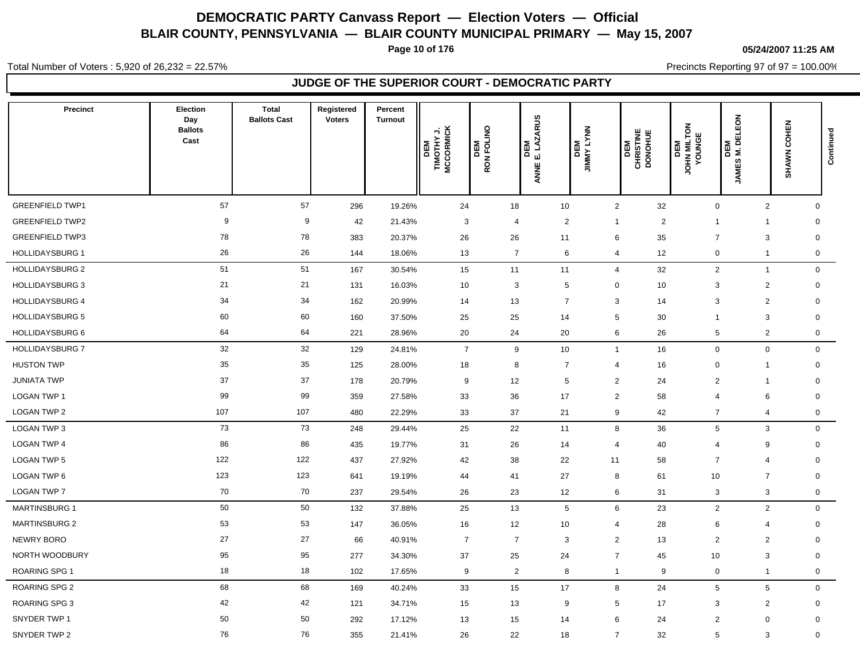**Page 10 of 176**

#### **05/24/2007 11:25 AM**

Precincts Reporting 97 of 97 = 100.00%

Total Number of Voters : 5,920 of 26,232 = 22.57%

### **JUDGE OF THE SUPERIOR COURT - DEMOCRATIC PARTY**

| Precinct               | Election<br>Day<br><b>Ballots</b><br>Cast | <b>Total</b><br><b>Ballots Cast</b> | Registered<br><b>Voters</b> | Percent<br><b>Turnout</b> | DEM<br>TIMOTHY J.<br>MCCORMICK | RON FOLINO<br>DEM | DEM<br>E. LAZARUS<br>ANNE E. | <b>DEM</b><br>JIMMY LYNN | CHRISTINE<br>DONOHUE<br>DEM | JOHN MILTON<br>YOUNGE<br>DEM | ELEON<br>DEM<br>M. DE<br><b>JAMES</b> | <b>COHEN</b><br><b>SHAWN</b>           | Continued    |
|------------------------|-------------------------------------------|-------------------------------------|-----------------------------|---------------------------|--------------------------------|-------------------|------------------------------|--------------------------|-----------------------------|------------------------------|---------------------------------------|----------------------------------------|--------------|
| <b>GREENFIELD TWP1</b> | 57                                        | 57                                  | 296                         | 19.26%                    | 24                             | 18                | 10                           | $\overline{2}$           | 32                          |                              | $\mathbf 0$                           | $\mathbf{2}$                           | $\mathbf 0$  |
| <b>GREENFIELD TWP2</b> | 9                                         | 9                                   | 42                          | 21.43%                    | 3                              | $\overline{4}$    | $\overline{2}$               | $\overline{1}$           | $\overline{2}$              | -1                           | 1                                     | $\mathbf 0$                            |              |
| <b>GREENFIELD TWP3</b> | 78                                        | 78                                  | 383                         | 20.37%                    | 26                             | 26                | 11                           | 6                        | 35                          | $\overline{7}$               | 3                                     | $\mathbf 0$                            |              |
| <b>HOLLIDAYSBURG 1</b> | 26                                        | 26                                  | 144                         | 18.06%                    | 13                             | $\overline{7}$    | 6                            | $\overline{4}$           | 12                          |                              | $\mathbf 0$<br>$\mathbf{1}$           |                                        | $\mathbf 0$  |
| <b>HOLLIDAYSBURG 2</b> | 51                                        | 51                                  | 167                         | 30.54%                    | 15                             | 11                | 11                           | $\overline{4}$           | 32                          |                              | $\overline{2}$<br>$\overline{1}$      |                                        | $\mathbf 0$  |
| <b>HOLLIDAYSBURG 3</b> | 21                                        | 21                                  | 131                         | 16.03%                    | 10                             | 3                 | 5                            | $\mathbf 0$              | 10                          |                              | 3                                     | $\overline{\mathbf{c}}$<br>$\mathsf 0$ |              |
| <b>HOLLIDAYSBURG 4</b> | 34                                        | 34                                  | 162                         | 20.99%                    | 14                             | 13                | $\overline{7}$               | 3                        | 14                          |                              | 3                                     | $\overline{2}$<br>$\mathbf 0$          |              |
| <b>HOLLIDAYSBURG 5</b> | 60                                        | 60                                  | 160                         | 37.50%                    | 25                             | 25                | 14                           | 5                        | 30                          | -1                           | 3                                     | $\mathbf 0$                            |              |
| <b>HOLLIDAYSBURG 6</b> | 64                                        | 64                                  | 221                         | 28.96%                    | 20                             | 24                | 20                           | 6                        | 26                          |                              | $\sqrt{5}$                            | $\overline{2}$                         | $\mathbf 0$  |
| <b>HOLLIDAYSBURG 7</b> | 32                                        | 32                                  | 129                         | 24.81%                    | $\overline{7}$                 | 9                 | 10                           | $\overline{1}$           | 16                          |                              | $\mathbf 0$                           | $\mathbf 0$                            | $\mathbf 0$  |
| <b>HUSTON TWP</b>      | 35                                        | 35                                  | 125                         | 28.00%                    | 18                             | 8                 | $\overline{7}$               | $\overline{4}$           | 16                          |                              | $\mathbf 0$<br>$\mathbf{1}$           |                                        | $\mathbf 0$  |
| <b>JUNIATA TWP</b>     | 37                                        | 37                                  | 178                         | 20.79%                    | 9                              | 12                | $5\phantom{.0}$              | $\overline{2}$           | 24                          |                              | $\overline{2}$<br>$\mathbf{1}$        | $\mathbf 0$                            |              |
| <b>LOGAN TWP 1</b>     | 99                                        | 99                                  | 359                         | 27.58%                    | 33                             | 36                | 17                           | $\overline{2}$           | 58                          |                              | 6<br>$\overline{4}$                   | $\mathbf 0$                            |              |
| <b>LOGAN TWP 2</b>     | 107                                       | 107                                 | 480                         | 22.29%                    | 33                             | 37                | 21                           | 9                        | 42                          |                              | $\overline{7}$<br>4                   |                                        | 0            |
| <b>LOGAN TWP 3</b>     | 73                                        | 73                                  | 248                         | 29.44%                    | 25                             | 22                | 11                           | 8                        | 36                          |                              | 5                                     | 3                                      | $\mathbf{0}$ |
| LOGAN TWP 4            | 86                                        | 86                                  | 435                         | 19.77%                    | 31                             | 26                | 14                           | $\overline{4}$           | 40                          |                              | 9<br>$\overline{4}$                   |                                        | $\mathbf 0$  |
| <b>LOGAN TWP 5</b>     | 122                                       | 122                                 | 437                         | 27.92%                    | 42                             | 38                | 22                           | 11                       | 58                          |                              | $\overline{7}$<br>4                   | $\mathbf 0$                            |              |
| LOGAN TWP 6            | 123                                       | 123                                 | 641                         | 19.19%                    | 44                             | 41                | 27                           | 8                        | 61                          | 10                           | $\overline{7}$                        | $\mathbf 0$                            |              |
| <b>LOGAN TWP 7</b>     | 70                                        | 70                                  | 237                         | 29.54%                    | 26                             | 23                | 12                           | 6                        | 31                          |                              | 3                                     | $\ensuremath{\mathsf{3}}$              | $\mathbf 0$  |
| <b>MARTINSBURG 1</b>   | 50                                        | 50                                  | 132                         | 37.88%                    | 25                             | 13                | $5\phantom{.0}$              | 6                        | 23                          |                              | $\overline{2}$                        | $\overline{2}$                         | $\mathbf 0$  |
| <b>MARTINSBURG 2</b>   | 53                                        | 53                                  | 147                         | 36.05%                    | 16                             | 12                | 10                           | $\overline{4}$           | 28                          |                              | 6<br>4                                |                                        | $\mathbf 0$  |
| <b>NEWRY BORO</b>      | 27                                        | 27                                  | 66                          | 40.91%                    | $\overline{7}$                 | $\overline{7}$    | $\mathbf{3}$                 | $\overline{2}$           | 13                          |                              | $\overline{2}$                        | $\overline{2}$<br>$\mathbf 0$          |              |
| NORTH WOODBURY         | 95                                        | 95                                  | 277                         | 34.30%                    | 37                             | 25                | 24                           | $\overline{7}$           | 45                          | 10                           | 3                                     | $\mathbf 0$                            |              |
| <b>ROARING SPG 1</b>   | 18                                        | 18                                  | 102                         | 17.65%                    | 9                              | $\overline{2}$    | 8                            | $\overline{1}$           | 9                           |                              | 0<br>$\mathbf{1}$                     |                                        | $\mathbf 0$  |
| ROARING SPG 2          | 68                                        | 68                                  | 169                         | 40.24%                    | 33                             | 15                | 17                           | 8                        | 24                          |                              | 5                                     | 5                                      | $\mathbf 0$  |
| <b>ROARING SPG 3</b>   | 42                                        | 42                                  | 121                         | 34.71%                    | 15                             | 13                | 9                            | 5                        | 17                          |                              | 3                                     | $\overline{\mathbf{c}}$                | $\mathbf 0$  |
| SNYDER TWP 1           | 50                                        | 50                                  | 292                         | 17.12%                    | 13                             | 15                | 14                           | 6                        | 24                          |                              | $\overline{2}$<br>$\mathbf 0$         | $\mathbf 0$                            |              |
| SNYDER TWP 2           | 76                                        | 76                                  | 355                         | 21.41%                    | 26                             | 22                | 18                           | $\overline{7}$           | 32                          |                              | 5                                     | 3<br>$\mathbf 0$                       |              |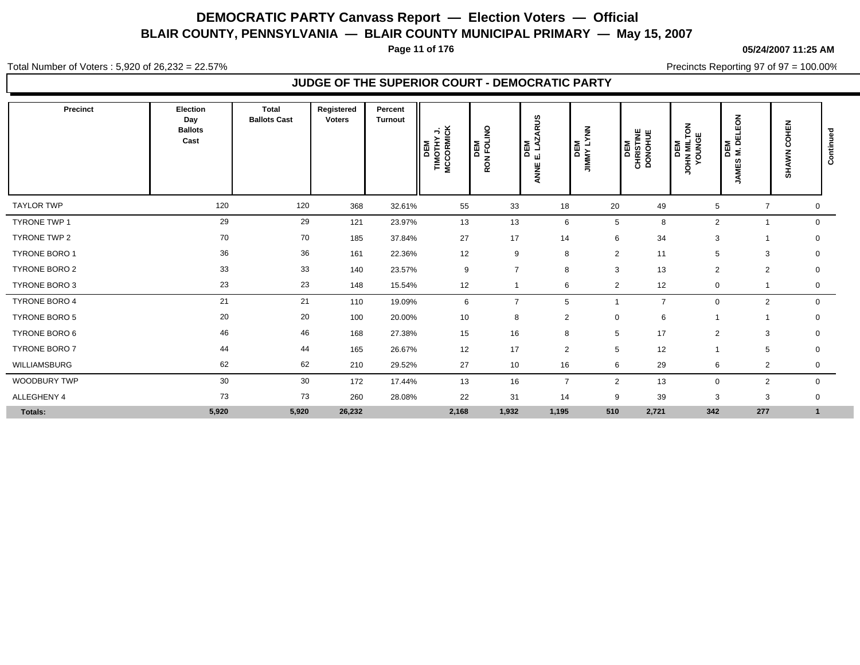**Page 11 of 176**

#### **05/24/2007 11:25 AM**

Total Number of Voters : 5,920 of 26,232 = 22.57%

Precincts Reporting 97 of 97 = 100.00%

### **JUDGE OF THE SUPERIOR COURT - DEMOCRATIC PARTY**

| Precinct             | <b>Election</b><br>Day<br><b>Ballots</b><br>Cast | <b>Total</b><br><b>Ballots Cast</b> | Registered<br><b>Voters</b> | Percent<br><b>Turnout</b> | DEM<br>TIMOTHY J.<br>MCCORMICK | <b>DEM</b><br>RON FOLINO | ARUS<br>DEM<br>: LAZ,<br>шi<br>y<br>E<br>⋖ | $\frac{2}{5}$<br><b>DEM</b><br>JIMMY LYI | <b>CHRISTINE</b><br>DONOHUE<br>DEM | š<br><b>JOHN MILTO</b><br>YOUNGE<br>DEM | ELEON<br>DEM<br>M. DI<br><b>JAMES</b> | COHEN<br><b>SHAWN</b> | ಾ<br>Continue |
|----------------------|--------------------------------------------------|-------------------------------------|-----------------------------|---------------------------|--------------------------------|--------------------------|--------------------------------------------|------------------------------------------|------------------------------------|-----------------------------------------|---------------------------------------|-----------------------|---------------|
| <b>TAYLOR TWP</b>    | 120                                              | 120                                 | 368                         | 32.61%                    | 55                             | 33                       | 18                                         | 20                                       | 49                                 | 5                                       | $\overline{\phantom{a}}$              | 0                     |               |
| <b>TYRONE TWP 1</b>  | 29                                               | 29                                  | 121                         | 23.97%                    | 13                             | 13                       | 6                                          | 5                                        | 8                                  | 2                                       |                                       | $\mathbf 0$           |               |
| TYRONE TWP 2         | 70                                               | 70                                  | 185                         | 37.84%                    | 27                             | 17                       | 14                                         | 6                                        | 34                                 | 3                                       |                                       | $\mathbf 0$           |               |
| TYRONE BORO 1        | 36                                               | 36                                  | 161                         | 22.36%                    | 12                             | 9                        | 8                                          | $\overline{2}$                           | 11                                 | 5                                       | 3                                     | 0                     |               |
| <b>TYRONE BORO 2</b> | 33                                               | 33                                  | 140                         | 23.57%                    | 9                              | $\overline{7}$           | 8                                          | 3                                        | 13                                 | 2                                       | $\overline{2}$                        | 0                     |               |
| TYRONE BORO 3        | 23                                               | 23                                  | 148                         | 15.54%                    | 12                             |                          | 6                                          | $\overline{2}$                           | 12                                 | $\mathbf 0$                             |                                       | 0                     |               |
| TYRONE BORO 4        | 21                                               | 21                                  | 110                         | 19.09%                    | 6                              | $\overline{7}$           | 5                                          |                                          | $\overline{7}$                     | $\mathbf 0$                             | 2                                     | $\mathbf 0$           |               |
| <b>TYRONE BORO 5</b> | 20                                               | 20                                  | 100                         | 20.00%                    | 10                             | 8                        | $\overline{2}$                             | $\mathbf 0$                              | 6                                  |                                         |                                       | 0                     |               |
| TYRONE BORO 6        | 46                                               | 46                                  | 168                         | 27.38%                    | 15                             | 16                       | 8                                          | 5                                        | 17                                 | 2                                       | 3                                     | $\mathbf 0$           |               |
| TYRONE BORO 7        | 44                                               | 44                                  | 165                         | 26.67%                    | 12                             | 17                       | 2                                          | 5                                        | 12                                 |                                         | 5                                     | $\mathbf 0$           |               |
| WILLIAMSBURG         | 62                                               | 62                                  | 210                         | 29.52%                    | 27                             | 10                       | 16                                         | 6                                        | 29                                 | 6                                       | $\overline{2}$                        | 0                     |               |
| WOODBURY TWP         | 30                                               | 30                                  | 172                         | 17.44%                    | 13                             | 16                       | $\overline{7}$                             | $\overline{2}$                           | 13                                 | 0                                       | $\overline{2}$                        | $\mathbf 0$           |               |
| ALLEGHENY 4          | 73                                               | 73                                  | 260                         | 28.08%                    | 22                             | 31                       | 14                                         | 9                                        | 39                                 | 3                                       | 3                                     | 0                     |               |
| Totals:              | 5,920                                            | 5,920                               | 26,232                      |                           | 2,168                          | 1,932                    | 1,195                                      | 510                                      | 2,721                              | 342                                     | 277                                   | $\mathbf{1}$          |               |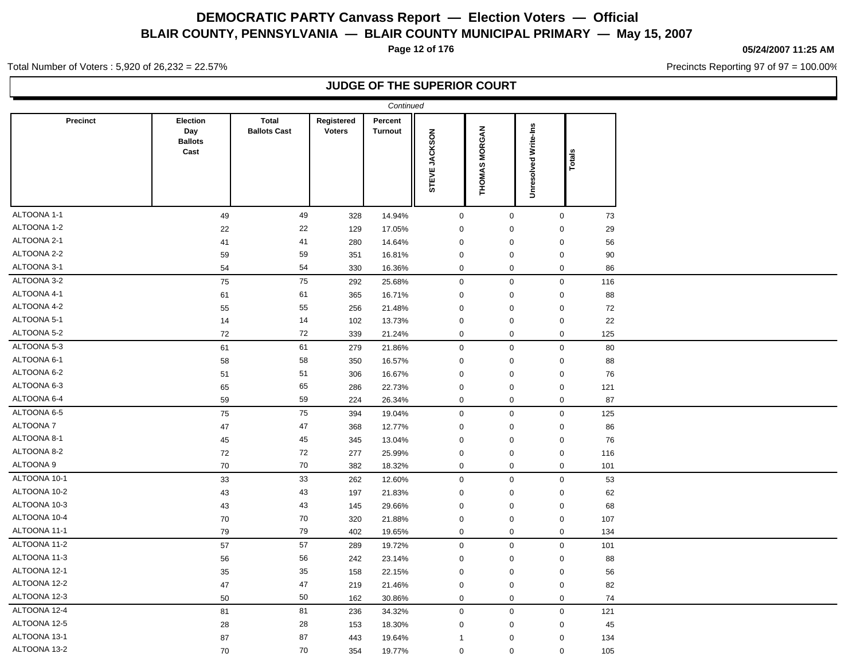**Page 12 of 176**

#### **05/24/2007 11:25 AM**

Precincts Reporting 97 of 97 = 100.00%

Total Number of Voters : 5,920 of 26,232 = 22.57%

### **JUDGE OF THE SUPERIOR COURT**

|              |                                           |                                     |                             | Continued                 |               |                     |                             |        |  |
|--------------|-------------------------------------------|-------------------------------------|-----------------------------|---------------------------|---------------|---------------------|-----------------------------|--------|--|
| Precinct     | Election<br>Day<br><b>Ballots</b><br>Cast | <b>Total</b><br><b>Ballots Cast</b> | Registered<br><b>Voters</b> | Percent<br><b>Turnout</b> | STEVE JACKSON | THOMAS MORGAN       | <b>Unresolved Write-Ins</b> | Totals |  |
| ALTOONA 1-1  | 49                                        | 49                                  | 328                         | 14.94%                    | $\mathsf 0$   | $\mathbf 0$         | $\mathbf 0$                 | 73     |  |
| ALTOONA 1-2  | 22                                        | 22                                  | 129                         | 17.05%                    | $\mathbf 0$   | $\mathbf 0$         | $\mathbf 0$                 | 29     |  |
| ALTOONA 2-1  | 41                                        | 41                                  | 280                         | 14.64%                    | $\mathbf 0$   | $\mathbf 0$         | $\mathbf 0$                 | 56     |  |
| ALTOONA 2-2  | 59                                        | 59                                  | 351                         | 16.81%                    | $\mathbf 0$   | $\mathbf 0$         | $\pmb{0}$                   | 90     |  |
| ALTOONA 3-1  | 54                                        | 54                                  | 330                         | 16.36%                    | $\mathbf 0$   | $\mathsf 0$         | $\mathbf 0$                 | 86     |  |
| ALTOONA 3-2  | 75                                        | 75                                  | 292                         | 25.68%                    | $\mathbf 0$   | $\mathsf 0$         | $\mathbf 0$                 | 116    |  |
| ALTOONA 4-1  | 61                                        | 61                                  | 365                         | 16.71%                    | $\mathbf 0$   | $\mathbf 0$         | $\mathbf 0$                 | 88     |  |
| ALTOONA 4-2  | 55                                        | 55                                  | 256                         | 21.48%                    | $\mathbf 0$   | $\mathbf 0$         | $\pmb{0}$                   | 72     |  |
| ALTOONA 5-1  | 14                                        | 14                                  | 102                         | 13.73%                    | $\mathbf 0$   | $\mathbf 0$         | $\mathbf 0$                 | 22     |  |
| ALTOONA 5-2  | 72                                        | 72                                  | 339                         | 21.24%                    | $\mathbf 0$   | $\mathbf 0$         | $\mathbf 0$                 | 125    |  |
| ALTOONA 5-3  | 61                                        | 61                                  | 279                         | 21.86%                    | $\mathsf 0$   | $\mathsf{O}\xspace$ | $\mathbf 0$                 | 80     |  |
| ALTOONA 6-1  | 58                                        | 58                                  | 350                         | 16.57%                    | $\mathbf 0$   | $\pmb{0}$           | $\mathbf 0$                 | 88     |  |
| ALTOONA 6-2  | 51                                        | 51                                  | 306                         | 16.67%                    | $\mathbf 0$   | $\pmb{0}$           | $\mathbf 0$                 | 76     |  |
| ALTOONA 6-3  | 65                                        | 65                                  | 286                         | 22.73%                    | $\mathbf 0$   | $\pmb{0}$           | $\mathbf 0$                 | 121    |  |
| ALTOONA 6-4  | 59                                        | 59                                  | 224                         | 26.34%                    | $\mathbf 0$   | $\mathbf 0$         | $\mathbf 0$                 | 87     |  |
| ALTOONA 6-5  | 75                                        | 75                                  | 394                         | 19.04%                    | $\mathbf 0$   | $\mathsf{O}\xspace$ | $\mathbf 0$                 | 125    |  |
| ALTOONA 7    | 47                                        | 47                                  | 368                         | 12.77%                    | $\mathbf 0$   | $\mathbf 0$         | $\mathbf 0$                 | 86     |  |
| ALTOONA 8-1  | 45                                        | 45                                  | 345                         | 13.04%                    | $\mathbf 0$   | $\mathbf 0$         | $\mathbf 0$                 | 76     |  |
| ALTOONA 8-2  | 72                                        | 72                                  | 277                         | 25.99%                    | 0             | 0                   | $\mathbf 0$                 | 116    |  |
| ALTOONA 9    | 70                                        | $70\,$                              | 382                         | 18.32%                    | $\mathbf 0$   | $\mathbf 0$         | $\boldsymbol{0}$            | 101    |  |
| ALTOONA 10-1 | 33                                        | 33                                  | 262                         | 12.60%                    | $\mathbf 0$   | $\mathbf 0$         | $\mathbf 0$                 | 53     |  |
| ALTOONA 10-2 | 43                                        | 43                                  | 197                         | 21.83%                    | $\mathbf 0$   | $\mathbf 0$         | $\mathbf 0$                 | 62     |  |
| ALTOONA 10-3 | 43                                        | 43                                  | 145                         | 29.66%                    | $\mathbf 0$   | $\mathbf 0$         | $\mathbf 0$                 | 68     |  |
| ALTOONA 10-4 | 70                                        | 70                                  | 320                         | 21.88%                    | $\mathbf 0$   | $\mathbf 0$         | $\mathbf 0$                 | 107    |  |
| ALTOONA 11-1 | 79                                        | 79                                  | 402                         | 19.65%                    | $\mathbf 0$   | $\mathbf 0$         | $\mathbf 0$                 | 134    |  |
| ALTOONA 11-2 | 57                                        | 57                                  | 289                         | 19.72%                    | $\mathbf 0$   | $\mathbf 0$         | $\mathbf 0$                 | 101    |  |
| ALTOONA 11-3 | 56                                        | 56                                  | 242                         | 23.14%                    | $\mathbf 0$   | $\pmb{0}$           | $\mathbf 0$                 | 88     |  |
| ALTOONA 12-1 | 35                                        | 35                                  | 158                         | 22.15%                    | $\mathbf 0$   | $\mathbf 0$         | $\mathbf 0$                 | 56     |  |
| ALTOONA 12-2 | 47                                        | 47                                  | 219                         | 21.46%                    | $\mathbf 0$   | $\pmb{0}$           | $\mathbf 0$                 | 82     |  |
| ALTOONA 12-3 | 50                                        | 50                                  | 162                         | 30.86%                    | $\mathbf 0$   | $\mathsf 0$         | $\mathbf 0$                 | 74     |  |
| ALTOONA 12-4 | 81                                        | 81                                  | 236                         | 34.32%                    | $\mathbf 0$   | $\mathbf 0$         | $\mathbf 0$                 | 121    |  |
| ALTOONA 12-5 | 28                                        | ${\bf 28}$                          | 153                         | 18.30%                    | $\mathbf 0$   | $\mathbf 0$         | $\mathbf 0$                 | 45     |  |
| ALTOONA 13-1 | 87                                        | 87                                  | 443                         | 19.64%                    | -1            | $\pmb{0}$           | $\Omega$                    | 134    |  |
| ALTOONA 13-2 | 70                                        | 70                                  | 354                         | 19.77%                    | $\mathbf 0$   | $\mathbf 0$         | 0                           | 105    |  |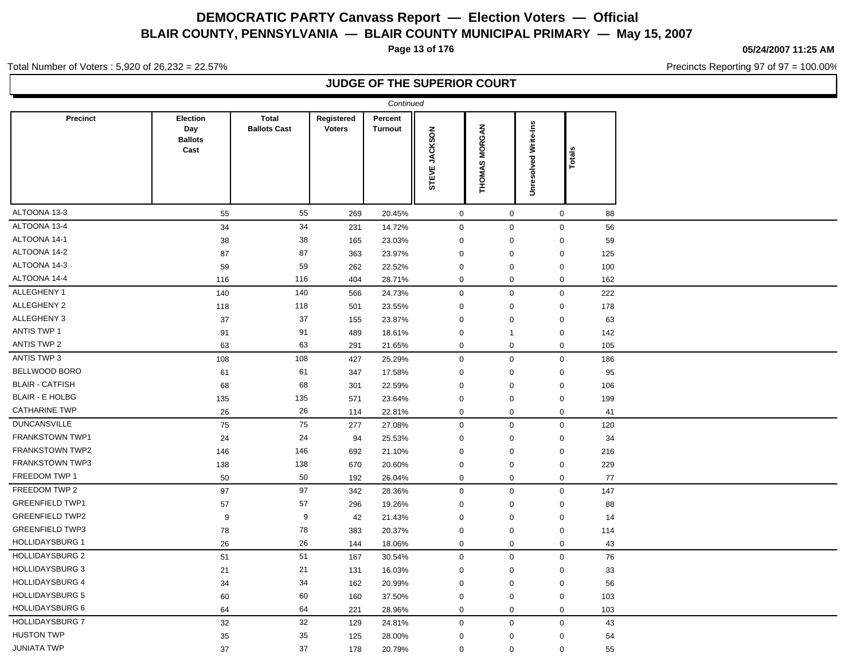**Page 13 of 176**

**05/24/2007 11:25 AM**

Precincts Reporting 97 of 97 = 100.00%

Total Number of Voters : 5,920 of 26,232 = 22.57%

### **JUDGE OF THE SUPERIOR COURT**

|                        |                                           |                                     |                             | Continued          |                  |               |                             |                    |  |
|------------------------|-------------------------------------------|-------------------------------------|-----------------------------|--------------------|------------------|---------------|-----------------------------|--------------------|--|
| <b>Precinct</b>        | Election<br>Day<br><b>Ballots</b><br>Cast | <b>Total</b><br><b>Ballots Cast</b> | Registered<br><b>Voters</b> | Percent<br>Turnout | STEVE JACKSON    | THOMAS MORGAN | <b>Unresolved Write-Ins</b> | Totals             |  |
| ALTOONA 13-3           | 55                                        | 55                                  | 269                         | 20.45%             | $\mathbf 0$      | $\mathbf 0$   |                             | $\mathbf{0}$<br>88 |  |
| ALTOONA 13-4           | 34                                        | 34                                  | 231                         | 14.72%             | $\mathsf 0$      | $\mathbf 0$   |                             | 0<br>56            |  |
| ALTOONA 14-1           | 38                                        | 38                                  | 165                         | 23.03%             | $\mathbf 0$      | 0             |                             | 0<br>59            |  |
| ALTOONA 14-2           | 87                                        | 87                                  | 363                         | 23.97%             | $\mathbf 0$      | 0             |                             | 0<br>125           |  |
| ALTOONA 14-3           | 59                                        | 59                                  | 262                         | 22.52%             | $\mathbf 0$      | 0             |                             | 0<br>100           |  |
| ALTOONA 14-4           | 116                                       | 116                                 | 404                         | 28.71%             | $\mathbf 0$      | 0             |                             | 0<br>162           |  |
| ALLEGHENY 1            | 140                                       | 140                                 | 566                         | 24.73%             | $\mathsf 0$      | $\mathbf 0$   |                             | 0<br>222           |  |
| ALLEGHENY 2            | 118                                       | 118                                 | 501                         | 23.55%             | $\mathbf 0$      | $\mathsf 0$   |                             | 0<br>178           |  |
| ALLEGHENY 3            | 37                                        | 37                                  | 155                         | 23.87%             | $\mathbf 0$      | 0             |                             | 0<br>63            |  |
| <b>ANTIS TWP 1</b>     | 91                                        | 91                                  | 489                         | 18.61%             | $\mathbf 0$      | $\mathbf{1}$  |                             | 0<br>142           |  |
| ANTIS TWP 2            | 63                                        | 63                                  | 291                         | 21.65%             | $\mathbf 0$      | 0             |                             | $\mathbf 0$<br>105 |  |
| ANTIS TWP 3            | 108                                       | 108                                 | 427                         | 25.29%             | $\mathsf 0$      | $\mathbf 0$   |                             | 0<br>186           |  |
| <b>BELLWOOD BORO</b>   | 61                                        | 61                                  | 347                         | 17.58%             | $\mathbf 0$      | $\mathbf 0$   |                             | 95<br>0            |  |
| <b>BLAIR - CATFISH</b> | 68                                        | 68                                  | 301                         | 22.59%             | $\mathbf 0$      | 0             |                             | 0<br>106           |  |
| <b>BLAIR - E HOLBG</b> | 135                                       | 135                                 | 571                         | 23.64%             | $\mathbf 0$      | $\mathbf 0$   |                             | 0<br>199           |  |
| <b>CATHARINE TWP</b>   | 26                                        | 26                                  | 114                         | 22.81%             | $\mathbf 0$      | 0             |                             | 0<br>41            |  |
| <b>DUNCANSVILLE</b>    | 75                                        | 75                                  | 277                         | 27.08%             | $\mathsf 0$      | $\mathbf 0$   |                             | 0<br>120           |  |
| <b>FRANKSTOWN TWP1</b> | 24                                        | 24                                  | 94                          | 25.53%             | $\mathbf 0$      | 0             |                             | 0<br>34            |  |
| FRANKSTOWN TWP2        | 146                                       | 146                                 | 692                         | 21.10%             | $\mathbf 0$      | 0             |                             | 0<br>216           |  |
| FRANKSTOWN TWP3        | 138                                       | 138                                 | 670                         | 20.60%             | $\mathbf 0$      | $\mathsf 0$   |                             | 0<br>229           |  |
| FREEDOM TWP 1          | 50                                        | 50                                  | 192                         | 26.04%             | $\boldsymbol{0}$ | 0             |                             | 0<br>77            |  |
| FREEDOM TWP 2          | 97                                        | 97                                  | 342                         | 28.36%             | $\mathbf 0$      | $\mathbf 0$   |                             | 147<br>0           |  |
| <b>GREENFIELD TWP1</b> | 57                                        | 57                                  | 296                         | 19.26%             | $\mathbf 0$      | 0             |                             | 88<br>0            |  |
| <b>GREENFIELD TWP2</b> | 9                                         | 9                                   | 42                          | 21.43%             | $\mathbf 0$      | 0             |                             | 0<br>14            |  |
| <b>GREENFIELD TWP3</b> | 78                                        | 78                                  | 383                         | 20.37%             | $\boldsymbol{0}$ | $\mathsf 0$   |                             | 0<br>114           |  |
| <b>HOLLIDAYSBURG 1</b> | 26                                        | 26                                  | 144                         | 18.06%             | $\mathbf 0$      | 0             |                             | 0<br>43            |  |
| <b>HOLLIDAYSBURG 2</b> | 51                                        | 51                                  | 167                         | 30.54%             | $\mathbf 0$      | $\mathbf 0$   |                             | $\mathbf 0$<br>76  |  |
| <b>HOLLIDAYSBURG 3</b> | 21                                        | 21                                  | 131                         | 16.03%             | $\mathbf 0$      | $\mathbf 0$   |                             | 33<br>0            |  |
| <b>HOLLIDAYSBURG 4</b> | 34                                        | 34                                  | 162                         | 20.99%             | $\mathbf 0$      | $\mathbf 0$   |                             | $\mathbf 0$<br>56  |  |
| HOLLIDAYSBURG 5        | 60                                        | 60                                  | 160                         | 37.50%             | $\mathbf 0$      | $\pmb{0}$     |                             | 0<br>103           |  |
| <b>HOLLIDAYSBURG 6</b> | 64                                        | 64                                  | 221                         | 28.96%             | $\mathbf 0$      | $\mathbf 0$   |                             | $\mathbf 0$<br>103 |  |
| <b>HOLLIDAYSBURG 7</b> | 32                                        | 32                                  | 129                         | 24.81%             | $\mathbf 0$      | $\mathbf 0$   |                             | 0<br>43            |  |
| <b>HUSTON TWP</b>      | 35                                        | 35                                  | 125                         | 28.00%             | $\mathbf 0$      | 0             |                             | 0<br>54            |  |
| <b>JUNIATA TWP</b>     | 37                                        | 37                                  | 178                         | 20.79%             | $\mathbf 0$      | $\mathsf 0$   |                             | 0<br>55            |  |
|                        |                                           |                                     |                             |                    |                  |               |                             |                    |  |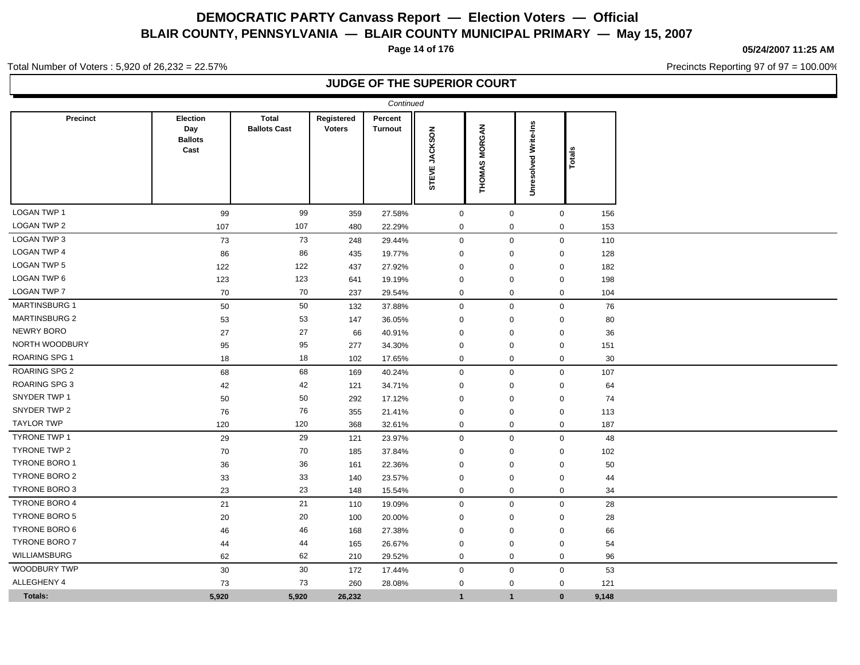**Page 14 of 176**

**05/24/2007 11:25 AM**

Precincts Reporting 97 of 97 = 100.00%

Total Number of Voters : 5,920 of 26,232 = 22.57%

### **JUDGE OF THE SUPERIOR COURT**

|                      |                                                  |                                     |                             | Continued                 |               |                     |                         |        |  |
|----------------------|--------------------------------------------------|-------------------------------------|-----------------------------|---------------------------|---------------|---------------------|-------------------------|--------|--|
| <b>Precinct</b>      | <b>Election</b><br>Day<br><b>Ballots</b><br>Cast | <b>Total</b><br><b>Ballots Cast</b> | Registered<br><b>Voters</b> | Percent<br><b>Turnout</b> | STEVE JACKSON | THOMAS MORGAN       | Write-Ins<br>Unresolved | Totals |  |
| <b>LOGAN TWP 1</b>   | 99                                               | 99                                  | 359                         | 27.58%                    | $\mathsf 0$   | $\mathsf{O}\xspace$ | $\mathsf 0$             | 156    |  |
| LOGAN TWP 2          | 107                                              | 107                                 | 480                         | 22.29%                    | $\mathbf 0$   | $\mathbf 0$         | 0                       | 153    |  |
| LOGAN TWP 3          | 73                                               | 73                                  | 248                         | 29.44%                    | $\mathsf 0$   | $\mathsf{O}\xspace$ | $\mathsf{O}\xspace$     | 110    |  |
| <b>LOGAN TWP 4</b>   | 86                                               | 86                                  | 435                         | 19.77%                    | $\mathbf 0$   | $\mathbf 0$         | $\mathbf 0$             | 128    |  |
| <b>LOGAN TWP 5</b>   | 122                                              | 122                                 | 437                         | 27.92%                    | $\mathbf 0$   | $\mathbf 0$         | $\mathbf 0$             | 182    |  |
| LOGAN TWP 6          | 123                                              | 123                                 | 641                         | 19.19%                    | 0             | 0                   | $\mathbf 0$             | 198    |  |
| <b>LOGAN TWP 7</b>   | 70                                               | 70                                  | 237                         | 29.54%                    | $\mathbf 0$   | $\mathbf 0$         | $\mathbf 0$             | 104    |  |
| <b>MARTINSBURG 1</b> | 50                                               | 50                                  | 132                         | 37.88%                    | $\mathbf 0$   | $\mathbf 0$         | $\mathbf 0$             | 76     |  |
| <b>MARTINSBURG 2</b> | 53                                               | 53                                  | 147                         | 36.05%                    | 0             | $\mathbf 0$         | 0                       | 80     |  |
| <b>NEWRY BORO</b>    | 27                                               | 27                                  | 66                          | 40.91%                    | 0             | $\mathbf 0$         | $\boldsymbol{0}$        | 36     |  |
| NORTH WOODBURY       | 95                                               | 95                                  | 277                         | 34.30%                    | $\mathbf 0$   | $\mathbf 0$         | $\mathbf 0$             | 151    |  |
| <b>ROARING SPG 1</b> | 18                                               | 18                                  | 102                         | 17.65%                    | $\mathbf 0$   | $\mathbf 0$         | $\mathbf 0$             | 30     |  |
| <b>ROARING SPG 2</b> | 68                                               | 68                                  | 169                         | 40.24%                    | $\mathbf 0$   | $\mathbf 0$         | $\mathbf 0$             | 107    |  |
| <b>ROARING SPG 3</b> | 42                                               | 42                                  | 121                         | 34.71%                    | $\mathbf 0$   | $\mathbf 0$         | $\mathbf 0$             | 64     |  |
| SNYDER TWP 1         | 50                                               | 50                                  | 292                         | 17.12%                    | $\mathbf 0$   | 0                   | 0                       | 74     |  |
| SNYDER TWP 2         | 76                                               | 76                                  | 355                         | 21.41%                    | $\mathbf 0$   | $\Omega$            | $\mathbf 0$             | 113    |  |
| <b>TAYLOR TWP</b>    | 120                                              | 120                                 | 368                         | 32.61%                    | $\mathbf 0$   | $\mathbf 0$         | $\mathbf 0$             | 187    |  |
| <b>TYRONE TWP 1</b>  | 29                                               | 29                                  | 121                         | 23.97%                    | $\mathbf 0$   | $\mathbf 0$         | $\mathbf 0$             | 48     |  |
| TYRONE TWP 2         | 70                                               | 70                                  | 185                         | 37.84%                    | $\mathbf 0$   | 0                   | $\mathbf 0$             | 102    |  |
| <b>TYRONE BORO 1</b> | 36                                               | 36                                  | 161                         | 22.36%                    | $\mathbf 0$   | $\mathbf 0$         | $\mathbf 0$             | 50     |  |
| TYRONE BORO 2        | 33                                               | 33                                  | 140                         | 23.57%                    | 0             | 0                   | 0                       | 44     |  |
| TYRONE BORO 3        | 23                                               | 23                                  | 148                         | 15.54%                    | $\mathbf 0$   | 0                   | 0                       | 34     |  |
| <b>TYRONE BORO 4</b> | 21                                               | 21                                  | 110                         | 19.09%                    | $\mathbf 0$   | $\mathbf 0$         | $\mathbf 0$             | 28     |  |
| <b>TYRONE BORO 5</b> | 20                                               | 20                                  | 100                         | 20.00%                    | $\mathbf 0$   | $\mathbf 0$         | $\mathbf 0$             | 28     |  |
| TYRONE BORO 6        | 46                                               | 46                                  | 168                         | 27.38%                    | $\mathbf 0$   | $\mathbf 0$         | 0                       | 66     |  |
| TYRONE BORO 7        | 44                                               | 44                                  | 165                         | 26.67%                    | $\mathbf 0$   | $\mathbf 0$         | 0                       | 54     |  |
| <b>WILLIAMSBURG</b>  | 62                                               | 62                                  | 210                         | 29.52%                    | $\mathbf 0$   | $\mathbf 0$         | 0                       | 96     |  |
| WOODBURY TWP         | $30\,$                                           | 30                                  | 172                         | 17.44%                    | $\mathbf 0$   | $\mathsf{O}\xspace$ | $\mathbf 0$             | 53     |  |
| ALLEGHENY 4          | 73                                               | 73                                  | 260                         | 28.08%                    | $\mathbf 0$   | $\mathbf 0$         | $\mathbf 0$             | 121    |  |
| Totals:              | 5,920                                            | 5,920                               | 26,232                      |                           | $\mathbf{1}$  | $\mathbf{1}$        | $\mathbf{0}$            | 9,148  |  |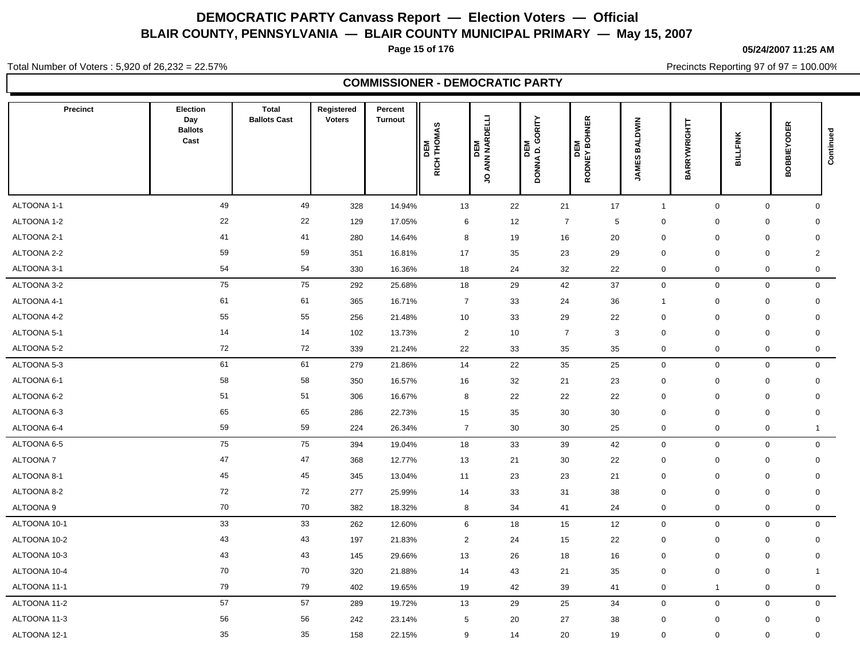**Page 15 of 176**

**05/24/2007 11:25 AM**

Total Number of Voters : 5,920 of 26,232 = 22.57%

Precincts Reporting 97 of 97 = 100.00%

### **COMMISSIONER - DEMOCRATIC PARTY**

| <b>Precinct</b> | Election<br>Day<br><b>Ballots</b><br>Cast | <b>Total</b><br><b>Ballots Cast</b> | Registered<br><b>Voters</b> | Percent<br><b>Turnout</b> | DEM<br>RICH THOMAS | ) ANN NARDELLI<br>DEM<br>S | D. GORITY<br>Σ<br>품<br><b>DONNA</b> | <b>HNER</b><br>ā<br>DEM<br>RODNEY BO | <b>BALDWIN</b><br><b>JAMES</b> | BARRYWRIGHTT | BILLFINK    | <b>BOBBIEYODER</b> | Continued      |
|-----------------|-------------------------------------------|-------------------------------------|-----------------------------|---------------------------|--------------------|----------------------------|-------------------------------------|--------------------------------------|--------------------------------|--------------|-------------|--------------------|----------------|
| ALTOONA 1-1     | 49                                        | 49                                  | 328                         | 14.94%                    | 13                 | 22                         | 21                                  | 17                                   | $\mathbf{1}$                   | $\mathbf 0$  | $\mathbf 0$ |                    | $\mathbf 0$    |
| ALTOONA 1-2     | 22                                        | 22                                  | 129                         | 17.05%                    | 6                  | 12                         |                                     | $\overline{7}$                       | 5<br>$\mathbf 0$               | $\Omega$     | $\mathbf 0$ |                    | 0              |
| ALTOONA 2-1     | 41                                        | 41                                  | 280                         | 14.64%                    | 8                  | 19                         | 16                                  | 20                                   | $\mathbf 0$                    | $\mathbf 0$  | $\mathbf 0$ |                    | $\mathbf 0$    |
| ALTOONA 2-2     | 59                                        | 59                                  | 351                         | 16.81%                    | 17                 | 35                         | 23                                  | 29                                   | $\mathbf 0$                    | $\mathbf 0$  | $\mathbf 0$ |                    | $\overline{2}$ |
| ALTOONA 3-1     | 54                                        | 54                                  | 330                         | 16.36%                    | 18                 | 24                         | 32                                  | 22                                   | 0                              | $\mathbf 0$  | 0           |                    | 0              |
| ALTOONA 3-2     | 75                                        | 75                                  | 292                         | 25.68%                    | 18                 | 29                         | 42                                  | 37                                   | $\mathbf 0$                    | $\mathbf 0$  | $\mathbf 0$ |                    | $\mathbf 0$    |
| ALTOONA 4-1     | 61                                        | 61                                  | 365                         | 16.71%                    | $\overline{7}$     | 33                         | 24                                  | 36                                   | $\overline{1}$                 | $\mathbf 0$  | $\mathbf 0$ |                    | $\mathbf 0$    |
| ALTOONA 4-2     | 55                                        | 55                                  | 256                         | 21.48%                    | 10                 | 33                         | 29                                  | 22                                   | $\mathbf 0$                    | $\mathbf 0$  | $\mathbf 0$ |                    | $\mathbf 0$    |
| ALTOONA 5-1     | 14                                        | 14                                  | 102                         | 13.73%                    | $\overline{2}$     | 10                         |                                     | $\overline{7}$                       | 3<br>$\mathbf 0$               | $\mathbf 0$  | $\mathbf 0$ |                    | $\mathbf 0$    |
| ALTOONA 5-2     | 72                                        | 72                                  | 339                         | 21.24%                    | 22                 | 33                         | 35                                  | 35                                   | 0                              | $\mathbf 0$  |             | $\mathbf 0$        | $\mathbf 0$    |
| ALTOONA 5-3     | 61                                        | 61                                  | 279                         | 21.86%                    | 14                 | 22                         | 35                                  | 25                                   | $\mathsf{O}\xspace$            | $\mathbf 0$  | $\mathbf 0$ |                    | $\mathbf 0$    |
| ALTOONA 6-1     | 58                                        | 58                                  | 350                         | 16.57%                    | 16                 | 32                         | 21                                  | 23                                   | $\pmb{0}$                      | $\mathbf 0$  | $\mathbf 0$ |                    | $\mathbf 0$    |
| ALTOONA 6-2     | 51                                        | 51                                  | 306                         | 16.67%                    | 8                  | 22                         | 22                                  | 22                                   | $\mathbf 0$                    | $\mathbf 0$  | $\mathbf 0$ |                    | $\mathbf 0$    |
| ALTOONA 6-3     | 65                                        | 65                                  | 286                         | 22.73%                    | 15                 | 35                         | 30                                  | 30                                   | $\mathbf 0$                    | $\mathbf 0$  | $\mathbf 0$ |                    | $\mathbf 0$    |
| ALTOONA 6-4     | 59                                        | 59                                  | 224                         | 26.34%                    | $\overline{7}$     | 30                         | 30                                  | 25                                   | 0                              | $\mathbf 0$  |             | $\mathbf 0$        | $\mathbf{1}$   |
| ALTOONA 6-5     | 75                                        | 75                                  | 394                         | 19.04%                    | 18                 | 33                         | 39                                  | 42                                   | $\mathbf 0$                    | $\mathbf 0$  | $\mathbf 0$ |                    | $\mathbf 0$    |
| <b>ALTOONA7</b> | 47                                        | 47                                  | 368                         | 12.77%                    | 13                 | 21                         | 30                                  | 22                                   | $\mathbf 0$                    | $\mathbf 0$  | $\mathbf 0$ |                    | $\mathbf 0$    |
| ALTOONA 8-1     | 45                                        | 45                                  | 345                         | 13.04%                    | 11                 | 23                         | 23                                  | 21                                   | $\pmb{0}$                      | $\mathbf 0$  | $\mathbf 0$ |                    | 0              |
| ALTOONA 8-2     | 72                                        | 72                                  | 277                         | 25.99%                    | 14                 | 33                         | 31                                  | 38                                   | $\mathbf 0$                    | $\mathbf 0$  | $\mathbf 0$ |                    | $\mathbf 0$    |
| ALTOONA 9       | 70                                        | 70                                  | 382                         | 18.32%                    | 8                  | 34                         | 41                                  | 24                                   | 0                              | $\mathbf 0$  | $\mathbf 0$ |                    | 0              |
| ALTOONA 10-1    | 33                                        | 33                                  | 262                         | 12.60%                    | 6                  | 18                         | 15                                  | 12                                   | $\mathbf 0$                    | $\mathbf 0$  | $\mathbf 0$ |                    | $\mathbf 0$    |
| ALTOONA 10-2    | 43                                        | 43                                  | 197                         | 21.83%                    | $\overline{2}$     | 24                         | 15                                  | 22                                   | $\mathbf 0$                    | $\mathbf 0$  | $\mathbf 0$ |                    | $\mathbf 0$    |
| ALTOONA 10-3    | 43                                        | 43                                  | 145                         | 29.66%                    | 13                 | 26                         | 18                                  | 16                                   | $\mathbf 0$                    | $\mathbf 0$  | $\mathbf 0$ |                    | $\mathbf 0$    |
| ALTOONA 10-4    | 70                                        | 70                                  | 320                         | 21.88%                    | 14                 | 43                         | 21                                  | 35                                   | $\mathbf 0$                    | $\mathbf 0$  | $\mathbf 0$ | $\mathbf{1}$       |                |
| ALTOONA 11-1    | 79                                        | 79                                  | 402                         | 19.65%                    | 19                 | 42                         | 39                                  | 41                                   | 0                              | $\mathbf 1$  | 0           |                    | 0              |
| ALTOONA 11-2    | 57                                        | 57                                  | 289                         | 19.72%                    | 13                 | 29                         | 25                                  | 34                                   | $\mathbf 0$                    | $\mathbf 0$  | $\mathbf 0$ |                    | $\mathbf 0$    |
| ALTOONA 11-3    | 56                                        | 56                                  | 242                         | 23.14%                    | $\sqrt{5}$         | 20                         | 27                                  | 38                                   | $\pmb{0}$                      | $\mathbf 0$  | $\mathbf 0$ |                    | $\mathbf 0$    |
| ALTOONA 12-1    | 35                                        | 35                                  | 158                         | 22.15%                    | 9                  | 14                         | 20                                  | 19                                   | 0                              | $\mathbf 0$  | $\mathbf 0$ |                    | $\mathbf 0$    |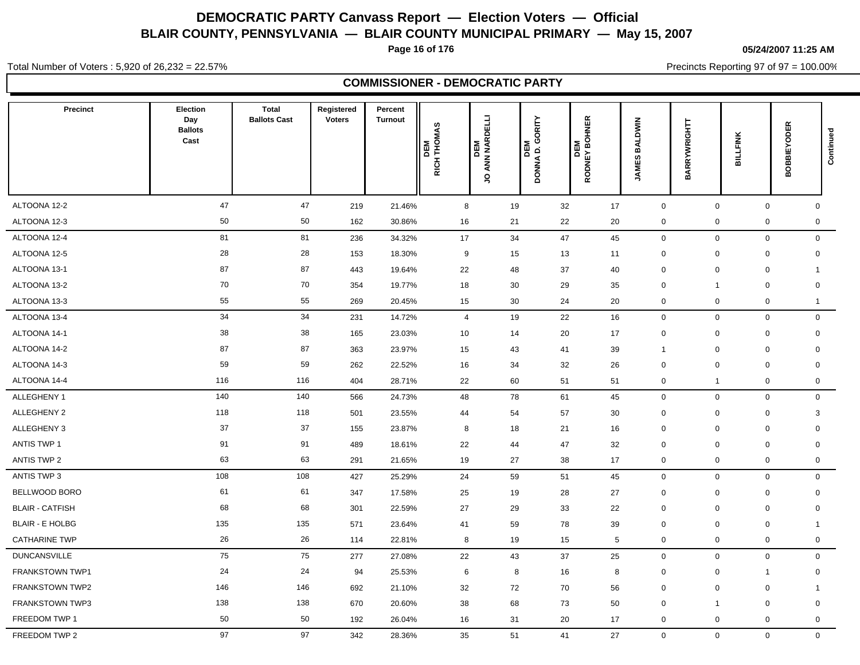**Page 16 of 176**

**05/24/2007 11:25 AM**

Precincts Reporting 97 of 97 = 100.00%

Total Number of Voters : 5,920 of 26,232 = 22.57%

**COMMISSIONER - DEMOCRATIC PARTY**

| <b>Precinct</b>        | Election<br>Day<br><b>Ballots</b><br>Cast | <b>Total</b><br><b>Ballots Cast</b> | Registered<br><b>Voters</b> | Percent<br>Turnout | RICH THOMAS<br>DEM | ANN NARDELLI<br><b>NEM</b><br>$\breve{\mathsf{S}}$ | GORITY<br>$\mathbf{c}$<br>IЖ<br><b>DONNA</b> | <b>BOHNER</b><br>DEM<br>RODNEY BO | <b>BALDWIN</b><br><b>JAMES</b> |              | BARRYWRIGHTT     | BILLFINK     | <b>BOBBIEYODER</b> | Continued           |
|------------------------|-------------------------------------------|-------------------------------------|-----------------------------|--------------------|--------------------|----------------------------------------------------|----------------------------------------------|-----------------------------------|--------------------------------|--------------|------------------|--------------|--------------------|---------------------|
| ALTOONA 12-2           | 47                                        | 47                                  | 219                         | 21.46%             | 8                  |                                                    | 19                                           | 32                                | 17                             | $\mathbf 0$  |                  | $\mathbf 0$  | $\mathbf 0$        | $\mathbf 0$         |
| ALTOONA 12-3           | 50                                        | 50                                  | 162                         | 30.86%             | 16                 |                                                    | 21                                           | 22                                | 20                             | 0            | $\boldsymbol{0}$ |              | 0                  | 0                   |
| ALTOONA 12-4           | 81                                        | 81                                  | 236                         | 34.32%             | 17                 |                                                    | 34                                           | 47                                | 45                             | $\mathbf 0$  | $\mathbf 0$      |              | $\mathbf 0$        | $\mathbf 0$         |
| ALTOONA 12-5           | 28                                        | 28                                  | 153                         | 18.30%             | 9                  |                                                    | 15                                           | 13                                | 11                             | $\mathbf 0$  | $\mathbf 0$      | $\pmb{0}$    |                    | $\mathbf 0$         |
| ALTOONA 13-1           | 87                                        | 87                                  | 443                         | 19.64%             | 22                 |                                                    | 48                                           | 37                                | 40                             | $\mathbf 0$  | $\mathbf 0$      | $\mathbf 0$  | $\mathbf{1}$       |                     |
| ALTOONA 13-2           | 70                                        | 70                                  | 354                         | 19.77%             | 18                 |                                                    | 30                                           | 29                                | 35                             | $\mathbf 0$  |                  | $\mathbf 0$  | $\mathbf 0$        |                     |
| ALTOONA 13-3           | 55                                        | 55                                  | 269                         | 20.45%             | 15                 |                                                    | 30                                           | 24                                | 20                             | $\mathbf 0$  | $\mathbf 0$      |              | 0                  | $\mathbf{1}$        |
| ALTOONA 13-4           | 34                                        | 34                                  | 231                         | 14.72%             | $\overline{4}$     |                                                    | 19                                           | 22                                | 16                             | $\mathbf 0$  | $\mathbf 0$      |              | 0                  | $\mathbf 0$         |
| ALTOONA 14-1           | 38                                        | 38                                  | 165                         | 23.03%             | 10                 |                                                    | 14                                           | 20                                | 17                             | $\mathbf 0$  | $\mathbf 0$      | $\mathbf 0$  |                    | $\mathbf 0$         |
| ALTOONA 14-2           | 87                                        | 87                                  | 363                         | 23.97%             | 15                 |                                                    | 43<br>41                                     |                                   | 39                             | $\mathbf{1}$ | $\mathbf 0$      | $\mathbf 0$  | $\mathbf 0$        |                     |
| ALTOONA 14-3           | 59                                        | 59                                  | 262                         | 22.52%             | 16                 |                                                    | 34                                           | 32                                | 26                             | $\mathbf 0$  | $\mathbf 0$      | $\mathbf 0$  |                    | $\mathbf 0$         |
| ALTOONA 14-4           | 116                                       | 116                                 | 404                         | 28.71%             | 22                 |                                                    | 60<br>51                                     |                                   | 51                             | $\mathbf 0$  | $\overline{1}$   |              | 0                  | $\mathbf 0$         |
| ALLEGHENY 1            | 140                                       | 140                                 | 566                         | 24.73%             | 48                 |                                                    | 78<br>61                                     |                                   | 45                             | $\mathbf 0$  | $\mathbf 0$      |              | 0                  | $\mathsf{O}\xspace$ |
| ALLEGHENY 2            | 118                                       | 118                                 | 501                         | 23.55%             | 44                 |                                                    | 54                                           | 57                                | 30                             | $\mathbf 0$  | $\mathbf 0$      |              | 0                  | 3                   |
| ALLEGHENY 3            | 37                                        | 37                                  | 155                         | 23.87%             | 8                  |                                                    | 18<br>21                                     |                                   | 16                             | $\mathbf 0$  | $\mathbf 0$      | $\mathbf 0$  | $\mathbf 0$        |                     |
| <b>ANTIS TWP 1</b>     | 91                                        | 91                                  | 489                         | 18.61%             | 22                 |                                                    | 44                                           | 47                                | 32                             | $\mathbf 0$  | $\mathbf 0$      | $\mathbf 0$  | $\mathbf 0$        |                     |
| <b>ANTIS TWP 2</b>     | 63                                        | 63                                  | 291                         | 21.65%             | 19                 |                                                    | 27                                           | 38                                | 17                             | $\mathbf 0$  | $\mathbf 0$      |              | 0                  | $\mathbf 0$         |
| ANTIS TWP 3            | 108                                       | 108                                 | 427                         | 25.29%             | 24                 |                                                    | 59                                           | 51                                | 45                             | $\mathbf 0$  | $\mathbf 0$      |              | 0                  | $\mathbf 0$         |
| BELLWOOD BORO          | 61                                        | 61                                  | 347                         | 17.58%             | 25                 |                                                    | 19                                           | 28                                | 27                             | $\mathbf 0$  | $\mathbf 0$      | $\mathbf 0$  |                    | $\mathbf 0$         |
| <b>BLAIR - CATFISH</b> | 68                                        | 68                                  | 301                         | 22.59%             | 27                 |                                                    | 29                                           | 33                                | 22                             | $\mathbf 0$  | $\mathbf 0$      | $\mathbf 0$  | $\mathbf 0$        |                     |
| <b>BLAIR - E HOLBG</b> | 135                                       | 135                                 | 571                         | 23.64%             | 41                 |                                                    | 59                                           | 78                                | 39                             | $\mathbf 0$  | $\mathbf 0$      | $\mathbf 0$  | $\mathbf{1}$       |                     |
| <b>CATHARINE TWP</b>   | 26                                        | 26                                  | 114                         | 22.81%             | 8                  |                                                    | 19                                           | 15                                | 5                              | $\mathbf 0$  | $\mathbf 0$      |              | 0                  | $\mathbf 0$         |
| <b>DUNCANSVILLE</b>    | 75                                        | 75                                  | 277                         | 27.08%             | 22                 |                                                    | 43                                           | 37                                | 25                             | $\mathbf 0$  | $\mathbf 0$      |              | 0                  | $\mathbf 0$         |
| <b>FRANKSTOWN TWP1</b> | 24                                        | 24                                  | 94                          | 25.53%             | 6                  |                                                    | 8                                            | 16                                | 8                              | $\mathbf 0$  | $\mathbf 0$      | $\mathbf{1}$ |                    | $\mathbf 0$         |
| <b>FRANKSTOWN TWP2</b> | 146                                       | 146                                 | 692                         | 21.10%             | 32                 |                                                    | 72                                           | 70                                | 56                             | $\mathbf 0$  | $\mathbf 0$      | $\mathbf 0$  | $\mathbf{1}$       |                     |
| FRANKSTOWN TWP3        | 138                                       | 138                                 | 670                         | 20.60%             | 38                 |                                                    | 68                                           | 73                                | 50                             | $\mathbf 0$  | -1               | $\mathbf 0$  | $\mathbf 0$        |                     |
| FREEDOM TWP 1          | 50                                        | 50                                  | 192                         | 26.04%             | 16                 |                                                    | 31                                           | 20                                | 17                             | $\mathbf 0$  | $\mathbf 0$      |              | 0                  | $\mathbf 0$         |
| FREEDOM TWP 2          | 97                                        | 97                                  | 342                         | 28.36%             | 35                 |                                                    | 51                                           | 41                                | 27                             | $\mathbf{0}$ |                  | $\mathbf 0$  | $\overline{0}$     | $\mathbf{0}$        |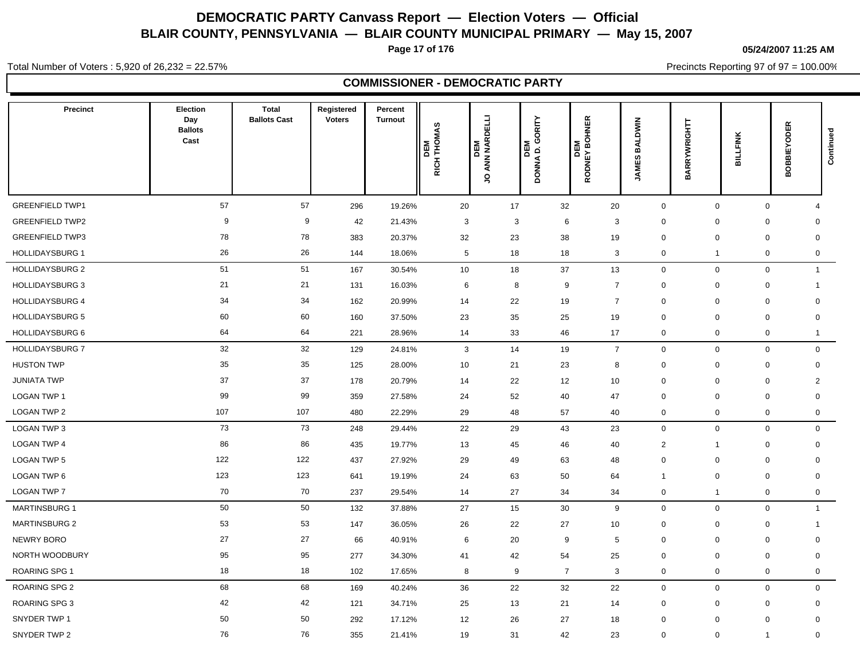**Page 17 of 176**

**05/24/2007 11:25 AM**

Precincts Reporting 97 of 97 = 100.00%

Total Number of Voters : 5,920 of 26,232 = 22.57%

**COMMISSIONER - DEMOCRATIC PARTY**

| Precinct               | Election<br>Day<br><b>Ballots</b><br>Cast | <b>Total</b><br><b>Ballots Cast</b> | Registered<br><b>Voters</b> | Percent<br><b>Turnout</b> | DEM<br>RICH THOMAS | ANN NARDELLI<br><b>DEM</b><br>$\overline{S}$ | GORITY<br>DONNA D.<br>间 | <b>IOHNER</b><br>Σ<br>ŏ.<br><b>DEN</b><br>RODNEY B | <b>BALDWIN</b><br><b>留</b><br>Ī | BARRYWRIGHTT   | BILLFINK            | <b>BOBBIEYODER</b> | Continued           |
|------------------------|-------------------------------------------|-------------------------------------|-----------------------------|---------------------------|--------------------|----------------------------------------------|-------------------------|----------------------------------------------------|---------------------------------|----------------|---------------------|--------------------|---------------------|
| <b>GREENFIELD TWP1</b> | 57                                        | 57                                  | 296                         | 19.26%                    | 20                 | 17                                           | 32                      | 20                                                 | $\mathbf 0$                     | $\mathbf 0$    | $\mathsf{O}\xspace$ | $\overline{4}$     |                     |
| <b>GREENFIELD TWP2</b> | 9                                         | 9                                   | 42                          | 21.43%                    | 3                  |                                              | 3<br>6                  | $\mathbf{3}$                                       | 0                               | $\mathbf 0$    | 0                   | $\mathbf 0$        |                     |
| <b>GREENFIELD TWP3</b> | 78                                        | 78                                  | 383                         | 20.37%                    | 32                 | 23                                           | 38                      | 19                                                 | 0                               | $\mathbf 0$    | $\mathbf 0$         | $\mathbf 0$        |                     |
| <b>HOLLIDAYSBURG 1</b> | 26                                        | 26                                  | 144                         | 18.06%                    | $5\phantom{.0}$    | 18                                           | 18                      | 3                                                  | 0                               | $\overline{1}$ | $\mathbf 0$         |                    | $\mathbf 0$         |
| <b>HOLLIDAYSBURG 2</b> | 51                                        | 51                                  | 167                         | 30.54%                    | 10                 | 18                                           | 37                      | 13                                                 | 0                               | $\mathbf 0$    | $\mathbf 0$         |                    | $\mathbf{1}$        |
| <b>HOLLIDAYSBURG 3</b> | 21                                        | 21                                  | 131                         | 16.03%                    | 6                  |                                              | 8<br>9                  | $\overline{7}$                                     | 0                               | $\mathbf 0$    | $\mathbf 0$         | 1                  |                     |
| <b>HOLLIDAYSBURG 4</b> | 34                                        | 34                                  | 162                         | 20.99%                    | 14                 | 22                                           | 19                      | $\overline{7}$                                     | 0                               | $\mathbf 0$    | $\mathbf 0$         | $\mathbf 0$        |                     |
| <b>HOLLIDAYSBURG 5</b> | 60                                        | 60                                  | 160                         | 37.50%                    | 23                 | 35                                           | 25                      | 19                                                 | 0                               | $\mathbf 0$    | $\mathbf 0$         | 0                  |                     |
| <b>HOLLIDAYSBURG 6</b> | 64                                        | 64                                  | 221                         | 28.96%                    | 14                 | 33                                           | 46                      | 17                                                 | 0                               | $\mathbf 0$    | 0                   |                    | $\mathbf{1}$        |
| <b>HOLLIDAYSBURG 7</b> | 32                                        | 32                                  | 129                         | 24.81%                    | 3                  | 14                                           | 19                      | $\overline{7}$                                     | 0                               | $\mathbf 0$    | $\mathbf 0$         |                    | $\mathbf 0$         |
| <b>HUSTON TWP</b>      | 35                                        | 35                                  | 125                         | 28.00%                    | 10                 | 21                                           | 23                      | 8                                                  | 0                               | $\mathbf 0$    | $\mathbf 0$         |                    | $\mathbf 0$         |
| <b>JUNIATA TWP</b>     | 37                                        | 37                                  | 178                         | 20.79%                    | 14                 | 22                                           | 12                      | 10                                                 | 0                               | $\mathbf 0$    | $\mathbf 0$         |                    | 2                   |
| <b>LOGAN TWP 1</b>     | 99                                        | 99                                  | 359                         | 27.58%                    | 24                 | 52                                           | 40                      | 47                                                 | $\mathbf 0$                     | $\mathbf 0$    | $\mathbf 0$         | 0                  |                     |
| <b>LOGAN TWP 2</b>     | 107                                       | 107                                 | 480                         | 22.29%                    | 29                 | 48                                           | 57                      | 40                                                 | 0                               | $\mathbf 0$    | $\mathbf 0$         |                    | $\mathsf{O}\xspace$ |
| LOGAN TWP 3            | 73                                        | 73                                  | 248                         | 29.44%                    | 22                 | 29                                           | 43                      | 23                                                 | $\mathbf 0$                     | $\mathbf 0$    | $\mathbf 0$         |                    | $\mathbf{0}$        |
| <b>LOGAN TWP 4</b>     | 86                                        | 86                                  | 435                         | 19.77%                    | 13                 | 45                                           | 46                      | 40                                                 | $\overline{2}$                  | -1             | $\mathbf 0$         |                    | $\mathbf 0$         |
| <b>LOGAN TWP 5</b>     | 122                                       | 122                                 | 437                         | 27.92%                    | 29                 | 49                                           | 63                      | 48                                                 | 0                               | 0              | $\mathbf 0$         | 0                  |                     |
| LOGAN TWP 6            | 123                                       | 123                                 | 641                         | 19.19%                    | 24                 | 63                                           | 50                      | 64                                                 | $\mathbf{1}$                    | 0              | 0                   | $\mathbf 0$        |                     |
| <b>LOGAN TWP 7</b>     | 70                                        | 70                                  | 237                         | 29.54%                    | 14                 | 27                                           | 34                      | 34                                                 | 0                               | $\overline{1}$ | $\mathbf 0$         |                    | $\mathbf 0$         |
| <b>MARTINSBURG 1</b>   | 50                                        | 50                                  | 132                         | 37.88%                    | 27                 | 15                                           | 30                      | 9                                                  | $\mathbf 0$                     | $\mathbf 0$    | $\mathbf 0$         |                    | $\mathbf{1}$        |
| <b>MARTINSBURG 2</b>   | 53                                        | 53                                  | 147                         | 36.05%                    | 26                 | 22                                           | 27                      | 10                                                 | 0                               | $\mathbf 0$    | $\mathbf 0$         | $\mathbf{1}$       |                     |
| <b>NEWRY BORO</b>      | 27                                        | 27                                  | 66                          | 40.91%                    | 6                  | 20                                           | 9                       | 5                                                  | 0                               | $\mathbf 0$    | $\mathbf 0$         | 0                  |                     |
| NORTH WOODBURY         | 95                                        | 95                                  | 277                         | 34.30%                    | 41                 | 42                                           | 54                      | 25                                                 | $\mathbf 0$                     | $\mathbf 0$    | $\mathbf 0$         | $\mathbf 0$        |                     |
| <b>ROARING SPG1</b>    | 18                                        | 18                                  | 102                         | 17.65%                    | 8                  |                                              | 9<br>$\overline{7}$     | 3                                                  | 0                               | $\mathbf 0$    | $\mathbf 0$         |                    | $\mathbf 0$         |
| <b>ROARING SPG 2</b>   | 68                                        | 68                                  | 169                         | 40.24%                    | 36                 | 22                                           | 32                      | 22                                                 | 0                               | $\mathbf 0$    | $\mathbf 0$         |                    | $\mathbf 0$         |
| <b>ROARING SPG 3</b>   | 42                                        | 42                                  | 121                         | 34.71%                    | 25                 | 13                                           | 21                      | 14                                                 | $\mathbf 0$                     | $\mathbf 0$    | 0                   | $\mathbf 0$        |                     |
| SNYDER TWP 1           | 50                                        | 50                                  | 292                         | 17.12%                    | 12                 | 26                                           | 27                      | 18                                                 | 0                               | $\mathbf 0$    | $\mathbf 0$         | $\mathbf 0$        |                     |
| SNYDER TWP 2           | 76                                        | 76                                  | 355                         | 21.41%                    | 19                 | 31                                           | 42                      | 23                                                 | $\mathbf 0$                     | $\mathbf 0$    | $\mathbf 1$         | $\mathbf 0$        |                     |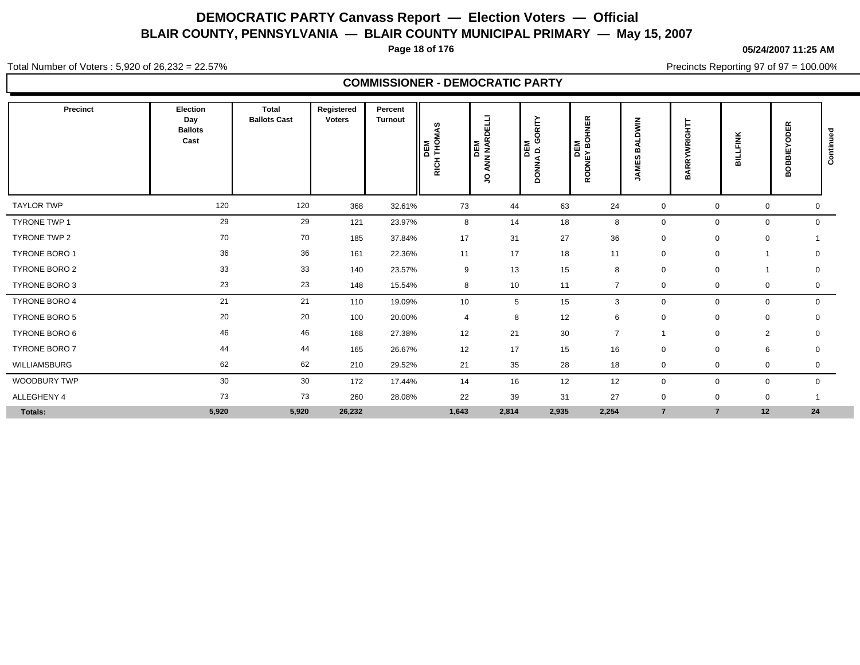**Page 18 of 176**

**05/24/2007 11:25 AM**

Total Number of Voters : 5,920 of 26,232 = 22.57%

**COMMISSIONER - DEMOCRATIC PARTY**

| Precinct             | Election<br>Day<br><b>Ballots</b><br>Cast | <b>Total</b><br><b>Ballots Cast</b> | Registered<br><b>Voters</b> | Percent<br><b>Turnout</b> | 4S<br>DEM<br> THOM/<br>RICH <sup>-</sup> | ANN NARDELLI<br>DEM<br>S | DEM<br>D. GORITY<br><b>DONNA</b> | <b>OHNER</b><br>na 49<br>이 제의<br>다<br><b>NdO</b><br>$\alpha$ | $\epsilon$<br>Ð<br>m<br>$\Omega$<br>ш<br>Ş | <b>WRIGHTT</b><br><b>BARRY</b> | <b>BILLFINK</b> | <b>BOBBIEYODER</b> | ಾ<br>Continue |
|----------------------|-------------------------------------------|-------------------------------------|-----------------------------|---------------------------|------------------------------------------|--------------------------|----------------------------------|--------------------------------------------------------------|--------------------------------------------|--------------------------------|-----------------|--------------------|---------------|
| <b>TAYLOR TWP</b>    | 120                                       | 120                                 | 368                         | 32.61%                    | 73                                       | 44                       | 63                               | 24                                                           | $\mathbf 0$                                | $\mathbf 0$                    | 0               | 0                  |               |
| <b>TYRONE TWP 1</b>  | 29                                        | 29                                  | 121                         | 23.97%                    | 8                                        | 14                       | 18                               | 8                                                            | 0                                          | $\mathbf 0$                    | $\mathbf 0$     | $\mathbf 0$        |               |
| TYRONE TWP 2         | 70                                        | 70                                  | 185                         | 37.84%                    | 17                                       | 31                       | 27                               | 36                                                           | $\mathbf 0$                                | $\mathbf 0$                    | 0               |                    |               |
| TYRONE BORO 1        | 36                                        | 36                                  | 161                         | 22.36%                    | 11                                       | 17                       | 18                               | 11                                                           | $\mathbf 0$                                | $\mathbf 0$                    |                 | $\mathbf 0$        |               |
| <b>TYRONE BORO 2</b> | 33                                        | 33                                  | 140                         | 23.57%                    | 9                                        | 13                       | 15                               | 8                                                            | $\mathbf 0$                                | $\mathbf 0$                    |                 | 0                  |               |
| TYRONE BORO 3        | 23                                        | 23                                  | 148                         | 15.54%                    | 8                                        | 10                       | 11                               | $\overline{7}$                                               | 0                                          | 0                              | 0               | 0                  |               |
| TYRONE BORO 4        | 21                                        | 21                                  | 110                         | 19.09%                    | 10 <sup>°</sup>                          | 5                        | 15                               | 3                                                            | $\mathbf 0$                                | $\mathbf 0$                    | $\mathbf 0$     | $\mathbf 0$        |               |
| TYRONE BORO 5        | 20                                        | 20                                  | 100                         | 20.00%                    | $\overline{4}$                           | 8                        | 12                               | 6                                                            | $\mathbf 0$                                | $\mathbf 0$                    | $\mathbf 0$     | $\mathbf 0$        |               |
| TYRONE BORO 6        | 46                                        | 46                                  | 168                         | 27.38%                    | 12                                       | 21                       | 30                               | $\overline{7}$                                               | 1                                          | $\mathbf 0$                    | $\overline{2}$  | 0                  |               |
| TYRONE BORO 7        | 44                                        | 44                                  | 165                         | 26.67%                    | 12                                       | 17                       | 15                               | 16                                                           | $\mathbf 0$                                | $\mathbf 0$                    | 6               | $\mathbf 0$        |               |
| WILLIAMSBURG         | 62                                        | 62                                  | 210                         | 29.52%                    | 21                                       | 35                       | 28                               | 18                                                           | 0                                          | $\mathbf 0$                    | 0               | 0                  |               |
| <b>WOODBURY TWP</b>  | 30                                        | 30                                  | 172                         | 17.44%                    | 14                                       | 16                       | 12                               | 12                                                           | $\mathbf 0$                                | $\mathbf 0$                    | 0               | 0                  |               |
| ALLEGHENY 4          | 73                                        | 73                                  | 260                         | 28.08%                    | 22                                       | 39                       | 31                               | 27                                                           | $\mathbf 0$                                | $\mathbf 0$                    | $\mathbf 0$     |                    |               |
| Totals:              | 5,920                                     | 5,920                               | 26,232                      |                           | 1,643                                    | 2,814                    | 2,935                            | 2,254                                                        | $\overline{7}$                             | $\overline{7}$                 | 12              | 24                 |               |

Precincts Reporting 97 of 97 = 100.00%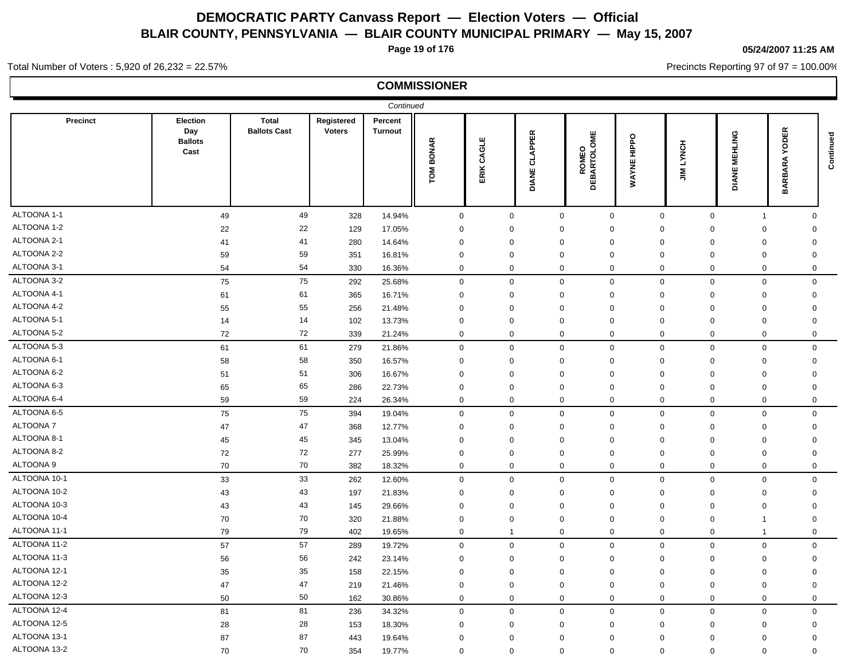**Page 19 of 176**

### **05/24/2007 11:25 AM**

Precincts Reporting 97 of 97 = 100.00%

#### Total Number of Voters : 5,920 of 26,232 = 22.57%

|                 |                                           |                                     |                             | Continued          |                  |               |                                |                              |                       |             |                         |                                                |           |
|-----------------|-------------------------------------------|-------------------------------------|-----------------------------|--------------------|------------------|---------------|--------------------------------|------------------------------|-----------------------|-------------|-------------------------|------------------------------------------------|-----------|
| <b>Precinct</b> | Election<br>Day<br><b>Ballots</b><br>Cast | <b>Total</b><br><b>Ballots Cast</b> | Registered<br><b>Voters</b> | Percent<br>Turnout | <b>TOM BONAR</b> | CAGLE<br>ERIK | <b>CLAPPER</b><br><b>DIANE</b> | <b>ROMEO<br/>DEBARTOLOME</b> | HIPPO<br><b>WAYNE</b> | LYNCH<br>⋚  | MEHLING<br>DIANE        | <b>ODER</b><br>⋝<br><b>BARA</b><br><b>BARI</b> | Continued |
| ALTOONA 1-1     | 49                                        | 49                                  | 328                         | 14.94%             | $\mathbf 0$      | $\mathbf 0$   | $\mathbf 0$                    | $\mathsf{O}$                 | $\mathbf 0$           | $\mathbf 0$ | $\overline{1}$          | $\mathbf 0$                                    |           |
| ALTOONA 1-2     | 22                                        | 22                                  | 129                         | 17.05%             | $\mathbf 0$      | $\mathbf 0$   | $\mathbf 0$                    | $\mathbf 0$                  | $\mathbf 0$           | $\mathbf 0$ | $\mathbf 0$             | $\mathbf 0$                                    |           |
| ALTOONA 2-1     | 41                                        | 41                                  | 280                         | 14.64%             | $\mathbf 0$      | $\mathbf 0$   | $\mathbf 0$                    | $\mathbf 0$                  | $\mathbf 0$           | $\mathbf 0$ | $\mathbf 0$             | $\mathbf 0$                                    |           |
| ALTOONA 2-2     | 59                                        | 59                                  | 351                         | 16.81%             | $\mathbf 0$      | $\mathbf 0$   | $\mathbf 0$                    | $\mathbf 0$                  | $\mathbf 0$           | $\mathbf 0$ | $\mathbf 0$             | $\mathbf 0$                                    |           |
| ALTOONA 3-1     | 54                                        | 54                                  | 330                         | 16.36%             | $\mathbf 0$      | $\mathbf 0$   | $\mathbf 0$                    | $\mathbf 0$                  | $\mathbf 0$           | $\mathbf 0$ | $\mathbf 0$             | $\mathbf{0}$                                   |           |
| ALTOONA 3-2     | 75                                        | 75                                  | 292                         | 25.68%             | $\mathbf 0$      | $\mathbf 0$   | $\mathbf 0$                    | $\mathbf 0$                  | $\mathbf 0$           | $\mathbf 0$ | $\mathbf 0$             | $\mathbf 0$                                    |           |
| ALTOONA 4-1     | 61                                        | 61                                  | 365                         | 16.71%             | $\mathbf 0$      | $\mathbf 0$   | $\mathbf 0$                    | 0                            | 0                     | 0           | $\mathbf 0$             | 0                                              |           |
| ALTOONA 4-2     | 55                                        | 55                                  | 256                         | 21.48%             | $\mathbf 0$      | $\mathbf 0$   | $\mathbf 0$                    | 0                            | 0                     | $\mathbf 0$ | $\mathbf 0$             | 0                                              |           |
| ALTOONA 5-1     | 14                                        | 14                                  | 102                         | 13.73%             | $\mathbf 0$      | $\mathbf 0$   | $\mathbf 0$                    | $\mathbf 0$                  | $\mathbf 0$           | $\mathbf 0$ | $\mathbf 0$             | 0                                              |           |
| ALTOONA 5-2     | 72                                        | 72                                  | 339                         | 21.24%             | $\mathbf 0$      | $\mathbf 0$   | $\mathbf 0$                    | $\mathbf 0$                  | $\mathbf 0$           | $\mathbf 0$ | $\mathbf 0$             | $\mathbf 0$                                    |           |
| ALTOONA 5-3     | 61                                        | 61                                  | 279                         | 21.86%             | $\mathbf 0$      | $\mathbf 0$   | $\mathbf 0$                    | $\mathbf 0$                  | $\mathbf 0$           | $\mathbf 0$ | $\mathbf 0$             | $\mathbf 0$                                    |           |
| ALTOONA 6-1     | 58                                        | 58                                  | 350                         | 16.57%             | $\Omega$         | $\mathbf 0$   | $\mathbf 0$                    | $\mathbf 0$                  | $\mathbf 0$           | $\Omega$    | $\mathbf 0$             | $\mathbf 0$                                    |           |
| ALTOONA 6-2     | 51                                        | 51                                  | 306                         | 16.67%             | $\mathbf 0$      | $\mathsf 0$   | $\mathbf 0$                    | $\Omega$                     | $\mathbf 0$           | $\mathbf 0$ | $\mathbf 0$             | $\Omega$                                       |           |
| ALTOONA 6-3     | 65                                        | 65                                  | 286                         | 22.73%             | $\Omega$         | $\mathbf 0$   | $\mathbf 0$                    | $\Omega$                     | $\mathbf 0$           | $\Omega$    | $\mathbf 0$             | $\Omega$                                       |           |
| ALTOONA 6-4     | 59                                        | 59                                  | 224                         | 26.34%             | $\mathbf 0$      | $\mathbf 0$   | $\mathbf 0$                    | $\mathbf 0$                  | $\mathbf 0$           | $\mathbf 0$ | $\mathbf 0$             | $\mathbf 0$                                    |           |
| ALTOONA 6-5     | 75                                        | 75                                  | 394                         | 19.04%             | $\mathbf 0$      | $\mathbf 0$   | $\mathbf 0$                    | $\mathbf 0$                  | $\mathbf 0$           | $\mathbf 0$ | $\mathbf 0$             | $\mathbf 0$                                    |           |
| ALTOONA 7       | 47                                        | 47                                  | 368                         | 12.77%             | $\mathbf 0$      | $\mathbf 0$   | $\mathbf 0$                    | $\mathbf 0$                  | $\mathbf 0$           | $\mathbf 0$ | $\mathbf 0$             | $\mathbf 0$                                    |           |
| ALTOONA 8-1     | 45                                        | 45                                  | 345                         | 13.04%             | $\mathbf 0$      | $\mathbf 0$   | $\mathbf 0$                    | $\mathbf 0$                  | $\mathbf 0$           | $\mathbf 0$ | $\mathbf 0$             | $\mathbf 0$                                    |           |
| ALTOONA 8-2     | 72                                        | 72                                  | 277                         | 25.99%             | $\mathbf 0$      | $\mathbf 0$   | $\mathbf 0$                    | $\mathbf 0$                  | $\mathbf 0$           | $\mathbf 0$ | $\mathbf 0$             | $\mathbf 0$                                    |           |
| ALTOONA 9       | 70                                        | 70                                  | 382                         | 18.32%             | $\mathbf 0$      | $\mathbf 0$   | $\mathbf 0$                    | $\Omega$                     | $\mathbf 0$           | $\Omega$    | $\mathbf 0$             | $\Omega$                                       |           |
| ALTOONA 10-1    | 33                                        | 33                                  | 262                         | 12.60%             | $\mathbf 0$      | $\mathbf 0$   | $\mathbf 0$                    | $\Omega$                     | $\Omega$              | $\Omega$    | $\mathbf 0$             | $\mathbf 0$                                    |           |
| ALTOONA 10-2    | 43                                        | 43                                  | 197                         | 21.83%             | $\mathbf 0$      | $\mathbf 0$   | $\mathbf 0$                    | $\Omega$                     | 0                     | $\mathbf 0$ | $\mathbf 0$             | $\Omega$                                       |           |
| ALTOONA 10-3    | 43                                        | 43                                  | 145                         | 29.66%             | $\mathbf 0$      | $\mathbf 0$   | $\mathbf 0$                    | 0                            | 0                     | $\mathbf 0$ | $\mathbf 0$             | $\mathbf 0$                                    |           |
| ALTOONA 10-4    | 70                                        | 70                                  | 320                         | 21.88%             | 0                | $\mathbf 0$   | $\mathbf 0$                    | 0                            | 0                     | 0           | $\overline{1}$          | 0                                              |           |
| ALTOONA 11-1    | 79                                        | 79                                  | 402                         | 19.65%             | $\mathbf 0$      | $\mathbf{1}$  | $\mathbf 0$                    | $\mathbf 0$                  | $\mathbf 0$           | $\mathbf 0$ | $\overline{\mathbf{1}}$ | $\mathbf 0$                                    |           |
| ALTOONA 11-2    | 57                                        | 57                                  | 289                         | 19.72%             | $\mathbf 0$      | $\mathbf 0$   | $\mathbf 0$                    | $\Omega$                     | $\mathbf 0$           | $\mathbf 0$ | $\mathbf 0$             | $\mathbf 0$                                    |           |
| ALTOONA 11-3    | 56                                        | 56                                  | 242                         | 23.14%             | 0                | $\mathbf 0$   | $\mathbf 0$                    | $\mathbf 0$                  | $\mathbf 0$           | $\mathbf 0$ | $\mathbf 0$             | $\mathbf 0$                                    |           |
| ALTOONA 12-1    | 35                                        | 35                                  | 158                         | 22.15%             | $\mathbf 0$      | $\mathbf 0$   | $\mathbf 0$                    | $\mathbf 0$                  | $\mathbf 0$           | $\mathbf 0$ | $\mathbf 0$             | $\mathbf 0$                                    |           |
| ALTOONA 12-2    | 47                                        | 47                                  | 219                         | 21.46%             | $\mathbf 0$      | $\mathbf 0$   | $\mathbf 0$                    | $\mathbf 0$                  | $\mathbf 0$           | $\Omega$    | $\mathbf 0$             | $\Omega$                                       |           |
| ALTOONA 12-3    | 50                                        | 50                                  | 162                         | 30.86%             | $\mathbf 0$      | $\mathbf 0$   | $\mathbf 0$                    | $\mathbf 0$                  | $\mathbf 0$           | $\mathbf 0$ | $\mathbf 0$             | $\mathbf 0$                                    |           |
| ALTOONA 12-4    | 81                                        | 81                                  | 236                         | 34.32%             | $\mathbf 0$      | $\mathbf 0$   | $\mathbf 0$                    | $\mathbf 0$                  | $\mathbf 0$           | $\mathbf 0$ | $\mathbf 0$             | $\mathbf 0$                                    |           |
| ALTOONA 12-5    | 28                                        | 28                                  | 153                         | 18.30%             | $\mathbf 0$      | $\mathbf 0$   | $\mathbf 0$                    | $\mathbf 0$                  | 0                     | $\mathbf 0$ | $\mathbf 0$             | $\mathbf 0$                                    |           |
| ALTOONA 13-1    | 87                                        | 87                                  | 443                         | 19.64%             | $\mathbf 0$      | $\mathbf 0$   | $\mathbf 0$                    | 0                            | 0                     | $\mathbf 0$ | $\mathbf 0$             | $\mathbf 0$                                    |           |
| ALTOONA 13-2    | 70                                        | 70                                  | 354                         | 19.77%             | $\mathbf 0$      | $\mathbf 0$   | $\mathbf 0$                    | $\mathbf 0$                  | $\mathbf 0$           | $\mathbf 0$ | $\mathbf 0$             | $\mathbf 0$                                    |           |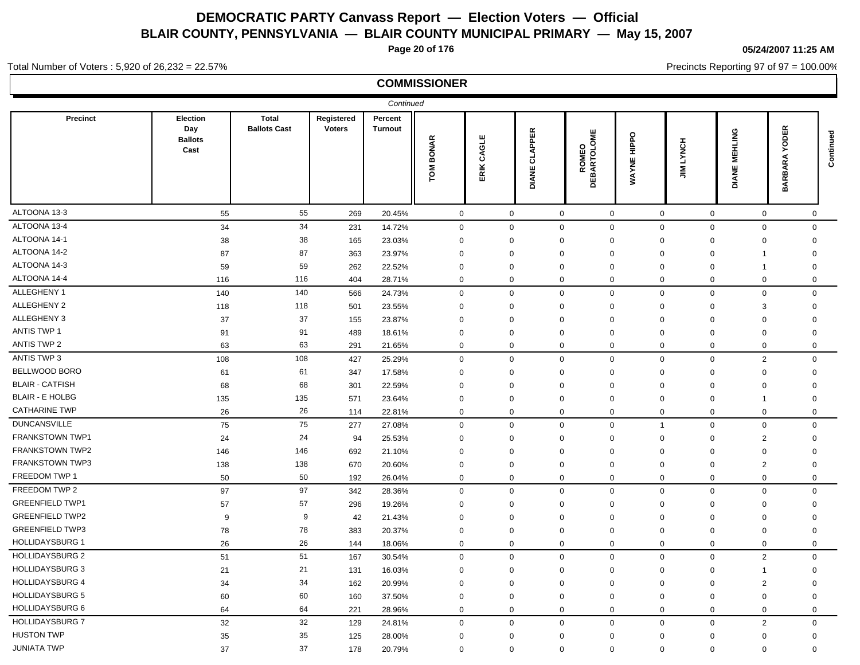**Page 20 of 176**

#### **05/24/2007 11:25 AM**

Precincts Reporting 97 of 97 = 100.00%

#### Total Number of Voters : 5,920 of 26,232 = 22.57%

|                        |                                           |                                     |                             | Continued                 |                     |                |                         |                              |                                          |                      |                         |                                               |           |
|------------------------|-------------------------------------------|-------------------------------------|-----------------------------|---------------------------|---------------------|----------------|-------------------------|------------------------------|------------------------------------------|----------------------|-------------------------|-----------------------------------------------|-----------|
| Precinct               | Election<br>Day<br><b>Ballots</b><br>Cast | <b>Total</b><br><b>Ballots Cast</b> | Registered<br><b>Voters</b> | Percent<br><b>Turnout</b> | <b>BONAR</b><br>ГOМ | CAGLE<br>ERIK. | <b>CLAPPER</b><br>DIANE | <b>ROMEO<br/>DEBARTOLOME</b> | $\circ$<br>$rac{p}{\pm}$<br><b>WAYNE</b> | LYNCH<br>$\tilde{=}$ | MEHLING<br>DIANE        | <b>ODER</b><br>≻<br><b>BARA</b><br><b>BAR</b> | Continued |
| ALTOONA 13-3           | 55                                        | 55                                  | 269                         | 20.45%                    | $\mathbf 0$         | $\mathbf 0$    | $\mathbf 0$             | $\mathbf 0$                  | $\mathbf 0$                              | $\mathbf 0$          | $\mathbf 0$             | $\mathbf 0$                                   |           |
| ALTOONA 13-4           | 34                                        | 34                                  | 231                         | 14.72%                    | $\mathbf 0$         | $\mathbf 0$    | $\mathbf 0$             | $\mathbf 0$                  | $\mathbf 0$                              | $\mathbf 0$          | $\mathbf 0$             | $\mathbf 0$                                   |           |
| ALTOONA 14-1           | 38                                        | 38                                  | 165                         | 23.03%                    | 0                   | $\mathbf 0$    | $\mathbf 0$             | $\mathbf 0$                  | 0                                        | 0                    | $\mathbf 0$             | $\mathbf 0$                                   |           |
| ALTOONA 14-2           | 87                                        | 87                                  | 363                         | 23.97%                    | $\mathbf 0$         | $\mathbf 0$    | $\mathbf 0$             | $\mathbf 0$                  | $\mathbf 0$                              | $\Omega$             | $\overline{1}$          | $\mathbf 0$                                   |           |
| ALTOONA 14-3           | 59                                        | 59                                  | 262                         | 22.52%                    | 0                   | $\mathbf 0$    | $\mathbf 0$             | $\Omega$                     | 0                                        | 0                    | $\overline{1}$          | $\mathbf 0$                                   |           |
| ALTOONA 14-4           | 116                                       | 116                                 | 404                         | 28.71%                    | 0                   | $\mathbf 0$    | $\mathbf 0$             | $\mathbf 0$                  | $\mathbf 0$                              | $\mathbf 0$          | $\mathbf 0$             | $\mathbf 0$                                   |           |
| ALLEGHENY 1            | 140                                       | 140                                 | 566                         | 24.73%                    | $\mathbf 0$         | $\mathbf 0$    | $\mathbf 0$             | $\mathbf 0$                  | $\mathbf 0$                              | $\pmb{0}$            | $\mathbf 0$             | $\mathbf 0$                                   |           |
| ALLEGHENY 2            | 118                                       | 118                                 | 501                         | 23.55%                    | $\mathbf 0$         | $\mathbf 0$    | $\mathbf 0$             | $\mathbf 0$                  | $\mathbf 0$                              | $\mathbf 0$          | 3                       | $\mathbf 0$                                   |           |
| ALLEGHENY 3            | 37                                        | 37                                  | 155                         | 23.87%                    | $\mathbf 0$         | $\mathbf 0$    | $\mathbf 0$             | $\mathbf 0$                  | 0                                        | $\mathbf 0$          | $\mathbf 0$             | $\mathbf 0$                                   |           |
| ANTIS TWP 1            | 91                                        | 91                                  | 489                         | 18.61%                    | $\mathbf 0$         | $\mathbf 0$    | $\mathbf 0$             | $\mathbf 0$                  | $\mathbf 0$                              | $\mathbf 0$          | $\mathbf 0$             | $\mathbf 0$                                   |           |
| ANTIS TWP 2            | 63                                        | 63                                  | 291                         | 21.65%                    | 0                   | $\mathbf 0$    | $\mathbf 0$             | $\mathbf 0$                  | $\mathbf 0$                              | $\mathbf 0$          | $\mathbf 0$             | $\mathbf 0$                                   |           |
| ANTIS TWP 3            | 108                                       | 108                                 | 427                         | 25.29%                    | 0                   | $\mathbf 0$    | $\mathbf 0$             | $\mathbf{0}$                 | $\mathbf 0$                              | $\mathbf 0$          | $\overline{2}$          | $\Omega$                                      |           |
| BELLWOOD BORO          | 61                                        | 61                                  | 347                         | 17.58%                    | $\mathbf 0$         | $\mathbf 0$    | $\mathbf 0$             | $\mathbf 0$                  | $\mathbf 0$                              | $\Omega$             | $\mathbf 0$             | $\mathbf 0$                                   |           |
| <b>BLAIR - CATFISH</b> | 68                                        | 68                                  | 301                         | 22.59%                    | $\mathbf 0$         | $\mathbf 0$    | $\mathbf 0$             | $\Omega$                     | $\mathbf 0$                              | $\mathbf 0$          | $\mathbf 0$             | $\mathbf 0$                                   |           |
| <b>BLAIR - E HOLBG</b> | 135                                       | 135                                 | 571                         | 23.64%                    | $\mathbf 0$         | $\mathbf 0$    | $\mathbf 0$             | $\mathbf 0$                  | $\mathbf 0$                              | $\Omega$             | $\overline{\mathbf{1}}$ | $\mathbf 0$                                   |           |
| <b>CATHARINE TWP</b>   | 26                                        | 26                                  | 114                         | 22.81%                    | 0                   | $\mathbf 0$    | $\mathbf 0$             | $\mathbf 0$                  | $\mathbf 0$                              | $\mathbf 0$          | $\mathbf 0$             | $\mathbf 0$                                   |           |
| <b>DUNCANSVILLE</b>    | 75                                        | 75                                  | 277                         | 27.08%                    | $\mathbf 0$         | $\mathbf 0$    | $\mathbf 0$             | $\mathbf 0$                  | $\overline{1}$                           | $\mathbf 0$          | $\mathbf 0$             | $\mathbf 0$                                   |           |
| FRANKSTOWN TWP1        | 24                                        | 24                                  | 94                          | 25.53%                    | $\mathbf 0$         | $\mathbf 0$    | $\mathbf 0$             | $\mathbf 0$                  | $\mathbf 0$                              | $\mathbf 0$          | $\overline{2}$          | $\mathbf 0$                                   |           |
| <b>FRANKSTOWN TWP2</b> | 146                                       | 146                                 | 692                         | 21.10%                    | $\mathbf 0$         | $\mathbf 0$    | $\mathbf 0$             | $\mathbf 0$                  | $\mathbf 0$                              | $\mathbf 0$          | $\mathbf 0$             | $\mathbf 0$                                   |           |
| FRANKSTOWN TWP3        | 138                                       | 138                                 | 670                         | 20.60%                    | $\mathbf 0$         | $\mathbf 0$    | $\mathbf 0$             | $\mathbf 0$                  | 0                                        | $\mathbf 0$          | $\overline{2}$          | $\mathbf 0$                                   |           |
| FREEDOM TWP 1          | 50                                        | 50                                  | 192                         | 26.04%                    | 0                   | $\mathbf 0$    | $\mathbf 0$             | $\mathbf 0$                  | 0                                        | $\mathbf 0$          | $\mathbf 0$             | $\mathbf 0$                                   |           |
| FREEDOM TWP 2          | 97                                        | 97                                  | 342                         | 28.36%                    | 0                   | $\mathbf 0$    | $\mathbf 0$             | $\mathbf 0$                  | $\mathbf{0}$                             | $\mathbf 0$          | $\mathbf 0$             | $\mathbf 0$                                   |           |
| <b>GREENFIELD TWP1</b> | 57                                        | 57                                  | 296                         | 19.26%                    | 0                   | $\mathbf 0$    | $\mathbf 0$             | $\Omega$                     | $\mathbf 0$                              | $\mathbf 0$          | $\mathbf 0$             | $\mathbf 0$                                   |           |
| <b>GREENFIELD TWP2</b> | 9                                         | 9                                   | 42                          | 21.43%                    | $\mathbf 0$         | $\mathbf 0$    | $\mathbf 0$             | $\Omega$                     | $\mathbf 0$                              | $\Omega$             | $\mathbf 0$             | $\mathbf 0$                                   |           |
| <b>GREENFIELD TWP3</b> | 78                                        | 78                                  | 383                         | 20.37%                    | 0                   | $\mathbf 0$    | $\mathbf 0$             | $\mathbf 0$                  | 0                                        | 0                    | $\mathbf 0$             | $\mathbf 0$                                   |           |
| <b>HOLLIDAYSBURG 1</b> | 26                                        | 26                                  | 144                         | 18.06%                    | 0                   | $\mathbf 0$    | $\mathbf 0$             | $\mathbf 0$                  | $\mathbf 0$                              | $\mathbf 0$          | $\mathbf 0$             | $\mathbf 0$                                   |           |
| <b>HOLLIDAYSBURG 2</b> | 51                                        | 51                                  | 167                         | 30.54%                    | 0                   | $\mathbf 0$    | $\mathbf 0$             | $\mathbf 0$                  | $\mathbf 0$                              | $\mathbf 0$          | $\overline{2}$          | $\mathbf 0$                                   |           |
| <b>HOLLIDAYSBURG 3</b> | 21                                        | 21                                  | 131                         | 16.03%                    | $\mathbf 0$         | $\mathbf 0$    | $\mathbf 0$             | $\mathbf 0$                  | $\mathbf 0$                              | $\mathbf 0$          | $\overline{1}$          | $\mathbf 0$                                   |           |
| <b>HOLLIDAYSBURG 4</b> | 34                                        | 34                                  | 162                         | 20.99%                    | $\mathbf 0$         | $\mathbf 0$    | $\mathbf 0$             | $\mathbf 0$                  | 0                                        | $\mathbf 0$          | $\overline{2}$          | $\mathbf 0$                                   |           |
| <b>HOLLIDAYSBURG 5</b> | 60                                        | 60                                  | 160                         | 37.50%                    | $\mathbf 0$         | $\mathbf 0$    | $\mathbf 0$             | $\mathbf 0$                  | $\mathbf 0$                              | $\mathbf 0$          | $\mathbf 0$             | $\mathbf 0$                                   |           |
| HOLLIDAYSBURG 6        | 64                                        | 64                                  | 221                         | 28.96%                    | 0                   | $\mathbf 0$    | $\mathbf 0$             | $\mathbf 0$                  | $\mathbf 0$                              | $\mathbf 0$          | $\mathbf 0$             | $\mathbf 0$                                   |           |
| <b>HOLLIDAYSBURG 7</b> | 32                                        | 32                                  | 129                         | 24.81%                    | 0                   | $\mathbf 0$    | $\mathbf 0$             | $\mathbf 0$                  | $\mathbf 0$                              | $\mathbf 0$          | $\overline{2}$          | $\mathbf 0$                                   |           |
| <b>HUSTON TWP</b>      | 35                                        | 35                                  | 125                         | 28.00%                    | $\mathbf 0$         | $\mathbf 0$    | $\mathbf 0$             | $\Omega$                     | $\mathbf 0$                              | $\Omega$             | $\mathbf 0$             | $\mathbf 0$                                   |           |
| <b>JUNIATA TWP</b>     | 37                                        | 37                                  | 178                         | 20.79%                    | $\mathbf{0}$        | $\mathbf 0$    | $\mathbf 0$             | $\Omega$                     | $\mathbf 0$                              | $\Omega$             | $\mathbf{0}$            | $\Omega$                                      |           |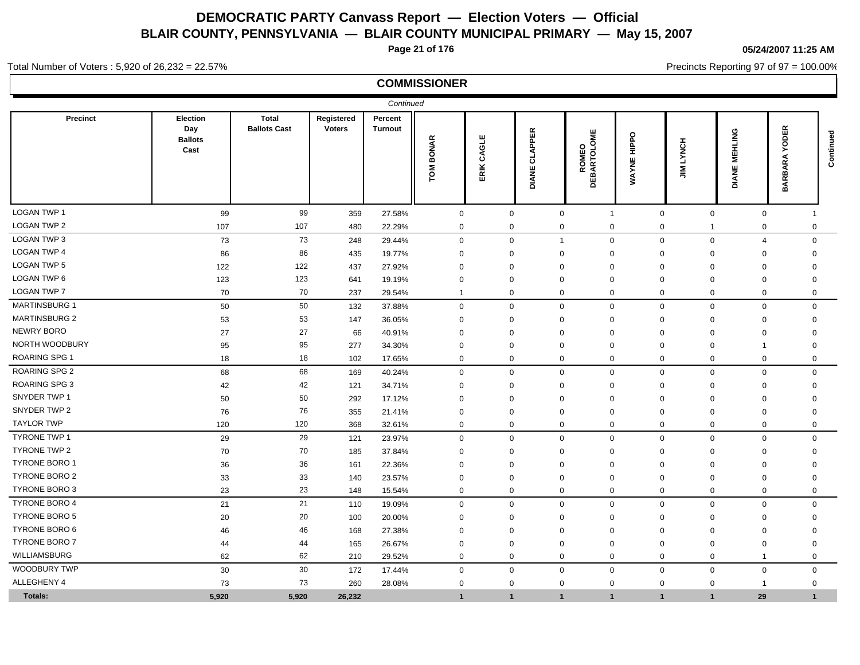**Page 21 of 176**

**05/24/2007 11:25 AM**

Precincts Reporting 97 of 97 = 100.00%

#### Total Number of Voters : 5,920 of 26,232 = 22.57%

|                      |                                                  |                                     |                             | Continued                 |                     |                                      |                                |                                                         |                                   |                |                            |                                                           |             |
|----------------------|--------------------------------------------------|-------------------------------------|-----------------------------|---------------------------|---------------------|--------------------------------------|--------------------------------|---------------------------------------------------------|-----------------------------------|----------------|----------------------------|-----------------------------------------------------------|-------------|
| Precinct             | <b>Election</b><br>Day<br><b>Ballots</b><br>Cast | <b>Total</b><br><b>Ballots Cast</b> | Registered<br><b>Voters</b> | Percent<br><b>Turnout</b> | <b>BONAR</b><br>TOM | ш<br>ਛ<br>$\tilde{3}$<br><b>ERIK</b> | <b>CLAPPER</b><br><b>DIANE</b> | <b>ROMEO<br/>DEBARTOLOME</b><br>$\overline{\mathbf{a}}$ | $\circ$<br>$rac{p}{\pm}$<br>WAYNE | LYNCH<br>$\Xi$ | <b>MEHLING</b><br>ANE<br>ā | $\propto$<br>w.<br>ā<br>O<br>≻<br>⋖<br><b>BAR</b><br>BARI | Continued   |
| <b>LOGAN TWP 1</b>   | 99                                               | 99                                  | 359                         | 27.58%                    | $\mathbf 0$         | $\mathbf 0$                          |                                | $\mathbf 0$<br>$\overline{1}$                           |                                   | $\mathbf 0$    | $\mathbf 0$                | $\mathbf 0$                                               | -1          |
| <b>LOGAN TWP 2</b>   | 107                                              | 107                                 | 480                         | 22.29%                    | 0                   | 0                                    |                                | 0<br>0                                                  |                                   | 0              | -1                         | 0                                                         | 0           |
| LOGAN TWP 3          | 73                                               | 73                                  | 248                         | 29.44%                    | $\mathbf 0$         | $\mathbf 0$                          |                                | $\mathbf 0$<br>$\mathbf{1}$                             |                                   | $\mathbf 0$    | $\pmb{0}$                  | $\overline{4}$                                            | $\mathbf 0$ |
| <b>LOGAN TWP 4</b>   | 86                                               | 86                                  | 435                         | 19.77%                    | $\mathbf 0$         | $\mathbf 0$                          | $\Omega$                       | $\mathbf 0$                                             |                                   | $\Omega$       | $\mathbf 0$                | 0                                                         | $\mathbf 0$ |
| <b>LOGAN TWP 5</b>   | 122                                              | 122                                 | 437                         | 27.92%                    | $\mathbf 0$         | $\mathbf 0$                          | $\Omega$                       | 0                                                       |                                   | $\Omega$       | $\mathbf 0$                | $\mathbf 0$                                               | $\mathbf 0$ |
| LOGAN TWP 6          | 123                                              | 123                                 | 641                         | 19.19%                    | $\mathbf 0$         | $\mathbf 0$                          | $\Omega$                       | $\mathbf 0$                                             |                                   | $\mathbf 0$    | $\mathbf 0$                | $\mathbf 0$                                               | $\mathbf 0$ |
| <b>LOGAN TWP 7</b>   | 70                                               | 70                                  | 237                         | 29.54%                    | $\mathbf 1$         | $\mathbf 0$                          |                                | $\mathbf 0$<br>$\mathbf 0$                              |                                   | $\mathbf 0$    | $\mathbf 0$                | $\mathbf 0$                                               | $\mathbf 0$ |
| <b>MARTINSBURG 1</b> | 50                                               | 50                                  | 132                         | 37.88%                    | $\mathbf 0$         | $\mathbf 0$                          |                                | $\mathbf 0$<br>$\mathbf 0$                              |                                   | $\mathbf 0$    | $\mathbf 0$                | $\mathbf 0$                                               | $\mathbf 0$ |
| <b>MARTINSBURG 2</b> | 53                                               | 53                                  | 147                         | 36.05%                    | $\mathbf 0$         | $\mathbf 0$                          |                                | $\mathbf 0$<br>$\mathbf 0$                              |                                   | $\Omega$       | $\mathbf 0$                | $\mathbf 0$                                               | $\mathbf 0$ |
| <b>NEWRY BORO</b>    | 27                                               | 27                                  | 66                          | 40.91%                    | $\Omega$            | $\Omega$                             | $\Omega$                       | $\mathbf 0$                                             |                                   | $\Omega$       | $\mathbf 0$                | $\mathbf 0$                                               | $\mathbf 0$ |
| NORTH WOODBURY       | 95                                               | 95                                  | 277                         | 34.30%                    | $\Omega$            | $\mathbf 0$                          | $\Omega$                       | $\Omega$                                                |                                   | $\mathbf 0$    | $\Omega$                   | $\overline{\mathbf{1}}$                                   | $\Omega$    |
| <b>ROARING SPG 1</b> | 18                                               | 18                                  | 102                         | 17.65%                    | $\mathbf 0$         | $\mathbf 0$                          |                                | $\Omega$<br>$\Omega$                                    |                                   | $\mathbf 0$    | $\mathbf 0$                | $\mathbf 0$                                               | $\Omega$    |
| <b>ROARING SPG 2</b> | 68                                               | 68                                  | 169                         | 40.24%                    | $\mathbf{0}$        | $\mathbf 0$                          |                                | $\Omega$<br>$\mathbf 0$                                 |                                   | $\Omega$       | $\mathbf 0$                | $\mathbf 0$                                               | $\mathbf 0$ |
| <b>ROARING SPG 3</b> | 42                                               | 42                                  | 121                         | 34.71%                    | $\Omega$            | $\mathbf 0$                          | $\Omega$                       | $\Omega$                                                |                                   | $\mathbf 0$    | $\Omega$                   | $\mathbf{0}$                                              | $\Omega$    |
| SNYDER TWP 1         | 50                                               | 50                                  | 292                         | 17.12%                    | $\Omega$            | $\mathbf 0$                          | $\Omega$                       | $\Omega$                                                |                                   | $\Omega$       | $\Omega$                   | $\mathbf{0}$                                              | $\Omega$    |
| SNYDER TWP 2         | 76                                               | 76                                  | 355                         | 21.41%                    | $\mathbf 0$         | 0                                    | $\Omega$                       | $\mathbf 0$                                             |                                   | $\mathbf 0$    | $\mathbf 0$                | 0                                                         | $\Omega$    |
| <b>TAYLOR TWP</b>    | 120                                              | 120                                 | 368                         | 32.61%                    | $\mathbf 0$         | $\mathbf 0$                          |                                | $\mathbf 0$<br>$\mathbf 0$                              |                                   | $\mathbf 0$    | $\mathbf 0$                | $\mathbf 0$                                               | 0           |
| <b>TYRONE TWP 1</b>  | 29                                               | 29                                  | 121                         | 23.97%                    | $\mathbf 0$         | $\mathbf 0$                          |                                | $\Omega$<br>$\Omega$                                    |                                   | $\mathbf 0$    | $\mathbf 0$                | $\mathbf 0$                                               | $\mathbf 0$ |
| <b>TYRONE TWP 2</b>  | 70                                               | 70                                  | 185                         | 37.84%                    | $\mathbf 0$         | 0                                    | $\Omega$                       | $\mathbf 0$                                             |                                   | $\Omega$       | $\mathbf 0$                | $\mathbf 0$                                               | $\Omega$    |
| TYRONE BORO 1        | 36                                               | 36                                  | 161                         | 22.36%                    | $\Omega$            | $\mathbf 0$                          |                                | $\Omega$<br>$\Omega$                                    |                                   | $\mathbf 0$    | $\mathbf 0$                | $\mathbf 0$                                               | $\Omega$    |
| <b>TYRONE BORO 2</b> | 33                                               | 33                                  | 140                         | 23.57%                    | $\mathbf 0$         | $\mathbf 0$                          |                                | $\mathbf 0$<br>$\mathbf 0$                              |                                   | $\mathbf 0$    | $\mathbf 0$                | $\mathbf 0$                                               | $\mathbf 0$ |
| TYRONE BORO 3        | 23                                               | 23                                  | 148                         | 15.54%                    | $\mathbf 0$         | $\mathbf 0$                          |                                | $\mathbf 0$<br>$\mathbf 0$                              |                                   | $\mathbf 0$    | $\mathbf 0$                | $\mathbf 0$                                               | $\mathbf 0$ |
| <b>TYRONE BORO 4</b> | 21                                               | 21                                  | 110                         | 19.09%                    | $\mathbf 0$         | $\mathbf 0$                          |                                | $\mathbf 0$<br>$\mathbf 0$                              |                                   | $\mathbf 0$    | $\mathbf 0$                | $\mathbf 0$                                               | $\mathbf 0$ |
| TYRONE BORO 5        | 20                                               | 20                                  | 100                         | 20.00%                    | $\Omega$            | $\mathbf 0$                          |                                | $\mathbf 0$<br>$\mathbf 0$                              |                                   | $\mathbf 0$    | $\mathbf 0$                | $\mathbf 0$                                               | $\mathbf 0$ |
| TYRONE BORO 6        | 46                                               | 46                                  | 168                         | 27.38%                    | $\Omega$            | $\mathbf 0$                          | $\Omega$                       | $\mathbf 0$                                             |                                   | $\mathbf 0$    | $\mathbf 0$                | $\mathbf 0$                                               | $\mathbf 0$ |
| <b>TYRONE BORO 7</b> | 44                                               | 44                                  | 165                         | 26.67%                    | $\mathbf 0$         | $\mathbf 0$                          | $\Omega$                       | $\mathbf 0$                                             |                                   | $\mathbf 0$    | $\mathbf 0$                | $\mathbf 0$                                               | $\mathbf 0$ |
| WILLIAMSBURG         | 62                                               | 62                                  | 210                         | 29.52%                    | $\mathbf 0$         | $\mathbf 0$                          |                                | $\mathbf 0$<br>$\mathbf 0$                              |                                   | $\mathbf 0$    | $\mathbf 0$                | $\overline{1}$                                            | $\mathbf 0$ |
| <b>WOODBURY TWP</b>  | 30                                               | 30                                  | 172                         | 17.44%                    | $\mathbf 0$         | $\mathbf 0$                          |                                | $\mathbf 0$<br>$\mathbf 0$                              |                                   | $\mathbf 0$    | $\pmb{0}$                  | $\mathbf 0$                                               | $\mathbf 0$ |
| ALLEGHENY 4          | 73                                               | 73                                  | 260                         | 28.08%                    | $\Omega$            | $\mathbf 0$                          |                                | $\mathbf 0$<br>$\Omega$                                 |                                   | $\mathbf 0$    | $\mathbf{0}$               | $\overline{1}$                                            | $\Omega$    |
| Totals:              | 5.920                                            | 5.920                               | 26,232                      |                           | 1                   | $\mathbf{1}$                         |                                | $\mathbf{1}$<br>$\mathbf{1}$                            |                                   | $\mathbf 1$    | $\overline{1}$             | 29                                                        | 1           |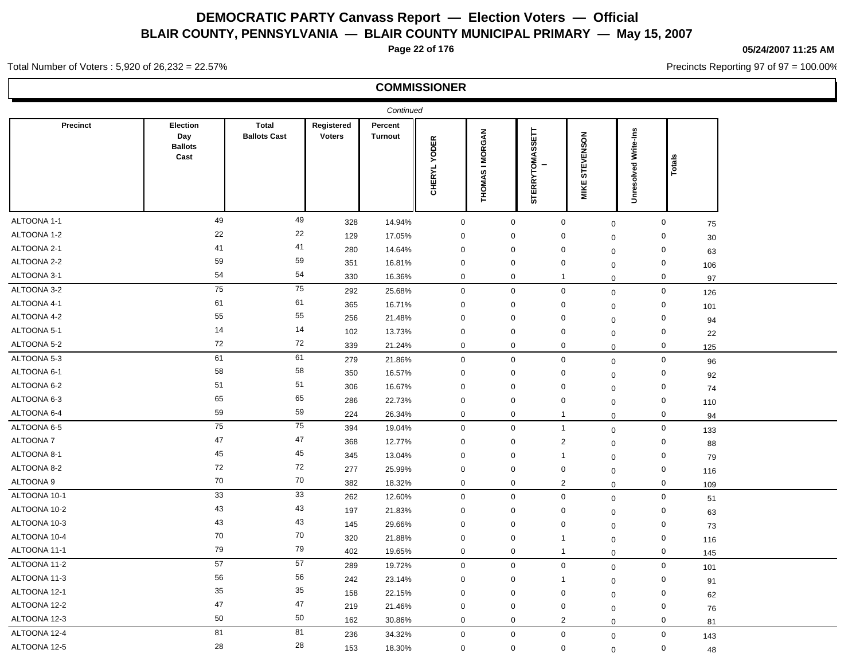**Page 22 of 176**

#### **05/24/2007 11:25 AM**

Precincts Reporting 97 of 97 = 100.00%

Total Number of Voters : 5,920 of 26,232 = 22.57%

|              |                                           |                                     |                      | Continued          |                               |                                 |                                   |                                    |                      |                            |  |
|--------------|-------------------------------------------|-------------------------------------|----------------------|--------------------|-------------------------------|---------------------------------|-----------------------------------|------------------------------------|----------------------|----------------------------|--|
| Precinct     | Election<br>Day<br><b>Ballots</b><br>Cast | <b>Total</b><br><b>Ballots Cast</b> | Registered<br>Voters | Percent<br>Turnout | <b>YODER</b><br><b>CHERYL</b> | <b>IMORGAN</b><br><b>THOMAS</b> | <b>SETT</b><br><b>STERRYTOMAS</b> | STEVENSON<br><b>MIKE</b>           | Unresolved Write-Ins | tals<br>ö                  |  |
| ALTOONA 1-1  | 49                                        | 49                                  | 328                  | 14.94%             | $\mathbf 0$                   | $\mathbf 0$                     |                                   | $\mathbf 0$<br>$\mathbf 0$         |                      | $\mathbf 0$<br>75          |  |
| ALTOONA 1-2  | 22                                        | 22                                  | 129                  | 17.05%             | $\mathbf 0$                   | $\mathbf 0$                     |                                   | $\mathbf 0$<br>$\mathbf 0$         |                      | $\mathbf 0$<br>30          |  |
| ALTOONA 2-1  | 41                                        | 41                                  | 280                  | 14.64%             | $\mathbf 0$                   | $\mathbf 0$                     |                                   | $\mathbf 0$<br>$\mathbf 0$         |                      | 0<br>63                    |  |
| ALTOONA 2-2  | 59                                        | 59                                  | 351                  | 16.81%             | $\mathbf 0$                   | 0                               |                                   | 0<br>$\mathbf 0$                   |                      | $\mathbf 0$<br>106         |  |
| ALTOONA 3-1  | 54                                        | 54                                  | 330                  | 16.36%             | $\mathbf 0$                   | $\mathbf{0}$                    | $\mathbf 1$                       | $\mathbf 0$                        |                      | $\mathbf{0}$<br>97         |  |
| ALTOONA 3-2  | 75                                        | 75                                  | 292                  | 25.68%             | $\mathbf 0$                   | $\mathbf 0$                     |                                   | $\mathbf 0$<br>$\mathbf 0$         |                      | $\mathbf 0$<br>126         |  |
| ALTOONA 4-1  | 61                                        | 61                                  | 365                  | 16.71%             | $\mathbf 0$                   | $\mathbf 0$                     |                                   | $\mathbf 0$<br>$\mathbf 0$         |                      | $\mathbf 0$<br>101         |  |
| ALTOONA 4-2  | 55                                        | 55                                  | 256                  | 21.48%             | $\mathbf 0$                   | 0                               |                                   | 0<br>$\mathbf 0$                   |                      | $\mathbf 0$<br>94          |  |
| ALTOONA 5-1  | 14                                        | 14                                  | 102                  | 13.73%             | $\mathbf 0$                   | 0                               |                                   | $\mathbf 0$<br>$\mathbf 0$         |                      | $\mathbf 0$<br>22          |  |
| ALTOONA 5-2  | $72\,$                                    | 72                                  | 339                  | 21.24%             | $\mathbf 0$                   | $\mathbf 0$                     |                                   | $\mathbf 0$<br>$\mathbf 0$         |                      | $\mathbf 0$<br>125         |  |
| ALTOONA 5-3  | 61                                        | 61                                  | 279                  | 21.86%             | $\mathbf 0$                   | $\mathbf 0$                     | $\mathbf 0$                       | $\mathbf 0$                        |                      | $\mathsf{O}\xspace$<br>96  |  |
| ALTOONA 6-1  | 58                                        | 58                                  | 350                  | 16.57%             | $\mathbf 0$                   | $\mathbf 0$                     |                                   | $\mathbf 0$<br>$\mathbf 0$         |                      | $\mathbf 0$<br>92          |  |
| ALTOONA 6-2  | 51                                        | 51                                  | 306                  | 16.67%             | $\mathbf 0$                   | $\mathbf 0$                     |                                   | $\mathbf 0$<br>$\mathbf 0$         |                      | $\mathbf 0$<br>74          |  |
| ALTOONA 6-3  | 65                                        | 65                                  | 286                  | 22.73%             | $\mathbf 0$                   | $\mathbf 0$                     |                                   | $\mathbf 0$<br>$\mathbf 0$         |                      | $\mathsf{O}\xspace$<br>110 |  |
| ALTOONA 6-4  | 59                                        | 59                                  | 224                  | 26.34%             | $\mathsf 0$                   | $\mathbf 0$                     | $\mathbf{1}$                      | $\mathbf 0$                        |                      | $\mathbf{0}$<br>94         |  |
| ALTOONA 6-5  | 75                                        | 75                                  | 394                  | 19.04%             | $\mathbf 0$                   | $\mathbf 0$                     |                                   | $\mathbf{1}$<br>$\mathbf 0$        |                      | $\mathbf 0$<br>133         |  |
| ALTOONA 7    | 47                                        | 47                                  | 368                  | 12.77%             | $\mathbf 0$                   | $\mathbf 0$                     |                                   | $\overline{2}$<br>$\mathbf 0$      |                      | $\mathbf 0$<br>88          |  |
| ALTOONA 8-1  | 45                                        | 45                                  | 345                  | 13.04%             | $\mathbf 0$                   | 0                               | $\mathbf{1}$                      | $\mathbf 0$                        |                      | $\mathbf 0$<br>79          |  |
| ALTOONA 8-2  | 72                                        | 72                                  | 277                  | 25.99%             | $\mathbf 0$                   | $\mathbf 0$                     |                                   | $\mathbf 0$<br>$\mathsf{O}\xspace$ |                      | $\mathbf 0$<br>116         |  |
| ALTOONA 9    | 70                                        | 70                                  | 382                  | 18.32%             | $\mathbf 0$                   | $\mathbf 0$                     |                                   | $\overline{2}$<br>$\mathbf 0$      |                      | $\mathbf 0$<br>109         |  |
| ALTOONA 10-1 | 33                                        | 33                                  | 262                  | 12.60%             | $\mathbf 0$                   | $\mathbf 0$                     |                                   | $\mathbf 0$<br>$\mathbf 0$         |                      | $\mathbf 0$<br>51          |  |
| ALTOONA 10-2 | 43                                        | 43                                  | 197                  | 21.83%             | $\mathbf 0$                   | $\mathbf 0$                     |                                   | $\mathbf 0$<br>$\mathbf 0$         |                      | $\mathbf 0$<br>63          |  |
| ALTOONA 10-3 | 43                                        | 43                                  | 145                  | 29.66%             | $\mathbf 0$                   | $\mathbf 0$                     |                                   | $\mathbf 0$<br>$\mathbf 0$         |                      | $\mathbf 0$<br>73          |  |
| ALTOONA 10-4 | 70                                        | 70                                  | 320                  | 21.88%             | $\mathbf 0$                   | $\mathbf 0$                     | -1                                | $\mathbf 0$                        |                      | $\mathbf 0$<br>116         |  |
| ALTOONA 11-1 | 79                                        | 79                                  | 402                  | 19.65%             | $\mathbf 0$                   | $\mathbf 0$                     | $\mathbf{1}$                      | $\mathbf 0$                        |                      | $\mathbf 0$<br>145         |  |
| ALTOONA 11-2 | 57                                        | 57                                  | 289                  | 19.72%             | $\mathbf 0$                   | $\mathbf 0$                     |                                   | $\mathbf 0$<br>$\mathbf 0$         |                      | $\mathbf 0$<br>101         |  |
| ALTOONA 11-3 | 56                                        | 56                                  | 242                  | 23.14%             | $\mathbf 0$                   | $\mathbf 0$                     | $\mathbf{1}$                      | $\mathbf 0$                        |                      | $\mathbf 0$<br>91          |  |
| ALTOONA 12-1 | 35                                        | 35                                  | 158                  | 22.15%             | $\mathbf 0$                   | $\mathbf 0$                     |                                   | $\mathbf 0$<br>$\mathbf 0$         |                      | $\mathbf 0$<br>62          |  |
| ALTOONA 12-2 | 47                                        | 47                                  | 219                  | 21.46%             | $\mathbf 0$                   | $\mathbf 0$                     |                                   | $\mathbf 0$<br>$\mathbf 0$         |                      | $\mathbf 0$<br>76          |  |
| ALTOONA 12-3 | 50                                        | 50                                  | 162                  | 30.86%             | $\mathbf 0$                   | $\mathbf 0$                     |                                   | $\overline{2}$<br>$\mathbf 0$      |                      | $\mathbf 0$<br>81          |  |
| ALTOONA 12-4 | 81                                        | 81                                  | 236                  | 34.32%             | $\mathbf 0$                   | $\mathbf 0$                     | $\mathbf 0$                       | $\mathbf 0$                        |                      | $\mathbf 0$<br>143         |  |
| ALTOONA 12-5 | 28                                        | 28                                  | 153                  | 18.30%             | $\mathbf 0$                   | $\mathbf 0$                     |                                   | $\mathbf 0$<br>$\mathbf 0$         |                      | $\mathbf 0$<br>48          |  |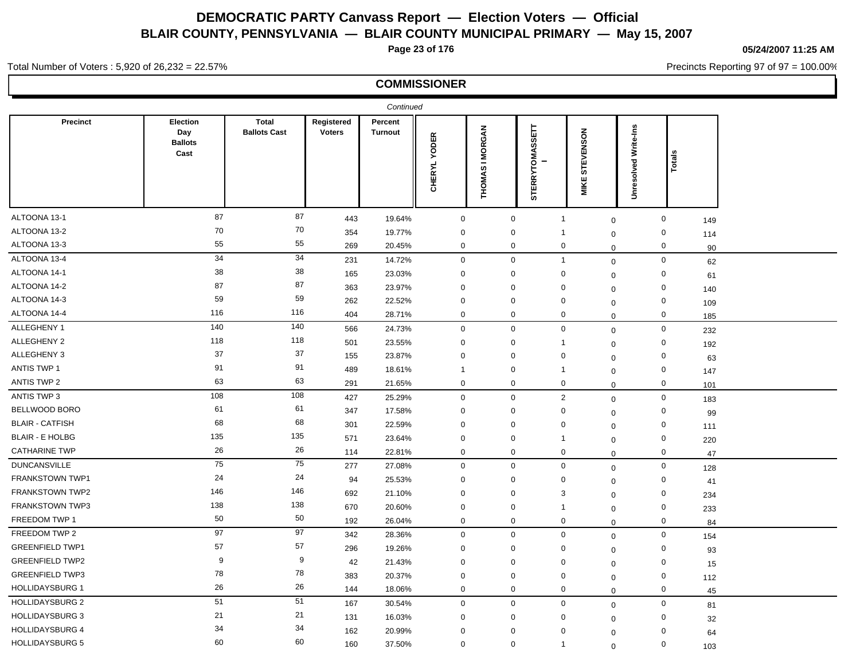**Page 23 of 176**

**05/24/2007 11:25 AM**

Precincts Reporting 97 of 97 = 100.00%

#### Total Number of Voters : 5,920 of 26,232 = 22.57%

|                        |                                           |                                     |                             | Continued                 |                               |                                                            |                          |                      |                      |                           |    |
|------------------------|-------------------------------------------|-------------------------------------|-----------------------------|---------------------------|-------------------------------|------------------------------------------------------------|--------------------------|----------------------|----------------------|---------------------------|----|
| Precinct               | Election<br>Day<br><b>Ballots</b><br>Cast | <b>Total</b><br><b>Ballots Cast</b> | Registered<br><b>Voters</b> | Percent<br><b>Turnout</b> | <b>YODER</b><br><b>CHERYL</b> | <b>MORGAN</b><br>$\overline{\phantom{0}}$<br><b>THOMAS</b> | 팂<br><b>STERRYTOMASS</b> | STEVENSON<br>ш<br>ΜK | Unresolved Write-Ins | ಸ<br>ಕ                    |    |
| ALTOONA 13-1           | 87                                        | 87                                  | 443                         | 19.64%                    | $\mathbf 0$                   | $\mathbf 0$                                                |                          | $\mathbf 1$          | $\mathbf 0$          | $\mathbf 0$<br>149        |    |
| ALTOONA 13-2           | 70                                        | 70                                  | 354                         | 19.77%                    | $\mathbf 0$                   | $\mathbf 0$                                                |                          | -1                   | $\mathbf 0$          | $\mathbf 0$<br>114        |    |
| ALTOONA 13-3           | 55                                        | 55                                  | 269                         | 20.45%                    | $\mathbf 0$                   | $\mathbf 0$                                                |                          | $\mathbf 0$          | $\Omega$             | $\mathbf 0$               | 90 |
| ALTOONA 13-4           | 34                                        | 34                                  | 231                         | 14.72%                    | $\mathbf 0$                   | $\mathbf 0$                                                |                          | $\overline{1}$       | 0                    | $\mathsf{O}\xspace$<br>62 |    |
| ALTOONA 14-1           | 38                                        | 38                                  | 165                         | 23.03%                    | $\mathbf 0$                   | $\mathbf 0$                                                |                          | $\mathbf 0$          | $\Omega$             | $\mathbf 0$<br>61         |    |
| ALTOONA 14-2           | 87                                        | 87                                  | 363                         | 23.97%                    | $\mathbf 0$                   | $\mathbf 0$                                                |                          | $\mathbf 0$          | $\mathbf 0$          | $\mathbf 0$<br>140        |    |
| ALTOONA 14-3           | 59                                        | 59                                  | 262                         | 22.52%                    | $\mathbf 0$                   | $\Omega$                                                   |                          | 0                    | $\mathbf 0$          | $\mathbf 0$<br>109        |    |
| ALTOONA 14-4           | 116                                       | 116                                 | 404                         | 28.71%                    | $\mathbf 0$                   | 0                                                          |                          | $\mathbf 0$          | $\mathbf 0$          | $\mathbf 0$<br>185        |    |
| ALLEGHENY 1            | 140                                       | $140$                               | 566                         | 24.73%                    | $\mathbf 0$                   | $\mathbf{0}$                                               |                          | $\mathbf 0$          | $\mathbf 0$          | $\mathbf 0$<br>232        |    |
| ALLEGHENY 2            | 118                                       | 118                                 | 501                         | 23.55%                    | $\mathbf 0$                   | 0                                                          |                          | -1                   | $\mathbf 0$          | $\mathbf 0$<br>192        |    |
| ALLEGHENY 3            | 37                                        | 37                                  | 155                         | 23.87%                    | $\mathbf 0$                   | $\mathbf{0}$                                               |                          | $\mathbf 0$          | $\mathbf 0$          | $\mathbf 0$<br>63         |    |
| <b>ANTIS TWP 1</b>     | 91                                        | 91                                  | 489                         | 18.61%                    | $\overline{1}$                | $\mathbf 0$                                                |                          | -1                   | $\Omega$             | $\mathbf 0$<br>147        |    |
| ANTIS TWP 2            | 63                                        | 63                                  | 291                         | 21.65%                    | $\mathbf 0$                   | $\mathbf 0$                                                |                          | $\mathbf 0$          | $\Omega$             | $\mathbf 0$<br>101        |    |
| ANTIS TWP 3            | 108                                       | $108$                               | 427                         | 25.29%                    | $\mathbf 0$                   | $\mathbf 0$                                                |                          | $\overline{2}$       | $\mathbf 0$          | $\mathbf 0$<br>183        |    |
| BELLWOOD BORO          | 61                                        | 61                                  | 347                         | 17.58%                    | $\mathbf 0$                   | 0                                                          |                          | $\mathbf 0$          | $\Omega$             | $\mathbf 0$<br>99         |    |
| <b>BLAIR - CATFISH</b> | 68                                        | 68                                  | 301                         | 22.59%                    | $\mathbf 0$                   | 0                                                          |                          | 0                    | $\mathbf 0$          | $\mathbf 0$<br>111        |    |
| <b>BLAIR - E HOLBG</b> | 135                                       | 135                                 | 571                         | 23.64%                    | $\mathbf 0$                   | 0                                                          |                          | -1                   | $\mathbf 0$          | $\mathbf 0$<br>220        |    |
| <b>CATHARINE TWP</b>   | 26                                        | 26                                  | 114                         | 22.81%                    | $\mathbf 0$                   | $\mathbf 0$                                                |                          | 0                    | $\Omega$             | $\mathbf 0$<br>47         |    |
| <b>DUNCANSVILLE</b>    | 75                                        | 75                                  | 277                         | 27.08%                    | $\mathbf 0$                   | $\mathbf 0$                                                |                          | $\mathsf 0$          | 0                    | $\mathbf 0$<br>128        |    |
| FRANKSTOWN TWP1        | 24                                        | 24                                  | 94                          | 25.53%                    | $\mathbf 0$                   | $\mathbf{0}$                                               |                          | $\mathbf 0$          | $\mathbf 0$          | $\mathbf 0$<br>41         |    |
| <b>FRANKSTOWN TWP2</b> | 146                                       | 146                                 | 692                         | 21.10%                    | $\mathbf 0$                   | $\mathbf 0$                                                |                          | 3                    | $\mathbf 0$          | $\mathbf 0$<br>234        |    |
| <b>FRANKSTOWN TWP3</b> | 138                                       | 138                                 | 670                         | 20.60%                    | $\mathbf 0$                   | $\mathbf 0$                                                |                          | -1                   | $\Omega$             | $\mathbf 0$<br>233        |    |
| FREEDOM TWP 1          | 50                                        | 50                                  | 192                         | 26.04%                    | $\mathbf 0$                   | $\mathbf 0$                                                |                          | $\mathbf 0$          | $\Omega$             | $\mathbf 0$<br>84         |    |
| FREEDOM TWP 2          | 97                                        | 97                                  | 342                         | 28.36%                    | $\mathbf 0$                   | $\mathbf 0$                                                |                          | $\mathbf 0$          | $\Omega$             | $\mathbf 0$<br>154        |    |
| <b>GREENFIELD TWP1</b> | 57                                        | 57                                  | 296                         | 19.26%                    | $\mathbf 0$                   | 0                                                          |                          | $\mathbf 0$          | $\mathbf 0$          | $\mathbf 0$<br>93         |    |
| <b>GREENFIELD TWP2</b> | 9                                         | 9                                   | 42                          | 21.43%                    | $\mathbf 0$                   | $\Omega$                                                   |                          | $\mathbf 0$          | $\mathbf 0$          | $\mathbf 0$<br>15         |    |
| <b>GREENFIELD TWP3</b> | 78                                        | 78                                  | 383                         | 20.37%                    | $\mathbf 0$                   | $\mathbf 0$                                                |                          | 0                    | $\mathbf 0$          | $\mathbf 0$<br>112        |    |
| <b>HOLLIDAYSBURG 1</b> | 26                                        | 26                                  | 144                         | 18.06%                    | $\mathbf 0$                   | $\mathbf 0$                                                |                          | $\mathbf 0$          | $\mathbf 0$          | $\mathbf 0$               | 45 |
| <b>HOLLIDAYSBURG 2</b> | 51                                        | 51                                  | 167                         | 30.54%                    | $\mathbf 0$                   | $\mathbf 0$                                                |                          | $\mathbf 0$          | 0                    | $\mathbf 0$<br>81         |    |
| <b>HOLLIDAYSBURG 3</b> | 21                                        | 21                                  | 131                         | 16.03%                    | $\mathbf 0$                   | $\Omega$                                                   |                          | $\mathbf 0$          | $\Omega$             | $\mathbf 0$               | 32 |
| <b>HOLLIDAYSBURG 4</b> | 34                                        | 34                                  | 162                         | 20.99%                    | $\mathbf 0$                   | $\Omega$                                                   |                          | $\mathbf 0$          | $\Omega$             | $\mathbf 0$<br>64         |    |
| <b>HOLLIDAYSBURG 5</b> | 60                                        | 60                                  | 160                         | 37.50%                    | $\mathbf 0$                   | $\mathbf 0$                                                |                          | $\overline{1}$       | $\Omega$             | $\mathbf 0$<br>103        |    |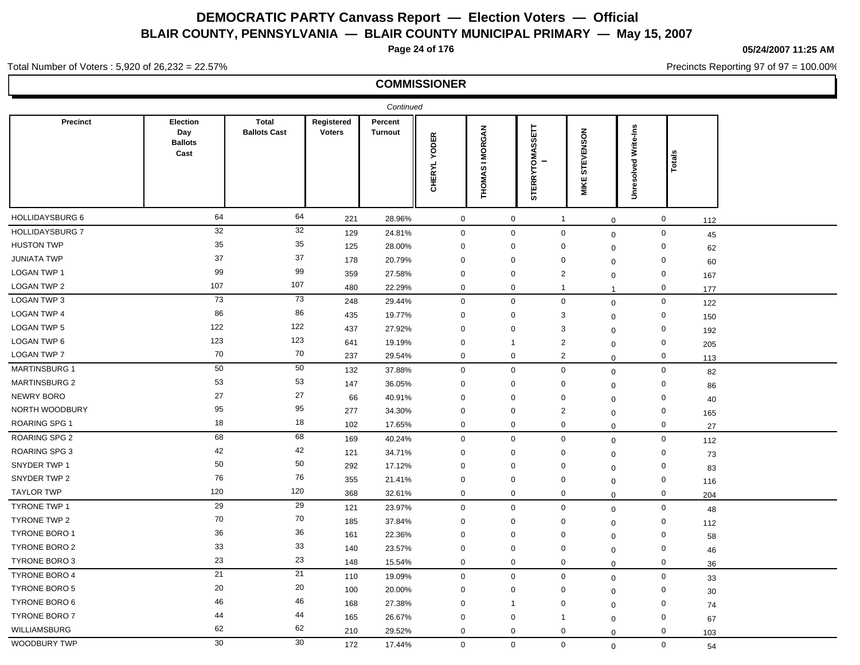**Page 24 of 176**

**05/24/2007 11:25 AM**

Precincts Reporting 97 of 97 = 100.00%

#### Total Number of Voters : 5,920 of 26,232 = 22.57%

|                        |                                           |                                     |                             | Continued                 |                          |                                  |                          |                          |                         |                    |  |
|------------------------|-------------------------------------------|-------------------------------------|-----------------------------|---------------------------|--------------------------|----------------------------------|--------------------------|--------------------------|-------------------------|--------------------|--|
| Precinct               | Election<br>Day<br><b>Ballots</b><br>Cast | <b>Total</b><br><b>Ballots Cast</b> | Registered<br><b>Voters</b> | Percent<br><b>Turnout</b> | . YODER<br><b>CHERYL</b> | <b>I MORGAN</b><br><b>THOMAS</b> | RYTOMASSETT<br>TER<br>່ທ | STEVENSON<br><b>MIKE</b> | Write-Ins<br>Unresolved | otal               |  |
| HOLLIDAYSBURG 6        | 64                                        | 64                                  | 221                         | 28.96%                    | $\pmb{0}$                | $\mathbf 0$                      | $\overline{1}$           |                          | $\mathbf 0$             | $\mathbf 0$<br>112 |  |
| <b>HOLLIDAYSBURG 7</b> | 32                                        | 32                                  | 129                         | 24.81%                    | $\mathbf 0$              | $\mathbf 0$                      |                          | $\mathbf 0$              | $\mathsf 0$             | $\mathbf 0$<br>45  |  |
| <b>HUSTON TWP</b>      | 35                                        | 35                                  | 125                         | 28.00%                    | $\mathbf 0$              | 0                                | $\mathbf 0$              |                          | 0                       | $\mathbf 0$<br>62  |  |
| <b>JUNIATA TWP</b>     | 37                                        | 37                                  | 178                         | 20.79%                    | $\mathbf 0$              | 0                                | $\mathbf 0$              |                          | $\mathbf 0$             | $\mathbf 0$<br>60  |  |
| LOGAN TWP 1            | 99                                        | 99                                  | 359                         | 27.58%                    | $\mathbf 0$              | $\mathbf{0}$                     | $\overline{2}$           |                          | $\mathbf 0$             | $\mathbf 0$<br>167 |  |
| <b>LOGAN TWP 2</b>     | 107                                       | 107                                 | 480                         | 22.29%                    | $\mathbf 0$              | 0                                | $\overline{1}$           | $\mathbf{1}$             |                         | $\mathbf 0$<br>177 |  |
| LOGAN TWP 3            | 73                                        | 73                                  | 248                         | 29.44%                    | $\mathbf 0$              | $\mathbf 0$                      | $\mathbf 0$              |                          | $\mathbf 0$             | $\mathbf 0$<br>122 |  |
| <b>LOGAN TWP 4</b>     | 86                                        | 86                                  | 435                         | 19.77%                    | $\mathbf 0$              | $\mathbf 0$                      | 3                        |                          | $\Omega$                | $\mathbf 0$<br>150 |  |
| <b>LOGAN TWP 5</b>     | 122                                       | 122                                 | 437                         | 27.92%                    | $\mathbf 0$              | $\mathbf 0$                      | 3                        |                          | $\Omega$                | $\mathbf 0$<br>192 |  |
| <b>LOGAN TWP 6</b>     | 123                                       | 123                                 | 641                         | 19.19%                    | $\mathbf 0$              | $\mathbf{1}$                     | $\overline{2}$           |                          | 0                       | $\mathbf 0$<br>205 |  |
| <b>LOGAN TWP 7</b>     | 70                                        | 70                                  | 237                         | 29.54%                    | $\mathbf 0$              | 0                                | $\overline{2}$           |                          | $\Omega$                | $\mathbf 0$<br>113 |  |
| <b>MARTINSBURG 1</b>   | 50                                        | 50                                  | 132                         | 37.88%                    | $\mathbf 0$              | $\mathbf{0}$                     | $\mathbf 0$              |                          | $\mathbf 0$             | $\mathbf 0$<br>82  |  |
| <b>MARTINSBURG 2</b>   | 53                                        | 53                                  | 147                         | 36.05%                    | $\mathbf 0$              | $\mathbf{0}$                     | $\mathbf 0$              |                          | $\mathbf 0$             | $\mathbf 0$<br>86  |  |
| NEWRY BORO             | 27                                        | 27                                  | 66                          | 40.91%                    | $\mathbf 0$              | $\mathbf 0$                      | $\mathbf 0$              |                          | 0                       | $\mathbf 0$<br>40  |  |
| NORTH WOODBURY         | 95                                        | 95                                  | 277                         | 34.30%                    | $\mathbf 0$              | $\mathbf 0$                      | $\overline{2}$           |                          | $\mathbf 0$             | $\mathbf 0$<br>165 |  |
| <b>ROARING SPG1</b>    | 18                                        | 18                                  | 102                         | 17.65%                    | $\mathbf 0$              | 0                                | $\mathbf 0$              |                          | $\mathbf 0$             | $\mathbf 0$<br>27  |  |
| <b>ROARING SPG 2</b>   | 68                                        | 68                                  | 169                         | 40.24%                    | $\mathbf 0$              | $\mathbf 0$                      |                          | $\mathbf 0$              | $\mathbf 0$             | $\mathbf 0$<br>112 |  |
| <b>ROARING SPG 3</b>   | 42                                        | 42                                  | 121                         | 34.71%                    | $\mathbf 0$              | 0                                | 0                        |                          | $\mathbf 0$             | $\mathbf 0$<br>73  |  |
| SNYDER TWP 1           | 50                                        | 50                                  | 292                         | 17.12%                    | $\mathbf 0$              | $\mathbf 0$                      | $\mathbf 0$              |                          | $\mathbf 0$             | $\mathbf 0$<br>83  |  |
| SNYDER TWP 2           | 76                                        | 76                                  | 355                         | 21.41%                    | $\mathbf 0$              | $\mathbf 0$                      | $\mathbf 0$              | $\mathbf 0$              |                         | $\mathbf 0$<br>116 |  |
| <b>TAYLOR TWP</b>      | 120                                       | 120                                 | 368                         | 32.61%                    | $\mathbf 0$              | $\mathbf 0$                      | $\mathbf 0$              |                          | 0                       | $\mathbf 0$<br>204 |  |
| <b>TYRONE TWP 1</b>    | 29                                        | 29                                  | 121                         | 23.97%                    | $\mathbf 0$              | $\mathbf 0$                      | $\mathbf 0$              |                          | $\mathbf 0$             | $\mathbf 0$<br>48  |  |
| TYRONE TWP 2           | 70                                        | 70                                  | 185                         | 37.84%                    | $\mathbf 0$              | $\mathbf 0$                      | $\mathbf 0$              |                          | $\mathbf 0$             | $\mathbf 0$<br>112 |  |
| <b>TYRONE BORO 1</b>   | 36                                        | 36                                  | 161                         | 22.36%                    | $\mathbf 0$              | $\mathbf 0$                      | 0                        |                          | $\Omega$                | $\mathbf 0$<br>58  |  |
| <b>TYRONE BORO 2</b>   | 33                                        | 33                                  | 140                         | 23.57%                    | $\mathbf 0$              | 0                                | $\mathbf 0$              |                          | 0                       | $\mathbf 0$<br>46  |  |
| <b>TYRONE BORO 3</b>   | 23                                        | 23                                  | 148                         | 15.54%                    | $\mathbf 0$              | $\mathbf 0$                      | $\mathbf 0$              |                          | $\Omega$                | $\mathbf 0$<br>36  |  |
| <b>TYRONE BORO 4</b>   | 21                                        | 21                                  | 110                         | 19.09%                    | $\mathbf 0$              | $\mathbf{0}$                     | $\mathbf 0$              |                          | $\mathbf 0$             | $\mathbf 0$<br>33  |  |
| <b>TYRONE BORO 5</b>   | 20                                        | 20                                  | 100                         | 20.00%                    | $\mathbf 0$              | $\mathbf 0$                      | $\mathbf 0$              |                          | $\mathbf 0$             | 0<br>30            |  |
| TYRONE BORO 6          | 46                                        | 46                                  | 168                         | 27.38%                    | $\mathbf 0$              | $\overline{1}$                   | $\mathbf 0$              |                          | $\Omega$                | $\mathbf 0$<br>74  |  |
| <b>TYRONE BORO 7</b>   | 44                                        | 44                                  | 165                         | 26.67%                    | $\mathbf 0$              | $\mathbf 0$                      | $\mathbf 1$              |                          | $\mathbf 0$             | $\mathbf 0$<br>67  |  |
| WILLIAMSBURG           | 62                                        | 62                                  | 210                         | 29.52%                    | $\mathbf 0$              | 0                                | 0                        |                          | $\Omega$                | 0<br>103           |  |
| WOODBURY TWP           | 30                                        | 30                                  | 172                         | 17.44%                    | $\mathbf 0$              | $\mathbf{0}$                     |                          | $\mathbf 0$              | $\mathbf{0}$            | $\mathbf 0$<br>54  |  |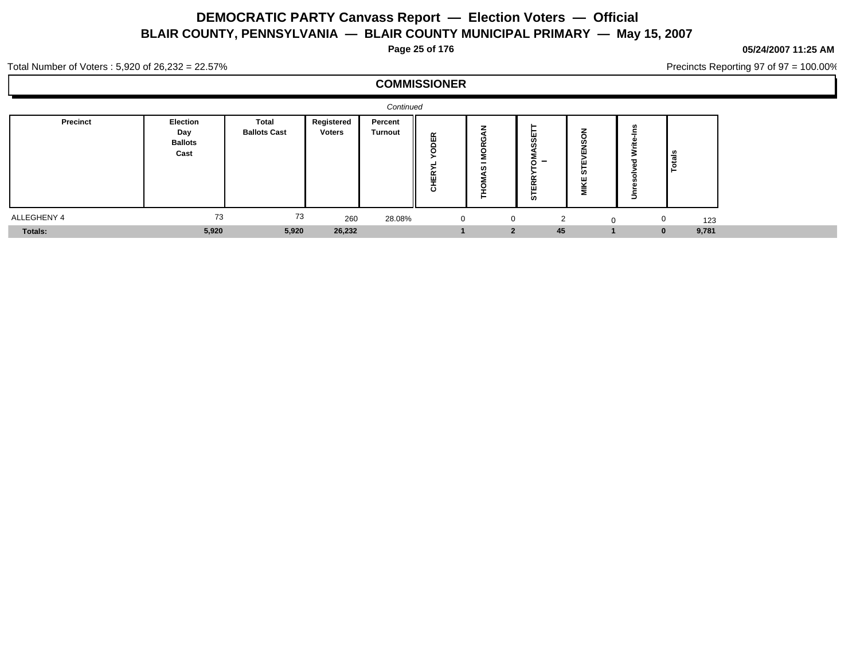**Page 25 of 176**

#### **05/24/2007 11:25 AM**

Precincts Reporting 97 of 97 = 100.00%

Total Number of Voters : 5,920 of 26,232 = 22.57%

|                 |                                           |                              |                             | Continued                 |                                    |                          |                                                         |                         |            |       |  |
|-----------------|-------------------------------------------|------------------------------|-----------------------------|---------------------------|------------------------------------|--------------------------|---------------------------------------------------------|-------------------------|------------|-------|--|
| <b>Precinct</b> | Election<br>Day<br><b>Ballots</b><br>Cast | Total<br><b>Ballots Cast</b> | Registered<br><b>Voters</b> | Percent<br><b>Turnout</b> | 岛<br>$\alpha$<br>ш<br>=<br>$\circ$ | -<br>c                   | --<br>$\overline{\phantom{0}}$<br>O<br>- -<br><b>in</b> | ທ<br>ш<br>$\sim$ $\sim$ | ြိန်<br>∣ë |       |  |
| ALLEGHENY 4     | 73                                        | 73                           | 260                         | 28.08%                    |                                    | $\mathbf{0}$<br>$\Omega$ | ◠                                                       |                         |            | 123   |  |
| Totals:         | 5,920                                     | 5,920                        | 26,232                      |                           |                                    | $\bullet$                | 45                                                      |                         | $\Omega$   | 9,781 |  |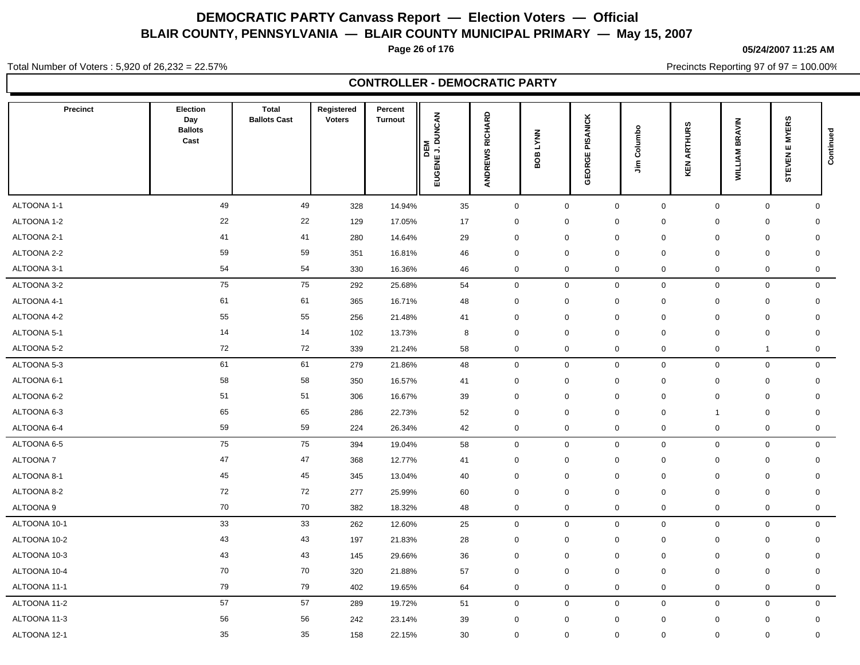**Page 26 of 176**

**05/24/2007 11:25 AM**

Total Number of Voters : 5,920 of 26,232 = 22.57%

Precincts Reporting 97 of 97 = 100.00%

### **CONTROLLER - DEMOCRATIC PARTY**

| <b>Precinct</b> | <b>Election</b><br>Day<br><b>Ballots</b><br>Cast | <b>Total</b><br><b>Ballots Cast</b> | Registered<br><b>Voters</b> | Percent<br><b>Turnout</b> | <b>DEM<br/>EUGENE J. DUNCAN</b> | ANDREWS RICHARD | <b>LYNN</b><br>80B | PISANICK<br>GEORGE | Columbo<br>$\tilde{z}$ | <b>ARTHURS</b><br>KEN | <b>BRAVIN</b><br><b>WILLIAM</b> | <b>EMYERS</b><br><b>STEVEN</b> | Continued    |
|-----------------|--------------------------------------------------|-------------------------------------|-----------------------------|---------------------------|---------------------------------|-----------------|--------------------|--------------------|------------------------|-----------------------|---------------------------------|--------------------------------|--------------|
| ALTOONA 1-1     | 49                                               | 49                                  | 328                         | 14.94%                    | 35                              | $\mathbf 0$     | $\mathsf 0$        | $\mathbf 0$        | $\mathbf 0$            |                       | $\mathbf 0$                     | $\mathbf 0$                    | $\mathbf 0$  |
| ALTOONA 1-2     | 22                                               | 22                                  | 129                         | 17.05%                    | 17                              | 0               | $\mathbf 0$        | $\mathbf 0$        | $\mathbf 0$            |                       | $\mathbf 0$<br>0                |                                | $\mathbf 0$  |
| ALTOONA 2-1     | 41                                               | 41                                  | 280                         | 14.64%                    | 29                              | $\mathbf 0$     | $\mathbf 0$        | $\mathbf 0$        | $\mathbf 0$            |                       | $\mathbf 0$                     | $\mathbf 0$                    | $\mathbf 0$  |
| ALTOONA 2-2     | 59                                               | 59                                  | 351                         | 16.81%                    | 46                              | $\mathbf 0$     | $\mathbf 0$        | $\mathbf 0$        | $\mathbf 0$            |                       | $\mathbf 0$                     | $\mathbf 0$                    | $\mathbf 0$  |
| ALTOONA 3-1     | 54                                               | 54                                  | 330                         | 16.36%                    | 46                              | 0               | $\mathbf 0$        | $\mathbf 0$        | 0                      |                       | $\mathbf 0$                     | $\mathbf 0$                    | 0            |
| ALTOONA 3-2     | 75                                               | 75                                  | 292                         | 25.68%                    | 54                              | $\mathbf 0$     | $\mathbf 0$        | $\mathbf 0$        | $\mathbf 0$            |                       | $\mathbf 0$                     | $\mathbf 0$                    | $\mathbf 0$  |
| ALTOONA 4-1     | 61                                               | 61                                  | 365                         | 16.71%                    | 48                              | 0               | $\mathbf 0$        | $\mathbf 0$        | $\mathbf 0$            |                       | $\mathbf 0$                     | $\mathbf 0$                    | $\mathbf 0$  |
| ALTOONA 4-2     | 55                                               | 55                                  | 256                         | 21.48%                    | 41                              | 0               | $\mathbf 0$        | $\mathbf 0$        | $\mathbf 0$            |                       | $\mathbf 0$<br>$\mathbf 0$      |                                | $\mathbf 0$  |
| ALTOONA 5-1     | 14                                               | 14                                  | 102                         | 13.73%                    | 8                               | $\mathbf 0$     | $\mathbf 0$        | $\mathbf 0$        | $\mathbf 0$            |                       | $\mathbf 0$                     | $\mathbf 0$                    | $\mathbf 0$  |
| ALTOONA 5-2     | 72                                               | 72                                  | 339                         | 21.24%                    | 58                              | 0               | $\mathsf 0$        | $\mathbf 0$        | 0                      |                       | $\mathbf 0$<br>$\overline{1}$   |                                | $\mathbf 0$  |
| ALTOONA 5-3     | 61                                               | 61                                  | 279                         | 21.86%                    | 48                              | $\mathbf 0$     | $\mathbf 0$        | $\mathbf 0$        | $\mathbf 0$            |                       | $\mathbf 0$                     | $\mathbf 0$                    | $\mathbf 0$  |
| ALTOONA 6-1     | 58                                               | 58                                  | 350                         | 16.57%                    | 41                              | $\mathbf 0$     | $\mathbf 0$        | $\mathbf 0$        | $\mathbf 0$            |                       | $\mathbf 0$                     | $\mathbf 0$                    | $\mathbf 0$  |
| ALTOONA 6-2     | 51                                               | 51                                  | 306                         | 16.67%                    | 39                              | $\mathbf 0$     | $\mathbf 0$        | $\mathbf 0$        | $\mathbf 0$            |                       | $\mathbf 0$<br>0                |                                | $\mathbf 0$  |
| ALTOONA 6-3     | 65                                               | 65                                  | 286                         | 22.73%                    | 52                              | $\mathbf 0$     | $\mathbf 0$        | $\mathbf 0$        | $\mathbf 0$            | -1                    |                                 | $\mathbf 0$                    | $\mathbf 0$  |
| ALTOONA 6-4     | 59                                               | 59                                  | 224                         | 26.34%                    | 42                              | 0               | $\mathsf 0$        | $\boldsymbol{0}$   | 0                      |                       | $\mathbf 0$                     | $\mathbf 0$                    | $\mathbf 0$  |
| ALTOONA 6-5     | 75                                               | 75                                  | 394                         | 19.04%                    | 58                              | $\mathbf 0$     | $\mathbf 0$        | $\mathbf 0$        | 0                      |                       | $\mathbf 0$                     | $\mathbf 0$                    | $\mathbf 0$  |
| <b>ALTOONA7</b> | 47                                               | 47                                  | 368                         | 12.77%                    | 41                              | $\mathbf 0$     | $\mathbf 0$        | $\mathbf 0$        | $\mathbf 0$            |                       | $\mathbf 0$<br>$\mathbf 0$      |                                | $\mathbf 0$  |
| ALTOONA 8-1     | 45                                               | 45                                  | 345                         | 13.04%                    | 40                              | 0               | $\mathbf 0$        | $\mathbf 0$        | $\mathbf 0$            |                       | $\mathbf 0$                     | $\mathbf 0$                    | $\mathbf 0$  |
| ALTOONA 8-2     | 72                                               | 72                                  | 277                         | 25.99%                    | 60                              | $\mathbf 0$     | $\mathbf 0$        | $\mathbf 0$        | $\mathbf 0$            |                       | $\mathbf 0$<br>$\mathbf 0$      |                                | $\mathbf 0$  |
| ALTOONA 9       | 70                                               | 70                                  | 382                         | 18.32%                    | 48                              | $\pmb{0}$       | $\mathsf 0$        | $\boldsymbol{0}$   | $\pmb{0}$              |                       | $\mathbf 0$                     | $\mathbf 0$                    | 0            |
| ALTOONA 10-1    | 33                                               | 33                                  | 262                         | 12.60%                    | 25                              | $\mathbf 0$     | $\mathbf 0$        | $\mathbf 0$        | $\mathbf 0$            |                       | $\mathbf 0$                     | $\mathbf 0$                    | $\mathbf 0$  |
| ALTOONA 10-2    | 43                                               | 43                                  | 197                         | 21.83%                    | 28                              | 0               | $\mathbf 0$        | $\mathbf 0$        | $\mathbf 0$            |                       | $\mathbf 0$                     | $\mathbf 0$                    | $\mathbf 0$  |
| ALTOONA 10-3    | 43                                               | 43                                  | 145                         | 29.66%                    | 36                              | $\mathbf 0$     | $\mathbf 0$        | $\mathbf 0$        | $\mathbf 0$            |                       | $\mathbf 0$                     | $\mathbf 0$                    | $\mathbf 0$  |
| ALTOONA 10-4    | 70                                               | 70                                  | 320                         | 21.88%                    | 57                              | $\mathbf 0$     | $\mathbf 0$        | $\mathbf 0$        | $\mathbf 0$            |                       | $\mathbf 0$<br>0                |                                | $\mathbf 0$  |
| ALTOONA 11-1    | 79                                               | 79                                  | 402                         | 19.65%                    | 64                              | 0               | $\mathbf 0$        | $\mathbf 0$        | 0                      |                       | $\mathbf 0$                     | $\mathbf 0$                    | 0            |
| ALTOONA 11-2    | 57                                               | 57                                  | 289                         | 19.72%                    | 51                              | $\mathbf 0$     | $\mathbf 0$        | $\mathbf 0$        | $\mathbf 0$            |                       | $\mathbf 0$                     | $\mathbf 0$                    | $\mathsf{O}$ |
| ALTOONA 11-3    | 56                                               | 56                                  | 242                         | 23.14%                    | 39                              | 0               | 0                  | $\mathbf 0$        | 0                      |                       | 0                               | $\mathbf 0$                    | 0            |
| ALTOONA 12-1    | 35                                               | 35                                  | 158                         | 22.15%                    | 30                              | 0               | $\mathbf 0$        | $\mathbf 0$        | $\mathbf 0$            |                       | $\mathbf 0$                     | $\mathbf 0$                    | $\mathbf 0$  |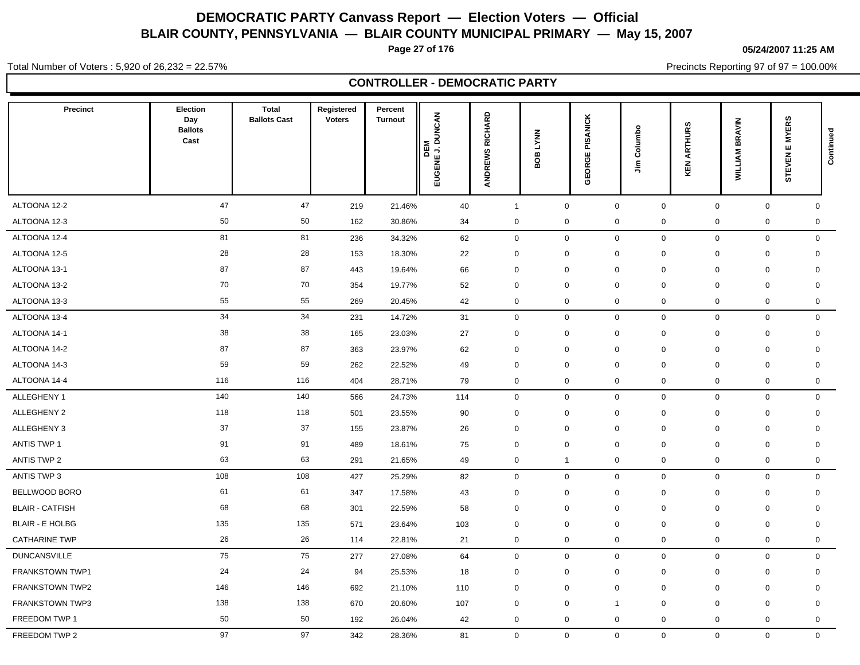**Page 27 of 176**

**05/24/2007 11:25 AM**

Total Number of Voters : 5,920 of 26,232 = 22.57%

Precincts Reporting 97 of 97 = 100.00%

|                        |                                           |                                     |                             | <b>CONTROLLER - DEMOCRATIC PARTY</b> |                                |                 |                       |                    |                              |                        |                       |                                 |              |
|------------------------|-------------------------------------------|-------------------------------------|-----------------------------|--------------------------------------|--------------------------------|-----------------|-----------------------|--------------------|------------------------------|------------------------|-----------------------|---------------------------------|--------------|
| Precinct               | Election<br>Day<br><b>Ballots</b><br>Cast | <b>Total</b><br><b>Ballots Cast</b> | Registered<br><b>Voters</b> | Percent<br><b>Turnout</b>            | <b>DEM</b><br>EUGENE J. DUNCAN | ANDREWS RICHARD | <b>LYNN</b><br>g<br>≃ | PISANICK<br>GEORGE | Columbo<br>$\tilde{\bar{z}}$ | <b>ARTHURS</b><br>KEN. | <b>WILLIAM BRAVIN</b> | <b>EMYERS</b><br><b>STEVEN1</b> | Continued    |
| ALTOONA 12-2           | 47                                        | 47                                  | 219                         | 21.46%                               | 40                             | $\mathbf{1}$    | $\mathsf 0$           | $\mathsf 0$        | $\mathsf 0$                  |                        | $\mathsf{O}\xspace$   | $\mathbf 0$                     | $\mathsf 0$  |
| ALTOONA 12-3           | 50                                        | 50                                  | 162                         | 30.86%                               | 34                             | $\mathbf 0$     | $\mathbf 0$           | $\mathbf 0$        | $\mathsf 0$                  |                        | $\mathsf 0$           | 0                               | $\mathsf 0$  |
| ALTOONA 12-4           | 81                                        | 81                                  | 236                         | 34.32%                               | 62                             | $\mathbf 0$     | $\,0\,$               | $\mathsf 0$        | $\mathbf 0$                  |                        | $\mathbf 0$           | $\mathbf 0$                     | $\mathbf 0$  |
| ALTOONA 12-5           | 28                                        | 28                                  | 153                         | 18.30%                               | 22                             | $\mathbf 0$     | $\mathbf 0$           | $\mathbf 0$        | $\mathbf 0$                  |                        | $\mathbf 0$           | 0                               | $\mathbf 0$  |
| ALTOONA 13-1           | 87                                        | 87                                  | 443                         | 19.64%                               | 66                             | $\mathbf 0$     | $\mathbf 0$           | $\mathbf 0$        | $\mathbf 0$                  |                        | $\mathbf 0$           | 0                               | $\mathbf 0$  |
| ALTOONA 13-2           | 70                                        | 70                                  | 354                         | 19.77%                               | 52                             | $\mathbf 0$     | $\mathbf 0$           | $\mathbf 0$        | $\mathbf 0$                  |                        | $\mathbf 0$           | 0                               | $\mathbf 0$  |
| ALTOONA 13-3           | 55                                        | 55                                  | 269                         | 20.45%                               | 42                             | $\mathbf 0$     | $\mathbf 0$           | $\mathbf 0$        | $\mathbf 0$                  |                        | $\pmb{0}$             | 0                               | 0            |
| ALTOONA 13-4           | 34                                        | 34                                  | 231                         | 14.72%                               | 31                             | $\mathbf 0$     | $\mathsf 0$           | $\mathbf 0$        | $\mathsf 0$                  |                        | $\mathbf 0$           | $\mathbf 0$                     | $\mathbf 0$  |
| ALTOONA 14-1           | 38                                        | 38                                  | 165                         | 23.03%                               | 27                             | $\mathbf 0$     | $\mathbf 0$           | $\mathbf 0$        | $\mathbf 0$                  |                        | $\mathbf 0$           | 0                               | $\mathbf 0$  |
| ALTOONA 14-2           | 87                                        | 87                                  | 363                         | 23.97%                               | 62                             | $\mathbf 0$     | $\mathbf 0$           | $\mathbf 0$        | $\mathbf 0$                  |                        | $\mathbf 0$           | 0                               | $\mathbf 0$  |
| ALTOONA 14-3           | 59                                        | 59                                  | 262                         | 22.52%                               | 49                             | $\mathbf 0$     | $\mathbf 0$           | $\mathbf 0$        | $\mathbf 0$                  |                        | $\mathbf 0$           | $\mathbf 0$                     | $\mathbf 0$  |
| ALTOONA 14-4           | 116                                       | 116                                 | 404                         | 28.71%                               | 79                             | $\mathbf 0$     | $\boldsymbol{0}$      | $\boldsymbol{0}$   | $\mathbf 0$                  |                        | $\mathbf 0$           | $\mathbf 0$                     | $\mathbf 0$  |
| ALLEGHENY 1            | 140                                       | 140                                 | 566                         | 24.73%                               | 114                            | $\mathbf 0$     | $\mathbf 0$           | $\mathbf 0$        | $\mathbf 0$                  |                        | $\mathbf 0$           | $\mathbf 0$                     | $\mathbf 0$  |
| ALLEGHENY 2            | 118                                       | 118                                 | 501                         | 23.55%                               | 90                             | $\mathbf 0$     | $\mathbf 0$           | $\mathbf 0$        | $\mathbf 0$                  |                        | $\Omega$              | 0                               | $\mathbf 0$  |
| ALLEGHENY 3            | 37                                        | 37                                  | 155                         | 23.87%                               | 26                             | $\mathbf 0$     | $\mathbf 0$           | $\mathbf 0$        | $\mathbf 0$                  |                        | $\mathbf 0$           | $\mathbf 0$                     | $\mathbf 0$  |
| <b>ANTIS TWP 1</b>     | 91                                        | 91                                  | 489                         | 18.61%                               | 75                             | $\mathbf 0$     | $\mathbf 0$           | $\mathbf 0$        | $\mathbf 0$                  |                        | $\mathbf 0$           | 0                               | $\mathbf 0$  |
| <b>ANTIS TWP 2</b>     | 63                                        | 63                                  | 291                         | 21.65%                               | 49                             | $\mathbf 0$     | $\overline{1}$        | $\mathbf 0$        | $\mathbf 0$                  |                        | $\mathbf 0$           | 0                               | $\mathsf 0$  |
| ANTIS TWP 3            | 108                                       | 108                                 | 427                         | 25.29%                               | 82                             | $\mathbf 0$     | $\mathbf 0$           | $\mathbf 0$        | $\mathbf 0$                  |                        | $\mathbf 0$           | 0                               | $\mathbf 0$  |
| BELLWOOD BORO          | 61                                        | 61                                  | 347                         | 17.58%                               | 43                             | $\mathbf 0$     | $\mathbf 0$           | $\mathbf 0$        | $\mathsf 0$                  |                        | $\mathbf 0$           | $\mathbf 0$                     | $\mathbf 0$  |
| <b>BLAIR - CATFISH</b> | 68                                        | 68                                  | 301                         | 22.59%                               | 58                             | $\mathbf 0$     | $\mathbf 0$           | $\mathbf 0$        | $\mathsf 0$                  |                        | $\mathbf 0$           | 0                               | $\mathbf 0$  |
| <b>BLAIR - E HOLBG</b> | 135                                       | 135                                 | 571                         | 23.64%                               | 103                            | $\mathbf 0$     | $\mathbf 0$           | $\mathbf 0$        | $\mathbf 0$                  |                        | $\mathbf 0$           | 0                               | $\mathbf 0$  |
| <b>CATHARINE TWP</b>   | 26                                        | 26                                  | 114                         | 22.81%                               | 21                             | $\mathbf 0$     | $\boldsymbol{0}$      | $\mathbf 0$        | $\mathbf 0$                  |                        | $\mathsf 0$           | 0                               | $\mathbf 0$  |
| <b>DUNCANSVILLE</b>    | 75                                        | 75                                  | 277                         | 27.08%                               | 64                             | $\mathbf 0$     | $\mathbf 0$           | $\mathbf 0$        | $\mathbf 0$                  |                        | $\mathbf 0$           | $\mathbf 0$                     | $\mathbf 0$  |
| FRANKSTOWN TWP1        | 24                                        | 24                                  | 94                          | 25.53%                               | 18                             | $\mathbf 0$     | $\mathbf 0$           | $\mathbf 0$        | $\mathbf 0$                  |                        | $\mathbf 0$           | 0                               | $\mathbf 0$  |
| FRANKSTOWN TWP2        | 146                                       | 146                                 | 692                         | 21.10%                               | 110                            | $\mathbf 0$     | $\mathbf 0$           | $\mathbf 0$        | $\mathbf 0$                  |                        | $\mathbf 0$           | $\mathbf 0$                     | $\mathbf 0$  |
| FRANKSTOWN TWP3        | 138                                       | 138                                 | 670                         | 20.60%                               | 107                            | $\mathbf 0$     | $\mathbf 0$           | $\overline{1}$     | $\mathbf 0$                  |                        | $\mathbf 0$           | 0                               | $\mathbf 0$  |
| FREEDOM TWP 1          | 50                                        | 50                                  | 192                         | 26.04%                               | 42                             | $\mathbf 0$     | $\mathbf 0$           | $\mathbf 0$        | $\mathbf 0$                  |                        | $\Omega$              | $\mathbf 0$                     | $\mathbf{0}$ |

FREEDOM TWP 2 97 97 342 28.36% 81 0 0 0 0 0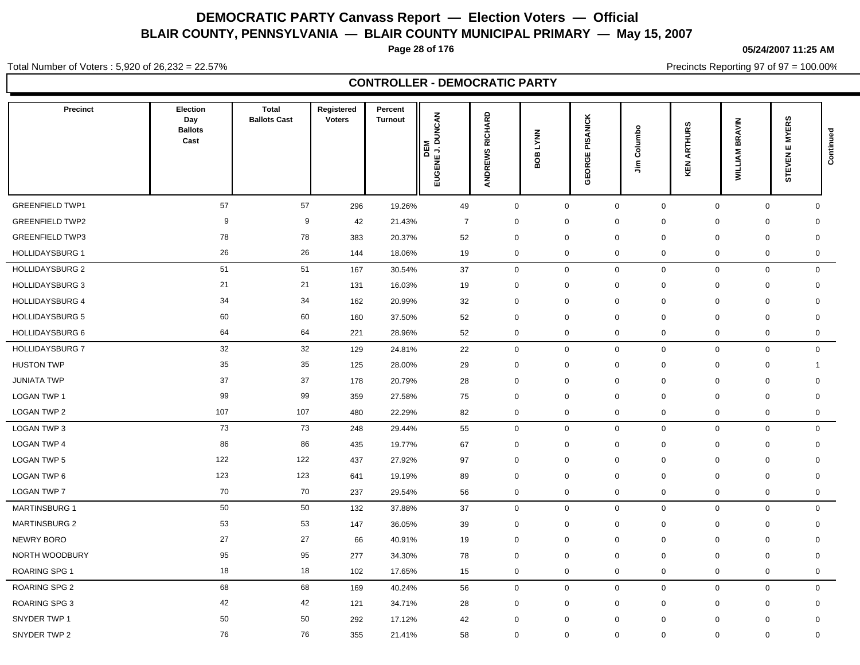**Page 28 of 176**

**05/24/2007 11:25 AM**

Total Number of Voters : 5,920 of 26,232 = 22.57%

Precincts Reporting 97 of 97 = 100.00%

| <b>Precinct</b>        | Election<br>Day<br><b>Ballots</b><br>Cast | <b>Total</b><br><b>Ballots Cast</b> | Registered<br><b>Voters</b> | Percent<br><b>Turnout</b> | <b>UNCAN</b><br>DEM<br>BENE J. DI<br>Eng | RICHARD<br>ANDREWS  | <b>LYNN</b><br>$\rm g$<br>⋒ | PISANICK<br>ORGE<br>Ψ | Columbo<br>릌               | <b>ARTHURS</b><br>KEN | <b>BRAVIN</b><br><b>WILLIAM</b> | <b>EMYERS</b><br><b>STEVEN</b> | Continued           |
|------------------------|-------------------------------------------|-------------------------------------|-----------------------------|---------------------------|------------------------------------------|---------------------|-----------------------------|-----------------------|----------------------------|-----------------------|---------------------------------|--------------------------------|---------------------|
| <b>GREENFIELD TWP1</b> | 57                                        | $57\,$                              | 296                         | 19.26%                    | 49                                       | $\mathsf 0$         |                             | $\pmb{0}$             | $\mathsf{O}\xspace$        | $\mathsf{O}\xspace$   | $\mathsf{O}\xspace$             | $\mathsf{O}$                   | $\mathbf{0}$        |
| <b>GREENFIELD TWP2</b> | 9                                         | $9\,$                               | 42                          | 21.43%                    | $\overline{7}$                           | $\mathbf 0$         |                             | $\mathbf 0$           | $\mathbf 0$<br>$\mathbf 0$ |                       | $\mathbf 0$                     | $\mathbf 0$                    | $\mathbf 0$         |
| <b>GREENFIELD TWP3</b> | 78                                        | 78                                  | 383                         | 20.37%                    | 52                                       | $\mathbf 0$         |                             | $\mathbf 0$           | $\mathbf 0$<br>$\mathbf 0$ |                       | $\Omega$                        | $\mathbf 0$                    | $\mathbf 0$         |
| <b>HOLLIDAYSBURG 1</b> | 26                                        | 26                                  | 144                         | 18.06%                    | 19                                       | $\mathbf 0$         |                             | $\mathbf 0$           | $\mathbf 0$<br>$\mathsf 0$ |                       | $\pmb{0}$                       | 0                              | $\mathbf 0$         |
| <b>HOLLIDAYSBURG 2</b> | 51                                        | 51                                  | 167                         | 30.54%                    | 37                                       | $\mathbf 0$         |                             | $\pmb{0}$             | $\mathbf 0$                | $\mathbf 0$           | $\mathbf 0$                     | $\mathbf 0$                    | $\mathbf 0$         |
| <b>HOLLIDAYSBURG 3</b> | 21                                        | 21                                  | 131                         | 16.03%                    | 19                                       | $\mathbf 0$         |                             | $\mathbf 0$           | $\mathbf 0$<br>$\mathbf 0$ |                       | $\mathbf 0$                     | $\mathbf 0$                    | $\mathbf 0$         |
| <b>HOLLIDAYSBURG 4</b> | 34                                        | 34                                  | 162                         | 20.99%                    | 32                                       | $\mathbf 0$         |                             | $\mathbf 0$           | $\mathbf 0$<br>0           |                       | $\mathbf 0$                     | 0                              | 0                   |
| <b>HOLLIDAYSBURG 5</b> | 60                                        | 60                                  | 160                         | 37.50%                    | 52                                       | $\mathbf 0$         |                             | $\mathbf 0$           | $\mathbf 0$<br>$\mathbf 0$ |                       | $\mathbf 0$                     | $\mathbf 0$                    | $\mathbf 0$         |
| <b>HOLLIDAYSBURG 6</b> | 64                                        | 64                                  | 221                         | 28.96%                    | 52                                       | $\mathbf 0$         |                             | $\mathbf 0$           | $\mathbf 0$<br>0           |                       | $\mathbf 0$                     | 0                              | $\mathbf 0$         |
| <b>HOLLIDAYSBURG 7</b> | 32                                        | 32                                  | 129                         | 24.81%                    | 22                                       | $\mathbf 0$         |                             | $\mathbf 0$           | $\mathbf 0$                | $\mathbf 0$           | $\mathbf 0$                     | $\mathbf 0$                    | $\mathsf{O}\xspace$ |
| <b>HUSTON TWP</b>      | 35                                        | 35                                  | 125                         | 28.00%                    | 29                                       | $\mathbf 0$         |                             | $\mathbf 0$           | $\mathbf 0$<br>$\mathbf 0$ |                       | $\mathbf 0$                     | $\mathbf 0$                    | $\mathbf 1$         |
| <b>JUNIATA TWP</b>     | 37                                        | 37                                  | 178                         | 20.79%                    | 28                                       | $\mathbf 0$         |                             | $\mathbf 0$           | $\mathbf 0$<br>$\mathbf 0$ |                       | $\mathbf 0$                     | $\mathbf 0$                    | $\mathbf 0$         |
| <b>LOGAN TWP 1</b>     | 99                                        | 99                                  | 359                         | 27.58%                    | 75                                       | $\mathbf 0$         |                             | $\mathbf 0$           | $\mathbf 0$<br>0           |                       | $\mathbf 0$                     | $\mathbf 0$                    | 0                   |
| <b>LOGAN TWP 2</b>     | 107                                       | 107                                 | 480                         | 22.29%                    | 82                                       | $\mathbf 0$         |                             | $\mathbf 0$           | 0                          | $\mathbf 0$           | $\mathbf 0$                     | 0                              | $\mathbf 0$         |
| <b>LOGAN TWP 3</b>     | 73                                        | 73                                  | 248                         | 29.44%                    | 55                                       | $\mathsf{O}\xspace$ |                             | $\pmb{0}$             | $\mathbf 0$                | $\mathsf 0$           | $\mathsf{O}\xspace$             | $\mathbf 0$                    | $\mathsf{O}\xspace$ |
| <b>LOGAN TWP 4</b>     | 86                                        | 86                                  | 435                         | 19.77%                    | 67                                       | $\mathbf 0$         |                             | $\mathbf 0$           | $\mathbf 0$<br>$\mathbf 0$ |                       | $\mathbf 0$                     | $\mathbf 0$                    | $\mathbf 0$         |
| <b>LOGAN TWP 5</b>     | 122                                       | 122                                 | 437                         | 27.92%                    | 97                                       | $\mathbf 0$         |                             | $\mathbf 0$           | $\mathbf 0$<br>$\mathbf 0$ |                       | $\mathbf 0$                     | $\mathbf 0$                    | $\mathbf 0$         |
| LOGAN TWP 6            | 123                                       | 123                                 | 641                         | 19.19%                    | 89                                       | $\mathbf 0$         |                             | $\mathbf 0$           | $\mathbf 0$<br>0           |                       | $\Omega$                        | $\Omega$                       | $\mathbf 0$         |
| <b>LOGAN TWP 7</b>     | 70                                        | 70                                  | 237                         | 29.54%                    | 56                                       | $\mathbf 0$         |                             | $\mathbf 0$           | $\mathsf 0$<br>$\mathbf 0$ |                       | $\mathbf 0$                     | 0                              | $\mathbf 0$         |
| <b>MARTINSBURG 1</b>   | 50                                        | 50                                  | 132                         | 37.88%                    | 37                                       | $\mathbf 0$         |                             | $\mathbf 0$           | $\mathbf 0$                | $\mathbf 0$           | $\mathbf 0$                     | $\mathbf 0$                    | $\mathbf 0$         |
| <b>MARTINSBURG 2</b>   | 53                                        | 53                                  | 147                         | 36.05%                    | 39                                       | $\mathbf 0$         |                             | $\mathbf 0$           | $\mathbf 0$<br>$\mathbf 0$ |                       | $\mathbf 0$                     | 0                              | $\mathbf 0$         |
| <b>NEWRY BORO</b>      | 27                                        | 27                                  | 66                          | 40.91%                    | 19                                       | $\mathbf 0$         |                             | $\mathbf 0$           | $\mathbf 0$<br>$\mathbf 0$ |                       | $\mathbf 0$                     | $\mathbf 0$                    | $\mathbf 0$         |
| NORTH WOODBURY         | 95                                        | 95                                  | 277                         | 34.30%                    | 78                                       | $\mathbf 0$         |                             | $\mathbf 0$           | $\mathbf 0$<br>$\mathbf 0$ |                       | $\Omega$                        | $\Omega$                       | $\mathbf 0$         |
| <b>ROARING SPG 1</b>   | 18                                        | 18                                  | 102                         | 17.65%                    | 15                                       | $\mathbf 0$         |                             | $\mathbf 0$           | $\mathbf 0$<br>0           |                       | $\mathbf 0$                     | 0                              | 0                   |
| <b>ROARING SPG 2</b>   | 68                                        | 68                                  | 169                         | 40.24%                    | 56                                       | $\mathbf 0$         |                             | $\mathbf 0$           | $\mathbf 0$                | $\mathbf 0$           | $\mathbf 0$                     | 0                              | $\mathbf 0$         |
| <b>ROARING SPG 3</b>   | 42                                        | 42                                  | 121                         | 34.71%                    | 28                                       | $\mathbf 0$         |                             | $\mathbf 0$           | $\mathbf 0$<br>$\mathbf 0$ |                       | $\mathbf 0$                     | $\mathbf 0$                    | $\mathbf 0$         |

SNYDER TWP 1 50 50 292 17.12% 42 0 0 0 0 0 0 0

SNYDER TWP 2 76 76 355 21.41% 58 0 0 0 0 0 0 0

### **CONTROLLER - DEMOCRATIC PARTY**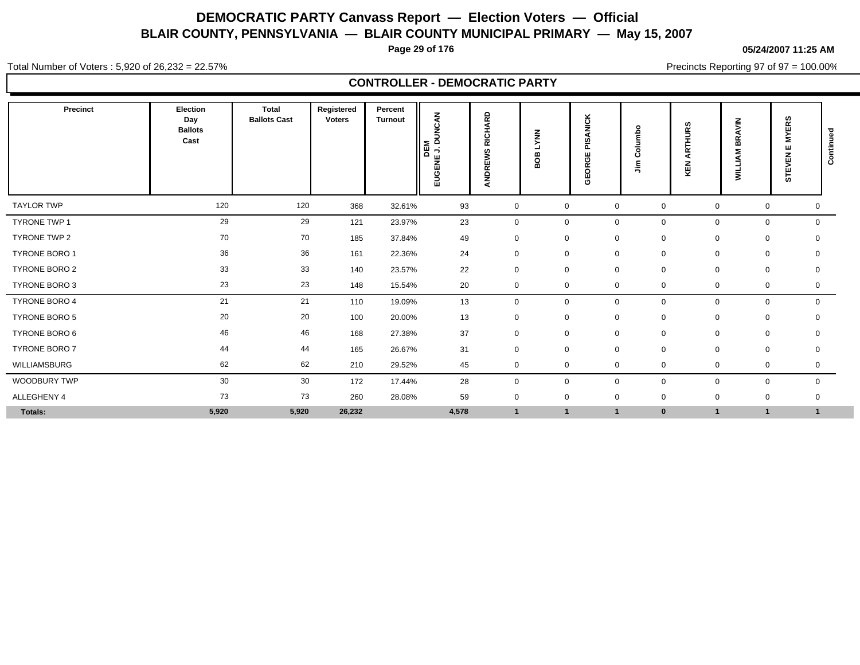**Page 29 of 176**

**05/24/2007 11:25 AM**

Total Number of Voters : 5,920 of 26,232 = 22.57%

Precincts Reporting 97 of 97 = 100.00%

|                      | <b>CONTROLLER - DEMOCRATIC PARTY</b>             |                                     |                             |                           |                                                                         |                                                   |                |                                                      |                          |                       |                                      |                                    |              |  |
|----------------------|--------------------------------------------------|-------------------------------------|-----------------------------|---------------------------|-------------------------------------------------------------------------|---------------------------------------------------|----------------|------------------------------------------------------|--------------------------|-----------------------|--------------------------------------|------------------------------------|--------------|--|
| Precinct             | <b>Election</b><br>Day<br><b>Ballots</b><br>Cast | <b>Total</b><br><b>Ballots Cast</b> | Registered<br><b>Voters</b> | Percent<br><b>Turnout</b> | CAN<br>š<br>$\Omega$<br>Σ<br>$\rightarrow$<br>画<br>$\Omega$<br>볾<br>Eng | 윤<br>๔<br>र्ड<br>ᇎ<br>ഗ<br>≳<br>īп<br><b>ANDR</b> | š<br>∞<br>ខ្លួ | <b>ANICK</b><br>n<br>õ<br>ш<br><b>ORGI</b><br>ш<br>ō | ۰<br>Columb<br>$\bar{z}$ | <b>ARTHURS</b><br>KEN | <b>BRAVIN</b><br>ξÑ<br><b>AILTIN</b> | <b>MYERS</b><br>ш<br><b>STEVEN</b> | Continued    |  |
| <b>TAYLOR TWP</b>    | 120                                              | 120                                 | 368                         | 32.61%                    | 93                                                                      | $\mathbf 0$                                       | $\mathbf 0$    | $\mathbf 0$                                          | $\mathbf 0$              |                       | 0                                    | 0                                  | $\mathbf 0$  |  |
| <b>TYRONE TWP 1</b>  | 29                                               | 29                                  | 121                         | 23.97%                    | 23                                                                      | $\mathbf 0$                                       | $\mathsf{O}$   | $\mathbf 0$                                          | $\mathbf 0$              |                       | $\mathbf 0$                          | $\mathbf 0$                        | $\mathbf 0$  |  |
| TYRONE TWP 2         | 70                                               | 70                                  | 185                         | 37.84%                    | 49                                                                      | $\mathbf 0$                                       | 0              | $\mathbf 0$                                          | $\mathbf 0$              |                       | 0                                    | $\mathbf 0$                        | $\Omega$     |  |
| TYRONE BORO 1        | 36                                               | 36                                  | 161                         | 22.36%                    | 24                                                                      | $\mathbf 0$                                       | 0              | $\mathbf 0$                                          | $\mathbf 0$              |                       | 0                                    | 0                                  | $\mathbf{0}$ |  |
| <b>TYRONE BORO 2</b> | 33                                               | 33                                  | 140                         | 23.57%                    | 22                                                                      | $\mathbf 0$                                       | $\mathbf 0$    | $\mathbf 0$                                          | $\mathbf 0$              |                       | 0                                    | 0                                  | $\mathbf 0$  |  |
| TYRONE BORO 3        | 23                                               | 23                                  | 148                         | 15.54%                    | 20                                                                      | $\mathbf 0$                                       | $\mathsf{O}$   | $\mathbf 0$                                          | $\mathbf 0$              |                       | $\mathbf 0$                          | $\mathbf 0$                        | $\mathbf 0$  |  |
| <b>TYRONE BORO 4</b> | 21                                               | 21                                  | 110                         | 19.09%                    | 13                                                                      | $\mathbf 0$                                       | $\mathbf 0$    | $\mathbf 0$                                          | $\mathbf 0$              |                       | $\mathbf 0$                          | $\mathbf 0$                        | $\mathbf{0}$ |  |
| TYRONE BORO 5        | 20                                               | 20                                  | 100                         | 20.00%                    | 13                                                                      | $\mathbf 0$                                       | 0              | $\mathbf 0$                                          | $\mathbf 0$              |                       | 0                                    | $\mathbf 0$                        | $\mathbf 0$  |  |
| TYRONE BORO 6        | 46                                               | 46                                  | 168                         | 27.38%                    | 37                                                                      | $\mathbf 0$                                       | $\mathbf 0$    | $\mathbf 0$                                          | $\mathbf 0$              |                       | $\mathbf 0$                          | $\mathbf 0$                        | $\mathbf 0$  |  |
| <b>TYRONE BORO 7</b> | 44                                               | 44                                  | 165                         | 26.67%                    | 31                                                                      | $\mathbf 0$                                       | $\mathbf 0$    | $\mathbf 0$                                          | $\mathbf 0$              |                       | $\mathbf 0$                          | $\mathbf 0$                        | $\mathbf 0$  |  |
| WILLIAMSBURG         | 62                                               | 62                                  | 210                         | 29.52%                    | 45                                                                      | $\mathbf 0$                                       | $\mathbf 0$    | $\mathbf 0$                                          | 0                        |                       | 0                                    | 0                                  | 0            |  |
| WOODBURY TWP         | 30                                               | 30                                  | 172                         | 17.44%                    | 28                                                                      | $\mathbf 0$                                       | 0              | $\mathbf 0$                                          | $\mathbf 0$              |                       | $\mathbf 0$                          | $\mathbf 0$                        | $\mathbf{0}$ |  |
| ALLEGHENY 4          | 73                                               | 73                                  | 260                         | 28.08%                    | 59                                                                      | $\mathbf 0$                                       | $\mathbf 0$    | $\mathbf 0$                                          | $\mathbf 0$              |                       | $\mathbf 0$                          | $\mathbf 0$                        | $\mathbf 0$  |  |
| Totals:              | 5,920                                            | 5,920                               | 26,232                      |                           | 4,578                                                                   | $\overline{1}$                                    | $\overline{1}$ |                                                      | $\bf{0}$                 |                       | 1                                    | $\mathbf{1}$                       | -1           |  |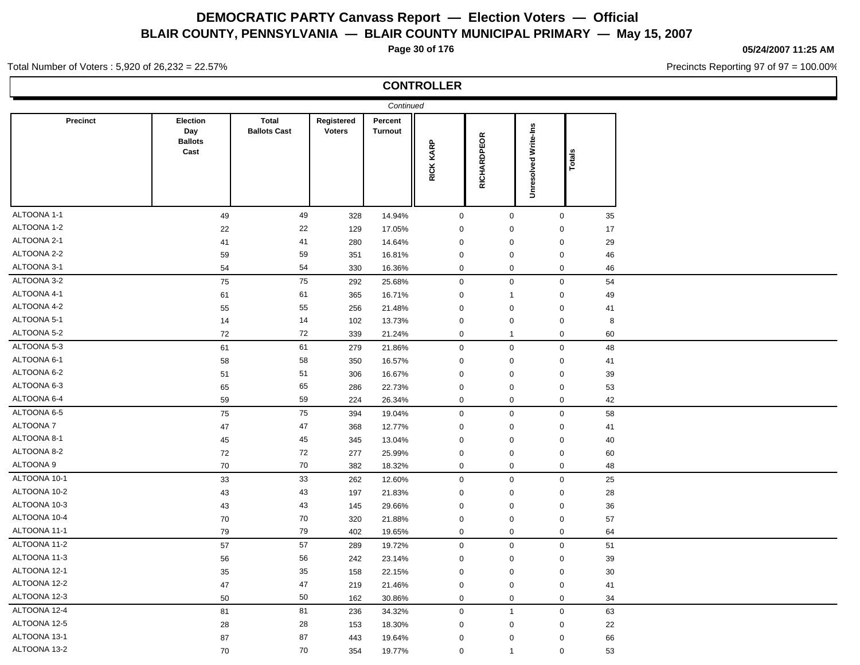**Page 30 of 176**

### **05/24/2007 11:25 AM**

Precincts Reporting 97 of 97 = 100.00%

#### Total Number of Voters : 5,920 of 26,232 = 22.57%

### **CONTROLLER**

|                 |                                           |                                     |                             | Continued          |             |              |                             |        |  |
|-----------------|-------------------------------------------|-------------------------------------|-----------------------------|--------------------|-------------|--------------|-----------------------------|--------|--|
| Precinct        | Election<br>Day<br><b>Ballots</b><br>Cast | <b>Total</b><br><b>Ballots Cast</b> | Registered<br><b>Voters</b> | Percent<br>Turnout | RICK KARP   | RICHARDPEOR  | <b>Unresolved Write-Ins</b> | Totals |  |
| ALTOONA 1-1     | 49                                        | 49                                  | 328                         | 14.94%             | $\mathsf 0$ | $\mathbf 0$  | $\mathbf 0$                 | 35     |  |
| ALTOONA 1-2     | 22                                        | 22                                  | 129                         | 17.05%             | $\mathbf 0$ | $\mathbf 0$  | $\mathbf 0$                 | 17     |  |
| ALTOONA 2-1     | 41                                        | 41                                  | 280                         | 14.64%             | $\mathbf 0$ | $\mathbf 0$  | $\mathbf 0$                 | 29     |  |
| ALTOONA 2-2     | 59                                        | 59                                  | 351                         | 16.81%             | $\mathbf 0$ | $\mathbf 0$  | $\mathbf 0$                 | 46     |  |
| ALTOONA 3-1     | 54                                        | 54                                  | 330                         | 16.36%             | $\mathbf 0$ | $\mathbf 0$  | $\mathbf 0$                 | 46     |  |
| ALTOONA 3-2     | 75                                        | 75                                  | 292                         | 25.68%             | $\mathsf 0$ | $\mathbf 0$  | $\mathbf 0$                 | 54     |  |
| ALTOONA 4-1     | 61                                        | 61                                  | 365                         | 16.71%             | $\mathbf 0$ | $\mathbf{1}$ | $\mathbf 0$                 | 49     |  |
| ALTOONA 4-2     | 55                                        | 55                                  | 256                         | 21.48%             | $\mathbf 0$ | $\mathbf 0$  | $\mathbf 0$                 | 41     |  |
| ALTOONA 5-1     | 14                                        | 14                                  | 102                         | 13.73%             | $\mathbf 0$ | $\mathbf 0$  | $\mathbf 0$                 | 8      |  |
| ALTOONA 5-2     | 72                                        | 72                                  | 339                         | 21.24%             | $\mathbf 0$ | $\mathbf{1}$ | $\mathbf 0$                 | 60     |  |
| ALTOONA 5-3     | 61                                        | 61                                  | 279                         | 21.86%             | $\mathsf 0$ | $\mathbf 0$  | $\mathbf 0$                 | 48     |  |
| ALTOONA 6-1     | 58                                        | 58                                  | 350                         | 16.57%             | $\mathbf 0$ | $\mathbf 0$  | $\mathbf 0$                 | 41     |  |
| ALTOONA 6-2     | 51                                        | 51                                  | 306                         | 16.67%             | $\mathbf 0$ | $\mathbf 0$  | $\mathbf 0$                 | 39     |  |
| ALTOONA 6-3     | 65                                        | 65                                  | 286                         | 22.73%             | $\mathbf 0$ | $\mathbf 0$  | $\mathbf 0$                 | 53     |  |
| ALTOONA 6-4     | 59                                        | 59                                  | 224                         | 26.34%             | $\mathbf 0$ | $\mathbf 0$  | $\mathbf 0$                 | 42     |  |
| ALTOONA 6-5     | 75                                        | 75                                  | 394                         | 19.04%             | $\mathbf 0$ | $\mathbf 0$  | $\mathbf 0$                 | 58     |  |
| <b>ALTOONA7</b> | 47                                        | 47                                  | 368                         | 12.77%             | $\mathbf 0$ | $\mathbf 0$  | $\mathbf 0$                 | 41     |  |
| ALTOONA 8-1     | 45                                        | 45                                  | 345                         | 13.04%             | $\mathbf 0$ | $\mathbf 0$  | $\mathbf 0$                 | 40     |  |
| ALTOONA 8-2     | 72                                        | 72                                  | 277                         | 25.99%             | $\mathbf 0$ | $\pmb{0}$    | $\mathbf 0$                 | 60     |  |
| ALTOONA 9       | 70                                        | $70\,$                              | 382                         | 18.32%             | $\mathbf 0$ | $\mathbf 0$  | $\mathbf 0$                 | 48     |  |
| ALTOONA 10-1    | 33                                        | 33                                  | 262                         | 12.60%             | $\mathbf 0$ | $\mathbf 0$  | $\mathbf 0$                 | 25     |  |
| ALTOONA 10-2    | 43                                        | 43                                  | 197                         | 21.83%             | $\mathbf 0$ | $\mathbf 0$  | $\mathbf 0$                 | 28     |  |
| ALTOONA 10-3    | 43                                        | 43                                  | 145                         | 29.66%             | $\mathbf 0$ | $\mathbf 0$  | $\mathbf 0$                 | 36     |  |
| ALTOONA 10-4    | 70                                        | 70                                  | 320                         | 21.88%             | $\mathbf 0$ | $\mathbf 0$  | $\mathbf 0$                 | 57     |  |
| ALTOONA 11-1    | 79                                        | 79                                  | 402                         | 19.65%             | $\mathbf 0$ | $\mathbf 0$  | $\mathbf 0$                 | 64     |  |
| ALTOONA 11-2    | 57                                        | 57                                  | 289                         | 19.72%             | $\mathsf 0$ | $\mathbf 0$  | $\mathbf 0$                 | 51     |  |
| ALTOONA 11-3    | 56                                        | 56                                  | 242                         | 23.14%             | $\mathbf 0$ | $\mathbf 0$  | $\mathbf 0$                 | 39     |  |
| ALTOONA 12-1    | 35                                        | 35                                  | 158                         | 22.15%             | $\mathbf 0$ | $\pmb{0}$    | $\mathbf 0$                 | 30     |  |
| ALTOONA 12-2    | 47                                        | 47                                  | 219                         | 21.46%             | $\mathbf 0$ | $\mathbf 0$  | $\mathbf 0$                 | 41     |  |
| ALTOONA 12-3    | 50                                        | 50                                  | 162                         | 30.86%             | $\mathbf 0$ | $\mathbf 0$  | $\mathbf 0$                 | 34     |  |
| ALTOONA 12-4    | 81                                        | 81                                  | 236                         | 34.32%             | $\mathbf 0$ | $\mathbf{1}$ | $\mathbf 0$                 | 63     |  |
| ALTOONA 12-5    | 28                                        | 28                                  | 153                         | 18.30%             | $\mathbf 0$ | $\mathbf 0$  | $\mathbf 0$                 | 22     |  |
| ALTOONA 13-1    | 87                                        | 87                                  | 443                         | 19.64%             | $\mathbf 0$ | $\mathbf 0$  | $\mathbf 0$                 | 66     |  |
| ALTOONA 13-2    | 70                                        | 70                                  | 354                         | 19.77%             | $\mathbf 0$ | $\mathbf{1}$ | $\mathbf 0$                 | 53     |  |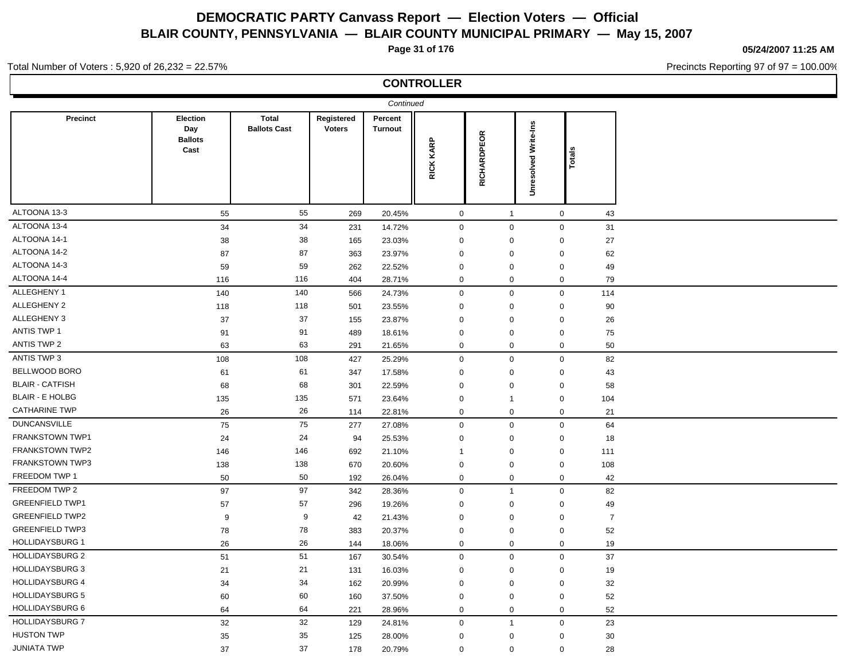**Page 31 of 176**

**05/24/2007 11:25 AM**

Precincts Reporting 97 of 97 = 100.00%

#### Total Number of Voters : 5,920 of 26,232 = 22.57%

### **CONTROLLER**

|                        |                                           |                                     |                             | Continued          |                  |              |                             |                           |  |
|------------------------|-------------------------------------------|-------------------------------------|-----------------------------|--------------------|------------------|--------------|-----------------------------|---------------------------|--|
| <b>Precinct</b>        | Election<br>Day<br><b>Ballots</b><br>Cast | <b>Total</b><br><b>Ballots Cast</b> | Registered<br><b>Voters</b> | Percent<br>Turnout | RICK KARP        | RICHARDPEOR  | <b>Unresolved Write-Ins</b> | Totals                    |  |
| ALTOONA 13-3           | 55                                        | 55                                  | 269                         | 20.45%             | $\mathsf 0$      | $\mathbf{1}$ |                             | $\mathsf{O}\xspace$<br>43 |  |
| ALTOONA 13-4           | 34                                        | 34                                  | 231                         | 14.72%             | $\boldsymbol{0}$ | $\mathbf 0$  |                             | $\mathbf 0$<br>31         |  |
| ALTOONA 14-1           | 38                                        | 38                                  | 165                         | 23.03%             | $\mathbf 0$      | $\mathbf 0$  | 0                           | 27                        |  |
| ALTOONA 14-2           | 87                                        | 87                                  | 363                         | 23.97%             | $\pmb{0}$        | 0            |                             | 62<br>$\mathbf 0$         |  |
| ALTOONA 14-3           | 59                                        | 59                                  | 262                         | 22.52%             | $\mathbf 0$      | 0            |                             | 49<br>$\mathbf 0$         |  |
| ALTOONA 14-4           | 116                                       | 116                                 | 404                         | 28.71%             | $\mathbf 0$      | $\mathbf 0$  |                             | 0<br>79                   |  |
| ALLEGHENY 1            | 140                                       | 140                                 | 566                         | 24.73%             | $\mathbf 0$      | $\mathbf 0$  |                             | $\mathbf 0$<br>114        |  |
| ALLEGHENY 2            | 118                                       | 118                                 | 501                         | 23.55%             | $\mathbf 0$      | 0            | $\Omega$                    | $90\,$                    |  |
| ALLEGHENY 3            | 37                                        | 37                                  | 155                         | 23.87%             | $\mathbf 0$      | $\mathbf 0$  |                             | $\mathbf 0$<br>26         |  |
| <b>ANTIS TWP 1</b>     | 91                                        | 91                                  | 489                         | 18.61%             | $\mathbf 0$      | 0            | $\mathbf 0$                 | ${\bf 75}$                |  |
| <b>ANTIS TWP 2</b>     | 63                                        | 63                                  | 291                         | 21.65%             | $\mathbf 0$      | 0            |                             | 50<br>0                   |  |
| ANTIS TWP 3            | 108                                       | 108                                 | 427                         | 25.29%             | $\mathbf 0$      | $\mathbf 0$  |                             | 82<br>$\mathbf 0$         |  |
| BELLWOOD BORO          | 61                                        | 61                                  | 347                         | 17.58%             | $\mathbf 0$      | 0            |                             | 43<br>0                   |  |
| <b>BLAIR - CATFISH</b> | 68                                        | 68                                  | 301                         | 22.59%             | $\mathbf 0$      | 0            | $\mathbf 0$                 | 58                        |  |
| <b>BLAIR - E HOLBG</b> | 135                                       | 135                                 | 571                         | 23.64%             | $\mathbf 0$      | $\mathbf{1}$ |                             | 0<br>104                  |  |
| <b>CATHARINE TWP</b>   | 26                                        | 26                                  | 114                         | 22.81%             | $\mathbf 0$      | $\mathbf 0$  |                             | $\mathbf 0$<br>21         |  |
| <b>DUNCANSVILLE</b>    | 75                                        | 75                                  | 277                         | 27.08%             | $\mathbf 0$      | $\mathbf 0$  |                             | $\mathbf 0$<br>64         |  |
| FRANKSTOWN TWP1        | 24                                        | 24                                  | 94                          | 25.53%             | $\mathbf 0$      | $\mathbf 0$  |                             | $\mathbf 0$<br>18         |  |
| <b>FRANKSTOWN TWP2</b> | 146                                       | 146                                 | 692                         | 21.10%             | $\mathbf{1}$     | 0            | $\boldsymbol{0}$            | 111                       |  |
| FRANKSTOWN TWP3        | 138                                       | 138                                 | 670                         | 20.60%             | $\mathbf 0$      | 0            | $\boldsymbol{0}$            | 108                       |  |
| FREEDOM TWP 1          | 50                                        | 50                                  | 192                         | 26.04%             | $\mathsf 0$      | $\mathbf 0$  |                             | 42<br>0                   |  |
| FREEDOM TWP 2          | 97                                        | 97                                  | 342                         | 28.36%             | $\mathbf 0$      | $\mathbf{1}$ |                             | $\mathbf 0$<br>82         |  |
| <b>GREENFIELD TWP1</b> | 57                                        | 57                                  | 296                         | 19.26%             | $\mathbf 0$      | $\mathbf 0$  | $\mathbf 0$                 | 49                        |  |
| <b>GREENFIELD TWP2</b> | 9                                         | 9                                   | 42                          | 21.43%             | $\mathbf 0$      | 0            | $\mathbf 0$                 | $\overline{7}$            |  |
| <b>GREENFIELD TWP3</b> | 78                                        | 78                                  | 383                         | 20.37%             | $\mathbf 0$      | 0            | $\mathbf 0$                 | 52                        |  |
| <b>HOLLIDAYSBURG 1</b> | 26                                        | 26                                  | 144                         | 18.06%             | $\mathbf 0$      | 0            |                             | 19<br>$\mathbf 0$         |  |
| <b>HOLLIDAYSBURG 2</b> | 51                                        | 51                                  | 167                         | 30.54%             | $\mathbf 0$      | $\mathbf{0}$ |                             | $\mathbf 0$<br>37         |  |
| <b>HOLLIDAYSBURG 3</b> | 21                                        | 21                                  | 131                         | 16.03%             | $\pmb{0}$        | 0            | 0                           | 19                        |  |
| <b>HOLLIDAYSBURG 4</b> | 34                                        | 34                                  | 162                         | 20.99%             | $\mathbf 0$      | $\mathbf 0$  | $\mathbf 0$                 | 32                        |  |
| <b>HOLLIDAYSBURG 5</b> | 60                                        | 60                                  | 160                         | 37.50%             | $\mathbf 0$      | 0            |                             | $\mathbf 0$<br>52         |  |
| <b>HOLLIDAYSBURG 6</b> | 64                                        | 64                                  | 221                         | 28.96%             | $\mathbf 0$      | $\mathbf 0$  |                             | 0<br>52                   |  |
| <b>HOLLIDAYSBURG 7</b> | 32                                        | 32                                  | 129                         | 24.81%             | $\boldsymbol{0}$ | $\mathbf{1}$ |                             | 23<br>$\mathbf 0$         |  |
| <b>HUSTON TWP</b>      | 35                                        | 35                                  | 125                         | 28.00%             | $\mathbf 0$      | 0            | 0                           | 30                        |  |
| <b>JUNIATA TWP</b>     | 37                                        | 37                                  | 178                         | 20.79%             | $\mathbf 0$      | 0            |                             | 0<br>28                   |  |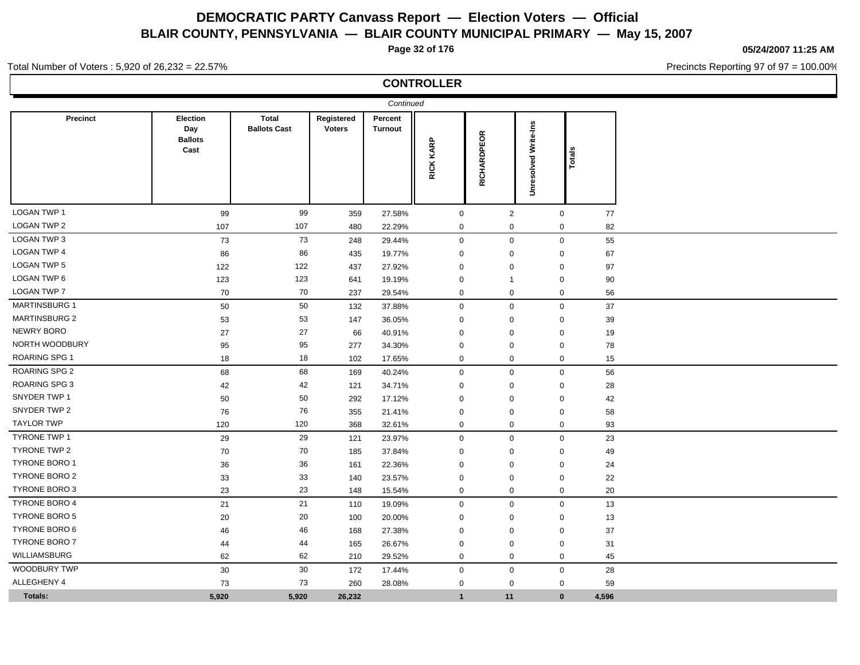**Page 32 of 176**

**05/24/2007 11:25 AM**

Precincts Reporting 97 of 97 = 100.00%

#### Total Number of Voters : 5,920 of 26,232 = 22.57%

### **CONTROLLER**

| <b>Precinct</b>      | <b>Election</b><br>Day<br><b>Ballots</b><br>Cast | <b>Total</b><br><b>Ballots Cast</b> | Registered<br><b>Voters</b> | Continued<br>Percent<br><b>Turnout</b> | RICK KARP    | RICHARDPEOR         | Write-Ins<br>Unresolved | Totals |  |
|----------------------|--------------------------------------------------|-------------------------------------|-----------------------------|----------------------------------------|--------------|---------------------|-------------------------|--------|--|
| <b>LOGAN TWP 1</b>   | 99                                               | 99                                  | 359                         | 27.58%                                 | $\mathbf 0$  | $\overline{2}$      | $\mathbf 0$             | 77     |  |
| <b>LOGAN TWP 2</b>   | 107                                              | 107                                 | 480                         | 22.29%                                 | $\mathbf 0$  | 0                   | 0                       | 82     |  |
| <b>LOGAN TWP 3</b>   | 73                                               | 73                                  | 248                         | 29.44%                                 | $\mathbf 0$  | $\mathbf 0$         | $\mathbf 0$             | 55     |  |
| <b>LOGAN TWP 4</b>   | 86                                               | 86                                  | 435                         | 19.77%                                 | $\mathbf 0$  | 0                   | $\mathbf 0$             | 67     |  |
| <b>LOGAN TWP 5</b>   | 122                                              | 122                                 | 437                         | 27.92%                                 | $\mathbf 0$  | 0                   | $\mathbf 0$             | 97     |  |
| LOGAN TWP 6          | 123                                              | 123                                 | 641                         | 19.19%                                 | $\mathbf 0$  | -1                  | $\mathbf 0$             | 90     |  |
| <b>LOGAN TWP 7</b>   | 70                                               | 70                                  | 237                         | 29.54%                                 | $\mathbf 0$  | $\mathbf 0$         | $\mathbf 0$             | 56     |  |
| <b>MARTINSBURG 1</b> | 50                                               | 50                                  | 132                         | 37.88%                                 | $\mathbf 0$  | $\mathbf 0$         | $\mathbf 0$             | 37     |  |
| <b>MARTINSBURG 2</b> | 53                                               | 53                                  | 147                         | 36.05%                                 | $\mathbf 0$  | 0                   | 0                       | 39     |  |
| <b>NEWRY BORO</b>    | 27                                               | 27                                  | 66                          | 40.91%                                 | $\mathbf 0$  | 0                   | 0                       | 19     |  |
| NORTH WOODBURY       | 95                                               | 95                                  | 277                         | 34.30%                                 | $\mathbf 0$  | 0                   | $\mathbf 0$             | 78     |  |
| <b>ROARING SPG 1</b> | 18                                               | 18                                  | 102                         | 17.65%                                 | $\mathbf 0$  | $\mathbf 0$         | $\mathbf 0$             | 15     |  |
| <b>ROARING SPG 2</b> | 68                                               | 68                                  | 169                         | 40.24%                                 | $\mathbf 0$  | $\mathbf 0$         | $\mathbf 0$             | 56     |  |
| <b>ROARING SPG 3</b> | 42                                               | 42                                  | 121                         | 34.71%                                 | $\mathbf 0$  | $\mathbf 0$         | $\mathbf 0$             | 28     |  |
| SNYDER TWP 1         | 50                                               | 50                                  | 292                         | 17.12%                                 | $\mathbf 0$  | 0                   | $\mathbf 0$             | 42     |  |
| SNYDER TWP 2         | 76                                               | 76                                  | 355                         | 21.41%                                 | $\mathbf 0$  | $\mathbf 0$         | $\mathbf 0$             | 58     |  |
| <b>TAYLOR TWP</b>    | 120                                              | 120                                 | 368                         | 32.61%                                 | $\mathbf 0$  | 0                   | $\mathbf 0$             | 93     |  |
| <b>TYRONE TWP 1</b>  | 29                                               | 29                                  | 121                         | 23.97%                                 | $\mathbf 0$  | $\mathsf 0$         | $\mathbf 0$             | 23     |  |
| <b>TYRONE TWP 2</b>  | 70                                               | 70                                  | 185                         | 37.84%                                 | $\mathbf 0$  | 0                   | 0                       | 49     |  |
| <b>TYRONE BORO 1</b> | 36                                               | 36                                  | 161                         | 22.36%                                 | $\mathbf 0$  | 0                   | $\mathbf 0$             | 24     |  |
| <b>TYRONE BORO 2</b> | 33                                               | 33                                  | 140                         | 23.57%                                 | $\mathbf 0$  | 0                   | $\mathbf 0$             | 22     |  |
| <b>TYRONE BORO 3</b> | 23                                               | 23                                  | 148                         | 15.54%                                 | $\mathbf 0$  | 0                   | 0                       | 20     |  |
| <b>TYRONE BORO 4</b> | 21                                               | 21                                  | 110                         | 19.09%                                 | $\mathbf 0$  | $\mathbf 0$         | $\mathbf 0$             | 13     |  |
| <b>TYRONE BORO 5</b> | 20                                               | 20                                  | 100                         | 20.00%                                 | 0            | 0                   | 0                       | 13     |  |
| <b>TYRONE BORO 6</b> | 46                                               | 46                                  | 168                         | 27.38%                                 | $\mathbf 0$  | 0                   | 0                       | 37     |  |
| <b>TYRONE BORO 7</b> | 44                                               | 44                                  | 165                         | 26.67%                                 | $\mathbf 0$  | $\mathbf 0$         | 0                       | 31     |  |
| WILLIAMSBURG         | 62                                               | 62                                  | 210                         | 29.52%                                 | $\mathbf 0$  | 0                   | 0                       | 45     |  |
| <b>WOODBURY TWP</b>  | $30\,$                                           | $30\,$                              | 172                         | 17.44%                                 | $\mathbf 0$  | $\mathsf{O}\xspace$ | $\mathbf 0$             | 28     |  |
| ALLEGHENY 4          | 73                                               | 73                                  | 260                         | 28.08%                                 | $\mathbf 0$  | $\mathbf 0$         | $\mathbf 0$             | 59     |  |
| Totals:              | 5,920                                            | 5,920                               | 26,232                      |                                        | $\mathbf{1}$ | 11                  | $\mathbf{0}$            | 4,596  |  |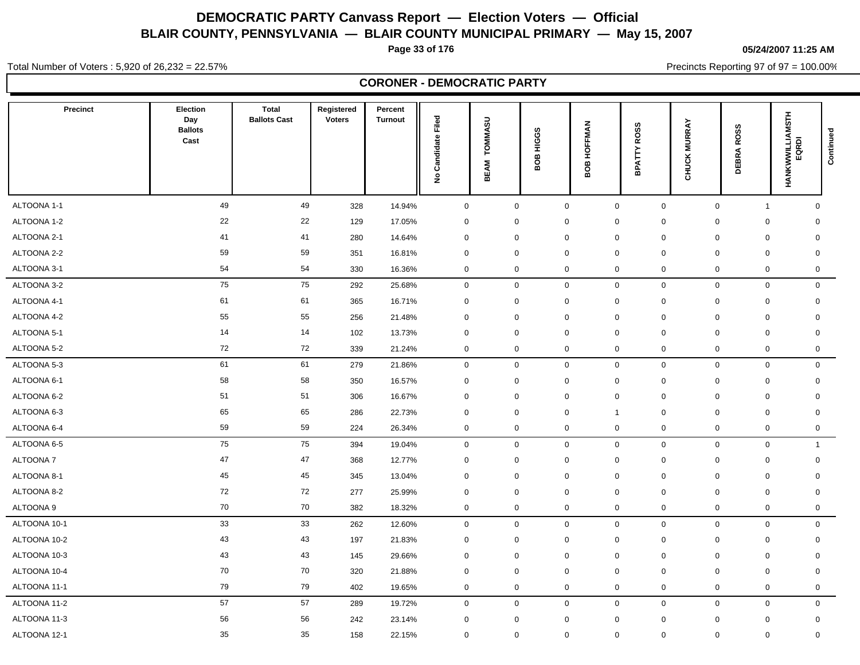**Page 33 of 176**

**05/24/2007 11:25 AM**

Total Number of Voters : 5,920 of 26,232 = 22.57%

Precincts Reporting 97 of 97 = 100.00%

|                 |                                           |                                     |                             | <b>CORONER - DEMOCRATIC PARTY</b> |                                          |                        |                            |                    |                             |                     |                     |                          |                     |
|-----------------|-------------------------------------------|-------------------------------------|-----------------------------|-----------------------------------|------------------------------------------|------------------------|----------------------------|--------------------|-----------------------------|---------------------|---------------------|--------------------------|---------------------|
| <b>Precinct</b> | Election<br>Day<br><b>Ballots</b><br>Cast | <b>Total</b><br><b>Ballots Cast</b> | Registered<br><b>Voters</b> | Percent<br><b>Turnout</b>         | Filed<br>Candidate<br>$\hat{\mathbf{z}}$ | <b>TOMMASU</b><br>BEAM | HIGGS<br>$\mathbf{g}$<br>⋒ | HOFFMAN<br>8O<br>≃ | ဖာ<br>ROS:<br><b>BPATTY</b> | <b>CHUCK MURRAY</b> | <b>DEBRA ROSS</b>   | HANKWWILLIAMSTH<br>EQRDI | Continued           |
| ALTOONA 1-1     | 49                                        | 49                                  | 328                         | 14.94%                            | $\mathbf 0$                              | $\mathbf 0$            |                            | $\mathbf 0$        | $\mathbf 0$                 | $\mathbf 0$         | $\mathbf 0$         | $\mathbf{1}$             | $\mathbf 0$         |
| ALTOONA 1-2     | 22                                        | 22                                  | 129                         | 17.05%                            | 0                                        | $\mathbf 0$            |                            | $\mathbf 0$        | $\mathbf 0$                 | $\mathbf 0$         | $\mathbf 0$         | $\mathbf 0$              | $\mathbf 0$         |
| ALTOONA 2-1     | 41                                        | 41                                  | 280                         | 14.64%                            | 0                                        | $\mathbf 0$            |                            | $\mathbf 0$        | $\mathbf 0$                 | $\mathbf 0$         | $\mathbf 0$         | $\mathbf 0$              | $\mathbf 0$         |
| ALTOONA 2-2     | 59                                        | 59                                  | 351                         | 16.81%                            | $\mathbf 0$                              | $\mathbf 0$            |                            | $\mathbf 0$        | 0                           | $\mathbf 0$         | $\mathbf 0$         | $\mathbf 0$              | $\mathbf 0$         |
| ALTOONA 3-1     | 54                                        | 54                                  | 330                         | 16.36%                            | 0                                        | $\mathbf 0$            |                            | $\mathbf 0$        | 0                           | $\mathbf 0$         | $\mathbf 0$         | 0                        | $\mathbf 0$         |
| ALTOONA 3-2     | 75                                        | 75                                  | 292                         | 25.68%                            | $\mathsf{O}\xspace$                      | $\mathsf{O}\xspace$    |                            | $\mathbf 0$        | 0                           | $\mathsf{O}\xspace$ | $\mathsf{O}\xspace$ | $\mathsf{O}$             | $\mathsf{O}\xspace$ |
| ALTOONA 4-1     | 61                                        | 61                                  | 365                         | 16.71%                            | 0                                        | $\mathbf 0$            |                            | $\mathbf 0$        | 0                           | $\mathbf 0$         | $\mathbf 0$         | $\mathbf 0$              | $\mathbf 0$         |
| ALTOONA 4-2     | 55                                        | 55                                  | 256                         | 21.48%                            | 0                                        | $\mathsf{O}\xspace$    |                            | $\mathbf 0$        | $\mathbf 0$                 | $\mathsf{O}\xspace$ | $\mathbf 0$         | $\mathbf 0$              | $\mathbf 0$         |
| ALTOONA 5-1     | 14                                        | 14                                  | 102                         | 13.73%                            | 0                                        | $\mathbf 0$            |                            | $\mathbf 0$        | $\mathbf 0$                 | $\mathbf 0$         | $\mathbf 0$         | $\mathbf 0$              | $\mathbf 0$         |
| ALTOONA 5-2     | 72                                        | 72                                  | 339                         | 21.24%                            | 0                                        | $\mathbf 0$            |                            | $\mathbf 0$        | $\mathbf 0$                 | $\mathbf 0$         | $\mathbf 0$         | 0                        | $\mathbf 0$         |
| ALTOONA 5-3     | 61                                        | 61                                  | 279                         | 21.86%                            | $\mathsf{O}\xspace$                      | $\mathsf{O}\xspace$    |                            | $\mathbf 0$        | $\mathbf 0$                 | $\mathsf{O}$        | $\mathsf{O}\xspace$ | $\mathbf 0$              | $\mathbf 0$         |
| ALTOONA 6-1     | 58                                        | 58                                  | 350                         | 16.57%                            | 0                                        | $\mathbf 0$            |                            | $\mathbf 0$        | 0                           | $\mathbf 0$         | 0                   | $\mathbf 0$              | $\mathbf 0$         |
| ALTOONA 6-2     | 51                                        | 51                                  | 306                         | 16.67%                            | $\mathbf 0$                              | $\mathbf 0$            |                            | $\mathbf 0$        | $\mathbf 0$                 | $\mathbf 0$         | $\mathbf 0$         | $\mathbf 0$              | $\mathbf 0$         |
| ALTOONA 6-3     | 65                                        | 65                                  | 286                         | 22.73%                            | 0                                        | $\mathbf 0$            |                            | $\mathbf 0$        | $\mathbf{1}$                | $\mathbf 0$         | $\mathbf 0$         | $\mathbf 0$              | $\mathbf 0$         |
| ALTOONA 6-4     | 59                                        | 59                                  | 224                         | 26.34%                            | 0                                        | $\mathbf 0$            |                            | $\mathbf 0$        | $\mathbf 0$                 | $\mathbf 0$         | $\mathbf 0$         | 0                        | 0                   |
| ALTOONA 6-5     | 75                                        | 75                                  | 394                         | 19.04%                            | $\mathsf{O}\xspace$                      | $\mathsf{O}\xspace$    |                            | $\mathbf 0$        | 0                           | $\mathsf{O}\xspace$ | $\mathsf{O}\xspace$ | $\mathsf{O}$             | $\mathbf{1}$        |
| <b>ALTOONA7</b> | 47                                        | 47                                  | 368                         | 12.77%                            | 0                                        | $\mathbf 0$            |                            | $\mathbf 0$        | $\mathbf 0$                 | $\mathbf 0$         | $\mathbf 0$         | $\mathbf 0$              | $\mathbf 0$         |
| ALTOONA 8-1     | 45                                        | $\bf 45$                            | 345                         | 13.04%                            | 0                                        | $\boldsymbol{0}$       |                            | $\mathbf 0$        | $\mathbf 0$                 | 0                   | 0                   | 0                        | 0                   |
| ALTOONA 8-2     | 72                                        | 72                                  | 277                         | 25.99%                            | 0                                        | $\mathbf 0$            |                            | $\mathbf 0$        | $\mathbf 0$                 | $\mathbf 0$         | $\mathbf 0$         | $\mathbf 0$              | $\mathbf 0$         |
| ALTOONA 9       | 70                                        | 70                                  | 382                         | 18.32%                            | 0                                        | $\mathbf 0$            |                            | $\mathbf 0$        | 0                           | $\mathbf 0$         | $\mathbf 0$         | 0                        | $\mathbf 0$         |
| ALTOONA 10-1    | 33                                        | 33                                  | 262                         | 12.60%                            | 0                                        | $\mathbf 0$            |                            | $\mathbf 0$        | 0                           | $\mathbf 0$         | $\mathsf{O}\xspace$ | 0                        | $\mathbf 0$         |
| ALTOONA 10-2    | 43                                        | 43                                  | 197                         | 21.83%                            | 0                                        | $\mathbf 0$            |                            | $\mathbf 0$        | 0                           | $\mathbf 0$         | $\mathbf 0$         | $\mathbf 0$              | $\mathbf 0$         |
| ALTOONA 10-3    | 43                                        | 43                                  | 145                         | 29.66%                            | 0                                        | $\mathbf 0$            |                            | $\mathbf 0$        | $\mathbf 0$                 | $\mathbf 0$         | $\mathbf 0$         | $\mathbf 0$              | $\mathbf 0$         |
| ALTOONA 10-4    | 70                                        | 70                                  | 320                         | 21.88%                            | $\mathbf 0$                              | $\mathbf 0$            |                            | $\mathbf 0$        | $\mathbf 0$                 | $\mathsf 0$         | 0                   | $\mathbf 0$              | 0                   |
| ALTOONA 11-1    | 79                                        | 79                                  | 402                         | 19.65%                            | 0                                        | $\mathbf 0$            |                            | $\mathbf 0$        | $\mathbf 0$                 | $\mathbf 0$         | $\mathbf 0$         | 0                        | $\mathbf 0$         |
| ALTOONA 11-2    | 57                                        | 57                                  | 289                         | 19.72%                            | 0                                        | $\mathbf 0$            |                            | $\mathbf 0$        | $\mathbf 0$                 | $\mathbf 0$         | $\mathbf 0$         | $\mathbf 0$              | $\mathbf 0$         |
| ALTOONA 11-3    | 56                                        | 56                                  | 242                         | 23.14%                            | 0                                        | $\mathbf 0$            |                            | $\mathbf 0$        | $\mathbf 0$                 | $\mathbf 0$         | $\mathbf 0$         | 0                        | $\mathbf 0$         |
|                 |                                           |                                     |                             |                                   |                                          |                        |                            |                    |                             |                     |                     |                          |                     |

ALTOONA 12-1 35 35 158 22.15% 0 0 0 0 0 0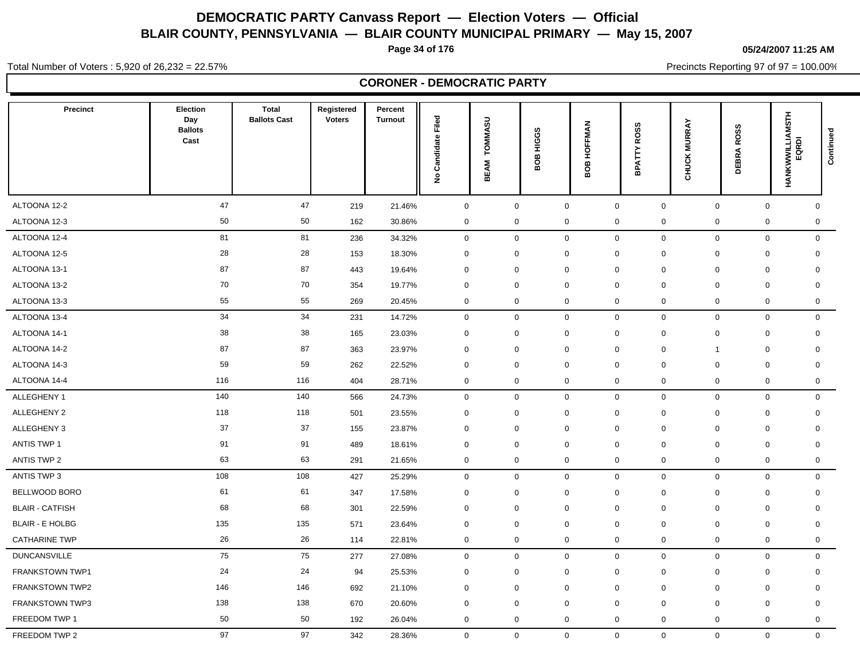**Page 34 of 176**

**05/24/2007 11:25 AM**

Total Number of Voters : 5,920 of 26,232 = 22.57%

Precincts Reporting 97 of 97 = 100.00%

| <b>CORONER - DEMOCRATIC PARTY</b> |                                                  |                                     |                             |                           |                                          |                               |                  |                            |                                    |                                |                      |                          |             |
|-----------------------------------|--------------------------------------------------|-------------------------------------|-----------------------------|---------------------------|------------------------------------------|-------------------------------|------------------|----------------------------|------------------------------------|--------------------------------|----------------------|--------------------------|-------------|
| <b>Precinct</b>                   | <b>Election</b><br>Day<br><b>Ballots</b><br>Cast | <b>Total</b><br><b>Ballots Cast</b> | Registered<br><b>Voters</b> | Percent<br><b>Turnout</b> | Filed<br>Candidate<br>$\hat{\mathbf{z}}$ | <b>TOMMASU</b><br><b>BEAM</b> | HIGGS<br>80<br>m | HOFFMAN<br>808             | ဖ<br>ROS:<br>BPATTY                | <b>MURRAY</b><br><b>CHUCKI</b> | <b>ROSS</b><br>DEBRA | HANKWWILLIAMSTH<br>EQRDI | Continued   |
| ALTOONA 12-2                      | 47                                               | 47                                  | 219                         | 21.46%                    | $\mathbf 0$                              | $\mathsf{O}\xspace$           |                  | $\mathbf 0$                | $\mathsf 0$<br>$\mathbf 0$         |                                | $\mathsf{O}\xspace$  | $\mathsf{O}$             | $\mathbf 0$ |
| ALTOONA 12-3                      | 50                                               | 50                                  | 162                         | 30.86%                    | 0                                        | $\mathbf 0$                   |                  | $\mathbf 0$                | $\mathbf 0$<br>$\mathbf 0$         |                                | $\mathbf 0$          | 0                        | $\mathbf 0$ |
| ALTOONA 12-4                      | 81                                               | 81                                  | 236                         | 34.32%                    | $\mathbf 0$                              | $\mathbf 0$                   |                  | $\mathbf 0$                | 0<br>$\mathbf 0$                   |                                | $\mathbf 0$          | 0                        | $\mathbf 0$ |
| ALTOONA 12-5                      | 28                                               | 28                                  | 153                         | 18.30%                    | $\mathbf 0$                              | $\mathbf 0$                   |                  | $\mathbf 0$<br>0           | $\mathbf 0$                        |                                | $\mathbf 0$          | $\mathbf 0$              | $\mathbf 0$ |
| ALTOONA 13-1                      | 87                                               | 87                                  | 443                         | 19.64%                    | 0                                        | $\mathbf 0$                   |                  | $\mathbf 0$                | $\mathbf 0$<br>$\mathbf 0$         |                                | $\mathbf 0$          | $\mathbf 0$              | $\mathbf 0$ |
| ALTOONA 13-2                      | 70                                               | 70                                  | 354                         | 19.77%                    | $\pmb{0}$                                | $\mathbf 0$                   |                  | $\mathbf 0$<br>$\mathbf 0$ | $\mathbf 0$                        |                                | $\mathbf 0$          | $\mathbf 0$              | $\mathbf 0$ |
| ALTOONA 13-3                      | 55                                               | 55                                  | 269                         | 20.45%                    | 0                                        | $\mathbf 0$                   |                  | $\mathbf 0$                | $\mathbf 0$<br>$\mathbf 0$         |                                | $\mathbf 0$          | 0                        | $\mathbf 0$ |
| ALTOONA 13-4                      | 34                                               | 34                                  | 231                         | 14.72%                    | $\mathbf 0$                              | $\mathsf{O}\xspace$           |                  | $\mathbf 0$                | $\mathsf{O}\xspace$<br>$\mathbf 0$ |                                | $\mathsf{O}\xspace$  | $\mathbf 0$              | $\mathbf 0$ |
| ALTOONA 14-1                      | 38                                               | 38                                  | 165                         | 23.03%                    | 0                                        | $\mathbf 0$                   |                  | $\mathbf 0$                | $\mathbf 0$<br>$\mathbf 0$         |                                | $\mathbf 0$          | $\mathbf 0$              | $\mathbf 0$ |
| ALTOONA 14-2                      | 87                                               | 87                                  | 363                         | 23.97%                    | $\Omega$                                 | $\mathbf 0$                   |                  | $\mathbf 0$<br>$\mathbf 0$ | $\mathbf 0$                        |                                | $\overline{1}$       | $\mathbf 0$              | 0           |
| ALTOONA 14-3                      | 59                                               | 59                                  | 262                         | 22.52%                    | 0                                        | $\mathbf 0$                   |                  | $\mathbf 0$                | $\Omega$<br>$\mathbf 0$            |                                | $\mathbf 0$          | $\mathbf 0$              | $\mathbf 0$ |
| ALTOONA 14-4                      | 116                                              | 116                                 | 404                         | 28.71%                    | 0                                        | $\mathbf 0$                   |                  | $\mathbf 0$                | $\mathbf 0$<br>$\mathbf 0$         |                                | $\mathbf 0$          | 0                        | 0           |
| ALLEGHENY 1                       | 140                                              | 140                                 | 566                         | 24.73%                    | 0                                        | $\mathbf 0$                   |                  | $\mathbf 0$                | $\mathsf{O}\xspace$<br>$\mathbf 0$ |                                | $\mathbf 0$          | $\mathbf 0$              | $\mathbf 0$ |
| ALLEGHENY 2                       | 118                                              | 118                                 | 501                         | 23.55%                    | 0                                        | $\mathbf 0$                   |                  | $\mathbf 0$                | $\mathbf 0$<br>$\mathbf 0$         |                                | $\mathbf 0$          | $\mathbf 0$              | $\mathbf 0$ |
| ALLEGHENY 3                       | 37                                               | 37                                  | 155                         | 23.87%                    | 0                                        | $\mathbf 0$                   |                  | $\mathbf 0$                | $\mathbf 0$<br>$\mathbf 0$         |                                | $\mathbf 0$          | $\mathbf 0$              | $\mathbf 0$ |
| <b>ANTIS TWP 1</b>                | 91                                               | 91                                  | 489                         | 18.61%                    | $\mathbf 0$                              | $\mathbf 0$                   |                  | $\mathbf 0$                | $\mathbf 0$<br>$\mathbf 0$         |                                | $\mathbf 0$          | $\mathbf 0$              | $\mathbf 0$ |
| <b>ANTIS TWP 2</b>                | 63                                               | 63                                  | 291                         | 21.65%                    | 0                                        | $\mathbf 0$                   |                  | $\pmb{0}$                  | $\pmb{0}$<br>0                     |                                | $\mathbf 0$          | $\pmb{0}$                | 0           |
| ANTIS TWP 3                       | 108                                              | 108                                 | 427                         | 25.29%                    | $\mathbf 0$                              | $\mathbf 0$                   |                  | $\mathbf 0$                | $\mathbf 0$<br>$\mathbf 0$         |                                | $\mathbf 0$          | $\mathbf 0$              | $\mathbf 0$ |
| BELLWOOD BORO                     | 61                                               | 61                                  | 347                         | 17.58%                    | 0                                        | $\mathbf 0$                   |                  | $\mathbf 0$                | $\mathbf 0$<br>$\mathbf 0$         |                                | $\mathbf 0$          | 0                        | $\mathbf 0$ |
| <b>BLAIR - CATFISH</b>            | 68                                               | 68                                  | 301                         | 22.59%                    | 0                                        | $\mathbf 0$                   |                  | $\mathbf 0$                | $\mathbf 0$<br>0                   |                                | $\mathbf 0$          | $\mathbf 0$              | $\mathbf 0$ |
| <b>BLAIR - E HOLBG</b>            | 135                                              | 135                                 | 571                         | 23.64%                    | 0                                        | $\mathbf 0$                   |                  | $\mathbf 0$                | $\mathbf 0$<br>$\mathbf 0$         |                                | $\mathbf 0$          | $\mathbf 0$              | $\mathbf 0$ |
| <b>CATHARINE TWP</b>              | 26                                               | 26                                  | 114                         | 22.81%                    | 0                                        | $\mathbf 0$                   |                  | $\mathbf 0$                | 0<br>$\mathbf 0$                   |                                | $\mathbf 0$          | 0                        | $\mathbf 0$ |
| <b>DUNCANSVILLE</b>               | 75                                               | 75                                  | 277                         | 27.08%                    | 0                                        | $\mathbf 0$                   |                  | $\mathbf 0$                | 0<br>$\mathbf 0$                   |                                | $\mathbf 0$          | 0                        | $\mathbf 0$ |
| <b>FRANKSTOWN TWP1</b>            | 24                                               | 24                                  | 94                          | 25.53%                    | 0                                        | $\mathbf 0$                   |                  | $\mathbf 0$<br>$\mathbf 0$ | $\mathbf 0$                        |                                | $\mathbf 0$          | $\mathbf 0$              | $\mathsf 0$ |
| FRANKSTOWN TWP2                   | 146                                              | 146                                 | 692                         | 21.10%                    | 0                                        | $\mathbf 0$                   |                  | $\mathbf 0$                | $\mathbf 0$<br>$\mathbf 0$         |                                | $\mathbf 0$          | $\mathbf 0$              | $\mathbf 0$ |
| <b>FRANKSTOWN TWP3</b>            | 138                                              | 138                                 | 670                         | 20.60%                    | $\mathbf 0$                              | $\mathbf 0$                   |                  | $\mathbf 0$<br>$\mathbf 0$ | $\mathbf 0$                        |                                | $\mathbf 0$          | $\mathbf 0$              | 0           |
| FREEDOM TWP 1                     | 50                                               | 50                                  | 192                         | 26.04%                    | $\mathbf 0$                              | $\mathbf 0$                   |                  | $\mathbf 0$                | $\mathbf 0$<br>$\mathbf 0$         |                                | $\mathbf 0$          | $\mathbf 0$              | $\mathbf 0$ |

FREEDOM TWP 2 97 97 342 28.36% 0 0 0 0 0 0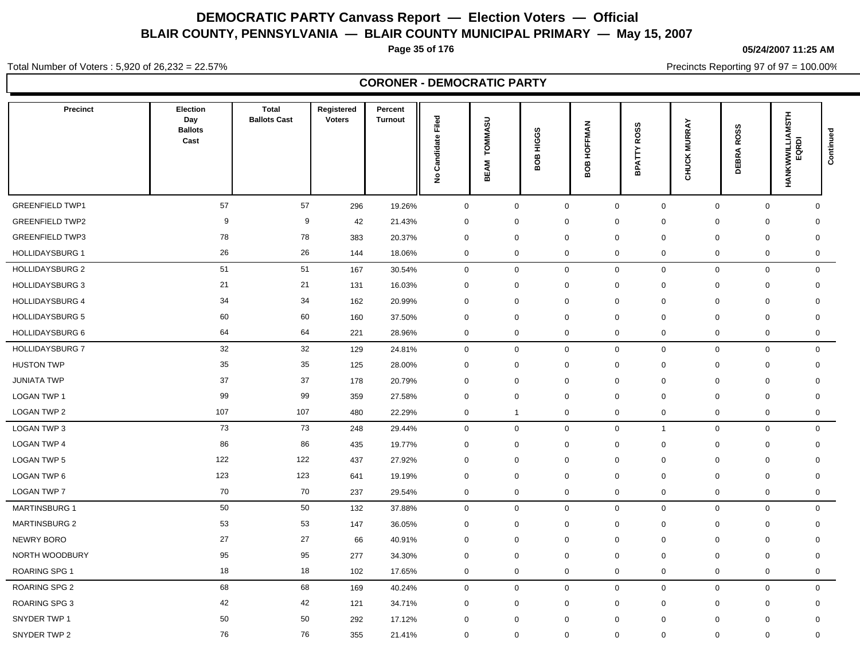**Page 35 of 176**

**05/24/2007 11:25 AM**

Total Number of Voters : 5,920 of 26,232 = 22.57%

Precincts Reporting 97 of 97 = 100.00%

### **CORONER - DEMOCRATIC PARTY**

| <b>Precinct</b>        | <b>Election</b><br>Day<br><b>Ballots</b><br>Cast | <b>Total</b><br><b>Ballots Cast</b> | Registered<br><b>Voters</b> | Percent<br><b>Turnout</b> | <b>Candidate Filed</b><br>$\tilde{\mathbf{z}}$ | TOMMASU<br><b>BEAM</b>  | <b>HIGGS</b><br>BOB | HOFFMAN<br>g<br>≃ | <b>ROSS</b><br><b>BPATTY</b>  | <b>CHUCK MURRAY</b> | <b>ROSS</b><br>DEBRA       | HANKWWILLIAMSTH<br>EQRDI | Continued |
|------------------------|--------------------------------------------------|-------------------------------------|-----------------------------|---------------------------|------------------------------------------------|-------------------------|---------------------|-------------------|-------------------------------|---------------------|----------------------------|--------------------------|-----------|
| <b>GREENFIELD TWP1</b> | 57                                               | 57                                  | 296                         | 19.26%                    | $\mathbf 0$                                    | $\mathbf 0$             | $\mathbf 0$         |                   | $\mathbf 0$<br>$\mathbf 0$    |                     | $\mathbf 0$<br>$\mathbf 0$ | $\mathbf 0$              |           |
| <b>GREENFIELD TWP2</b> | 9                                                | 9                                   | 42                          | 21.43%                    | $\mathbf 0$                                    | $\mathbf 0$             | 0                   |                   | $\mathbf 0$<br>0              | $\mathbf 0$         | $\mathbf 0$                | 0                        |           |
| <b>GREENFIELD TWP3</b> | 78                                               | 78                                  | 383                         | 20.37%                    | $\mathbf 0$                                    | $\mathbf 0$             | $\mathbf 0$         |                   | $\mathbf 0$<br>$\Omega$       | $\mathbf 0$         | $\mathbf 0$                | $\mathbf 0$              |           |
| <b>HOLLIDAYSBURG 1</b> | 26                                               | 26                                  | 144                         | 18.06%                    | $\mathbf 0$                                    | $\mathbf 0$             | $\mathbf 0$         |                   | $\mathbf 0$<br>0              | $\mathbf 0$         | $\mathbf 0$                | $\mathbf 0$              |           |
| <b>HOLLIDAYSBURG 2</b> | 51                                               | 51                                  | 167                         | 30.54%                    | $\mathsf 0$                                    | $\mathbf 0$             | $\mathsf 0$         |                   | $\mathbf 0$<br>$\mathbf 0$    | $\mathbf 0$         | $\mathbf 0$                | $\mathbf 0$              |           |
| <b>HOLLIDAYSBURG 3</b> | 21                                               | 21                                  | 131                         | 16.03%                    | $\mathsf 0$                                    | $\mathbf 0$             | $\mathbf 0$         |                   | $\mathbf 0$<br>$\mathbf 0$    | $\mathbf 0$         | $\mathbf 0$                | $\mathbf 0$              |           |
| <b>HOLLIDAYSBURG 4</b> | 34                                               | 34                                  | 162                         | 20.99%                    | $\mathbf 0$                                    | 0                       | $\mathbf 0$         |                   | $\mathbf 0$<br>$\mathbf 0$    | $\mathbf 0$         | $\mathbf 0$                | $\mathbf 0$              |           |
| <b>HOLLIDAYSBURG 5</b> | 60                                               | 60                                  | 160                         | 37.50%                    | $\mathbf 0$                                    | $\mathbf 0$             | $\mathbf 0$         |                   | $\mathbf 0$<br>$\mathbf 0$    | $\mathbf 0$         | $\mathbf 0$                | $\mathbf 0$              |           |
| HOLLIDAYSBURG 6        | 64                                               | 64                                  | 221                         | 28.96%                    | $\mathbf 0$                                    | $\mathbf 0$             | $\mathbf 0$         |                   | $\boldsymbol{0}$<br>0         | $\mathsf 0$         | $\mathbf 0$                | $\mathbf 0$              |           |
| <b>HOLLIDAYSBURG 7</b> | 32                                               | 32                                  | 129                         | 24.81%                    | $\mathsf 0$                                    | $\mathbf 0$             | $\mathsf 0$         |                   | $\mathbf 0$<br>0              |                     | $\mathbf 0$<br>$\mathbf 0$ | $\mathbf 0$              |           |
| <b>HUSTON TWP</b>      | 35                                               | 35                                  | 125                         | 28.00%                    | $\mathbf 0$                                    | 0                       | $\mathbf 0$         |                   | $\mathbf 0$<br>$\mathbf 0$    | $\mathbf 0$         | 0                          | $\mathbf 0$              |           |
| <b>JUNIATA TWP</b>     | 37                                               | 37                                  | 178                         | 20.79%                    | $\mathbf 0$                                    | 0                       | $\mathbf 0$         |                   | $\mathbf 0$<br>$\mathbf 0$    | $\mathbf 0$         | $\mathbf 0$                | $\mathbf 0$              |           |
| LOGAN TWP 1            | 99                                               | 99                                  | 359                         | 27.58%                    | $\mathbf 0$                                    | $\mathbf 0$             | $\mathbf 0$         |                   | $\mathbf 0$<br>$\Omega$       | $\mathbf 0$         | $\Omega$                   | $\mathbf 0$              |           |
| <b>LOGAN TWP 2</b>     | 107                                              | 107                                 | 480                         | 22.29%                    | $\mathbf 0$                                    | $\overline{\mathbf{1}}$ | $\mathbf 0$         |                   | $\mathbf 0$<br>0              | $\mathbf 0$         | $\mathbf 0$                | $\mathbf 0$              |           |
| LOGAN TWP 3            | 73                                               | 73                                  | 248                         | 29.44%                    | $\mathbf 0$                                    | $\mathbf 0$             | $\mathbf 0$         |                   | $\mathbf 0$<br>$\mathbf{1}$   | $\mathbf 0$         | $\mathbf 0$                | $\mathbf 0$              |           |
| <b>LOGAN TWP 4</b>     | 86                                               | 86                                  | 435                         | 19.77%                    | $\mathbf 0$                                    | $\mathbf 0$             | $\mathbf 0$         |                   | $\mathbf 0$<br>$\mathbf 0$    | $\mathbf 0$         | $\mathbf 0$                | $\mathbf 0$              |           |
| <b>LOGAN TWP 5</b>     | 122                                              | 122                                 | 437                         | 27.92%                    | 0                                              | 0                       | 0                   |                   | $\mathbf 0$<br>0              | 0                   | 0                          | 0                        |           |
| LOGAN TWP 6            | 123                                              | 123                                 | 641                         | 19.19%                    | $\mathbf 0$                                    | $\mathbf 0$             | $\mathbf 0$         |                   | $\mathbf 0$<br>0              | $\mathbf 0$         | $\mathbf 0$                | $\mathbf 0$              |           |
| <b>LOGAN TWP 7</b>     | 70                                               | 70                                  | 237                         | 29.54%                    | $\mathbf 0$                                    | $\mathbf 0$             | $\mathbf 0$         |                   | $\mathbf 0$<br>0              | $\mathbf 0$         | $\mathbf 0$                | $\mathbf 0$              |           |
| <b>MARTINSBURG 1</b>   | 50                                               | 50                                  | 132                         | 37.88%                    | $\mathsf 0$                                    | $\mathbf 0$             | $\mathbf 0$         |                   | $\mathbf 0$<br>0              |                     | $\mathbf 0$<br>$\mathbf 0$ | $\mathsf{O}$             |           |
| <b>MARTINSBURG 2</b>   | 53                                               | 53                                  | 147                         | 36.05%                    | $\mathsf 0$                                    | 0                       | $\mathbf 0$         |                   | $\mathbf 0$<br>$\mathbf 0$    | $\mathbf 0$         | $\mathbf 0$                | $\mathbf 0$              |           |
| NEWRY BORO             | 27                                               | 27                                  | 66                          | 40.91%                    | $\mathbf 0$                                    | $\mathbf 0$             | $\mathbf 0$         |                   | $\mathbf 0$<br>$\mathbf 0$    | 0                   | $\mathbf 0$                | $\mathbf 0$              |           |
| NORTH WOODBURY         | 95                                               | 95                                  | 277                         | 34.30%                    | $\mathbf 0$                                    | $\mathbf 0$             | $\mathbf 0$         |                   | $\mathbf 0$<br>0              | $\mathbf 0$         | $\mathbf 0$                | $\mathbf 0$              |           |
| <b>ROARING SPG 1</b>   | 18                                               | 18                                  | 102                         | 17.65%                    | $\mathbf 0$                                    | 0                       | $\mathbf 0$         |                   | $\mathbf 0$<br>0              | $\mathbf 0$         | $\mathbf 0$                | $\mathbf 0$              |           |
| ROARING SPG 2          | 68                                               | 68                                  | 169                         | 40.24%                    | $\mathbf 0$                                    | $\mathbf 0$             | $\mathbf 0$         |                   | $\mathbf 0$<br>0              | $\mathbf 0$         | $\mathbf 0$                | $\mathbf 0$              |           |
| <b>ROARING SPG 3</b>   | 42                                               | 42                                  | 121                         | 34.71%                    | $\mathbf 0$                                    | 0                       | $\mathbf 0$         |                   | $\mathbf 0$<br>$\mathbf 0$    | $\mathbf 0$         | $\mathbf 0$                | $\mathbf 0$              |           |
| SNYDER TWP 1           | 50                                               | 50                                  | 292                         | 17.12%                    | $\mathbf 0$                                    | $\mathbf 0$             | $\mathbf 0$         |                   | $\mathbf 0$<br>0              | $\mathbf 0$         | $\mathbf 0$                | $\mathbf 0$              |           |
| SNYDER TWP 2           | 76                                               | 76                                  | 355                         | 21.41%                    | $\mathbf 0$                                    | $\mathbf 0$             | $\mathbf 0$         |                   | $\overline{0}$<br>$\mathbf 0$ | $\mathbf 0$         | $\mathbf{0}$               | $\mathbf 0$              |           |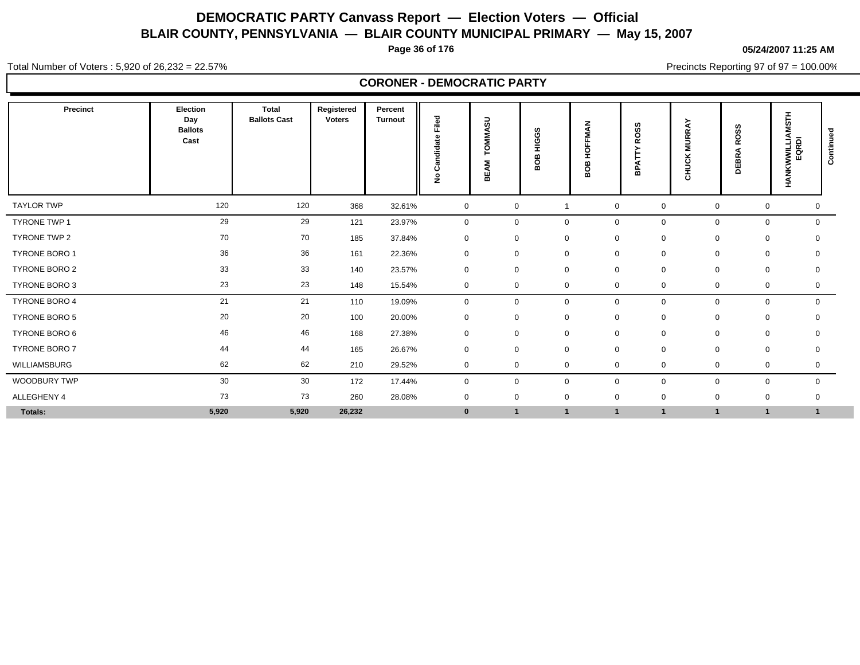**Page 36 of 176**

**05/24/2007 11:25 AM**

Total Number of Voters : 5,920 of 26,232 = 22.57%

Precincts Reporting 97 of 97 = 100.00%

|                      |                                           |                                     |                      | <b>CORONER - DEMOCRATIC PARTY</b> |                    |                    |                 |                |                              |                     |             |                                 |                          |           |
|----------------------|-------------------------------------------|-------------------------------------|----------------------|-----------------------------------|--------------------|--------------------|-----------------|----------------|------------------------------|---------------------|-------------|---------------------------------|--------------------------|-----------|
| Precinct             | Election<br>Day<br><b>Ballots</b><br>Cast | <b>Total</b><br><b>Ballots Cast</b> | Registered<br>Voters | Percent<br><b>Turnout</b>         | ته<br>Ti<br>o<br>ž | వె<br>റ<br>шì<br>m | HIGGS<br>g<br>ō | HOFFMAN<br>80B | <b>ROSS</b><br><b>BPATTY</b> | <b>CHUCK MURRAY</b> |             | <b>ROSS</b><br>₫<br><b>DEBR</b> | HANKWWILLIAMSTH<br>EQRDI | Continued |
| <b>TAYLOR TWP</b>    | 120                                       | 120                                 | 368                  | 32.61%                            | $\mathbf 0$        |                    | $\mathbf 0$     | -1             | $\mathbf 0$                  | $\mathbf 0$         | $\mathbf 0$ | 0                               | 0                        |           |
| TYRONE TWP 1         | 29                                        | 29                                  | 121                  | 23.97%                            | $\mathbf 0$        |                    | 0               | $\mathbf 0$    | $\mathbf 0$                  | $\mathbf 0$         | $\mathbf 0$ | $\mathbf 0$                     | $\mathbf 0$              |           |
| TYRONE TWP 2         | 70                                        | 70                                  | 185                  | 37.84%                            | $\mathbf 0$        |                    | $\mathbf 0$     | $\mathbf 0$    | 0                            | $\mathbf 0$         | $\mathbf 0$ | $\mathbf 0$                     |                          |           |
| TYRONE BORO 1        | 36                                        | 36                                  | 161                  | 22.36%                            | $\mathbf 0$        |                    | 0               | 0              | $\mathbf 0$                  | $\mathbf 0$         | $\mathbf 0$ | $\mathbf 0$                     |                          |           |
| TYRONE BORO 2        | 33                                        | 33                                  | 140                  | 23.57%                            | $\mathbf 0$        |                    | 0               | $\mathbf 0$    | $\mathbf 0$                  | $\mathbf 0$         | 0           | 0                               | $\mathbf 0$              |           |
| TYRONE BORO 3        | 23                                        | 23                                  | 148                  | 15.54%                            | $\mathbf 0$        |                    | 0               | 0              | $\mathbf 0$                  | $\mathbf 0$         | $\mathbf 0$ | 0                               | 0                        |           |
| <b>TYRONE BORO 4</b> | 21                                        | 21                                  | 110                  | 19.09%                            | $\mathbf 0$        |                    | 0               | $\mathbf 0$    | $\mathbf 0$                  | $\mathbf 0$         | $\mathbf 0$ | $\mathbf 0$                     | $\mathbf{0}$             |           |
| TYRONE BORO 5        | 20                                        | 20                                  | 100                  | 20.00%                            | $\mathbf 0$        |                    | $\mathbf 0$     | $\mathbf 0$    | 0                            | $\mathbf 0$         | $\mathbf 0$ | 0                               |                          |           |
| TYRONE BORO 6        | 46                                        | 46                                  | 168                  | 27.38%                            | $\mathbf 0$        |                    | $\mathbf 0$     | $\mathbf 0$    | $\mathbf 0$                  | $\mathbf 0$         | $\mathbf 0$ | $\mathbf 0$                     | $\Omega$                 |           |
| TYRONE BORO 7        | 44                                        | 44                                  | 165                  | 26.67%                            | $\mathbf 0$        |                    | 0               | 0              | 0                            | 0                   | 0           | $\mathbf 0$                     | $\Omega$                 |           |
| WILLIAMSBURG         | 62                                        | 62                                  | 210                  | 29.52%                            | $\mathbf 0$        |                    | $\mathbf 0$     | $\mathbf 0$    | $\mathbf 0$                  | $\mathbf 0$         | 0           | $\mathbf 0$                     | 0                        |           |
| WOODBURY TWP         | 30                                        | 30                                  | 172                  | 17.44%                            | $\mathbf 0$        |                    | 0               | $\mathbf 0$    | $\mathbf 0$                  | $\mathbf 0$         | 0           | $\mathbf 0$                     | $\mathbf 0$              |           |
| ALLEGHENY 4          | 73                                        | 73                                  | 260                  | 28.08%                            | $\mathbf 0$        |                    | $\mathbf 0$     | $\mathbf 0$    | $\mathbf 0$                  | $\mathbf 0$         | 0           | $\mathbf 0$                     | $\Omega$                 |           |
| Totals:              | 5,920                                     | 5,920                               | 26,232               |                                   | $\bf{0}$           |                    | $\mathbf{1}$    |                |                              | $\mathbf{1}$        |             | $\mathbf{1}$                    |                          |           |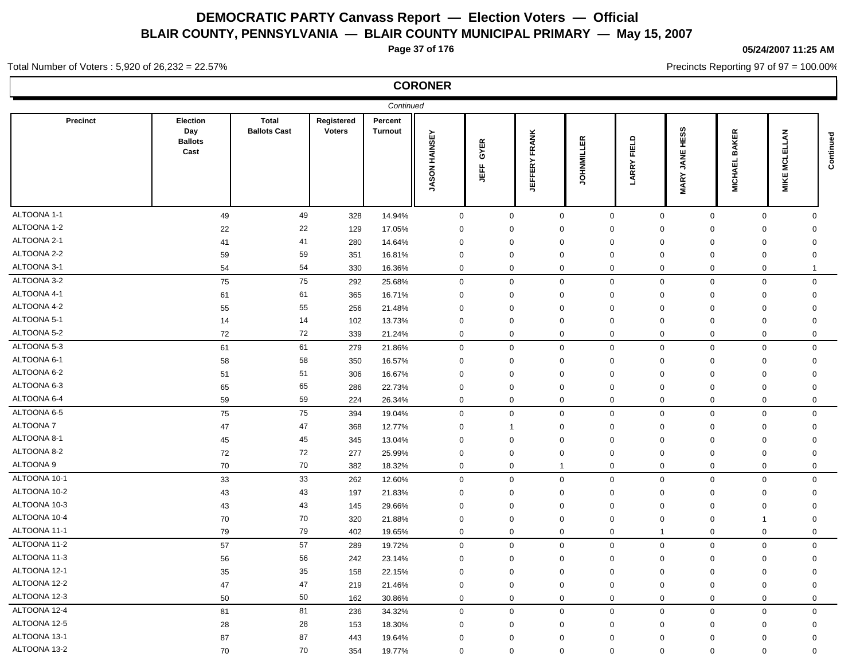**Page 37 of 176**

**CORONER**

### **05/24/2007 11:25 AM**

Precincts Reporting 97 of 97 = 100.00%

### Total Number of Voters : 5,920 of 26,232 = 22.57%

| Continued       |                                                  |                                     |                             |                           |                         |              |                      |                   |                               |                                    |                                |                         |           |
|-----------------|--------------------------------------------------|-------------------------------------|-----------------------------|---------------------------|-------------------------|--------------|----------------------|-------------------|-------------------------------|------------------------------------|--------------------------------|-------------------------|-----------|
| <b>Precinct</b> | <b>Election</b><br>Day<br><b>Ballots</b><br>Cast | <b>Total</b><br><b>Ballots Cast</b> | Registered<br><b>Voters</b> | Percent<br><b>Turnout</b> | HAINSEY<br><b>JASON</b> | GYER<br>斷    | <b>JEFFERY FRANK</b> | <b>JOHNMILLER</b> | FIELD<br><b>LARRY</b>         | HESS<br>JANE<br><b>MARY</b>        | <b>BAKER</b><br><b>MICHAEL</b> | <b>MCLELLAN</b><br>MIKE | Continued |
| ALTOONA 1-1     | 49                                               | 49                                  | 328                         | 14.94%                    | $\mathsf 0$             | $\mathbf 0$  |                      | $\mathbf 0$       | $\mathbf 0$                   | $\mathbf 0$<br>$\pmb{0}$           | $\mathbf 0$                    | $\mathbf 0$             |           |
| ALTOONA 1-2     | 22                                               | 22                                  | 129                         | 17.05%                    | $\mathbf 0$             | $\mathbf 0$  | $\mathbf 0$          |                   | $\mathbf 0$                   | $\mathbf 0$<br>0                   | $\mathbf 0$                    | $\mathbf 0$             |           |
| ALTOONA 2-1     | 41                                               | 41                                  | 280                         | 14.64%                    | $\mathbf 0$             | $\mathbf{0}$ | $\Omega$             |                   | $\mathbf 0$                   | $\mathbf 0$<br>$\mathbf 0$         | $\mathbf 0$                    | $\mathbf 0$             |           |
| ALTOONA 2-2     | 59                                               | 59                                  | 351                         | 16.81%                    | 0                       | 0            | $\mathbf 0$          |                   | 0                             | 0<br>0                             | 0                              | $\mathbf 0$             |           |
| ALTOONA 3-1     | 54                                               | 54                                  | 330                         | 16.36%                    | 0                       | $\mathbf{0}$ | $\Omega$             |                   | $\mathbf 0$                   | $\mathbf 0$<br>$\mathbf 0$         | $\mathbf 0$                    | 1                       |           |
| ALTOONA 3-2     | 75                                               | 75                                  | 292                         | 25.68%                    | $\pmb{0}$               | $\mathbf 0$  |                      | 0                 | $\mathbf 0$                   | $\mathbf 0$<br>$\mathbf 0$         | $\mathbf 0$                    | $\mathbf 0$             |           |
| ALTOONA 4-1     | 61                                               | 61                                  | 365                         | 16.71%                    | $\mathbf 0$             | $\mathbf{0}$ | $\Omega$             |                   | $\mathbf 0$                   | $\mathbf 0$<br>$\Omega$            | $\Omega$                       | $\mathbf 0$             |           |
| ALTOONA 4-2     | 55                                               | 55                                  | 256                         | 21.48%                    | 0                       | 0            | $\mathbf 0$          |                   | 0                             | 0<br>0                             | 0                              | $\mathbf 0$             |           |
| ALTOONA 5-1     | 14                                               | 14                                  | 102                         | 13.73%                    | $\mathbf 0$             | $\mathbf{0}$ | $\Omega$             |                   | $\mathbf 0$                   | $\mathbf 0$<br>$\mathbf 0$         | $\mathbf 0$                    | $\mathbf 0$             |           |
| ALTOONA 5-2     | 72                                               | 72                                  | 339                         | 21.24%                    | 0                       | 0            |                      | 0                 | $\mathbf 0$                   | 0<br>0                             | 0                              | $\mathbf 0$             |           |
| ALTOONA 5-3     | 61                                               | 61                                  | 279                         | 21.86%                    | $\boldsymbol{0}$        | $\mathbf 0$  | $\Omega$             |                   | $\mathbf 0$                   | $\mathsf{O}\xspace$<br>$\mathbf 0$ | $\mathsf 0$                    | $\mathsf 0$             |           |
| ALTOONA 6-1     | 58                                               | 58                                  | 350                         | 16.57%                    | 0                       | 0            | $\mathbf 0$          |                   | 0                             | 0<br>0                             | 0                              | $\mathbf 0$             |           |
| ALTOONA 6-2     | 51                                               | 51                                  | 306                         | 16.67%                    | $\mathbf 0$             | $\mathbf 0$  | $\Omega$             |                   | $\Omega$                      | $\mathbf 0$<br>$\mathbf 0$         | $\mathbf{0}$                   | $\mathbf 0$             |           |
| ALTOONA 6-3     | 65                                               | 65                                  | 286                         | 22.73%                    | 0                       | 0            | $\mathbf 0$          |                   | $\mathbf 0$<br>$\overline{0}$ | 0                                  | $\mathbf 0$                    | $\mathbf 0$             |           |
| ALTOONA 6-4     | 59                                               | 59                                  | 224                         | 26.34%                    | 0                       | $\mathbf 0$  | $\Omega$             |                   | $\mathbf 0$                   | $\mathbf 0$<br>$\mathbf 0$         | $\mathbf 0$                    | $\mathbf 0$             |           |
| ALTOONA 6-5     | 75                                               | 75                                  | 394                         | 19.04%                    | $\mathbf 0$             | $\mathbf 0$  | $\mathbf 0$          |                   | $\mathbf 0$                   | $\mathbf 0$<br>$\mathbf 0$         | $\mathbf 0$                    | $\mathbf 0$             |           |
| ALTOONA 7       | 47                                               | 47                                  | 368                         | 12.77%                    | $\mathbf 0$             |              | $\Omega$             |                   | $\mathbf 0$                   | $\mathbf 0$<br>$\mathbf 0$         | $\mathbf 0$                    | $\mathbf 0$             |           |
| ALTOONA 8-1     | 45                                               | 45                                  | 345                         | 13.04%                    | 0                       | 0            | $\mathbf 0$          |                   | $\Omega$                      | $\mathbf 0$<br>0                   | 0                              | $\mathbf 0$             |           |
| ALTOONA 8-2     | 72                                               | 72                                  | 277                         | 25.99%                    | $\mathbf 0$             | $\mathbf 0$  | $\Omega$             |                   | $\Omega$                      | $\mathbf 0$<br>$\mathbf 0$         | $\mathbf{0}$                   | $\mathbf 0$             |           |
| ALTOONA 9       | 70                                               | 70                                  | 382                         | 18.32%                    | 0                       | 0            | $\mathbf{1}$         |                   | $\mathbf 0$                   | $\mathbf 0$<br>0                   | $\mathbf 0$                    | $\mathbf 0$             |           |
| ALTOONA 10-1    | 33                                               | 33                                  | 262                         | 12.60%                    | $\mathbf 0$             | $\mathbf 0$  | $\Omega$             |                   | $\Omega$                      | $\Omega$<br>$\mathbf 0$            | $\mathbf 0$                    | $\mathbf 0$             |           |
| ALTOONA 10-2    | 43                                               | 43                                  | 197                         | 21.83%                    | $\mathbf 0$             | 0            | $\mathbf 0$          |                   | $\Omega$                      | $\mathbf 0$<br>0                   | $\mathbf 0$                    | $\mathbf 0$             |           |
| ALTOONA 10-3    | 43                                               | 43                                  | 145                         | 29.66%                    | $\Omega$                | $\mathbf{0}$ | $\Omega$             |                   | $\Omega$                      | $\Omega$<br>$\mathbf 0$            | $\mathbf{0}$                   | $\mathbf 0$             |           |
| ALTOONA 10-4    | 70                                               | 70                                  | 320                         | 21.88%                    | 0                       | $\mathbf 0$  | $\mathbf 0$          |                   | 0                             | $\mathbf 0$<br>0                   | -1                             | $\mathbf 0$             |           |
| ALTOONA 11-1    | 79                                               | 79                                  | 402                         | 19.65%                    | $\mathbf 0$             | $\mathbf 0$  | $\Omega$             |                   | $\mathbf 0$                   | $\mathbf 0$<br>-1                  | $\mathbf 0$                    | $\mathsf 0$             |           |
| ALTOONA 11-2    | 57                                               | 57                                  | 289                         | 19.72%                    | $\mathbf 0$             | $\mathbf{0}$ |                      | $\mathbf 0$       | $\mathbf 0$                   | $\mathbf 0$<br>$\mathbf 0$         | $\mathbf 0$                    | $\mathbf 0$             |           |
| ALTOONA 11-3    | 56                                               | 56                                  | 242                         | 23.14%                    | $\mathbf 0$             | $\mathbf 0$  | $\Omega$             |                   | $\Omega$                      | $\mathbf 0$<br>0                   | $\mathbf 0$                    | $\mathbf 0$             |           |
| ALTOONA 12-1    | 35                                               | 35                                  | 158                         | 22.15%                    | $\mathbf 0$             | $\mathbf 0$  | $\mathbf 0$          |                   | $\Omega$                      | $\mathbf 0$<br>0                   | $\mathbf 0$                    | $\mathbf 0$             |           |
| ALTOONA 12-2    | 47                                               | 47                                  | 219                         | 21.46%                    | $\mathbf 0$             | $\mathbf 0$  | $\mathbf 0$          |                   | $\mathbf 0$                   | $\mathbf 0$<br>$\mathbf 0$         | $\mathbf 0$                    | $\mathbf 0$             |           |
| ALTOONA 12-3    | 50                                               | 50                                  | 162                         | 30.86%                    | $\mathbf 0$             | $\mathbf 0$  |                      | 0                 | $\mathbf 0$                   | $\mathbf 0$<br>$\mathbf 0$         | $\mathbf 0$                    | $\mathbf 0$             |           |
| ALTOONA 12-4    | 81                                               | 81                                  | 236                         | 34.32%                    | $\boldsymbol{0}$        | $\mathbf 0$  | $\Omega$             |                   | $\mathbf 0$                   | $\Omega$<br>$\mathbf 0$            | $\mathbf 0$                    | $\mathbf 0$             |           |
| ALTOONA 12-5    | 28                                               | 28                                  | 153                         | 18.30%                    | $\mathbf 0$             | $\Omega$     | $\mathbf 0$          |                   | $\Omega$                      | $\mathbf 0$<br>0                   | $\mathbf 0$                    | $\mathbf 0$             |           |
| ALTOONA 13-1    | 87                                               | 87                                  | 443                         | 19.64%                    | $\mathbf 0$             | $\mathbf 0$  | $\Omega$             |                   | $\Omega$                      | $\Omega$<br>0                      | $\mathbf 0$                    | $\mathbf 0$             |           |
| ALTOONA 13-2    | 70                                               | 70                                  | 354                         | 19.77%                    | 0                       | $\mathbf 0$  | $\mathbf 0$          |                   | $\mathbf 0$                   | $\mathbf 0$<br>$\mathbf 0$         | $\mathbf 0$                    | $\mathbf 0$             |           |
|                 |                                                  |                                     |                             |                           |                         |              |                      |                   |                               |                                    |                                |                         |           |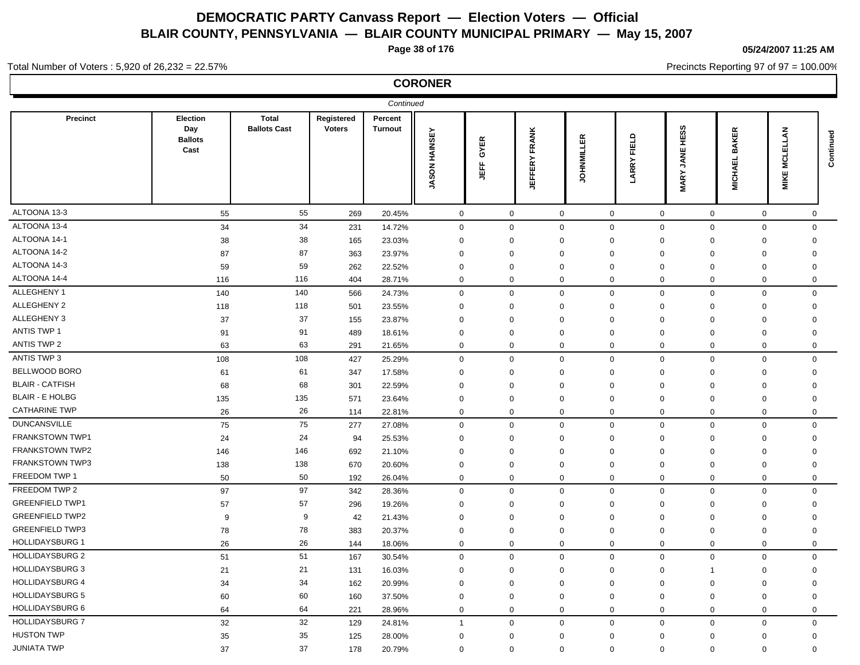**Page 38 of 176**

#### **05/24/2007 11:25 AM**

Precincts Reporting 97 of 97 = 100.00%

#### Total Number of Voters : 5,920 of 26,232 = 22.57%

| Continued              |                                           |                                     |                             |                           |                      |             |                         |             |                       |                                    |                                    |                     |             |
|------------------------|-------------------------------------------|-------------------------------------|-----------------------------|---------------------------|----------------------|-------------|-------------------------|-------------|-----------------------|------------------------------------|------------------------------------|---------------------|-------------|
| <b>Precinct</b>        | Election<br>Day<br><b>Ballots</b><br>Cast | <b>Total</b><br><b>Ballots Cast</b> | Registered<br><b>Voters</b> | Percent<br><b>Turnout</b> | <b>JASON HAINSEY</b> | GYER<br>JEF | FRANK<br><b>JEFFERY</b> | OHNMILLER   | FIELD<br><b>LARRY</b> | HESS<br><b>JANE</b><br><b>MARY</b> | <b>KER</b><br>ΒĀ<br><b>MICHAEL</b> | ξ<br>冚<br>Š<br>MIKE | Continued   |
| ALTOONA 13-3           | 55                                        | 55                                  | 269                         | 20.45%                    | $\overline{0}$       | $\mathbf 0$ |                         | $\mathbf 0$ | $\overline{0}$        | $\mathbf 0$                        | $\mathbf 0$                        | $\mathbf 0$         | $\mathbf 0$ |
| ALTOONA 13-4           | 34                                        | 34                                  | 231                         | 14.72%                    | 0                    | $\mathbf 0$ |                         | $\mathbf 0$ | $\mathbf 0$           | $\mathbf 0$                        | $\mathbf 0$<br>$\mathbf 0$         |                     | $\mathbf 0$ |
| ALTOONA 14-1           | 38                                        | 38                                  | 165                         | 23.03%                    | 0                    | $\mathbf 0$ |                         | $\mathbf 0$ | $\mathbf 0$           | 0                                  | $\mathbf 0$<br>0                   | $\mathbf 0$         |             |
| ALTOONA 14-2           | 87                                        | 87                                  | 363                         | 23.97%                    | $\Omega$             | $\mathbf 0$ |                         | $\mathbf 0$ | $\mathbf 0$           | $\Omega$                           | $\Omega$<br>$\mathbf 0$            | $\mathbf 0$         |             |
| ALTOONA 14-3           | 59                                        | 59                                  | 262                         | 22.52%                    | 0                    | $\mathbf 0$ |                         | $\mathbf 0$ | $\mathbf 0$           | $\mathbf 0$                        | 0<br>$\mathbf 0$                   | $\mathbf 0$         |             |
| ALTOONA 14-4           | 116                                       | 116                                 | 404                         | 28.71%                    | 0                    | $\mathbf 0$ |                         | $\mathbf 0$ | 0                     | 0                                  | $\mathbf 0$<br>$\mathbf 0$         |                     | $\mathbf 0$ |
| ALLEGHENY 1            | 140                                       | 140                                 | 566                         | 24.73%                    | 0                    | $\mathbf 0$ |                         | $\mathbf 0$ | $\mathbf 0$           | $\mathbf 0$                        | $\boldsymbol{0}$<br>$\mathbf 0$    |                     | $\mathbf 0$ |
| ALLEGHENY 2            | 118                                       | 118                                 | 501                         | 23.55%                    | $\mathbf 0$          | $\mathbf 0$ |                         | $\mathbf 0$ | $\mathbf 0$           | 0                                  | $\mathbf 0$<br>$\mathbf 0$         |                     | $\mathbf 0$ |
| ALLEGHENY 3            | 37                                        | 37                                  | 155                         | 23.87%                    | $\mathbf 0$          | $\mathbf 0$ |                         | $\mathbf 0$ | $\mathbf 0$           | $\mathbf 0$                        | $\mathbf 0$<br>$\mathbf 0$         | $\mathbf 0$         |             |
| <b>ANTIS TWP 1</b>     | 91                                        | 91                                  | 489                         | 18.61%                    | 0                    | $\mathbf 0$ |                         | $\mathbf 0$ | $\mathbf 0$           | $\mathbf 0$                        | $\mathbf 0$<br>$\mathbf 0$         |                     | $\mathbf 0$ |
| <b>ANTIS TWP 2</b>     | 63                                        | 63                                  | 291                         | 21.65%                    | 0                    | $\mathbf 0$ |                         | $\mathbf 0$ | $\mathbf 0$           | 0                                  | $\mathbf 0$<br>$\mathbf 0$         |                     | $\mathbf 0$ |
| <b>ANTIS TWP 3</b>     | 108                                       | 108                                 | 427                         | 25.29%                    | 0                    | $\mathbf 0$ |                         | $\mathbf 0$ | $\mathbf 0$           | $\mathbf 0$                        | $\mathbf 0$<br>$\mathbf 0$         |                     | $\mathbf 0$ |
| BELLWOOD BORO          | 61                                        | 61                                  | 347                         | 17.58%                    | $\Omega$             | $\mathbf 0$ |                         | $\mathbf 0$ | $\mathbf 0$           | $\Omega$                           | 0<br>$\mathbf 0$                   | $\mathbf 0$         |             |
| <b>BLAIR - CATFISH</b> | 68                                        | 68                                  | 301                         | 22.59%                    | $\mathbf 0$          | $\mathbf 0$ |                         | $\mathbf 0$ | $\Omega$              | $\Omega$                           | $\mathbf 0$<br>$\mathbf 0$         | $\mathbf 0$         |             |
| <b>BLAIR - E HOLBG</b> | 135                                       | 135                                 | 571                         | 23.64%                    | $\mathbf 0$          | $\mathbf 0$ |                         | $\mathbf 0$ | $\mathbf 0$           | 0                                  | $\mathbf 0$<br>0                   | $\mathbf 0$         |             |
| <b>CATHARINE TWP</b>   | 26                                        | 26                                  | 114                         | 22.81%                    | 0                    | $\mathbf 0$ |                         | $\mathbf 0$ | 0                     | 0                                  | $\mathbf 0$<br>$\mathbf 0$         |                     | $\mathbf 0$ |
| <b>DUNCANSVILLE</b>    | 75                                        | 75                                  | 277                         | 27.08%                    | 0                    | $\mathbf 0$ |                         | $\mathbf 0$ | $\mathbf 0$           | $\mathbf 0$                        | $\mathbf 0$<br>$\mathbf 0$         |                     | $\mathbf 0$ |
| FRANKSTOWN TWP1        | 24                                        | 24                                  | 94                          | 25.53%                    | 0                    | $\mathbf 0$ |                         | $\mathbf 0$ | $\mathbf 0$           | $\mathbf 0$                        | $\mathbf 0$<br>$\mathbf 0$         | $\mathbf 0$         |             |
| FRANKSTOWN TWP2        | 146                                       | 146                                 | 692                         | 21.10%                    | $\mathbf 0$          | $\mathbf 0$ |                         | $\mathbf 0$ | $\mathbf 0$           | $\mathbf 0$                        | $\mathbf 0$<br>$\mathbf 0$         |                     | $\mathbf 0$ |
| <b>FRANKSTOWN TWP3</b> | 138                                       | 138                                 | 670                         | 20.60%                    | $\mathbf 0$          | $\mathbf 0$ |                         | $\mathbf 0$ | $\mathbf 0$           | 0                                  | 0<br>$\mathbf 0$                   | $\mathbf 0$         |             |
| FREEDOM TWP 1          | 50                                        | 50                                  | 192                         | 26.04%                    | 0                    | $\mathbf 0$ |                         | $\mathbf 0$ | $\mathbf 0$           | 0                                  | $\mathbf 0$<br>$\mathbf 0$         |                     | 0           |
| FREEDOM TWP 2          | 97                                        | 97                                  | 342                         | 28.36%                    | 0                    | $\mathbf 0$ |                         | $\mathbf 0$ | $\mathbf 0$           | $\mathbf 0$                        | $\mathbf 0$<br>$\mathbf 0$         |                     | $\mathbf 0$ |
| <b>GREENFIELD TWP1</b> | 57                                        | 57                                  | 296                         | 19.26%                    | 0                    | $\mathbf 0$ |                         | $\mathbf 0$ | $\Omega$              | $\Omega$                           | $\mathbf 0$<br>$\mathbf 0$         | $\mathbf 0$         |             |
| <b>GREENFIELD TWP2</b> | 9                                         | 9                                   | 42                          | 21.43%                    | $\Omega$             | $\mathbf 0$ |                         | $\mathbf 0$ | $\mathbf 0$           | $\Omega$                           | 0<br>$\mathbf 0$                   | $\mathbf 0$         |             |
| <b>GREENFIELD TWP3</b> | 78                                        | 78                                  | 383                         | 20.37%                    | $\mathbf 0$          | $\mathbf 0$ |                         | $\mathbf 0$ | $\mathbf 0$           | 0                                  | $\mathbf 0$<br>0                   | 0                   |             |
| <b>HOLLIDAYSBURG 1</b> | 26                                        | 26                                  | 144                         | 18.06%                    | 0                    | $\mathbf 0$ |                         | $\mathbf 0$ | $\mathbf 0$           | $\mathbf 0$                        | $\mathbf 0$<br>$\mathbf 0$         |                     | $\mathbf 0$ |
| <b>HOLLIDAYSBURG 2</b> | 51                                        | 51                                  | 167                         | 30.54%                    | 0                    | $\mathbf 0$ |                         | $\mathbf 0$ | $\Omega$              | $\mathbf{0}$                       | $\mathbf 0$<br>$\mathbf 0$         |                     | $\mathbf 0$ |
| <b>HOLLIDAYSBURG 3</b> | 21                                        | 21                                  | 131                         | 16.03%                    | 0                    | $\mathbf 0$ |                         | $\mathbf 0$ | $\mathbf 0$           | 0                                  | $\mathbf 0$<br>$\mathbf{1}$        |                     | $\mathbf 0$ |
| <b>HOLLIDAYSBURG 4</b> | 34                                        | 34                                  | 162                         | 20.99%                    | $\mathbf 0$          | $\mathbf 0$ |                         | $\mathbf 0$ | $\mathbf 0$           | $\mathbf 0$                        | 0<br>$\mathbf 0$                   | $\mathbf 0$         |             |
| <b>HOLLIDAYSBURG 5</b> | 60                                        | 60                                  | 160                         | 37.50%                    | $\mathbf 0$          | $\mathbf 0$ |                         | $\mathbf 0$ | $\mathbf 0$           | 0                                  | 0<br>$\mathbf 0$                   |                     | $\mathbf 0$ |
| <b>HOLLIDAYSBURG 6</b> | 64                                        | 64                                  | 221                         | 28.96%                    | 0                    | $\mathbf 0$ |                         | $\mathbf 0$ | $\mathbf 0$           | $\mathbf 0$                        | $\mathbf 0$<br>$\mathbf 0$         |                     | $\mathbf 0$ |
| <b>HOLLIDAYSBURG 7</b> | 32                                        | 32                                  | 129                         | 24.81%                    | $\mathbf{1}$         | $\mathbf 0$ |                         | $\mathbf 0$ | $\mathbf 0$           | $\mathbf 0$                        | $\mathbf 0$<br>$\mathbf 0$         |                     | $\mathbf 0$ |
| <b>HUSTON TWP</b>      | 35                                        | 35                                  | 125                         | 28.00%                    | $\Omega$             | $\mathbf 0$ |                         | $\mathbf 0$ | $\mathbf 0$           | 0                                  | 0<br>$\mathbf 0$                   | $\mathbf 0$         |             |
| <b>JUNIATA TWP</b>     | 37                                        | 37                                  | 178                         | 20.79%                    | $\mathbf 0$          | $\mathbf 0$ |                         | $\mathbf 0$ | $\mathbf{0}$          | $\mathbf 0$                        | $\Omega$<br>$\mathbf{0}$           |                     | $\Omega$    |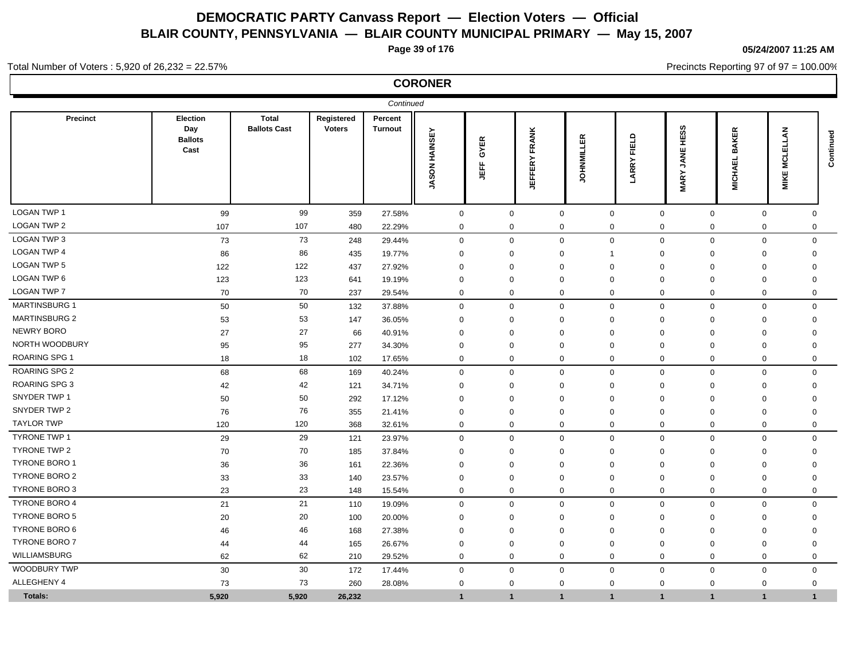**Page 39 of 176**

**05/24/2007 11:25 AM**

Precincts Reporting 97 of 97 = 100.00%

Total Number of Voters : 5,920 of 26,232 = 22.57%

| Continued            |                                           |                                     |                             |                           |                      |                  |                         |                   |               |                                    |                                    |                         |              |
|----------------------|-------------------------------------------|-------------------------------------|-----------------------------|---------------------------|----------------------|------------------|-------------------------|-------------------|---------------|------------------------------------|------------------------------------|-------------------------|--------------|
| Precinct             | Election<br>Day<br><b>Ballots</b><br>Cast | <b>Total</b><br><b>Ballots Cast</b> | Registered<br><b>Voters</b> | Percent<br><b>Turnout</b> | <b>JASON HAINSEY</b> | GYER<br>LEF<br>5 | FRANK<br><b>JEFFERY</b> | ER<br>OHNMIL<br>∍ | FIELD<br>ARRY | HESS<br><b>JANE</b><br><b>MARY</b> | <b>KER</b><br>ВÁ<br><b>MICHAEL</b> | Ę<br>ပ<br>Ξ<br>MIKE     | Continued    |
| <b>LOGAN TWP 1</b>   | 99                                        | 99                                  | 359                         | 27.58%                    | $\mathbf 0$          | $\mathbf 0$      |                         | $\mathbf 0$       | $\mathbf 0$   | $\mathbf 0$                        | $\mathbf 0$                        | $\mathbf 0$             | $\mathbf{0}$ |
| <b>LOGAN TWP 2</b>   | 107                                       | 107                                 | 480                         | 22.29%                    | $\mathbf 0$          | $\mathbf 0$      |                         | $\mathbf 0$       | 0             | 0                                  | $\mathbf 0$                        | $\mathbf 0$             | $\mathbf 0$  |
| LOGAN TWP 3          | 73                                        | 73                                  | 248                         | 29.44%                    | $\mathbf 0$          | $\mathbf 0$      |                         | $\Omega$          | $\mathbf 0$   | $\mathbf 0$                        | $\mathbf 0$                        | $\mathbf 0$             | $\Omega$     |
| <b>LOGAN TWP 4</b>   | 86                                        | 86                                  | 435                         | 19.77%                    | $\mathbf 0$          | $\mathbf 0$      |                         | $\mathbf 0$       | 1             | $\Omega$                           | $\mathbf 0$                        | $\mathbf 0$             | $\mathbf 0$  |
| <b>LOGAN TWP 5</b>   | 122                                       | 122                                 | 437                         | 27.92%                    | $\mathbf 0$          | $\mathbf 0$      |                         | $\Omega$          | $\Omega$      | $\Omega$                           | $\mathbf 0$                        | $\mathbf 0$             | $\mathbf 0$  |
| LOGAN TWP 6          | 123                                       | 123                                 | 641                         | 19.19%                    | $\mathbf 0$          | $\mathbf 0$      |                         | $\Omega$          | $\mathbf 0$   | $\mathbf 0$                        | $\mathbf 0$                        | $\mathbf 0$             | $\mathbf 0$  |
| <b>LOGAN TWP 7</b>   | 70                                        | 70                                  | 237                         | 29.54%                    | $\mathbf 0$          | $\mathbf 0$      |                         | 0                 | 0             | 0                                  | $\mathbf 0$                        | $\mathbf 0$             | $\mathbf 0$  |
| <b>MARTINSBURG 1</b> | 50                                        | 50                                  | 132                         | 37.88%                    | $\mathbf 0$          | $\mathbf 0$      |                         | $\mathbf 0$       | $\mathbf 0$   | $\mathbf 0$                        | $\mathbf 0$                        | $\mathbf 0$             | $\mathbf 0$  |
| <b>MARTINSBURG 2</b> | 53                                        | 53                                  | 147                         | 36.05%                    | $\mathbf 0$          | $\mathbf 0$      |                         | $\Omega$          | $\mathbf 0$   | $\Omega$                           | $\mathbf 0$                        | 0                       | $\mathbf 0$  |
| <b>NEWRY BORO</b>    | 27                                        | 27                                  | 66                          | 40.91%                    | $\mathbf 0$          | $\mathbf 0$      |                         | $\Omega$          | $\mathbf 0$   | $\Omega$                           | $\mathbf 0$                        | $\mathbf 0$             | $\Omega$     |
| NORTH WOODBURY       | 95                                        | 95                                  | 277                         | 34.30%                    | $\mathbf 0$          | 0                |                         | $\mathbf{0}$      | $\mathbf 0$   | $\mathbf 0$                        | $\mathbf 0$                        | 0                       | $\mathbf 0$  |
| <b>ROARING SPG 1</b> | 18                                        | 18                                  | 102                         | 17.65%                    | $\mathbf 0$          | $\mathbf 0$      |                         | 0                 | 0             | 0                                  | $\mathbf 0$                        | $\mathbf 0$             | $\mathbf 0$  |
| <b>ROARING SPG 2</b> | 68                                        | 68                                  | 169                         | 40.24%                    | $\mathbf 0$          | $\mathbf 0$      |                         | $\mathbf 0$       | $\mathbf 0$   | $\mathbf 0$                        | $\mathbf 0$                        | $\mathbf 0$             | $\mathbf 0$  |
| <b>ROARING SPG 3</b> | 42                                        | 42                                  | 121                         | 34.71%                    | $\Omega$             | $\mathbf 0$      |                         | $\Omega$          | $\mathbf 0$   | $\mathbf 0$                        | $\Omega$                           | $\mathbf 0$             | $\mathbf 0$  |
| SNYDER TWP 1         | 50                                        | 50                                  | 292                         | 17.12%                    | $\Omega$             | $\mathbf 0$      |                         | $\Omega$          | $\Omega$      | $\Omega$                           | $\Omega$                           | $\mathbf 0$             | $\Omega$     |
| SNYDER TWP 2         | 76                                        | 76                                  | 355                         | 21.41%                    | $\Omega$             | $\mathbf 0$      |                         | $\Omega$          | $\Omega$      | $\mathbf 0$                        | $\mathbf 0$                        | $\mathbf{0}$            | $\Omega$     |
| <b>TAYLOR TWP</b>    | 120                                       | 120                                 | 368                         | 32.61%                    | $\mathbf 0$          | $\mathbf 0$      |                         | $\mathbf 0$       | $\mathbf 0$   | $\mathbf 0$                        | $\mathbf 0$                        | $\mathbf{0}$            | $\Omega$     |
| <b>TYRONE TWP 1</b>  | 29                                        | 29                                  | 121                         | 23.97%                    | $\mathbf 0$          | $\mathbf 0$      |                         | $\mathbf 0$       | $\mathbf 0$   | $\mathbf 0$                        | $\mathbf 0$                        | $\mathbf 0$             | $\mathbf 0$  |
| <b>TYRONE TWP 2</b>  | 70                                        | 70                                  | 185                         | 37.84%                    | $\mathbf 0$          | $\mathbf 0$      |                         | $\mathbf 0$       | $\mathbf 0$   | $\mathbf 0$                        | $\mathbf 0$                        | $\mathbf 0$             | $\mathbf 0$  |
| TYRONE BORO 1        | 36                                        | 36                                  | 161                         | 22.36%                    | $\mathbf 0$          | $\mathbf 0$      |                         | $\Omega$          | $\mathbf 0$   | $\mathbf 0$                        | $\mathbf 0$                        | $\mathbf 0$             | $\mathbf 0$  |
| TYRONE BORO 2        | 33                                        | 33                                  | 140                         | 23.57%                    | $\mathbf 0$          | $\mathbf 0$      |                         | $\mathbf 0$       | $\mathbf 0$   | $\mathbf 0$                        | $\mathbf 0$                        | $\mathbf 0$             | $\Omega$     |
| <b>TYRONE BORO 3</b> | 23                                        | 23                                  | 148                         | 15.54%                    | $\mathbf 0$          | $\mathbf 0$      |                         | $\mathbf 0$       | $\mathbf 0$   | $\mathbf 0$                        | $\mathbf 0$                        | $\mathbf 0$             | $\mathbf 0$  |
| <b>TYRONE BORO 4</b> | 21                                        | 21                                  | 110                         | 19.09%                    | $\mathbf 0$          | $\mathbf 0$      |                         | $\mathbf 0$       | $\mathbf{0}$  | $\mathbf 0$                        | $\mathbf 0$                        | $\mathbf 0$             | $\mathbf 0$  |
| <b>TYRONE BORO 5</b> | 20                                        | 20                                  | 100                         | 20.00%                    | $\mathbf 0$          | $\mathbf 0$      |                         | $\mathbf 0$       | $\Omega$      | $\mathbf 0$                        | $\mathbf 0$                        | $\mathbf 0$             | $\Omega$     |
| <b>TYRONE BORO 6</b> | 46                                        | 46                                  | 168                         | 27.38%                    | $\Omega$             | $\mathbf 0$      |                         | $\Omega$          | $\Omega$      | $\Omega$                           | $\Omega$                           | $\mathbf 0$             | $\Omega$     |
| <b>TYRONE BORO 7</b> | 44                                        | 44                                  | 165                         | 26.67%                    | $\mathbf 0$          | $\mathbf 0$      |                         | $\Omega$          | $\Omega$      | $\mathbf 0$                        | $\Omega$                           | $\mathbf 0$             | 0            |
| WILLIAMSBURG         | 62                                        | 62                                  | 210                         | 29.52%                    | $\mathbf 0$          | $\mathbf 0$      |                         | $\mathbf 0$       | $\mathbf 0$   | $\mathbf 0$                        | $\mathbf 0$                        | $\mathbf{0}$            | $\Omega$     |
| <b>WOODBURY TWP</b>  | 30                                        | 30                                  | 172                         | 17.44%                    | $\mathbf 0$          | $\mathbf 0$      |                         | $\mathbf 0$       | $\mathbf 0$   | $\mathbf 0$                        | $\mathbf 0$                        | $\mathbf 0$             | $\Omega$     |
| ALLEGHENY 4          | 73                                        | 73                                  | 260                         | 28.08%                    | $\Omega$             | $\mathbf 0$      |                         | $\mathbf 0$       | $\Omega$      | $\mathbf 0$                        | $\mathbf 0$                        | $\mathbf{0}$            | $\Omega$     |
| <b>Totals:</b>       | 5.920                                     | 5,920                               | 26,232                      |                           | 1                    | $\mathbf{1}$     |                         | $\mathbf{1}$      | $\mathbf 1$   | $\mathbf 1$                        | $\overline{1}$                     | $\overline{\mathbf{1}}$ | $\mathbf 1$  |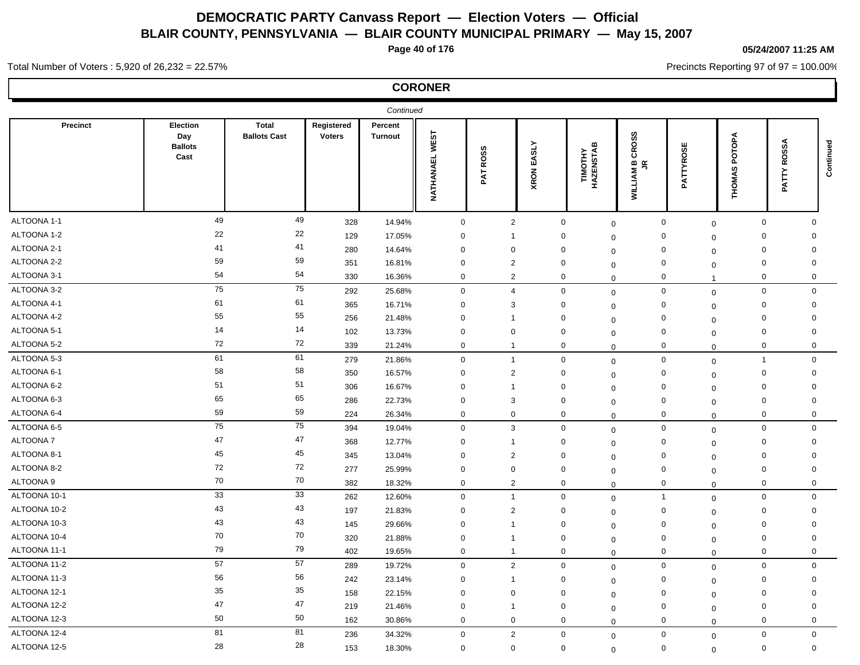**Page 40 of 176**

## **05/24/2007 11:25 AM**

Precincts Reporting 97 of 97 = 100.00%

Total Number of Voters : 5,920 of 26,232 = 22.57%

| Continued    |                                           |                                     |                             |                           |                   |                                        |               |                            |                                                                                    |                |                                 |                       |             |
|--------------|-------------------------------------------|-------------------------------------|-----------------------------|---------------------------|-------------------|----------------------------------------|---------------|----------------------------|------------------------------------------------------------------------------------|----------------|---------------------------------|-----------------------|-------------|
| Precinct     | Election<br>Day<br><b>Ballots</b><br>Cast | <b>Total</b><br><b>Ballots Cast</b> | Registered<br><b>Voters</b> | Percent<br><b>Turnout</b> | WEST<br>NATHANAEL | ဖာ<br>ROS:<br>$\bar{\mathbf{k}}$<br>Δ. | EASLY<br>XRON | TIMOTHY<br>HAZENSTAB       | <b>CROSS</b><br>$\underline{m}$ $\underline{\underline{\kappa}}$<br><b>WILLIAM</b> | PATTYROSE      | POTOPA<br>ဖ<br><b>IOMA</b><br>퐅 | <b>ROSSA</b><br>PATTY | Continued   |
| ALTOONA 1-1  | 49                                        | 49                                  | 328                         | 14.94%                    | $\mathbf 0$       | $\overline{2}$                         |               | $\mathbf 0$<br>$\mathbf 0$ | $\boldsymbol{0}$                                                                   | $\mathbf 0$    | $\mathbf 0$                     |                       | $\mathbf 0$ |
| ALTOONA 1-2  | 22                                        | 22                                  | 129                         | 17.05%                    | $\mathbf 0$       | $\overline{1}$                         |               | $\mathbf 0$<br>$\mathbf 0$ | $\mathbf 0$                                                                        | $\mathbf 0$    | $\mathbf 0$                     |                       | $\mathbf 0$ |
| ALTOONA 2-1  | 41                                        | 41                                  | 280                         | 14.64%                    | $\mathbf 0$       | $\mathbf 0$                            |               | $\mathbf 0$<br>$\mathbf 0$ | $\mathbf 0$                                                                        | $\mathbf 0$    | $\mathbf 0$                     |                       | $\mathbf 0$ |
| ALTOONA 2-2  | 59                                        | 59                                  | 351                         | 16.81%                    | $\mathbf 0$       | $\overline{2}$                         |               | $\mathbf 0$<br>$\mathbf 0$ | $\mathbf 0$                                                                        | $\mathbf 0$    | $\mathbf 0$                     |                       | $\mathbf 0$ |
| ALTOONA 3-1  | 54                                        | 54                                  | 330                         | 16.36%                    | $\mathbf 0$       | $\overline{2}$                         |               | $\mathbf 0$<br>$\Omega$    | $\mathbf 0$                                                                        | $\overline{1}$ | $\mathbf 0$                     |                       | $\mathbf 0$ |
| ALTOONA 3-2  | 75                                        | 75                                  | 292                         | 25.68%                    | $\mathbf 0$       | $\overline{4}$                         |               | $\mathbf 0$<br>$\mathbf 0$ | $\mathbf 0$                                                                        | $\mathbf 0$    |                                 | $\mathbf 0$           | $\mathbf 0$ |
| ALTOONA 4-1  | 61                                        | 61                                  | 365                         | 16.71%                    | $\mathbf 0$       | 3                                      |               | $\mathbf 0$<br>$\Omega$    | $\mathbf 0$                                                                        | $\mathbf 0$    | $\mathbf 0$                     |                       | 0           |
| ALTOONA 4-2  | 55                                        | 55                                  | 256                         | 21.48%                    | $\mathbf 0$       | $\overline{1}$                         |               | $\mathbf 0$<br>$\Omega$    | $\mathbf 0$                                                                        | $\mathbf 0$    | $\mathbf 0$                     |                       | 0           |
| ALTOONA 5-1  | 14                                        | 14                                  | 102                         | 13.73%                    | $\mathbf 0$       | $\mathbf 0$                            |               | $\mathbf 0$<br>$\mathbf 0$ | $\mathbf 0$                                                                        | $\mathbf 0$    | $\mathbf 0$                     |                       | $\mathbf 0$ |
| ALTOONA 5-2  | 72                                        | 72                                  | 339                         | 21.24%                    | $\mathbf 0$       | $\mathbf{1}$                           |               | $\mathbf 0$<br>$\Omega$    | $\mathbf 0$                                                                        | $\Omega$       | $\mathbf 0$                     |                       | $\mathbf 0$ |
| ALTOONA 5-3  | 61                                        | 61                                  | 279                         | 21.86%                    | $\mathbf 0$       | $\mathbf{1}$                           |               | $\mathbf 0$                | $\mathbf 0$<br>0                                                                   | $\mathbf 0$    | $\overline{1}$                  |                       | $\mathbf 0$ |
| ALTOONA 6-1  | 58                                        | 58                                  | 350                         | 16.57%                    | $\mathbf 0$       | $\overline{2}$                         |               | $\mathbf 0$<br>$\Omega$    | $\mathbf 0$                                                                        | $\mathbf 0$    | $\mathbf 0$                     |                       | 0           |
| ALTOONA 6-2  | 51                                        | 51                                  | 306                         | 16.67%                    | $\mathbf 0$       | $\overline{1}$                         |               | $\mathbf 0$<br>$\mathbf 0$ | $\mathbf 0$                                                                        | $\mathbf 0$    | $\mathbf 0$                     |                       | $\mathbf 0$ |
| ALTOONA 6-3  | 65                                        | 65                                  | 286                         | 22.73%                    | $\mathbf 0$       | 3                                      |               | $\mathbf 0$<br>$\Omega$    | $\mathbf 0$                                                                        | $\mathbf 0$    | $\mathbf 0$                     |                       | 0           |
| ALTOONA 6-4  | 59                                        | 59                                  | 224                         | 26.34%                    | $\mathbf 0$       | $\mathbf 0$                            |               | $\mathbf 0$<br>$\Omega$    | $\mathbf 0$                                                                        | $\mathbf 0$    |                                 | $\mathbf 0$           | $\mathbf 0$ |
| ALTOONA 6-5  | 75                                        | 75                                  | 394                         | 19.04%                    | $\mathbf 0$       | 3                                      |               | $\mathbf 0$                | $\mathbf 0$<br>$\mathbf{0}$                                                        | $\mathbf 0$    | $\mathbf 0$                     |                       | $\mathbf 0$ |
| ALTOONA 7    | 47                                        | 47                                  | 368                         | 12.77%                    | $\mathbf 0$       | $\mathbf{1}$                           |               | $\mathbf 0$<br>$\mathbf 0$ | $\mathbf 0$                                                                        | $\mathbf 0$    | $\mathbf 0$                     |                       | $\mathbf 0$ |
| ALTOONA 8-1  | 45                                        | 45                                  | 345                         | 13.04%                    | $\mathbf 0$       | $\overline{2}$                         |               | $\mathbf 0$<br>$\mathbf 0$ | $\mathbf 0$                                                                        | $\mathbf 0$    | $\mathbf 0$                     |                       | $\mathbf 0$ |
| ALTOONA 8-2  | 72                                        | 72                                  | 277                         | 25.99%                    | $\mathbf 0$       | $\mathbf 0$                            |               | 0<br>$\Omega$              | $\mathbf 0$                                                                        | $\mathbf 0$    | 0                               |                       | 0           |
| ALTOONA 9    | 70                                        | 70                                  | 382                         | 18.32%                    | $\mathbf 0$       | $\overline{2}$                         |               | $\mathbf 0$<br>$\mathbf 0$ | $\mathbf 0$                                                                        | $\mathbf 0$    |                                 | $\mathbf 0$           | $\mathbf 0$ |
| ALTOONA 10-1 | 33                                        | 33                                  | 262                         | 12.60%                    | $\mathbf 0$       | $\overline{1}$                         |               | $\mathbf 0$<br>$\mathbf 0$ | $\overline{1}$                                                                     | $\mathbf 0$    |                                 | $\mathbf 0$           | $\mathbf 0$ |
| ALTOONA 10-2 | 43                                        | 43                                  | 197                         | 21.83%                    | $\mathbf 0$       | $\overline{2}$                         |               | $\mathbf 0$<br>$\mathbf 0$ | $\mathbf 0$                                                                        | $\mathbf 0$    | 0                               |                       | 0           |
| ALTOONA 10-3 | 43                                        | 43                                  | 145                         | 29.66%                    | $\mathbf 0$       | $\overline{1}$                         |               | $\mathbf 0$<br>$\Omega$    | $\mathbf 0$                                                                        | $\mathbf 0$    | $\Omega$                        |                       | $\mathbf 0$ |
| ALTOONA 10-4 | 70                                        | 70                                  | 320                         | 21.88%                    | $\mathbf 0$       | $\mathbf{1}$                           |               | $\mathbf 0$<br>$\mathbf 0$ | $\mathbf 0$                                                                        | $\mathbf 0$    | $\mathbf 0$                     |                       | $\Omega$    |
| ALTOONA 11-1 | 79                                        | 79                                  | 402                         | 19.65%                    | $\mathbf 0$       | $\mathbf{1}$                           |               | $\mathbf 0$<br>$\Omega$    | $\mathbf 0$                                                                        | $\mathbf 0$    |                                 | $\mathbf 0$           | $\mathbf 0$ |
| ALTOONA 11-2 | 57                                        | 57                                  | 289                         | 19.72%                    | $\mathbf 0$       | $\overline{2}$                         |               | $\mathbf 0$<br>$\mathbf 0$ | $\mathbf 0$                                                                        | $\mathbf 0$    |                                 | 0                     | $\mathbf 0$ |
| ALTOONA 11-3 | 56                                        | 56                                  | 242                         | 23.14%                    | $\mathbf 0$       | $\mathbf{1}$                           |               | $\mathbf 0$<br>$\mathbf 0$ | $\mathbf 0$                                                                        | $\mathbf 0$    |                                 | 0                     | $\mathbf 0$ |
| ALTOONA 12-1 | 35                                        | 35                                  | 158                         | 22.15%                    | $\Omega$          | $\mathbf 0$                            |               | $\mathbf 0$<br>$\Omega$    | $\mathbf 0$                                                                        | $\mathbf 0$    |                                 | 0                     | $\mathbf 0$ |
| ALTOONA 12-2 | 47                                        | 47                                  | 219                         | 21.46%                    | $\mathbf 0$       | $\mathbf{1}$                           |               | 0<br>$\mathbf 0$           | $\mathbf 0$                                                                        | $\mathbf 0$    | $\mathbf 0$                     |                       | $\mathbf 0$ |
| ALTOONA 12-3 | 50                                        | 50                                  | 162                         | 30.86%                    | $\mathbf 0$       | $\mathbf 0$                            |               | $\mathbf 0$<br>$\mathbf 0$ | $\mathbf 0$                                                                        | $\mathbf 0$    |                                 | $\mathbf{0}$          | $\mathbf 0$ |
| ALTOONA 12-4 | 81                                        | 81                                  | 236                         | 34.32%                    | $\mathbf 0$       | $\overline{2}$                         |               | $\mathbf 0$                | $\mathbf 0$<br>0                                                                   | $\mathbf 0$    |                                 | $\mathbf 0$           | $\mathbf 0$ |
| ALTOONA 12-5 | 28                                        | 28                                  | 153                         | 18.30%                    | $\mathbf 0$       | $\mathbf 0$                            |               | $\mathbf 0$                | $\mathbf 0$<br>$\mathbf{0}$                                                        | $\mathbf 0$    |                                 | $\mathbf 0$           | $\mathbf 0$ |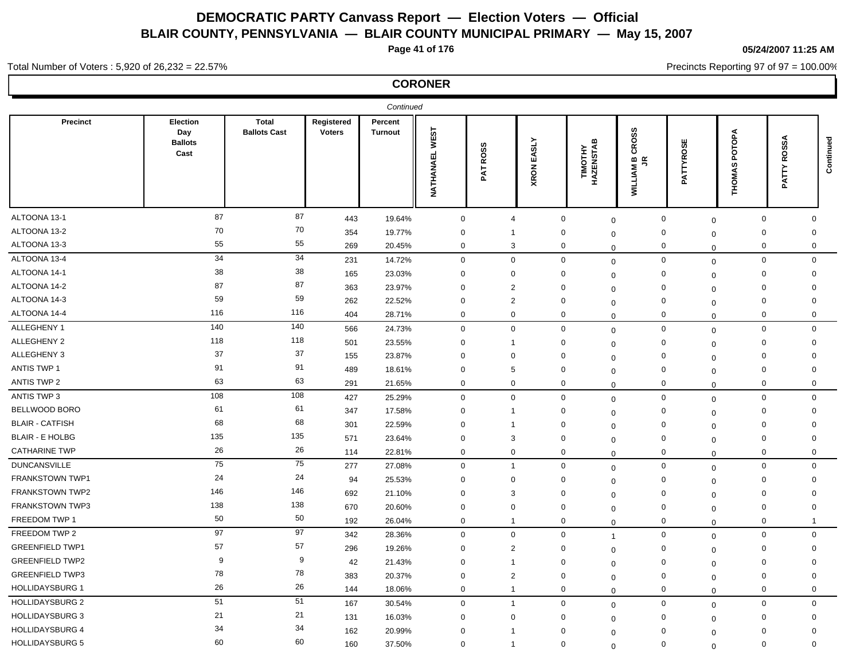**Page 41 of 176**

**05/24/2007 11:25 AM**

Precincts Reporting 97 of 97 = 100.00%

## Total Number of Voters : 5,920 of 26,232 = 22.57%

| Continued              |                                           |                                     |                             |                           |                          |                         |                      |                            |                                                    |                     |                        |                       |             |
|------------------------|-------------------------------------------|-------------------------------------|-----------------------------|---------------------------|--------------------------|-------------------------|----------------------|----------------------------|----------------------------------------------------|---------------------|------------------------|-----------------------|-------------|
| Precinct               | Election<br>Day<br><b>Ballots</b><br>Cast | <b>Total</b><br><b>Ballots Cast</b> | Registered<br><b>Voters</b> | Percent<br><b>Turnout</b> | <b>WEST</b><br>NATHANAEL | <b>ROSS</b><br>PAT      | EASLY<br><b>XRON</b> | TIMOTHY<br>HAZENSTAB       | <b>CROSS</b><br>$\mathbf{e} \in$<br><b>WILLIAM</b> | ATTYROSE<br>௨       | POTOPA<br>ဖာ<br>THOMA! | <b>ROSSA</b><br>PATTY | Continued   |
| ALTOONA 13-1           | 87                                        | 87                                  | 443                         | 19.64%                    | $\mathbf 0$              | $\overline{4}$          |                      | $\mathbf 0$                | $\mathbf 0$                                        | $\mathbf 0$         | $\mathbf 0$            | $\mathbf 0$           | $\mathbf 0$ |
| ALTOONA 13-2           | 70                                        | 70                                  | 354                         | 19.77%                    | $\mathbf 0$              | -1                      |                      | 0                          | $\Omega$                                           | 0                   | $\mathbf 0$            | $\Omega$              | $\Omega$    |
| ALTOONA 13-3           | 55                                        | 55                                  | 269                         | 20.45%                    | $\mathbf 0$              | 3                       |                      | 0                          | $\Omega$                                           | $\mathbf 0$         | $\mathbf 0$            | 0                     | 0           |
| ALTOONA 13-4           | 34                                        | 34                                  | 231                         | 14.72%                    | $\mathbf 0$              | $\mathbf{0}$            |                      | $\mathbf 0$                | $\mathbf 0$                                        | $\mathbf 0$         | $\mathbf 0$            | $\mathbf 0$           | $\mathbf 0$ |
| ALTOONA 14-1           | 38                                        | 38                                  | 165                         | 23.03%                    | $\mathbf 0$              | 0                       |                      | 0                          | $\mathbf 0$                                        | $\mathbf 0$         | $\mathbf 0$            | 0                     | $\mathbf 0$ |
| ALTOONA 14-2           | 87                                        | 87                                  | 363                         | 23.97%                    | $\mathbf 0$              | $\overline{2}$          |                      | $\mathbf 0$<br>$\mathbf 0$ |                                                    | $\mathbf 0$         | $\mathbf 0$            | $\mathbf 0$           | 0           |
| ALTOONA 14-3           | 59                                        | 59                                  | 262                         | 22.52%                    | $\mathbf 0$              | $\overline{2}$          |                      | $\mathbf 0$                | $\mathbf 0$                                        | $\mathbf 0$         | $\mathbf 0$            | $\mathbf 0$           | $\mathbf 0$ |
| ALTOONA 14-4           | 116                                       | 116                                 | 404                         | 28.71%                    | $\mathbf 0$              | $\mathbf 0$             |                      | $\mathbf 0$                | $\Omega$                                           | $\mathbf 0$         | $\mathbf 0$            | 0                     | $\mathbf 0$ |
| ALLEGHENY 1            | 140                                       | 140                                 | 566                         | 24.73%                    | $\mathbf 0$              | $\mathbf 0$             |                      | $\mathbf 0$                | $\Omega$                                           | $\mathbf 0$         | $\mathbf 0$            | $\mathbf 0$           | $\mathbf 0$ |
| ALLEGHENY 2            | 118                                       | 118                                 | 501                         | 23.55%                    | $\mathbf 0$              | $\mathbf{1}$            |                      | 0                          | $\mathbf 0$                                        | $\mathbf 0$         | $\mathbf 0$            | $\mathbf 0$           | $\mathbf 0$ |
| ALLEGHENY 3            | 37                                        | 37                                  | 155                         | 23.87%                    | $\mathbf 0$              | $\mathbf 0$             |                      | 0                          | $\Omega$                                           | $\mathbf 0$         | $\mathbf 0$            | $\mathbf 0$           | $\mathbf 0$ |
| <b>ANTIS TWP 1</b>     | 91                                        | 91                                  | 489                         | 18.61%                    | $\mathbf 0$              | 5                       |                      | $\mathbf 0$                | $\mathbf 0$                                        | $\mathbf 0$         | $\mathbf 0$            | $\mathbf 0$           | $\mathbf 0$ |
| <b>ANTIS TWP 2</b>     | 63                                        | 63                                  | 291                         | 21.65%                    | $\mathbf 0$              | $\mathbf{0}$            |                      | $\mathbf 0$                | $\Omega$                                           | $\mathbf 0$         | $\mathbf 0$            | $\mathbf{0}$          | 0           |
| ANTIS TWP 3            | 108                                       | 108                                 | 427                         | 25.29%                    | $\mathbf 0$              | $\mathbf 0$             |                      | $\mathbf 0$                | 0                                                  | $\mathsf{O}\xspace$ | $\mathbf 0$            | $\mathbf 0$           | $\mathbf 0$ |
| BELLWOOD BORO          | 61                                        | 61                                  | 347                         | 17.58%                    | $\mathbf 0$              | $\overline{1}$          |                      | 0                          | $\mathbf 0$                                        | $\mathbf 0$         | $\mathbf 0$            | 0                     | $\mathbf 0$ |
| <b>BLAIR - CATFISH</b> | 68                                        | 68                                  | 301                         | 22.59%                    | $\mathbf 0$              | $\overline{1}$          |                      | $\mathbf 0$                | $\mathbf 0$                                        | $\mathbf 0$         | $\mathbf 0$            | $\mathbf 0$           | $\mathbf 0$ |
| <b>BLAIR - E HOLBG</b> | 135                                       | 135                                 | 571                         | 23.64%                    | $\mathbf 0$              | 3                       |                      | $\mathbf 0$                | $\Omega$                                           | $\mathbf 0$         | $\mathbf 0$            | $\mathbf 0$           | $\Omega$    |
| <b>CATHARINE TWP</b>   | 26                                        | 26                                  | 114                         | 22.81%                    | $\mathbf 0$              | $\mathbf 0$             |                      | $\mathbf 0$                | $\mathbf{0}$                                       | $\mathbf 0$         | $\mathbf 0$            | $\mathbf 0$           | $\mathbf 0$ |
| <b>DUNCANSVILLE</b>    | 75                                        | 75                                  | 277                         | 27.08%                    | $\mathbf 0$              | $\overline{1}$          |                      | $\mathsf 0$                | $\mathbf{0}$                                       | $\mathbf 0$         | $\mathbf 0$            | $\mathbf 0$           | $\mathbf 0$ |
| FRANKSTOWN TWP1        | 24                                        | 24                                  | 94                          | 25.53%                    | $\mathbf 0$              | $\mathbf 0$             |                      | $\mathbf 0$                | $\Omega$                                           | $\mathbf 0$         | $\mathbf 0$            | $\mathbf 0$           | 0           |
| <b>FRANKSTOWN TWP2</b> | 146                                       | 146                                 | 692                         | 21.10%                    | $\mathbf 0$              | 3                       |                      | $\mathbf 0$<br>$\mathbf 0$ |                                                    | $\mathbf 0$         | $\mathbf 0$            | $\mathbf 0$           | $\mathbf 0$ |
| FRANKSTOWN TWP3        | 138                                       | 138                                 | 670                         | 20.60%                    | $\mathbf 0$              | 0                       |                      | 0                          | $\mathbf 0$                                        | $\mathbf 0$         | $\mathbf 0$            | $\Omega$              | 0           |
| FREEDOM TWP 1          | 50                                        | 50                                  | 192                         | 26.04%                    | $\mathbf 0$              | $\mathbf{1}$            |                      | $\mathbf 0$                | $\mathbf 0$                                        | $\mathbf 0$         | $\mathbf 0$            | 0                     | -1          |
| FREEDOM TWP 2          | 97                                        | 97                                  | 342                         | 28.36%                    | $\mathbf 0$              | $\mathbf{0}$            |                      | $\mathbf 0$<br>1           |                                                    | $\mathbf 0$         | $\mathbf 0$            | 0                     | $\mathbf 0$ |
| <b>GREENFIELD TWP1</b> | 57                                        | 57                                  | 296                         | 19.26%                    | $\mathbf 0$              | $\overline{2}$          |                      | $\mathbf 0$                | $\mathbf 0$                                        | $\mathbf 0$         | $\mathbf 0$            | $\mathbf 0$           | $\mathbf 0$ |
| <b>GREENFIELD TWP2</b> | 9                                         | 9                                   | 42                          | 21.43%                    | $\mathbf 0$              | $\overline{1}$          |                      | $\mathbf 0$                | $\Omega$                                           | $\mathbf 0$         | $\mathbf 0$            | $\Omega$              | $\mathbf 0$ |
| <b>GREENFIELD TWP3</b> | 78                                        | 78                                  | 383                         | 20.37%                    | $\mathbf 0$              | $\overline{2}$          |                      | $\mathbf 0$                | $\Omega$                                           | $\mathbf 0$         | $\mathbf 0$            | $\mathbf 0$           | $\mathbf 0$ |
| <b>HOLLIDAYSBURG 1</b> | 26                                        | 26                                  | 144                         | 18.06%                    | $\mathbf 0$              | $\overline{1}$          |                      | $\mathbf 0$                | $\Omega$                                           | $\mathbf 0$         | $\mathbf 0$            | $\mathbf 0$           | $\mathbf 0$ |
| <b>HOLLIDAYSBURG 2</b> | 51                                        | 51                                  | 167                         | 30.54%                    | $\mathbf 0$              | $\mathbf{1}$            |                      | $\mathbf 0$                | $\Omega$                                           | $\mathbf 0$         | $\mathbf 0$            | $\mathbf 0$           | $\mathbf 0$ |
| <b>HOLLIDAYSBURG 3</b> | 21                                        | 21                                  | 131                         | 16.03%                    | $\mathbf 0$              | $\Omega$                |                      | $\mathbf 0$                | $\Omega$                                           | $\mathbf 0$         | $\mathbf 0$            | $\mathbf 0$           | 0           |
| <b>HOLLIDAYSBURG 4</b> | 34                                        | 34                                  | 162                         | 20.99%                    | $\mathbf 0$              | $\overline{\mathbf{1}}$ |                      | 0<br>$\Omega$              |                                                    | $\mathbf 0$         | $\mathbf 0$            | $\mathbf 0$           | 0           |
| <b>HOLLIDAYSBURG 5</b> | 60                                        | 60                                  | 160                         | 37.50%                    | $\mathbf 0$              | $\overline{1}$          |                      | $\mathbf 0$                | $\Omega$                                           | $\mathbf 0$         | $\Omega$               | $\mathbf 0$           | $\Omega$    |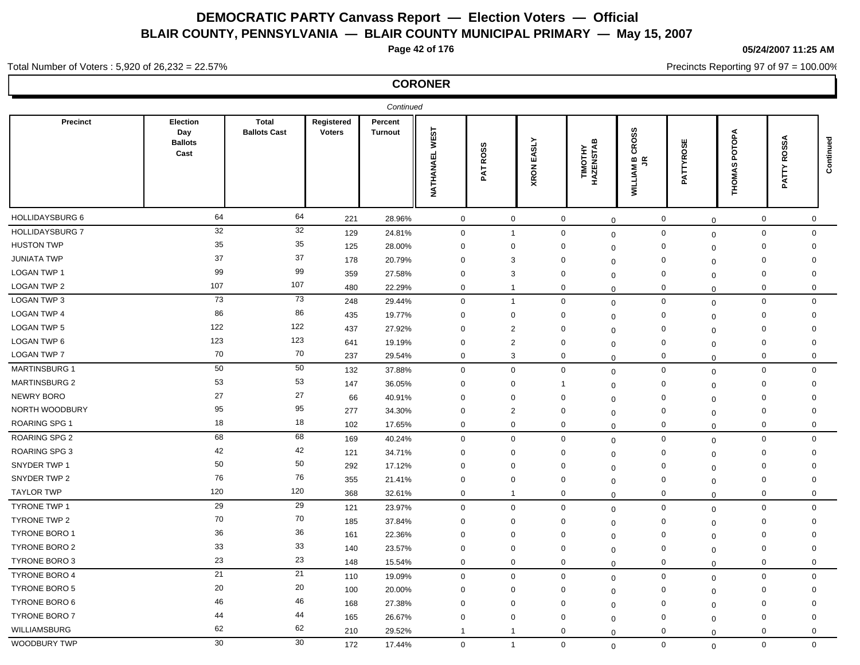**Page 42 of 176**

**05/24/2007 11:25 AM**

Precincts Reporting 97 of 97 = 100.00%

## Total Number of Voters : 5,920 of 26,232 = 22.57%

|                        |                                           |                                     |                             | Continued                 |                                 |                    |                      |                           |                                                                  |                      |                             |                   |           |
|------------------------|-------------------------------------------|-------------------------------------|-----------------------------|---------------------------|---------------------------------|--------------------|----------------------|---------------------------|------------------------------------------------------------------|----------------------|-----------------------------|-------------------|-----------|
| Precinct               | Election<br>Day<br><b>Ballots</b><br>Cast | <b>Total</b><br><b>Ballots Cast</b> | Registered<br><b>Voters</b> | Percent<br><b>Turnout</b> | <b>WEST</b><br><b>NATHANAEL</b> | <b>ROSS</b><br>PAT | EASLY<br><b>XRON</b> | m<br>TIMOTHY<br>HAZENSTAE | <b>CROSS</b><br>$\mathbf{m}$ $\mathbf{\alpha}$<br><b>WILLIAM</b> | <b>ATTYROSE</b><br>Δ | POTOPA<br>w<br><b>THOMA</b> | SSA<br>ğ<br>PATTY | Continued |
| HOLLIDAYSBURG 6        | 64                                        | 64                                  | 221                         | 28.96%                    | $\mathbf 0$                     | $\mathbf 0$        | $\mathbf 0$          | $\mathbf 0$               | $\mathbf 0$                                                      | $\mathbf 0$          | $\mathbf 0$                 | $\mathbf 0$       |           |
| <b>HOLLIDAYSBURG 7</b> | 32                                        | 32                                  | 129                         | 24.81%                    | $\mathsf{O}\xspace$             | $\overline{1}$     | $\mathbf 0$          | $\mathbf 0$               | $\mathbf 0$                                                      | $\mathbf 0$          | $\mathbf 0$                 | $\mathbf 0$       |           |
| <b>HUSTON TWP</b>      | 35                                        | 35                                  | 125                         | 28.00%                    | $\mathbf 0$                     | $\mathbf 0$        | 0                    | $\mathbf 0$               | $\mathbf 0$                                                      | $\mathbf 0$          | $\mathbf 0$                 | $\mathbf 0$       |           |
| <b>JUNIATA TWP</b>     | 37                                        | 37                                  | 178                         | 20.79%                    | $\mathbf 0$                     | 3                  | 0                    | $\mathbf 0$               | $\mathbf 0$                                                      | $\mathbf 0$          | $\mathbf 0$                 | $\mathbf 0$       |           |
| <b>LOGAN TWP 1</b>     | 99                                        | 99                                  | 359                         | 27.58%                    | $\mathbf 0$                     | 3                  | $\mathbf 0$          | $\Omega$                  | $\mathbf 0$                                                      | $\mathbf 0$          | $\mathbf 0$                 | $\mathbf 0$       |           |
| LOGAN TWP 2            | 107                                       | 107                                 | 480                         | 22.29%                    | $\mathbf 0$                     | $\mathbf{1}$       | $\mathbf 0$          | $\mathbf 0$               | $\mathbf 0$                                                      | $\mathbf 0$          | 0                           | $\mathbf 0$       |           |
| LOGAN TWP 3            | 73                                        | $73\,$                              | 248                         | 29.44%                    | $\mathbf 0$                     | $\mathbf{1}$       | $\mathbf 0$          | $\mathbf{0}$              | $\mathsf 0$                                                      | $\mathbf 0$          | $\mathbf 0$                 | $\mathbf 0$       |           |
| <b>LOGAN TWP 4</b>     | 86                                        | 86                                  | 435                         | 19.77%                    | $\mathbf 0$                     | 0                  | 0                    | $\mathbf 0$               | $\mathbf 0$                                                      | $\mathbf 0$          | 0                           | 0                 |           |
| <b>LOGAN TWP 5</b>     | 122                                       | 122                                 | 437                         | 27.92%                    | $\mathbf 0$                     | $\overline{2}$     | 0                    | $\mathbf 0$               | $\mathbf 0$                                                      | $\mathbf 0$          | $\mathbf 0$                 | $\Omega$          |           |
| LOGAN TWP 6            | 123                                       | 123                                 | 641                         | 19.19%                    | $\mathbf 0$                     | $\overline{2}$     | $\mathbf 0$          | 0                         | $\mathbf 0$                                                      | $\mathbf 0$          | $\mathbf 0$                 | $\mathbf 0$       |           |
| LOGAN TWP 7            | 70                                        | 70                                  | 237                         | 29.54%                    | $\mathbf 0$                     | 3                  | $\mathbf 0$          | 0                         | $\mathbf 0$                                                      | $\mathbf 0$          | $\mathbf 0$                 | $\mathbf 0$       |           |
| <b>MARTINSBURG 1</b>   | 50                                        | 50                                  | 132                         | 37.88%                    | $\mathbf 0$                     | $\mathbf{0}$       | $\mathbf 0$          | $\mathbf 0$               | $\mathbf 0$                                                      | $\mathbf 0$          | 0                           | $\mathbf 0$       |           |
| <b>MARTINSBURG 2</b>   | 53                                        | 53                                  | 147                         | 36.05%                    | $\mathbf 0$                     | $\mathbf 0$        | -1                   | $\mathbf 0$               | $\mathbf 0$                                                      | $\mathbf 0$          | $\mathbf 0$                 | $\mathbf 0$       |           |
| <b>NEWRY BORO</b>      | 27                                        | 27                                  | 66                          | 40.91%                    | $\mathbf 0$                     | $\Omega$           | 0                    | $\mathbf 0$               | $\mathbf 0$                                                      | $\mathbf 0$          | 0                           | 0                 |           |
| NORTH WOODBURY         | 95                                        | 95                                  | 277                         | 34.30%                    | $\mathbf 0$                     | $\overline{2}$     | 0                    | $\mathbf 0$               | $\mathbf 0$                                                      | $\mathbf 0$          | $\mathbf 0$                 | $\mathbf 0$       |           |
| <b>ROARING SPG 1</b>   | 18                                        | 18                                  | 102                         | 17.65%                    | $\mathbf 0$                     | $\mathbf{0}$       | $\mathbf 0$          | $\mathbf 0$               | $\mathbf 0$                                                      | $\mathbf 0$          | $\Omega$                    | $\mathbf 0$       |           |
| ROARING SPG 2          | 68                                        | 68                                  | 169                         | 40.24%                    | $\mathbf 0$                     | $\mathbf 0$        | $\mathbf 0$          | $\mathbf 0$               | $\mathbf 0$                                                      | $\mathbf 0$          | $\mathbf 0$                 | $\mathbf 0$       |           |
| ROARING SPG 3          | 42                                        | 42                                  | 121                         | 34.71%                    | $\mathbf 0$                     | 0                  | $\mathbf 0$          | 0                         | $\mathbf 0$                                                      | $\mathbf{0}$         | $\mathbf 0$                 | $\mathbf 0$       |           |
| SNYDER TWP 1           | 50                                        | 50                                  | 292                         | 17.12%                    | $\mathbf 0$                     | $\mathbf 0$        | $\mathbf 0$          | $\mathbf 0$               | $\mathbf 0$                                                      | $\mathbf 0$          | $\mathbf 0$                 | $\mathbf 0$       |           |
| SNYDER TWP 2           | 76                                        | 76                                  | 355                         | 21.41%                    | $\mathbf 0$                     | $\mathbf 0$        | $\mathbf 0$          | $\Omega$                  | $\mathbf 0$                                                      | $\mathbf 0$          | $\Omega$                    | $\Omega$          |           |
| <b>TAYLOR TWP</b>      | 120                                       | 120                                 | 368                         | 32.61%                    | $\mathbf 0$                     | $\overline{1}$     | 0                    | $\mathbf 0$               | $\mathbf 0$                                                      | $\mathbf 0$          | 0                           | $\mathbf 0$       |           |
| <b>TYRONE TWP 1</b>    | 29                                        | 29                                  | 121                         | 23.97%                    | $\mathbf 0$                     | $\mathbf 0$        | $\mathbf 0$          | $\mathbf 0$               | $\mathbf 0$                                                      | $\mathbf 0$          | $\mathbf 0$                 | $\mathbf 0$       |           |
| TYRONE TWP 2           | 70                                        | 70                                  | 185                         | 37.84%                    | $\mathbf 0$                     | $\mathbf 0$        | $\mathbf 0$          | $\Omega$                  | $\mathbf 0$                                                      | $\mathbf 0$          | $\mathbf 0$                 | $\mathbf 0$       |           |
| <b>TYRONE BORO 1</b>   | 36                                        | 36                                  | 161                         | 22.36%                    | $\mathbf 0$                     | $\mathbf 0$        | 0                    | $\Omega$                  | $\mathbf 0$                                                      | $\mathbf 0$          | $\mathbf 0$                 | $\mathbf 0$       |           |
| TYRONE BORO 2          | 33                                        | 33                                  | 140                         | 23.57%                    | $\mathbf 0$                     | $\mathbf 0$        | $\mathbf 0$          | $\mathbf 0$               | $\mathbf 0$                                                      | $\mathbf 0$          | $\mathbf 0$                 | $\mathbf 0$       |           |
| <b>TYRONE BORO 3</b>   | 23                                        | 23                                  | 148                         | 15.54%                    | $\mathbf 0$                     | $\mathbf 0$        | $\mathbf 0$          | $\Omega$                  | $\mathbf 0$                                                      | $\mathbf 0$          | 0                           | $\mathbf 0$       |           |
| <b>TYRONE BORO 4</b>   | 21                                        | 21                                  | 110                         | 19.09%                    | $\mathbf 0$                     | $\mathbf{0}$       | $\mathbf 0$          | $\mathbf 0$               | $\mathbf 0$                                                      | $\mathbf 0$          | $\mathbf 0$                 | $\mathbf 0$       |           |
| <b>TYRONE BORO 5</b>   | 20                                        | 20                                  | 100                         | 20.00%                    | $\mathbf 0$                     | $\mathbf{0}$       | 0                    | $\mathbf 0$               | $\mathbf 0$                                                      | $\mathbf 0$          | $\mathbf 0$                 | $\mathbf 0$       |           |
| <b>TYRONE BORO 6</b>   | 46                                        | 46                                  | 168                         | 27.38%                    | $\mathbf 0$                     | $\Omega$           | $\mathbf 0$          | $\Omega$                  | $\mathbf 0$                                                      | $\mathbf 0$          | $\mathbf 0$                 | $\mathbf 0$       |           |
| <b>TYRONE BORO 7</b>   | 44                                        | 44                                  | 165                         | 26.67%                    | $\mathbf 0$                     | $\mathbf 0$        | $\mathbf 0$          | $\mathbf 0$               | $\mathbf 0$                                                      | $\mathbf 0$          | $\mathbf 0$                 | $\mathbf 0$       |           |
| WILLIAMSBURG           | 62                                        | 62                                  | 210                         | 29.52%                    | $\overline{1}$                  | $\mathbf 1$        | 0                    | $\mathbf 0$               | 0                                                                | $\mathbf 0$          | $\mathbf 0$                 | 0                 |           |
| WOODBURY TWP           | 30                                        | 30                                  | 172                         | 17.44%                    | $\mathbf 0$                     | $\overline{1}$     | $\mathbf 0$          | $\Omega$                  | $\mathbf 0$                                                      | $\mathbf 0$          | $\mathbf 0$                 | $\mathbf 0$       |           |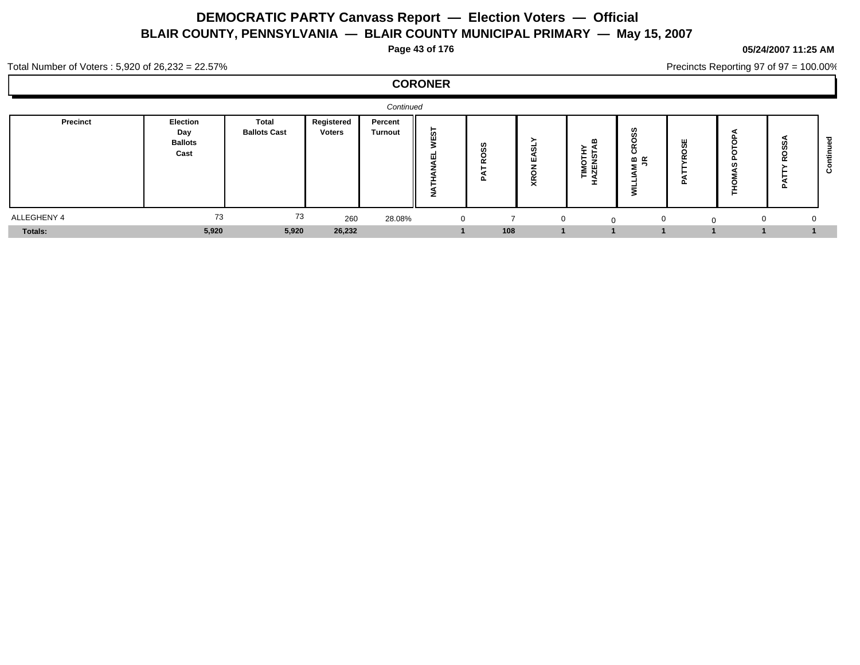**Page 43 of 176**

## **05/24/2007 11:25 AM**

Precincts Reporting 97 of 97 = 100.00%

Total Number of Voters : 5,920 of 26,232 = 22.57%

|             |                                           |                              |                      | Continued                 |                     |               |                                           |                                |                                        |        |          |        |  |
|-------------|-------------------------------------------|------------------------------|----------------------|---------------------------|---------------------|---------------|-------------------------------------------|--------------------------------|----------------------------------------|--------|----------|--------|--|
| Precinct    | Election<br>Day<br><b>Ballots</b><br>Cast | Total<br><b>Ballots Cast</b> | Registered<br>Voters | Percent<br><b>Turnout</b> | <b>in</b><br>-<br>▰ | ဖာ<br>œ<br>o. | $\overline{\phantom{a}}$<br>ш<br>- -<br>₹ | m<br>-<br><b>IMOTH</b><br>ZENS | w<br>ഗ<br>$\sim$<br>ပ<br>≃ മ<br>$\sim$ | ш<br>ഗ | −        | ≃<br>௨ |  |
| ALLEGHENY 4 | 73                                        | 73                           | 260                  | 28.08%                    | $\overline{0}$      |               | υ                                         | $\Omega$                       | $\Omega$                               |        | $\Omega$ |        |  |
| Totals:     | 5,920                                     | 5,920                        | 26,232               |                           |                     | 108           |                                           |                                |                                        |        |          |        |  |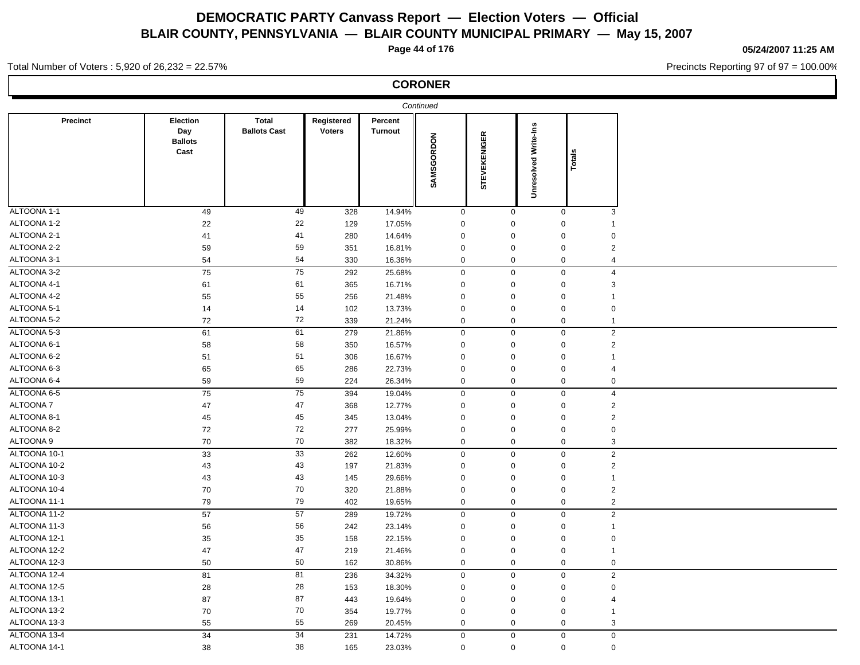**Page 44 of 176**

**05/24/2007 11:25 AM**

Precincts Reporting 97 of 97 = 100.00%

## Total Number of Voters : 5,920 of 26,232 = 22.57%

| <b>CORONER</b> |  |
|----------------|--|
|----------------|--|

|                 |                                           |                                     |                             |                           | Continued           |                     |                             |                               |  |
|-----------------|-------------------------------------------|-------------------------------------|-----------------------------|---------------------------|---------------------|---------------------|-----------------------------|-------------------------------|--|
| Precinct        | Election<br>Day<br><b>Ballots</b><br>Cast | <b>Total</b><br><b>Ballots Cast</b> | Registered<br><b>Voters</b> | Percent<br><b>Turnout</b> | SAMSGORDON          | <b>STEVEKENIGER</b> | <b>Unresolved Write-Ins</b> | Totals                        |  |
| ALTOONA 1-1     | 49                                        | 49                                  | 328                         | 14.94%                    | $\mathbf 0$         | $\mathbf 0$         |                             | $\mathbf 0$<br>3              |  |
| ALTOONA 1-2     | 22                                        | 22                                  | 129                         | 17.05%                    | $\pmb{0}$           | $\pmb{0}$           |                             | 0<br>$\mathbf{1}$             |  |
| ALTOONA 2-1     | 41                                        | 41                                  | 280                         | 14.64%                    | $\mathbf 0$         | $\mathbf 0$         |                             | $\mathbf 0$<br>$\mathbf 0$    |  |
| ALTOONA 2-2     | 59                                        | 59                                  | 351                         | 16.81%                    | $\mathbf 0$         | $\mathbf 0$         |                             | $\overline{2}$<br>$\mathbf 0$ |  |
| ALTOONA 3-1     | 54                                        | 54                                  | 330                         | 16.36%                    | $\mathbf 0$         | $\mathbf 0$         |                             | $\mathbf 0$<br>$\overline{4}$ |  |
| ALTOONA 3-2     | 75                                        | 75                                  | 292                         | 25.68%                    | $\mathbf 0$         | $\mathbf 0$         |                             | $\overline{4}$<br>$\mathbf 0$ |  |
| ALTOONA 4-1     | 61                                        | 61                                  | 365                         | 16.71%                    | $\mathbf 0$         | $\mathbf 0$         |                             | $\mathbf 0$<br>3              |  |
| ALTOONA 4-2     | 55                                        | 55                                  | 256                         | 21.48%                    | $\mathsf{O}\xspace$ | $\mathsf{O}\xspace$ |                             | $\mathbf 0$<br>$\mathbf{1}$   |  |
| ALTOONA 5-1     | 14                                        | 14                                  | 102                         | 13.73%                    | $\mathbf 0$         | $\mathbf 0$         |                             | $\mathbf 0$<br>$\mathbf 0$    |  |
| ALTOONA 5-2     | 72                                        | 72                                  | 339                         | 21.24%                    | $\mathbf 0$         | $\mathbf 0$         |                             | $\mathbf 0$<br>$\mathbf{1}$   |  |
| ALTOONA 5-3     | 61                                        | 61                                  | 279                         | 21.86%                    | $\mathsf{O}\xspace$ | $\mathbf 0$         |                             | $\overline{2}$<br>$\mathbf 0$ |  |
| ALTOONA 6-1     | 58                                        | 58                                  | 350                         | 16.57%                    | $\mathbf 0$         | $\mathbf 0$         |                             | $\overline{2}$<br>$\mathbf 0$ |  |
| ALTOONA 6-2     | 51                                        | 51                                  | 306                         | 16.67%                    | $\mathbf 0$         | $\mathbf 0$         |                             | $\mathbf 0$<br>$\mathbf{1}$   |  |
| ALTOONA 6-3     | 65                                        | 65                                  | 286                         | 22.73%                    | $\mathbf 0$         | $\mathbf 0$         |                             | $\mathbf 0$<br>$\overline{4}$ |  |
| ALTOONA 6-4     | 59                                        | 59                                  | 224                         | 26.34%                    | $\mathbf 0$         | $\mathbf 0$         |                             | $\mathbf 0$<br>$\mathsf 0$    |  |
| ALTOONA 6-5     | 75                                        | $\overline{75}$                     | 394                         | 19.04%                    | $\mathbf 0$         | $\mathbf 0$         |                             | $\overline{4}$<br>$\mathbf 0$ |  |
| <b>ALTOONA7</b> | 47                                        | 47                                  | 368                         | 12.77%                    | $\boldsymbol{0}$    | $\mathbf 0$         |                             | $\sqrt{2}$<br>$\mathbf 0$     |  |
| ALTOONA 8-1     | 45                                        | 45                                  | 345                         | 13.04%                    | $\mathbf 0$         | $\mathbf 0$         |                             | $\overline{2}$<br>$\mathbf 0$ |  |
| ALTOONA 8-2     | 72                                        | 72                                  | 277                         | 25.99%                    | $\mathsf{O}\xspace$ | $\mathsf{O}\xspace$ |                             | $\mathbf 0$<br>$\pmb{0}$      |  |
| ALTOONA 9       | 70                                        | 70                                  | 382                         | 18.32%                    | $\mathbf 0$         | $\mathbf 0$         |                             | $\mathbf 0$<br>$\mathbf{3}$   |  |
| ALTOONA 10-1    | 33                                        | 33                                  | 262                         | 12.60%                    | $\boldsymbol{0}$    | $\mathbf 0$         |                             | $\mathbf 0$<br>$\sqrt{2}$     |  |
| ALTOONA 10-2    | 43                                        | 43                                  | 197                         | 21.83%                    | $\mathbf 0$         | $\mathbf 0$         |                             | $\overline{2}$<br>$\mathbf 0$ |  |
| ALTOONA 10-3    | 43                                        | 43                                  | 145                         | 29.66%                    | $\boldsymbol{0}$    | $\mathbf 0$         |                             | $\mathbf 0$<br>$\mathbf{1}$   |  |
| ALTOONA 10-4    | 70                                        | 70                                  | 320                         | 21.88%                    | $\mathbf 0$         | $\mathbf 0$         |                             | $\mathbf 0$<br>$\overline{2}$ |  |
| ALTOONA 11-1    | 79                                        | 79                                  | 402                         | 19.65%                    | $\mathbf 0$         | $\mathbf 0$         |                             | $\mathbf 0$<br>$\overline{2}$ |  |
| ALTOONA 11-2    | 57                                        | 57                                  | 289                         | 19.72%                    | $\mathbf 0$         | $\mathbf 0$         |                             | $\mathbf 0$<br>2              |  |
| ALTOONA 11-3    | 56                                        | 56                                  | 242                         | 23.14%                    | $\mathbf 0$         | $\mathbf 0$         |                             | $\mathbf 0$<br>$\mathbf{1}$   |  |
| ALTOONA 12-1    | 35                                        | 35                                  | 158                         | 22.15%                    | $\pmb{0}$           | $\mathbf 0$         |                             | $\pmb{0}$<br>$\mathbf 0$      |  |
| ALTOONA 12-2    | 47                                        | 47                                  | 219                         | 21.46%                    | $\boldsymbol{0}$    | $\mathbf 0$         |                             | $\mathbf 0$<br>$\mathbf{1}$   |  |
| ALTOONA 12-3    | 50                                        | 50                                  | 162                         | 30.86%                    | $\mathbf 0$         | $\mathbf 0$         |                             | $\mathbf 0$<br>$\mathbf 0$    |  |
| ALTOONA 12-4    | 81                                        | 81                                  | 236                         | 34.32%                    | $\mathsf{O}\xspace$ | $\mathbf 0$         |                             | $\overline{2}$<br>0           |  |
| ALTOONA 12-5    | 28                                        | 28                                  | 153                         | 18.30%                    | $\mathbf 0$         | $\mathbf 0$         |                             | $\mathsf 0$<br>$\mathbf 0$    |  |
| ALTOONA 13-1    | 87                                        | 87                                  | 443                         | 19.64%                    | $\mathbf 0$         | $\mathbf 0$         |                             | $\mathbf 0$<br>$\overline{4}$ |  |
| ALTOONA 13-2    | 70                                        | 70                                  | 354                         | 19.77%                    | $\mathbf 0$         | $\mathbf 0$         |                             | $\mathbf 0$<br>$\mathbf{1}$   |  |
| ALTOONA 13-3    | 55                                        | 55                                  | 269                         | 20.45%                    | $\mathbf 0$         | $\mathbf 0$         |                             | $\mathbf 0$<br>3              |  |
| ALTOONA 13-4    | 34                                        | 34                                  | 231                         | 14.72%                    | $\mathbf 0$         | $\mathbf 0$         |                             | $\mathbf 0$<br>$\mathbf 0$    |  |
| ALTOONA 14-1    | 38                                        | 38                                  | 165                         | 23.03%                    | $\mathbf 0$         | $\mathbf 0$         |                             | $\pmb{0}$<br>$\mathbf 0$      |  |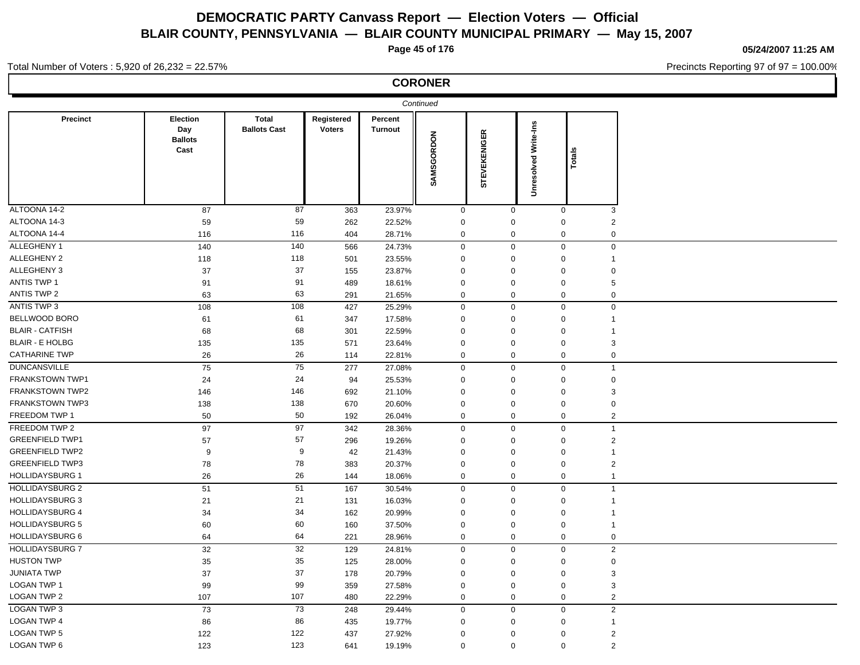**Page 45 of 176**

**CORONER**

**05/24/2007 11:25 AM**

Precincts Reporting 97 of 97 = 100.00%

#### Total Number of Voters : 5,920 of 26,232 = 22.57%

|                        |                                                  |                              |                             |                           | Continued   |                     |                             |              |  |
|------------------------|--------------------------------------------------|------------------------------|-----------------------------|---------------------------|-------------|---------------------|-----------------------------|--------------|--|
| Precinct               | <b>Election</b><br>Day<br><b>Ballots</b><br>Cast | Total<br><b>Ballots Cast</b> | Registered<br><b>Voters</b> | Percent<br><b>Turnout</b> | SAMSGORDON  | <b>STEVEKENIGER</b> | <b>Unresolved Write-Ins</b> | Totals       |  |
| ALTOONA 14-2           | 87                                               | 87                           | 363                         | 23.97%                    | $\Omega$    | $\Omega$            | $\mathbf 0$                 | 3            |  |
| ALTOONA 14-3           | 59                                               | 59                           | 262                         | 22.52%                    | $\Omega$    | $\Omega$            | $\mathbf 0$                 | 2            |  |
| ALTOONA 14-4           | 116                                              | 116                          | 404                         | 28.71%                    | $\mathbf 0$ | $\mathbf 0$         | $\mathbf 0$                 | 0            |  |
| ALLEGHENY 1            | 140                                              | 140                          | 566                         | 24.73%                    | $\mathbf 0$ | $\mathbf 0$         | $\mathbf 0$                 | $\mathbf 0$  |  |
| ALLEGHENY 2            | 118                                              | 118                          | 501                         | 23.55%                    | $\Omega$    | 0                   | $\mathbf 0$                 |              |  |
| ALLEGHENY 3            | 37                                               | 37                           | 155                         | 23.87%                    | $\Omega$    | $\Omega$            | 0                           | 0            |  |
| <b>ANTIS TWP 1</b>     | 91                                               | 91                           | 489                         | 18.61%                    | $\Omega$    | $\Omega$            | $\mathbf 0$                 | 5            |  |
| ANTIS TWP 2            | 63                                               | 63                           | 291                         | 21.65%                    | $\mathbf 0$ | $\mathbf 0$         | $\mathbf 0$                 | 0            |  |
| ANTIS TWP 3            | 108                                              | 108                          | 427                         | 25.29%                    | $\mathbf 0$ | $\mathbf 0$         | $\mathbf 0$                 | 0            |  |
| BELLWOOD BORO          | 61                                               | 61                           | 347                         | 17.58%                    | 0           | 0                   | 0                           |              |  |
| <b>BLAIR - CATFISH</b> | 68                                               | 68                           | 301                         | 22.59%                    | $\Omega$    | $\Omega$            | 0                           |              |  |
| <b>BLAIR - E HOLBG</b> | 135                                              | 135                          | 571                         | 23.64%                    | $\Omega$    | $\Omega$            | $\mathbf 0$                 | 3            |  |
| <b>CATHARINE TWP</b>   | 26                                               | 26                           | 114                         | 22.81%                    | 0           | $\mathbf 0$         | $\mathbf 0$                 | $\mathbf 0$  |  |
| <b>DUNCANSVILLE</b>    | 75                                               | 75                           | 277                         | 27.08%                    | $\mathbf 0$ | $\mathbf 0$         | $\mathbf 0$                 | $\mathbf{1}$ |  |
| <b>FRANKSTOWN TWP1</b> | 24                                               | 24                           | 94                          | 25.53%                    | 0           | 0                   | 0                           | 0            |  |
| <b>FRANKSTOWN TWP2</b> | 146                                              | 146                          | 692                         | 21.10%                    | $\Omega$    | $\Omega$            | 0                           | 3            |  |
| <b>FRANKSTOWN TWP3</b> | 138                                              | 138                          | 670                         | 20.60%                    | 0           | 0                   | $\mathbf 0$                 | 0            |  |
| FREEDOM TWP 1          | 50                                               | 50                           | 192                         | 26.04%                    | $\mathbf 0$ | $\mathbf 0$         | $\mathbf 0$                 | 2            |  |
| FREEDOM TWP 2          | 97                                               | 97                           | 342                         | 28.36%                    | $\mathbf 0$ | $\mathbf 0$         | $\mathbf 0$                 | $\mathbf{1}$ |  |
| <b>GREENFIELD TWP1</b> | 57                                               | 57                           | 296                         | 19.26%                    | 0           | $\Omega$            | $\mathbf 0$                 | 2            |  |
| <b>GREENFIELD TWP2</b> | 9                                                | 9                            | 42                          | 21.43%                    | $\Omega$    | $\Omega$            | 0                           |              |  |
| <b>GREENFIELD TWP3</b> | 78                                               | 78                           | 383                         | 20.37%                    | $\Omega$    | 0                   | $\mathbf 0$                 | 2            |  |
| <b>HOLLIDAYSBURG 1</b> | 26                                               | 26                           | 144                         | 18.06%                    | 0           | $\mathbf 0$         | $\mathbf 0$                 |              |  |
| <b>HOLLIDAYSBURG 2</b> | 51                                               | 51                           | 167                         | 30.54%                    | $\mathbf 0$ | $\mathbf 0$         | $\mathbf 0$                 | $\mathbf{1}$ |  |
| <b>HOLLIDAYSBURG 3</b> | 21                                               | 21                           | 131                         | 16.03%                    | $\Omega$    | $\Omega$            | $\mathbf 0$                 | 1            |  |

HOLLIDAYSBURG 4 34 34 162 20.99% 0 0 0 1 HOLLIDAYSBURG 5 60 60 160 37.50% 0 0 0 1 HOLLIDAYSBURG 6 64 64 221 28.96% 0 0 0 0 HOLLIDAYSBURG 7 32 32 129 24.81% 0 0 0 2 HUSTON TWP 35 35 125 28.00% 0 0 0 JUNIATA TWP 37 37 178 20.79% 0 0 0 3  ${\sf LOGAN\,TWP\,1} \hspace{1.25in} 33$   $\qquad \qquad 99$   $\qquad \qquad 359$   $\qquad \qquad 27.58\%$   $\qquad \qquad 0$   $\qquad \qquad 0$   $\qquad \qquad 3$ LOGAN TWP 2 107 107 480 22.29% 0 0 2 LOGAN TWP 3 73 73 248 29.44% 0 0 0 2  ${\sf LOGAN\,TWP\,4}$  . The contract the contract of the contract of the contract of the contract of the contract of the contract of the contract of the contract of the contract of the contract of the contract of the contract of LOGAN TWP 5 122 122 437 27.92% 0 0 0 2

LOGAN TWP 6 123 123 641 19.19% 0 0 0 2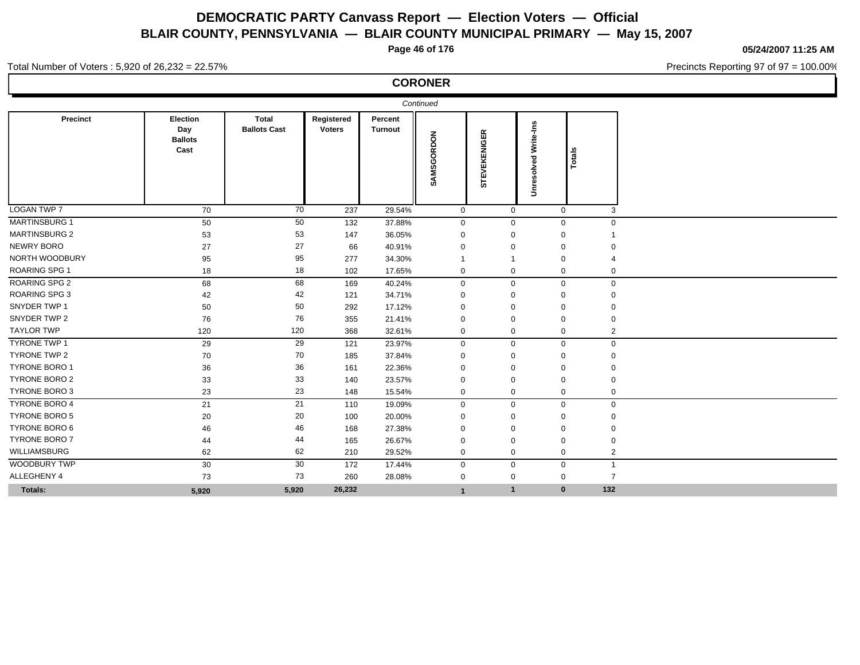**Page 46 of 176**

**CORONER**

**05/24/2007 11:25 AM**

Precincts Reporting 97 of 97 = 100.00%

#### Total Number of Voters : 5,920 of 26,232 = 22.57%

ı

|                      |                                           |                              |                             |                           | Continued    |                 |                         |              |                |
|----------------------|-------------------------------------------|------------------------------|-----------------------------|---------------------------|--------------|-----------------|-------------------------|--------------|----------------|
| Precinct             | Election<br>Day<br><b>Ballots</b><br>Cast | Total<br><b>Ballots Cast</b> | Registered<br><b>Voters</b> | Percent<br><b>Turnout</b> | SAMSGORDON   | EVEKENIGER<br>5 | Write-Ins<br>Unresolved | Totals       |                |
| LOGAN TWP 7          | 70                                        | 70                           | 237                         | 29.54%                    | $\mathbf{0}$ | $\mathbf 0$     |                         | $\mathbf 0$  | 3              |
| <b>MARTINSBURG 1</b> | 50                                        | 50                           | 132                         | 37.88%                    | $\mathbf{0}$ | $\mathbf{0}$    |                         | $\mathbf{0}$ | $\mathbf 0$    |
| <b>MARTINSBURG 2</b> | 53                                        | 53                           | 147                         | 36.05%                    | $\Omega$     | $\Omega$        |                         | $\Omega$     |                |
| <b>NEWRY BORO</b>    | 27                                        | 27                           | 66                          | 40.91%                    | $\Omega$     | $\Omega$        |                         | $\Omega$     | $\Omega$       |
| NORTH WOODBURY       | 95                                        | 95                           | 277                         | 34.30%                    |              |                 |                         | $\Omega$     |                |
| ROARING SPG 1        | 18                                        | 18                           | 102                         | 17.65%                    | 0            | $\mathbf 0$     |                         | $\mathbf 0$  | $\mathbf 0$    |
| ROARING SPG 2        | 68                                        | 68                           | 169                         | 40.24%                    | $\Omega$     | $\mathbf 0$     |                         | $\Omega$     | $\mathbf 0$    |
| <b>ROARING SPG 3</b> | 42                                        | 42                           | 121                         | 34.71%                    | $\Omega$     | $\Omega$        |                         | $\Omega$     | $\Omega$       |
| SNYDER TWP 1         | 50                                        | 50                           | 292                         | 17.12%                    | 0            | $\Omega$        |                         | $\Omega$     | $\Omega$       |
| SNYDER TWP 2         | 76                                        | 76                           | 355                         | 21.41%                    | $\Omega$     | $\Omega$        |                         | $\Omega$     | $\Omega$       |
| <b>TAYLOR TWP</b>    | 120                                       | 120                          | 368                         | 32.61%                    | 0            | $\mathbf 0$     |                         | 0            | 2              |
| <b>TYRONE TWP 1</b>  | 29                                        | $\overline{29}$              | 121                         | 23.97%                    | $\Omega$     | $\mathbf 0$     |                         | $\mathbf 0$  | $\mathbf 0$    |
| <b>TYRONE TWP 2</b>  | 70                                        | 70                           | 185                         | 37.84%                    | 0            | $\Omega$        |                         | $\Omega$     | $\Omega$       |
| TYRONE BORO 1        | 36                                        | 36                           | 161                         | 22.36%                    | 0            | $\Omega$        |                         | 0            | 0              |
| <b>TYRONE BORO 2</b> | 33                                        | 33                           | 140                         | 23.57%                    | $\Omega$     | $\mathbf 0$     |                         | $\mathbf 0$  | 0              |
| TYRONE BORO 3        | 23                                        | 23                           | 148                         | 15.54%                    | 0            | $\mathbf 0$     |                         | $\mathbf 0$  | $\mathbf 0$    |
| <b>TYRONE BORO 4</b> | 21                                        | 21                           | 110                         | 19.09%                    | 0            | $\mathbf 0$     |                         | $\mathbf 0$  | $\mathbf 0$    |
| TYRONE BORO 5        | 20                                        | 20                           | 100                         | 20.00%                    | $\Omega$     | 0               |                         | 0            | $\mathbf 0$    |
| <b>TYRONE BORO 6</b> | 46                                        | 46                           | 168                         | 27.38%                    | $\Omega$     | 0               |                         | $\mathbf 0$  | 0              |
| TYRONE BORO 7        | 44                                        | 44                           | 165                         | 26.67%                    | $\Omega$     | $\Omega$        |                         | $\Omega$     | $\Omega$       |
| WILLIAMSBURG         | 62                                        | 62                           | 210                         | 29.52%                    | 0            | $\mathbf 0$     |                         | $\mathbf 0$  | $\overline{2}$ |
| <b>WOODBURY TWP</b>  | 30                                        | 30                           | 172                         | 17.44%                    | 0            | $\mathbf 0$     |                         | $\mathbf 0$  | $\overline{1}$ |
| ALLEGHENY 4          | 73                                        | 73                           | 260                         | 28.08%                    | $\Omega$     | $\mathbf 0$     |                         | $\mathbf 0$  | $\overline{7}$ |
| Totals:              | 5,920                                     | 5,920                        | 26,232                      |                           |              | $\overline{1}$  |                         | $\bf{0}$     | 132            |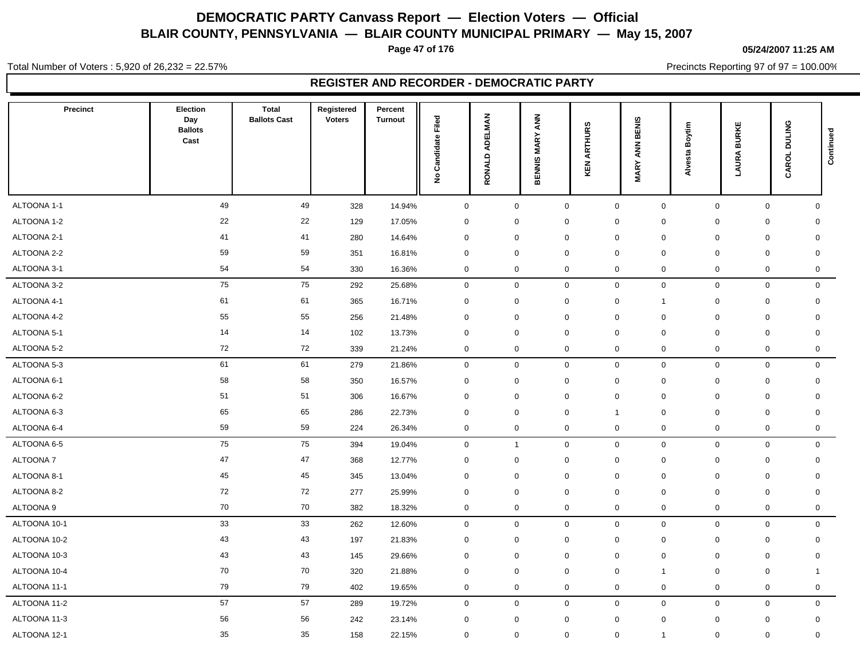**Page 47 of 176**

#### **05/24/2007 11:25 AM**

Total Number of Voters : 5,920 of 26,232 = 22.57%

Precincts Reporting 97 of 97 = 100.00%

| <b>Precinct</b> | <b>Election</b><br>Day<br><b>Ballots</b><br>Cast | Total<br><b>Ballots Cast</b> | Registered<br><b>Voters</b> | Percent<br><b>Turnout</b> | Filed<br>Candidate<br>$\hat{\mathbf{z}}$ | <b>ADELMAN</b><br>RONALD | ANN<br><b>BENNIS MARY</b> | ARTHURS<br>KEN | BENIS<br><b>Z</b><br><b>MARY</b> | Boytim<br>Alvesta | <b>LAURA BURKE</b> | CAROL DULING | Continued   |
|-----------------|--------------------------------------------------|------------------------------|-----------------------------|---------------------------|------------------------------------------|--------------------------|---------------------------|----------------|----------------------------------|-------------------|--------------------|--------------|-------------|
| ALTOONA 1-1     | 49                                               | 49                           | 328                         | 14.94%                    | $\mathsf 0$                              | $\mathbf 0$              |                           | $\mathsf 0$    | $\mathbf 0$                      | $\mathbf 0$       | $\mathbf 0$        | $\mathbf 0$  | $\mathbf 0$ |
| ALTOONA 1-2     | 22                                               | 22                           | 129                         | 17.05%                    | $\mathsf 0$                              | $\mathbf 0$              |                           | $\mathbf 0$    | $\mathbf 0$                      | $\mathbf 0$       | $\mathbf 0$        | $\mathbf 0$  | $\mathbf 0$ |
| ALTOONA 2-1     | 41                                               | 41                           | 280                         | 14.64%                    | $\mathsf 0$                              | $\mathbf 0$              |                           | $\mathbf 0$    | $\mathbf 0$                      | $\mathbf 0$       | $\mathbf 0$        | $\mathbf 0$  | $\mathbf 0$ |
| ALTOONA 2-2     | 59                                               | 59                           | 351                         | 16.81%                    | $\mathbf 0$                              | $\mathbf 0$              |                           | $\mathbf 0$    | $\mathbf 0$                      | 0                 | $\mathbf 0$        | $\mathbf 0$  | $\mathbf 0$ |
| ALTOONA 3-1     | 54                                               | 54                           | 330                         | 16.36%                    | $\mathbf 0$                              | $\mathbf 0$              |                           | $\mathbf 0$    | $\mathbf 0$                      | 0                 | $\mathbf 0$        | $\mathbf 0$  | $\mathbf 0$ |
| ALTOONA 3-2     | 75                                               | 75                           | 292                         | 25.68%                    | $\mathsf 0$                              | $\mathbf 0$              |                           | $\mathsf 0$    | $\mathbf 0$                      | $\mathbf 0$       | $\mathbf 0$        | $\mathbf 0$  | $\mathbf 0$ |
| ALTOONA 4-1     | 61                                               | 61                           | 365                         | 16.71%                    | $\mathbf 0$                              | $\mathbf 0$              |                           | $\mathbf 0$    | $\mathbf 0$                      | $\mathbf{1}$      | $\mathbf 0$        | $\mathbf 0$  | $\mathbf 0$ |
| ALTOONA 4-2     | 55                                               | 55                           | 256                         | 21.48%                    | $\mathsf 0$                              | $\mathbf 0$              |                           | $\mathbf 0$    | $\mathbf 0$                      | 0                 | $\mathbf 0$        | $\mathbf 0$  | $\mathbf 0$ |
| ALTOONA 5-1     | 14                                               | 14                           | 102                         | 13.73%                    | $\mathbf 0$                              | $\mathbf 0$              |                           | $\mathbf 0$    | $\mathbf 0$                      | 0                 | $\mathbf 0$        | $\mathbf 0$  | $\mathbf 0$ |
| ALTOONA 5-2     | 72                                               | 72                           | 339                         | 21.24%                    | $\mathbf 0$                              | 0                        |                           | $\mathbf 0$    | $\mathbf 0$                      | $\mathbf 0$       | $\mathbf 0$        | $\mathbf 0$  | 0           |
| ALTOONA 5-3     | 61                                               | 61                           | 279                         | 21.86%                    | $\mathbf 0$                              | 0                        |                           | $\mathbf 0$    | $\mathbf 0$                      | 0                 | $\mathbf 0$        | $\mathbf 0$  | $\mathbf 0$ |
| ALTOONA 6-1     | 58                                               | 58                           | 350                         | 16.57%                    | $\mathsf 0$                              | $\mathbf 0$              |                           | $\mathbf 0$    | $\mathbf 0$                      | $\mathbf 0$       | $\mathbf 0$        | $\mathbf 0$  | $\mathbf 0$ |
| ALTOONA 6-2     | 51                                               | 51                           | 306                         | 16.67%                    | $\mathsf 0$                              | 0                        |                           | $\mathbf 0$    | $\mathbf 0$                      | 0                 | $\mathbf 0$        | $\mathbf 0$  | $\mathbf 0$ |
| ALTOONA 6-3     | 65                                               | 65                           | 286                         | 22.73%                    | $\mathbf 0$                              | 0                        |                           | $\mathbf 0$    | $\overline{1}$                   | $\mathbf 0$       | $\mathbf 0$        | $\mathbf 0$  | $\mathbf 0$ |
| ALTOONA 6-4     | 59                                               | 59                           | 224                         | 26.34%                    | $\mathbf 0$                              | 0                        |                           | $\mathbf 0$    | $\mathbf 0$                      | $\mathbf 0$       | $\mathbf 0$        | $\mathbf 0$  | 0           |
| ALTOONA 6-5     | 75                                               | 75                           | 394                         | 19.04%                    | $\mathsf 0$                              | $\overline{1}$           |                           | $\mathsf 0$    | $\mathbf 0$                      | 0                 | $\mathbf 0$        | $\mathbf 0$  | $\mathbf 0$ |
| ALTOONA 7       | 47                                               | 47                           | 368                         | 12.77%                    | $\mathsf 0$                              | $\mathbf 0$              |                           | $\mathbf 0$    | $\mathbf 0$                      | 0                 | $\mathbf 0$        | $\mathbf 0$  | $\mathbf 0$ |
| ALTOONA 8-1     | 45                                               | 45                           | 345                         | 13.04%                    | $\mathbf 0$                              | 0                        |                           | $\mathbf 0$    | $\mathbf 0$                      | $\mathbf 0$       | $\mathbf 0$        | $\mathbf 0$  | $\mathbf 0$ |
| ALTOONA 8-2     | 72                                               | 72                           | 277                         | 25.99%                    | $\mathbf 0$                              | 0                        |                           | $\mathbf 0$    | $\mathbf 0$                      | $\mathbf 0$       | $\mathbf 0$        | $\mathbf 0$  | $\mathbf 0$ |
| ALTOONA 9       | 70                                               | 70                           | 382                         | 18.32%                    | $\,0\,$                                  | $\mathbf 0$              |                           | $\mathbf 0$    | $\mathbf 0$                      | 0                 | $\mathsf 0$        | $\mathbf 0$  | $\mathbf 0$ |
| ALTOONA 10-1    | 33                                               | 33                           | 262                         | 12.60%                    | $\mathbf 0$                              | $\mathbf 0$              |                           | $\mathsf 0$    | $\mathbf 0$                      | $\mathbf 0$       | $\mathbf{0}$       | $\mathbf 0$  | $\mathbf 0$ |
| ALTOONA 10-2    | 43                                               | 43                           | 197                         | 21.83%                    | $\mathsf 0$                              | $\mathbf 0$              |                           | $\mathbf 0$    | $\mathbf 0$                      | 0                 | 0                  | $\mathbf 0$  | $\mathbf 0$ |
| ALTOONA 10-3    | 43                                               | 43                           | 145                         | 29.66%                    | $\pmb{0}$                                | $\mathbf 0$              |                           | $\mathbf 0$    | $\mathbf 0$                      | $\mathbf 0$       | $\mathbf 0$        | $\mathbf 0$  | 0           |
| ALTOONA 10-4    | 70                                               | 70                           | 320                         | 21.88%                    | $\mathsf{O}\xspace$                      | $\mathbf 0$              |                           | $\mathbf 0$    | $\mathbf 0$                      | $\mathbf{1}$      | $\mathbf 0$        | $\mathbf 0$  | 1           |
| ALTOONA 11-1    | 79                                               | 79                           | 402                         | 19.65%                    | $\mathsf 0$                              | $\mathbf 0$              |                           | $\mathbf 0$    | $\mathbf 0$                      | 0                 | $\mathbf 0$        | $\mathbf 0$  | $\mathbf 0$ |
| ALTOONA 11-2    | 57                                               | 57                           | 289                         | 19.72%                    | $\mathbf 0$                              | $\mathbf 0$              |                           | $\mathsf 0$    | $\mathbf 0$                      | $\mathbf 0$       | $\mathbf 0$        | $\mathbf 0$  | $\mathbf 0$ |
| ALTOONA 11-3    | 56                                               | 56                           | 242                         | 23.14%                    | 0                                        | 0                        |                           | $\mathbf 0$    | $\mathbf 0$                      | $\mathbf 0$       | 0                  | $\mathbf 0$  | 0           |
| ALTOONA 12-1    | 35                                               | 35                           | 158                         | 22.15%                    | $\mathbf 0$                              | $\mathbf 0$              |                           | $\mathbf 0$    | $\mathbf 0$                      | $\mathbf{1}$      | $\mathbf 0$        | $\mathbf 0$  | $\mathbf 0$ |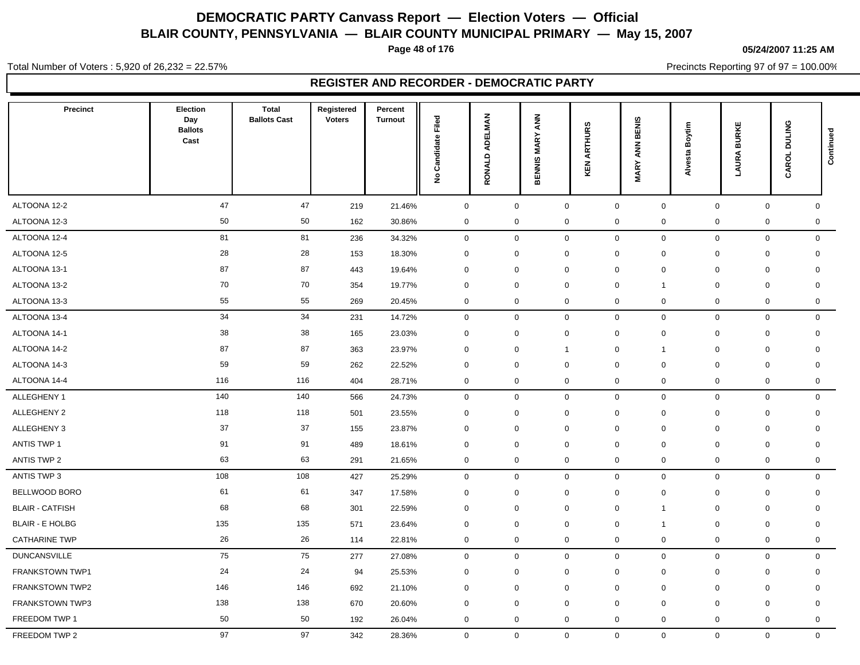**Page 48 of 176**

#### **05/24/2007 11:25 AM**

Total Number of Voters : 5,920 of 26,232 = 22.57%

Precincts Reporting 97 of 97 = 100.00%

| <b>Precinct</b>        | Election<br>Day<br><b>Ballots</b><br>Cast | <b>Total</b><br><b>Ballots Cast</b> | Registered<br><b>Voters</b> | Percent<br><b>Turnout</b> | Filed<br>Candidate<br>$\tilde{\mathbf{z}}$ | ADELMAN<br>RONALD   | <b>ANN</b><br><b>MARY</b><br><b>BENNIS</b> | <b>ARTHURS</b><br>KEN | BENIS<br><b>Z</b><br>$\mathbf{\tilde{r}}$<br>⋚ | Boytim<br>Alvesta | <b>LAURA BURKE</b>  | CAROL DULING        | Continued    |
|------------------------|-------------------------------------------|-------------------------------------|-----------------------------|---------------------------|--------------------------------------------|---------------------|--------------------------------------------|-----------------------|------------------------------------------------|-------------------|---------------------|---------------------|--------------|
| ALTOONA 12-2           | 47                                        | 47                                  | 219                         | 21.46%                    | $\mathbf 0$                                | $\mathsf{O}\xspace$ |                                            | $\mathsf 0$           | $\mathbf 0$                                    | $\mathsf{O}$      | $\mathsf{O}\xspace$ | $\mathbf 0$         | $\mathbf 0$  |
| ALTOONA 12-3           | 50                                        | 50                                  | 162                         | 30.86%                    | $\mathbf 0$                                | 0                   |                                            | $\mathbf 0$           | $\boldsymbol{0}$                               | 0                 | $\mathsf 0$         | $\mathbf 0$         | $\mathbf 0$  |
| ALTOONA 12-4           | 81                                        | 81                                  | 236                         | 34.32%                    | $\mathsf 0$                                | $\mathbf 0$         |                                            | $\mathbf 0$           | $\mathbf 0$                                    | $\mathbf 0$       | $\mathbf 0$         | $\mathbf 0$         | $\mathbf 0$  |
| ALTOONA 12-5           | 28                                        | 28                                  | 153                         | 18.30%                    | $\mathbf 0$                                | $\mathbf 0$         |                                            | $\mathbf 0$           | $\mathbf 0$                                    | 0                 | $\mathbf 0$         | $\mathbf 0$         | $\mathbf 0$  |
| ALTOONA 13-1           | 87                                        | 87                                  | 443                         | 19.64%                    | $\mathsf 0$                                | 0                   |                                            | $\mathbf 0$           | $\mathbf 0$                                    | $\mathbf 0$       | 0                   | $\mathbf 0$         | $\mathbf 0$  |
| ALTOONA 13-2           | 70                                        | 70                                  | 354                         | 19.77%                    | $\mathsf 0$                                | $\mathbf 0$         |                                            | $\mathbf 0$           | $\mathbf 0$                                    | $\mathbf{1}$      | $\mathbf 0$         | $\mathbf 0$         | $\mathbf 0$  |
| ALTOONA 13-3           | 55                                        | 55                                  | 269                         | 20.45%                    | $\mathsf 0$                                | $\mathbf 0$         |                                            | $\mathbf 0$           | $\mathbf 0$                                    | 0                 | $\mathbf 0$         | $\mathbf 0$         | $\mathbf 0$  |
| ALTOONA 13-4           | 34                                        | 34                                  | 231                         | 14.72%                    | $\mathbf 0$                                | $\mathbf 0$         |                                            | $\mathbf 0$           | $\mathbf 0$                                    | $\mathbf 0$       | $\mathbf 0$         | $\mathbf 0$         | $\mathbf 0$  |
| ALTOONA 14-1           | 38                                        | 38                                  | 165                         | 23.03%                    | $\mathbf 0$                                | 0                   |                                            | $\mathbf 0$           | $\mathbf 0$                                    | $\mathbf 0$       | $\mathbf 0$         | $\mathbf 0$         | $\mathbf 0$  |
| ALTOONA 14-2           | 87                                        | 87                                  | 363                         | 23.97%                    | $\mathsf 0$                                | 0                   |                                            | $\overline{1}$        | $\mathbf 0$                                    | $\mathbf{1}$      | $\mathbf 0$         | $\mathbf 0$         | $\mathbf 0$  |
| ALTOONA 14-3           | 59                                        | 59                                  | 262                         | 22.52%                    | $\mathsf 0$                                | $\mathbf 0$         |                                            | $\mathbf 0$           | $\mathbf 0$                                    | 0                 | $\mathbf 0$         | $\mathbf 0$         | $\mathbf 0$  |
| ALTOONA 14-4           | 116                                       | 116                                 | 404                         | 28.71%                    | $\mathbf 0$                                | 0                   |                                            | $\mathbf 0$           | $\mathbf 0$                                    | $\mathbf 0$       | $\mathbf 0$         | $\mathbf 0$         | 0            |
| ALLEGHENY 1            | 140                                       | 140                                 | 566                         | 24.73%                    | $\mathsf 0$                                | $\mathbf 0$         |                                            | $\mathsf 0$           | $\mathbf 0$                                    | $\mathbf 0$       | $\mathbf 0$         | $\mathsf{O}\xspace$ | $\mathbf 0$  |
| ALLEGHENY 2            | 118                                       | 118                                 | 501                         | 23.55%                    | $\mathbf 0$                                | $\mathbf 0$         |                                            | $\mathbf 0$           | $\mathbf 0$                                    | $\mathbf 0$       | 0                   | $\mathbf 0$         | $\mathbf 0$  |
| ALLEGHENY 3            | 37                                        | 37                                  | 155                         | 23.87%                    | $\mathsf 0$                                | $\mathbf 0$         |                                            | $\mathbf 0$           | $\mathbf 0$                                    | 0                 | $\mathbf 0$         | $\mathbf 0$         | $\mathbf 0$  |
| <b>ANTIS TWP 1</b>     | 91                                        | 91                                  | 489                         | 18.61%                    | $\mathbf 0$                                | $\mathbf 0$         |                                            | $\mathbf 0$           | $\mathbf 0$                                    | 0                 | $\mathbf 0$         | $\mathbf 0$         | $\mathbf 0$  |
| ANTIS TWP 2            | 63                                        | 63                                  | 291                         | 21.65%                    | $\mathbf 0$                                | 0                   |                                            | $\mathbf 0$           | $\mathbf 0$                                    | $\mathbf 0$       | $\mathbf 0$         | $\mathbf 0$         | $\mathbf 0$  |
| ANTIS TWP 3            | 108                                       | 108                                 | 427                         | 25.29%                    | $\mathbf 0$                                | $\mathbf 0$         |                                            | $\mathbf 0$           | $\mathbf 0$                                    | $\mathbf 0$       | $\mathbf 0$         | $\mathbf 0$         | $\mathsf{O}$ |
| BELLWOOD BORO          | 61                                        | 61                                  | 347                         | 17.58%                    | $\mathbf 0$                                | $\mathbf 0$         |                                            | $\mathbf 0$           | $\mathbf 0$                                    | $\mathbf 0$       | 0                   | $\mathbf 0$         | $\mathbf 0$  |
| <b>BLAIR - CATFISH</b> | 68                                        | 68                                  | 301                         | 22.59%                    | $\mathsf 0$                                | $\mathbf 0$         |                                            | $\mathbf 0$           | $\mathbf 0$                                    | $\mathbf{1}$      | $\mathbf 0$         | $\mathbf 0$         | $\mathbf 0$  |
| <b>BLAIR - E HOLBG</b> | 135                                       | 135                                 | 571                         | 23.64%                    | $\mathbf 0$                                | 0                   |                                            | $\mathbf 0$           | $\mathbf 0$                                    | $\mathbf{1}$      | $\mathbf 0$         | $\mathbf 0$         | 0            |
| <b>CATHARINE TWP</b>   | 26                                        | 26                                  | 114                         | 22.81%                    | $\mathbf 0$                                | $\mathbf 0$         |                                            | $\mathbf 0$           | $\mathbf 0$                                    | $\mathbf 0$       | $\mathbf 0$         | $\mathbf 0$         | 0            |
| <b>DUNCANSVILLE</b>    | 75                                        | 75                                  | 277                         | 27.08%                    | $\mathsf 0$                                | $\mathbf 0$         |                                            | $\mathsf 0$           | $\mathbf 0$                                    | $\mathbf 0$       | $\mathbf 0$         | $\mathbf 0$         | $\mathbf 0$  |
| FRANKSTOWN TWP1        | 24                                        | 24                                  | 94                          | 25.53%                    | $\mathsf 0$                                | $\mathbf 0$         |                                            | $\mathbf 0$           | $\mathbf 0$                                    | 0                 | $\mathbf 0$         | $\mathbf 0$         | $\mathsf{O}$ |
| FRANKSTOWN TWP2        | 146                                       | 146                                 | 692                         | 21.10%                    | $\mathsf 0$                                | $\mathbf 0$         |                                            | $\mathbf 0$           | $\mathbf 0$                                    | 0                 | $\mathbf 0$         | $\mathbf 0$         | $\mathbf 0$  |
| <b>FRANKSTOWN TWP3</b> | 138                                       | 138                                 | 670                         | 20.60%                    | $\mathbf 0$                                | 0                   |                                            | $\mathbf 0$           | $\mathbf 0$                                    | $\mathbf 0$       | $\mathbf 0$         | $\mathbf 0$         | $\mathbf 0$  |
| FREEDOM TWP 1          | 50                                        | 50                                  | 192                         | 26.04%                    | $\mathsf 0$                                | $\mathbf 0$         |                                            | $\mathbf 0$           | $\mathbf 0$                                    | 0                 | $\mathbf 0$         | $\mathbf 0$         | $\mathsf{O}$ |
| FREEDOM TWP 2          | 97                                        | 97                                  | 342                         | 28.36%                    | $\mathbf 0$                                | $\mathbf 0$         |                                            | $\mathsf 0$           | $\mathbf 0$                                    | $\mathbf 0$       | $\mathbf{0}$        | $\mathbf 0$         | $\mathbf 0$  |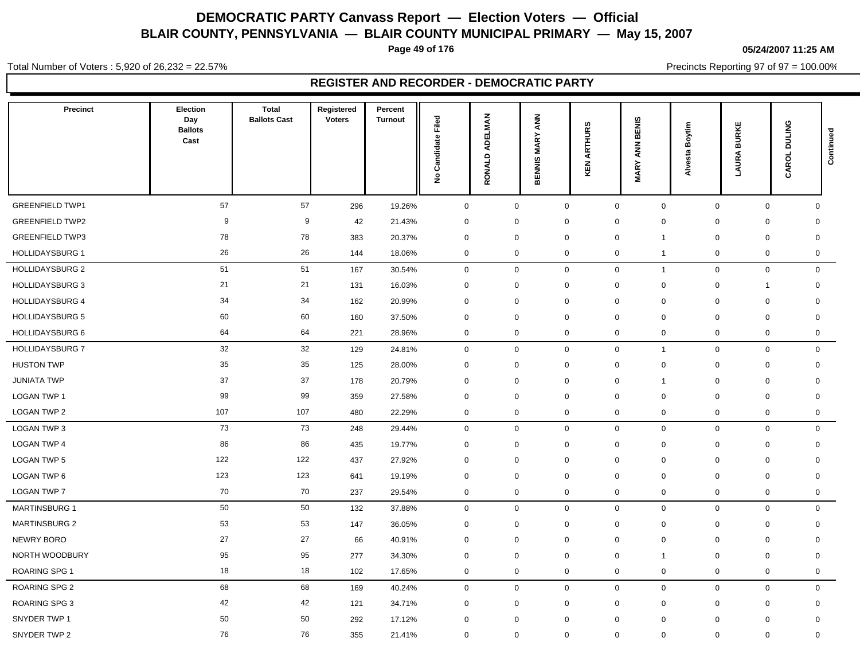**Page 49 of 176**

#### **05/24/2007 11:25 AM**

Total Number of Voters : 5,920 of 26,232 = 22.57%

Precincts Reporting 97 of 97 = 100.00%

| Precinct               | Election<br>Day<br><b>Ballots</b><br>Cast | <b>Total</b><br><b>Ballots Cast</b> | Registered<br><b>Voters</b> | Percent<br><b>Turnout</b> | Filed<br>Candidate<br>$\hat{\mathbf{z}}$ | RONALD ADELMAN | <b>ANN</b><br><b>MARY</b><br><b>BENNIS</b> | <b>ARTHURS</b><br>KEN | BENIS<br><b>ANN</b><br><b>MARY</b> | Boytim<br><b>Alvesta</b> | <b>BURKE</b><br><b>LAURA</b> | CAROL DULING | Continued   |
|------------------------|-------------------------------------------|-------------------------------------|-----------------------------|---------------------------|------------------------------------------|----------------|--------------------------------------------|-----------------------|------------------------------------|--------------------------|------------------------------|--------------|-------------|
| <b>GREENFIELD TWP1</b> | 57                                        | 57                                  | 296                         | 19.26%                    | $\mathsf 0$                              | $\mathbf 0$    | $\mathbf 0$                                |                       | $\mathbf 0$<br>$\mathbf 0$         |                          | $\mathbf 0$<br>$\mathbf 0$   |              | $\mathbf 0$ |
| <b>GREENFIELD TWP2</b> | 9                                         | 9                                   | 42                          | 21.43%                    | $\mathbf 0$                              | $\mathbf 0$    |                                            | $\mathbf 0$           | $\mathbf 0$<br>0                   |                          | $\mathbf 0$<br>$\mathbf 0$   |              | 0           |
| <b>GREENFIELD TWP3</b> | 78                                        | 78                                  | 383                         | 20.37%                    | $\mathbf 0$                              | $\mathbf 0$    |                                            | $\mathbf 0$           | $\mathbf 0$<br>$\mathbf{1}$        |                          | $\mathbf 0$<br>$\mathbf 0$   |              | $\mathbf 0$ |
| <b>HOLLIDAYSBURG 1</b> | 26                                        | 26                                  | 144                         | 18.06%                    | $\mathbf 0$                              | $\mathbf 0$    | $\mathbf 0$                                |                       | $\overline{0}$<br>$\overline{1}$   |                          | $\mathbf 0$                  | $\mathbf 0$  | $\mathbf 0$ |
| <b>HOLLIDAYSBURG 2</b> | 51                                        | 51                                  | 167                         | 30.54%                    | $\mathbf 0$                              | $\mathbf 0$    | $\mathbf 0$                                |                       | $\mathbf 0$<br>$\overline{1}$      |                          | $\mathbf 0$<br>$\mathbf 0$   |              | $\mathbf 0$ |
| <b>HOLLIDAYSBURG 3</b> | 21                                        | 21                                  | 131                         | 16.03%                    | $\mathbf 0$                              | $\mathbf 0$    |                                            | $\mathbf 0$           | 0<br>$\mathbf 0$                   |                          | $\mathbf 0$<br>1             |              | $\mathbf 0$ |
| <b>HOLLIDAYSBURG 4</b> | 34                                        | 34                                  | 162                         | 20.99%                    | $\mathbf 0$                              | $\mathbf 0$    |                                            | $\mathbf 0$           | $\mathbf 0$<br>0                   |                          | $\mathbf 0$<br>$\mathbf 0$   |              | $\mathbf 0$ |
| <b>HOLLIDAYSBURG 5</b> | 60                                        | 60                                  | 160                         | 37.50%                    | $\mathbf 0$                              | 0              |                                            | $\mathbf 0$           | $\mathbf 0$<br>0                   |                          | $\mathbf 0$<br>$\mathbf 0$   |              | $\mathbf 0$ |
| <b>HOLLIDAYSBURG 6</b> | 64                                        | 64                                  | 221                         | 28.96%                    | $\pmb{0}$                                | $\mathbf 0$    | $\mathbf 0$                                |                       | $\overline{0}$<br>0                |                          | $\mathbf 0$                  | $\mathbf 0$  | $\mathbf 0$ |
| <b>HOLLIDAYSBURG 7</b> | 32                                        | 32                                  | 129                         | 24.81%                    | $\mathsf 0$                              | $\mathbf 0$    | $\mathbf 0$                                |                       | $\mathsf 0$<br>$\mathbf{1}$        |                          | $\mathbf 0$<br>$\mathbf 0$   |              | $\mathbf 0$ |
| <b>HUSTON TWP</b>      | 35                                        | 35                                  | 125                         | 28.00%                    | $\mathbf 0$                              | 0              |                                            | $\mathbf 0$           | $\mathbf 0$<br>0                   |                          | $\mathbf 0$<br>0             |              | $\mathbf 0$ |
| <b>JUNIATA TWP</b>     | 37                                        | 37                                  | 178                         | 20.79%                    | $\mathbf 0$                              | $\mathbf 0$    |                                            | $\mathbf 0$           | $\mathbf 0$<br>$\mathbf{1}$        |                          | $\mathbf 0$<br>$\mathbf 0$   |              | $\mathbf 0$ |
| <b>LOGAN TWP 1</b>     | 99                                        | 99                                  | 359                         | 27.58%                    | $\mathbf 0$                              | $\mathbf 0$    |                                            | $\mathbf 0$           | $\overline{0}$<br>0                |                          | $\mathbf 0$<br>$\mathbf 0$   |              | $\mathbf 0$ |
| LOGAN TWP 2            | 107                                       | 107                                 | 480                         | 22.29%                    | $\mathbf 0$                              | $\mathbf 0$    | $\mathbf 0$                                |                       | $\mathbf 0$<br>0                   |                          | $\mathbf 0$                  | $\mathbf 0$  | $\mathbf 0$ |
| LOGAN TWP 3            | 73                                        | 73                                  | 248                         | 29.44%                    | $\mathbf 0$                              | $\mathbf 0$    | $\mathbf{0}$                               |                       | $\mathsf 0$<br>$\mathbf 0$         |                          | $\mathbf 0$<br>$\mathbf 0$   |              | $\mathbf 0$ |
| LOGAN TWP 4            | 86                                        | 86                                  | 435                         | 19.77%                    | $\mathbf 0$                              | $\mathbf 0$    |                                            | $\mathbf 0$           | $\mathbf 0$<br>0                   |                          | $\mathbf 0$<br>$\mathbf 0$   |              | $\mathbf 0$ |
| LOGAN TWP 5            | 122                                       | 122                                 | 437                         | 27.92%                    | $\mathbf 0$                              | $\mathbf 0$    |                                            | $\mathbf 0$           | $\mathbf 0$<br>$\mathbf 0$         |                          | $\mathbf 0$<br>$\mathbf 0$   |              | $\mathbf 0$ |
| LOGAN TWP 6            | 123                                       | 123                                 | 641                         | 19.19%                    | $\mathbf 0$                              | $\mathbf 0$    |                                            | $\mathbf 0$           | $\mathbf 0$<br>0                   |                          | $\mathbf 0$<br>$\mathbf 0$   |              | $\mathbf 0$ |
| <b>LOGAN TWP 7</b>     | 70                                        | 70                                  | 237                         | 29.54%                    | $\mathbf 0$                              | $\mathbf 0$    | $\mathbf 0$                                |                       | $\overline{0}$<br>0                |                          | $\mathbf 0$                  | $\mathbf 0$  | $\mathbf 0$ |
| <b>MARTINSBURG 1</b>   | 50                                        | 50                                  | 132                         | 37.88%                    | $\mathbf 0$                              | $\mathbf 0$    | $\mathbf 0$                                |                       | $\mathbf 0$<br>$\mathbf 0$         |                          | $\mathbf 0$                  | $\mathbf 0$  | $\mathbf 0$ |
| <b>MARTINSBURG 2</b>   | 53                                        | 53                                  | 147                         | 36.05%                    | $\mathbf 0$                              | $\mathbf 0$    |                                            | $\mathbf 0$           | $\mathbf 0$<br>0                   |                          | 0<br>0                       |              | 0           |
| <b>NEWRY BORO</b>      | 27                                        | 27                                  | 66                          | 40.91%                    | $\mathbf 0$                              | $\mathbf 0$    |                                            | $\mathbf 0$           | $\mathbf 0$<br>0                   |                          | $\mathbf 0$<br>$\mathbf 0$   |              | $\mathbf 0$ |
| NORTH WOODBURY         | 95                                        | 95                                  | 277                         | 34.30%                    | $\mathbf 0$                              | $\mathbf 0$    |                                            | $\mathbf 0$           | $\mathbf 0$<br>$\mathbf{1}$        |                          | $\mathbf 0$<br>$\mathbf 0$   |              | $\mathbf 0$ |
| <b>ROARING SPG1</b>    | 18                                        | 18                                  | 102                         | 17.65%                    | $\mathbf 0$                              | $\mathbf 0$    | $\mathbf 0$                                |                       | $\overline{0}$<br>0                |                          | $\mathbf 0$                  | $\mathbf 0$  | $\mathbf 0$ |
| ROARING SPG 2          | 68                                        | 68                                  | 169                         | 40.24%                    | $\mathbf 0$                              | $\mathbf 0$    |                                            | $\mathbf 0$           | $\mathbf 0$<br>0                   |                          | $\mathbf 0$<br>$\mathbf 0$   |              | $\mathbf 0$ |
| <b>ROARING SPG 3</b>   | 42                                        | 42                                  | 121                         | 34.71%                    | $\mathbf 0$                              | $\mathbf 0$    |                                            | $\mathbf 0$           | $\mathbf 0$<br>0                   |                          | $\mathbf 0$<br>0             |              | $\mathbf 0$ |
| SNYDER TWP 1           | 50                                        | 50                                  | 292                         | 17.12%                    | $\mathbf 0$                              | $\mathbf 0$    |                                            | $\mathbf 0$           | $\overline{0}$<br>$\mathbf 0$      |                          | $\mathbf 0$<br>$\mathbf 0$   |              | $\mathbf 0$ |
| SNYDER TWP 2           | 76                                        | 76                                  | 355                         | 21.41%                    | $\mathbf 0$                              | $\mathbf 0$    | $\mathbf 0$                                |                       | $\mathbf 0$<br>0                   |                          | $\mathbf 0$                  | $\mathbf 0$  | $\mathbf 0$ |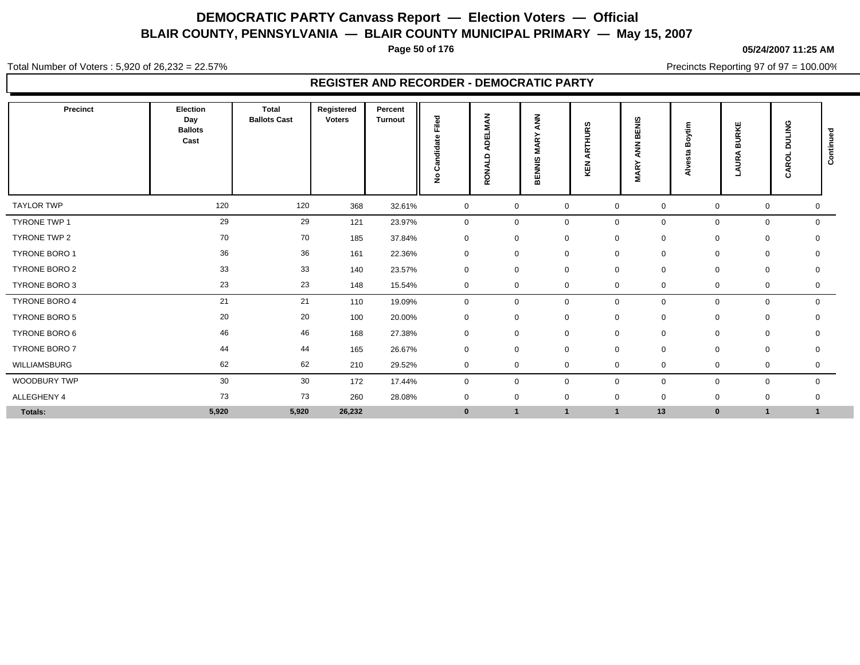**Page 50 of 176**

#### **05/24/2007 11:25 AM**

Total Number of Voters : 5,920 of 26,232 = 22.57%

Precincts Reporting 97 of 97 = 100.00%

| Precinct             | Election<br>Day<br><b>Ballots</b><br>Cast | <b>Total</b><br><b>Ballots Cast</b> | Registered<br><b>Voters</b> | Percent<br><b>Turnout</b> | Filed<br>Candidate<br>£ | ă<br>5<br>画<br>$\Omega$<br>$\Omega$<br>⊐<br><b>RONA</b> | <b>ANN</b><br>ARY<br>Σ<br>SININ<br>뿖 | ഗ<br>≃<br>r<br>◀<br>ш | ENIS<br>≃<br><b>MA</b><br><b>MAR</b> | oytim<br>m<br>sta<br>G)<br>दँ | <b>BURKE</b><br>∢<br><b>LAUR</b> | <b>DULING</b><br>ц<br>CAROI | ᅙ<br>Continue |
|----------------------|-------------------------------------------|-------------------------------------|-----------------------------|---------------------------|-------------------------|---------------------------------------------------------|--------------------------------------|-----------------------|--------------------------------------|-------------------------------|----------------------------------|-----------------------------|---------------|
| <b>TAYLOR TWP</b>    | 120                                       | 120                                 | 368                         | 32.61%                    | $\mathbf 0$             | $\mathbf 0$                                             | $\mathbf 0$                          |                       | $\mathbf 0$                          | 0                             | $\mathbf 0$                      | $\mathbf 0$                 | 0             |
| TYRONE TWP 1         | 29                                        | 29                                  | 121                         | 23.97%                    | $\mathbf 0$             | $\mathbf 0$                                             | $\mathbf 0$                          |                       | $\mathbf 0$                          | 0                             | $\mathbf 0$                      | $\mathbf 0$                 | $\mathbf 0$   |
| TYRONE TWP 2         | 70                                        | 70                                  | 185                         | 37.84%                    | $\mathbf 0$             | $\mathbf 0$                                             | $\mathbf 0$                          |                       | $\mathbf 0$                          | 0                             | 0                                | 0                           | $\mathbf 0$   |
| TYRONE BORO 1        | 36                                        | 36                                  | 161                         | 22.36%                    | $\mathbf 0$             | $\mathbf 0$                                             | $\mathbf 0$                          |                       | $\mathbf 0$                          | 0                             | $\mathbf 0$                      | 0                           | 0             |
| <b>TYRONE BORO 2</b> | 33                                        | 33                                  | 140                         | 23.57%                    | $\mathbf 0$             | $\mathbf 0$                                             | 0                                    |                       | $\mathbf 0$                          | 0                             | 0                                | $\mathbf 0$                 | 0             |
| TYRONE BORO 3        | 23                                        | 23                                  | 148                         | 15.54%                    | $\mathbf 0$             | 0                                                       | $\mathbf 0$                          |                       | $\mathbf 0$                          | 0                             | 0                                | $\mathbf 0$                 | 0             |
| TYRONE BORO 4        | 21                                        | 21                                  | 110                         | 19.09%                    | $\mathbf 0$             | $\mathbf 0$                                             | $\mathbf 0$                          |                       | $\mathbf 0$                          | 0                             | $\mathbf 0$                      | $\mathbf 0$                 | $\mathbf 0$   |
| TYRONE BORO 5        | 20                                        | 20                                  | 100                         | 20.00%                    | $\mathbf 0$             | 0                                                       | $\mathbf 0$                          |                       | 0                                    | 0                             | $\mathbf 0$                      | 0                           | $\mathbf 0$   |
| TYRONE BORO 6        | 46                                        | 46                                  | 168                         | 27.38%                    | $\mathbf 0$             | $\mathbf{0}$                                            | $\mathbf 0$                          |                       | $\mathbf 0$                          | 0                             | $\mathbf 0$                      | 0                           | $\mathbf 0$   |
| TYRONE BORO 7        | 44                                        | 44                                  | 165                         | 26.67%                    | $\mathbf 0$             | $\mathbf 0$                                             | $\mathbf 0$                          |                       | $\mathbf 0$                          | 0                             | $\mathbf 0$                      | 0                           | $\mathbf 0$   |
| WILLIAMSBURG         | 62                                        | 62                                  | 210                         | 29.52%                    | $\mathbf 0$             | $\mathbf 0$                                             | $\mathbf 0$                          |                       | $\mathbf 0$                          | 0                             | $\mathbf 0$                      | 0                           | 0             |
| WOODBURY TWP         | 30                                        | 30                                  | 172                         | 17.44%                    | $\mathbf 0$             | $\mathbf 0$                                             | $\mathbf 0$                          |                       | $\mathbf 0$                          | 0                             | $\mathbf 0$                      | 0                           | $\mathbf 0$   |
| ALLEGHENY 4          | 73                                        | 73                                  | 260                         | 28.08%                    | $\mathbf 0$             | $\mathbf 0$                                             | $\mathbf 0$                          |                       | $\mathbf 0$                          | 0                             | $\mathbf 0$                      | $\mathbf 0$                 | $\mathbf 0$   |
| Totals:              | 5,920                                     | 5,920                               | 26,232                      |                           | $\mathbf{0}$            | $\mathbf{1}$                                            | $\mathbf{1}$                         |                       | $\overline{\mathbf{1}}$              | 13                            | $\bf{0}$                         | 1                           | $\mathbf{1}$  |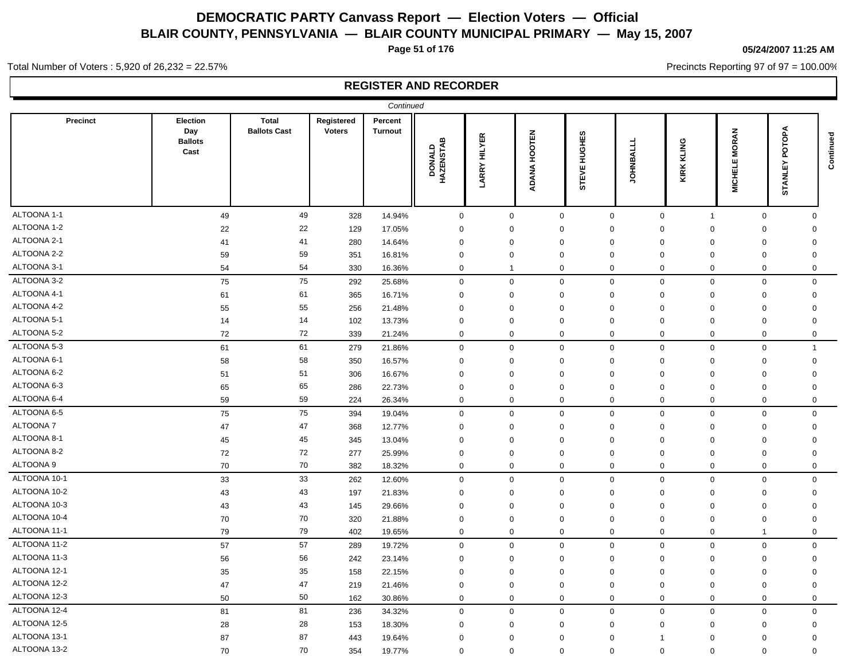**Page 51 of 176**

## **05/24/2007 11:25 AM**

Precincts Reporting 97 of 97 = 100.00%

Total Number of Voters : 5,920 of 26,232 = 22.57%

|                 |                                           |                                     |                             | Continued                 |                     |                     |              |                            |             |                               |                                    |                        |           |
|-----------------|-------------------------------------------|-------------------------------------|-----------------------------|---------------------------|---------------------|---------------------|--------------|----------------------------|-------------|-------------------------------|------------------------------------|------------------------|-----------|
| <b>Precinct</b> | Election<br>Day<br><b>Ballots</b><br>Cast | <b>Total</b><br><b>Ballots Cast</b> | Registered<br><b>Voters</b> | Percent<br><b>Turnout</b> | DONALD<br>HAZENSTAB | <b>LARRY HILYER</b> | ADANA HOOTEN | HUGHES<br><b>STEVE</b>     | OHNBALLL    | <b>KIRK KLING</b>             | <b>MORAN</b><br>ш<br><b>MICHEL</b> | ъф<br>ᅙ<br>모<br>STANLI | Continued |
| ALTOONA 1-1     | 49                                        | 49                                  | 328                         | 14.94%                    | $\mathbf 0$         |                     | $\mathbf 0$  | $\mathbf 0$                | $\mathbf 0$ | $\mathbf 0$<br>$\overline{1}$ | $\mathbf 0$                        | $\mathbf 0$            |           |
| ALTOONA 1-2     | 22                                        | 22                                  | 129                         | 17.05%                    | $\mathbf 0$         | $\Omega$            |              | $\mathbf 0$<br>$\Omega$    |             | $\mathbf 0$<br>$\mathbf 0$    | $\Omega$                           | $\Omega$               |           |
| ALTOONA 2-1     | 41                                        | 41                                  | 280                         | 14.64%                    | 0                   | $\Omega$            |              | $\mathbf 0$<br>$\Omega$    | $\Omega$    | $\Omega$                      | $\mathbf 0$                        | 0                      |           |
| ALTOONA 2-2     | 59                                        | 59                                  | 351                         | 16.81%                    | $\mathbf 0$         | $\mathbf 0$         |              | $\mathbf 0$<br>$\mathbf 0$ | $\mathbf 0$ | $\mathbf 0$                   | $\mathbf 0$                        | $\mathbf 0$            |           |
| ALTOONA 3-1     | 54                                        | 54                                  | 330                         | 16.36%                    | $\mathbf 0$         | $\mathbf{1}$        |              | $\mathbf 0$<br>$\mathbf 0$ |             | $\mathbf 0$<br>$\mathbf 0$    | $\mathbf 0$                        | $\mathbf 0$            |           |
| ALTOONA 3-2     | 75                                        | 75                                  | 292                         | 25.68%                    | $\mathbf 0$         |                     | 0            | $\mathbf 0$                | $\mathbf 0$ | $\mathbf 0$<br>$\mathbf 0$    | $\mathbf 0$                        | $\mathbf 0$            |           |
| ALTOONA 4-1     | 61                                        | 61                                  | 365                         | 16.71%                    | $\mathbf 0$         | $\mathbf 0$         |              | $\mathbf 0$<br>$\mathbf 0$ |             | $\mathbf 0$<br>0              | $\mathbf 0$                        | $\mathbf 0$            |           |
| ALTOONA 4-2     | 55                                        | 55                                  | 256                         | 21.48%                    | $\mathbf 0$         | $\Omega$            |              | $\mathbf 0$<br>$\mathbf 0$ | $\Omega$    | $\Omega$                      | $\mathbf 0$                        | $\mathbf 0$            |           |
| ALTOONA 5-1     | 14                                        | 14                                  | 102                         | 13.73%                    | $\mathbf 0$         | $\Omega$            |              | $\mathbf 0$<br>$\mathbf 0$ | $\Omega$    | $\mathbf 0$                   | $\mathbf 0$                        | $\mathbf 0$            |           |
| ALTOONA 5-2     | 72                                        | 72                                  | 339                         | 21.24%                    | $\mathbf 0$         |                     | 0            | $\mathbf 0$<br>$\mathbf 0$ |             | $\mathbf 0$<br>0              | $\mathbf 0$                        | 0                      |           |
| ALTOONA 5-3     | 61                                        | 61                                  | 279                         | 21.86%                    | $\mathbf 0$         |                     | 0            | $\mathbf 0$<br>$\mathbf 0$ |             | $\mathbf 0$<br>$\mathbf 0$    | $\mathbf 0$                        | $\mathbf{1}$           |           |
| ALTOONA 6-1     | 58                                        | 58                                  | 350                         | 16.57%                    | $\mathbf 0$         | $\mathbf 0$         |              | $\mathbf 0$<br>$\mathbf 0$ | $\mathbf 0$ | $\mathbf 0$                   | $\mathbf 0$                        | $\mathbf 0$            |           |
| ALTOONA 6-2     | 51                                        | 51                                  | 306                         | 16.67%                    | $\mathbf 0$         | $\mathbf 0$         |              | $\mathbf 0$<br>$\mathbf 0$ | $\mathbf 0$ | $\mathbf 0$                   | $\mathbf 0$                        | $\mathbf 0$            |           |
| ALTOONA 6-3     | 65                                        | 65                                  | 286                         | 22.73%                    | $\mathbf 0$         | $\Omega$            |              | $\mathbf 0$<br>$\mathbf 0$ |             | $\mathbf 0$<br>$\mathbf 0$    | $\mathbf 0$                        | $\mathbf 0$            |           |
| ALTOONA 6-4     | 59                                        | 59                                  | 224                         | 26.34%                    | $\mathbf 0$         |                     | $\mathbf 0$  | $\mathbf 0$<br>$\mathbf 0$ |             | $\mathbf 0$<br>$\mathbf 0$    | $\mathbf 0$                        | $\mathbf 0$            |           |
| ALTOONA 6-5     | 75                                        | ${\bf 75}$                          | 394                         | 19.04%                    | $\mathbf 0$         |                     | 0            | $\mathbf 0$<br>$\mathbf 0$ |             | $\mathsf 0$<br>$\mathbf 0$    | $\mathbf 0$                        | $\Omega$               |           |
| ALTOONA 7       | 47                                        | 47                                  | 368                         | 12.77%                    | $\mathbf 0$         | $\Omega$            |              | $\mathbf 0$<br>$\Omega$    | $\Omega$    | $\mathbf 0$                   | $\mathbf 0$                        | $\Omega$               |           |
| ALTOONA 8-1     | 45                                        | 45                                  | 345                         | 13.04%                    | $\mathbf 0$         | $\mathbf 0$         |              | $\mathbf 0$<br>$\mathbf 0$ |             | $\mathbf 0$<br>0              | $\mathbf 0$                        | $\mathbf 0$            |           |
| ALTOONA 8-2     | 72                                        | 72                                  | 277                         | 25.99%                    | $\mathbf 0$         | $\mathbf 0$         |              | $\mathbf 0$<br>$\mathbf 0$ |             | $\mathbf 0$<br>$\mathbf 0$    | $\mathbf 0$                        | $\mathbf 0$            |           |
| ALTOONA 9       | 70                                        | 70                                  | 382                         | 18.32%                    | $\mathbf 0$         |                     | $\mathbf 0$  | $\mathbf 0$<br>$\Omega$    |             | $\mathbf{0}$<br>$\mathbf 0$   | $\mathbf 0$                        | $\Omega$               |           |
| ALTOONA 10-1    | 33                                        | 33                                  | 262                         | 12.60%                    | $\mathbf 0$         |                     | $\mathbf 0$  | $\mathbf 0$                | $\mathbf 0$ | $\mathbf 0$<br>$\mathbf 0$    | $\mathsf 0$                        | $\mathbf 0$            |           |
| ALTOONA 10-2    | 43                                        | 43                                  | 197                         | 21.83%                    | $\mathbf 0$         | $\Omega$            |              | $\mathbf 0$<br>$\mathbf 0$ | $\Omega$    | $\mathbf 0$                   | $\mathbf 0$                        | $\mathbf 0$            |           |
| ALTOONA 10-3    | 43                                        | 43                                  | 145                         | 29.66%                    | $\mathbf 0$         | $\Omega$            |              | $\mathbf 0$<br>$\Omega$    | $\Omega$    | $\mathbf 0$                   | $\mathbf 0$                        | 0                      |           |
| ALTOONA 10-4    | 70                                        | 70                                  | 320                         | 21.88%                    | 0                   | $\Omega$            |              | 0<br>$\mathbf 0$           | $\Omega$    | 0                             | $\mathbf 0$                        | 0                      |           |
| ALTOONA 11-1    | 79                                        | 79                                  | 402                         | 19.65%                    | $\mathbf 0$         |                     | 0            | $\mathbf 0$                | $\mathbf 0$ | $\mathbf 0$<br>$\mathbf 0$    | $\mathbf{1}$                       | 0                      |           |
| ALTOONA 11-2    | 57                                        | 57                                  | 289                         | 19.72%                    | $\mathbf 0$         | $\mathbf 0$         |              | $\mathbf 0$<br>$\mathbf 0$ |             | $\mathbf 0$<br>$\mathbf 0$    | $\mathbf 0$                        | $\mathbf 0$            |           |
| ALTOONA 11-3    | 56                                        | 56                                  | 242                         | 23.14%                    | $\mathbf 0$         | $\mathbf 0$         |              | $\mathbf 0$<br>$\mathbf 0$ |             | $\mathbf 0$<br>$\mathbf 0$    | $\mathbf 0$                        | $\mathbf 0$            |           |
| ALTOONA 12-1    | 35                                        | 35                                  | 158                         | 22.15%                    | $\mathbf 0$         | $\mathbf 0$         |              | $\mathbf 0$<br>$\mathbf 0$ | $\mathbf 0$ | $\mathbf 0$                   | $\mathbf 0$                        | $\mathbf 0$            |           |
| ALTOONA 12-2    | 47                                        | 47                                  | 219                         | 21.46%                    | $\mathbf 0$         | $\Omega$            |              | $\mathbf 0$<br>$\mathbf 0$ |             | $\mathbf 0$<br>$\mathbf 0$    | $\mathbf 0$                        | $\mathbf 0$            |           |
| ALTOONA 12-3    | 50                                        | 50                                  | 162                         | 30.86%                    | $\mathbf 0$         |                     | $\mathbf 0$  | $\mathbf 0$<br>$\pmb{0}$   |             | $\mathbf 0$<br>$\mathbf 0$    | $\mathbf 0$                        | $\mathbf 0$            |           |
| ALTOONA 12-4    | 81                                        | 81                                  | 236                         | 34.32%                    | $\mathbf 0$         |                     | 0            | $\mathbf 0$<br>$\mathbf 0$ |             | $\mathbf 0$<br>$\mathbf 0$    | $\mathbf 0$                        | $\mathbf 0$            |           |
| ALTOONA 12-5    | 28                                        | 28                                  | 153                         | 18.30%                    | $\mathbf 0$         | $\mathbf 0$         |              | $\mathbf 0$<br>$\mathbf 0$ |             | $\mathbf 0$<br>0              | $\mathbf 0$                        | $\mathbf 0$            |           |
| ALTOONA 13-1    | 87                                        | 87                                  | 443                         | 19.64%                    | 0                   | $\mathbf 0$         |              | $\mathbf 0$<br>$\mathbf 0$ | -1          | 0                             | $\mathbf 0$                        | $\mathbf 0$            |           |
| ALTOONA 13-2    | 70                                        | 70                                  | 354                         | 19.77%                    | $\mathbf 0$         |                     | 0            | $\mathbf 0$<br>$\mathbf 0$ |             | $\mathbf 0$<br>$\mathbf 0$    | $\mathbf 0$                        | $\mathbf 0$            |           |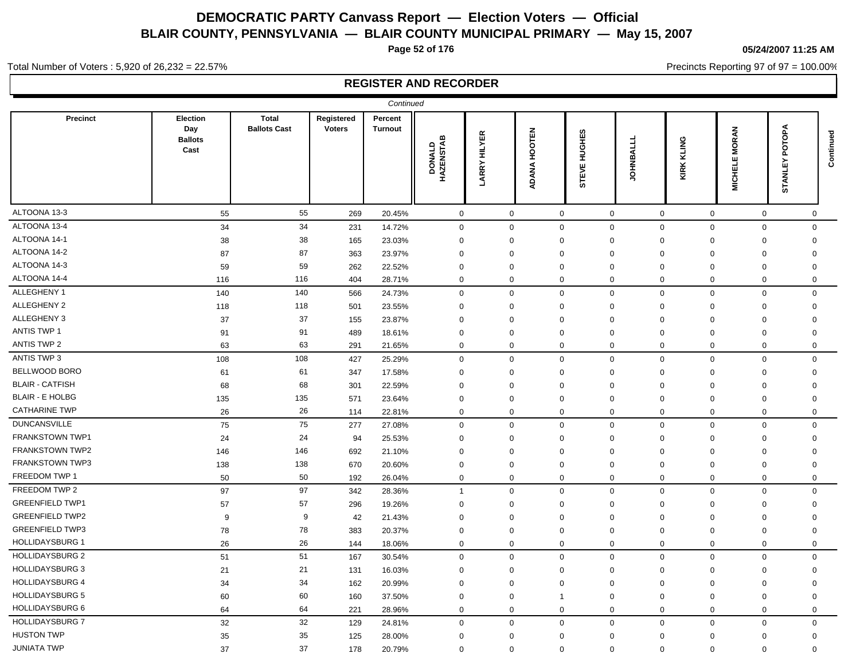**Page 52 of 176**

#### **05/24/2007 11:25 AM**

Precincts Reporting 97 of 97 = 100.00%

Total Number of Voters : 5,920 of 26,232 = 22.57%

|                        |                                           |                                     |                             | Continued                 |                          |                        |                               |                     |                 |                     |                                |                                 |             |
|------------------------|-------------------------------------------|-------------------------------------|-----------------------------|---------------------------|--------------------------|------------------------|-------------------------------|---------------------|-----------------|---------------------|--------------------------------|---------------------------------|-------------|
| <b>Precinct</b>        | Election<br>Day<br><b>Ballots</b><br>Cast | <b>Total</b><br><b>Ballots Cast</b> | Registered<br><b>Voters</b> | Percent<br><b>Turnout</b> | m<br>DONALD<br>HAZENSTAE | <b>HILYER</b><br>LARRY | <b>HOOTEN</b><br><b>ADANA</b> | HUGHES<br>STEVE     | <b>TOHNBALL</b> | KIRK KLING          | <b>MORAN</b><br><b>MICHELE</b> | ÅdO<br>ᅙ<br>민<br><b>NA</b><br>5 | Continued   |
| ALTOONA 13-3           | 55                                        | 55                                  | 269                         | 20.45%                    | $\mathbf 0$              | $\mathbf 0$            |                               | $\mathsf{O}\xspace$ | $\mathsf 0$     | $\mathsf{O}\xspace$ | $\mathbf 0$                    | $\mathsf 0$                     | 0           |
| ALTOONA 13-4           | 34                                        | 34                                  | 231                         | 14.72%                    | $\mathsf 0$              | $\mathbf 0$            |                               | $\mathbf 0$         | $\mathbf 0$     | $\mathbf 0$         | $\mathsf 0$                    | $\mathbf 0$                     | $\Omega$    |
| ALTOONA 14-1           | 38                                        | 38                                  | 165                         | 23.03%                    | $\mathbf 0$              | $\Omega$               |                               | $\Omega$            | $\mathbf 0$     | 0                   | 0                              | $\mathbf 0$                     | 0           |
| ALTOONA 14-2           | 87                                        | 87                                  | 363                         | 23.97%                    | 0                        | $\Omega$               |                               | $\Omega$            | $\mathbf 0$     | $\Omega$            | $\mathbf 0$                    | $\mathbf 0$                     | $\Omega$    |
| ALTOONA 14-3           | 59                                        | 59                                  | 262                         | 22.52%                    | $\mathbf 0$              | $\Omega$               |                               | $\Omega$            | $\Omega$        | $\mathbf 0$         | $\mathbf 0$                    | $\mathbf 0$                     | $\Omega$    |
| ALTOONA 14-4           | 116                                       | 116                                 | 404                         | 28.71%                    | $\mathbf 0$              | $\mathbf 0$            |                               | $\mathbf 0$         | $\mathbf 0$     | $\mathbf 0$         | $\mathbf 0$                    | $\mathbf 0$                     | $\mathbf 0$ |
| ALLEGHENY 1            | 140                                       | 140                                 | 566                         | 24.73%                    | $\mathsf 0$              | $\mathbf 0$            |                               | $\mathbf 0$         | $\mathbf 0$     | $\mathbf 0$         | $\mathsf 0$                    | $\mathbf 0$                     | $\mathbf 0$ |
| ALLEGHENY 2            | 118                                       | 118                                 | 501                         | 23.55%                    | $\mathbf 0$              | $\mathbf 0$            |                               | $\Omega$            | $\mathbf 0$     | $\mathbf 0$         | $\mathbf 0$                    | $\mathbf 0$                     | $\mathbf 0$ |
| ALLEGHENY 3            | 37                                        | 37                                  | 155                         | 23.87%                    | $\mathbf 0$              | $\mathbf 0$            |                               | $\Omega$            | $\mathbf 0$     | $\mathbf 0$         | $\mathbf 0$                    | $\mathbf 0$                     | $\Omega$    |
| ANTIS TWP 1            | 91                                        | 91                                  | 489                         | 18.61%                    | $\mathbf 0$              | $\mathbf 0$            |                               | $\mathbf 0$         | $\mathbf 0$     | $\mathbf 0$         | $\mathbf 0$                    | $\mathbf 0$                     | $\mathbf 0$ |
| ANTIS TWP 2            | 63                                        | 63                                  | 291                         | 21.65%                    | $\mathbf 0$              | $\mathbf 0$            |                               | $\mathbf 0$         | $\mathbf 0$     | $\mathbf 0$         | $\mathbf 0$                    | $\mathbf 0$                     | $\mathbf 0$ |
| ANTIS TWP 3            | 108                                       | 108                                 | 427                         | 25.29%                    | $\mathbf 0$              | $\mathbf 0$            |                               | $\mathbf 0$         | $\mathbf 0$     | $\mathbf 0$         | $\mathbf 0$                    | $\mathbf 0$                     | $\mathbf 0$ |
| <b>BELLWOOD BORO</b>   | 61                                        | 61                                  | 347                         | 17.58%                    | $\mathbf 0$              | $\mathbf 0$            |                               | $\Omega$            | $\mathbf 0$     | $\mathbf 0$         | $\mathbf 0$                    | $\mathbf 0$                     | $\mathbf 0$ |
| <b>BLAIR - CATFISH</b> | 68                                        | 68                                  | 301                         | 22.59%                    | $\mathbf 0$              | $\Omega$               |                               | $\Omega$            | $\mathbf 0$     | $\mathbf 0$         | $\mathbf 0$                    | $\mathbf 0$                     | $\mathbf 0$ |
| <b>BLAIR - E HOLBG</b> | 135                                       | 135                                 | 571                         | 23.64%                    | 0                        | 0                      |                               | 0                   | $\mathbf 0$     | 0                   | 0                              | $\mathbf 0$                     | 0           |
| <b>CATHARINE TWP</b>   | 26                                        | 26                                  | 114                         | 22.81%                    | $\mathbf 0$              | $\mathbf 0$            |                               | 0                   | $\mathbf 0$     | 0                   | $\mathbf 0$                    | $\mathbf 0$                     | 0           |
| <b>DUNCANSVILLE</b>    | 75                                        | 75                                  | 277                         | 27.08%                    | $\mathbf 0$              | $\mathbf 0$            |                               | $\mathbf 0$         | $\mathbf 0$     | $\mathbf 0$         | $\mathbf 0$                    | $\mathbf 0$                     | $\Omega$    |
| <b>FRANKSTOWN TWP1</b> | 24                                        | 24                                  | 94                          | 25.53%                    | $\mathbf 0$              | $\mathbf 0$            |                               | $\Omega$            | $\Omega$        | $\mathbf 0$         | $\mathbf 0$                    | $\mathbf 0$                     | $\Omega$    |
| <b>FRANKSTOWN TWP2</b> | 146                                       | 146                                 | 692                         | 21.10%                    | $\Omega$                 | $\Omega$               |                               | $\Omega$            | $\Omega$        | $\Omega$            | $\Omega$                       | $\mathbf 0$                     | $\Omega$    |
| <b>FRANKSTOWN TWP3</b> | 138                                       | 138                                 | 670                         | 20.60%                    | $\mathbf 0$              | $\mathbf{0}$           |                               | $\Omega$            | $\mathbf 0$     | $\mathbf 0$         | 0                              | $\mathbf 0$                     | $\Omega$    |
| FREEDOM TWP 1          | 50                                        | 50                                  | 192                         | 26.04%                    | $\mathbf 0$              | $\mathbf 0$            |                               | $\mathbf 0$         | $\mathbf 0$     | $\mathbf 0$         | $\mathbf 0$                    | $\mathbf 0$                     | $\Omega$    |
| FREEDOM TWP 2          | 97                                        | 97                                  | 342                         | 28.36%                    | $\mathbf{1}$             | $\mathbf 0$            |                               | $\mathbf 0$         | $\mathbf 0$     | $\mathbf 0$         | $\mathbf 0$                    | $\mathbf 0$                     | $\Omega$    |
| <b>GREENFIELD TWP1</b> | 57                                        | 57                                  | 296                         | 19.26%                    | $\mathbf 0$              | $\mathbf 0$            |                               | $\Omega$            | $\Omega$        | $\mathbf 0$         | $\mathbf 0$                    | $\mathbf 0$                     | $\Omega$    |
| <b>GREENFIELD TWP2</b> | 9                                         | 9                                   | 42                          | 21.43%                    | $\mathbf 0$              | $\mathbf 0$            |                               | $\Omega$            | $\mathbf 0$     | $\mathbf 0$         | $\mathbf 0$                    | $\mathbf 0$                     | $\mathbf 0$ |
| <b>GREENFIELD TWP3</b> | 78                                        | 78                                  | 383                         | 20.37%                    | $\mathbf 0$              | $\mathbf 0$            |                               | $\Omega$            | $\mathbf 0$     | $\mathbf 0$         | $\mathbf 0$                    | $\mathbf 0$                     | $\mathbf 0$ |
| <b>HOLLIDAYSBURG 1</b> | 26                                        | 26                                  | 144                         | 18.06%                    | $\mathbf 0$              | $\mathbf 0$            |                               | $\mathbf 0$         | $\mathbf 0$     | $\mathbf 0$         | $\mathbf 0$                    | $\mathbf 0$                     | $\mathbf 0$ |
| <b>HOLLIDAYSBURG 2</b> | 51                                        | 51                                  | 167                         | 30.54%                    | $\mathbf 0$              | $\mathbf 0$            |                               | $\mathbf 0$         | $\mathbf 0$     | $\mathbf 0$         | $\mathbf 0$                    | $\mathbf 0$                     | $\mathbf 0$ |
| <b>HOLLIDAYSBURG 3</b> | 21                                        | 21                                  | 131                         | 16.03%                    | $\mathbf 0$              | $\Omega$               |                               | $\Omega$            | $\mathbf 0$     | $\mathbf 0$         | $\mathbf 0$                    | $\mathbf 0$                     | 0           |
| <b>HOLLIDAYSBURG 4</b> | 34                                        | 34                                  | 162                         | 20.99%                    | $\mathbf 0$              | $\mathbf 0$            |                               | $\Omega$            | $\mathbf 0$     | $\Omega$            | 0                              | $\mathbf 0$                     | $\Omega$    |
| <b>HOLLIDAYSBURG 5</b> | 60                                        | 60                                  | 160                         | 37.50%                    | $\mathbf 0$              | $\mathbf 0$            |                               | $\mathbf 1$         | $\mathbf 0$     | $\mathbf 0$         | $\mathbf 0$                    | $\mathbf 0$                     | 0           |
| <b>HOLLIDAYSBURG 6</b> | 64                                        | 64                                  | 221                         | 28.96%                    | $\mathbf 0$              | 0                      |                               | $\mathbf 0$         | $\mathbf 0$     | 0                   | 0                              | $\mathbf 0$                     | $\Omega$    |
| <b>HOLLIDAYSBURG 7</b> | 32                                        | 32                                  | 129                         | 24.81%                    | $\mathbf 0$              | $\mathbf 0$            |                               | $\mathbf 0$         | $\mathbf 0$     | $\mathbf 0$         | $\mathbf 0$                    | $\mathbf 0$                     | $\mathbf 0$ |
| <b>HUSTON TWP</b>      | 35                                        | 35                                  | 125                         | 28.00%                    | $\mathbf 0$              | 0                      |                               | $\mathbf 0$         | $\mathbf 0$     | 0                   | 0                              | $\mathbf 0$                     | $\mathbf 0$ |
| <b>JUNIATA TWP</b>     | 37                                        | 37                                  | 178                         | 20.79%                    | $\mathbf 0$              | $\mathbf 0$            |                               | $\mathbf 0$         | $\mathbf 0$     | $\mathbf 0$         | $\mathbf 0$                    | $\mathbf 0$                     | $\Omega$    |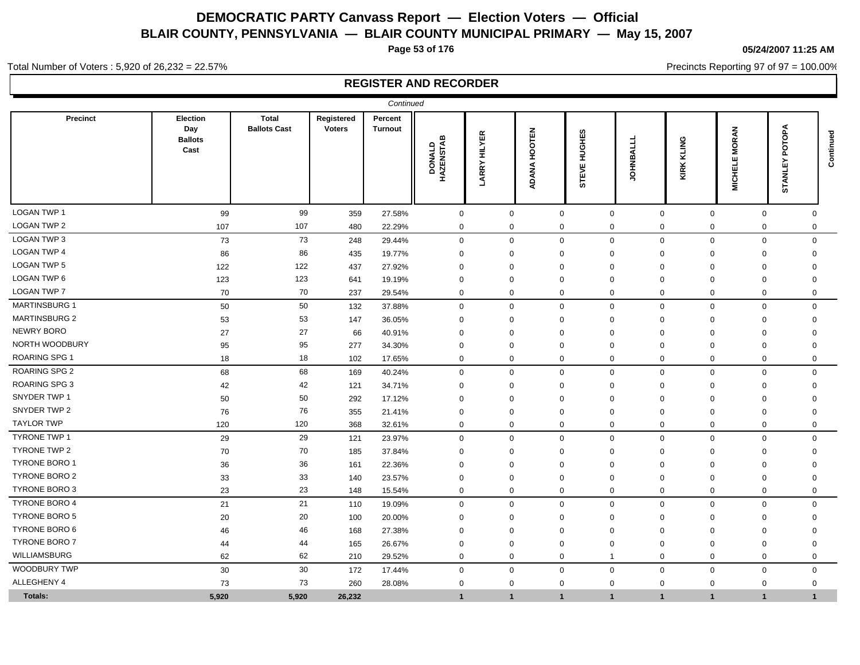**Page 53 of 176**

## **05/24/2007 11:25 AM**

Precincts Reporting 97 of 97 = 100.00%

Total Number of Voters : 5,920 of 26,232 = 22.57%

|                      |                                           |                                     |                             | Continued                 |                          |                        |              |                 |               |                                    |                                    |                                 |           |
|----------------------|-------------------------------------------|-------------------------------------|-----------------------------|---------------------------|--------------------------|------------------------|--------------|-----------------|---------------|------------------------------------|------------------------------------|---------------------------------|-----------|
| <b>Precinct</b>      | Election<br>Day<br><b>Ballots</b><br>Cast | <b>Total</b><br><b>Ballots Cast</b> | Registered<br><b>Voters</b> | Percent<br><b>Turnout</b> | ≃<br>DONALD<br>HAZENSTAE | <b>HILYER</b><br>LARRY | ADANA HOOTEN | HUGHES<br>STEVE | <b>OHNBAI</b> | KLING<br>KIRK                      | <b>MORAN</b><br>ш<br><b>MICHEL</b> | ФqО<br>൨<br>><br>ш<br>INK.<br>5 | Continued |
| <b>LOGAN TWP 1</b>   | 99                                        | 99                                  | 359                         | 27.58%                    | $\mathsf 0$              | 0                      | $\mathbf 0$  | $\mathsf 0$     |               | $\mathsf{O}\xspace$<br>$\mathbf 0$ | $\mathbf 0$                        | $\mathbf 0$                     |           |
| LOGAN TWP 2          | 107                                       | 107                                 | 480                         | 22.29%                    | $\mathbf 0$              | $\mathbf 0$            | $\mathbf 0$  | $\mathbf 0$     | $\mathbf 0$   | $\mathbf 0$                        | $\mathbf 0$                        | 0                               |           |
| LOGAN TWP 3          | 73                                        | 73                                  | 248                         | 29.44%                    | $\mathbf 0$              | $\mathbf 0$            | $\mathbf 0$  | $\mathbf{0}$    | $\mathbf 0$   | $\mathbf 0$                        | $\mathbf 0$                        | $\mathbf 0$                     |           |
| <b>LOGAN TWP 4</b>   | 86                                        | 86                                  | 435                         | 19.77%                    | $\mathbf 0$              | $\Omega$               | $\Omega$     | $\Omega$        | $\Omega$      | $\mathbf 0$                        | $\Omega$                           | $\mathbf 0$                     |           |
| LOGAN TWP 5          | 122                                       | 122                                 | 437                         | 27.92%                    | $\mathbf 0$              | $\Omega$               | $\mathbf{0}$ | $\Omega$        | $\Omega$      | $\Omega$                           | $\Omega$                           | $\mathbf 0$                     |           |
| LOGAN TWP 6          | 123                                       | 123                                 | 641                         | 19.19%                    | $\mathbf 0$              | $\Omega$               | $\mathbf 0$  | $\mathbf 0$     | $\mathbf 0$   | $\mathbf 0$                        | $\Omega$                           | $\mathbf 0$                     |           |
| <b>LOGAN TWP 7</b>   | 70                                        | 70                                  | 237                         | 29.54%                    | $\mathbf 0$              | 0                      | $\mathbf 0$  | $\mathbf 0$     | $\mathbf 0$   | $\mathbf 0$                        | $\mathbf 0$                        | 0                               |           |
| <b>MARTINSBURG 1</b> | 50                                        | 50                                  | 132                         | 37.88%                    | $\mathbf 0$              | $\mathbf 0$            | $\mathbf 0$  | $\mathbf 0$     | $\mathbf{0}$  | $\mathbf 0$                        | $\mathbf 0$                        | $\mathbf{0}$                    |           |
| <b>MARTINSBURG 2</b> | 53                                        | 53                                  | 147                         | 36.05%                    | $\mathbf 0$              | $\Omega$               | $\mathbf 0$  | $\Omega$        | $\Omega$      | $\Omega$                           | $\Omega$                           | 0                               |           |
| <b>NEWRY BORO</b>    | 27                                        | 27                                  | 66                          | 40.91%                    | $\mathbf 0$              | $\Omega$               | 0            | $\Omega$        | $\Omega$      | $\Omega$                           | $\Omega$                           | 0                               |           |
| NORTH WOODBURY       | 95                                        | 95                                  | 277                         | 34.30%                    | 0                        | $\Omega$               | 0            | $\mathbf 0$     | $\Omega$      | $\mathbf 0$                        | $\Omega$                           | 0                               |           |
| ROARING SPG 1        | 18                                        | 18                                  | 102                         | 17.65%                    | $\mathbf 0$              | $\mathbf 0$            | $\mathbf 0$  | $\mathbf 0$     | $\mathbf 0$   | $\mathbf 0$                        | $\mathbf 0$                        | 0                               |           |
| <b>ROARING SPG 2</b> | 68                                        | 68                                  | 169                         | 40.24%                    | $\mathbf 0$              | 0                      | $\mathbf 0$  | $\mathbf 0$     | $\mathbf 0$   | $\mathbf 0$                        | $\mathbf 0$                        | 0                               |           |
| <b>ROARING SPG 3</b> | 42                                        | 42                                  | 121                         | 34.71%                    | $\mathbf 0$              | $\Omega$               | $\mathbf 0$  | $\Omega$        | $\Omega$      | $\mathbf 0$                        | $\mathbf 0$                        | $\Omega$                        |           |
| SNYDER TWP 1         | 50                                        | 50                                  | 292                         | 17.12%                    | $\mathbf 0$              | $\Omega$               | $\mathbf 0$  | $\Omega$        | $\Omega$      | $\mathbf 0$                        | $\mathbf 0$                        | $\Omega$                        |           |
| SNYDER TWP 2         | 76                                        | 76                                  | 355                         | 21.41%                    | $\mathbf 0$              | $\Omega$               | 0            | $\mathbf 0$     | $\mathbf 0$   | $\mathbf 0$                        | $\mathbf 0$                        | 0                               |           |
| <b>TAYLOR TWP</b>    | 120                                       | 120                                 | 368                         | 32.61%                    | $\mathbf 0$              | 0                      | $\mathbf 0$  | $\mathbf 0$     | $\mathbf 0$   | $\mathbf 0$                        | $\mathbf 0$                        | $\mathbf 0$                     |           |
| <b>TYRONE TWP 1</b>  | 29                                        | 29                                  | 121                         | 23.97%                    | $\mathbf 0$              | 0                      | $\mathbf 0$  | $\mathbf 0$     | $\mathbf 0$   | $\mathbf 0$                        | $\mathbf 0$                        | $\mathbf 0$                     |           |
| TYRONE TWP 2         | 70                                        | 70                                  | 185                         | 37.84%                    | $\mathbf 0$              | $\Omega$               | $\mathbf 0$  | $\Omega$        | $\mathbf 0$   | $\mathbf 0$                        | $\mathbf 0$                        | $\Omega$                        |           |
| <b>TYRONE BORO 1</b> | 36                                        | 36                                  | 161                         | 22.36%                    | $\mathbf 0$              | $\Omega$               | $\mathbf 0$  | $\Omega$        | $\Omega$      | $\Omega$                           | $\mathbf 0$                        | $\Omega$                        |           |
| <b>TYRONE BORO 2</b> | 33                                        | 33                                  | 140                         | 23.57%                    | $\mathbf 0$              | $\Omega$               | $\mathbf 0$  | $\Omega$        | $\Omega$      | $\Omega$                           | $\Omega$                           | 0                               |           |
| <b>TYRONE BORO 3</b> | 23                                        | 23                                  | 148                         | 15.54%                    | $\mathbf 0$              | $\mathbf 0$            | $\mathbf 0$  | $\mathbf 0$     | $\mathbf{0}$  | $\mathbf 0$                        | $\mathbf 0$                        | $\mathbf 0$                     |           |
| <b>TYRONE BORO 4</b> | 21                                        | 21                                  | 110                         | 19.09%                    | $\mathbf 0$              | $\Omega$               | $\mathbf 0$  | $\mathbf 0$     | $\mathbf{0}$  | $\mathbf 0$                        | $\mathbf 0$                        | $\mathbf 0$                     |           |
| <b>TYRONE BORO 5</b> | 20                                        | 20                                  | 100                         | 20.00%                    | $\Omega$                 | $\Omega$               | 0            | $\Omega$        | $\Omega$      | 0                                  | $\Omega$                           | $\Omega$                        |           |
| TYRONE BORO 6        | 46                                        | 46                                  | 168                         | 27.38%                    | $\Omega$                 | $\Omega$               | $\mathbf 0$  | $\Omega$        | $\Omega$      | $\Omega$                           | $\Omega$                           | $\Omega$                        |           |
| <b>TYRONE BORO 7</b> | 44                                        | 44                                  | 165                         | 26.67%                    | $\mathbf 0$              | $\Omega$               | $\mathbf 0$  | $\Omega$        | $\Omega$      | $\Omega$                           | $\Omega$                           | 0                               |           |
| <b>WILLIAMSBURG</b>  | 62                                        | 62                                  | 210                         | 29.52%                    | 0                        | $\mathbf{0}$           | 0            | -1              | 0             | 0                                  | $\mathbf 0$                        | $\mathbf 0$                     |           |
| WOODBURY TWP         | 30                                        | 30                                  | 172                         | 17.44%                    | $\mathbf 0$              | 0                      | $\mathbf 0$  | $\mathbf 0$     | $\mathbf 0$   | $\mathbf 0$                        | $\mathbf 0$                        | $\mathbf 0$                     |           |
| ALLEGHENY 4          | 73                                        | 73                                  | 260                         | 28.08%                    | 0                        | $\mathbf 0$            | $\mathbf 0$  | $\mathbf 0$     | 0             | 0                                  | 0                                  | 0                               |           |
| <b>Totals:</b>       | 5,920                                     | 5,920                               | 26,232                      |                           | $\mathbf{1}$             | 1                      | $\mathbf 1$  | $\mathbf{1}$    | $\mathbf{1}$  | $\overline{1}$                     | $\mathbf{1}$                       | 1                               |           |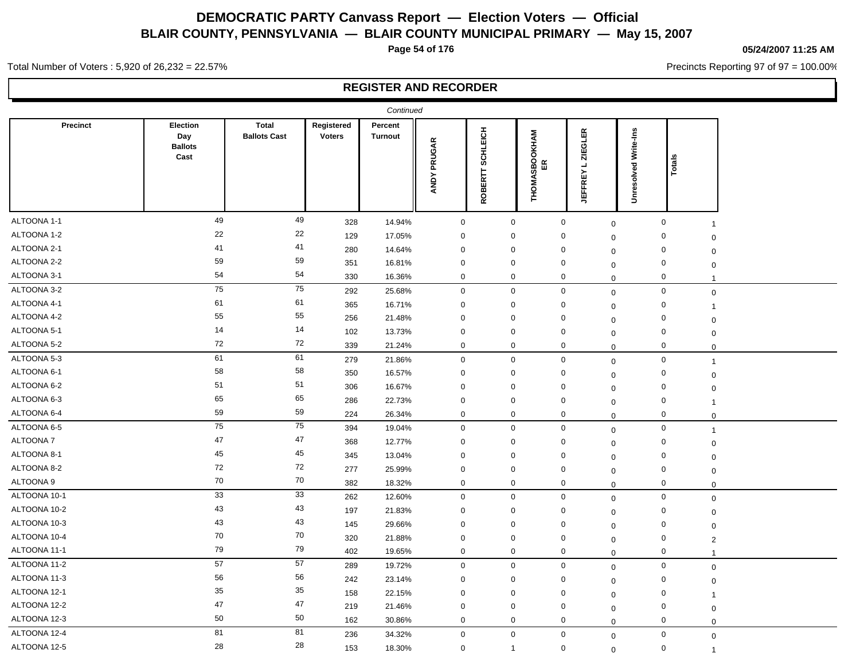**Page 54 of 176**

## **05/24/2007 11:25 AM**

Precincts Reporting 97 of 97 = 100.00%

Total Number of Voters : 5,920 of 26,232 = 22.57%

|                 |                                           |                                     |                             | Continued                 |                                   |                          |                                      |                                                              |                             |                |  |
|-----------------|-------------------------------------------|-------------------------------------|-----------------------------|---------------------------|-----------------------------------|--------------------------|--------------------------------------|--------------------------------------------------------------|-----------------------------|----------------|--|
| <b>Precinct</b> | Election<br>Day<br><b>Ballots</b><br>Cast | <b>Total</b><br><b>Ballots Cast</b> | Registered<br><b>Voters</b> | Percent<br><b>Turnout</b> | $\propto$<br>PRUGA<br><b>ANDY</b> | CHLEICH<br>Ø,<br>ROBERTT | <b>SBOOKHAM</b><br>ER<br>9X<br>THOM. | <b>ZIEGLER</b><br>$\overline{\phantom{a}}$<br><b>JEFFREY</b> | <b>Unresolved Write-Ins</b> | Ë<br>흐         |  |
| ALTOONA 1-1     | 49                                        | 49                                  | 328                         | 14.94%                    | $\mathbf 0$                       | $\mathbf 0$              | $\mathbf 0$                          | $\mathbf 0$                                                  | $\mathbf 0$                 | $\overline{1}$ |  |
| ALTOONA 1-2     | 22                                        | 22                                  | 129                         | 17.05%                    | $\mathbf 0$                       | $\mathbf 0$              | $\mathbf 0$                          | $\mathbf 0$                                                  | $\mathbf 0$                 | 0              |  |
| ALTOONA 2-1     | 41                                        | 41                                  | 280                         | 14.64%                    | $\mathbf 0$                       | $\mathbf 0$              | $\mathbf 0$                          | 0                                                            | $\mathbf 0$                 | $\mathbf 0$    |  |
| ALTOONA 2-2     | 59                                        | 59                                  | 351                         | 16.81%                    | $\mathbf 0$                       | $\mathbf 0$              | $\mathbf 0$                          | $\mathbf 0$                                                  | $\mathbf 0$                 | 0              |  |
| ALTOONA 3-1     | 54                                        | 54                                  | 330                         | 16.36%                    | $\mathbf 0$                       | $\mathbf 0$              | $\mathbf 0$                          | $\mathbf 0$                                                  | $\mathbf 0$                 | $\mathbf{1}$   |  |
| ALTOONA 3-2     | 75                                        | 75                                  | 292                         | 25.68%                    | $\mathbf{0}$                      | $\mathbf 0$              | $\mathbf 0$                          | $\mathbf 0$                                                  | $\mathbf 0$                 | $\mathsf 0$    |  |
| ALTOONA 4-1     | 61                                        | 61                                  | 365                         | 16.71%                    | $\mathbf 0$                       | 0                        | $\mathbf 0$                          | $\mathbf 0$                                                  | $\mathbf 0$                 | $\overline{1}$ |  |
| ALTOONA 4-2     | 55                                        | 55                                  | 256                         | 21.48%                    | $\mathbf 0$                       | $\mathbf 0$              | 0                                    | $\mathbf 0$                                                  | $\mathbf 0$                 | $\mathbf 0$    |  |
| ALTOONA 5-1     | 14                                        | 14                                  | 102                         | 13.73%                    | $\mathbf 0$                       | $\mathbf 0$              | 0                                    | $\mathbf 0$                                                  | 0                           | $\mathbf 0$    |  |
| ALTOONA 5-2     | 72                                        | 72                                  | 339                         | 21.24%                    | $\mathbf 0$                       | 0                        | $\mathbf 0$                          | $\Omega$                                                     | $\mathbf 0$                 | $\mathbf 0$    |  |
| ALTOONA 5-3     | 61                                        | 61                                  | 279                         | 21.86%                    | $\mathbf 0$                       | $\mathbf 0$              | $\mathbf 0$                          | $\mathbf 0$                                                  | $\mathsf{O}\xspace$         | $\overline{1}$ |  |
| ALTOONA 6-1     | 58                                        | 58                                  | 350                         | 16.57%                    | $\mathbf 0$                       | 0                        | $\mathbf 0$                          | $\mathbf 0$                                                  | $\mathbf 0$                 | $\mathbf 0$    |  |
| ALTOONA 6-2     | 51                                        | 51                                  | 306                         | 16.67%                    | $\mathbf 0$                       | $\Omega$                 | 0                                    | $\mathbf 0$                                                  | $\mathbf 0$                 | $\mathbf 0$    |  |
| ALTOONA 6-3     | 65                                        | 65                                  | 286                         | 22.73%                    | $\mathbf 0$                       | 0                        | $\mathbf 0$                          | $\mathbf 0$                                                  | $\mathbf 0$                 | $\overline{1}$ |  |
| ALTOONA 6-4     | 59                                        | 59                                  | 224                         | 26.34%                    | $\mathbf 0$                       | 0                        | 0                                    | $\mathbf 0$                                                  | 0                           | $\mathbf 0$    |  |
| ALTOONA 6-5     | 75                                        | 75                                  | 394                         | 19.04%                    | $\mathbf 0$                       | $\mathbf 0$              | $\mathbf 0$                          | $\mathbf 0$                                                  | 0                           | $\overline{1}$ |  |
| ALTOONA 7       | 47                                        | 47                                  | 368                         | 12.77%                    | $\mathbf 0$                       | 0                        | $\mathbf 0$                          | $\mathbf 0$                                                  | $\mathbf 0$                 | $\mathbf 0$    |  |
| ALTOONA 8-1     | 45                                        | 45                                  | 345                         | 13.04%                    | $\mathbf 0$                       | $\mathbf 0$              | $\mathbf 0$                          | $\mathbf 0$                                                  | $\mathbf 0$                 | $\mathbf 0$    |  |
| ALTOONA 8-2     | 72                                        | 72                                  | 277                         | 25.99%                    | $\mathbf 0$                       | $\mathbf 0$              | $\mathbf 0$                          | $\Omega$                                                     | $\mathbf 0$                 | $\mathbf 0$    |  |
| ALTOONA 9       | 70                                        | 70                                  | 382                         | 18.32%                    | $\mathbf 0$                       | $\mathbf 0$              | $\mathbf 0$                          | $\mathbf 0$                                                  | $\mathbf 0$                 | $\mathbf 0$    |  |
| ALTOONA 10-1    | 33                                        | $\overline{33}$                     | 262                         | 12.60%                    | $\mathbf 0$                       | $\mathbf 0$              | $\mathbf 0$                          | $\Omega$                                                     | $\mathsf 0$                 | $\mathsf 0$    |  |
| ALTOONA 10-2    | 43                                        | 43                                  | 197                         | 21.83%                    | $\mathbf 0$                       | $\mathbf 0$              | $\mathbf 0$                          | $\mathbf 0$                                                  | $\mathbf 0$                 | $\mathbf 0$    |  |
| ALTOONA 10-3    | 43                                        | 43                                  | 145                         | 29.66%                    | $\mathbf 0$                       | $\mathbf 0$              | $\mathbf 0$                          | $\Omega$                                                     | 0                           | $\mathbf 0$    |  |
| ALTOONA 10-4    | 70                                        | 70                                  | 320                         | 21.88%                    | $\mathbf 0$                       | $\mathbf 0$              | $\mathbf 0$                          | $\mathbf 0$                                                  | $\mathsf 0$                 | $\overline{2}$ |  |
| ALTOONA 11-1    | 79                                        | 79                                  | 402                         | 19.65%                    | $\mathbf 0$                       | $\mathbf 0$              | $\mathbf 0$                          | $\Omega$                                                     | $\mathbf 0$                 |                |  |
| ALTOONA 11-2    | 57                                        | 57                                  | 289                         | 19.72%                    | $\mathbf 0$                       | $\mathbf 0$              | $\mathbf 0$                          | $\pmb{0}$                                                    | $\mathbf 0$                 | $\mathbf 0$    |  |
| ALTOONA 11-3    | 56                                        | 56                                  | 242                         | 23.14%                    | $\mathbf 0$                       | $\mathbf 0$              | $\mathbf 0$                          | $\Omega$                                                     | $\mathbf 0$                 | $\mathbf 0$    |  |
| ALTOONA 12-1    | 35                                        | 35                                  | 158                         | 22.15%                    | $\mathbf 0$                       | $\mathbf 0$              | $\mathbf 0$                          | $\mathbf 0$                                                  | $\mathbf 0$                 | $\overline{1}$ |  |
| ALTOONA 12-2    | 47                                        | 47                                  | 219                         | 21.46%                    | $\mathbf 0$                       | $\mathbf 0$              | $\mathbf 0$                          | $\mathbf 0$                                                  | $\mathbf 0$                 | $\mathbf 0$    |  |
| ALTOONA 12-3    | 50                                        | 50                                  | 162                         | 30.86%                    | $\mathbf 0$                       | $\mathbf 0$              | $\mathbf 0$                          | $\mathbf 0$                                                  | $\mathbf 0$                 | $\mathbf 0$    |  |
| ALTOONA 12-4    | 81                                        | 81                                  | 236                         | 34.32%                    | $\mathbf 0$                       | $\mathbf 0$              | $\mathsf 0$                          | $\boldsymbol{0}$                                             | $\mathbf 0$                 | $\mathbf 0$    |  |
| ALTOONA 12-5    | 28                                        | 28                                  | 153                         | 18.30%                    | $\mathbf 0$                       | $\overline{1}$           | $\mathbf 0$                          | $\mathbf 0$                                                  | $\mathbf 0$                 | $\overline{1}$ |  |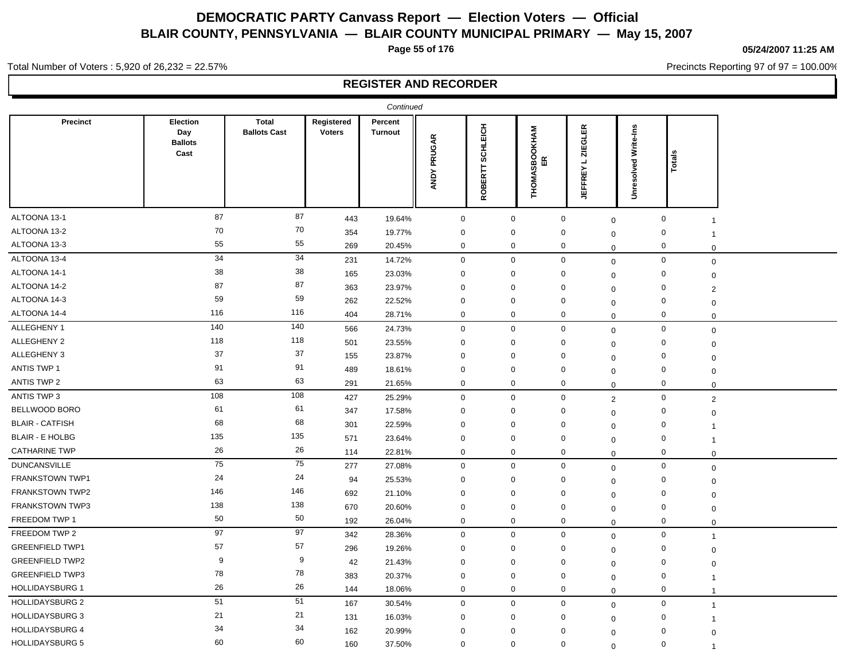**Page 55 of 176**

#### **05/24/2007 11:25 AM**

Precincts Reporting 97 of 97 = 100.00%

Total Number of Voters : 5,920 of 26,232 = 22.57%

|                        |                                           |                                     |                             | Continued                 |                       |                          |                                             |                                                    |                      |                               |  |
|------------------------|-------------------------------------------|-------------------------------------|-----------------------------|---------------------------|-----------------------|--------------------------|---------------------------------------------|----------------------------------------------------|----------------------|-------------------------------|--|
| <b>Precinct</b>        | Election<br>Day<br><b>Ballots</b><br>Cast | <b>Total</b><br><b>Ballots Cast</b> | Registered<br><b>Voters</b> | Percent<br><b>Turnout</b> | PRUGAR<br><b>ANDY</b> | CHLEICH<br>ō,<br>ROBERTT | <b>INHYIN</b><br>ទី<br>មិន<br><b>THOMAS</b> | <b>ZIEGLER</b><br>$\blacksquare$<br><b>JEFFREY</b> | Unresolved Write-Ins | ক<br>್                        |  |
| ALTOONA 13-1           | 87                                        | 87                                  | 443                         | 19.64%                    | $\mathbf 0$           | $\mathbf 0$              |                                             | $\boldsymbol{0}$                                   | $\mathbf 0$          | $\mathsf 0$<br>$\mathbf{1}$   |  |
| ALTOONA 13-2           | 70                                        | 70                                  | 354                         | 19.77%                    | $\mathbf 0$           | 0                        |                                             | $\mathbf 0$<br>$\mathbf 0$                         |                      | $\mathbf 0$<br>-1             |  |
| ALTOONA 13-3           | 55                                        | 55                                  | 269                         | 20.45%                    | $\mathbf 0$           | 0                        |                                             | 0<br>$\mathbf 0$                                   |                      | $\mathbf 0$<br>$\mathbf 0$    |  |
| ALTOONA 13-4           | 34                                        | 34                                  | 231                         | 14.72%                    | $\mathbf 0$           | $\mathbf 0$              |                                             | $\mathbf 0$                                        | $\mathbf 0$          | $\mathsf 0$<br>$\mathbf 0$    |  |
| ALTOONA 14-1           | 38                                        | 38                                  | 165                         | 23.03%                    | $\mathbf 0$           | $\mathbf 0$              |                                             | $\mathbf 0$<br>$\mathbf 0$                         |                      | $\mathbf 0$<br>$\mathbf 0$    |  |
| ALTOONA 14-2           | 87                                        | 87                                  | 363                         | 23.97%                    | $\mathbf 0$           | $\mathbf 0$              |                                             | 0<br>$\mathbf 0$                                   |                      | $\mathbf 0$<br>$\overline{2}$ |  |
| ALTOONA 14-3           | 59                                        | 59                                  | 262                         | 22.52%                    | $\mathbf 0$           | 0                        |                                             | 0<br>$\mathbf 0$                                   |                      | $\mathbf 0$<br>$\mathbf 0$    |  |
| ALTOONA 14-4           | 116                                       | 116                                 | 404                         | 28.71%                    | $\mathbf 0$           | 0                        |                                             | 0                                                  | $\mathbf 0$          | 0<br>$\mathbf 0$              |  |
| ALLEGHENY 1            | 140                                       | 140                                 | 566                         | 24.73%                    | $\mathbf 0$           | $\mathbf 0$              |                                             | $\mathbf 0$                                        | $\mathbf 0$          | $\mathbf 0$<br>$\mathbf 0$    |  |
| ALLEGHENY 2            | 118                                       | 118                                 | 501                         | 23.55%                    | $\mathbf 0$           | 0                        |                                             | 0<br>0                                             |                      | $\mathbf 0$<br>$\mathbf 0$    |  |
| ALLEGHENY 3            | 37                                        | 37                                  | 155                         | 23.87%                    | $\mathbf 0$           | $\Omega$                 |                                             | 0<br>$\mathbf 0$                                   |                      | $\mathbf 0$<br>$\mathbf 0$    |  |
| ANTIS TWP 1            | 91                                        | 91                                  | 489                         | 18.61%                    | $\mathbf 0$           | $\mathbf 0$              |                                             | 0<br>$\mathbf 0$                                   |                      | $\mathbf 0$<br>$\mathbf 0$    |  |
| ANTIS TWP 2            | 63                                        | 63                                  | 291                         | 21.65%                    | $\mathbf 0$           | 0                        |                                             | $\mathbf 0$                                        | $\mathbf 0$          | $\mathbf 0$<br>$\mathbf 0$    |  |
| ANTIS TWP 3            | 108                                       | 108                                 | 427                         | 25.29%                    | $\mathbf 0$           | 0                        |                                             | $\mathbf 0$                                        | $\overline{2}$       | $\mathbf 0$<br>$\sqrt{2}$     |  |
| BELLWOOD BORO          | 61                                        | 61                                  | 347                         | 17.58%                    | $\mathbf 0$           | 0                        |                                             | 0<br>$\mathbf 0$                                   |                      | $\mathbf 0$<br>$\mathbf 0$    |  |
| <b>BLAIR - CATFISH</b> | 68                                        | 68                                  | 301                         | 22.59%                    | $\mathbf 0$           | $\Omega$                 |                                             | $\mathbf{0}$<br>$\mathbf 0$                        |                      | 0                             |  |
| <b>BLAIR - E HOLBG</b> | 135                                       | 135                                 | 571                         | 23.64%                    | $\mathbf 0$           | $\mathbf 0$              |                                             | $\mathbf 0$<br>$\Omega$                            |                      | $\mathbf 0$<br>$\overline{1}$ |  |
| <b>CATHARINE TWP</b>   | 26                                        | 26                                  | 114                         | 22.81%                    | $\mathbf 0$           | $\mathbf 0$              |                                             | $\mathbf 0$<br>$\Omega$                            |                      | $\mathbf 0$<br>$\mathbf 0$    |  |
| <b>DUNCANSVILLE</b>    | 75                                        | 75                                  | 277                         | 27.08%                    | $\mathbf 0$           | $\mathbf 0$              |                                             | $\mathbf 0$                                        | $\mathbf 0$          | $\mathbf 0$<br>$\mathbf 0$    |  |
| <b>FRANKSTOWN TWP1</b> | 24                                        | 24                                  | 94                          | 25.53%                    | $\mathbf 0$           | $\mathbf{0}$             |                                             | 0<br>$\mathbf 0$                                   |                      | $\mathbf 0$<br>$\mathbf 0$    |  |
| FRANKSTOWN TWP2        | 146                                       | 146                                 | 692                         | 21.10%                    | $\mathbf 0$           | 0                        |                                             | 0<br>$\mathbf 0$                                   |                      | $\mathbf 0$<br>$\mathbf 0$    |  |
| <b>FRANKSTOWN TWP3</b> | 138                                       | 138                                 | 670                         | 20.60%                    | $\mathbf 0$           | $\mathbf 0$              |                                             | $\mathbf 0$                                        | $\mathbf 0$          | $\mathbf 0$<br>$\mathbf 0$    |  |
| FREEDOM TWP 1          | 50                                        | 50                                  | 192                         | 26.04%                    | $\mathbf 0$           | 0                        |                                             | $\mathbf 0$<br>$\mathbf 0$                         |                      | $\mathbf 0$<br>$\mathbf 0$    |  |
| FREEDOM TWP 2          | 97                                        | 97                                  | 342                         | 28.36%                    | $\mathbf 0$           | $\mathbf 0$              |                                             | $\mathbf 0$                                        | $\mathbf 0$          | $\mathbf 0$<br>$\overline{1}$ |  |
| <b>GREENFIELD TWP1</b> | 57                                        | 57                                  | 296                         | 19.26%                    | $\mathbf 0$           | 0                        |                                             | 0<br>$\mathbf 0$                                   |                      | $\mathbf 0$<br>$\mathbf 0$    |  |
| <b>GREENFIELD TWP2</b> | 9                                         | 9                                   | 42                          | 21.43%                    | $\mathbf 0$           | $\mathbf 0$              |                                             | $\mathbf 0$<br>$\Omega$                            |                      | $\mathbf 0$<br>$\mathbf 0$    |  |
| <b>GREENFIELD TWP3</b> | 78                                        | 78                                  | 383                         | 20.37%                    | $\mathbf 0$           | $\mathbf 0$              |                                             | $\mathbf 0$<br>$\mathbf 0$                         |                      | $\mathbf 0$<br>$\overline{1}$ |  |
| <b>HOLLIDAYSBURG 1</b> | 26                                        | 26                                  | 144                         | 18.06%                    | $\mathbf 0$           | 0                        |                                             | $\mathbf 0$                                        | $\mathbf 0$          | $\mathbf 0$<br>$\overline{1}$ |  |
| <b>HOLLIDAYSBURG 2</b> | 51                                        | 51                                  | 167                         | 30.54%                    | $\mathbf 0$           | $\mathbf{0}$             |                                             | $\mathbf 0$                                        | $\mathbf 0$          | $\mathbf 0$<br>$\mathbf{1}$   |  |
| <b>HOLLIDAYSBURG 3</b> | 21                                        | 21                                  | 131                         | 16.03%                    | $\mathbf 0$           | $\Omega$                 |                                             | $\mathbf{0}$<br>$\mathbf 0$                        |                      | 0<br>$\mathbf 1$              |  |
| <b>HOLLIDAYSBURG 4</b> | 34                                        | 34                                  | 162                         | 20.99%                    | $\mathbf 0$           | $\mathbf 0$              |                                             | 0<br>$\Omega$                                      |                      | $\mathbf 0$<br>$\Omega$       |  |
| <b>HOLLIDAYSBURG 5</b> | 60                                        | 60                                  | 160                         | 37.50%                    | $\mathbf 0$           | $\mathbf 0$              |                                             | $\mathbf 0$<br>$\Omega$                            |                      | $\mathbf 0$<br>$\overline{1}$ |  |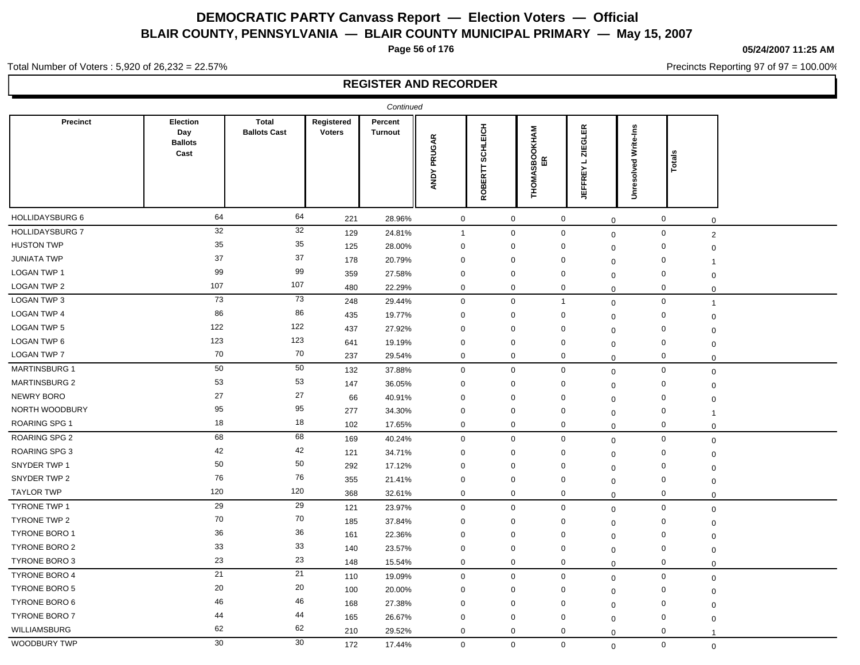**Page 56 of 176**

#### **05/24/2007 11:25 AM**

Precincts Reporting 97 of 97 = 100.00%

Total Number of Voters : 5,920 of 26,232 = 22.57%

|                        |                                           |                                     |                             | Continued                 |                       |                          |                                            |                                       |                         |                               |  |
|------------------------|-------------------------------------------|-------------------------------------|-----------------------------|---------------------------|-----------------------|--------------------------|--------------------------------------------|---------------------------------------|-------------------------|-------------------------------|--|
| Precinct               | Election<br>Day<br><b>Ballots</b><br>Cast | <b>Total</b><br><b>Ballots Cast</b> | Registered<br><b>Voters</b> | Percent<br><b>Turnout</b> | PRUGAR<br><b>ANDY</b> | CHLEICH<br>ဖာ<br>ROBERTT | <b>ISBOOKHAM</b><br>ER<br>∢<br><b>THOM</b> | <b>ZIEGLER</b><br>┙<br><b>JEFFREY</b> | Write-Ins<br>Unresolved | ক<br>್                        |  |
| HOLLIDAYSBURG 6        | 64                                        | 64                                  | 221                         | 28.96%                    | $\mathbf 0$           | $\mathbf 0$              |                                            | $\pmb{0}$                             | $\mathbf 0$             | $\mathsf 0$<br>$\mathbf 0$    |  |
| <b>HOLLIDAYSBURG 7</b> | 32                                        | 32                                  | 129                         | 24.81%                    | $\mathbf{1}$          | $\mathbf 0$              |                                            | $\mathbf 0$                           | $\mathbf 0$             | $\mathsf 0$<br>$\sqrt{2}$     |  |
| <b>HUSTON TWP</b>      | 35                                        | 35                                  | 125                         | 28.00%                    | $\mathbf 0$           | $\Omega$                 |                                            | $\mathbf 0$                           | $\Omega$                | 0<br>$\mathbf 0$              |  |
| <b>JUNIATA TWP</b>     | 37                                        | 37                                  | 178                         | 20.79%                    | $\mathbf 0$           | $\Omega$                 |                                            | $\mathbf{0}$                          | $\mathbf 0$             | $\mathbf 0$<br>$\mathbf{1}$   |  |
| <b>LOGAN TWP 1</b>     | 99                                        | 99                                  | 359                         | 27.58%                    | $\mathbf 0$           | $\mathbf 0$              |                                            | 0                                     | $\Omega$                | $\mathbf 0$<br>0              |  |
| LOGAN TWP 2            | 107                                       | 107                                 | 480                         | 22.29%                    | $\mathbf 0$           | $\mathbf 0$              |                                            | $\mathbf 0$                           | $\Omega$                | $\mathbf 0$<br>$\mathbf 0$    |  |
| LOGAN TWP 3            | 73                                        | 73                                  | 248                         | 29.44%                    | $\mathbf 0$           | $\mathbf 0$              |                                            | $\mathbf{1}$                          | $\mathbf 0$             | $\mathbf 0$<br>$\overline{1}$ |  |
| <b>LOGAN TWP 4</b>     | 86                                        | 86                                  | 435                         | 19.77%                    | $\mathbf 0$           | 0                        |                                            | $\mathbf 0$                           | $\mathbf 0$             | 0<br>$\overline{0}$           |  |
| <b>LOGAN TWP 5</b>     | 122                                       | 122                                 | 437                         | 27.92%                    | $\Omega$              | $\mathbf 0$              |                                            | 0                                     | $\Omega$                | $\mathbf 0$<br>$\mathbf 0$    |  |
| LOGAN TWP 6            | 123                                       | 123                                 | 641                         | 19.19%                    | $\mathbf 0$           | $\mathbf 0$              |                                            | $\mathbf 0$                           | $\Omega$                | $\mathbf 0$<br>$\mathbf 0$    |  |
| LOGAN TWP 7            | 70                                        | 70                                  | 237                         | 29.54%                    | $\mathbf 0$           | $\mathbf 0$              |                                            | $\mathbf 0$                           | $\Omega$                | $\mathbf 0$<br>$\mathbf 0$    |  |
| <b>MARTINSBURG 1</b>   | 50                                        | 50                                  | 132                         | 37.88%                    | $\mathbf 0$           | $\mathbf 0$              |                                            | $\mathbf 0$                           | $\mathbf 0$             | $\mathbf 0$<br>$\mathbf 0$    |  |
| <b>MARTINSBURG 2</b>   | 53                                        | 53                                  | 147                         | 36.05%                    | $\mathbf 0$           | $\mathbf 0$              |                                            | $\mathbf 0$                           | $\Omega$                | $\mathbf 0$<br>$\mathbf 0$    |  |
| <b>NEWRY BORO</b>      | 27                                        | 27                                  | 66                          | 40.91%                    | $\mathbf 0$           | 0                        |                                            | $\mathbf 0$                           | $\Omega$                | $\mathbf 0$<br>$\mathbf 0$    |  |
| NORTH WOODBURY         | 95                                        | 95                                  | 277                         | 34.30%                    | 0                     | $\mathbf 0$              |                                            | $\mathbf 0$                           | $\mathbf 0$             | 0<br>$\overline{1}$           |  |
| <b>ROARING SPG 1</b>   | 18                                        | 18                                  | 102                         | 17.65%                    | $\mathbf 0$           | $\mathbf 0$              |                                            | $\mathbf 0$                           | $\Omega$                | $\mathbf 0$<br>$\mathbf 0$    |  |
| ROARING SPG 2          | 68                                        | 68                                  | 169                         | 40.24%                    | $\mathbf 0$           | $\mathbf 0$              |                                            | $\mathbf 0$                           | $\mathbf 0$             | $\mathbf 0$<br>$\mathbf 0$    |  |
| <b>ROARING SPG 3</b>   | 42                                        | 42                                  | 121                         | 34.71%                    | $\mathbf 0$           | $\mathbf 0$              |                                            | $\mathbf{0}$                          | $\mathbf 0$             | $\mathbf 0$<br>$\mathbf 0$    |  |
| SNYDER TWP 1           | 50                                        | 50                                  | 292                         | 17.12%                    | $\mathbf 0$           | $\mathbf 0$              |                                            | 0                                     | 0                       | 0<br>$\mathbf 0$              |  |
| SNYDER TWP 2           | 76                                        | 76                                  | 355                         | 21.41%                    | $\mathbf 0$           | $\mathbf 0$              |                                            | $\mathbf 0$                           | $\mathbf 0$             | $\mathbf 0$<br>$\Omega$       |  |
| <b>TAYLOR TWP</b>      | 120                                       | 120                                 | 368                         | 32.61%                    | $\mathbf 0$           | 0                        |                                            | 0                                     | $\Omega$                | $\mathbf 0$<br>$\mathbf 0$    |  |
| <b>TYRONE TWP 1</b>    | 29                                        | 29                                  | 121                         | 23.97%                    | $\mathbf 0$           | 0                        |                                            | $\mathbf 0$                           | $\mathbf 0$             | $\mathbf 0$<br>$\mathbf 0$    |  |
| TYRONE TWP 2           | 70                                        | 70                                  | 185                         | 37.84%                    | $\mathbf 0$           | $\mathbf 0$              |                                            | $\mathbf 0$                           | $\Omega$                | $\mathbf 0$<br>$\Omega$       |  |
| <b>TYRONE BORO 1</b>   | 36                                        | 36                                  | 161                         | 22.36%                    | $\mathbf 0$           | $\mathbf 0$              |                                            | $\mathbf 0$                           | $\mathbf 0$             | $\mathbf 0$<br>$\Omega$       |  |
| <b>TYRONE BORO 2</b>   | 33                                        | 33                                  | 140                         | 23.57%                    | $\mathbf 0$           | 0                        |                                            | 0                                     | $\mathbf 0$             | $\mathbf 0$<br>$\overline{0}$ |  |
| <b>TYRONE BORO 3</b>   | 23                                        | 23                                  | 148                         | 15.54%                    | $\mathbf 0$           | 0                        |                                            | $\mathbf 0$                           | $\mathbf 0$             | $\mathbf 0$<br>$\mathbf 0$    |  |
| <b>TYRONE BORO 4</b>   | 21                                        | 21                                  | 110                         | 19.09%                    | $\mathbf 0$           | $\Omega$                 |                                            | $\mathbf 0$                           | $\mathbf 0$             | $\mathbf 0$<br>$\mathbf 0$    |  |
| <b>TYRONE BORO 5</b>   | 20                                        | 20                                  | 100                         | 20.00%                    | $\mathbf 0$           | $\mathbf 0$              |                                            | 0                                     | $\mathbf 0$             | $\mathbf 0$<br>$\Omega$       |  |
| TYRONE BORO 6          | 46                                        | 46                                  | 168                         | 27.38%                    | $\mathbf 0$           | $\Omega$                 |                                            | $\mathbf 0$                           | $\mathbf 0$             | $\mathbf 0$<br>$\mathbf 0$    |  |
| <b>TYRONE BORO 7</b>   | 44                                        | 44                                  | 165                         | 26.67%                    | $\mathbf 0$           | $\mathbf 0$              |                                            | 0                                     | $\mathbf 0$             | 0<br>$\mathbf 0$              |  |
| WILLIAMSBURG           | 62                                        | 62                                  | 210                         | 29.52%                    | $\mathbf 0$           | $\mathbf 0$              |                                            | $\mathbf 0$                           | $\Omega$                | $\mathbf 0$<br>$\overline{1}$ |  |
| WOODBURY TWP           | 30                                        | 30                                  | 172                         | 17.44%                    | $\mathbf 0$           | $\mathbf 0$              |                                            | $\mathbf 0$                           | $\mathbf 0$             | $\mathbf 0$<br>$\mathbf 0$    |  |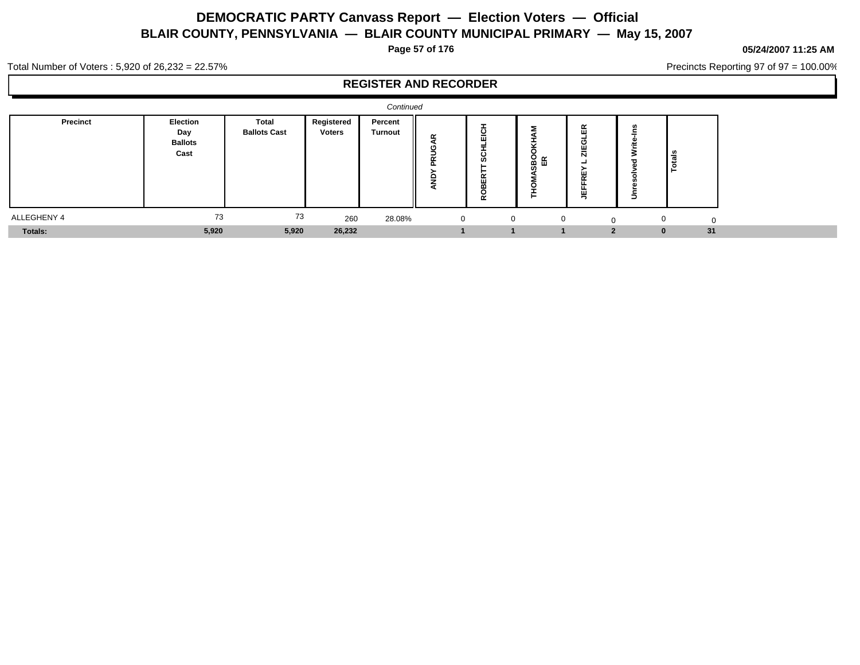**Page 57 of 176**

#### **05/24/2007 11:25 AM**

Precincts Reporting 97 of 97 = 100.00%

Total Number of Voters : 5,920 of 26,232 = 22.57%

|                 |                                                  |                              |                      | Continued          |               |                                                           |   |                                               |   |                       |    |  |
|-----------------|--------------------------------------------------|------------------------------|----------------------|--------------------|---------------|-----------------------------------------------------------|---|-----------------------------------------------|---|-----------------------|----|--|
| <b>Precinct</b> | <b>Election</b><br>Day<br><b>Ballots</b><br>Cast | Total<br><b>Ballots Cast</b> | Registered<br>Voters | Percent<br>Turnout | œ<br>ш.<br>ш. | ပ<br>-<br>ш<br>$\circ$<br>ທ<br>ш<br>$\tilde{\phantom{a}}$ |   | $\alpha$<br>.<br>с<br>$\sim$<br>N<br><b>.</b> | - | <u>) န</u><br>ت<br>∣ò |    |  |
| ALLEGHENY 4     | 73                                               | 73                           | 260                  | 28.08%             | $\mathbf{0}$  | $\Omega$                                                  | 0 | $\Omega$                                      |   | $\Omega$              |    |  |
| Totals:         | 5,920                                            | 5,920                        | 26,232               |                    |               |                                                           |   | $\mathbf{\cdot}$                              |   | $\Omega$              | 31 |  |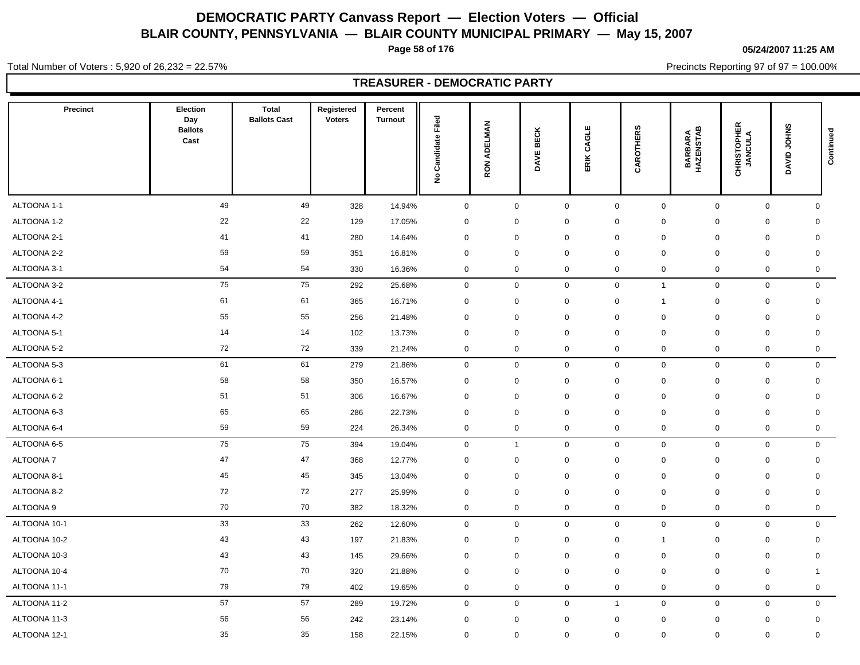**Page 58 of 176**

**05/24/2007 11:25 AM**

Total Number of Voters : 5,920 of 26,232 = 22.57%

Precincts Reporting 97 of 97 = 100.00%

# **TREASURER - DEMOCRATIC PARTY**

| <b>Precinct</b> | Election<br>Day<br><b>Ballots</b><br>Cast | <b>Total</b><br><b>Ballots Cast</b> | Registered<br><b>Voters</b> | Percent<br><b>Turnout</b> | Filed<br>Candidate<br>$\hat{\mathbf{z}}$ | <b>ADELMAN</b><br>RON. | <b>BECK</b><br><b>DAVEI</b> | CAGLE<br>ERIK  | ဖ<br>CAROTHER  | <b>BARBARA<br/>HAZENSTAB</b> | <b>CHRISTOPHER</b><br>JANCULA | DAVID JOHNS  | Continued    |
|-----------------|-------------------------------------------|-------------------------------------|-----------------------------|---------------------------|------------------------------------------|------------------------|-----------------------------|----------------|----------------|------------------------------|-------------------------------|--------------|--------------|
| ALTOONA 1-1     | 49                                        | 49                                  | 328                         | 14.94%                    | $\pmb{0}$                                | 0                      | $\mathbf 0$                 | $\pmb{0}$      | 0              | $\mathbf 0$                  | $\mathsf 0$                   |              | $\mathbf 0$  |
| ALTOONA 1-2     | 22                                        | 22                                  | 129                         | 17.05%                    | $\mathbf 0$                              | $\mathbf 0$            | $\mathbf 0$                 | $\mathbf 0$    | $\mathbf 0$    | $\mathbf 0$                  | $\mathbf 0$                   |              | $\mathbf 0$  |
| ALTOONA 2-1     | 41                                        | 41                                  | 280                         | 14.64%                    | $\mathbf 0$                              | 0                      | $\mathbf 0$                 | $\mathbf 0$    | $\pmb{0}$      | $\mathbf 0$                  | $\mathbf 0$                   |              | $\mathbf 0$  |
| ALTOONA 2-2     | 59                                        | 59                                  | 351                         | 16.81%                    | $\mathbf 0$                              | $\mathbf 0$            | $\mathbf 0$                 | $\mathbf 0$    | $\mathbf 0$    | $\mathbf 0$                  | $\mathbf 0$                   |              | $\mathbf 0$  |
| ALTOONA 3-1     | 54                                        | 54                                  | 330                         | 16.36%                    | $\pmb{0}$                                | 0                      | $\mathbf 0$                 | $\mathbf 0$    | $\mathbf 0$    | $\mathbf 0$                  | $\mathbf 0$                   |              | 0            |
| ALTOONA 3-2     | 75                                        | 75                                  | 292                         | 25.68%                    | $\mathbf 0$                              | $\mathbf 0$            | $\mathbf 0$                 | $\pmb{0}$      | $\overline{1}$ | $\mathbf 0$                  | $\mathsf 0$                   |              | $\mathbf 0$  |
| ALTOONA 4-1     | 61                                        | 61                                  | 365                         | 16.71%                    | $\pmb{0}$                                | 0                      | $\mathbf 0$                 | $\mathbf 0$    | $\mathbf{1}$   | $\mathbf 0$                  | $\mathbf 0$                   |              | $\mathbf 0$  |
| ALTOONA 4-2     | 55                                        | 55                                  | 256                         | 21.48%                    | $\mathbf 0$                              | 0                      | 0                           | $\mathbf 0$    | $\mathbf 0$    | $\mathbf 0$                  | $\mathbf 0$                   |              | $\mathbf 0$  |
| ALTOONA 5-1     | 14                                        | 14                                  | 102                         | 13.73%                    | $\mathbf 0$                              | $\mathbf 0$            | 0                           | $\mathbf 0$    | 0              | 0                            | $\mathbf 0$                   |              | 0            |
| ALTOONA 5-2     | 72                                        | 72                                  | 339                         | 21.24%                    | $\pmb{0}$                                | 0                      | $\mathbf 0$                 | $\mathbf 0$    | 0              | $\mathbf 0$                  | $\mathbf 0$                   |              | $\mathsf{O}$ |
| ALTOONA 5-3     | 61                                        | 61                                  | 279                         | 21.86%                    | $\mathbf 0$                              | $\mathbf 0$            | $\mathbf 0$                 | $\mathbf 0$    | $\mathbf 0$    |                              | $\mathbf{0}$<br>$\mathbf 0$   |              | $\mathbf 0$  |
| ALTOONA 6-1     | 58                                        | 58                                  | 350                         | 16.57%                    | $\mathbf 0$                              | 0                      | $\mathbf 0$                 | $\mathbf 0$    | 0              | $\mathbf 0$                  | $\mathbf 0$                   |              | $\mathbf 0$  |
| ALTOONA 6-2     | 51                                        | 51                                  | 306                         | 16.67%                    | $\pmb{0}$                                | $\mathbf 0$            | $\mathbf 0$                 | $\mathbf 0$    | $\mathbf 0$    | $\mathbf 0$                  | $\mathbf 0$                   |              | $\mathbf 0$  |
| ALTOONA 6-3     | 65                                        | 65                                  | 286                         | 22.73%                    | $\pmb{0}$                                | 0                      | $\mathbf 0$                 | $\mathbf 0$    | $\mathbf 0$    | $\mathbf 0$                  | $\mathbf 0$                   |              | $\mathbf 0$  |
| ALTOONA 6-4     | 59                                        | 59                                  | 224                         | 26.34%                    | $\pmb{0}$                                | 0                      | $\mathbf 0$                 | $\mathbf 0$    | 0              | $\mathbf 0$                  | $\mathbf 0$                   |              | 0            |
| ALTOONA 6-5     | 75                                        | 75                                  | 394                         | 19.04%                    | $\mathbf 0$                              | $\mathbf{1}$           | $\mathbf 0$                 | $\mathbf 0$    | $\mathbf 0$    | $\mathbf 0$                  | $\mathbf 0$                   |              | $\mathbf 0$  |
| ALTOONA 7       | 47                                        | 47                                  | 368                         | 12.77%                    | $\mathbf 0$                              | 0                      | $\mathbf 0$                 | $\mathbf 0$    | $\mathbf 0$    | $\mathbf 0$                  | $\mathbf 0$                   |              | 0            |
| ALTOONA 8-1     | 45                                        | 45                                  | 345                         | 13.04%                    | $\mathbf 0$                              | 0                      | $\mathbf 0$                 | $\mathbf 0$    | $\pmb{0}$      | $\mathbf 0$                  | $\mathbf 0$                   |              | $\mathbf 0$  |
| ALTOONA 8-2     | 72                                        | 72                                  | 277                         | 25.99%                    | $\mathbf 0$                              | 0                      | $\mathbf 0$                 | $\mathbf 0$    | $\pmb{0}$      | $\mathbf 0$                  | $\mathbf 0$                   |              | $\mathbf 0$  |
| ALTOONA 9       | 70                                        | 70                                  | 382                         | 18.32%                    | $\mathbf 0$                              | 0                      | $\mathbf 0$                 | $\mathbf 0$    | 0              | $\mathbf 0$                  | $\mathbf 0$                   |              | 0            |
| ALTOONA 10-1    | 33                                        | 33                                  | 262                         | 12.60%                    | $\pmb{0}$                                | 0                      | $\mathbf 0$                 | $\mathbf 0$    | 0              | $\mathbf 0$                  | $\mathbf 0$                   |              | $\mathbf 0$  |
| ALTOONA 10-2    | 43                                        | 43                                  | 197                         | 21.83%                    | $\pmb{0}$                                | 0                      | $\mathbf 0$                 | $\mathbf 0$    | $\overline{1}$ | $\mathbf 0$                  | $\mathbf 0$                   |              | $\mathbf 0$  |
| ALTOONA 10-3    | 43                                        | 43                                  | 145                         | 29.66%                    | $\mathbf 0$                              | 0                      | $\mathbf 0$                 | $\mathbf 0$    | $\mathbf 0$    | $\mathbf 0$                  | $\mathbf 0$                   |              | $\mathbf 0$  |
| ALTOONA 10-4    | 70                                        | 70                                  | 320                         | 21.88%                    | $\mathbf 0$                              | $\mathbf 0$            | $\mathbf 0$                 | $\mathbf 0$    | $\mathbf 0$    | $\mathbf 0$                  | $\mathbf 0$                   | $\mathbf{1}$ |              |
| ALTOONA 11-1    | 79                                        | 79                                  | 402                         | 19.65%                    | $\pmb{0}$                                | 0                      | $\mathbf 0$                 | $\mathbf 0$    | 0              | $\mathbf 0$                  | $\mathbf 0$                   |              | $\mathbf 0$  |
| ALTOONA 11-2    | 57                                        | 57                                  | 289                         | 19.72%                    | $\mathsf{O}\xspace$                      | 0                      | $\mathbf 0$                 | $\overline{1}$ | $\mathbf 0$    | $\mathbf 0$                  | $\mathbf 0$                   |              | $\mathbf 0$  |
| ALTOONA 11-3    | 56                                        | 56                                  | 242                         | 23.14%                    | $\mathbf 0$                              | 0                      | $\mathbf 0$                 | $\mathbf 0$    | 0              | $\mathbf 0$                  | $\mathbf 0$                   |              | $\mathsf{O}$ |
| ALTOONA 12-1    | 35                                        | 35                                  | 158                         | 22.15%                    | $\mathbf 0$                              | 0                      | $\mathbf 0$                 | $\mathbf 0$    | $\mathbf 0$    | $\mathbf 0$                  | $\mathbf 0$                   |              | $\mathsf{O}$ |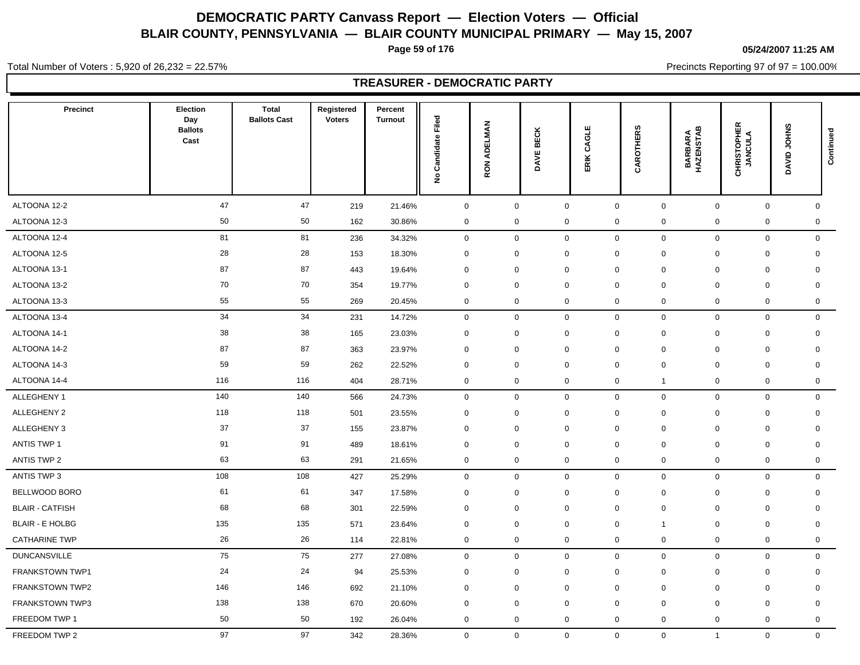**Page 59 of 176**

**05/24/2007 11:25 AM**

Total Number of Voters : 5,920 of 26,232 = 22.57%

Precincts Reporting 97 of 97 = 100.00%

|                        |                                                  |                                     |                             | <b>TREASURER - DEMOCRATIC PARTY</b> |                                          |                        |                             |                            |                             |                      |                               |             |             |
|------------------------|--------------------------------------------------|-------------------------------------|-----------------------------|-------------------------------------|------------------------------------------|------------------------|-----------------------------|----------------------------|-----------------------------|----------------------|-------------------------------|-------------|-------------|
| <b>Precinct</b>        | <b>Election</b><br>Day<br><b>Ballots</b><br>Cast | <b>Total</b><br><b>Ballots Cast</b> | Registered<br><b>Voters</b> | Percent<br><b>Turnout</b>           | Filed<br>Candidate<br>$\hat{\mathbf{z}}$ | <b>ADELMAN</b><br>RON. | <b>BECK</b><br><b>DAVEI</b> | CAGLE<br>ERIK              | <b>CAROTHERS</b>            | BARBARA<br>HAZENSTAB | <b>CHRISTOPHER</b><br>JANCULA | DAVID JOHNS | Continued   |
| ALTOONA 12-2           | 47                                               | 47                                  | 219                         | 21.46%                              | $\mathbf 0$                              | $\mathsf{O}\xspace$    |                             | $\mathbf 0$                | $\mathsf 0$<br>$\mathbf 0$  |                      | $\mathsf{O}\xspace$           | $\mathbf 0$ | $\mathbf 0$ |
| ALTOONA 12-3           | 50                                               | 50                                  | 162                         | 30.86%                              | 0                                        | $\mathbf 0$            |                             | $\mathbf 0$<br>$\mathbf 0$ | $\mathbf 0$                 |                      | $\mathbf 0$                   | 0           | $\mathbf 0$ |
| ALTOONA 12-4           | 81                                               | 81                                  | 236                         | 34.32%                              | $\mathbf 0$                              | $\mathbf 0$            |                             | $\mathbf 0$                | 0<br>$\mathbf 0$            |                      | $\mathbf 0$                   | 0           | $\mathbf 0$ |
| ALTOONA 12-5           | 28                                               | 28                                  | 153                         | 18.30%                              | $\mathbf 0$                              | $\mathbf 0$            |                             | $\mathbf 0$<br>0           | $\mathbf 0$                 |                      | $\mathbf 0$<br>$\mathbf 0$    |             | $\mathbf 0$ |
| ALTOONA 13-1           | 87                                               | 87                                  | 443                         | 19.64%                              | 0                                        | $\mathbf 0$            |                             | $\mathbf 0$<br>$\mathbf 0$ | $\mathbf 0$                 |                      | $\mathbf 0$<br>$\mathbf 0$    |             | $\mathbf 0$ |
| ALTOONA 13-2           | 70                                               | 70                                  | 354                         | 19.77%                              | $\mathbf 0$                              | $\mathbf 0$            |                             | $\mathbf 0$<br>$\mathbf 0$ | $\mathbf 0$                 |                      | $\mathbf 0$<br>$\mathbf 0$    |             | $\mathbf 0$ |
| ALTOONA 13-3           | 55                                               | 55                                  | 269                         | 20.45%                              | 0                                        | $\mathbf 0$            |                             | $\mathbf 0$<br>$\mathbf 0$ | $\mathbf 0$                 |                      | $\mathbf 0$                   | 0           | $\mathbf 0$ |
| ALTOONA 13-4           | 34                                               | 34                                  | 231                         | 14.72%                              | $\mathbf 0$                              | $\mathbf 0$            |                             | $\mathbf 0$                | $\mathsf{O}$<br>$\mathbf 0$ |                      | $\mathsf{O}\xspace$           | $\mathbf 0$ | $\mathbf 0$ |
| ALTOONA 14-1           | 38                                               | 38                                  | 165                         | 23.03%                              | 0                                        | $\mathbf 0$            |                             | $\mathbf 0$<br>$\mathbf 0$ | $\mathbf 0$                 |                      | $\mathbf 0$<br>$\mathbf 0$    |             | $\mathbf 0$ |
| ALTOONA 14-2           | 87                                               | 87                                  | 363                         | 23.97%                              | $\Omega$                                 | $\mathbf 0$            |                             | $\mathbf 0$<br>$\mathbf 0$ | $\mathbf 0$                 |                      | 0<br>$\mathbf 0$              |             | 0           |
| ALTOONA 14-3           | 59                                               | 59                                  | 262                         | 22.52%                              | 0                                        | $\mathbf 0$            |                             | $\mathbf 0$<br>$\Omega$    | $\mathbf 0$                 |                      | $\mathbf 0$<br>$\mathbf 0$    |             | $\mathbf 0$ |
| ALTOONA 14-4           | 116                                              | 116                                 | 404                         | 28.71%                              | 0                                        | $\mathbf 0$            |                             | $\mathbf 0$<br>$\mathbf 0$ | $\mathbf{1}$                |                      | $\mathbf 0$                   | 0           | $\mathbf 0$ |
| ALLEGHENY 1            | 140                                              | 140                                 | 566                         | 24.73%                              | 0                                        | $\mathbf 0$            |                             | $\mathbf 0$                | $\mathsf{O}$<br>$\mathbf 0$ |                      | $\mathbf 0$                   | $\mathbf 0$ | $\mathbf 0$ |
| ALLEGHENY 2            | 118                                              | 118                                 | 501                         | 23.55%                              | 0                                        | $\mathbf 0$            |                             | $\mathbf 0$<br>$\mathbf 0$ | $\mathbf 0$                 |                      | $\mathbf 0$<br>$\mathbf 0$    |             | $\mathbf 0$ |
| ALLEGHENY 3            | 37                                               | 37                                  | 155                         | 23.87%                              | 0                                        | $\mathbf 0$            |                             | $\mathbf 0$<br>$\mathbf 0$ | $\mathbf 0$                 |                      | $\mathbf 0$<br>$\mathbf 0$    |             | $\mathbf 0$ |
| <b>ANTIS TWP 1</b>     | 91                                               | 91                                  | 489                         | 18.61%                              | $\mathbf 0$                              | $\mathbf 0$            |                             | $\mathbf 0$<br>$\mathbf 0$ | $\mathbf 0$                 |                      | $\mathbf 0$<br>$\mathbf 0$    |             | $\mathbf 0$ |
| <b>ANTIS TWP 2</b>     | 63                                               | 63                                  | 291                         | 21.65%                              | 0                                        | $\mathbf 0$            |                             | $\pmb{0}$                  | $\pmb{0}$<br>0              |                      | $\mathbf 0$                   | $\pmb{0}$   | 0           |
| ANTIS TWP 3            | 108                                              | 108                                 | 427                         | 25.29%                              | $\mathbf 0$                              | $\mathbf 0$            |                             | $\mathbf 0$                | $\mathbf 0$<br>$\mathbf 0$  |                      | $\mathbf 0$                   | $\mathbf 0$ | $\mathbf 0$ |
| BELLWOOD BORO          | 61                                               | 61                                  | 347                         | 17.58%                              | 0                                        | $\mathbf 0$            |                             | $\mathbf 0$<br>$\mathbf 0$ | $\mathbf 0$                 |                      | $\mathbf 0$                   | 0           | $\mathbf 0$ |
| <b>BLAIR - CATFISH</b> | 68                                               | 68                                  | 301                         | 22.59%                              | 0                                        | $\mathbf 0$            |                             | $\mathbf 0$<br>0           | $\mathbf 0$                 |                      | $\mathbf 0$<br>$\mathbf 0$    |             | $\mathbf 0$ |
| <b>BLAIR - E HOLBG</b> | 135                                              | 135                                 | 571                         | 23.64%                              | 0                                        | $\mathbf 0$            |                             | $\mathbf 0$<br>$\mathbf 0$ | $\mathbf{1}$                |                      | $\mathbf 0$<br>$\mathbf 0$    |             | $\mathbf 0$ |
| <b>CATHARINE TWP</b>   | 26                                               | 26                                  | 114                         | 22.81%                              | 0                                        | $\mathbf 0$            |                             | $\mathbf 0$                | 0<br>0                      |                      | $\mathbf 0$                   | 0           | $\mathbf 0$ |
| <b>DUNCANSVILLE</b>    | 75                                               | 75                                  | 277                         | 27.08%                              | 0                                        | $\mathbf 0$            |                             | $\mathbf 0$                | 0<br>$\mathbf 0$            |                      | $\mathbf 0$                   | 0           | $\mathbf 0$ |
| <b>FRANKSTOWN TWP1</b> | 24                                               | 24                                  | 94                          | 25.53%                              | 0                                        | $\mathbf 0$            |                             | $\mathbf 0$<br>$\mathbf 0$ | $\mathbf 0$                 |                      | $\mathbf 0$<br>$\mathbf 0$    |             | $\mathsf 0$ |
| FRANKSTOWN TWP2        | 146                                              | 146                                 | 692                         | 21.10%                              | 0                                        | $\mathbf 0$            |                             | $\mathbf 0$<br>$\mathbf 0$ | $\mathbf 0$                 |                      | $\mathbf 0$<br>$\mathbf 0$    |             | $\mathbf 0$ |
| <b>FRANKSTOWN TWP3</b> | 138                                              | 138                                 | 670                         | 20.60%                              | $\mathbf 0$                              | $\mathbf 0$            |                             | $\mathbf 0$<br>$\mathbf 0$ | $\mathbf 0$                 |                      | $\mathbf 0$<br>$\mathbf 0$    |             | 0           |
| FREEDOM TWP 1          | 50                                               | 50                                  | 192                         | 26.04%                              | $\mathbf 0$                              | $\mathbf 0$            |                             | $\mathbf 0$                | $\mathbf 0$<br>$\mathbf 0$  |                      | $\mathbf 0$                   | $\mathbf 0$ | $\mathbf 0$ |

FREEDOM TWP 2 97 97 342 28.36% 0 0 0 0 0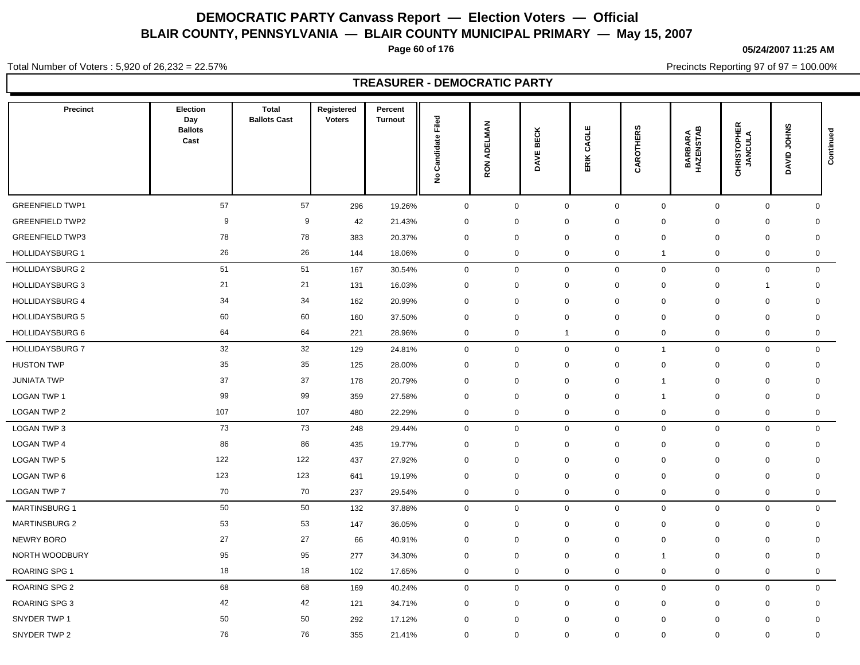**Page 60 of 176**

**05/24/2007 11:25 AM**

Total Number of Voters : 5,920 of 26,232 = 22.57%

Precincts Reporting 97 of 97 = 100.00%

|                        |                                           |                                     |                      | <b>TREASURER - DEMOCRATIC PARTY</b> |                                         |                                          |                       |                |                              |                      |                               |                       |           |
|------------------------|-------------------------------------------|-------------------------------------|----------------------|-------------------------------------|-----------------------------------------|------------------------------------------|-----------------------|----------------|------------------------------|----------------------|-------------------------------|-----------------------|-----------|
| Precinct               | Election<br>Day<br><b>Ballots</b><br>Cast | <b>Total</b><br><b>Ballots Cast</b> | Registered<br>Voters | Percent<br>Turnout                  | Filed<br>ndidate<br>යි<br>$\frac{9}{2}$ | ELMAN<br>ą<br>$\overline{6}$<br>$\alpha$ | ECK<br>⋒<br>ш<br>DAVI | CAGLE<br>ERIK. | CAROTHERS                    | BARBARA<br>HAZENSTAB | <b>CHRISTOPHER</b><br>JANCULA | <b>JOHNS</b><br>DAVID | Continued |
| <b>GREENFIELD TWP1</b> | 57                                        | 57                                  | 296                  | 19.26%                              | $\mathbf 0$                             | $\mathbf 0$                              |                       | $\mathbf 0$    | $\mathbf 0$<br>$\mathbf 0$   | $\mathbf 0$          | $\mathbf 0$                   | 0                     |           |
| GREENFIELD TWP2        | 9                                         | 9                                   | 42                   | 21.43%                              | $\mathbf 0$                             | 0                                        |                       | $\mathbf 0$    | 0<br>$\mathbf 0$             | $\mathbf 0$          | $\mathbf 0$                   | 0                     |           |
| <b>GREENFIELD TWP3</b> | 78                                        | 78                                  | 383                  | 20.37%                              | $\mathbf 0$                             | 0                                        |                       | $\mathbf 0$    | 0<br>$\mathbf 0$             | $\mathbf 0$          | $\mathbf 0$                   | 0                     |           |
| <b>HOLLIDAYSBURG 1</b> | 26                                        | 26                                  | 144                  | 18.06%                              | $\mathbf 0$                             | $\mathbf 0$                              |                       | $\mathbf 0$    | 0<br>$\mathbf{1}$            | $\mathbf 0$          | $\mathbf 0$                   | $\mathbf 0$           |           |
| HOLLIDAYSBURG 2        | 51                                        | 51                                  | 167                  | 30.54%                              | $\mathbf 0$                             | $\mathbf 0$                              |                       | $\mathbf 0$    | $\mathbf 0$<br>$\mathbf 0$   | $\mathbf 0$          | $\mathbf 0$                   | $\mathbf 0$           |           |
| HOLLIDAYSBURG 3        | 21                                        | 21                                  | 131                  | 16.03%                              | $\mathbf 0$                             | 0                                        |                       | $\mathbf 0$    | 0<br>$\mathbf 0$             | $\mathbf 0$          | -1                            | 0                     |           |
| HOLLIDAYSBURG 4        | 34                                        | 34                                  | 162                  | 20.99%                              | $\mathbf 0$                             | $\mathbf 0$                              |                       | $\mathbf 0$    | $\mathbf 0$<br>0             | $\mathbf 0$          | $\mathbf 0$                   | 0                     |           |
| <b>HOLLIDAYSBURG 5</b> | 60                                        | 60                                  | 160                  | 37.50%                              | $\mathbf 0$                             | $\mathbf 0$                              |                       | $\mathbf 0$    | $\Omega$<br>$\mathbf 0$      | $\mathbf 0$          | $\mathbf 0$                   | 0                     |           |
| HOLLIDAYSBURG 6        | 64                                        | 64                                  | 221                  | 28.96%                              | $\mathbf 0$                             | $\mathbf 0$                              | $\overline{1}$        |                | 0<br>$\mathbf 0$             | $\mathbf 0$          | $\mathbf 0$                   | $\mathbf 0$           |           |
| HOLLIDAYSBURG 7        | 32                                        | 32                                  | 129                  | 24.81%                              | $\mathbf 0$                             | $\mathbf{0}$                             |                       | $\mathbf{0}$   | $\mathbf{0}$<br>$\mathbf{1}$ | $\mathbf{0}$         | $\mathbf{0}$                  | $\mathbf{0}$          |           |
| HUSTON TWP             | 35                                        | 35                                  | 125                  | 28.00%                              | $\mathbf 0$                             | $\mathbf{0}$                             |                       | $\mathbf 0$    | $\mathbf 0$<br>$\mathbf 0$   | 0                    | $\mathbf 0$                   | 0                     |           |
| JUNIATA TWP            | 37                                        | 37                                  | 178                  | 20.79%                              | 0                                       | $\mathbf{0}$                             |                       | 0              | 0<br>$\mathbf{1}$            | 0                    | 0                             | 0                     |           |
| LOGAN TWP 1            | 99                                        | 99                                  | 359                  | 27.58%                              | $\mathbf 0$                             | $\mathbf{0}$                             |                       | $\mathbf 0$    | $\mathbf{0}$<br>$\mathbf{1}$ | 0                    | $\mathbf 0$                   | 0                     |           |
| LOGAN TWP 2            | 107                                       | 107                                 | 480                  | 22.29%                              | $\mathbf 0$                             | $\mathbf 0$                              |                       | $\mathbf 0$    | 0<br>$\mathbf 0$             | 0                    | $\mathbf 0$                   | $\mathbf 0$           |           |
| LOGAN TWP 3            | 73                                        | 73                                  | 248                  | 29.44%                              | $\mathbf 0$                             | $\overline{0}$                           |                       | $\mathbf 0$    | $\mathbf 0$<br>$\mathbf 0$   | $\mathbf 0$          | $\mathbf 0$                   | $\mathbf 0$           |           |
| LOGAN TWP 4            | 86                                        | 86                                  | 435                  | 19.77%                              | 0                                       | 0                                        |                       | $\mathbf 0$    | $\mathbf 0$<br>0             | 0                    | 0                             | 0                     |           |
| LOGAN TWP 5            | 122                                       | 122                                 | 437                  | 27.92%                              | $\mathbf 0$                             | 0                                        |                       | $\mathbf 0$    | 0<br>$\mathbf 0$             | $\mathbf 0$          | $\mathbf 0$                   | 0                     |           |
| LOGAN TWP 6            | 123                                       | 123                                 | 641                  | 19.19%                              | $\mathbf 0$                             | 0                                        |                       | $\mathbf 0$    | 0<br>$\mathbf 0$             | $\mathbf 0$          | $\mathbf 0$                   | 0                     |           |
| LOGAN TWP 7            | 70                                        | 70                                  | 237                  | 29.54%                              | $\mathbf 0$                             | $\mathbf 0$                              |                       | $\mathbf 0$    | 0<br>$\mathbf 0$             | $\mathbf 0$          | $\mathbf 0$                   | $\mathbf 0$           |           |
| <b>MARTINSBURG 1</b>   | 50                                        | 50                                  | 132                  | 37.88%                              | $\mathbf 0$                             | $\mathbf{0}$                             |                       | $\mathbf 0$    | $\mathbf 0$<br>$\mathbf 0$   | $\mathbf 0$          | $\mathbf 0$                   | $\mathbf 0$           |           |
| <b>MARTINSBURG 2</b>   | 53                                        | 53                                  | 147                  | 36.05%                              | $\mathbf 0$                             | 0                                        |                       | $\mathbf 0$    | 0<br>$\mathbf 0$             | $\mathbf 0$          | $\mathbf 0$                   | 0                     |           |
| NEWRY BORO             | 27                                        | 27                                  | 66                   | 40.91%                              | $\mathbf 0$                             | 0                                        |                       | $\mathbf 0$    | 0<br>$\mathbf 0$             | $\mathbf 0$          | $\mathbf 0$                   | 0                     |           |
| NORTH WOODBURY         | 95                                        | 95                                  | 277                  | 34.30%                              | $\mathbf 0$                             | $\mathbf 0$                              |                       | $\mathbf 0$    | $\mathbf 0$<br>$\mathbf{1}$  | $\mathbf 0$          | $\mathbf 0$                   | 0                     |           |
| ROARING SPG 1          | 18                                        | 18                                  | 102                  | 17.65%                              | $\mathbf 0$                             | 0                                        |                       | $\mathbf 0$    | $\mathbf 0$<br>$\mathbf 0$   | $\mathbf 0$          | $\mathbf 0$                   | 0                     |           |
| ROARING SPG 2          | 68                                        | 68                                  | 169                  | 40.24%                              | $\mathbf 0$                             | $\mathbf{0}$                             |                       | $\mathbf{0}$   | $\mathbf 0$<br>$\mathbf{0}$  | $\mathbf 0$          | $\Omega$                      | $\Omega$              |           |

ROARING SPG 3 42 42 121 34.71% 0 0 0 0 0 0 0 0 SNYDER TWP 1 50 50 292 17.12% 0 0 0 0 0 0 0 0

SNYDER TWP 2 76 76 355 21.41% 0 0 0 0 0 0 0 0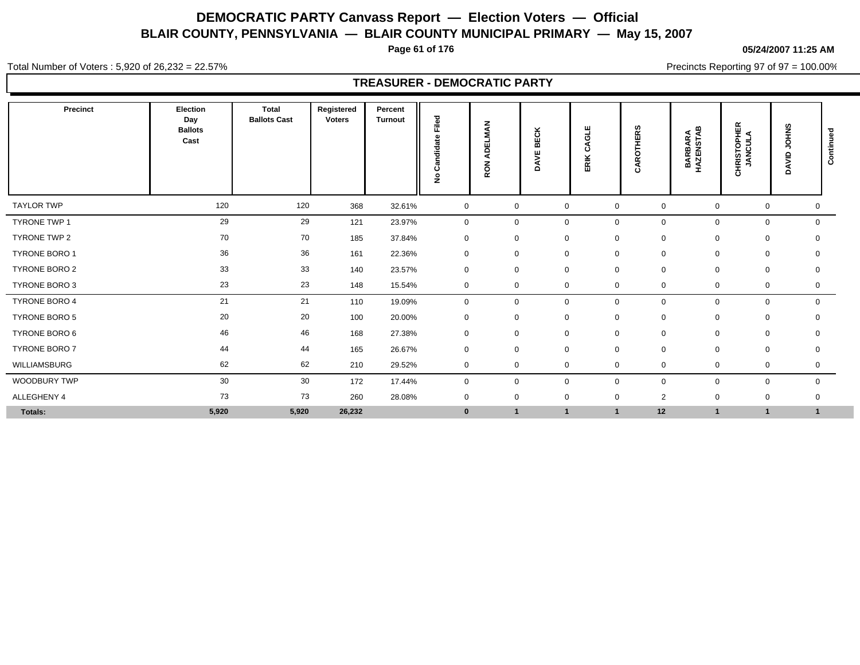**Page 61 of 176**

**05/24/2007 11:25 AM**

Total Number of Voters : 5,920 of 26,232 = 22.57%

Precincts Reporting 97 of 97 = 100.00%

## **TREASURER - DEMOCRATIC PARTY**

| Precinct             | Election<br>Day<br><b>Ballots</b><br>Cast | <b>Total</b><br><b>Ballots Cast</b> | Registered<br><b>Voters</b> | Percent<br><b>Turnout</b> | Filed<br>ω<br>ਛੋ<br>ndid<br>රී<br>$\frac{9}{2}$ | ¥<br>5<br>画<br>$\Omega$<br>ਕ<br>RON | ×<br>BECI<br>빚<br>Š | ш<br>O<br>ن<br>RIK<br>ш | <b>THERS</b><br>ö<br>ě<br>٢i | <b>BARBARA</b><br>HAZENSTAB | <b>CHRISTOPHER</b><br>JANCULA | <b>JOHNS</b><br>DAVID | ᆞ<br>ontinue<br>ن |
|----------------------|-------------------------------------------|-------------------------------------|-----------------------------|---------------------------|-------------------------------------------------|-------------------------------------|---------------------|-------------------------|------------------------------|-----------------------------|-------------------------------|-----------------------|-------------------|
| <b>TAYLOR TWP</b>    | 120                                       | 120                                 | 368                         | 32.61%                    | $\mathbf 0$                                     | $\mathbf 0$                         | $\mathbf 0$         | $\mathbf 0$             | $\mathbf 0$                  | $\mathbf 0$                 | 0                             | 0                     |                   |
| TYRONE TWP 1         | 29                                        | 29                                  | 121                         | 23.97%                    | $\mathbf 0$                                     | $\mathbf 0$                         | $\mathbf 0$         | $\mathbf 0$             | $\mathbf 0$                  | $\mathbf 0$                 | 0                             | $\mathbf 0$           |                   |
| TYRONE TWP 2         | 70                                        | 70                                  | 185                         | 37.84%                    | $\mathbf 0$                                     | 0                                   | $\mathbf 0$         | $\mathbf 0$             | 0                            | $\mathbf 0$                 | 0                             | 0                     |                   |
| TYRONE BORO 1        | 36                                        | 36                                  | 161                         | 22.36%                    | $\mathbf 0$                                     | $\mathbf 0$                         | $\mathbf 0$         | $\mathbf 0$             | 0                            | $\mathbf 0$                 | 0                             | $\mathbf 0$           |                   |
| <b>TYRONE BORO 2</b> | 33                                        | 33                                  | 140                         | 23.57%                    | $\mathbf 0$                                     | $\mathbf 0$                         | $\mathbf 0$         | $\mathbf 0$             | $\mathbf 0$                  | $\mathbf 0$                 | 0                             | 0                     |                   |
| TYRONE BORO 3        | 23                                        | 23                                  | 148                         | 15.54%                    | $\mathbf 0$                                     | $\mathbf 0$                         | 0                   | $\mathbf 0$             | 0                            | 0                           | 0                             | 0                     |                   |
| <b>TYRONE BORO 4</b> | 21                                        | 21                                  | 110                         | 19.09%                    | $\mathbf 0$                                     | $\mathbf 0$                         | $\mathbf 0$         | $\mathbf 0$             | 0                            | $\mathbf 0$                 | 0                             | $\mathbf 0$           |                   |
| TYRONE BORO 5        | 20                                        | 20                                  | 100                         | 20.00%                    | $\mathbf 0$                                     | $\mathbf 0$                         | $\mathbf 0$         | $\mathbf 0$             | 0                            | $\mathbf 0$                 | 0                             | $\mathbf 0$           |                   |
| TYRONE BORO 6        | 46                                        | 46                                  | 168                         | 27.38%                    | $\mathbf 0$                                     | 0                                   | $\mathbf 0$         | 0                       | 0                            | $\mathbf 0$                 | 0                             | $\mathbf 0$           |                   |
| TYRONE BORO 7        | 44                                        | 44                                  | 165                         | 26.67%                    | $\mathbf 0$                                     | $\mathsf 0$                         | $\mathbf 0$         | $\mathbf 0$             | 0                            | $\mathbf 0$                 | 0                             | 0                     |                   |
| WILLIAMSBURG         | 62                                        | 62                                  | 210                         | 29.52%                    | $\mathbf 0$                                     | $\mathbf 0$                         | $\mathbf 0$         | $\mathbf 0$             | $\mathbf 0$                  | $\mathbf 0$                 | 0                             | $\mathbf 0$           |                   |
| <b>WOODBURY TWP</b>  | 30                                        | 30                                  | 172                         | 17.44%                    | $\mathbf 0$                                     | $\mathbf 0$                         | $\mathbf 0$         | $\mathbf 0$             | $\mathbf 0$                  | $\mathbf 0$                 | 0                             | $\mathbf 0$           |                   |
| ALLEGHENY 4          | 73                                        | 73                                  | 260                         | 28.08%                    | $\mathbf 0$                                     | $\mathbf 0$                         | $\mathbf 0$         | $\mathbf 0$             | $\overline{2}$               | $\mathbf 0$                 | 0                             | 0                     |                   |
| Totals:              | 5,920                                     | 5,920                               | 26,232                      |                           | $\bf{0}$                                        | $\mathbf{1}$                        | $\mathbf{1}$        | $\overline{\mathbf{1}}$ | 12                           | $\mathbf{1}$                | 1                             | $\mathbf 1$           |                   |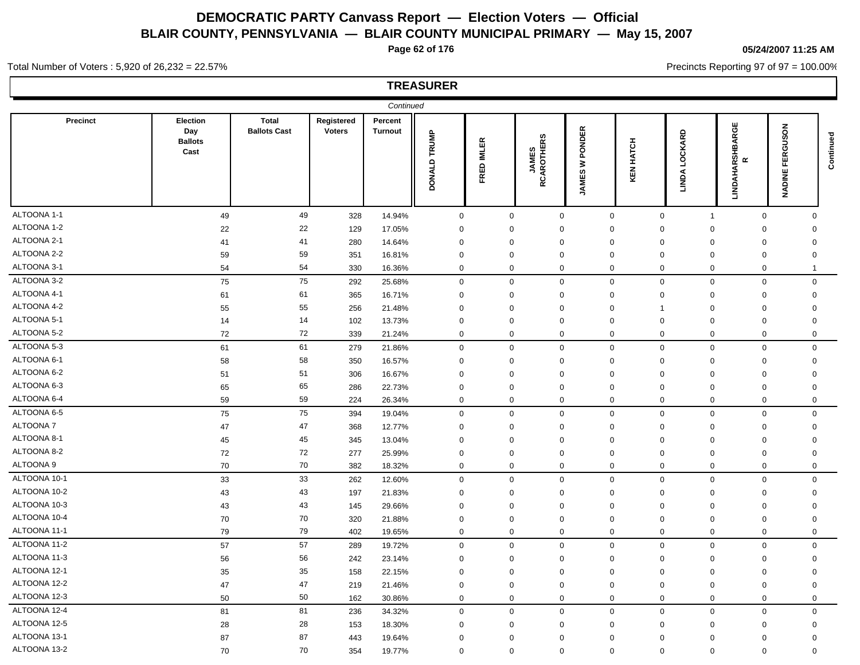**Page 62 of 176**

## **05/24/2007 11:25 AM**

Precincts Reporting 97 of 97 = 100.00%

## Total Number of Voters : 5,920 of 26,232 = 22.57%

|              |                                           |                              |                             | Continued                 |              |                                                                   |                             |                                    |                     |                               |                                                      |                        |           |
|--------------|-------------------------------------------|------------------------------|-----------------------------|---------------------------|--------------|-------------------------------------------------------------------|-----------------------------|------------------------------------|---------------------|-------------------------------|------------------------------------------------------|------------------------|-----------|
| Precinct     | Election<br>Day<br><b>Ballots</b><br>Cast | Total<br><b>Ballots Cast</b> | Registered<br><b>Voters</b> | Percent<br><b>Turnout</b> | DONALD TRUMP | <b>IMLER</b><br>$\mathbf{e}% _{0}\in\mathbf{e}_{\mathbb{E}}$<br>또 | <b>JAMES<br/>RCAROTHERS</b> | <b>PONDER</b><br>₹<br><b>JAMES</b> | <b>HATCH</b><br>KEN | LOCKARD<br><b>LINDA</b>       | <b>LINDAHARSHBARGE</b><br>$\pmb{\underline{\alpha}}$ | GUSON<br>FER<br>NADINE | Continued |
| ALTOONA 1-1  | 49                                        | 49                           | 328                         | 14.94%                    | $\mathsf 0$  | $\mathbf 0$                                                       |                             | $\mathbf 0$                        | $\mathsf{O}$        | $\mathbf 0$<br>$\overline{1}$ | $\mathbf 0$                                          | $\mathbf{0}$           |           |
| ALTOONA 1-2  | 22                                        | 22                           | 129                         | 17.05%                    | $\mathbf 0$  | $\mathbf 0$                                                       |                             | $\mathbf 0$                        | $\mathbf 0$         | $\mathbf 0$<br>$\mathbf 0$    | $\mathbf 0$                                          | $\mathbf 0$            |           |
| ALTOONA 2-1  | 41                                        | 41                           | 280                         | 14.64%                    | $\mathbf 0$  | $\mathbf 0$                                                       |                             | $\mathbf 0$                        | $\mathbf 0$         | $\mathbf 0$<br>$\mathbf 0$    | $\mathbf 0$                                          | $\mathbf 0$            |           |
| ALTOONA 2-2  | 59                                        | 59                           | 351                         | 16.81%                    | $\mathbf 0$  | $\mathbf 0$                                                       |                             | $\mathbf 0$                        | $\mathbf 0$         | $\mathbf 0$<br>$\mathbf 0$    | $\mathbf 0$                                          | $\mathbf 0$            |           |
| ALTOONA 3-1  | 54                                        | 54                           | 330                         | 16.36%                    | $\mathbf 0$  | $\mathbf 0$                                                       |                             | $\mathbf 0$                        | $\mathbf 0$         | $\mathbf 0$<br>$\mathbf 0$    | $\mathbf 0$                                          | $\mathbf 1$            |           |
| ALTOONA 3-2  | 75                                        | 75                           | 292                         | 25.68%                    | $\mathbf 0$  | $\mathbf 0$                                                       |                             | $\mathbf 0$                        | $\mathbf{0}$        | $\mathbf{0}$<br>$\mathbf 0$   | $\mathbf 0$                                          | $\mathbf 0$            |           |
| ALTOONA 4-1  | 61                                        | 61                           | 365                         | 16.71%                    | $\mathbf 0$  | $\mathbf 0$                                                       |                             | $\mathbf 0$                        | $\mathbf 0$         | $\mathbf 0$<br>$\mathbf 0$    | $\mathbf 0$                                          | $\mathbf 0$            |           |
| ALTOONA 4-2  | 55                                        | 55                           | 256                         | 21.48%                    | $\mathbf 0$  | $\mathsf 0$                                                       |                             | $\mathbf 0$                        | 0                   | $\mathbf 0$<br>-1             | $\mathbf 0$                                          | $\mathbf 0$            |           |
| ALTOONA 5-1  | 14                                        | 14                           | 102                         | 13.73%                    | $\mathbf 0$  | $\mathsf 0$                                                       |                             | $\mathbf 0$                        | $\mathbf 0$         | $\mathbf 0$<br>$\mathbf 0$    | $\mathbf 0$                                          | $\mathbf 0$            |           |
| ALTOONA 5-2  | 72                                        | 72                           | 339                         | 21.24%                    | $\mathbf 0$  | $\mathbf 0$                                                       |                             | $\mathbf 0$                        | $\mathbf 0$         | $\mathbf 0$<br>$\mathbf 0$    | $\mathbf 0$                                          | 0                      |           |
| ALTOONA 5-3  | 61                                        | 61                           | 279                         | 21.86%                    | $\mathbf 0$  | $\mathbf 0$                                                       |                             | $\mathbf 0$                        | $\mathbf 0$         | $\mathbf 0$<br>$\mathbf 0$    | $\mathbf 0$                                          | $\mathbf 0$            |           |
| ALTOONA 6-1  | 58                                        | 58                           | 350                         | 16.57%                    | $\mathbf 0$  | $\mathbf 0$                                                       |                             | $\mathbf 0$                        | 0                   | 0<br>0                        | $\mathbf 0$                                          | 0                      |           |
| ALTOONA 6-2  | 51                                        | 51                           | 306                         | 16.67%                    | $\mathbf 0$  | $\mathbf 0$                                                       |                             | $\mathbf 0$<br>$\mathbf 0$         |                     | $\mathbf 0$<br>0              | $\mathbf 0$                                          | $\mathbf 0$            |           |
| ALTOONA 6-3  | 65                                        | 65                           | 286                         | 22.73%                    | $\mathbf 0$  | $\mathbf 0$                                                       |                             | $\mathbf 0$                        | $\mathbf 0$         | $\mathbf 0$<br>$\mathbf 0$    | $\mathbf 0$                                          | 0                      |           |
| ALTOONA 6-4  | 59                                        | 59                           | 224                         | 26.34%                    | $\mathbf 0$  | $\mathbf 0$                                                       |                             | $\mathbf 0$                        | $\mathbf 0$         | $\mathbf 0$<br>$\mathbf 0$    | $\mathbf 0$                                          | $\mathbf 0$            |           |
| ALTOONA 6-5  | 75                                        | 75                           | 394                         | 19.04%                    | $\mathbf 0$  | $\mathbf 0$                                                       |                             | $\mathbf 0$                        | $\mathbf 0$         | $\mathbf 0$<br>$\mathbf 0$    | $\mathbf 0$                                          | $\mathbf 0$            |           |
| ALTOONA 7    | 47                                        | 47                           | 368                         | 12.77%                    | $\mathbf 0$  | $\mathbf 0$                                                       |                             | $\mathbf 0$                        | $\mathbf 0$         | $\mathbf 0$<br>$\mathbf 0$    | $\mathbf 0$                                          | $\mathbf 0$            |           |
| ALTOONA 8-1  | 45                                        | 45                           | 345                         | 13.04%                    | $\mathbf 0$  | $\mathbf 0$                                                       |                             | $\mathbf 0$                        | $\mathbf 0$         | $\mathbf 0$<br>$\mathbf 0$    | $\mathbf 0$                                          | $\mathbf 0$            |           |
| ALTOONA 8-2  | 72                                        | 72                           | 277                         | 25.99%                    | $\mathbf 0$  | $\mathbf 0$                                                       |                             | $\mathbf 0$                        | $\Omega$            | $\mathbf 0$<br>$\Omega$       | $\mathbf 0$                                          | $\mathbf 0$            |           |
| ALTOONA 9    | 70                                        | 70                           | 382                         | 18.32%                    | $\mathbf 0$  | $\mathbf 0$                                                       |                             | $\mathbf 0$                        | $\mathbf 0$         | $\boldsymbol{0}$<br>0         | $\mathbf 0$                                          | $\mathbf 0$            |           |
| ALTOONA 10-1 | 33                                        | 33                           | 262                         | 12.60%                    | $\mathbf 0$  | $\mathbf 0$                                                       |                             | $\mathbf 0$                        | $\mathbf 0$         | $\mathbf 0$<br>$\mathsf 0$    | $\mathbf 0$                                          | $\mathbf 0$            |           |
| ALTOONA 10-2 | 43                                        | 43                           | 197                         | 21.83%                    | $\Omega$     | $\mathbf 0$                                                       |                             | $\mathbf 0$                        | $\Omega$            | $\Omega$<br>0                 | $\mathbf 0$                                          | $\Omega$               |           |
| ALTOONA 10-3 | 43                                        | 43                           | 145                         | 29.66%                    | $\mathbf 0$  | $\mathbf 0$                                                       |                             | $\mathbf 0$                        | $\mathbf 0$         | $\mathbf 0$<br>$\mathbf 0$    | $\mathbf 0$                                          | $\mathbf 0$            |           |
| ALTOONA 10-4 | 70                                        | 70                           | 320                         | 21.88%                    | $\mathbf 0$  | $\mathbf 0$                                                       |                             | $\mathbf 0$                        | $\mathbf 0$         | $\mathbf 0$<br>$\mathbf 0$    | $\mathbf 0$                                          | $\mathbf 0$            |           |
| ALTOONA 11-1 | 79                                        | 79                           | 402                         | 19.65%                    | $\mathbf 0$  | $\mathbf 0$                                                       |                             | $\mathbf 0$                        | $\mathbf 0$         | $\mathbf 0$<br>0              | $\mathbf 0$                                          | $\mathbf 0$            |           |
| ALTOONA 11-2 | 57                                        | 57                           | 289                         | 19.72%                    | $\mathbf 0$  | $\mathbf 0$                                                       |                             | $\mathbf 0$                        | $\mathbf 0$         | $\mathbf 0$<br>$\mathbf 0$    | $\mathbf 0$                                          | $\mathbf 0$            |           |
| ALTOONA 11-3 | 56                                        | 56                           | 242                         | 23.14%                    | $\mathbf 0$  | $\mathbf 0$                                                       |                             | $\mathbf 0$                        | $\mathbf 0$         | $\mathbf 0$<br>$\mathbf 0$    | $\mathbf 0$                                          | $\mathbf 0$            |           |
| ALTOONA 12-1 | 35                                        | 35                           | 158                         | 22.15%                    | $\mathbf 0$  | $\mathbf 0$                                                       |                             | $\mathbf{0}$                       | $\mathbf 0$         | $\mathbf 0$<br>$\Omega$       | $\mathbf 0$                                          | $\Omega$               |           |
| ALTOONA 12-2 | 47                                        | 47                           | 219                         | 21.46%                    | $\mathbf 0$  | $\mathbf 0$                                                       |                             | $\mathbf 0$                        | $\mathbf 0$         | $\mathbf 0$<br>$\mathbf 0$    | $\mathbf 0$                                          | $\mathbf 0$            |           |
| ALTOONA 12-3 | 50                                        | 50                           | 162                         | 30.86%                    | $\mathbf 0$  | $\mathbf 0$                                                       |                             | $\mathbf 0$                        | $\mathbf 0$         | $\mathbf 0$<br>$\mathbf 0$    | $\mathbf 0$                                          | $\mathbf 0$            |           |
| ALTOONA 12-4 | 81                                        | 81                           | 236                         | 34.32%                    | $\mathbf 0$  | $\mathbf 0$                                                       |                             | $\mathbf 0$                        | $\mathbf 0$         | $\mathbf 0$<br>$\mathbf 0$    | $\mathbf 0$                                          | $\mathbf 0$            |           |
| ALTOONA 12-5 | 28                                        | 28                           | 153                         | 18.30%                    | $\mathbf 0$  | $\mathbf 0$                                                       |                             | $\mathbf 0$                        | $\Omega$            | $\mathbf 0$<br>$\mathbf 0$    | $\mathbf 0$                                          | 0                      |           |
| ALTOONA 13-1 | 87                                        | 87                           | 443                         | 19.64%                    | $\Omega$     | $\mathbf 0$                                                       |                             | $\mathbf 0$                        | $\Omega$            | $\mathbf 0$<br>$\mathbf 0$    | $\mathbf 0$                                          | $\mathbf 0$            |           |
| ALTOONA 13-2 | 70                                        | 70                           | 354                         | 19.77%                    | $\mathbf 0$  | $\mathbf 0$                                                       |                             | $\mathbf 0$                        | $\Omega$            | $\mathbf 0$<br>$\Omega$       | $\mathbf 0$                                          | $\Omega$               |           |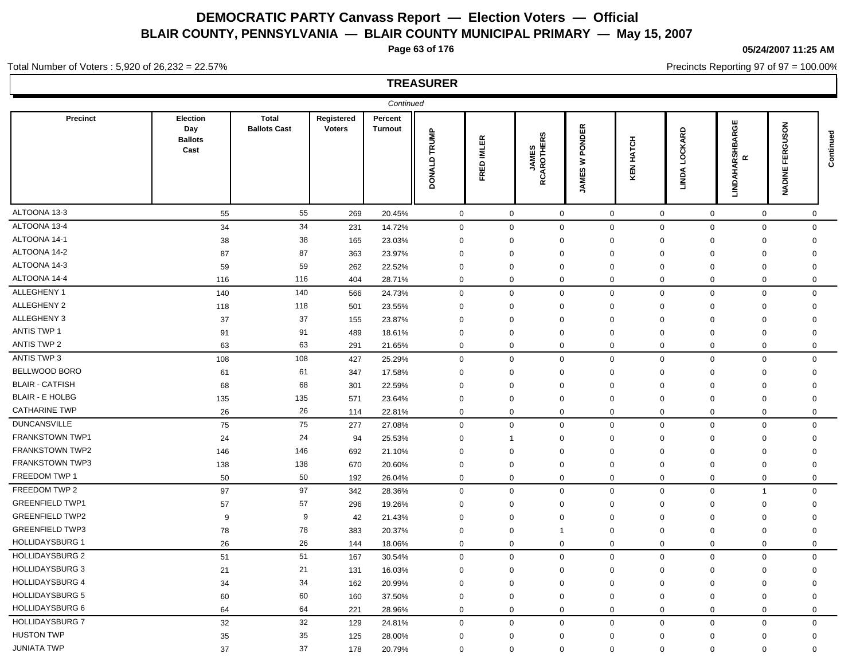**Page 63 of 176**

**05/24/2007 11:25 AM**

Precincts Reporting 97 of 97 = 100.00%

#### Total Number of Voters : 5,920 of 26,232 = 22.57%

|                        |                                           |                                     |                             | Continued                 |              |              |                             |                                 |              |                                 |                                     |                                           |           |
|------------------------|-------------------------------------------|-------------------------------------|-----------------------------|---------------------------|--------------|--------------|-----------------------------|---------------------------------|--------------|---------------------------------|-------------------------------------|-------------------------------------------|-----------|
| <b>Precinct</b>        | Election<br>Day<br><b>Ballots</b><br>Cast | <b>Total</b><br><b>Ballots Cast</b> | Registered<br><b>Voters</b> | Percent<br><b>Turnout</b> | DONALD TRUMP | FRED IMLER   | <b>JAMES<br/>RCAROTHERS</b> | PONDER<br>₹<br>£S<br><b>NAU</b> | HATCH<br>KEN | LOCKARD<br><b>LINDA</b>         | <b>LINDAHARSHBARGE</b><br>$\propto$ | <b>NOSI</b><br>∍<br>ō<br>띥<br>正<br>NADINE | Continued |
| ALTOONA 13-3           | 55                                        | 55                                  | 269                         | 20.45%                    | $\mathbf 0$  | $\mathbf 0$  | $\mathbf 0$                 |                                 | $\mathbf 0$  | $\mathbf 0$                     | $\mathbf 0$<br>$\boldsymbol{0}$     | $\mathbf 0$                               |           |
| ALTOONA 13-4           | 34                                        | 34                                  | 231                         | 14.72%                    | 0            | $\mathbf 0$  | $\mathbf 0$                 |                                 | $\mathbf 0$  | $\mathbf 0$                     | $\mathbf 0$<br>$\mathbf 0$          | $\mathbf{0}$                              |           |
| ALTOONA 14-1           | 38                                        | 38                                  | 165                         | 23.03%                    | $\mathbf 0$  | $\mathbf 0$  | $\mathbf 0$                 |                                 | $\mathbf 0$  | $\mathbf 0$                     | $\mathbf 0$<br>0                    | $\mathbf 0$                               |           |
| ALTOONA 14-2           | 87                                        | 87                                  | 363                         | 23.97%                    | $\mathbf 0$  | $\mathbf 0$  | $\mathbf 0$                 |                                 | $\mathbf 0$  | $\Omega$                        | $\mathbf 0$<br>$\Omega$             | $\mathbf 0$                               |           |
| ALTOONA 14-3           | 59                                        | 59                                  | 262                         | 22.52%                    | $\mathbf 0$  | $\mathbf 0$  | $\mathbf 0$                 |                                 | $\mathbf 0$  | $\Omega$                        | 0<br>$\mathbf 0$                    | $\mathbf 0$                               |           |
| ALTOONA 14-4           | 116                                       | 116                                 | 404                         | 28.71%                    | 0            | $\mathbf 0$  | $\mathbf 0$                 |                                 | $\mathbf 0$  | $\mathbf 0$                     | $\mathbf 0$<br>$\mathbf 0$          | $\mathbf 0$                               |           |
| ALLEGHENY 1            | 140                                       | 140                                 | 566                         | 24.73%                    | 0            | $\mathbf 0$  | $\mathbf 0$                 |                                 | $\mathbf 0$  | $\boldsymbol{0}$<br>$\mathbf 0$ | $\mathbf 0$                         | $\mathbf 0$                               |           |
| ALLEGHENY 2            | 118                                       | 118                                 | 501                         | 23.55%                    | $\mathbf 0$  | $\mathbf 0$  | $\mathbf 0$                 |                                 | $\mathbf 0$  | $\mathbf 0$                     | $\mathbf 0$<br>$\mathbf 0$          | $\mathbf 0$                               |           |
| ALLEGHENY 3            | 37                                        | 37                                  | 155                         | 23.87%                    | $\mathbf 0$  | $\mathbf 0$  | $\mathbf 0$                 |                                 | $\mathbf 0$  | $\mathbf 0$                     | $\mathbf 0$<br>$\mathbf 0$          | $\mathbf 0$                               |           |
| <b>ANTIS TWP 1</b>     | 91                                        | 91                                  | 489                         | 18.61%                    | 0            | $\mathbf 0$  | $\mathbf 0$                 |                                 | $\mathbf 0$  | $\mathbf 0$                     | $\mathbf 0$<br>$\mathbf 0$          | $\mathbf 0$                               |           |
| <b>ANTIS TWP 2</b>     | 63                                        | 63                                  | 291                         | 21.65%                    | 0            | $\mathbf 0$  | $\mathbf 0$                 |                                 | $\mathbf 0$  | 0                               | $\mathbf 0$<br>$\mathbf 0$          | $\mathbf 0$                               |           |
| ANTIS TWP 3            | 108                                       | 108                                 | 427                         | 25.29%                    | 0            | $\mathbf 0$  | $\mathbf 0$                 |                                 | $\mathbf 0$  | $\mathbf 0$<br>$\boldsymbol{0}$ | $\mathbf 0$                         | $\mathbf 0$                               |           |
| BELLWOOD BORO          | 61                                        | 61                                  | 347                         | 17.58%                    | $\mathbf 0$  | $\mathbf 0$  | $\mathbf 0$                 |                                 | $\mathbf 0$  | $\Omega$                        | 0<br>$\mathbf 0$                    | $\mathbf 0$                               |           |
| <b>BLAIR - CATFISH</b> | 68                                        | 68                                  | 301                         | 22.59%                    | $\mathbf 0$  | $\mathbf 0$  | $\mathbf 0$                 |                                 | $\Omega$     | $\Omega$                        | 0<br>$\mathbf 0$                    | $\mathbf 0$                               |           |
| <b>BLAIR - E HOLBG</b> | 135                                       | 135                                 | 571                         | 23.64%                    | $\mathbf 0$  | $\mathbf 0$  | $\mathbf 0$                 |                                 | $\mathbf 0$  | 0                               | 0<br>$\mathbf 0$                    | $\mathbf 0$                               |           |
| <b>CATHARINE TWP</b>   | 26                                        | 26                                  | 114                         | 22.81%                    | 0            | $\mathbf 0$  | $\mathbf 0$                 |                                 | $\mathbf 0$  | 0                               | $\mathbf 0$<br>$\mathbf 0$          | $\mathbf 0$                               |           |
| <b>DUNCANSVILLE</b>    | 75                                        | 75                                  | 277                         | 27.08%                    | 0            | $\mathbf 0$  | $\mathbf 0$                 |                                 | $\mathbf 0$  | $\mathbf 0$<br>$\mathbf 0$      | $\mathbf 0$                         | $\mathbf 0$                               |           |
| FRANKSTOWN TWP1        | 24                                        | 24                                  | 94                          | 25.53%                    | $\mathbf 0$  | $\mathbf{1}$ | $\mathbf 0$                 |                                 | $\mathbf 0$  | $\mathbf 0$                     | $\mathbf 0$<br>$\mathbf 0$          | $\mathbf 0$                               |           |
| FRANKSTOWN TWP2        | 146                                       | 146                                 | 692                         | 21.10%                    | $\mathbf 0$  | $\mathbf 0$  | $\mathbf 0$                 |                                 | $\mathbf 0$  | $\Omega$                        | $\mathbf 0$<br>$\mathbf 0$          | $\mathbf 0$                               |           |
| FRANKSTOWN TWP3        | 138                                       | 138                                 | 670                         | 20.60%                    | $\mathbf 0$  | $\mathbf 0$  | $\mathbf 0$                 |                                 | $\mathbf 0$  | 0                               | $\mathbf 0$<br>$\mathbf 0$          | $\mathbf 0$                               |           |
| FREEDOM TWP 1          | 50                                        | 50                                  | 192                         | 26.04%                    | 0            | $\mathbf 0$  | $\mathbf 0$                 |                                 | $\mathbf 0$  | $\mathbf 0$                     | $\mathbf 0$<br>$\mathbf 0$          | $\mathbf 0$                               |           |
| FREEDOM TWP 2          | 97                                        | 97                                  | 342                         | 28.36%                    | $\mathbf 0$  | $\mathbf 0$  | $\mathbf 0$                 |                                 | $\mathbf 0$  | $\mathbf 0$                     | $\mathbf 0$<br>$\overline{1}$       | $\mathbf 0$                               |           |
| <b>GREENFIELD TWP1</b> | 57                                        | 57                                  | 296                         | 19.26%                    | $\mathbf 0$  | $\mathbf 0$  | $\mathbf 0$                 |                                 | $\mathbf 0$  | $\mathbf 0$                     | $\mathbf 0$<br>$\mathbf 0$          | $\mathbf 0$                               |           |
| <b>GREENFIELD TWP2</b> | 9                                         | 9                                   | 42                          | 21.43%                    | $\mathbf 0$  | $\mathbf 0$  | $\mathbf 0$                 |                                 | $\Omega$     | $\mathbf 0$                     | $\Omega$<br>$\mathbf 0$             | $\mathbf 0$                               |           |
| <b>GREENFIELD TWP3</b> | 78                                        | 78                                  | 383                         | 20.37%                    | 0            | $\mathbf 0$  | $\overline{1}$              |                                 | 0            | 0                               | 0<br>$\mathbf 0$                    | $\mathbf 0$                               |           |
| <b>HOLLIDAYSBURG 1</b> | 26                                        | 26                                  | 144                         | 18.06%                    | 0            | $\mathbf 0$  | $\mathbf 0$                 |                                 | $\mathbf 0$  | $\mathbf 0$                     | $\mathbf 0$<br>$\mathbf 0$          | $\mathbf 0$                               |           |
| <b>HOLLIDAYSBURG 2</b> | 51                                        | 51                                  | 167                         | 30.54%                    | 0            | $\mathbf 0$  | $\mathbf 0$                 |                                 | $\mathbf 0$  | $\mathbf 0$                     | $\mathbf 0$<br>$\mathbf 0$          | $\mathbf 0$                               |           |
| <b>HOLLIDAYSBURG 3</b> | 21                                        | 21                                  | 131                         | 16.03%                    | 0            | $\mathbf 0$  | $\mathbf 0$                 |                                 | $\mathbf 0$  | $\Omega$                        | $\mathbf 0$<br>$\mathbf 0$          | $\mathbf 0$                               |           |
| <b>HOLLIDAYSBURG 4</b> | 34                                        | 34                                  | 162                         | 20.99%                    | $\mathbf 0$  | $\mathbf 0$  | $\mathbf 0$                 |                                 | $\mathbf 0$  | 0                               | $\mathbf 0$<br>0                    | $\mathbf 0$                               |           |
| <b>HOLLIDAYSBURG 5</b> | 60                                        | 60                                  | 160                         | 37.50%                    | $\mathbf 0$  | $\mathbf 0$  | $\mathbf 0$                 |                                 | 0            | $\mathbf 0$                     | $\mathbf 0$<br>$\mathbf 0$          | $\mathbf 0$                               |           |
| <b>HOLLIDAYSBURG 6</b> | 64                                        | 64                                  | 221                         | 28.96%                    | 0            | $\mathbf 0$  | $\mathbf 0$                 |                                 | $\mathbf 0$  | $\mathbf 0$                     | $\mathbf 0$<br>$\mathbf 0$          | $\mathbf 0$                               |           |
| <b>HOLLIDAYSBURG 7</b> | 32                                        | 32                                  | 129                         | 24.81%                    | $\mathbf 0$  | $\mathbf 0$  | $\mathbf 0$                 |                                 | $\mathbf{0}$ | $\mathbf 0$                     | $\mathbf 0$<br>$\mathbf 0$          | $\mathbf 0$                               |           |
| <b>HUSTON TWP</b>      | 35                                        | 35                                  | 125                         | 28.00%                    | $\Omega$     | $\mathbf 0$  | $\mathbf 0$                 |                                 | $\mathbf{0}$ | $\mathbf 0$                     | $\Omega$<br>$\mathbf 0$             | $\mathbf 0$                               |           |
| <b>JUNIATA TWP</b>     | 37                                        | 37                                  | 178                         | 20.79%                    | $\mathbf 0$  | $\mathbf 0$  | $\mathbf 0$                 |                                 | $\mathbf{0}$ | $\mathbf 0$                     | $\Omega$<br>$\Omega$                | $\Omega$                                  |           |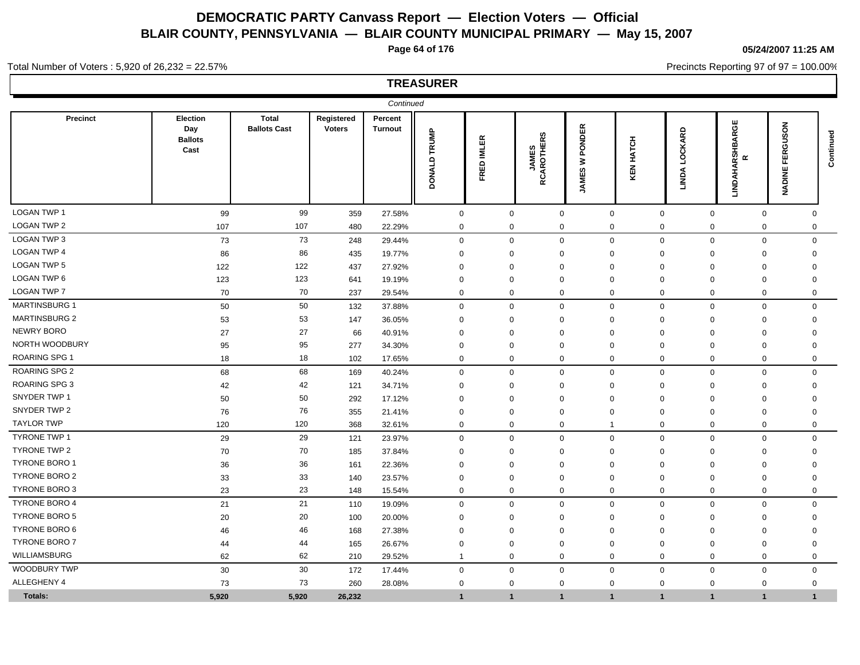**Page 64 of 176**

#### **05/24/2007 11:25 AM**

Precincts Reporting 97 of 97 = 100.00%

#### Total Number of Voters : 5,920 of 26,232 = 22.57%

|                      |                                                  |                              |                             | Continued                 |                        |                             |                             |                                             |              |                         |                                                                    |                                                                   |             |
|----------------------|--------------------------------------------------|------------------------------|-----------------------------|---------------------------|------------------------|-----------------------------|-----------------------------|---------------------------------------------|--------------|-------------------------|--------------------------------------------------------------------|-------------------------------------------------------------------|-------------|
| Precinct             | <b>Election</b><br>Day<br><b>Ballots</b><br>Cast | Total<br><b>Ballots Cast</b> | Registered<br><b>Voters</b> | Percent<br><b>Turnout</b> | TRUMP<br><b>DONALD</b> | <b>IMLER</b><br><b>FRED</b> | <b>JAMES<br/>RCAROTHERS</b> | <b>ONDER</b><br>õ.<br>3<br>69<br><b>NAL</b> | HATCH<br>KEN | LOCKARD<br><b>LINDA</b> | ARGE<br>m<br><b>ARSHI</b><br>$\pmb{\underline{\alpha}}$<br>LINDAH, | <b>NOS</b><br>ω<br>띥<br>╙<br>ш<br>$\frac{z}{\Delta}$<br>$\bar{z}$ | Continued   |
| LOGAN TWP 1          | 99                                               | 99                           | 359                         | 27.58%                    | $\mathsf 0$            | $\mathbf 0$                 | $\mathbf 0$                 | $\mathbf 0$                                 |              | $\mathsf{O}\xspace$     | $\mathsf 0$                                                        | $\mathbf 0$                                                       | $\mathbf 0$ |
| LOGAN TWP 2          | 107                                              | 107                          | 480                         | 22.29%                    | 0                      | $\mathbf 0$                 | $\mathbf 0$                 | $\mathbf 0$                                 |              | $\mathbf 0$             | $\mathbf 0$                                                        | $\mathbf 0$                                                       | $\mathbf 0$ |
| LOGAN TWP 3          | 73                                               | 73                           | 248                         | 29.44%                    | $\mathsf 0$            | $\mathbf 0$                 | $\mathbf 0$                 | $\mathbf 0$                                 |              | $\mathbf 0$             | $\mathsf 0$                                                        | $\mathbf 0$                                                       | $\mathbf 0$ |
| <b>LOGAN TWP 4</b>   | 86                                               | 86                           | 435                         | 19.77%                    | $\mathbf 0$            | $\mathbf 0$                 | 0                           | 0                                           |              | $\mathbf 0$             | 0                                                                  | $\mathbf 0$                                                       | 0           |
| <b>LOGAN TWP 5</b>   | 122                                              | 122                          | 437                         | 27.92%                    | $\Omega$               | $\mathbf 0$                 | $\mathbf 0$                 | $\Omega$                                    |              | $\Omega$                | $\Omega$                                                           | $\mathbf{0}$                                                      | $\Omega$    |
| LOGAN TWP 6          | 123                                              | 123                          | 641                         | 19.19%                    | $\Omega$               | $\mathbf 0$                 | $\mathbf 0$                 | 0                                           |              | $\mathbf 0$             | $\mathbf 0$                                                        | $\mathbf 0$                                                       | $\Omega$    |
| <b>LOGAN TWP 7</b>   | 70                                               | 70                           | 237                         | 29.54%                    | 0                      | $\mathbf 0$                 | $\mathbf 0$                 | $\mathbf 0$                                 |              | 0                       | $\Omega$                                                           | $\mathbf 0$                                                       | $\mathbf 0$ |
| <b>MARTINSBURG 1</b> | 50                                               | 50                           | 132                         | 37.88%                    | $\mathbf 0$            | $\mathbf 0$                 | $\mathbf 0$                 | $\mathbf 0$                                 |              | $\mathbf{0}$            | $\mathbf 0$                                                        | $\mathbf 0$                                                       | $\mathbf 0$ |
| <b>MARTINSBURG 2</b> | 53                                               | 53                           | 147                         | 36.05%                    | $\Omega$               | $\mathbf 0$                 | $\mathbf 0$                 | 0                                           |              | $\mathbf 0$             | $\Omega$                                                           | $\mathbf 0$                                                       | 0           |
| <b>NEWRY BORO</b>    | 27                                               | 27                           | 66                          | 40.91%                    | $\mathbf 0$            | $\mathbf 0$                 | $\Omega$                    | $\mathbf 0$                                 |              | $\Omega$                | $\Omega$                                                           | $\mathbf 0$                                                       | 0           |
| NORTH WOODBURY       | 95                                               | 95                           | 277                         | 34.30%                    | $\mathbf 0$            | $\mathbf 0$                 | $\mathbf 0$                 | 0                                           |              | 0                       | $\mathbf 0$                                                        | $\mathbf 0$                                                       | $\Omega$    |
| <b>ROARING SPG 1</b> | 18                                               | 18                           | 102                         | 17.65%                    | $\mathbf 0$            | $\mathbf 0$                 | $\mathbf 0$                 | $\mathbf 0$                                 |              | $\mathbf 0$             | $\mathbf 0$                                                        | $\mathbf 0$                                                       | $\mathbf 0$ |
| <b>ROARING SPG 2</b> | 68                                               | 68                           | 169                         | 40.24%                    | $\mathbf 0$            | $\mathbf{0}$                | $\mathbf 0$                 | $\mathbf{0}$                                |              | $\mathbf{0}$            | $\mathbf 0$                                                        | $\mathbf 0$                                                       | $\mathbf 0$ |
| <b>ROARING SPG 3</b> | 42                                               | 42                           | 121                         | 34.71%                    | $\mathbf 0$            | $\mathbf 0$                 | $\mathbf 0$                 | $\mathbf 0$                                 |              | $\mathbf 0$             | $\mathbf 0$                                                        | $\mathbf 0$                                                       | $\mathbf 0$ |
| SNYDER TWP 1         | 50                                               | 50                           | 292                         | 17.12%                    | $\mathbf 0$            | $\mathbf 0$                 | $\mathbf 0$                 | $\mathbf 0$                                 |              | $\mathbf 0$             | $\mathbf 0$                                                        | $\mathbf 0$                                                       | $\mathbf 0$ |
| SNYDER TWP 2         | 76                                               | 76                           | 355                         | 21.41%                    | 0                      | $\mathbf 0$                 | $\mathbf 0$                 | $\mathbf 0$                                 |              | 0                       | $\mathbf 0$                                                        | $\mathbf 0$                                                       | 0           |
| <b>TAYLOR TWP</b>    | 120                                              | 120                          | 368                         | 32.61%                    | $\mathbf 0$            | $\mathbf 0$                 | $\mathbf 0$                 | $\overline{1}$                              |              | $\mathbf 0$             | $\mathbf 0$                                                        | $\mathbf 0$                                                       | $\Omega$    |
| <b>TYRONE TWP 1</b>  | 29                                               | 29                           | 121                         | 23.97%                    | $\mathbf 0$            | $\mathbf 0$                 | $\mathbf 0$                 | $\Omega$                                    |              | $\mathbf 0$             | $\mathbf 0$                                                        | $\mathbf 0$                                                       | $\Omega$    |
| TYRONE TWP 2         | 70                                               | 70                           | 185                         | 37.84%                    | $\mathbf 0$            | $\mathbf 0$                 | $\mathbf 0$                 | $\Omega$                                    |              | $\mathbf 0$             | $\mathbf 0$                                                        | $\mathbf 0$                                                       | $\Omega$    |
| <b>TYRONE BORO 1</b> | 36                                               | 36                           | 161                         | 22.36%                    | $\Omega$               | $\mathbf 0$                 | $\mathbf{0}$                | $\Omega$                                    |              | $\mathbf 0$             | $\Omega$                                                           | $\mathbf 0$                                                       | $\Omega$    |
| <b>TYRONE BORO 2</b> | 33                                               | 33                           | 140                         | 23.57%                    | 0                      | $\mathbf 0$                 | $\mathbf{0}$                | $\Omega$                                    |              | $\mathbf 0$             | $\mathbf 0$                                                        | $\mathbf 0$                                                       | $\Omega$    |
| <b>TYRONE BORO 3</b> | 23                                               | 23                           | 148                         | 15.54%                    | $\mathbf 0$            | $\mathbf 0$                 | $\mathbf 0$                 | 0                                           |              | 0                       | $\mathbf 0$                                                        | $\mathbf 0$                                                       | 0           |
| <b>TYRONE BORO 4</b> | 21                                               | 21                           | 110                         | 19.09%                    | $\mathbf 0$            | $\mathbf 0$                 | $\mathbf 0$                 | $\mathbf{0}$                                |              | $\mathbf 0$             | $\mathbf 0$                                                        | $\mathbf 0$                                                       | $\Omega$    |
| <b>TYRONE BORO 5</b> | 20                                               | 20                           | 100                         | 20.00%                    | $\Omega$               | $\mathbf 0$                 | $\mathbf{0}$                | $\Omega$                                    |              | $\mathbf 0$             | $\Omega$                                                           | $\mathbf 0$                                                       | 0           |
| TYRONE BORO 6        | 46                                               | 46                           | 168                         | 27.38%                    | $\mathbf 0$            | $\mathbf 0$                 | $\mathbf{0}$                | $\Omega$                                    |              | $\mathbf 0$             | $\Omega$                                                           | $\mathbf 0$                                                       | $\mathbf 0$ |
| <b>TYRONE BORO 7</b> | 44                                               | 44                           | 165                         | 26.67%                    | $\mathbf 0$            | $\mathbf 0$                 | $\mathbf 0$                 | $\mathbf 0$                                 |              | 0                       | $\mathbf 0$                                                        | $\mathbf 0$                                                       | $\mathbf 0$ |
| WILLIAMSBURG         | 62                                               | 62                           | 210                         | 29.52%                    | 1                      | $\mathbf 0$                 | $\mathbf 0$                 | $\mathbf 0$                                 |              | $\mathbf 0$             | $\mathbf 0$                                                        | $\mathbf 0$                                                       | $\mathbf 0$ |
| WOODBURY TWP         | 30                                               | 30                           | 172                         | 17.44%                    | $\mathbf 0$            | $\mathbf 0$                 | $\mathbf 0$                 | $\mathbf 0$                                 |              | $\mathbf 0$             | $\mathbf 0$                                                        | $\mathbf 0$                                                       | $\mathbf 0$ |
| ALLEGHENY 4          | 73                                               | 73                           | 260                         | 28.08%                    | $\Omega$               | $\mathbf 0$                 | $\mathbf 0$                 | $\Omega$                                    |              | $\mathbf 0$             | $\Omega$                                                           | $\mathbf 0$                                                       | $\Omega$    |
| Totals:              | 5.920                                            | 5,920                        | 26,232                      |                           | 1                      | $\mathbf{1}$                | $\mathbf{1}$                | $\mathbf 1$                                 |              | $\mathbf 1$             | $\mathbf{1}$                                                       | $\overline{\mathbf{1}}$                                           | 1           |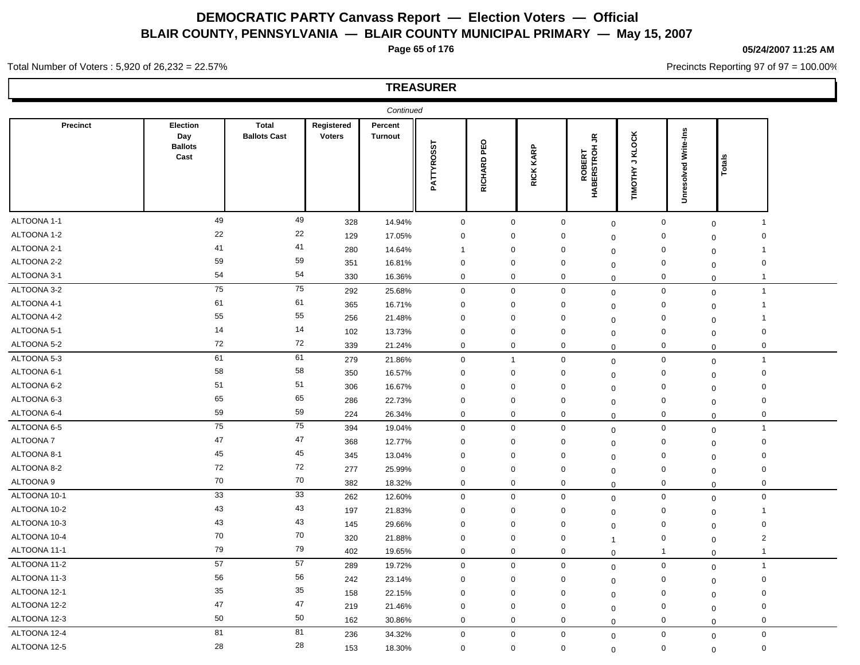**Page 65 of 176**

#### **05/24/2007 11:25 AM**

Precincts Reporting 97 of 97 = 100.00%

Total Number of Voters : 5,920 of 26,232 = 22.57%

|                 |                                           |                                     |                             | Continued                 |              |                |                     |                                    |                                              |                         |                                        |  |
|-----------------|-------------------------------------------|-------------------------------------|-----------------------------|---------------------------|--------------|----------------|---------------------|------------------------------------|----------------------------------------------|-------------------------|----------------------------------------|--|
| <b>Precinct</b> | Election<br>Day<br><b>Ballots</b><br>Cast | <b>Total</b><br><b>Ballots Cast</b> | Registered<br><b>Voters</b> | Percent<br><b>Turnout</b> | PATTYROSST   | PEO<br>RICHARD | KARP<br><b>RICK</b> | Š<br>ROBERT<br>HABERSTROH          | KLOCK<br>$\overline{\phantom{a}}$<br>TIMOTHY | Write-Ins<br>Unresolved | Totals                                 |  |
| ALTOONA 1-1     | 49                                        | 49                                  | 328                         | 14.94%                    | $\mathbf 0$  | $\mathbf 0$    |                     | $\mathbf 0$<br>$\mathsf{O}\xspace$ | $\mathbf 0$                                  | $\mathbf 0$             | -1                                     |  |
| ALTOONA 1-2     | 22                                        | 22                                  | 129                         | 17.05%                    | $\mathbf 0$  | $\mathbf 0$    |                     | 0<br>$\mathbf 0$                   | $\mathbf 0$                                  |                         | 0<br>$\mathbf 0$                       |  |
| ALTOONA 2-1     | 41                                        | 41                                  | 280                         | 14.64%                    | $\mathbf{1}$ | $\mathbf 0$    |                     | $\mathbf 0$<br>$\mathbf 0$         | $\mathsf 0$                                  |                         | -1<br>$\mathbf 0$                      |  |
| ALTOONA 2-2     | 59                                        | 59                                  | 351                         | 16.81%                    | $\mathbf 0$  | 0              |                     | $\mathbf 0$<br>$\Omega$            | $\mathbf 0$                                  |                         | $\mathbf 0$<br>$\mathbf 0$             |  |
| ALTOONA 3-1     | 54                                        | 54                                  | 330                         | 16.36%                    | $\mathbf 0$  | $\mathbf 0$    |                     | $\mathbf 0$<br>$\mathbf 0$         | $\mathbf 0$                                  |                         | $\overline{\mathbf{1}}$<br>$\mathbf 0$ |  |
| ALTOONA 3-2     | 75                                        | ${\bf 75}$                          | 292                         | 25.68%                    | $\mathbf 0$  | $\mathbf 0$    |                     | $\mathbf 0$<br>$\mathbf 0$         | $\mathbf 0$                                  | $\mathbf 0$             | $\overline{1}$                         |  |
| ALTOONA 4-1     | 61                                        | 61                                  | 365                         | 16.71%                    | $\mathbf 0$  | 0              |                     | 0<br>$\mathbf 0$                   | $\mathbf 0$                                  |                         | -1<br>$\mathbf 0$                      |  |
| ALTOONA 4-2     | 55                                        | 55                                  | 256                         | 21.48%                    | $\mathbf 0$  | $\mathbf 0$    |                     | $\mathbf 0$<br>$\mathbf 0$         | $\mathbf 0$                                  |                         | -1<br>$\mathbf 0$                      |  |
| ALTOONA 5-1     | 14                                        | 14                                  | 102                         | 13.73%                    | 0            | $\mathbf 0$    |                     | 0<br>$\mathbf 0$                   | 0                                            |                         | 0<br>$\mathbf 0$                       |  |
| ALTOONA 5-2     | 72                                        | 72                                  | 339                         | 21.24%                    | $\mathbf 0$  | $\mathbf 0$    |                     | $\mathbf 0$<br>$\mathbf 0$         | $\mathbf 0$                                  |                         | 0<br>$\mathbf 0$                       |  |
| ALTOONA 5-3     | 61                                        | 61                                  | 279                         | 21.86%                    | $\mathbf 0$  | $\mathbf{1}$   |                     | $\mathbf 0$<br>$\mathbf 0$         | $\mathbf 0$                                  | $\mathbf 0$             | $\overline{1}$                         |  |
| ALTOONA 6-1     | 58                                        | 58                                  | 350                         | 16.57%                    | $\mathbf 0$  | $\mathbf 0$    |                     | $\mathbf 0$<br>$\mathbf 0$         | $\mathbf 0$                                  |                         | $\mathbf 0$<br>$\mathbf 0$             |  |
| ALTOONA 6-2     | 51                                        | 51                                  | 306                         | 16.67%                    | $\mathbf 0$  | $\mathbf 0$    |                     | $\mathbf 0$<br>$\Omega$            | $\mathbf 0$                                  |                         | $\mathbf 0$<br>$\mathbf 0$             |  |
| ALTOONA 6-3     | 65                                        | 65                                  | 286                         | 22.73%                    | $\mathbf 0$  | $\mathbf 0$    |                     | $\mathbf 0$<br>$\mathbf 0$         | $\mathbf 0$                                  |                         | $\mathbf 0$<br>$\mathbf 0$             |  |
| ALTOONA 6-4     | 59                                        | 59                                  | 224                         | 26.34%                    | $\mathbf 0$  | $\mathbf 0$    |                     | $\mathbf 0$<br>$\mathbf 0$         | $\mathbf 0$                                  |                         | 0<br>$\mathbf 0$                       |  |
| ALTOONA 6-5     | 75                                        | 75                                  | 394                         | 19.04%                    | $\mathbf 0$  | 0              |                     | $\boldsymbol{0}$<br>$\mathbf 0$    | $\mathbf 0$                                  |                         | $\mathbf{1}$<br>$\mathbf 0$            |  |
| ALTOONA 7       | 47                                        | 47                                  | 368                         | 12.77%                    | $\mathbf 0$  | $\mathbf 0$    |                     | 0<br>$\mathbf 0$                   | $\mathbf 0$                                  |                         | $\mathbf 0$<br>$\mathbf 0$             |  |
| ALTOONA 8-1     | 45                                        | 45                                  | 345                         | 13.04%                    | $\mathbf 0$  | 0              |                     | $\mathbf 0$<br>$\mathbf 0$         | $\mathbf 0$                                  |                         | $\mathbf 0$<br>$\mathbf 0$             |  |
| ALTOONA 8-2     | 72                                        | 72                                  | 277                         | 25.99%                    | $\mathbf 0$  | 0              |                     | $\mathbf 0$<br>$\mathbf 0$         | $\mathsf 0$                                  |                         | $\mathbf 0$<br>$\mathbf 0$             |  |
| ALTOONA 9       | 70                                        | 70                                  | 382                         | 18.32%                    | $\mathbf 0$  | 0              |                     | 0<br>$\mathbf 0$                   | $\mathbf 0$                                  |                         | 0<br>$\mathbf 0$                       |  |
| ALTOONA 10-1    | 33                                        | 33                                  | 262                         | 12.60%                    | $\mathbf 0$  | $\mathbf{0}$   |                     | $\mathbf 0$<br>$\mathbf 0$         | $\mathsf{O}\xspace$                          |                         | $\mathsf 0$<br>$\mathbf 0$             |  |
| ALTOONA 10-2    | 43                                        | 43                                  | 197                         | 21.83%                    | $\mathbf 0$  | 0              |                     | 0<br>0                             | $\mathbf 0$                                  |                         | -1<br>$\mathbf 0$                      |  |
| ALTOONA 10-3    | 43                                        | 43                                  | 145                         | 29.66%                    | $\mathbf 0$  | $\mathbf 0$    |                     | $\mathbf 0$<br>$\mathbf 0$         | $\mathbf 0$                                  |                         | $\mathbf 0$<br>$\mathbf 0$             |  |
| ALTOONA 10-4    | 70                                        | 70                                  | 320                         | 21.88%                    | $\mathbf 0$  | $\mathbf 0$    |                     | 0<br>1                             | $\mathsf 0$                                  |                         | $\sqrt{2}$<br>$\mathbf 0$              |  |
| ALTOONA 11-1    | 79                                        | 79                                  | 402                         | 19.65%                    | $\mathbf 0$  | $\mathbf 0$    |                     | $\mathbf 0$<br>0                   | $\overline{1}$                               |                         | $\mathbf 1$<br>$\mathbf 0$             |  |
| ALTOONA 11-2    | 57                                        | 57                                  | 289                         | 19.72%                    | $\mathbf 0$  | $\mathbf{0}$   |                     | $\mathbf 0$<br>$\mathbf 0$         | $\mathsf{O}\xspace$                          | $\mathbf 0$             | $\overline{1}$                         |  |
| ALTOONA 11-3    | 56                                        | 56                                  | 242                         | 23.14%                    | $\mathbf 0$  | $\mathbf 0$    |                     | $\mathbf 0$<br>$\mathbf 0$         | $\mathbf 0$                                  |                         | $\mathbf 0$<br>$\mathbf 0$             |  |
| ALTOONA 12-1    | 35                                        | 35                                  | 158                         | 22.15%                    | $\mathbf 0$  | $\mathbf 0$    |                     | $\mathbf 0$<br>$\mathbf 0$         | $\mathbf 0$                                  |                         | $\mathbf 0$<br>$\mathbf 0$             |  |
| ALTOONA 12-2    | 47                                        | 47                                  | 219                         | 21.46%                    | $\mathbf 0$  | $\mathbf 0$    |                     | $\mathbf 0$<br>$\mathbf 0$         | $\mathbf 0$                                  |                         | $\mathbf 0$<br>$\mathbf 0$             |  |
| ALTOONA 12-3    | 50                                        | 50                                  | 162                         | 30.86%                    | $\mathbf 0$  | 0              |                     | $\mathbf 0$<br>$\mathbf 0$         | $\mathbf 0$                                  |                         | 0<br>$\mathbf 0$                       |  |
| ALTOONA 12-4    | 81                                        | 81                                  | 236                         | 34.32%                    | $\mathbf 0$  | 0              |                     | $\pmb{0}$<br>$\mathbf 0$           | $\mathsf 0$                                  |                         | $\mathbf 0$<br>$\mathbf 0$             |  |
| ALTOONA 12-5    | 28                                        | 28                                  | 153                         | 18.30%                    | $\mathbf 0$  | $\mathbf 0$    |                     | $\mathbf 0$<br>$\mathbf 0$         | $\mathbf 0$                                  |                         | 0<br>$\mathbf 0$                       |  |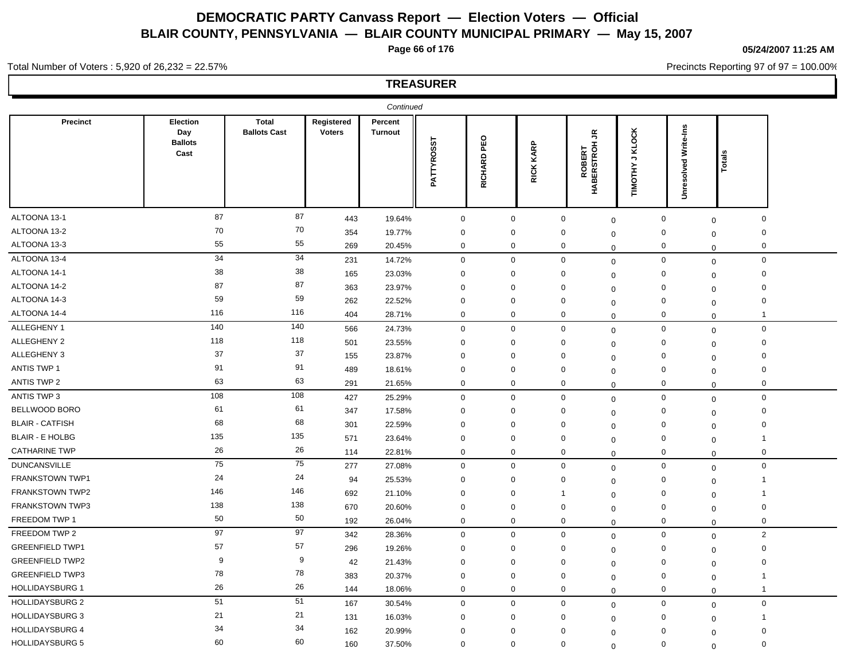**Page 66 of 176**

**05/24/2007 11:25 AM**

Precincts Reporting 97 of 97 = 100.00%

## **TREASURER**

Total Number of Voters : 5,920 of 26,232 = 22.57%

|                        |                                           |                                     |                             | Continued                 |              |                |                     |                                                       |                                                     |                         |                                        |  |
|------------------------|-------------------------------------------|-------------------------------------|-----------------------------|---------------------------|--------------|----------------|---------------------|-------------------------------------------------------|-----------------------------------------------------|-------------------------|----------------------------------------|--|
| <b>Precinct</b>        | Election<br>Day<br><b>Ballots</b><br>Cast | <b>Total</b><br><b>Ballots Cast</b> | Registered<br><b>Voters</b> | Percent<br><b>Turnout</b> | PATTYROSST   | PEO<br>RICHARD | KARP<br><b>RICK</b> | $\tilde{\vec{r}}$<br><b>ROBERT</b><br>BERSTROH<br>ЯÄН | <b>KLOCK</b><br>$\overline{\phantom{a}}$<br>TIMOTHY | Write-Ins<br>Unresolved | Total                                  |  |
| ALTOONA 13-1           | 87                                        | 87                                  | 443                         | 19.64%                    | $\mathbf 0$  | $\mathbf 0$    |                     | $\mathbf 0$                                           | $\mathbf 0$                                         | $\mathbf 0$             | 0<br>$\mathbf 0$                       |  |
| ALTOONA 13-2           | 70                                        | 70                                  | 354                         | 19.77%                    | $\mathbf 0$  | $\mathbf{0}$   |                     | $\mathbf 0$                                           | $\mathbf 0$                                         | $\mathbf 0$             | $\Omega$<br>$\mathbf 0$                |  |
| ALTOONA 13-3           | 55                                        | 55                                  | 269                         | 20.45%                    | $\mathbf 0$  | 0              |                     | 0                                                     | $\mathbf 0$                                         | $\mathbf 0$             | 0<br>$\mathbf 0$                       |  |
| ALTOONA 13-4           | 34                                        | 34                                  | 231                         | 14.72%                    | $\mathbf 0$  | $\mathbf 0$    |                     | $\mathbf 0$                                           | $\mathbf 0$                                         | $\mathbf 0$             | $\mathbf 0$<br>$\mathbf 0$             |  |
| ALTOONA 14-1           | 38                                        | 38                                  | 165                         | 23.03%                    | $\mathbf 0$  | $\mathbf 0$    |                     | $\mathbf 0$                                           | $\mathbf 0$                                         | $\mathbf 0$             | $\mathbf 0$<br>$\mathbf 0$             |  |
| ALTOONA 14-2           | 87                                        | 87                                  | 363                         | 23.97%                    | $\mathbf 0$  | $\mathbf 0$    |                     | 0                                                     | $\mathbf 0$                                         | $\mathbf 0$             | $\mathbf 0$<br>$\mathbf 0$             |  |
| ALTOONA 14-3           | 59                                        | 59                                  | 262                         | 22.52%                    | $\mathbf 0$  | 0              |                     | 0                                                     | $\mathbf 0$                                         | $\mathbf 0$             | $\mathbf 0$<br>$\mathbf 0$             |  |
| ALTOONA 14-4           | 116                                       | 116                                 | 404                         | 28.71%                    | $\mathbf 0$  | 0              |                     | 0                                                     | $\mathbf 0$                                         | $\mathbf 0$             | -1<br>$\mathbf 0$                      |  |
| ALLEGHENY 1            | 140                                       | 140                                 | 566                         | 24.73%                    | $\mathbf 0$  | $\mathbf 0$    |                     | $\mathbf 0$                                           | $\mathbf 0$                                         | $\mathbf 0$             | $\mathbf 0$<br>$\mathbf 0$             |  |
| ALLEGHENY 2            | 118                                       | 118                                 | 501                         | 23.55%                    | $\mathbf 0$  | $\mathbf 0$    |                     | 0                                                     | 0                                                   | $\mathbf 0$             | $\mathbf 0$<br>$\mathbf 0$             |  |
| ALLEGHENY 3            | 37                                        | 37                                  | 155                         | 23.87%                    | $\mathbf 0$  | $\Omega$       |                     | 0                                                     | $\mathbf 0$                                         | $\mathbf 0$             | $\mathbf 0$<br>$\mathbf 0$             |  |
| ANTIS TWP 1            | 91                                        | 91                                  | 489                         | 18.61%                    | $\mathbf 0$  | $\mathbf{0}$   |                     | 0                                                     | $\mathbf 0$                                         | $\mathbf 0$             | $\mathbf 0$<br>$\mathbf 0$             |  |
| ANTIS TWP 2            | 63                                        | 63                                  | 291                         | 21.65%                    | $\mathbf 0$  | $\mathbf 0$    |                     | $\mathbf 0$                                           | $\mathbf 0$                                         | $\mathbf 0$             | 0<br>$\mathbf 0$                       |  |
| ANTIS TWP 3            | 108                                       | 108                                 | 427                         | 25.29%                    | $\mathbf 0$  | $\mathbf 0$    |                     | $\mathbf 0$                                           | $\mathbf 0$                                         | $\mathsf 0$             | 0<br>$\mathbf 0$                       |  |
| BELLWOOD BORO          | 61                                        | 61                                  | 347                         | 17.58%                    | $\mathbf 0$  | 0              |                     | 0                                                     | $\mathbf 0$                                         | $\mathbf 0$             | 0<br>$\mathbf 0$                       |  |
| <b>BLAIR - CATFISH</b> | 68                                        | 68                                  | 301                         | 22.59%                    | $\mathbf 0$  | $\Omega$       |                     | $\mathbf{0}$                                          | $\mathbf 0$                                         | $\mathbf 0$             | $\mathbf 0$<br>$\mathbf 0$             |  |
| <b>BLAIR - E HOLBG</b> | 135                                       | 135                                 | 571                         | 23.64%                    | $\mathbf 0$  | $\mathbf 0$    |                     | $\mathbf 0$                                           | $\Omega$                                            | $\mathbf 0$             | 1<br>$\mathbf 0$                       |  |
| <b>CATHARINE TWP</b>   | 26                                        | 26                                  | 114                         | 22.81%                    | $\mathbf 0$  | $\mathbf 0$    |                     | $\mathbf 0$                                           | $\Omega$                                            | $\mathbf 0$             | 0<br>$\mathbf 0$                       |  |
| <b>DUNCANSVILLE</b>    | 75                                        | 75                                  | 277                         | 27.08%                    | $\mathbf 0$  | $\mathbf 0$    |                     | $\mathbf 0$                                           | $\mathbf 0$                                         | $\mathbf 0$             | 0<br>$\mathbf 0$                       |  |
| <b>FRANKSTOWN TWP1</b> | 24                                        | 24                                  | 94                          | 25.53%                    | $\mathbf{0}$ | $\mathbf{0}$   |                     | 0                                                     | $\mathbf 0$                                         | $\mathbf 0$             | -1<br>$\mathbf 0$                      |  |
| FRANKSTOWN TWP2        | 146                                       | 146                                 | 692                         | 21.10%                    | $\mathbf 0$  | 0              |                     | -1                                                    | $\mathbf 0$                                         | $\mathbf 0$             | -1<br>$\mathbf 0$                      |  |
| <b>FRANKSTOWN TWP3</b> | 138                                       | 138                                 | 670                         | 20.60%                    | $\mathbf 0$  | $\mathbf 0$    |                     | $\mathbf 0$                                           | $\mathbf 0$                                         | $\mathbf 0$             | $\mathbf 0$<br>$\mathbf 0$             |  |
| FREEDOM TWP 1          | 50                                        | 50                                  | 192                         | 26.04%                    | $\mathbf 0$  | 0              |                     | $\mathbf 0$                                           | $\mathbf 0$                                         | $\mathbf 0$             | 0<br>$\mathbf 0$                       |  |
| FREEDOM TWP 2          | 97                                        | 97                                  | 342                         | 28.36%                    | $\mathbf 0$  | $\mathbf 0$    |                     | $\mathbf 0$                                           | $\mathbf 0$                                         | $\mathsf 0$             | $\mathbf{2}$<br>$\mathbf 0$            |  |
| <b>GREENFIELD TWP1</b> | 57                                        | 57                                  | 296                         | 19.26%                    | $\mathbf 0$  | 0              |                     | 0                                                     | $\mathbf 0$                                         | $\mathbf 0$             | $\mathbf 0$<br>$\mathbf 0$             |  |
| <b>GREENFIELD TWP2</b> | 9                                         | 9                                   | 42                          | 21.43%                    | $\mathbf 0$  | $\mathbf 0$    |                     | $\mathbf 0$                                           | $\Omega$                                            | $\mathbf 0$             | $\mathbf 0$<br>$\mathbf 0$             |  |
| <b>GREENFIELD TWP3</b> | 78                                        | 78                                  | 383                         | 20.37%                    | $\mathbf 0$  | $\mathbf 0$    |                     | $\mathbf 0$                                           | $\mathbf 0$                                         | $\mathbf 0$             | $\mathbf 1$<br>$\mathbf 0$             |  |
| <b>HOLLIDAYSBURG 1</b> | 26                                        | 26                                  | 144                         | 18.06%                    | $\mathbf 0$  | 0              |                     | $\mathbf 0$                                           | $\mathbf 0$                                         | $\mathbf 0$             | $\overline{\mathbf{1}}$<br>$\mathbf 0$ |  |
| <b>HOLLIDAYSBURG 2</b> | 51                                        | 51                                  | 167                         | 30.54%                    | $\mathbf 0$  | $\mathbf{0}$   |                     | $\mathbf 0$                                           | $\mathbf 0$                                         | $\mathbf 0$             | $\mathbf 0$<br>$\mathbf 0$             |  |
| <b>HOLLIDAYSBURG 3</b> | 21                                        | 21                                  | 131                         | 16.03%                    | $\mathbf 0$  | $\Omega$       |                     | $\mathbf{0}$                                          | $\mathbf 0$                                         | 0                       | -1<br>$\mathbf 0$                      |  |
| <b>HOLLIDAYSBURG 4</b> | 34                                        | 34                                  | 162                         | 20.99%                    | $\mathbf 0$  | $\mathbf 0$    |                     | 0                                                     | $\Omega$                                            | $\mathbf 0$             | $\mathbf 0$<br>$\mathbf{0}$            |  |
| <b>HOLLIDAYSBURG 5</b> | 60                                        | 60                                  | 160                         | 37.50%                    | $\mathbf 0$  | $\mathbf 0$    |                     | $\Omega$                                              | $\Omega$                                            | $\mathbf 0$             | $\Omega$<br>$\mathbf 0$                |  |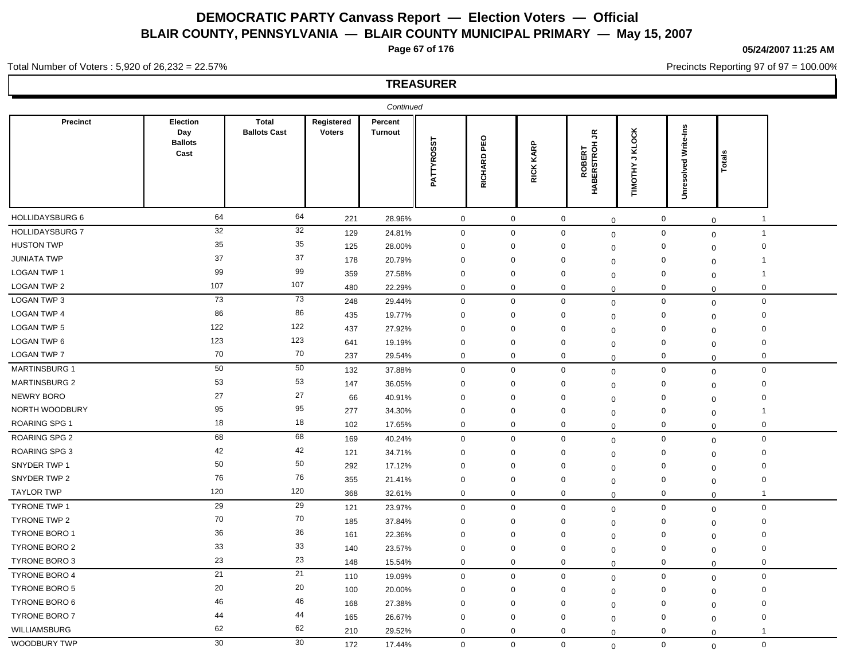**Page 67 of 176**

**05/24/2007 11:25 AM**

Precincts Reporting 97 of 97 = 100.00%

## **TREASURER**

Total Number of Voters : 5,920 of 26,232 = 22.57%

|                        |                                           |                                     |                             | Continued                 |             |                |                      |                                           |                                              |                             |                                        |  |
|------------------------|-------------------------------------------|-------------------------------------|-----------------------------|---------------------------|-------------|----------------|----------------------|-------------------------------------------|----------------------------------------------|-----------------------------|----------------------------------------|--|
| Precinct               | Election<br>Day<br><b>Ballots</b><br>Cast | <b>Total</b><br><b>Ballots Cast</b> | Registered<br><b>Voters</b> | Percent<br><b>Turnout</b> | PATTYROSST  | PEO<br>RICHARD | KARP<br><b>RICKI</b> | $\tilde{\vec{r}}$<br>ROBERT<br>HABERSTROH | KLOCK<br>$\overline{\phantom{a}}$<br>TIMOTHY | Write-Ins<br>bed<br>Unresol | <b>Total</b>                           |  |
| HOLLIDAYSBURG 6        | 64                                        | 64                                  | 221                         | 28.96%                    | $\mathbf 0$ | $\mathbf 0$    |                      | $\mathbf 0$<br>$\mathbf 0$                | 0                                            |                             | -1<br>$\mathbf 0$                      |  |
| <b>HOLLIDAYSBURG 7</b> | 32                                        | 32                                  | 129                         | 24.81%                    | $\mathbf 0$ | $\mathbf 0$    |                      | $\mathbf 0$<br>$\mathbf 0$                | $\mathbf 0$                                  |                             | $\overline{\mathbf{1}}$<br>$\mathbf 0$ |  |
| <b>HUSTON TWP</b>      | 35                                        | 35                                  | 125                         | 28.00%                    | $\mathbf 0$ | $\mathbf 0$    |                      | $\mathbf 0$<br>$\mathbf 0$                | $\mathbf 0$                                  |                             | $\mathbf 0$<br>$\mathbf 0$             |  |
| <b>JUNIATA TWP</b>     | 37                                        | 37                                  | 178                         | 20.79%                    | $\mathbf 0$ | $\mathbf 0$    |                      | $\mathbf 0$<br>$\mathbf 0$                | $\mathbf 0$                                  |                             | $\mathbf 1$<br>$\mathbf 0$             |  |
| <b>LOGAN TWP 1</b>     | 99                                        | 99                                  | 359                         | 27.58%                    | $\mathbf 0$ | $\mathbf 0$    |                      | 0<br>$\Omega$                             | $\mathbf 0$                                  |                             | $\mathbf 1$<br>$\mathbf{0}$            |  |
| <b>LOGAN TWP 2</b>     | 107                                       | 107                                 | 480                         | 22.29%                    | $\mathbf 0$ | $\mathbf 0$    |                      | $\mathbf 0$<br>$\mathbf 0$                | $\mathbf 0$                                  |                             | 0<br>$\mathbf 0$                       |  |
| LOGAN TWP 3            | 73                                        | 73                                  | 248                         | 29.44%                    | $\mathbf 0$ | $\mathbf 0$    |                      | $\mathbf 0$<br>$\mathbf 0$                | $\mathbf 0$                                  |                             | $\mathbf 0$<br>$\mathbf 0$             |  |
| <b>LOGAN TWP 4</b>     | 86                                        | 86                                  | 435                         | 19.77%                    | $\mathbf 0$ | 0              |                      | 0<br>$\mathbf 0$                          | $\mathbf 0$                                  |                             | 0<br>$\mathbf 0$                       |  |
| <b>LOGAN TWP 5</b>     | 122                                       | 122                                 | 437                         | 27.92%                    | 0           | $\Omega$       |                      | $\mathbf{0}$<br>$\Omega$                  | 0                                            |                             | 0<br>$\mathbf 0$                       |  |
| LOGAN TWP 6            | 123                                       | 123                                 | 641                         | 19.19%                    | $\mathbf 0$ | $\mathbf 0$    |                      | $\mathbf 0$<br>$\mathbf 0$                | $\mathbf 0$                                  |                             | $\mathbf 0$<br>$\mathbf 0$             |  |
| <b>LOGAN TWP 7</b>     | 70                                        | 70                                  | 237                         | 29.54%                    | $\mathbf 0$ | $\mathbf 0$    |                      | $\mathbf 0$<br>$\Omega$                   | $\mathbf 0$                                  |                             | 0<br>$\mathbf 0$                       |  |
| <b>MARTINSBURG 1</b>   | 50                                        | 50                                  | 132                         | 37.88%                    | $\mathbf 0$ | $\mathbf 0$    |                      | $\mathbf 0$<br>$\mathbf 0$                | $\mathbf 0$                                  |                             | $\mathbf 0$<br>$\mathbf 0$             |  |
| <b>MARTINSBURG 2</b>   | 53                                        | 53                                  | 147                         | 36.05%                    | $\mathbf 0$ | $\mathbf 0$    |                      | 0<br>$\Omega$                             | $\mathbf 0$                                  |                             | $\mathbf 0$<br>$\mathbf 0$             |  |
| <b>NEWRY BORO</b>      | 27                                        | 27                                  | 66                          | 40.91%                    | $\mathbf 0$ | $\mathbf 0$    |                      | $\mathbf 0$<br>$\mathbf 0$                | $\mathbf 0$                                  |                             | 0<br>$\mathbf 0$                       |  |
| NORTH WOODBURY         | 95                                        | 95                                  | 277                         | 34.30%                    | $\mathbf 0$ | $\mathbf 0$    |                      | 0<br>$\mathbf 0$                          | $\mathbf 0$                                  |                             | 1<br>$\mathbf 0$                       |  |
| <b>ROARING SPG 1</b>   | 18                                        | 18                                  | 102                         | 17.65%                    | $\mathbf 0$ | 0              |                      | 0<br>$\mathbf 0$                          | 0                                            |                             | 0<br>$\mathbf 0$                       |  |
| ROARING SPG 2          | 68                                        | 68                                  | 169                         | 40.24%                    | $\mathbf 0$ | $\mathbf 0$    |                      | $\boldsymbol{0}$<br>$\mathbf 0$           | $\mathsf 0$                                  |                             | $\mathbf 0$<br>$\mathbf 0$             |  |
| ROARING SPG 3          | 42                                        | 42                                  | 121                         | 34.71%                    | $\mathbf 0$ | 0              |                      | 0<br>$\mathbf 0$                          | 0                                            |                             | $\mathbf 0$<br>$\mathbf 0$             |  |
| SNYDER TWP 1           | 50                                        | 50                                  | 292                         | 17.12%                    | $\mathbf 0$ | $\mathbf 0$    |                      | $\mathbf 0$<br>$\mathbf 0$                | $\mathbf 0$                                  |                             | $\mathbf 0$<br>$\mathbf 0$             |  |
| SNYDER TWP 2           | 76                                        | 76                                  | 355                         | 21.41%                    | $\mathbf 0$ | $\mathbf 0$    |                      | $\mathbf 0$<br>$\Omega$                   | $\mathbf 0$                                  |                             | $\mathbf 0$<br>$\mathbf 0$             |  |
| <b>TAYLOR TWP</b>      | 120                                       | 120                                 | 368                         | 32.61%                    | $\mathbf 0$ | $\mathbf 0$    |                      | $\mathbf 0$<br>0                          | $\mathbf 0$                                  |                             | $\mathbf 1$<br>$\mathbf 0$             |  |
| <b>TYRONE TWP 1</b>    | 29                                        | 29                                  | 121                         | 23.97%                    | $\mathbf 0$ | $\mathbf 0$    |                      | $\mathbf 0$<br>$\mathbf 0$                | $\mathbf 0$                                  |                             | $\mathbf 0$<br>$\mathbf 0$             |  |
| <b>TYRONE TWP 2</b>    | 70                                        | 70                                  | 185                         | 37.84%                    | $\mathbf 0$ | $\mathbf 0$    |                      | $\mathbf 0$<br>$\mathbf 0$                | $\mathbf 0$                                  |                             | 0<br>$\mathbf 0$                       |  |
| <b>TYRONE BORO 1</b>   | 36                                        | 36                                  | 161                         | 22.36%                    | $\mathbf 0$ | $\Omega$       |                      | $\Omega$<br>$\Omega$                      | $\mathbf 0$                                  |                             | 0<br>$\mathbf 0$                       |  |
| TYRONE BORO 2          | 33                                        | 33                                  | 140                         | 23.57%                    | $\mathbf 0$ | 0              |                      | 0<br>$\mathbf 0$                          | $\mathbf 0$                                  |                             | $\mathbf 0$<br>$\mathbf 0$             |  |
| TYRONE BORO 3          | 23                                        | 23                                  | 148                         | 15.54%                    | $\mathbf 0$ | $\mathbf 0$    |                      | $\mathbf 0$<br>$\Omega$                   | $\mathbf 0$                                  |                             | $\mathbf 0$<br>$\mathbf 0$             |  |
| <b>TYRONE BORO 4</b>   | 21                                        | 21                                  | 110                         | 19.09%                    | $\mathbf 0$ | $\mathbf 0$    |                      | $\mathbf 0$<br>$\mathbf 0$                | $\mathbf 0$                                  |                             | $\mathbf 0$<br>$\mathbf 0$             |  |
| <b>TYRONE BORO 5</b>   | 20                                        | 20                                  | 100                         | 20.00%                    | $\mathbf 0$ | $\mathbf{0}$   |                      | $\mathbf 0$<br>$\mathbf 0$                | $\mathbf 0$                                  |                             | $\mathbf 0$<br>$\mathbf 0$             |  |
| <b>TYRONE BORO 6</b>   | 46                                        | 46                                  | 168                         | 27.38%                    | $\mathbf 0$ | $\mathbf 0$    |                      | $\mathbf 0$<br>$\mathbf 0$                | $\mathbf 0$                                  |                             | 0<br>$\mathbf 0$                       |  |
| <b>TYRONE BORO 7</b>   | 44                                        | 44                                  | 165                         | 26.67%                    | $\mathbf 0$ | $\mathbf 0$    |                      | $\mathbf 0$<br>$\mathbf 0$                | $\mathbf 0$                                  |                             | $\mathbf 0$<br>$\mathbf 0$             |  |
| WILLIAMSBURG           | 62                                        | 62                                  | 210                         | 29.52%                    | $\mathbf 0$ | $\mathbf 0$    |                      | 0<br>$\mathbf 0$                          | 0                                            |                             | -1<br>$\mathbf 0$                      |  |
| WOODBURY TWP           | 30                                        | 30                                  | 172                         | 17.44%                    | $\mathbf 0$ | $\mathbf{0}$   |                      | $\mathbf 0$<br>$\Omega$                   | $\mathbf 0$                                  |                             | $\mathbf 0$<br>$\mathbf 0$             |  |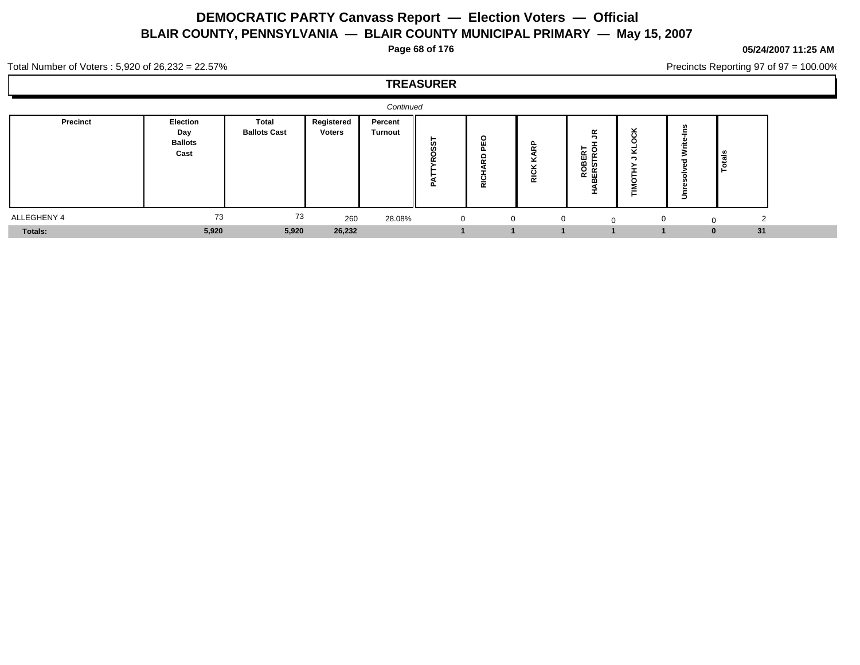**Page 68 of 176**

**05/24/2007 11:25 AM**

Precincts Reporting 97 of 97 = 100.00%

#### Total Number of Voters : 5,920 of 26,232 = 22.57%

|             |                                           |                              |                             | Continued                 |              |                                    |                                                                                                         |                                                               |             |               |  |
|-------------|-------------------------------------------|------------------------------|-----------------------------|---------------------------|--------------|------------------------------------|---------------------------------------------------------------------------------------------------------|---------------------------------------------------------------|-------------|---------------|--|
| Precinct    | Election<br>Day<br><b>Ballots</b><br>Cast | Total<br><b>Ballots Cast</b> | Registered<br><b>Voters</b> | Percent<br><b>Turnout</b> | ட            | o<br>Ŵ.<br>≏<br>$\alpha$<br>ပ<br>ᄒ | $\overline{\phantom{a}}$<br>$\ddot{\phantom{1}}$<br>$\overline{\phantom{0}}$<br><br>O<br>-<br>$\propto$ | <b>K</b><br>ہ ج<br>م<br>$\alpha$<br>ш<br>ଳ ବ<br>ᅌᄙ<br>≃面<br>m | $\sim$<br>- | l as<br>Totas |  |
| ALLEGHENY 4 | 73                                        | 73                           | 260                         | 28.08%                    | $\mathbf{0}$ | $\Omega$                           | $\mathbf{0}$                                                                                            | $\Omega$                                                      | $\Omega$    |               |  |
| Totals:     | 5,920                                     | 5,920                        | 26,232                      |                           |              |                                    |                                                                                                         |                                                               |             | 31            |  |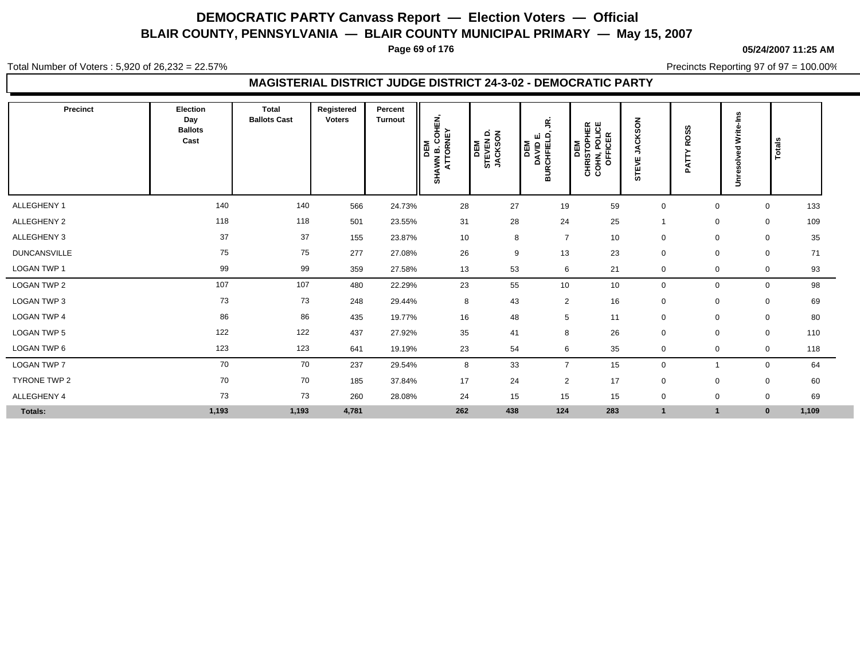**Page 69 of 176**

**05/24/2007 11:25 AM**

Total Number of Voters : 5,920 of 26,232 = 22.57%

Precincts Reporting 97 of 97 = 100.00%

## **MAGISTERIAL DISTRICT JUDGE DISTRICT 24-3-02 - DEMOCRATIC PARTY**

| Precinct            | Election<br>Day<br><b>Ballots</b><br>Cast | <b>Total</b><br><b>Ballots Cast</b> | Registered<br><b>Voters</b> | Percent<br><b>Turnout</b> | <b>AVIN B. COHEN,<br/>ATTORNEY</b><br>DEM<br><b>SHAWN</b> | STEVEN D.<br>JACKSON<br>DEM | ς.<br>DEM<br>DAVID E.<br>BURCHFIELD, | <b>DEM<br/>CHRISTOPHER<br/>COHN, POLICE<br/>COFFICER</b> | ACKSON<br>∍<br>삥<br>STE | <b>ROSS</b><br>⊧<br>Ä | Write-Ins<br>Unresolved | Totals               |  |
|---------------------|-------------------------------------------|-------------------------------------|-----------------------------|---------------------------|-----------------------------------------------------------|-----------------------------|--------------------------------------|----------------------------------------------------------|-------------------------|-----------------------|-------------------------|----------------------|--|
| ALLEGHENY 1         | 140                                       | 140                                 | 566                         | 24.73%                    | 28                                                        | 27                          | 19                                   | 59                                                       | $\mathbf 0$             | $\Omega$              |                         | 133<br>$\mathbf 0$   |  |
| ALLEGHENY 2         | 118                                       | 118                                 | 501                         | 23.55%                    | 31                                                        | 28                          | 24                                   | 25                                                       |                         | 0                     |                         | 109<br>0             |  |
| ALLEGHENY 3         | 37                                        | 37                                  | 155                         | 23.87%                    | 10                                                        | 8                           | $\overline{7}$                       | 10                                                       | $\mathbf 0$             | $\mathbf 0$           |                         | 35<br>$\mathbf 0$    |  |
| <b>DUNCANSVILLE</b> | 75                                        | 75                                  | 277                         | 27.08%                    | 26                                                        | 9                           | 13                                   | 23                                                       | $\mathbf 0$             | $\mathbf 0$           |                         | 71<br>$\mathbf 0$    |  |
| LOGAN TWP 1         | 99                                        | 99                                  | 359                         | 27.58%                    | 13                                                        | 53                          | 6                                    | 21                                                       | 0                       | $\Omega$              |                         | 93<br>$\mathbf 0$    |  |
| LOGAN TWP 2         | 107                                       | 107                                 | 480                         | 22.29%                    | 23                                                        | 55                          | 10                                   | 10                                                       | $\pmb{0}$               | $\Omega$              |                         | 0<br>98              |  |
| <b>LOGAN TWP 3</b>  | 73                                        | 73                                  | 248                         | 29.44%                    | 8                                                         | 43                          | $\overline{2}$                       | 16                                                       | $\mathbf 0$             | $\mathbf 0$           |                         | 69<br>$\mathbf 0$    |  |
| <b>LOGAN TWP 4</b>  | 86                                        | 86                                  | 435                         | 19.77%                    | 16                                                        | 48                          | 5                                    | 11                                                       | $\mathbf 0$             | $\mathbf 0$           |                         | 80<br>$\mathbf 0$    |  |
| <b>LOGAN TWP 5</b>  | 122                                       | 122                                 | 437                         | 27.92%                    | 35                                                        | 41                          | 8                                    | 26                                                       | 0                       | $\Omega$              |                         | 110<br>$\mathbf 0$   |  |
| LOGAN TWP 6         | 123                                       | 123                                 | 641                         | 19.19%                    | 23                                                        | 54                          | 6                                    | 35                                                       | 0                       | 0                     |                         | 118<br>$\mathbf 0$   |  |
| <b>LOGAN TWP 7</b>  | 70                                        | 70                                  | 237                         | 29.54%                    | 8                                                         | 33                          | $\overline{7}$                       | 15                                                       | $\mathbf 0$             |                       |                         | 0<br>64              |  |
| TYRONE TWP 2        | 70                                        | 70                                  | 185                         | 37.84%                    | 17                                                        | 24                          | $\overline{2}$                       | 17                                                       | $\mathbf 0$             | $\Omega$              |                         | $\mathbf 0$<br>60    |  |
| ALLEGHENY 4         | 73                                        | 73                                  | 260                         | 28.08%                    | 24                                                        | 15                          | 15                                   | 15                                                       | 0                       | $\mathbf 0$           |                         | 69<br>0              |  |
| Totals:             | 1,193                                     | 1,193                               | 4,781                       |                           | 262                                                       | 438                         | 124                                  | 283                                                      | $\mathbf{1}$            |                       |                         | 1,109<br>$\mathbf 0$ |  |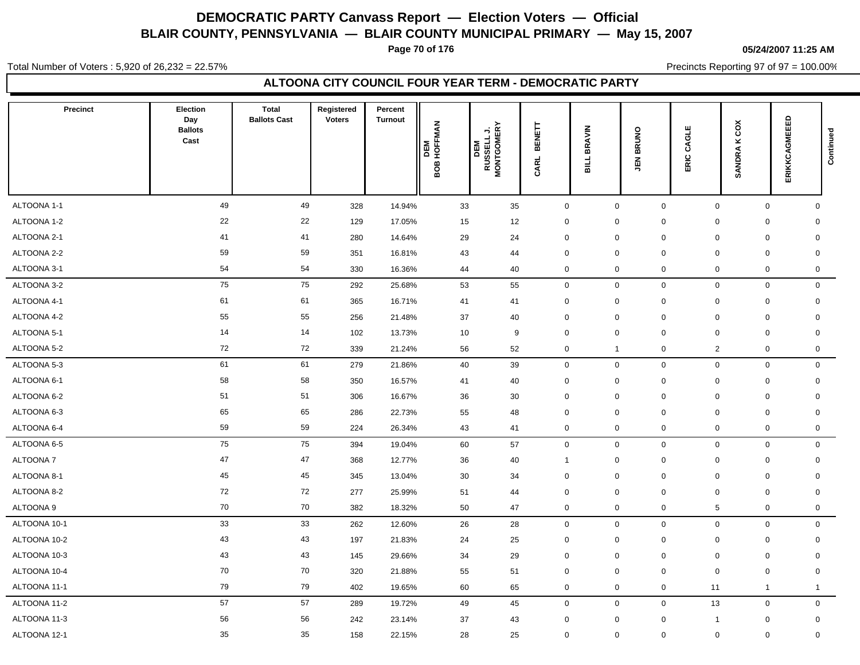**Page 70 of 176**

#### **05/24/2007 11:25 AM**

Total Number of Voters : 5,920 of 26,232 = 22.57%

Precincts Reporting 97 of 97 = 100.00%

## **ALTOONA CITY COUNCIL FOUR YEAR TERM - DEMOCRATIC PARTY**

| <b>Precinct</b>            | <b>Election</b><br>Day<br><b>Ballots</b><br>Cast | <b>Total</b><br><b>Ballots Cast</b> | Registered<br><b>Voters</b> | Percent<br><b>Turnout</b> | DEM<br>3OB HOFFMAN<br>o | <b>RUSSELL J.<br/>MONTGOMERY</b><br>DEM | BENETT<br>CARL                     | <b>BRAVIN</b><br>ᆜ<br>긂         | BRUNO<br>$\frac{2}{3}$     | CAGLE<br>ERIC                 | SANDRA KCOX                        | ERIKKCAGMEEED    | Continued |
|----------------------------|--------------------------------------------------|-------------------------------------|-----------------------------|---------------------------|-------------------------|-----------------------------------------|------------------------------------|---------------------------------|----------------------------|-------------------------------|------------------------------------|------------------|-----------|
|                            | 49                                               | 49                                  |                             |                           |                         |                                         |                                    |                                 |                            |                               |                                    |                  |           |
| ALTOONA 1-1<br>ALTOONA 1-2 | 22                                               | 22                                  | 328                         | 14.94%                    | 33                      | 35                                      | $\mathbf 0$                        | $\mathbf 0$                     | $\mathbf 0$                | $\mathbf 0$                   | $\mathbf 0$                        | $\mathbf 0$      |           |
| ALTOONA 2-1                | 41                                               | 41                                  | 129<br>280                  | 17.05%<br>14.64%          | 15<br>29                | 12<br>24                                | $\mathbf 0$<br>$\mathbf 0$         | $\mathbf 0$<br>$\boldsymbol{0}$ | $\mathbf 0$<br>$\mathbf 0$ | 0<br>$\mathbf 0$              | $\mathbf 0$<br>$\mathbf 0$         | 0<br>$\mathbf 0$ |           |
| ALTOONA 2-2                | 59                                               | 59                                  | 351                         | 16.81%                    | 43                      | 44                                      | $\mathbf 0$                        | $\mathbf 0$                     | $\mathbf 0$                | $\mathbf 0$                   | $\mathbf 0$                        | $\mathbf 0$      |           |
| ALTOONA 3-1                | 54                                               | 54                                  | 330                         | 16.36%                    | 44                      | 40                                      | $\mathsf{O}\xspace$                | $\mathbf 0$                     | $\mathbf 0$                | $\mathbf 0$                   | $\mathbf 0$                        | 0                |           |
| ALTOONA 3-2                | 75                                               | 75                                  |                             |                           |                         |                                         |                                    |                                 |                            |                               |                                    | $\mathbf 0$      |           |
| ALTOONA 4-1                | 61                                               | 61                                  | 292<br>365                  | 25.68%<br>16.71%          | 53<br>41                | 55<br>41                                | $\mathsf{O}\xspace$<br>$\mathbf 0$ | $\mathbf 0$<br>$\mathbf 0$      | $\mathbf 0$<br>$\pmb{0}$   | $\mathbf 0$<br>$\mathbf 0$    | $\mathbf 0$<br>$\mathbf 0$         | $\mathbf 0$      |           |
| ALTOONA 4-2                | 55                                               | 55                                  | 256                         | 21.48%                    | 37                      | 40                                      | $\mathbf 0$                        | $\mathbf 0$                     | $\mathbf 0$                | $\mathbf 0$                   | $\mathbf 0$                        | $\mathbf 0$      |           |
|                            | 14                                               | 14                                  |                             |                           |                         |                                         |                                    |                                 |                            |                               |                                    |                  |           |
| ALTOONA 5-1                | 72                                               | 72                                  | 102<br>339                  | 13.73%                    | 10                      | 9<br>52                                 | $\mathsf{O}\xspace$                | $\mathbf 0$<br>$\overline{1}$   | $\mathbf 0$<br>0           | $\mathbf 0$                   | $\mathbf 0$<br>$\mathsf{O}\xspace$ | $\mathbf 0$      |           |
| ALTOONA 5-2                | 61                                               | 61                                  |                             | 21.24%                    | 56                      |                                         | $\mathbf 0$                        |                                 |                            | $\overline{2}$<br>$\mathbf 0$ |                                    | 0<br>$\mathbf 0$ |           |
| ALTOONA 5-3                |                                                  |                                     | 279                         | 21.86%                    | 40                      | 39                                      | $\mathsf{O}\xspace$                | $\mathbf 0$                     | $\mathbf 0$<br>$\mathbf 0$ |                               | $\mathbf 0$                        |                  |           |
| ALTOONA 6-1                | 58                                               | 58                                  | 350                         | 16.57%                    | 41                      | 40                                      | $\mathsf{O}\xspace$                | $\mathbf 0$                     |                            | $\mathbf 0$                   | $\pmb{0}$                          | $\mathbf 0$      |           |
| ALTOONA 6-2                | 51                                               | 51<br>65                            | 306                         | 16.67%                    | 36                      | 30                                      | $\mathbf 0$                        | $\mathbf 0$                     | $\mathbf 0$                | $\mathbf 0$                   | $\mathbf 0$                        | $\mathbf 0$      |           |
| ALTOONA 6-3                | 65                                               |                                     | 286                         | 22.73%                    | 55                      | 48                                      | $\mathbf 0$                        | $\mathbf 0$                     | $\mathbf 0$                | $\mathbf 0$                   | $\mathbf 0$                        | $\mathbf 0$      |           |
| ALTOONA 6-4                | 59                                               | 59                                  | 224                         | 26.34%                    | 43                      | 41                                      | $\mathbf 0$                        | $\mathbf 0$                     | $\mathbf 0$                | 0                             | 0                                  | 0                |           |
| ALTOONA 6-5                | 75                                               | 75                                  | 394                         | 19.04%                    | 60                      | 57                                      | $\mathbf 0$                        | $\mathbf 0$                     | $\mathbf 0$                | $\mathbf 0$                   | $\mathbf 0$                        | $\mathbf 0$      |           |
| <b>ALTOONA7</b>            | 47                                               | 47                                  | 368                         | 12.77%                    | 36                      | 40                                      | -1                                 | $\mathbf 0$                     | $\mathbf 0$                | $\mathbf 0$                   | $\mathsf{O}\xspace$                | $\mathbf 0$      |           |
| ALTOONA 8-1                | 45                                               | 45                                  | 345                         | 13.04%                    | 30                      | 34                                      | $\mathsf 0$                        | $\mathbf 0$                     | $\pmb{0}$                  | $\mathbf 0$                   | $\mathbf 0$                        | $\mathbf 0$      |           |
| ALTOONA 8-2                | 72                                               | 72                                  | 277                         | 25.99%                    | 51                      | 44                                      | $\mathsf 0$                        | $\mathbf 0$                     | $\mathbf 0$                | $\mathbf 0$                   | $\mathbf 0$                        | $\mathbf 0$      |           |
| ALTOONA 9                  | 70                                               | 70                                  | 382                         | 18.32%                    | 50                      | 47                                      | $\mathbf 0$                        | $\mathbf 0$                     | 0                          | 5                             | $\mathbf 0$                        | $\mathbf 0$      |           |
| ALTOONA 10-1               | 33                                               | 33                                  | 262                         | 12.60%                    | 26                      | 28                                      | $\mathsf 0$                        | $\mathbf 0$                     | $\mathbf 0$                | $\mathbf 0$                   | $\mathbf 0$                        | $\mathsf{O}$     |           |
| ALTOONA 10-2               | 43                                               | 43                                  | 197                         | 21.83%                    | 24                      | 25                                      | $\mathsf 0$                        | $\mathbf 0$                     | $\pmb{0}$                  | $\mathbf 0$                   | $\mathbf 0$                        | $\mathbf 0$      |           |
| ALTOONA 10-3               | 43                                               | 43                                  | 145                         | 29.66%                    | 34                      | 29                                      | $\mathsf 0$                        | $\boldsymbol{0}$                | $\pmb{0}$                  | $\mathbf 0$                   | $\mathbf 0$                        | $\mathbf 0$      |           |
| ALTOONA 10-4               | 70                                               | 70                                  | 320                         | 21.88%                    | 55                      | 51                                      | $\mathsf 0$                        | $\mathbf 0$                     | $\pmb{0}$                  | $\Omega$                      | $\mathbf 0$                        | $\mathbf 0$      |           |
| ALTOONA 11-1               | 79                                               | 79                                  | 402                         | 19.65%                    | 60                      | 65                                      | 0                                  | $\mathbf 0$                     | 0                          | 11                            | $\mathbf{1}$                       | $\mathbf{1}$     |           |
| ALTOONA 11-2               | 57                                               | 57                                  | 289                         | 19.72%                    | 49                      | 45                                      | $\mathbf 0$                        | $\mathbf 0$                     | $\mathbf 0$                | 13                            | $\mathbf 0$                        | $\mathbf 0$      |           |
| ALTOONA 11-3               | 56                                               | 56                                  | 242                         | 23.14%                    | 37                      | 43                                      | $\mathbf 0$                        | $\mathbf 0$                     | $\mathbf 0$                | -1                            | $\mathbf 0$                        | $\mathbf 0$      |           |
| ALTOONA 12-1               | 35                                               | 35                                  | 158                         | 22.15%                    | 28                      | 25                                      | $\mathbf 0$                        | $\mathbf 0$                     | $\mathbf 0$                | $\mathbf 0$                   | $\mathbf 0$                        | $\mathbf 0$      |           |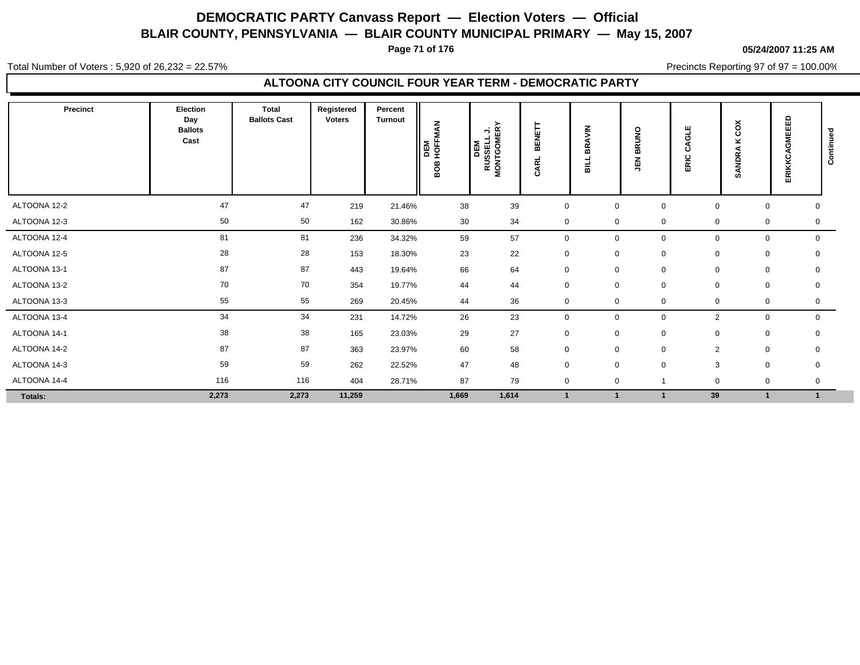**Page 71 of 176**

#### **05/24/2007 11:25 AM**

Total Number of Voters : 5,920 of 26,232 = 22.57%

Precincts Reporting 97 of 97 = 100.00%

## **ALTOONA CITY COUNCIL FOUR YEAR TERM - DEMOCRATIC PARTY**

| Precinct     | Election<br>Day<br><b>Ballots</b><br>Cast | <b>Total</b><br><b>Ballots Cast</b> | Registered<br><b>Voters</b> | Percent<br><b>Turnout</b> | ₹<br>HOFFM,<br>DEM<br>808 | <b>RUSSELL J.<br/>MONTGOMERY</b><br>DEM | BENET<br><b>ARL</b><br>ت | <b>AVIN</b><br>없<br>륿 | $\frac{8}{5}$<br>$\alpha$<br>ᆱ<br>즶<br>∍ | Ш<br>ଟ୍ର<br>ن<br>ERIC | čõ<br>×<br>SANDRA | GMEEED<br>ERIKKC | Continued |
|--------------|-------------------------------------------|-------------------------------------|-----------------------------|---------------------------|---------------------------|-----------------------------------------|--------------------------|-----------------------|------------------------------------------|-----------------------|-------------------|------------------|-----------|
| ALTOONA 12-2 | 47                                        | 47                                  | 219                         | 21.46%                    | 38                        | 39                                      | $\mathbf 0$              | $\mathbf 0$           | $\mathbf 0$                              | $\mathbf 0$           | $\mathbf 0$       | $\mathbf 0$      |           |
| ALTOONA 12-3 | 50                                        | 50                                  | 162                         | 30.86%                    | 30                        | 34                                      | $\mathbf 0$              | $\mathbf 0$           | $\mathbf 0$                              | $\mathbf 0$           | 0                 | 0                |           |
| ALTOONA 12-4 | 81                                        | 81                                  | 236                         | 34.32%                    | 59                        | 57                                      | $\mathbf 0$              | $\mathbf 0$           | $\mathbf 0$                              | $\mathbf 0$           | $\mathbf 0$       | $\mathbf 0$      |           |
| ALTOONA 12-5 | 28                                        | 28                                  | 153                         | 18.30%                    | 23                        | 22                                      | $\mathbf 0$              | $\mathbf 0$           | $\mathbf 0$                              | $\mathbf 0$           | 0                 | 0                |           |
| ALTOONA 13-1 | 87                                        | 87                                  | 443                         | 19.64%                    | 66                        | 64                                      | $\mathbf 0$              | $\mathbf 0$           | $\mathbf 0$                              | $\mathbf 0$           | 0                 | 0                |           |
| ALTOONA 13-2 | 70                                        | 70                                  | 354                         | 19.77%                    | 44                        | 44                                      | $\mathbf 0$              | $\mathbf 0$           | $\mathbf 0$                              | 0                     | 0                 | 0                |           |
| ALTOONA 13-3 | 55                                        | 55                                  | 269                         | 20.45%                    | 44                        | 36                                      | $\mathbf 0$              | $\mathbf 0$           | $\mathbf 0$                              | $\mathbf 0$           | $\mathbf 0$       | 0                |           |
| ALTOONA 13-4 | 34                                        | 34                                  | 231                         | 14.72%                    | 26                        | 23                                      | $\mathbf 0$              | $\mathbf 0$           | 0                                        | 2                     | 0                 | $\mathbf 0$      |           |
| ALTOONA 14-1 | 38                                        | 38                                  | 165                         | 23.03%                    | 29                        | 27                                      | $\mathbf 0$              | $\mathbf 0$           | $\mathbf 0$                              | $\mathbf 0$           | 0                 | 0                |           |
| ALTOONA 14-2 | 87                                        | 87                                  | 363                         | 23.97%                    | 60                        | 58                                      | $\mathbf 0$              | $\mathbf 0$           | $\mathbf 0$                              | $\overline{2}$        | 0                 | $\mathbf 0$      |           |
| ALTOONA 14-3 | 59                                        | 59                                  | 262                         | 22.52%                    | 47                        | 48                                      | $\mathbf 0$              | $\mathbf 0$           | $\mathbf 0$                              | 3                     | $\mathbf 0$       | 0                |           |
| ALTOONA 14-4 | 116                                       | 116                                 | 404                         | 28.71%                    | 87                        | 79                                      | $\mathbf 0$              | $\mathbf 0$           |                                          | $\mathbf 0$           | 0                 | 0                |           |
| Totals:      | 2,273                                     | 2,273                               | 11,259                      |                           | 1,669                     | 1,614                                   | $\overline{1}$           |                       |                                          | 39                    |                   | $\mathbf{1}$     |           |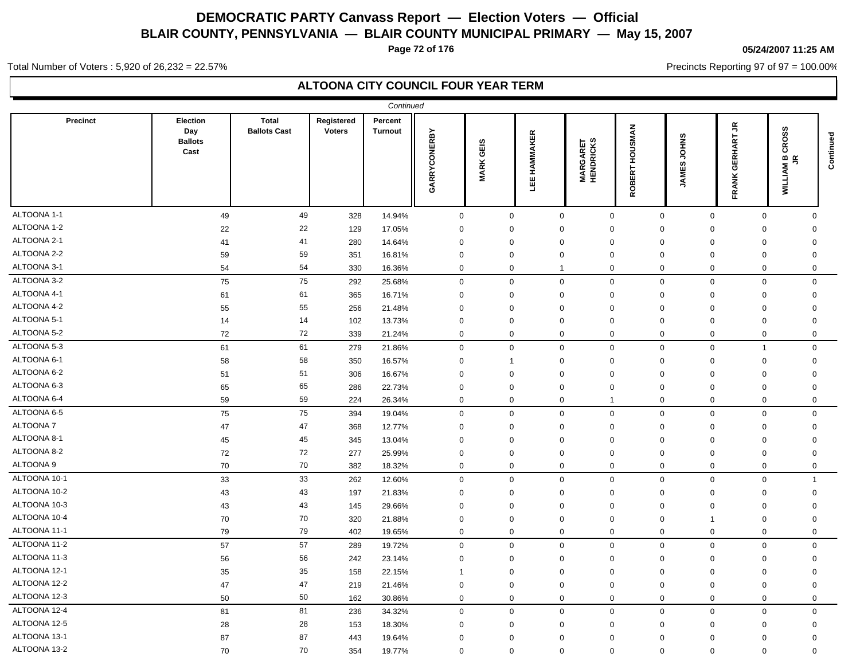**Page 72 of 176**

## **05/24/2007 11:25 AM**

Precincts Reporting 97 of 97 = 100.00%

Total Number of Voters : 5,920 of 26,232 = 22.57%

## **ALTOONA CITY COUNCIL FOUR YEAR TERM**

| Continued       |                                           |                                     |                             |                           |                     |                  |                     |                                    |                                              |                              |                                                     |                                                      |           |
|-----------------|-------------------------------------------|-------------------------------------|-----------------------------|---------------------------|---------------------|------------------|---------------------|------------------------------------|----------------------------------------------|------------------------------|-----------------------------------------------------|------------------------------------------------------|-----------|
| <b>Precinct</b> | Election<br>Day<br><b>Ballots</b><br>Cast | <b>Total</b><br><b>Ballots Cast</b> | Registered<br><b>Voters</b> | Percent<br><b>Turnout</b> | <b>GARRYCONERBY</b> | <b>MARK GEIS</b> | <b>LEE HAMMAKER</b> | <b>MARGARET</b><br>HENDRICKS       | <b>SMAN</b><br>ŠЯ<br><b>BERT</b><br><b>Q</b> | <b>JOHNS</b><br><b>JAMES</b> | $\tilde{\vec{r}}$<br><b>GERHART</b><br><b>FRANK</b> | 9S<br>CRO<br>$\underline{m}$ is<br>ΜN<br><b>NILT</b> | Continued |
| ALTOONA 1-1     | 49                                        | 49                                  | 328                         | 14.94%                    | $\mathsf 0$         | $\mathbf 0$      | $\mathbf 0$         | $\mathsf 0$                        | $\mathbf 0$                                  | $\mathsf 0$                  | $\mathsf 0$                                         | $\Omega$                                             |           |
| ALTOONA 1-2     | 22                                        | 22                                  | 129                         | 17.05%                    | $\mathbf 0$         | $\mathbf 0$      |                     | $\mathbf 0$<br>$\mathbf 0$         | 0                                            | 0                            | $\mathbf 0$                                         | 0                                                    |           |
| ALTOONA 2-1     | 41                                        | 41                                  | 280                         | 14.64%                    | $\mathbf 0$         | $\mathbf 0$      | $\mathbf 0$         | $\mathbf 0$                        | $\mathbf 0$                                  | $\mathbf 0$                  | $\mathbf 0$                                         | $\mathbf 0$                                          |           |
| ALTOONA 2-2     | 59                                        | 59                                  | 351                         | 16.81%                    | $\mathbf 0$         | $\mathbf 0$      | $\mathbf 0$         | $\mathbf 0$                        | $\mathbf 0$                                  | $\mathbf 0$                  | $\mathbf 0$                                         | $\mathbf 0$                                          |           |
| ALTOONA 3-1     | 54                                        | 54                                  | 330                         | 16.36%                    | $\mathbf 0$         | $\mathbf 0$      | -1                  | $\mathbf 0$                        | $\mathbf 0$                                  | $\mathbf 0$                  | $\mathbf 0$                                         | 0                                                    |           |
| ALTOONA 3-2     | 75                                        | 75                                  | 292                         | 25.68%                    | $\mathsf{O}\xspace$ | $\mathbf 0$      | $\mathsf 0$         | $\mathsf 0$                        | $\mathbf 0$                                  | $\mathsf 0$                  | $\mathsf{O}\xspace$                                 | $\Omega$                                             |           |
| ALTOONA 4-1     | 61                                        | 61                                  | 365                         | 16.71%                    | $\mathbf 0$         | $\mathbf 0$      | $\mathbf 0$         | $\mathbf 0$                        | 0                                            | $\mathbf 0$                  | $\mathsf{O}\xspace$                                 | $\mathbf 0$                                          |           |
| ALTOONA 4-2     | 55                                        | 55                                  | 256                         | 21.48%                    | $\mathbf 0$         | $\mathbf 0$      | $\mathbf 0$         | $\mathbf 0$                        | $\mathbf 0$                                  | $\mathbf 0$                  | $\mathbf 0$                                         | $\mathbf 0$                                          |           |
| ALTOONA 5-1     | 14                                        | 14                                  | 102                         | 13.73%                    | $\mathbf 0$         | $\mathbf 0$      |                     | $\mathbf 0$<br>$\mathbf 0$         | $\mathbf 0$                                  | $\mathbf 0$                  | $\mathbf 0$                                         | $\mathbf 0$                                          |           |
| ALTOONA 5-2     | 72                                        | 72                                  | 339                         | 21.24%                    | $\mathbf 0$         | $\mathbf 0$      |                     | $\mathbf 0$<br>$\mathbf 0$         | $\mathbf 0$                                  | $\mathbf 0$                  | $\mathbf 0$                                         | $\Omega$                                             |           |
| ALTOONA 5-3     | 61                                        | 61                                  | 279                         | 21.86%                    | $\mathsf{O}\xspace$ | $\mathbf 0$      |                     | $\mathsf{O}\xspace$<br>$\mathbf 0$ | $\mathbf 0$                                  | $\mathsf 0$                  | $\overline{1}$                                      | $\Omega$                                             |           |
| ALTOONA 6-1     | 58                                        | 58                                  | 350                         | 16.57%                    | $\Omega$            | 1                | $\Omega$            | $\Omega$                           | $\Omega$                                     | $\mathbf 0$                  | $\mathbf 0$                                         | 0                                                    |           |
| ALTOONA 6-2     | 51                                        | 51                                  | 306                         | 16.67%                    | $\mathbf 0$         | $\mathbf 0$      | $\mathbf 0$         | $\mathbf 0$                        | $\Omega$                                     | $\mathbf 0$                  | $\mathbf 0$                                         | $\mathbf 0$                                          |           |
| ALTOONA 6-3     | 65                                        | 65                                  | 286                         | 22.73%                    | $\mathbf 0$         | $\mathbf 0$      | $\Omega$            | $\mathbf 0$                        | $\mathbf 0$                                  | $\mathbf 0$                  | $\mathbf 0$                                         | 0                                                    |           |
| ALTOONA 6-4     | 59                                        | 59                                  | 224                         | 26.34%                    | $\mathbf 0$         | $\mathbf 0$      |                     | $\mathbf 0$<br>$\overline{1}$      | $\mathbf 0$                                  | $\mathbf 0$                  | $\mathbf 0$                                         | 0                                                    |           |
| ALTOONA 6-5     | 75                                        | 75                                  | 394                         | 19.04%                    | $\mathsf{O}\xspace$ | $\mathbf 0$      |                     | $\mathbf 0$<br>$\mathbf 0$         | $\mathbf 0$                                  | $\mathsf 0$                  | $\mathsf 0$                                         | $\mathbf 0$                                          |           |
| ALTOONA 7       | 47                                        | 47                                  | 368                         | 12.77%                    | $\mathbf 0$         | 0                |                     | $\mathbf 0$<br>0                   | 0                                            | 0                            | $\mathbf 0$                                         | 0                                                    |           |
| ALTOONA 8-1     | 45                                        | 45                                  | 345                         | 13.04%                    | $\mathbf 0$         | $\mathbf 0$      | $\mathbf 0$         | $\mathbf 0$                        | $\mathbf 0$                                  | $\mathbf 0$                  | $\mathbf 0$                                         | $\mathbf 0$                                          |           |
| ALTOONA 8-2     | 72                                        | 72                                  | 277                         | 25.99%                    | $\mathbf 0$         | 0                | $\mathbf 0$         | $\mathbf 0$                        | 0                                            | 0                            | $\mathbf 0$                                         | 0                                                    |           |
| ALTOONA 9       | 70                                        | 70                                  | 382                         | 18.32%                    | $\mathbf 0$         | $\mathbf 0$      |                     | $\mathbf 0$<br>$\mathbf 0$         | $\mathbf 0$                                  | $\mathbf 0$                  | $\mathbf 0$                                         | $\mathbf 0$                                          |           |
| ALTOONA 10-1    | 33                                        | 33                                  | 262                         | 12.60%                    | $\mathsf 0$         | $\mathbf 0$      |                     | $\mathbf 0$<br>$\mathbf 0$         | $\mathbf 0$                                  | $\mathbf 0$                  | $\mathsf 0$                                         | $\overline{1}$                                       |           |
| ALTOONA 10-2    | 43                                        | 43                                  | 197                         | 21.83%                    | $\boldsymbol{0}$    | $\mathbf 0$      |                     | $\mathbf 0$<br>$\mathbf 0$         | $\mathbf 0$                                  | $\mathbf 0$                  | $\mathbf 0$                                         | $\mathbf 0$                                          |           |
| ALTOONA 10-3    | 43                                        | 43                                  | 145                         | 29.66%                    | $\mathbf 0$         | 0                | $\mathbf 0$         | $\mathbf 0$                        | 0                                            | $\mathbf 0$                  | $\mathbf 0$                                         | $\mathbf 0$                                          |           |
| ALTOONA 10-4    | 70                                        | 70                                  | 320                         | 21.88%                    | $\mathbf 0$         | $\mathbf 0$      | $\mathbf 0$         | $\mathbf 0$                        | 0                                            | -1                           | $\mathbf 0$                                         | 0                                                    |           |
| ALTOONA 11-1    | 79                                        | 79                                  | 402                         | 19.65%                    | $\mathbf 0$         | $\mathbf 0$      | $\mathbf 0$         | $\mathbf 0$                        | $\mathbf 0$                                  | $\mathbf 0$                  | $\mathbf 0$                                         | $\mathbf 0$                                          |           |
| ALTOONA 11-2    | 57                                        | 57                                  | 289                         | 19.72%                    | $\mathbf 0$         | $\mathbf 0$      |                     | $\mathbf 0$<br>$\mathbf 0$         | $\mathbf 0$                                  | $\mathbf 0$                  | $\mathbf 0$                                         | $\Omega$                                             |           |
| ALTOONA 11-3    | 56                                        | 56                                  | 242                         | 23.14%                    | $\mathbf 0$         | $\Omega$         | $\Omega$            | $\mathbf 0$                        | $\mathbf 0$                                  | $\mathbf 0$                  | $\mathbf 0$                                         | $\mathbf 0$                                          |           |
| ALTOONA 12-1    | 35                                        | 35                                  | 158                         | 22.15%                    | -1                  | $\Omega$         | $\Omega$            | $\mathbf 0$                        | $\Omega$                                     | 0                            | $\mathbf 0$                                         | $\Omega$                                             |           |
| ALTOONA 12-2    | 47                                        | 47                                  | 219                         | 21.46%                    | $\mathbf 0$         | $\mathbf 0$      | $\mathbf 0$         | $\mathbf 0$                        | $\mathbf 0$                                  | $\mathbf 0$                  | $\mathsf 0$                                         | $\mathbf 0$                                          |           |
| ALTOONA 12-3    | 50                                        | 50                                  | 162                         | 30.86%                    | $\mathbf 0$         | $\mathbf 0$      | $\mathbf 0$         | $\mathbf 0$                        | $\mathbf 0$                                  | $\mathbf 0$                  | $\mathbf 0$                                         | $\mathbf 0$                                          |           |
| ALTOONA 12-4    | 81                                        | 81                                  | 236                         | 34.32%                    | $\mathbf 0$         | $\mathbf 0$      |                     | $\mathbf 0$<br>$\mathbf 0$         | $\mathbf 0$                                  | $\mathbf 0$                  | $\mathbf 0$                                         | $\mathbf 0$                                          |           |
| ALTOONA 12-5    | 28                                        | 28                                  | 153                         | 18.30%                    | $\mathbf 0$         | $\mathbf 0$      |                     | $\mathbf 0$<br>$\mathbf 0$         | $\mathbf 0$                                  | $\mathbf 0$                  | $\mathbf 0$                                         | 0                                                    |           |
| ALTOONA 13-1    | 87                                        | 87                                  | 443                         | 19.64%                    | $\Omega$            | $\Omega$         | $\Omega$            | $\mathbf 0$                        | $\Omega$                                     | $\Omega$                     | $\mathbf 0$                                         | $\overline{0}$                                       |           |
| ALTOONA 13-2    | 70                                        | 70                                  | 354                         | 19.77%                    | 0                   | 0                |                     | $\mathbf 0$<br>$\mathbf 0$         | 0                                            | $\Omega$                     | $\mathbf 0$                                         | $\mathbf 0$                                          |           |
|                 |                                           |                                     |                             |                           |                     |                  |                     |                                    |                                              |                              |                                                     |                                                      |           |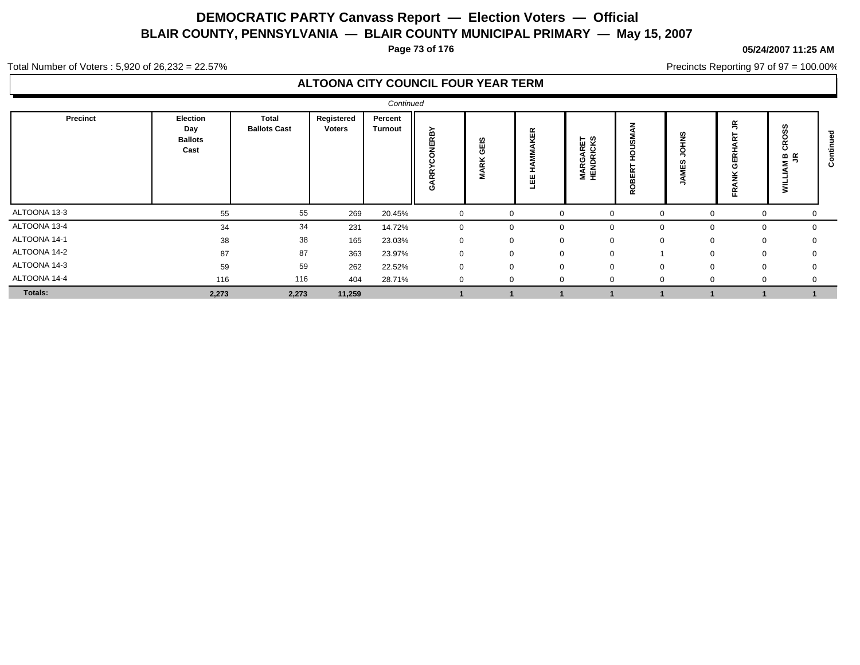**Page 73 of 176**

#### **05/24/2007 11:25 AM**

Precincts Reporting 97 of 97 = 100.00%

Total Number of Voters : 5,920 of 26,232 = 22.57%

|                |                                           |                                     |                      | Continued                 |                     |                     |                                      |                              |                             |                            |                                              |                        |   |
|----------------|-------------------------------------------|-------------------------------------|----------------------|---------------------------|---------------------|---------------------|--------------------------------------|------------------------------|-----------------------------|----------------------------|----------------------------------------------|------------------------|---|
| Precinct       | Election<br>Day<br><b>Ballots</b><br>Cast | <b>Total</b><br><b>Ballots Cast</b> | Registered<br>Voters | Percent<br><b>Turnout</b> | RBY<br>ш<br>ដ្<br>O | GEIS<br><b>MARK</b> | KER<br>뿝<br>$\overline{\phantom{0}}$ | <b>MARGARET</b><br>HENDRICKS | U.<br>œ<br>ш<br>m<br>o<br>œ | ഇ<br>∠<br>o<br>ഗ<br>ш<br>∍ | $\alpha$<br>$\sim$<br>面<br>O<br>$\sim$<br>п. | $\mathbf{a} \in$<br>s. | ω |
| ALTOONA 13-3   | 55                                        | 55                                  | 269                  | 20.45%                    |                     | $\Omega$            |                                      |                              | $\Omega$                    | $\Omega$                   |                                              |                        |   |
| ALTOONA 13-4   | 34                                        | 34                                  | 231                  | 14.72%                    |                     | $\Omega$            |                                      | $\Omega$                     | $\mathbf{0}$                | $\Omega$                   | $\Omega$                                     | $\Omega$               |   |
| ALTOONA 14-1   | 38                                        | 38                                  | 165                  | 23.03%                    |                     | $\Omega$            |                                      |                              | $\Omega$                    | $\Omega$                   | $\Omega$                                     |                        |   |
| ALTOONA 14-2   | 87                                        | 87                                  | 363                  | 23.97%                    |                     | $\Omega$            | $\Omega$                             | $\Omega$                     |                             | $\Omega$                   | $\Omega$                                     | $\Omega$               |   |
| ALTOONA 14-3   | 59                                        | 59                                  | 262                  | 22.52%                    |                     | $\Omega$            | $\Omega$                             | $\Omega$                     | $\Omega$                    | $\Omega$                   | $\Omega$                                     | $\Omega$               |   |
| ALTOONA 14-4   | 116                                       | 116                                 | 404                  | 28.71%                    |                     | $\Omega$            |                                      | $\Omega$                     | $\mathbf{0}$                |                            |                                              |                        |   |
| <b>Totals:</b> | 2,273                                     | 2,273                               | 11,259               |                           |                     |                     |                                      |                              |                             |                            |                                              |                        |   |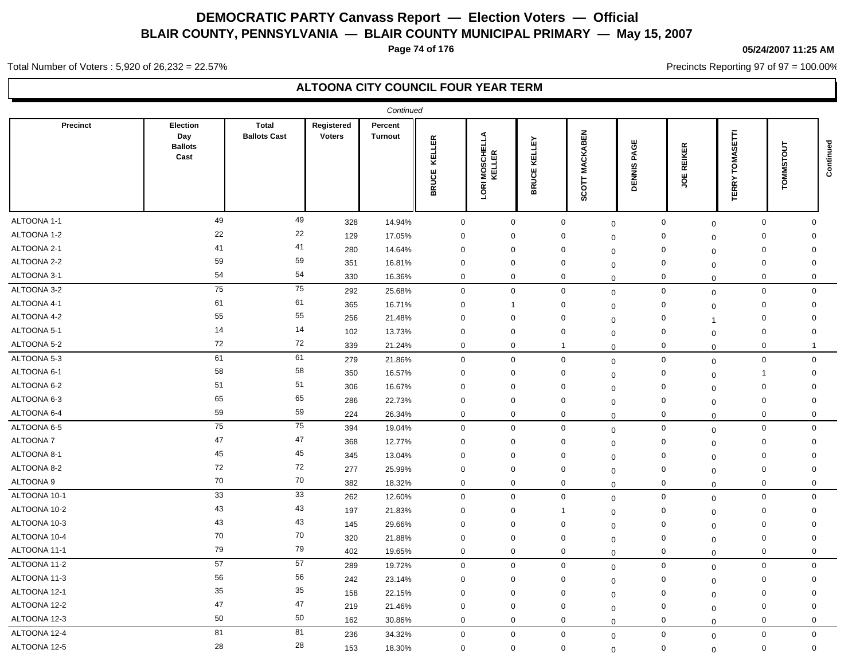**Page 74 of 176**

#### **05/24/2007 11:25 AM**

Precincts Reporting 97 of 97 = 100.00%

Total Number of Voters : 5,920 of 26,232 = 22.57%

|                  |                                           |                                     |                             | Continued                 |                        |                                           |                        |                          |                       |                    |                                |                     |             |
|------------------|-------------------------------------------|-------------------------------------|-----------------------------|---------------------------|------------------------|-------------------------------------------|------------------------|--------------------------|-----------------------|--------------------|--------------------------------|---------------------|-------------|
| <b>Precinct</b>  | Election<br>Day<br><b>Ballots</b><br>Cast | <b>Total</b><br><b>Ballots Cast</b> | Registered<br><b>Voters</b> | Percent<br><b>Turnout</b> | KELLER<br><b>BRUCE</b> | ⋖<br>급<br><b>MOSCHE</b><br>KELLER<br>LORI | KELLEY<br><b>BRUCE</b> | <b>MACKABEN</b><br>SCOTT | PAGE<br><b>DENNIS</b> | <b>REIKER</b><br>ă | SETTI<br>TOMA:<br><b>TERRY</b> | TOMMSTOUT           | Continued   |
| ALTOONA 1-1      | 49                                        | 49                                  | 328                         | 14.94%                    | $\mathbf 0$            | $\mathsf 0$                               |                        | $\mathsf{O}\xspace$      | $\mathbf 0$           | $\mathbf 0$        | $\mathbf 0$                    | $\mathsf{O}\xspace$ | $\Omega$    |
| ALTOONA 1-2      | 22                                        | 22                                  | 129                         | 17.05%                    | $\mathbf 0$            | 0                                         |                        | 0                        | $\mathbf 0$           | 0                  | $\mathbf 0$<br>$\mathbf 0$     |                     | $\Omega$    |
| ALTOONA 2-1      | 41                                        | 41                                  | 280                         | 14.64%                    | $\mathbf 0$            | $\mathbf 0$                               |                        | $\mathbf 0$              | $\mathbf 0$           | $\mathbf 0$        | $\mathbf 0$<br>$\mathbf 0$     |                     | $\mathbf 0$ |
| ALTOONA 2-2      | 59                                        | 59                                  | 351                         | 16.81%                    | $\mathbf 0$            | $\mathbf 0$                               |                        | $\mathbf 0$              | $\mathbf 0$           | $\mathbf 0$        | $\Omega$<br>$\mathbf 0$        |                     | $\Omega$    |
| ALTOONA 3-1      | 54                                        | 54                                  | 330                         | 16.36%                    | 0                      | $\overline{0}$                            |                        | 0                        | $\mathbf 0$           | $\mathbf 0$        | $\mathbf 0$<br>$\mathbf 0$     |                     | 0           |
| ALTOONA 3-2      | 75                                        | ${\bf 75}$                          | 292                         | 25.68%                    | $\mathbf 0$            | $\mathbf 0$                               |                        | $\mathbf 0$              | $\mathbf 0$           | $\mathbf 0$        | $\mathbf 0$                    | 0                   | $\mathbf 0$ |
| ALTOONA 4-1      | 61                                        | 61                                  | 365                         | 16.71%                    | 0                      | -1                                        |                        | 0                        | $\Omega$              | 0                  | $\mathbf 0$<br>$\mathbf 0$     |                     | $\Omega$    |
| ALTOONA 4-2      | 55                                        | 55                                  | 256                         | 21.48%                    | $\mathbf 0$            | $\overline{0}$                            |                        | $\mathbf 0$              | $\mathbf 0$           | $\mathbf 0$        | $\mathbf 0$<br>$\overline{1}$  |                     | $\Omega$    |
| ALTOONA 5-1      | 14                                        | 14                                  | 102                         | 13.73%                    | $\mathbf 0$            | 0                                         |                        | 0                        | $\mathbf 0$           | $\mathbf 0$        | $\mathbf 0$<br>$\mathbf 0$     |                     | 0           |
| ALTOONA 5-2      | 72                                        | 72                                  | 339                         | 21.24%                    | $\mathbf 0$            | $\mathbf 0$                               |                        | $\overline{1}$           | $\Omega$              | $\mathbf 0$        | $\mathbf 0$<br>$\mathbf 0$     |                     | -1          |
| ALTOONA 5-3      | 61                                        | 61                                  | 279                         | 21.86%                    | $\mathbf 0$            | $\mathbf 0$                               |                        | $\mathbf 0$              | $\mathbf 0$           | $\mathbf 0$        | $\mathbf 0$                    | $\mathbf 0$         | 0           |
| ALTOONA 6-1      | 58                                        | 58                                  | 350                         | 16.57%                    | $\mathbf 0$            | $\mathbf 0$                               |                        | 0                        | $\mathbf 0$           | $\mathbf 0$        | -1<br>$\mathbf 0$              |                     | $\Omega$    |
| ALTOONA 6-2      | 51                                        | 51                                  | 306                         | 16.67%                    | $\mathbf 0$            | $\mathbf 0$                               |                        | $\mathbf 0$              | $\mathbf 0$           | $\mathbf 0$        | $\mathbf 0$<br>$\mathbf 0$     |                     | 0           |
| ALTOONA 6-3      | 65                                        | 65                                  | 286                         | 22.73%                    | 0                      | 0                                         |                        | 0                        | $\Omega$              | $\mathbf 0$        | 0<br>$\mathbf 0$               |                     | $\Omega$    |
| ALTOONA 6-4      | 59                                        | 59                                  | 224                         | 26.34%                    | $\mathbf 0$            | $\mathbf 0$                               |                        | 0                        | $\mathbf 0$           | $\mathbf 0$        | $\Omega$<br>$\mathbf 0$        |                     | $\mathbf 0$ |
| ALTOONA 6-5      | 75                                        | 75                                  | 394                         | 19.04%                    | $\pmb{0}$              | $\mathbf 0$                               |                        | $\mathbf 0$              | $\mathbf 0$           | 0                  | $\mathbf 0$<br>$\mathbf 0$     |                     | $\Omega$    |
| <b>ALTOONA 7</b> | 47                                        | 47                                  | 368                         | 12.77%                    | $\mathbf 0$            | $\mathbf 0$                               |                        | 0                        | $\mathbf 0$           | $\mathbf 0$        | $\mathbf 0$<br>$\mathbf 0$     |                     | $\mathbf 0$ |
| ALTOONA 8-1      | 45                                        | 45                                  | 345                         | 13.04%                    | $\mathbf 0$            | $\mathbf 0$                               |                        | 0                        | $\Omega$              | 0                  | $\Omega$<br>$\Omega$           |                     | 0           |
| ALTOONA 8-2      | 72                                        | 72                                  | 277                         | 25.99%                    | $\mathbf 0$            | $\mathbf 0$                               |                        | $\mathbf 0$              | $\mathbf 0$           | $\mathbf 0$        | $\mathbf 0$<br>$\mathbf 0$     |                     | $\Omega$    |
| ALTOONA 9        | 70                                        | 70                                  | 382                         | 18.32%                    | $\mathbf 0$            | $\mathbf 0$                               |                        | $\mathbf 0$              | $\mathbf 0$           | $\mathbf 0$        | $\Omega$<br>$\mathbf 0$        |                     | $\mathbf 0$ |
| ALTOONA 10-1     | 33                                        | 33                                  | 262                         | 12.60%                    | $\mathbf 0$            | $\mathbf 0$                               |                        | $\mathbf 0$              | $\mathbf 0$           | $\mathbf 0$        | $\mathbf 0$<br>$\mathbf 0$     |                     | $\mathbf 0$ |
| ALTOONA 10-2     | 43                                        | 43                                  | 197                         | 21.83%                    | $\mathbf 0$            | 0                                         |                        | $\mathbf 1$              | $\mathbf 0$           | 0                  | $\mathbf 0$<br>$\mathbf 0$     |                     | $\mathbf 0$ |
| ALTOONA 10-3     | 43                                        | 43                                  | 145                         | 29.66%                    | $\Omega$               | $\mathbf 0$                               |                        | 0                        | $\Omega$              | $\Omega$           | $\Omega$<br>$\mathbf 0$        |                     | $\Omega$    |
| ALTOONA 10-4     | 70                                        | 70                                  | 320                         | 21.88%                    | $\mathbf 0$            | $\mathbf 0$                               |                        | $\mathbf 0$              | $\mathbf 0$           | $\mathbf 0$        | $\mathbf 0$<br>$\mathbf 0$     |                     | $\mathbf 0$ |
| ALTOONA 11-1     | 79                                        | 79                                  | 402                         | 19.65%                    | $\mathbf 0$            | $\mathbf 0$                               |                        | $\mathbf 0$              | $\Omega$              | $\mathbf 0$        | $\mathbf 0$                    | $\mathbf 0$         | $\mathbf 0$ |
| ALTOONA 11-2     | 57                                        | 57                                  | 289                         | 19.72%                    | $\mathbf 0$            | $\mathbf 0$                               |                        | $\mathbf 0$              | $\mathbf 0$           | $\mathbf 0$        | $\mathbf 0$                    | $\mathbf 0$         | $\mathbf 0$ |
| ALTOONA 11-3     | 56                                        | 56                                  | 242                         | 23.14%                    | $\mathbf 0$            | 0                                         |                        | 0                        | $\mathbf 0$           | $\mathbf 0$        | $\mathbf 0$<br>$\mathbf 0$     |                     | 0           |
| ALTOONA 12-1     | 35                                        | 35                                  | 158                         | 22.15%                    | $\mathbf 0$            | $\mathbf 0$                               |                        | 0                        | $\Omega$              | $\mathbf 0$        | $\mathbf 0$<br>$\mathbf 0$     |                     | $\mathbf 0$ |
| ALTOONA 12-2     | 47                                        | 47                                  | 219                         | 21.46%                    | 0                      | $\mathbf 0$                               |                        | 0                        | $\mathbf 0$           | $\mathbf 0$        | 0<br>$\mathbf 0$               |                     | $\Omega$    |
| ALTOONA 12-3     | 50                                        | 50                                  | 162                         | 30.86%                    | $\mathbf 0$            | $\mathbf 0$                               |                        | $\mathbf 0$              | $\mathbf 0$           | $\mathbf 0$        | $\mathbf 0$<br>$\mathbf 0$     |                     | $\mathbf 0$ |
| ALTOONA 12-4     | 81                                        | 81                                  | 236                         | 34.32%                    | $\mathbf 0$            | $\mathbf 0$                               |                        | $\mathbf 0$              | $\mathbf 0$           | $\mathbf 0$        | $\mathbf 0$<br>$\mathbf 0$     |                     | $\mathbf 0$ |
| ALTOONA 12-5     | 28                                        | 28                                  | 153                         | 18.30%                    | $\mathbf 0$            | $\mathbf 0$                               |                        | $\mathbf 0$              | $\Omega$              | $\mathbf 0$        | $\mathbf 0$<br>$\mathbf 0$     |                     | $\mathbf 0$ |
|                  |                                           |                                     |                             |                           |                        |                                           |                        |                          |                       |                    |                                |                     |             |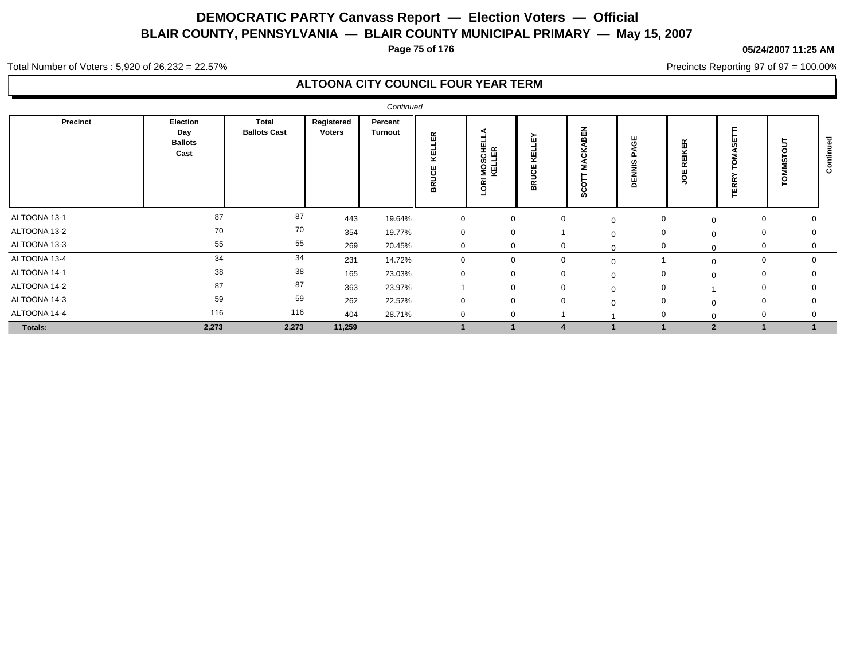**Page 75 of 176**

#### **05/24/2007 11:25 AM**

Precincts Reporting 97 of 97 = 100.00%

Total Number of Voters : 5,920 of 26,232 = 22.57%

|              |                                           |                              |                      | Continued          |                    |                                   |                       |                                                    |                                         |                  |             |   |         |
|--------------|-------------------------------------------|------------------------------|----------------------|--------------------|--------------------|-----------------------------------|-----------------------|----------------------------------------------------|-----------------------------------------|------------------|-------------|---|---------|
| Precinct     | Election<br>Day<br><b>Ballots</b><br>Cast | Total<br><b>Ballots Cast</b> | Registered<br>Voters | Percent<br>Turnout | 띥<br>린<br>ଞ<br>BRU | ш<br>m<br>N<br>S<br>S<br>$\alpha$ | ш<br>Æ<br>෪<br>∍<br>쭒 | <b>MBB</b><br>$\ddot{\phantom{1}}$<br>റ<br>٥<br>ဖာ | 쁑<br>$\overline{a}$<br>,<br>-<br>ш<br>◠ | 띥<br>$\sim$<br>٥ | $\sim$<br>쁜 | ဥ | $\circ$ |
| ALTOONA 13-1 | 87                                        | 87                           | 443                  | 19.64%             | $\mathbf 0$        | 0                                 | $\mathbf 0$           |                                                    | $\mathbf 0$<br>$\Omega$                 | $\mathbf 0$      | 0           | 0 |         |
| ALTOONA 13-2 | 70                                        | 70                           | 354                  | 19.77%             | $\mathbf 0$        | 0                                 |                       |                                                    | 0<br>$\Omega$                           | $\Omega$         | 0           |   |         |
| ALTOONA 13-3 | 55                                        | 55                           | 269                  | 20.45%             | $\mathbf 0$        | 0                                 | $\mathbf 0$           |                                                    | $\mathbf 0$                             | $\Omega$         | 0           | 0 |         |
| ALTOONA 13-4 | 34                                        | 34                           | 231                  | 14.72%             | $\mathbf 0$        | $\Omega$                          | 0                     |                                                    |                                         | $\Omega$         | 0           | 0 |         |
| ALTOONA 14-1 | 38                                        | 38                           | 165                  | 23.03%             | $\mathbf 0$        | 0                                 | 0                     |                                                    | 0                                       | $\Omega$         | 0           |   |         |
| ALTOONA 14-2 | 87                                        | 87                           | 363                  | 23.97%             |                    | $\mathbf 0$                       | $\mathbf 0$           |                                                    | $\mathbf{0}$<br>$\Omega$                |                  | 0           | 0 |         |
| ALTOONA 14-3 | 59                                        | 59                           | 262                  | 22.52%             | $\mathbf 0$        | $\mathbf 0$                       | $\mathbf 0$           |                                                    | $\mathbf 0$<br>$\Omega$                 | $\Omega$         | 0           |   |         |
| ALTOONA 14-4 | 116                                       | 116                          | 404                  | 28.71%             | $\mathbf 0$        | 0                                 |                       |                                                    | $\Omega$                                | $\Omega$         | 0           |   |         |
| Totals:      | 2,273                                     | 2,273                        | 11,259               |                    |                    |                                   |                       |                                                    |                                         | $\overline{2}$   |             |   |         |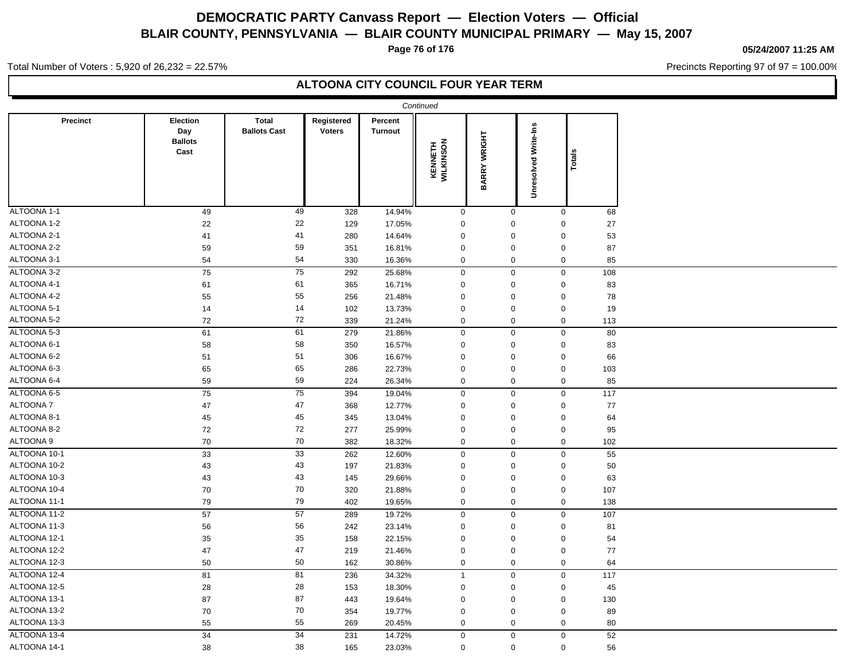**Page 76 of 176**

#### **05/24/2007 11:25 AM**

Precincts Reporting 97 of 97 = 100.00%

Total Number of Voters : 5,920 of 26,232 = 22.57%

|              |                                           |                                     |                             |                           | Continued            |                     |                             |                         |  |
|--------------|-------------------------------------------|-------------------------------------|-----------------------------|---------------------------|----------------------|---------------------|-----------------------------|-------------------------|--|
| Precinct     | Election<br>Day<br><b>Ballots</b><br>Cast | <b>Total</b><br><b>Ballots Cast</b> | Registered<br><b>Voters</b> | Percent<br><b>Turnout</b> | KENNETH<br>WILKINSON | <b>BARRY WRIGHT</b> | <b>Unresolved Write-Ins</b> | Totals                  |  |
| ALTOONA 1-1  | 49                                        | 49                                  | 328                         | 14.94%                    | $\mathbf 0$          | $\mathbf 0$         |                             | 68<br>$\mathbf 0$       |  |
| ALTOONA 1-2  | 22                                        | 22                                  | 129                         | 17.05%                    | $\mathsf 0$          | $\mathbf 0$         |                             | $\Omega$<br>27          |  |
| ALTOONA 2-1  | 41                                        | 41                                  | 280                         | 14.64%                    | $\pmb{0}$            | $\mathbf 0$         |                             | 53<br>$\mathbf 0$       |  |
| ALTOONA 2-2  | 59                                        | 59                                  | 351                         | 16.81%                    | 0                    | $\mathbf 0$         |                             | $\mathbf 0$<br>87       |  |
| ALTOONA 3-1  | 54                                        | 54                                  | 330                         | 16.36%                    | 0                    | $\mathbf 0$         |                             | $\mathbf 0$<br>85       |  |
| ALTOONA 3-2  | 75                                        | 75                                  | 292                         | 25.68%                    | $\mathsf{O}\xspace$  | $\mathsf{O}\xspace$ |                             | $\mathsf 0$<br>108      |  |
| ALTOONA 4-1  | 61                                        | 61                                  | 365                         | 16.71%                    | $\pmb{0}$            | $\mathbf 0$         |                             | $\mathbf 0$<br>83       |  |
| ALTOONA 4-2  | 55                                        | 55                                  | 256                         | 21.48%                    | 0                    | $\mathbf 0$         |                             | 78<br>$\mathbf{0}$      |  |
| ALTOONA 5-1  | 14                                        | 14                                  | 102                         | 13.73%                    | $\mathsf 0$          | $\mathbf 0$         |                             | $\mathbf 0$<br>19       |  |
| ALTOONA 5-2  | 72                                        | 72                                  | 339                         | 21.24%                    | 0                    | $\mathbf 0$         |                             | $\mathbf 0$<br>113      |  |
| ALTOONA 5-3  | 61                                        | 61                                  | 279                         | 21.86%                    | $\mathbf 0$          | $\mathbf 0$         |                             | $\mathbf 0$<br>80       |  |
| ALTOONA 6-1  | 58                                        | 58                                  | 350                         | 16.57%                    | $\pmb{0}$            | $\mathbf 0$         |                             | $\pmb{0}$<br>83         |  |
| ALTOONA 6-2  | 51                                        | 51                                  | 306                         | 16.67%                    | $\mathsf 0$          | $\mathbf 0$         |                             | $\mathbf 0$<br>66       |  |
| ALTOONA 6-3  | 65                                        | 65                                  | 286                         | 22.73%                    | $\pmb{0}$            | $\mathbf 0$         |                             | $\mathbf 0$<br>103      |  |
| ALTOONA 6-4  | 59                                        | 59                                  | 224                         | 26.34%                    | 0                    | $\mathbf 0$         |                             | $\mathbf 0$<br>85       |  |
| ALTOONA 6-5  | 75                                        | $\overline{75}$                     | 394                         | 19.04%                    | $\pmb{0}$            | $\mathbf 0$         |                             | $\boldsymbol{0}$<br>117 |  |
| ALTOONA 7    | 47                                        | 47                                  | 368                         | 12.77%                    | $\mathsf 0$          | $\mathbf 0$         |                             | 77<br>$\mathbf 0$       |  |
| ALTOONA 8-1  | 45                                        | 45                                  | 345                         | 13.04%                    | $\pmb{0}$            | $\mathbf 0$         |                             | $\mathbf 0$<br>64       |  |
| ALTOONA 8-2  | 72                                        | 72                                  | 277                         | 25.99%                    | $\mathsf 0$          | $\mathbf 0$         |                             | $\mathbf 0$<br>95       |  |
| ALTOONA 9    | 70                                        | 70                                  | 382                         | 18.32%                    | 0                    | $\mathbf 0$         |                             | $\boldsymbol{0}$<br>102 |  |
| ALTOONA 10-1 | 33                                        | 33                                  | 262                         | 12.60%                    | $\mathbf{0}$         | $\mathbf 0$         |                             | $\mathbf 0$<br>55       |  |
| ALTOONA 10-2 | 43                                        | 43                                  | 197                         | 21.83%                    | $\pmb{0}$            | $\mathbf 0$         |                             | $\mathbf 0$<br>50       |  |
| ALTOONA 10-3 | 43                                        | $43\,$                              | 145                         | 29.66%                    | $\pmb{0}$            | $\mathbf 0$         |                             | $\mathbf 0$<br>63       |  |
| ALTOONA 10-4 | 70                                        | 70                                  | 320                         | 21.88%                    | $\mathsf 0$          | $\mathbf 0$         |                             | $\mathbf 0$<br>107      |  |
| ALTOONA 11-1 | 79                                        | 79                                  | 402                         | 19.65%                    | $\mathbf{0}$         | $\mathbf 0$         |                             | $\mathbf 0$<br>138      |  |
| ALTOONA 11-2 | 57                                        | 57                                  | 289                         | 19.72%                    | $\pmb{0}$            | $\mathbf 0$         |                             | $\mathbf 0$<br>107      |  |
| ALTOONA 11-3 | 56                                        | 56                                  | 242                         | 23.14%                    | 0                    | $\mathbf 0$         |                             | $\mathbf 0$<br>81       |  |
| ALTOONA 12-1 | 35                                        | 35                                  | 158                         | 22.15%                    | $\mathsf 0$          | $\mathbf 0$         |                             | $\mathbf 0$<br>54       |  |
| ALTOONA 12-2 | 47                                        | 47                                  | 219                         | 21.46%                    | $\pmb{0}$            | $\mathbf 0$         |                             | $\mathbf 0$<br>77       |  |
| ALTOONA 12-3 | 50                                        | 50                                  | 162                         | 30.86%                    | $\mathbf 0$          | $\mathbf 0$         |                             | $\mathbf 0$<br>64       |  |
| ALTOONA 12-4 | 81                                        | 81                                  | 236                         | 34.32%                    | $\mathbf{1}$         | $\mathbf 0$         |                             | $\mathbf 0$<br>117      |  |
| ALTOONA 12-5 | 28                                        | 28                                  | 153                         | 18.30%                    | $\mathsf 0$          | $\mathbf 0$         |                             | $\mathbf 0$<br>45       |  |
| ALTOONA 13-1 | 87                                        | 87                                  | 443                         | 19.64%                    | $\pmb{0}$            | $\mathbf 0$         |                             | $\mathbf 0$<br>130      |  |
| ALTOONA 13-2 | $70\,$                                    | 70                                  | 354                         | 19.77%                    | $\pmb{0}$            | $\mathsf 0$         |                             | $\mathbf 0$<br>89       |  |
| ALTOONA 13-3 | 55                                        | 55                                  | 269                         | 20.45%                    | $\mathsf 0$          | $\mathbf 0$         |                             | $\mathbf 0$<br>80       |  |
| ALTOONA 13-4 | 34                                        | 34                                  | 231                         | 14.72%                    | 0                    | $\mathsf{O}\xspace$ |                             | 52<br>$\pmb{0}$         |  |
| ALTOONA 14-1 | 38                                        | 38                                  | 165                         | 23.03%                    | $\mathbf 0$          | $\mathbf 0$         |                             | $\mathbf 0$<br>56       |  |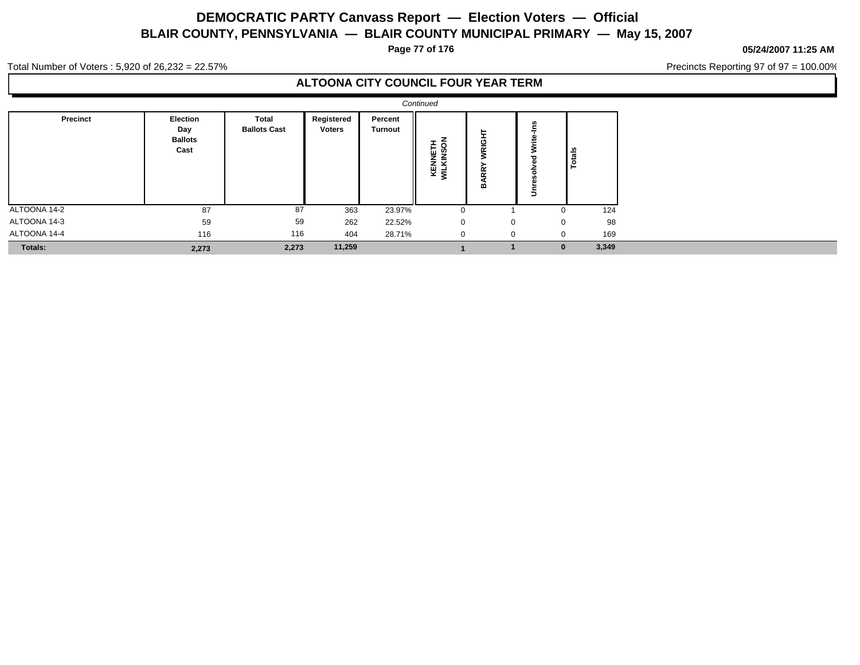**Page 77 of 176**

#### **05/24/2007 11:25 AM**

Precincts Reporting 97 of 97 = 100.00%

Total Number of Voters : 5,920 of 26,232 = 22.57%

|              |                                           |                              |                             |                           | Continued                |                           |             |                   |  |
|--------------|-------------------------------------------|------------------------------|-----------------------------|---------------------------|--------------------------|---------------------------|-------------|-------------------|--|
| Precinct     | Election<br>Day<br><b>Ballots</b><br>Cast | Total<br><b>Ballots Cast</b> | Registered<br><b>Voters</b> | Percent<br><b>Turnout</b> | ٥<br>KENNETI<br>WILKINSO | ⊏<br>VRIGI<br>œ<br>œ<br>≃ | Ĕ<br>Š<br>≛ | ౨<br>otal         |  |
| ALTOONA 14-2 | 87                                        | 87                           | 363                         | 23.97%                    | $\Omega$                 |                           | $\Omega$    | 124               |  |
| ALTOONA 14-3 | 59                                        | 59                           | 262                         | 22.52%                    | $\mathbf{0}$             | $\mathbf 0$               |             | 98<br>$\mathbf 0$ |  |
| ALTOONA 14-4 | 116                                       | 116                          | 404                         | 28.71%                    | $\mathbf{0}$             | $\Omega$                  | $\mathbf 0$ | 169               |  |
| Totals:      | 2,273                                     | 2,273                        | 11,259                      |                           |                          |                           |             | 3,349<br>$\bf{0}$ |  |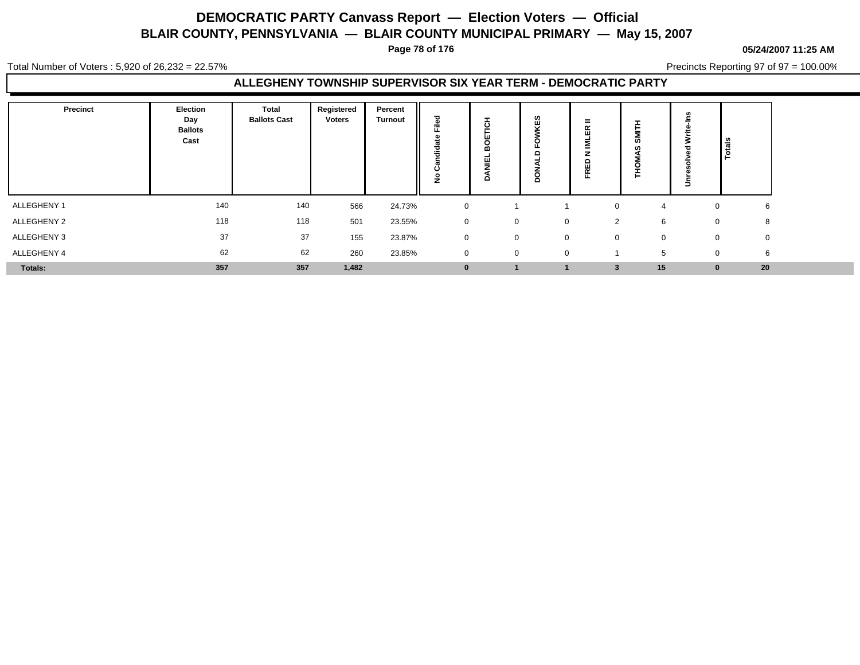**Page 78 of 176**

**05/24/2007 11:25 AM**

Total Number of Voters : 5,920 of 26,232 = 22.57%

Precincts Reporting 97 of 97 = 100.00%

### **ALLEGHENY TOWNSHIP SUPERVISOR SIX YEAR TERM - DEMOCRATIC PARTY**

| <b>Precinct</b> | Election<br>Day<br><b>Ballots</b><br>Cast | Total<br><b>Ballots Cast</b> | Registered<br><b>Voters</b> | Percent<br><b>Turnout</b> | ᠊ᠣ<br>$\omega$<br>≂ | 풍<br>ō<br><br>≝<br>٥ | <u> 않</u><br>- 54<br>◠ | $=$<br>띥<br>۵<br>ш<br>≃<br>щ. | ഗ           | š<br>∍       | Totals      |  |
|-----------------|-------------------------------------------|------------------------------|-----------------------------|---------------------------|---------------------|----------------------|------------------------|-------------------------------|-------------|--------------|-------------|--|
| ALLEGHENY 1     | 140                                       | 140                          | 566                         | 24.73%                    | $\mathbf 0$         |                      |                        | $\mathbf{0}$                  | 4           | 0            | 6           |  |
| ALLEGHENY 2     | 118                                       | 118                          | 501                         | 23.55%                    | $\overline{0}$      | $\mathbf 0$          | 0                      | 2                             | 6           | 0            | 8           |  |
| ALLEGHENY 3     | 37                                        | 37                           | 155                         | 23.87%                    | $\mathbf{0}$        | $\mathbf 0$          | $\mathbf 0$            | $\mathbf{0}$                  | $\mathbf 0$ | $\mathbf 0$  | $\mathbf 0$ |  |
| ALLEGHENY 4     | 62                                        | 62                           | 260                         | 23.85%                    | $\mathbf 0$         | 0                    | 0                      |                               | 5           | $\mathbf 0$  | 6           |  |
| Totals:         | 357                                       | 357                          | 1,482                       |                           | $\bf{0}$            |                      |                        | $\mathbf{3}$                  | 15          | $\mathbf{0}$ | 20          |  |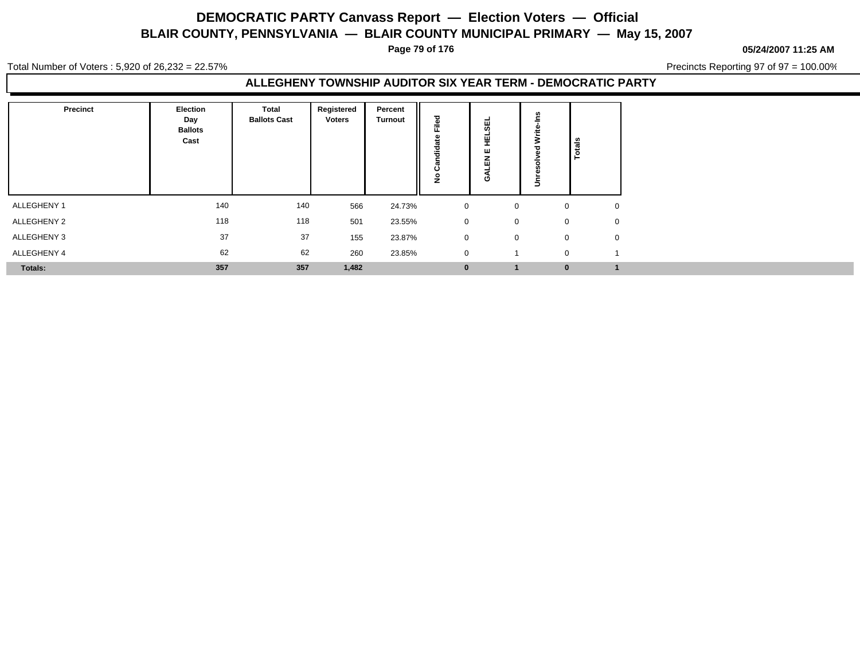**Page 79 of 176**

**05/24/2007 11:25 AM**

Total Number of Voters : 5,920 of 26,232 = 22.57%

Precincts Reporting 97 of 97 = 100.00%

### **ALLEGHENY TOWNSHIP AUDITOR SIX YEAR TERM - DEMOCRATIC PARTY**

| <b>Precinct</b> | Election<br>Day<br><b>Ballots</b><br>Cast | <b>Total</b><br><b>Ballots Cast</b> | Registered<br>Voters | Percent<br><b>Turnout</b> | ਠ<br>Ě<br>dia<br>ن<br>£ | 핑<br>뿦<br>$\mathbf{u}$<br>C | 3<br>$\Rightarrow$ | <b>Total</b> |
|-----------------|-------------------------------------------|-------------------------------------|----------------------|---------------------------|-------------------------|-----------------------------|--------------------|--------------|
| ALLEGHENY 1     | 140                                       | 140                                 | 566                  | 24.73%                    | $\mathbf 0$             | 0                           | $\mathbf 0$        |              |
| ALLEGHENY 2     | 118                                       | 118                                 | 501                  | 23.55%                    | $\mathbf 0$             | $\mathbf 0$                 | $\mathbf 0$        |              |
| ALLEGHENY 3     | 37                                        | 37                                  | 155                  | 23.87%                    | $\mathbf 0$             | 0                           | $\mathbf 0$        |              |
| ALLEGHENY 4     | 62                                        | 62                                  | 260                  | 23.85%                    | $\mathbf 0$             |                             | $\Omega$           |              |
| Totals:         | 357                                       | 357                                 | 1,482                |                           | $\mathbf 0$             |                             | $\mathbf{0}$       |              |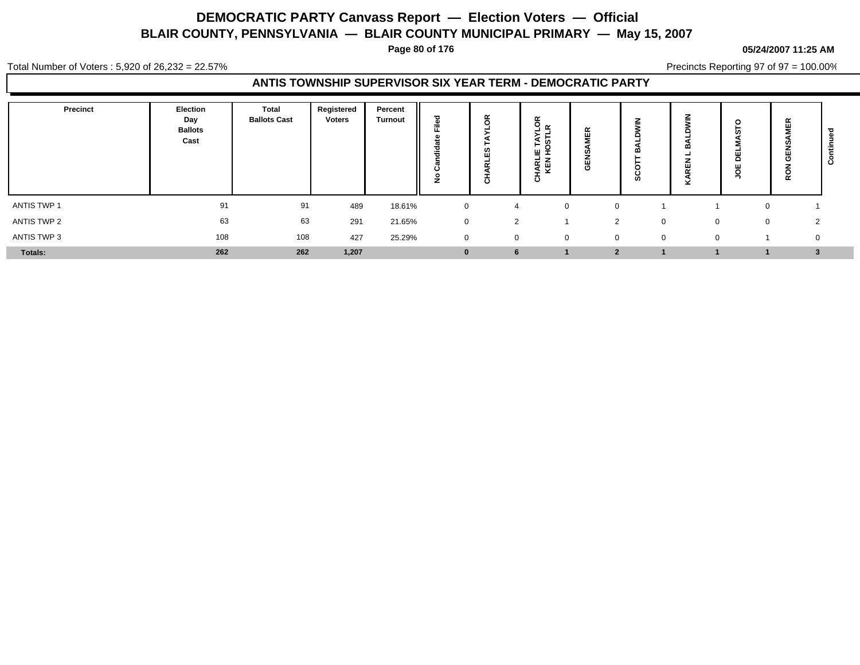**Page 80 of 176**

#### **05/24/2007 11:25 AM**

Total Number of Voters : 5,920 of 26,232 = 22.57%

Precincts Reporting 97 of 97 = 100.00%

### **ANTIS TOWNSHIP SUPERVISOR SIX YEAR TERM - DEMOCRATIC PARTY**

| Precinct    | Election<br>Day<br><b>Ballots</b><br>Cast | Total<br><b>Ballots Cast</b> | Registered<br><b>Voters</b> | Percent<br><b>Turnout</b> | --           | ட<br>- -<br>$\circ$ | ອີຼ∝<br><b>in</b><br>►<br>ö<br>발효<br><b>IARL</b><br>KEN<br>ō | $\alpha$<br>$\mathbf{H}$<br>U.<br>핑 | z<br>α<br>Ø  | z<br>≖<br>x | $\circ$<br>ш<br>۵<br>ш<br>o<br>∍ | 岛<br>C<br>5        | $\mathbf c$ |
|-------------|-------------------------------------------|------------------------------|-----------------------------|---------------------------|--------------|---------------------|--------------------------------------------------------------|-------------------------------------|--------------|-------------|----------------------------------|--------------------|-------------|
| ANTIS TWP 1 | 91                                        | 91                           | 489                         | 18.61%                    | 0            |                     | $\mathbf 0$                                                  | $\Omega$                            |              |             |                                  |                    |             |
| ANTIS TWP 2 | 63                                        | 63                           | 291                         | 21.65%                    | $\mathbf{0}$ | 2                   |                                                              | $\overline{2}$                      | $\Omega$     | $\Omega$    | 0                                | $\mathcal{D}$<br>▵ |             |
| ANTIS TWP 3 | 108                                       | 108                          | 427                         | 25.29%                    | $\mathbf{0}$ | $\mathbf{0}$        | 0                                                            | $\overline{0}$                      | $\mathbf{0}$ | $\Omega$    |                                  | $\mathbf{0}$       |             |
| Totals:     | 262                                       | 262                          | 1,207                       |                           | $\bf{0}$     |                     |                                                              | $\bullet$                           |              |             |                                  | $\cdot$            |             |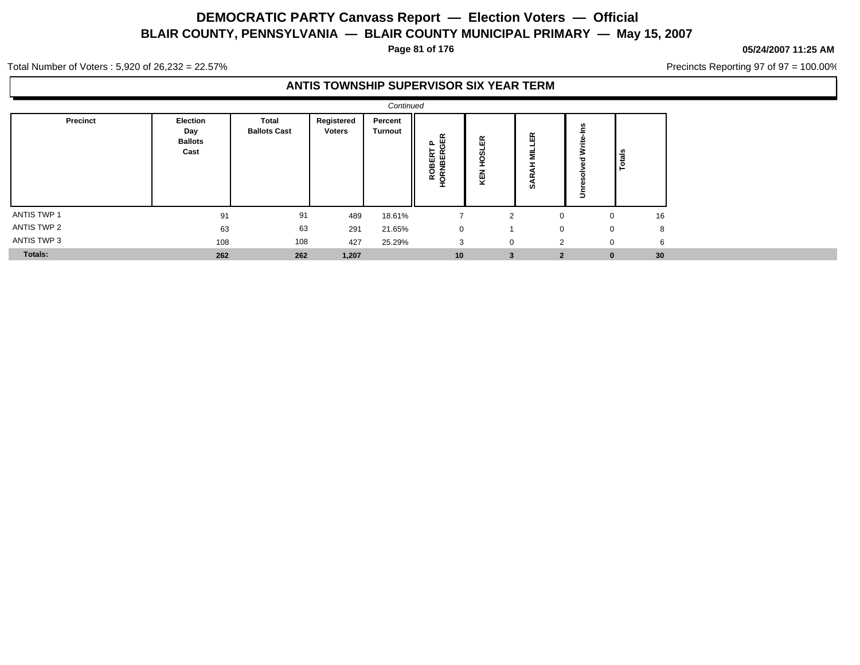**Page 81 of 176**

#### **05/24/2007 11:25 AM**

Precincts Reporting 97 of 97 = 100.00%

Total Number of Voters : 5,920 of 26,232 = 22.57%

### **ANTIS TOWNSHIP SUPERVISOR SIX YEAR TERM**

|                    |                                           |                              |                             | Continued                 |                              |                         |                     |             |                  |
|--------------------|-------------------------------------------|------------------------------|-----------------------------|---------------------------|------------------------------|-------------------------|---------------------|-------------|------------------|
| Precinct           | Election<br>Day<br><b>Ballots</b><br>Cast | Total<br><b>Ballots Cast</b> | Registered<br><b>Voters</b> | Percent<br><b>Turnout</b> | GER<br>௨<br>ORNBER<br>≃<br>Ì | <b>SLER</b><br>ĝ<br>KEN | 띥<br>를<br><b>SO</b> | ÷<br>3<br>∍ | Totals           |
| <b>ANTIS TWP 1</b> | 91                                        | 91                           | 489                         | 18.61%                    |                              | 2                       | $\mathbf 0$         | $\Omega$    | 16               |
| <b>ANTIS TWP 2</b> | 63                                        | 63                           | 291                         | 21.65%                    | 0                            |                         | $\mathbf 0$         | $\mathbf 0$ | 8                |
| ANTIS TWP 3        | 108                                       | 108                          | 427                         | 25.29%                    | 3                            | $\mathbf 0$             | 2                   |             | 6<br>$\mathbf 0$ |
| Totals:            | 262                                       | 262                          | 1,207                       |                           | 10                           | 3                       | $\overline{2}$      | $\bf{0}$    | 30 <sup>°</sup>  |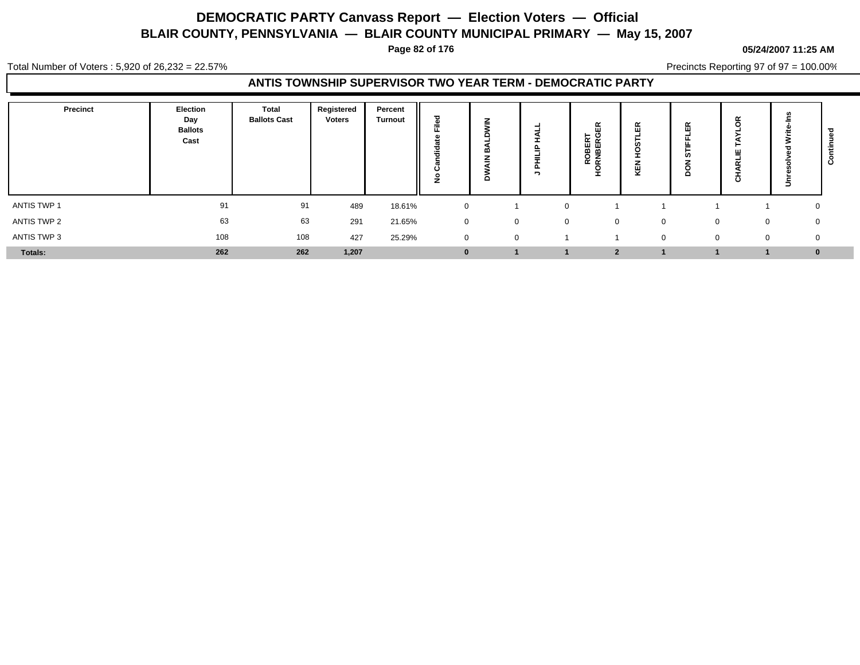**Page 82 of 176**

Total Number of Voters : 5,920 of 26,232 = 22.57%

Precincts Reporting 97 of 97 = 100.00%

### **ANTIS TOWNSHIP SUPERVISOR TWO YEAR TERM - DEMOCRATIC PARTY**

| Precinct    | Election<br>Day<br><b>Ballots</b><br>Cast | Total<br><b>Ballots Cast</b> | Registered<br><b>Voters</b> | Percent<br><b>Turnout</b> | ▿<br>Ō.<br>≂ | Ζ           | ≞<br>-<br><b>n</b><br>- | $\alpha$<br>ш<br>C<br>ROBER <sup>-</sup><br>RNBER<br>x. | $\alpha$<br>ш<br>ш<br>⊻ | ≃<br>-<br>c  | œ<br>-<br>ш<br>- -<br>ပ | ∍ | $\mathbf c$  |
|-------------|-------------------------------------------|------------------------------|-----------------------------|---------------------------|--------------|-------------|-------------------------|---------------------------------------------------------|-------------------------|--------------|-------------------------|---|--------------|
| ANTIS TWP 1 | 91                                        | 91                           | 489                         | 18.61%                    | 0            |             | $\mathbf 0$             |                                                         |                         |              |                         |   | 0            |
| ANTIS TWP 2 | 63                                        | 63                           | 291                         | 21.65%                    | $\mathbf{0}$ | $\Omega$    | $\mathbf{0}$            | $\Omega$                                                | $\Omega$                | $\Omega$     | 0                       |   | 0            |
| ANTIS TWP 3 | 108                                       | 108                          | 427                         | 25.29%                    | $\mathbf{0}$ | $\mathbf 0$ |                         |                                                         | $\mathbf{0}$            | $\mathbf{0}$ | 0                       |   | $\mathbf{0}$ |
| Totals:     | 262                                       | 262                          | 1,207                       |                           | $\bf{0}$     |             |                         | $\bullet$                                               |                         |              |                         |   | $\bf{0}$     |

#### **05/24/2007 11:25 AM**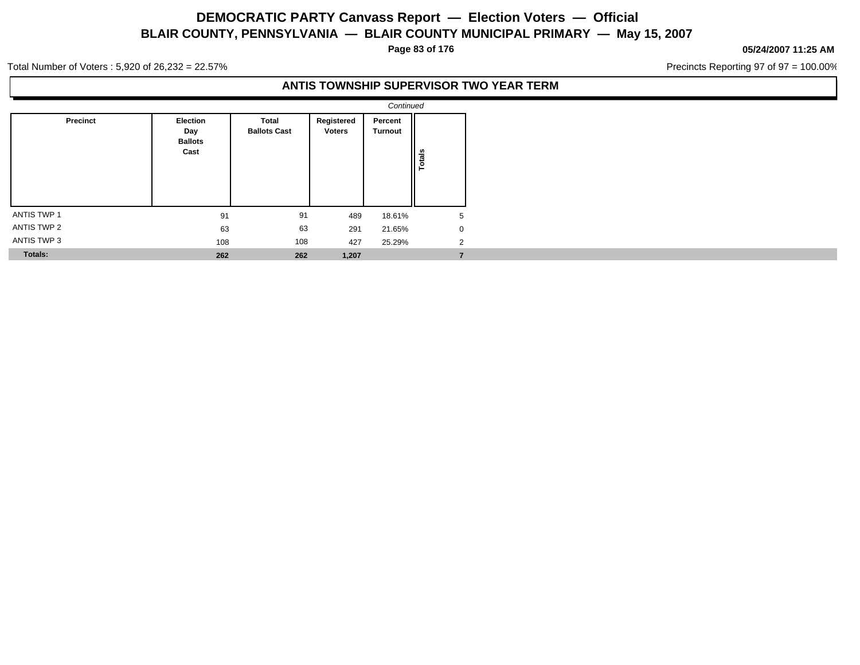**Page 83 of 176**

#### **05/24/2007 11:25 AM**

Precincts Reporting 97 of 97 = 100.00%

Total Number of Voters : 5,920 of 26,232 = 22.57%

### **ANTIS TOWNSHIP SUPERVISOR TWO YEAR TERM**

|                    |                                           |                              |                             | Continued          |             |
|--------------------|-------------------------------------------|------------------------------|-----------------------------|--------------------|-------------|
| Precinct           | Election<br>Day<br><b>Ballots</b><br>Cast | Total<br><b>Ballots Cast</b> | Registered<br><b>Voters</b> | Percent<br>Turnout | Totals      |
| <b>ANTIS TWP 1</b> | 91                                        | 91                           | 489                         | 18.61%             | 5           |
| ANTIS TWP 2        | 63                                        | 63                           | 291                         | 21.65%             | $\mathbf 0$ |
| ANTIS TWP 3        | 108                                       | 108                          | 427                         | 25.29%             | 2           |
| <b>Totals:</b>     | 262                                       | 262                          | 1,207                       |                    | 7           |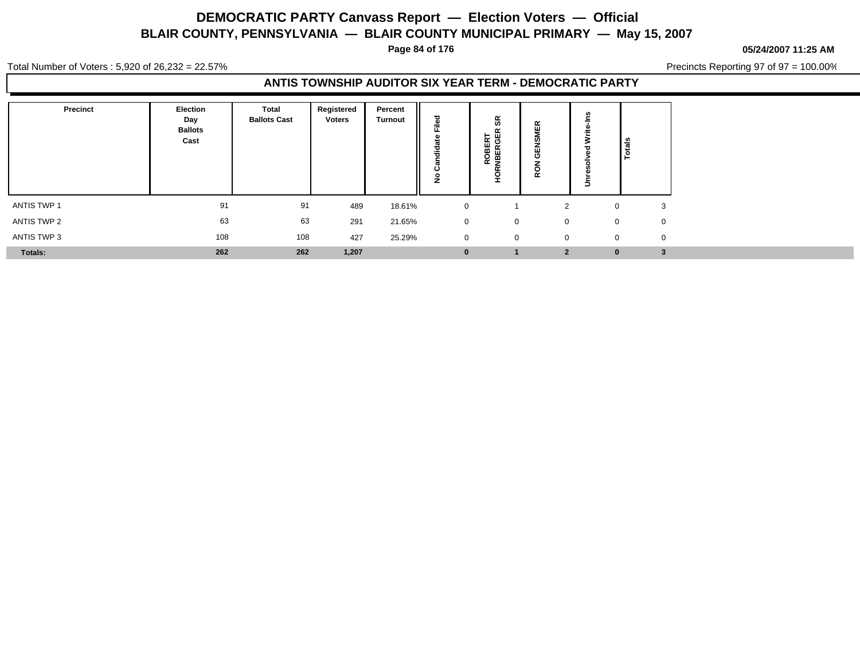**Page 84 of 176**

#### **05/24/2007 11:25 AM**

Total Number of Voters : 5,920 of 26,232 = 22.57%

Precincts Reporting 97 of 97 = 100.00%

### **ANTIS TOWNSHIP AUDITOR SIX YEAR TERM - DEMOCRATIC PARTY**

| Precinct    | Election<br>Day<br><b>Ballots</b><br>Cast | Total<br><b>Ballots Cast</b> | Registered<br><b>Voters</b> | Percent<br><b>Turnout</b> | ᅙ<br>$=$<br>÷<br> | ŝκ<br>ROBERT<br>NBERGER<br>₽ | $\alpha$<br>画<br>ဖာ<br>画<br>O<br>5s |              | Totals       |             |
|-------------|-------------------------------------------|------------------------------|-----------------------------|---------------------------|-------------------|------------------------------|-------------------------------------|--------------|--------------|-------------|
| ANTIS TWP 1 | 91                                        | 91                           | 489                         | 18.61%                    | 0                 |                              | 2                                   |              | $\mathbf{0}$ | 3           |
| ANTIS TWP 2 | 63                                        | 63                           | 291                         | 21.65%                    | $\mathbf 0$       | 0                            | $\mathbf 0$                         |              | $\mathbf{0}$ | 0           |
| ANTIS TWP 3 | 108                                       | 108                          | 427                         | 25.29%                    | $\overline{0}$    | 0                            |                                     | $\mathbf{0}$ | $\mathbf{0}$ | $\mathbf 0$ |
| Totals:     | 262                                       | 262                          | 1,207                       |                           | $\bf{0}$          |                              | $\overline{2}$                      |              | $\bf{0}$     | 3           |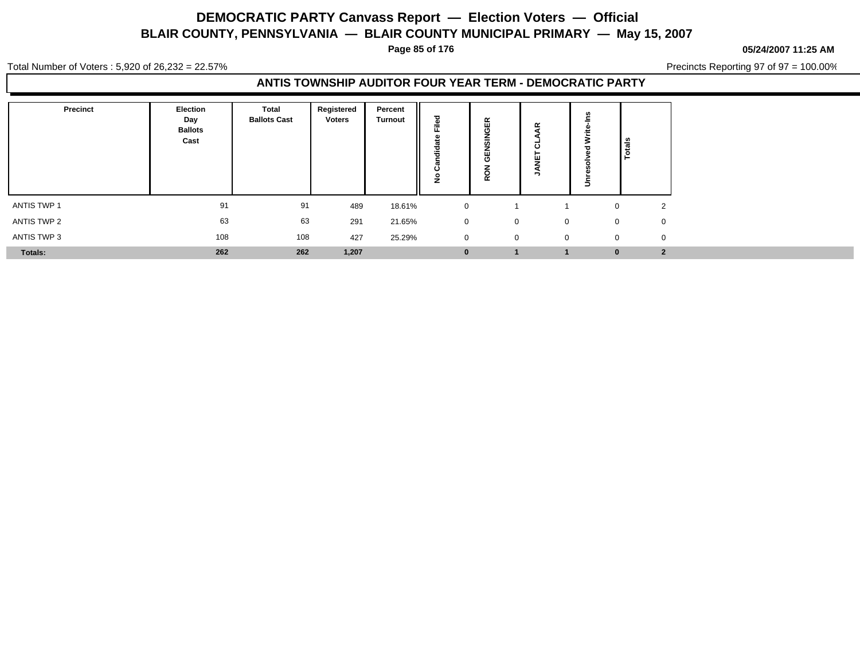**Page 85 of 176**

#### **05/24/2007 11:25 AM**

Total Number of Voters : 5,920 of 26,232 = 22.57%

Precincts Reporting 97 of 97 = 100.00%

### **ANTIS TOWNSHIP AUDITOR FOUR YEAR TERM - DEMOCRATIC PARTY**

| <b>Precinct</b> | Election<br>Day<br><b>Ballots</b><br>Cast | <b>Total</b><br><b>Ballots Cast</b> | Registered<br><b>Voters</b> | Percent<br><b>Turnout</b> | iled<br>ட<br>œ<br>ಕ<br>--<br>Ω<br>٠º | 띥<br>O<br>-<br>m<br>O<br>-<br>$\alpha$ | $\alpha$<br>ō<br>ш<br>$\overline{\phantom{a}}$ | ∍ | Totals                      |
|-----------------|-------------------------------------------|-------------------------------------|-----------------------------|---------------------------|--------------------------------------|----------------------------------------|------------------------------------------------|---|-----------------------------|
| ANTIS TWP 1     | 91                                        | 91                                  | 489                         | 18.61%                    | $\mathbf 0$                          |                                        |                                                |   | 2<br>0                      |
| ANTIS TWP 2     | 63                                        | 63                                  | 291                         | 21.65%                    | $\mathbf 0$                          | $\mathbf 0$                            | $\mathbf 0$                                    |   | $\mathbf{0}$<br>$\mathbf 0$ |
| ANTIS TWP 3     | 108                                       | 108                                 | 427                         | 25.29%                    | $\mathbf 0$                          | $\mathbf 0$                            | $\mathbf 0$                                    |   | $\mathbf 0$<br>$\mathbf{0}$ |
| Totals:         | 262                                       | 262                                 | 1,207                       |                           | $\mathbf{0}$                         |                                        |                                                |   | $\overline{2}$<br>$\bf{0}$  |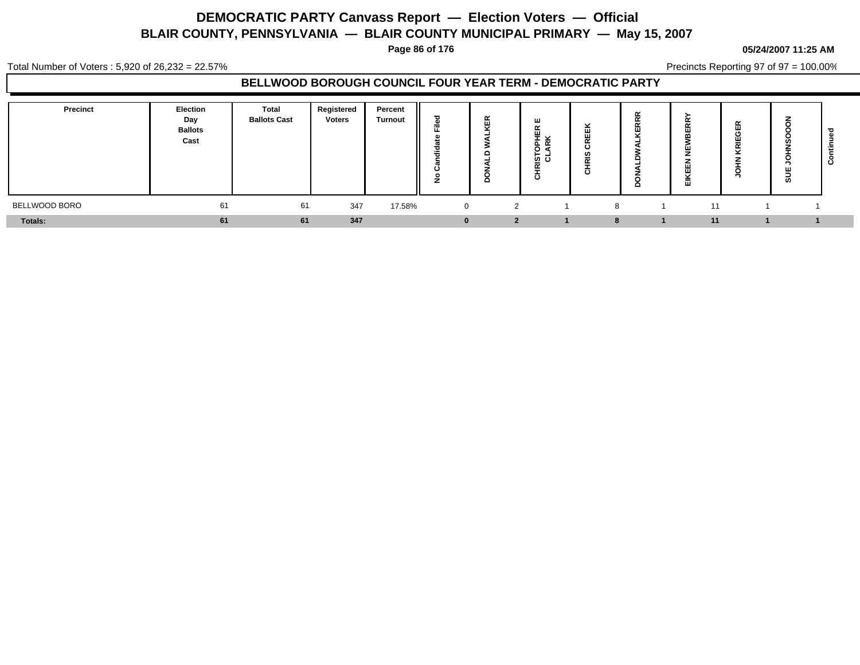**Page 86 of 176**

#### **05/24/2007 11:25 AM**

Precincts Reporting 97 of 97 = 100.00%

Total Number of Voters : 5,920 of 26,232 = 22.57%

### **BELLWOOD BOROUGH COUNCIL FOUR YEAR TERM - DEMOCRATIC PARTY**

| <b>Precinct</b> | Election<br>Day<br><b>Ballots</b><br>Cast | Total<br><b>Ballots Cast</b> | Registered<br><b>Voters</b> | Percent<br><b>Turnout</b> | ਹ<br>=<br>щ.<br>ಕ<br>æ<br>Ο<br>o | $\alpha$<br>$\overline{a}$ | ш<br>$\alpha$<br>ш<br>-<br>준호<br>ه ه<br>ច ៩<br>ō | <br>U)<br>- -<br>$\circ$ | $\alpha$<br>- -<br>ш<br>ш<br>ш<br>ш<br>Ξ. | - -<br>$\overline{\cdots}$ | ш<br>ທ |  |
|-----------------|-------------------------------------------|------------------------------|-----------------------------|---------------------------|----------------------------------|----------------------------|--------------------------------------------------|--------------------------|-------------------------------------------|----------------------------|--------|--|
| BELLWOOD BORO   | 61                                        | 61                           | 347                         | 17.58%                    | $\overline{0}$                   | ົ                          |                                                  |                          | 11                                        |                            |        |  |
| Totals:         | 61                                        | 61                           | 347                         |                           | n                                | n                          |                                                  |                          | 11                                        |                            |        |  |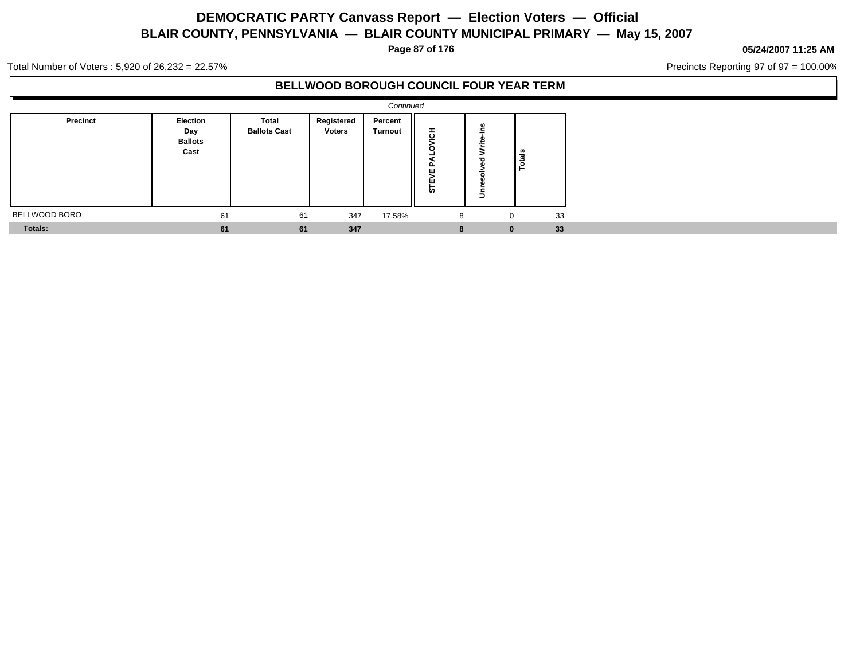**Page 87 of 176**

#### **05/24/2007 11:25 AM**

Precincts Reporting 97 of 97 = 100.00%

Total Number of Voters : 5,920 of 26,232 = 22.57%

### **BELLWOOD BOROUGH COUNCIL FOUR YEAR TERM**

|                |                                           |                              |                             | Continued          |               |                                               |               |  |
|----------------|-------------------------------------------|------------------------------|-----------------------------|--------------------|---------------|-----------------------------------------------|---------------|--|
| Precinct       | Election<br>Day<br><b>Ballots</b><br>Cast | Total<br><b>Ballots Cast</b> | Registered<br><b>Voters</b> | Percent<br>Turnout | 풍<br>ш<br>STE | ٠i<br>Write <sub>:</sub><br>ಕ<br>ᄒ<br>ğ,<br>š | <b>Totals</b> |  |
| BELLWOOD BORO  | 61                                        | 61                           | 347                         | 17.58%             | 8             | 0                                             | 33            |  |
| <b>Totals:</b> | 61                                        | 61                           | 347                         |                    | 8             | $\bf{0}$                                      | 33            |  |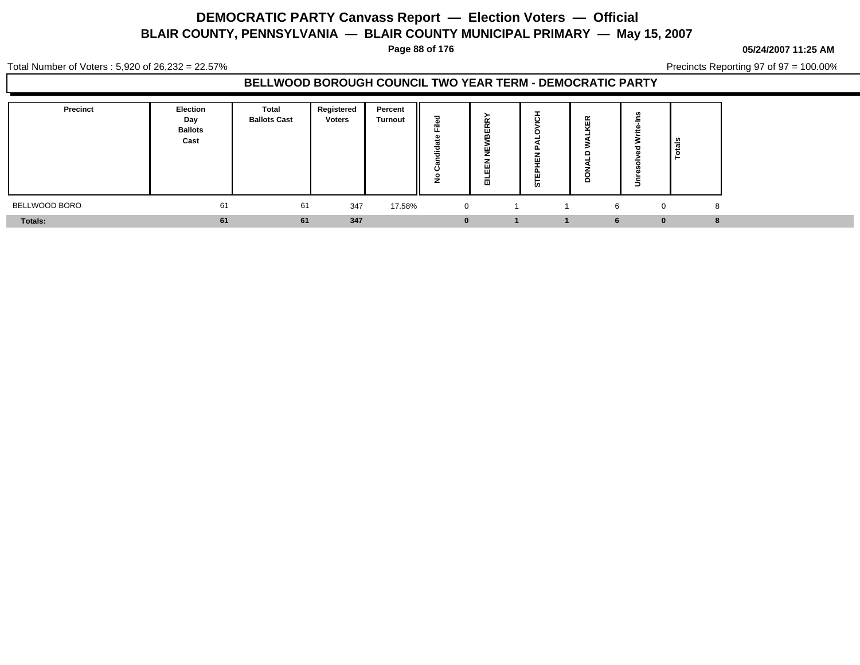**Page 88 of 176**

#### **05/24/2007 11:25 AM**

Total Number of Voters : 5,920 of 26,232 = 22.57%

Precincts Reporting 97 of 97 = 100.00%

### **BELLWOOD BOROUGH COUNCIL TWO YEAR TERM - DEMOCRATIC PARTY**

| Precinct       | Election<br>Day<br><b>Ballots</b><br>Cast | Total<br><b>Ballots Cast</b> | Registered<br><b>Voters</b> | Percent<br><b>Turnout</b> | ≂              | $\sim$<br>-<br>ш | с<br>ш<br>ш<br><b>in</b> |                  | ಿಕೆ<br>- 23 |
|----------------|-------------------------------------------|------------------------------|-----------------------------|---------------------------|----------------|------------------|--------------------------|------------------|-------------|
| BELLWOOD BORO  | 61                                        | 61                           | 347                         | 17.58%                    | $\overline{0}$ |                  |                          | 6<br>$\mathbf 0$ | 8           |
| <b>Totals:</b> | 61                                        | 61                           | 347                         |                           | $\bf{0}$       |                  |                          | $\bf{0}$<br>6    |             |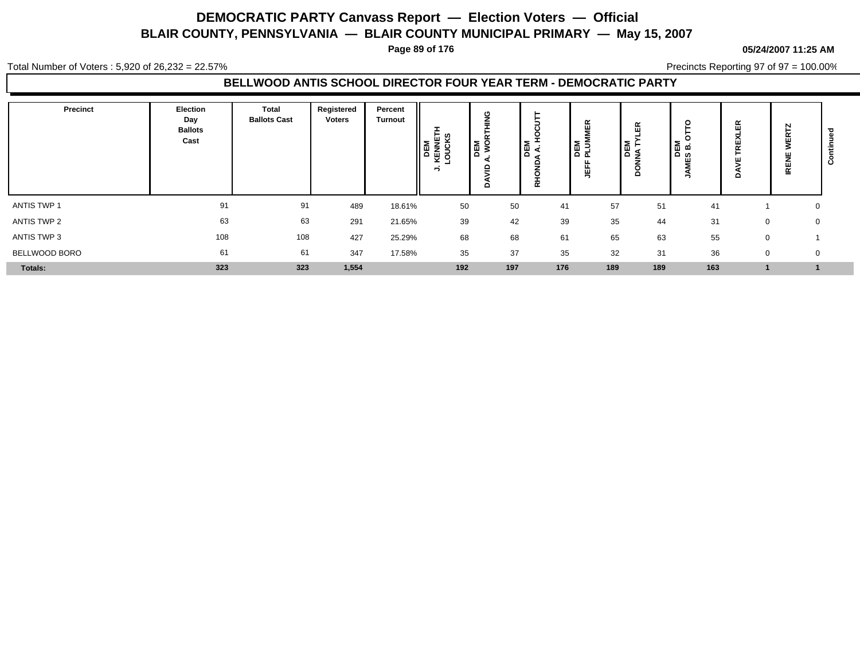**Page 89 of 176**

#### **05/24/2007 11:25 AM**

Total Number of Voters : 5,920 of 26,232 = 22.57%

Precincts Reporting 97 of 97 = 100.00%

### **BELLWOOD ANTIS SCHOOL DIRECTOR FOUR YEAR TERM - DEMOCRATIC PARTY**

| Precinct      | <b>Election</b><br>Day<br><b>Ballots</b><br>Cast | <b>Total</b><br><b>Ballots Cast</b> | Registered<br><b>Voters</b> | Percent<br><b>Turnout</b> | ដ្ឋ ខ្<br>DEM<br>z.<br>포 학<br>∽ | с<br>$\sim$<br>DEM<br>NOI<br>≘<br>o | $\epsilon$<br>▌<br>≏<br>ᇎ | ∝<br>ш<br><b>DEM</b><br>PLUM<br>쁙 | $\alpha$<br>-111<br><b>BEM</b><br>NATY<br>◠ | o<br>о<br>DEM<br>S B. | 띥<br>o      | N<br>-<br>ш<br>홑 | $\circ$ |
|---------------|--------------------------------------------------|-------------------------------------|-----------------------------|---------------------------|---------------------------------|-------------------------------------|---------------------------|-----------------------------------|---------------------------------------------|-----------------------|-------------|------------------|---------|
| ANTIS TWP 1   | 91                                               | 91                                  | 489                         | 18.61%                    | 50                              | 50                                  | 41                        | 57                                | 51                                          | 41                    |             | 0                |         |
| ANTIS TWP 2   | 63                                               | 63                                  | 291                         | 21.65%                    | 39                              | 42                                  | 39                        | 35                                | 44                                          | 31                    | 0           | 0                |         |
| ANTIS TWP 3   | 108                                              | 108                                 | 427                         | 25.29%                    | 68                              | 68                                  | 61                        | 65                                | 63                                          | 55                    | $\mathbf 0$ |                  |         |
| BELLWOOD BORO | 61                                               | 61                                  | 347                         | 17.58%                    | 35                              | 37                                  | 35                        | 32                                | 31                                          | 36                    | 0           | 0                |         |
| Totals:       | 323                                              | 323                                 | 1,554                       |                           | 192                             | 197                                 | 176                       | 189                               | 189                                         | 163                   |             |                  |         |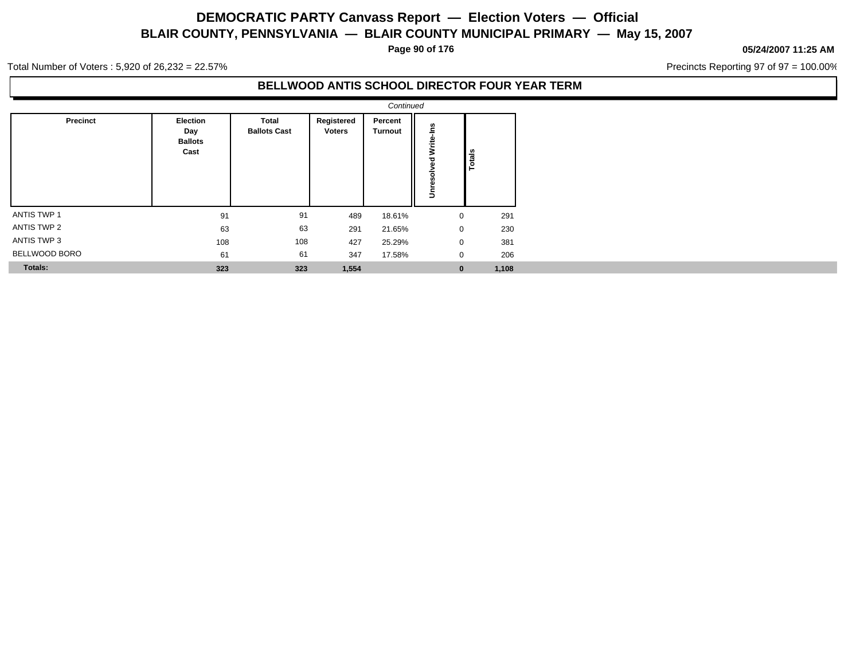**Page 90 of 176**

#### **05/24/2007 11:25 AM**

Precincts Reporting 97 of 97 = 100.00%

Total Number of Voters : 5,920 of 26,232 = 22.57%

### **BELLWOOD ANTIS SCHOOL DIRECTOR FOUR YEAR TERM**

|                    |                                                  |                              |                             | Continued                 |                            |               |
|--------------------|--------------------------------------------------|------------------------------|-----------------------------|---------------------------|----------------------------|---------------|
| Precinct           | <b>Election</b><br>Day<br><b>Ballots</b><br>Cast | Total<br><b>Ballots Cast</b> | Registered<br><b>Voters</b> | Percent<br><b>Turnout</b> | Write-Ins<br>g<br>Unresolv | <b>Totals</b> |
| <b>ANTIS TWP 1</b> | 91                                               | 91                           | 489                         | 18.61%                    | 0                          | 291           |
| ANTIS TWP 2        | 63                                               | 63                           | 291                         | 21.65%                    | 0                          | 230           |
| ANTIS TWP 3        | 108                                              | 108                          | 427                         | 25.29%                    | 0                          | 381           |
| BELLWOOD BORO      | 61                                               | 61                           | 347                         | 17.58%                    | 0                          | 206           |
| <b>Totals:</b>     | 323                                              | 323                          | 1,554                       |                           | $\bf{0}$                   | 1,108         |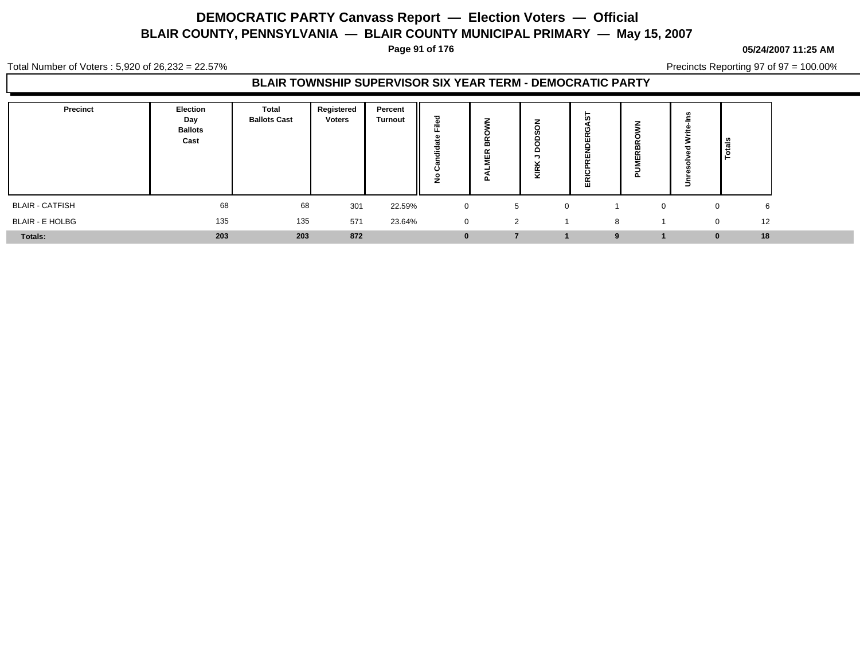**Page 91 of 176**

#### **05/24/2007 11:25 AM**

Total Number of Voters : 5,920 of 26,232 = 22.57%

Precincts Reporting 97 of 97 = 100.00%

### **BLAIR TOWNSHIP SUPERVISOR SIX YEAR TERM - DEMOCRATIC PARTY**

| Precinct               | Election<br>Day<br><b>Ballots</b><br>Cast | <b>Total</b><br><b>Ballots Cast</b> | Registered<br>Voters | Percent<br><b>Turnout</b> | ъ<br>=<br>щ.<br>ಕ<br>--<br>Ω | . | -<br>≏<br>ັ<br>$\alpha$<br>-<br>× | 壶 | п.       | <u>ទ្រ</u>         |
|------------------------|-------------------------------------------|-------------------------------------|----------------------|---------------------------|------------------------------|---|-----------------------------------|---|----------|--------------------|
| <b>BLAIR - CATFISH</b> | 68                                        | 68                                  | 301                  | 22.59%                    | $\mathbf 0$                  | 5 |                                   |   | $\Omega$ | 6<br>$\Omega$      |
| <b>BLAIR - E HOLBG</b> | 135                                       | 135                                 | 571                  | 23.64%                    | $\mathbf 0$                  | 2 |                                   | 8 |          | 12<br>$\mathbf{0}$ |
| <b>Totals:</b>         | 203                                       | 203                                 | 872                  |                           | $\bf{0}$                     |   |                                   | 9 |          | 18<br>$\bf{0}$     |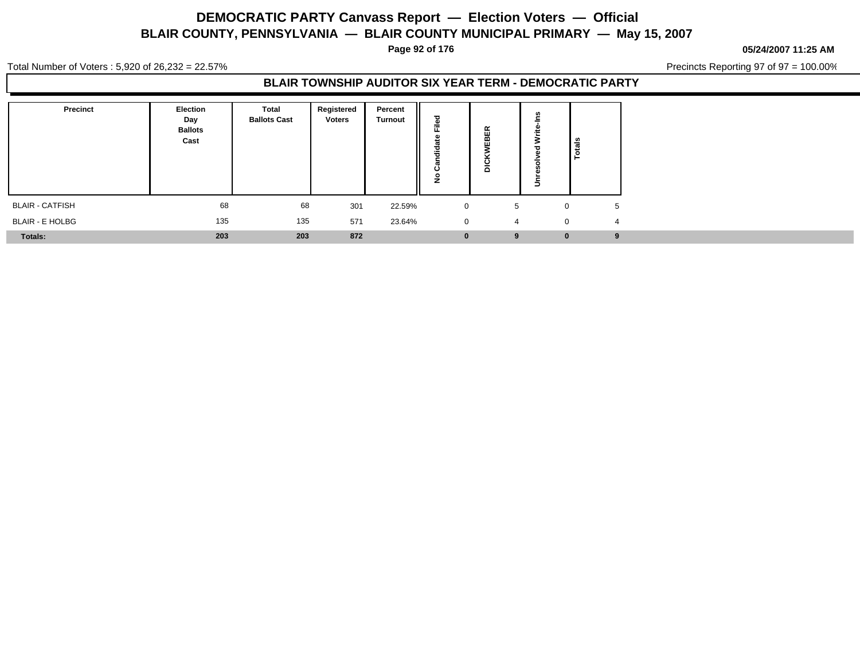**Page 92 of 176**

#### **05/24/2007 11:25 AM**

Total Number of Voters : 5,920 of 26,232 = 22.57%

Precincts Reporting 97 of 97 = 100.00%

### **BLAIR TOWNSHIP AUDITOR SIX YEAR TERM - DEMOCRATIC PARTY**

| <b>Precinct</b>        | Election<br>Day<br><b>Ballots</b><br>Cast | <b>Total</b><br><b>Ballots Cast</b> | Registered<br><b>Voters</b> | Percent<br><b>Turnout</b> | ъ<br>Ē<br>꽁<br>÷<br>7<br>ن<br>۰<br>Ž | $\alpha$<br><br>--<br>n<br>$\Omega$ | Ξ           | Total <sub>s</sub> |
|------------------------|-------------------------------------------|-------------------------------------|-----------------------------|---------------------------|--------------------------------------|-------------------------------------|-------------|--------------------|
| <b>BLAIR - CATFISH</b> | 68                                        | 68                                  | 301                         | 22.59%                    | $\mathbf 0$                          | 5                                   | $\mathbf 0$ | 5                  |
| <b>BLAIR - E HOLBG</b> | 135                                       | 135                                 | 571                         | 23.64%                    | $\mathbf 0$                          | 4                                   | $\Omega$    |                    |
| <b>Totals:</b>         | 203                                       | 203                                 | 872                         |                           | $\bf{0}$                             | 9                                   | $\bf{0}$    | -9                 |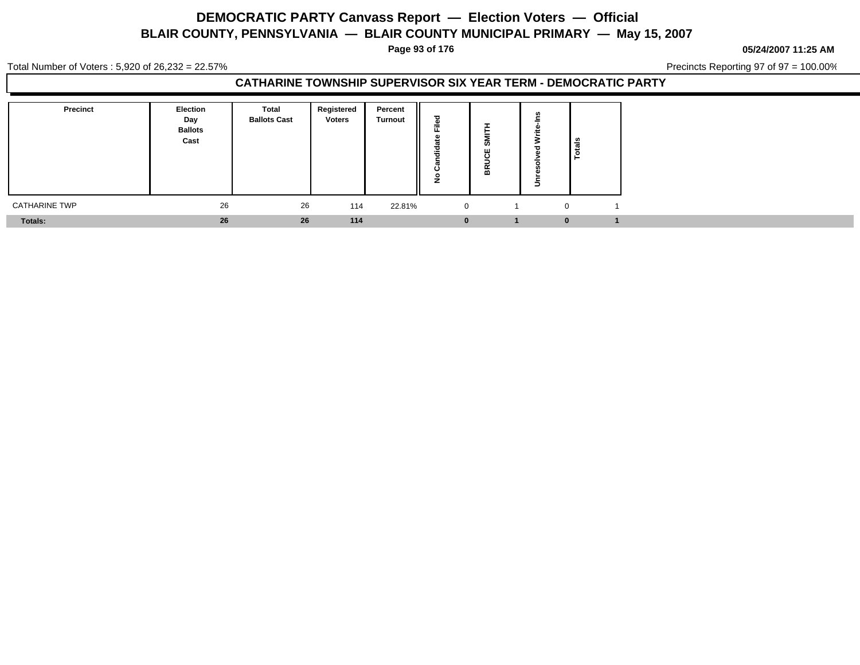**Page 93 of 176**

**05/24/2007 11:25 AM**

Total Number of Voters : 5,920 of 26,232 = 22.57%

Precincts Reporting 97 of 97 = 100.00%

### **CATHARINE TOWNSHIP SUPERVISOR SIX YEAR TERM - DEMOCRATIC PARTY**

| <b>Precinct</b>      | <b>Election</b><br>Day<br><b>Ballots</b><br>Cast | Total<br><b>Ballots Cast</b> | Registered<br><b>Voters</b> | Percent<br><b>Turnout</b> | $=$<br><br>ن<br>- | ທ<br>ш<br><br>$\alpha$<br>m | $\overline{\phantom{0}}$ | <b>also</b><br><u>۔</u> |
|----------------------|--------------------------------------------------|------------------------------|-----------------------------|---------------------------|-------------------|-----------------------------|--------------------------|-------------------------|
| <b>CATHARINE TWP</b> | 26                                               | 26                           | 114                         | 22.81%                    | $\mathbf{0}$      |                             |                          |                         |
| Totals:              | 26                                               | 26                           | 114                         |                           |                   |                             | $\bf{0}$                 |                         |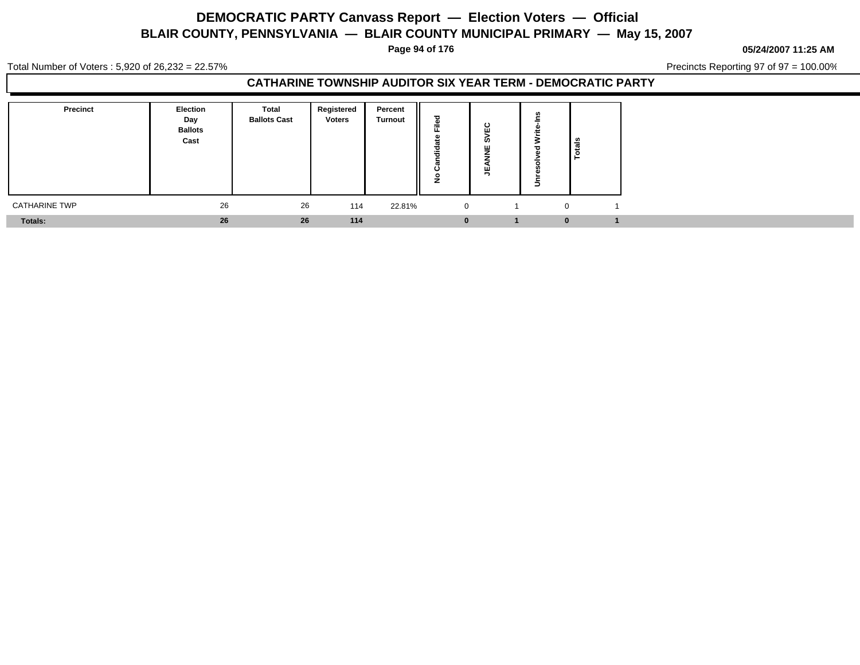**Page 94 of 176**

**05/24/2007 11:25 AM**

Total Number of Voters : 5,920 of 26,232 = 22.57%

Precincts Reporting 97 of 97 = 100.00%

### **CATHARINE TOWNSHIP AUDITOR SIX YEAR TERM - DEMOCRATIC PARTY**

| <b>Precinct</b>      | <b>Election</b><br>Day<br><b>Ballots</b><br>Cast | Total<br><b>Ballots Cast</b> | Registered<br><b>Voters</b> | Percent<br><b>Turnout</b> | $\sim$<br><br>ن<br>- | $\mathbf c$<br>.<br>ທ<br>ш | $\overline{\phantom{0}}$ | <b>also</b><br><u>. на п</u> |
|----------------------|--------------------------------------------------|------------------------------|-----------------------------|---------------------------|----------------------|----------------------------|--------------------------|------------------------------|
| <b>CATHARINE TWP</b> | 26                                               | 26                           | 114                         | 22.81%                    | $\mathbf{0}$         |                            |                          |                              |
| Totals:              | 26                                               | 26                           | 114                         |                           |                      |                            | $\bf{0}$                 |                              |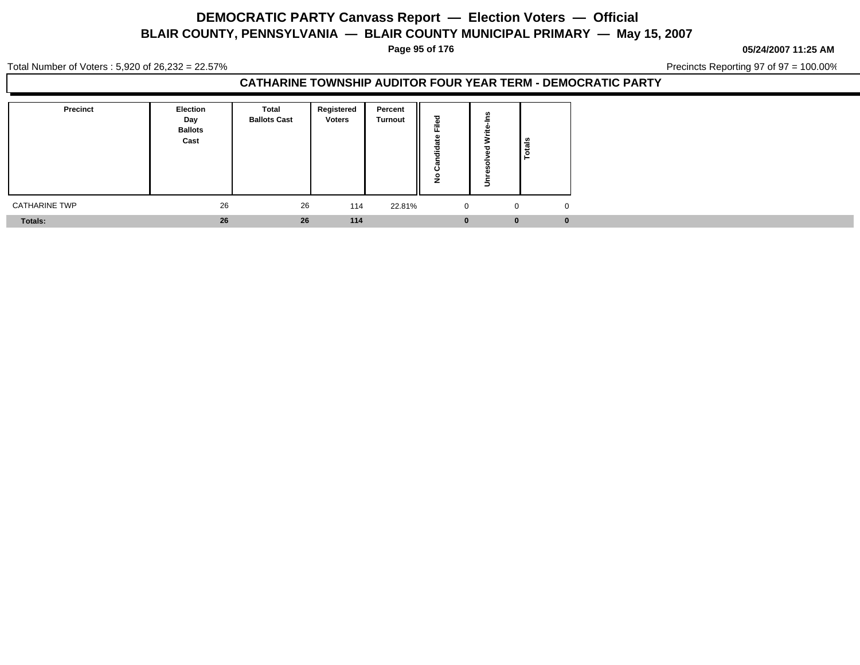**Page 95 of 176**

**05/24/2007 11:25 AM**

Total Number of Voters : 5,920 of 26,232 = 22.57%

Precincts Reporting 97 of 97 = 100.00%

### **CATHARINE TOWNSHIP AUDITOR FOUR YEAR TERM - DEMOCRATIC PARTY**

| Precinct             | Election<br>Day<br><b>Ballots</b><br>Cast | Total<br><b>Ballots Cast</b> | Registered<br><b>Voters</b> | Percent<br><b>Turnout</b> | ਠ<br>n,<br>÷<br>щ.<br>-01<br>-<br>ಕ<br>÷<br>ပ<br>$\circ$<br>-<br>◢ | -            |
|----------------------|-------------------------------------------|------------------------------|-----------------------------|---------------------------|--------------------------------------------------------------------|--------------|
| <b>CATHARINE TWP</b> | 26                                        | 26                           | 114                         | 22.81%                    | $\overline{0}$                                                     | $\mathbf 0$  |
| <b>Totals:</b>       | 26                                        | 26                           | 114                         |                           | $\bf{0}$                                                           | $\mathbf{0}$ |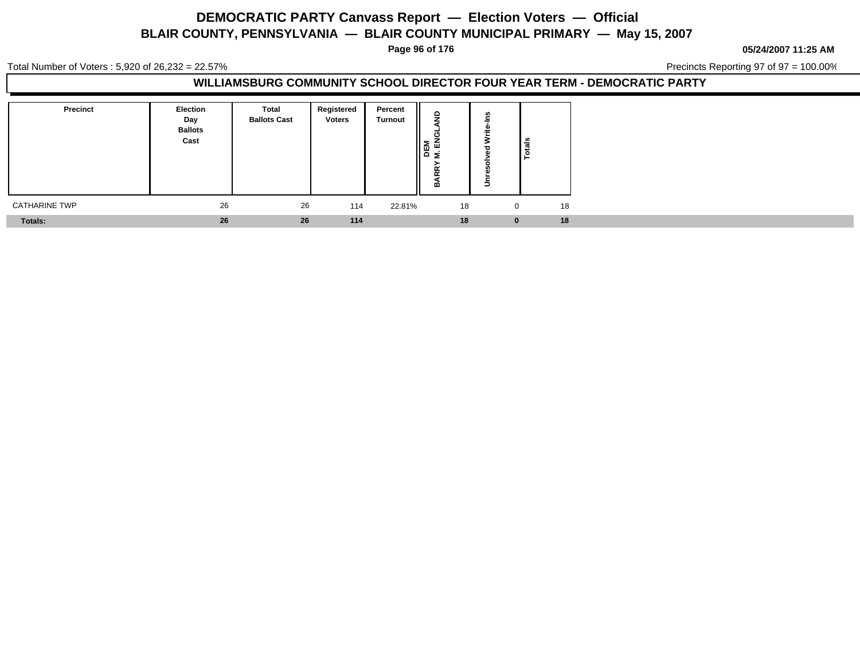**Page 96 of 176**

**05/24/2007 11:25 AM**

Total Number of Voters : 5,920 of 26,232 = 22.57%

Precincts Reporting 97 of 97 = 100.00%

### **WILLIAMSBURG COMMUNITY SCHOOL DIRECTOR FOUR YEAR TERM - DEMOCRATIC PARTY**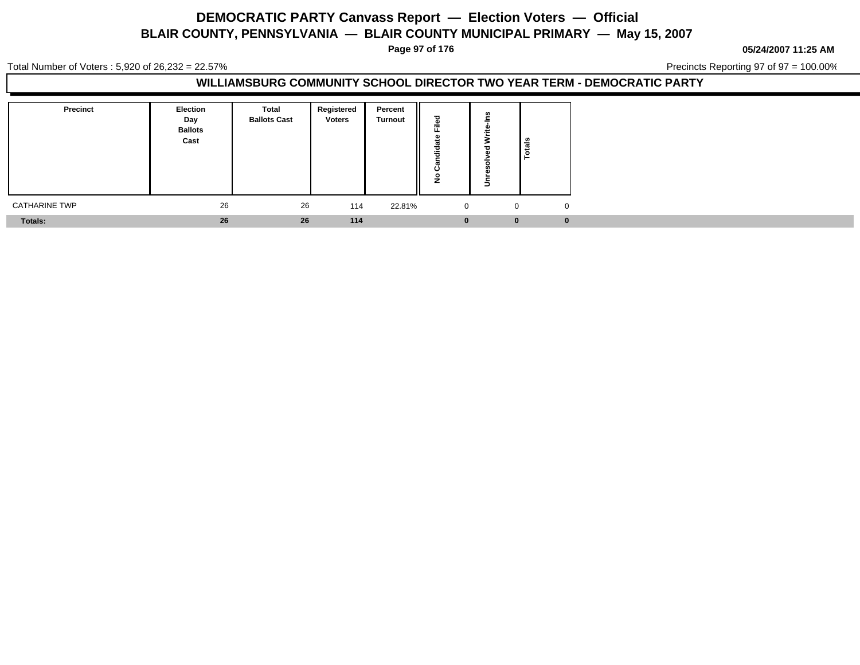**Page 97 of 176**

**05/24/2007 11:25 AM**

Total Number of Voters : 5,920 of 26,232 = 22.57%

Precincts Reporting 97 of 97 = 100.00%

### **WILLIAMSBURG COMMUNITY SCHOOL DIRECTOR TWO YEAR TERM - DEMOCRATIC PARTY**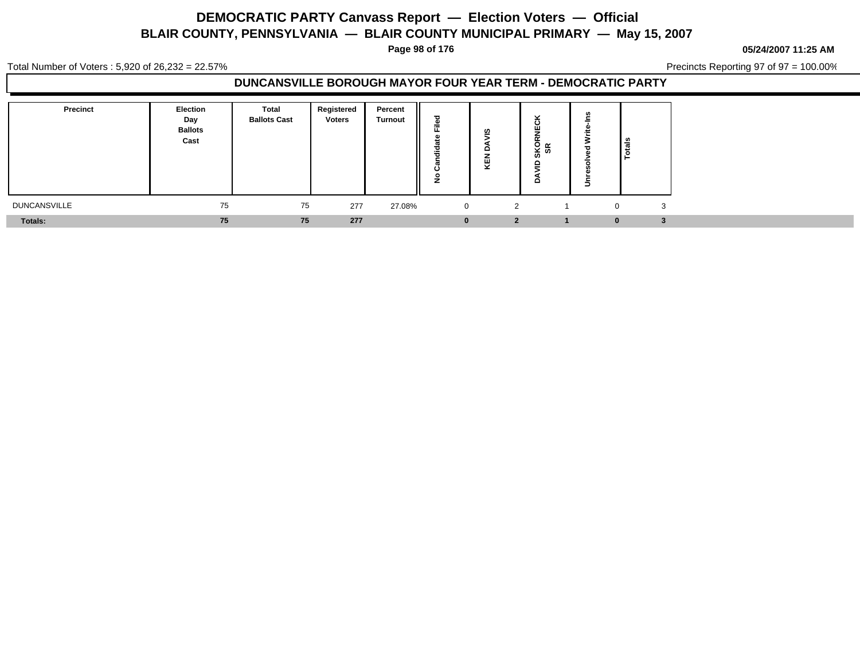**Page 98 of 176**

**05/24/2007 11:25 AM**

Total Number of Voters : 5,920 of 26,232 = 22.57%

Precincts Reporting 97 of 97 = 100.00%

### **DUNCANSVILLE BOROUGH MAYOR FOUR YEAR TERM - DEMOCRATIC PARTY**

| Precinct            | <b>Election</b><br>Day<br><b>Ballots</b><br>Cast | <b>Total</b><br><b>Ballots Cast</b> | Registered<br><b>Voters</b> | Percent<br><b>Turnout</b><br>║ | 70<br>--<br>7<br>- 1 | ທ<br>o<br>ш<br>≂<br>- | $\overline{\phantom{a}}$<br>SKO<br>SR<br>٠<br>o | $\overline{\phantom{0}}$ | ≝ا                |
|---------------------|--------------------------------------------------|-------------------------------------|-----------------------------|--------------------------------|----------------------|-----------------------|-------------------------------------------------|--------------------------|-------------------|
| <b>DUNCANSVILLE</b> | 75                                               | 75                                  | 277                         | 27.08%                         | $\mathbf{0}$         | 2                     |                                                 |                          | 3<br>$\mathbf{0}$ |
| Totals:             | 75                                               | 75                                  | 277                         |                                | 0                    |                       |                                                 |                          | ш                 |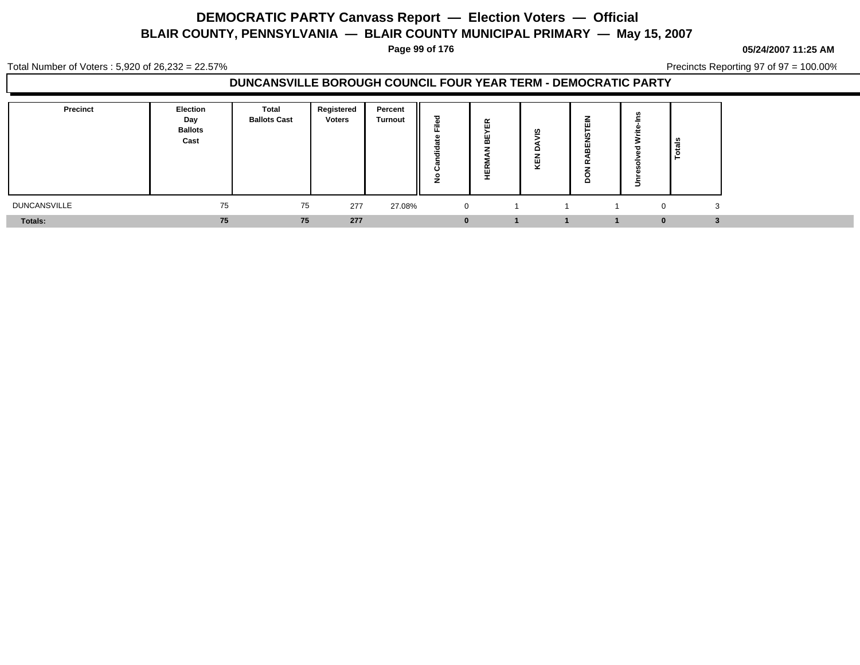**Page 99 of 176**

**05/24/2007 11:25 AM**

Total Number of Voters : 5,920 of 26,232 = 22.57%

Precincts Reporting 97 of 97 = 100.00%

## **DUNCANSVILLE BOROUGH COUNCIL FOUR YEAR TERM - DEMOCRATIC PARTY**

| Precinct            | <b>Election</b><br>Day<br><b>Ballots</b><br>Cast | Total<br><b>Ballots Cast</b> | Registered<br><b>Voters</b> | Percent<br><b>Turnout</b> | ≂<br> | $\propto$<br>ш<br>ш<br>m<br>$\sim$<br>- | ທ<br>o<br>ш<br>≂ | -<br>-<br>$\mathbf{H}$<br>ш<br>$\tilde{\phantom{a}}$<br>≏ |              | ဦ<br>Iē |
|---------------------|--------------------------------------------------|------------------------------|-----------------------------|---------------------------|-------|-----------------------------------------|------------------|-----------------------------------------------------------|--------------|---------|
| <b>DUNCANSVILLE</b> | 75                                               | 75                           | 277                         | 27.08%                    |       | $\overline{0}$                          |                  |                                                           | $\mathbf{0}$ |         |
| <b>Totals:</b>      | 75                                               | 75                           | 277                         |                           |       |                                         |                  |                                                           | 0            |         |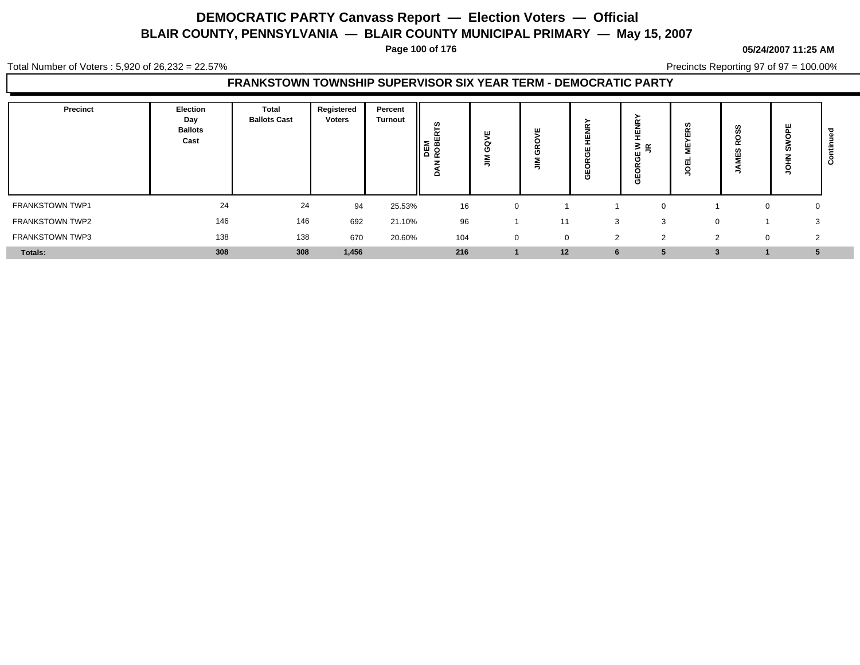**Page 100 of 176**

#### **05/24/2007 11:25 AM**

Total Number of Voters : 5,920 of 26,232 = 22.57%

Precincts Reporting 97 of 97 = 100.00%

### **FRANKSTOWN TOWNSHIP SUPERVISOR SIX YEAR TERM - DEMOCRATIC PARTY**

| Precinct               | Election<br>Day<br><b>Ballots</b><br>Cast | Total<br><b>Ballots Cast</b> | Registered<br><b>Voters</b> | Percent<br>Turnout | ဖာ<br>DEM<br>ROBEI<br>≏ | =           | -           | $\sim$<br>ш<br>Ŵ<br>O | ≊ ≊<br>ш<br>₩ | <b>S</b><br>∽ | w<br>œ<br>ഗ<br>ш<br>- | ш<br>g       |  |
|------------------------|-------------------------------------------|------------------------------|-----------------------------|--------------------|-------------------------|-------------|-------------|-----------------------|---------------|---------------|-----------------------|--------------|--|
| FRANKSTOWN TWP1        | 24                                        | 24                           | 94                          | 25.53%             | 16                      |             |             |                       |               |               |                       | $\mathbf{0}$ |  |
| FRANKSTOWN TWP2        | 146                                       | 146                          | 692                         | 21.10%             | 96                      |             | 11          | -3                    |               | $\Omega$      |                       | 3            |  |
| <b>FRANKSTOWN TWP3</b> | 138                                       | 138                          | 670                         | 20.60%             | 104                     | $\mathbf 0$ | $\mathbf 0$ | $\overline{2}$        | ◠<br>∠        | $\Omega$      | 0                     | $\sim$       |  |
| Totals:                | 308                                       | 308                          | 1,456                       |                    | 216                     |             | 12          | 6                     |               |               |                       |              |  |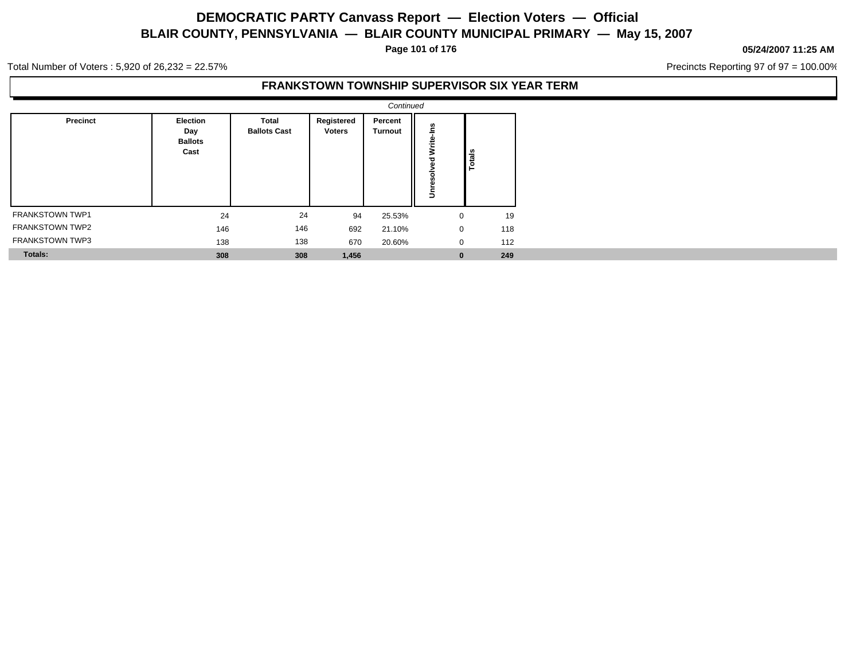**Page 101 of 176**

#### **05/24/2007 11:25 AM**

Precincts Reporting 97 of 97 = 100.00%

Total Number of Voters : 5,920 of 26,232 = 22.57%

### **FRANKSTOWN TOWNSHIP SUPERVISOR SIX YEAR TERM**

|                        |                                                  |                                     |                             | Continued          |                            |               |
|------------------------|--------------------------------------------------|-------------------------------------|-----------------------------|--------------------|----------------------------|---------------|
| Precinct               | <b>Election</b><br>Day<br><b>Ballots</b><br>Cast | <b>Total</b><br><b>Ballots Cast</b> | Registered<br><b>Voters</b> | Percent<br>Turnout | Write-Ins<br>요<br>Unresolv | <b>Totals</b> |
| <b>FRANKSTOWN TWP1</b> | 24                                               | 24                                  | 94                          | 25.53%             | $\mathbf 0$                | 19            |
| <b>FRANKSTOWN TWP2</b> | 146                                              | 146                                 | 692                         | 21.10%             | $\mathbf 0$                | 118           |
| <b>FRANKSTOWN TWP3</b> | 138                                              | 138                                 | 670                         | 20.60%             | 0                          | 112           |
| <b>Totals:</b>         | 308                                              | 308                                 | 1,456                       |                    | $\bf{0}$                   | 249           |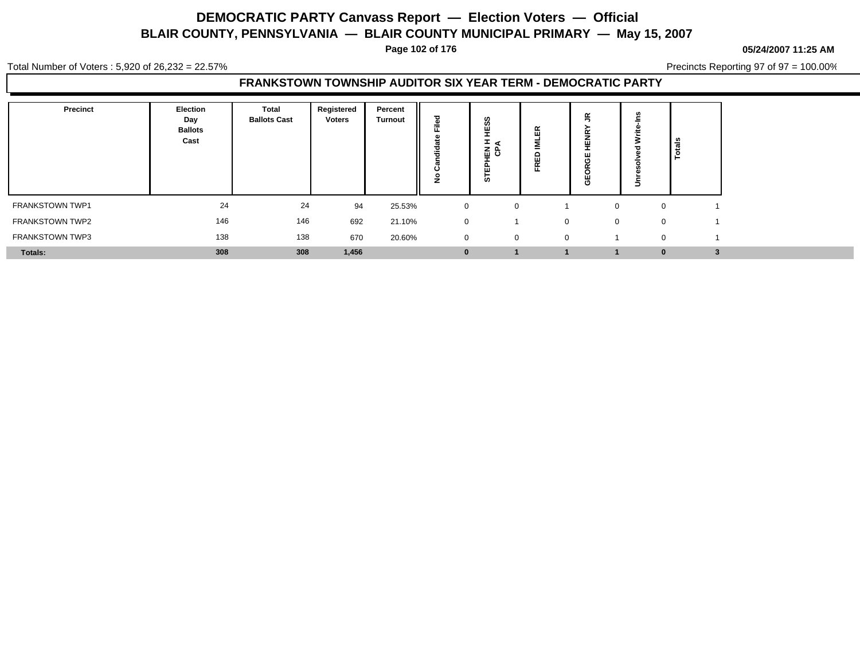**Page 102 of 176**

**05/24/2007 11:25 AM**

Total Number of Voters : 5,920 of 26,232 = 22.57%

Precincts Reporting 97 of 97 = 100.00%

#### **FRANKSTOWN TOWNSHIP AUDITOR SIX YEAR TERM - DEMOCRATIC PARTY**

| <b>Precinct</b>        | Election<br>Day<br><b>Ballots</b><br>Cast | Total<br><b>Ballots Cast</b> | Registered<br><b>Voters</b> | Percent<br><b>Turnout</b> | ≂<br>÷<br>د، | ω<br>œ<br>로 양<br>່ທ | $\alpha$<br>ш<br>≏<br>画<br>$\sim$ | œ<br>쁮<br>Φ | u.<br>∍      | $\frac{1}{2}$ |
|------------------------|-------------------------------------------|------------------------------|-----------------------------|---------------------------|--------------|---------------------|-----------------------------------|-------------|--------------|---------------|
| FRANKSTOWN TWP1        | 24                                        | 24                           | 94                          | 25.53%                    | $\mathbf{0}$ | 0                   |                                   |             |              | 0             |
| FRANKSTOWN TWP2        | 146                                       | 146                          | 692                         | 21.10%                    | $\mathbf{0}$ |                     | $\Omega$                          |             | $\mathbf{0}$ | 0             |
| <b>FRANKSTOWN TWP3</b> | 138                                       | 138                          | 670                         | 20.60%                    | $\mathbf{0}$ | 0                   | $\Omega$                          |             |              | $\mathbf{0}$  |
| Totals:                | 308                                       | 308                          | 1,456                       |                           | 0            |                     |                                   |             |              | 0             |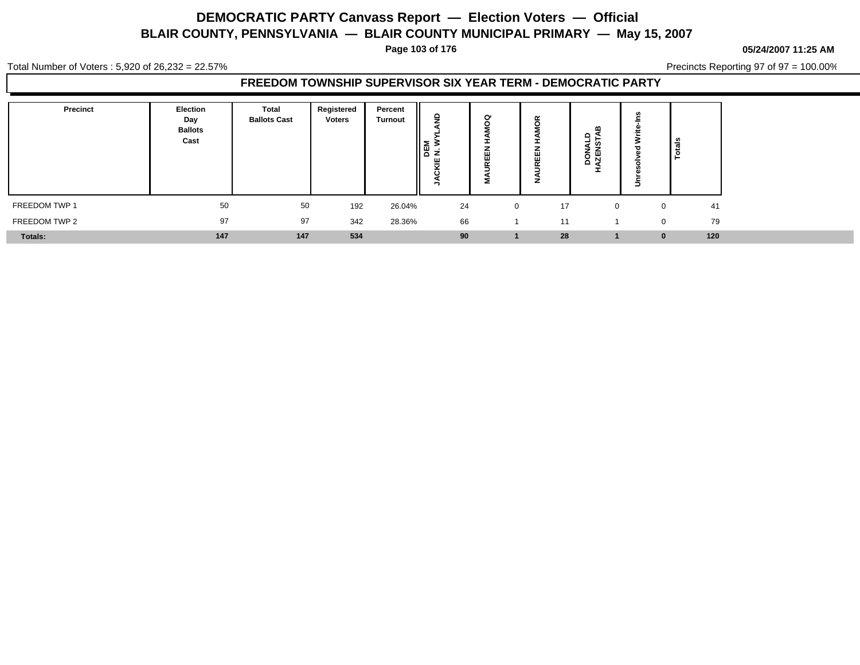**Page 103 of 176**

**05/24/2007 11:25 AM**

Total Number of Voters : 5,920 of 26,232 = 22.57%

Precincts Reporting 97 of 97 = 100.00%

### **FREEDOM TOWNSHIP SUPERVISOR SIX YEAR TERM - DEMOCRATIC PARTY**

| Precinct      | Election<br>Day<br><b>Ballots</b><br>Cast | Total<br><b>Ballots Cast</b> | Registered<br><b>Voters</b> | Percent<br><b>Turnout</b> | ᆘᇣᄛ<br>≂<br>$\cdot$ | G<br>ш<br>$\sim$ | $\alpha$<br>O<br>⊞<br>$\sim$ | m<br>유일<br>. u.<br>Ž<br>요 집 |   | Totals             |
|---------------|-------------------------------------------|------------------------------|-----------------------------|---------------------------|---------------------|------------------|------------------------------|-----------------------------|---|--------------------|
| FREEDOM TWP 1 | 50                                        | 50                           | 192                         | 26.04%                    | 24                  | $\mathbf{0}$     | 17                           | $\Omega$                    |   | 41<br>$\mathbf{0}$ |
| FREEDOM TWP 2 | 97                                        | 97                           | 342                         | 28.36%                    | 66                  |                  | 11                           |                             |   | 79<br>$\mathbf{0}$ |
| Totals:       | 147                                       | 147                          | 534                         |                           | 90                  |                  | 28                           |                             | 0 | 120                |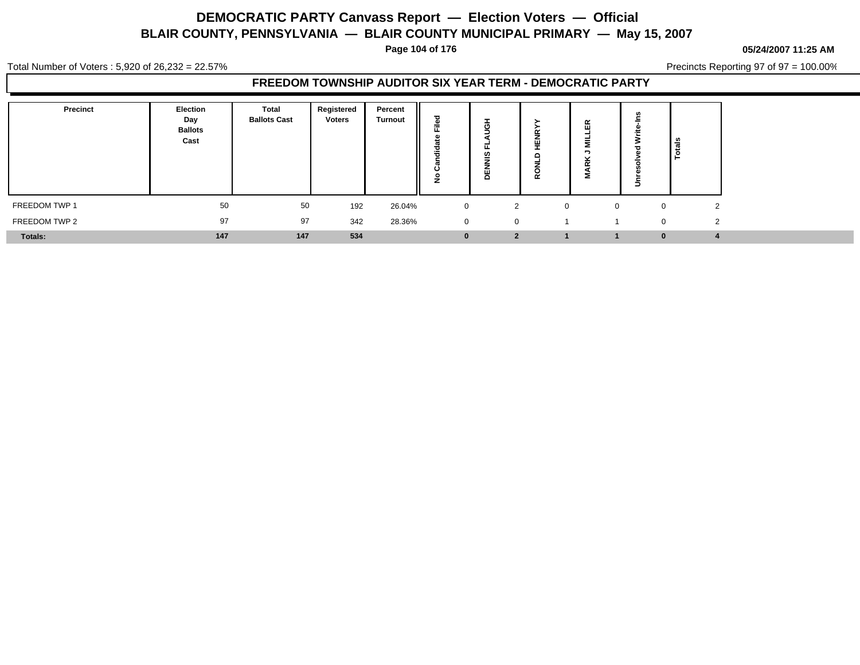**Page 104 of 176**

#### **05/24/2007 11:25 AM**

Total Number of Voters : 5,920 of 26,232 = 22.57%

Precincts Reporting 97 of 97 = 100.00%

### **FREEDOM TOWNSHIP AUDITOR SIX YEAR TERM - DEMOCRATIC PARTY**

| <b>Precinct</b> | Election<br>Day<br><b>Ballots</b><br>Cast | Total<br><b>Ballots Cast</b> | Registered<br>Voters | Percent<br><b>Turnout</b> | --           | <b>.</b><br>ט<br>U.<br>-<br>c | ш<br>c<br>α | $\alpha$<br>ш |                                | Total <sub>s</sub> |  |
|-----------------|-------------------------------------------|------------------------------|----------------------|---------------------------|--------------|-------------------------------|-------------|---------------|--------------------------------|--------------------|--|
| FREEDOM TWP 1   | 50                                        | 50                           | 192                  | 26.04%                    | $\mathbf 0$  | $\mathcal{D}$                 | $\Omega$    |               | $\overline{0}$<br>$\mathbf{0}$ | $\sim$<br>∼        |  |
| FREEDOM TWP 2   | 97                                        | 97                           | 342                  | 28.36%                    | $\mathbf{0}$ | $\Omega$                      |             |               | $\mathbf 0$                    | $\Omega$           |  |
| <b>Totals:</b>  | 147                                       | 147                          | 534                  |                           | u            | $\overline{2}$                |             |               | $\bf{0}$                       |                    |  |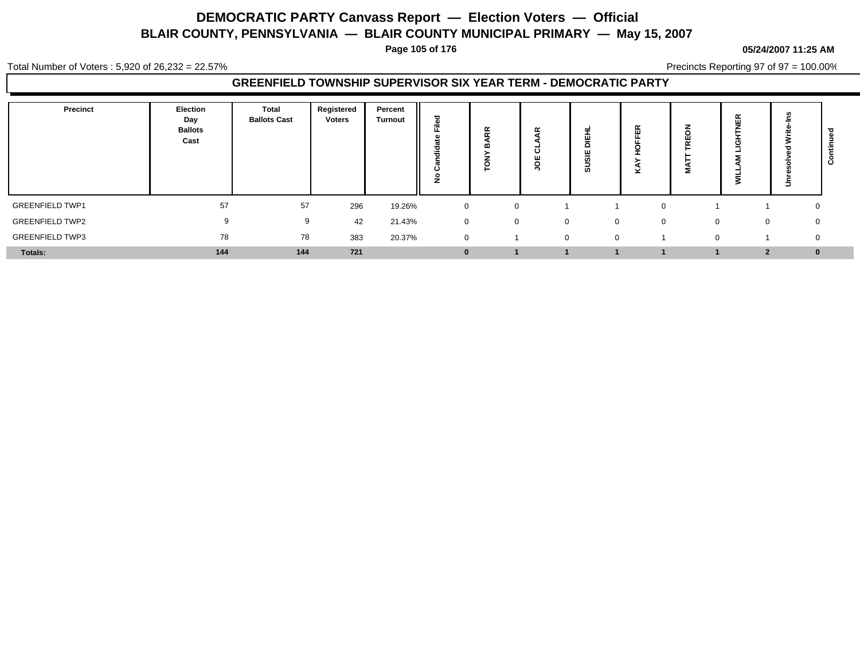**Page 105 of 176**

Total Number of Voters : 5,920 of 26,232 = 22.57%

Precincts Reporting 97 of 97 = 100.00%

### **GREENFIELD TOWNSHIP SUPERVISOR SIX YEAR TERM - DEMOCRATIC PARTY**

| Precinct               | Election<br>Day<br><b>Ballots</b><br>Cast | Total<br><b>Ballots Cast</b> | Registered<br><b>Voters</b> | Percent<br><b>Turnout</b> | ᅙ<br>$\mathbf{a}$<br>≂<br>τ<br>-- | ≃<br>$\overline{\phantom{a}}$ | $\sim$<br>$\mathbf c$ | ш<br>ш<br>ທ |   | Ŵ.<br>2  | 띥  | ∍                 | Ω |
|------------------------|-------------------------------------------|------------------------------|-----------------------------|---------------------------|-----------------------------------|-------------------------------|-----------------------|-------------|---|----------|----|-------------------|---|
| <b>GREENFIELD TWP1</b> | 57                                        | 57                           | 296                         | 19.26%                    | $\mathbf 0$                       |                               |                       |             |   |          |    | 0                 |   |
| <b>GREENFIELD TWP2</b> | 9                                         | 9                            | 42                          | 21.43%                    | $\mathbf 0$                       | $\mathbf{0}$                  | $\Omega$              | $\Omega$    | 0 | $\Omega$ |    | $\mathbf{0}$<br>0 |   |
| <b>GREENFIELD TWP3</b> | 78                                        | 78                           | 383                         | 20.37%                    | $\overline{0}$                    |                               | $\mathbf 0$           | $\Omega$    |   |          | O. | $\mathbf 0$       |   |
| Totals:                | 144                                       | 144                          | 721                         |                           | $\bf{0}$                          |                               |                       |             |   |          |    | $\bf{0}$          |   |

**05/24/2007 11:25 AM**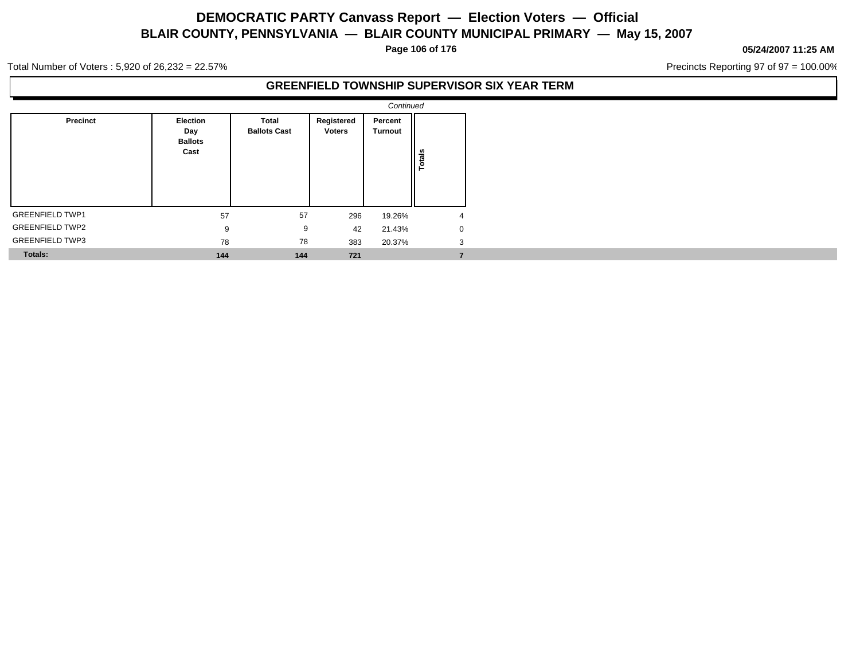**Page 106 of 176**

#### **05/24/2007 11:25 AM**

Precincts Reporting 97 of 97 = 100.00%

Total Number of Voters : 5,920 of 26,232 = 22.57%

### **GREENFIELD TOWNSHIP SUPERVISOR SIX YEAR TERM**

|                        |                                           |                                     |                             | Continued                 |        |
|------------------------|-------------------------------------------|-------------------------------------|-----------------------------|---------------------------|--------|
| <b>Precinct</b>        | Election<br>Day<br><b>Ballots</b><br>Cast | <b>Total</b><br><b>Ballots Cast</b> | Registered<br><b>Voters</b> | Percent<br><b>Turnout</b> | Totals |
| <b>GREENFIELD TWP1</b> | 57                                        | 57                                  | 296                         | 19.26%                    | 4      |
| <b>GREENFIELD TWP2</b> | 9                                         | 9                                   | 42                          | 21.43%                    | 0      |
| <b>GREENFIELD TWP3</b> | 78                                        | 78                                  | 383                         | 20.37%                    | 3      |
| <b>Totals:</b>         | 144                                       | 144                                 | 721                         |                           |        |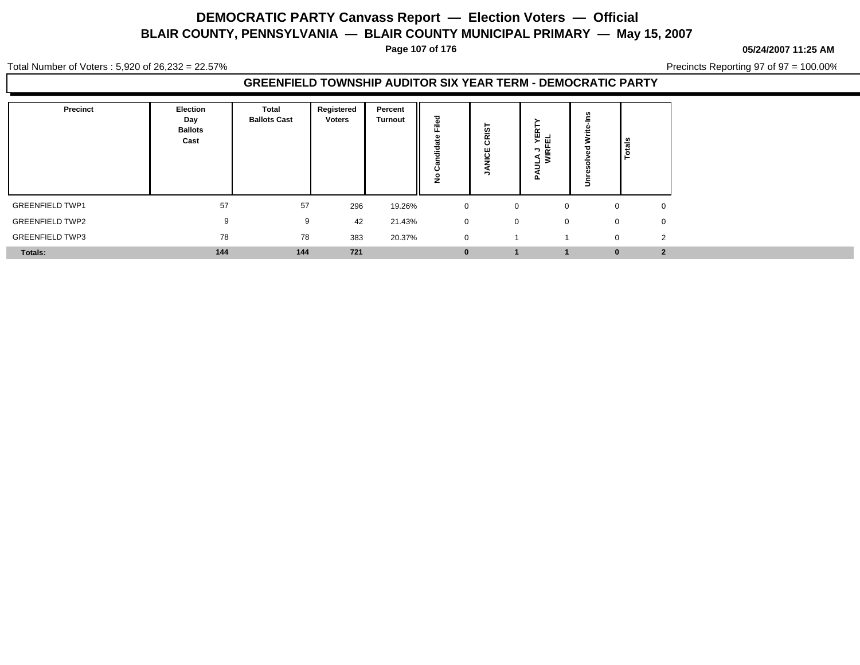**Page 107 of 176**

**05/24/2007 11:25 AM**

Total Number of Voters : 5,920 of 26,232 = 22.57%

Precincts Reporting 97 of 97 = 100.00%

### **GREENFIELD TOWNSHIP AUDITOR SIX YEAR TERM - DEMOCRATIC PARTY**

| Precinct               | Election<br>Day<br><b>Ballots</b><br>Cast | Total<br><b>Ballots Cast</b> | Registered<br><b>Voters</b> | Percent<br><b>Turnout</b> | ъ<br>≂         | <b>in</b><br>-<br>$\alpha$<br>$\overline{c}$<br>$\epsilon$ | 로 픽<br>ᄀᄙ<br>≤Ī | ∎∎<br><u>ه</u> .             |
|------------------------|-------------------------------------------|------------------------------|-----------------------------|---------------------------|----------------|------------------------------------------------------------|-----------------|------------------------------|
| <b>GREENFIELD TWP1</b> | 57                                        | 57                           | 296                         | 19.26%                    | $\mathbf 0$    | 0                                                          | $\Omega$        | 0                            |
| <b>GREENFIELD TWP2</b> | 9                                         | 9                            | 42                          | 21.43%                    | $\overline{0}$ | 0                                                          | $\Omega$        | $\mathbf{0}$<br>$\mathbf{0}$ |
| <b>GREENFIELD TWP3</b> | 78                                        | 78                           | 383                         | 20.37%                    | $\overline{0}$ |                                                            |                 | $\overline{2}$<br>$\Omega$   |
| Totals:                | 144                                       | 144                          | 721                         |                           | $\bf{0}$       |                                                            |                 | $\overline{2}$<br>$\bf{0}$   |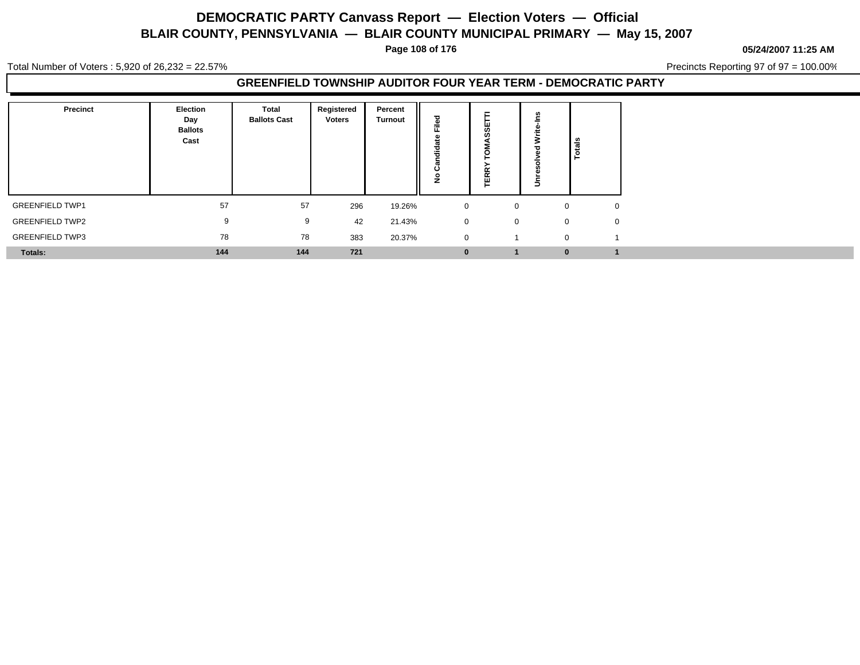**Page 108 of 176**

**05/24/2007 11:25 AM**

Total Number of Voters : 5,920 of 26,232 = 22.57%

Precincts Reporting 97 of 97 = 100.00%

### **GREENFIELD TOWNSHIP AUDITOR FOUR YEAR TERM - DEMOCRATIC PARTY**

| <b>Precinct</b>        | Election<br>Day<br><b>Ballots</b><br>Cast | <b>Total</b><br><b>Ballots Cast</b> | Registered<br><b>Voters</b> | Percent<br><b>Turnout</b> | ъ<br>--<br>ಕ<br><br>c<br>c | $\overline{u}$<br><br>$\overline{\phantom{a}}$<br>- | ∍           | Totals |
|------------------------|-------------------------------------------|-------------------------------------|-----------------------------|---------------------------|----------------------------|-----------------------------------------------------|-------------|--------|
| <b>GREENFIELD TWP1</b> | 57                                        | 57                                  | 296                         | 19.26%                    | $\mathbf 0$                | 0                                                   | $\Omega$    |        |
| <b>GREENFIELD TWP2</b> | 9                                         | 9                                   | 42                          | 21.43%                    | $\overline{0}$             | $\mathbf{0}$                                        | $\mathbf 0$ |        |
| <b>GREENFIELD TWP3</b> | 78                                        | 78                                  | 383                         | 20.37%                    | $\overline{0}$             |                                                     | $\mathbf 0$ |        |
| Totals:                | 144                                       | 144                                 | 721                         |                           | $\mathbf{0}$               |                                                     | $\bf{0}$    |        |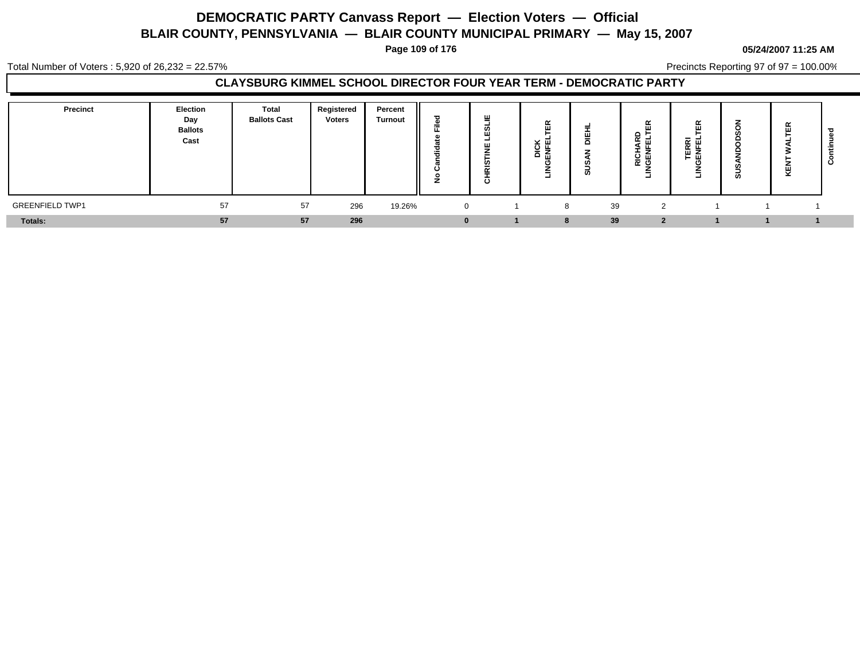**Page 109 of 176**

#### **05/24/2007 11:25 AM**

Total Number of Voters : 5,920 of 26,232 = 22.57%

Precincts Reporting 97 of 97 = 100.00%

### **CLAYSBURG KIMMEL SCHOOL DIRECTOR FOUR YEAR TERM - DEMOCRATIC PARTY**

| <b>Precinct</b>        | <b>Election</b><br>Day<br><b>Ballots</b><br>Cast | <b>Total</b><br><b>Ballots Cast</b> | Registered<br><b>Voters</b> | Percent<br><b>Turnout</b> | ≂<br>÷ | Щ<br><b>__</b><br>-<br>$\sim$<br><br>$\circ$ | $\tilde{\phantom{a}}$<br>$\cdots$<br>× ₪<br>⊾ ن<br>홌<br>-<br>۵<br>- | ≏<br>ø | $\alpha$<br>ш<br>ا د∩<br>ᅂᇚ<br>-<br>--<br>유 명<br>O<br>=<br>- | $\simeq$<br>画<br>-<br>준 핀<br>ѿz<br>ᄐᅖ<br>ᅴ | -<br>-<br>S | 띥<br>色<br>图 | ల |
|------------------------|--------------------------------------------------|-------------------------------------|-----------------------------|---------------------------|--------|----------------------------------------------|---------------------------------------------------------------------|--------|--------------------------------------------------------------|--------------------------------------------|-------------|-------------|---|
| <b>GREENFIELD TWP1</b> | 57                                               | 57                                  | 296                         | 19.26%                    |        |                                              | 8                                                                   | 39     | ົ                                                            |                                            |             |             |   |
| <b>Totals:</b>         | 57                                               | 57                                  | 296                         |                           |        |                                              | -8                                                                  | 39     |                                                              |                                            |             |             |   |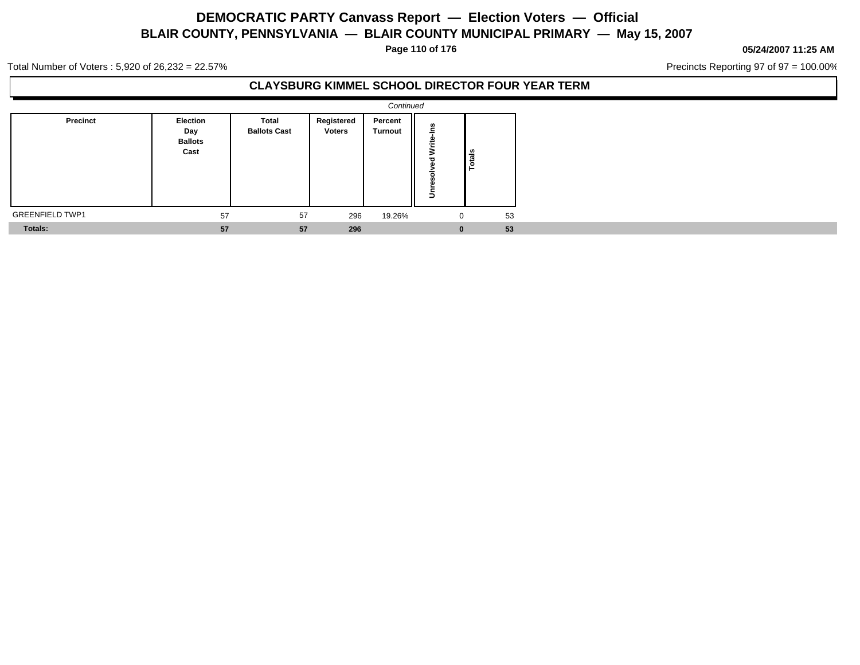**Page 110 of 176**

#### **05/24/2007 11:25 AM**

Precincts Reporting 97 of 97 = 100.00%

Total Number of Voters : 5,920 of 26,232 = 22.57%

### **CLAYSBURG KIMMEL SCHOOL DIRECTOR FOUR YEAR TERM**

|                        |                                           |                              |                             | Continued          |                           |              |  |
|------------------------|-------------------------------------------|------------------------------|-----------------------------|--------------------|---------------------------|--------------|--|
| Precinct               | Election<br>Day<br><b>Ballots</b><br>Cast | Total<br><b>Ballots Cast</b> | Registered<br><b>Voters</b> | Percent<br>Turnout | š<br>Write<br>ರ<br>ā<br>š | ទឹ<br>۰<br>⊢ |  |
| <b>GREENFIELD TWP1</b> | 57                                        | 57                           | 296                         | 19.26%             | $\mathbf 0$               | 53           |  |
| <b>Totals:</b>         | 57                                        | 57                           | 296                         |                    | $\bf{0}$                  | 53           |  |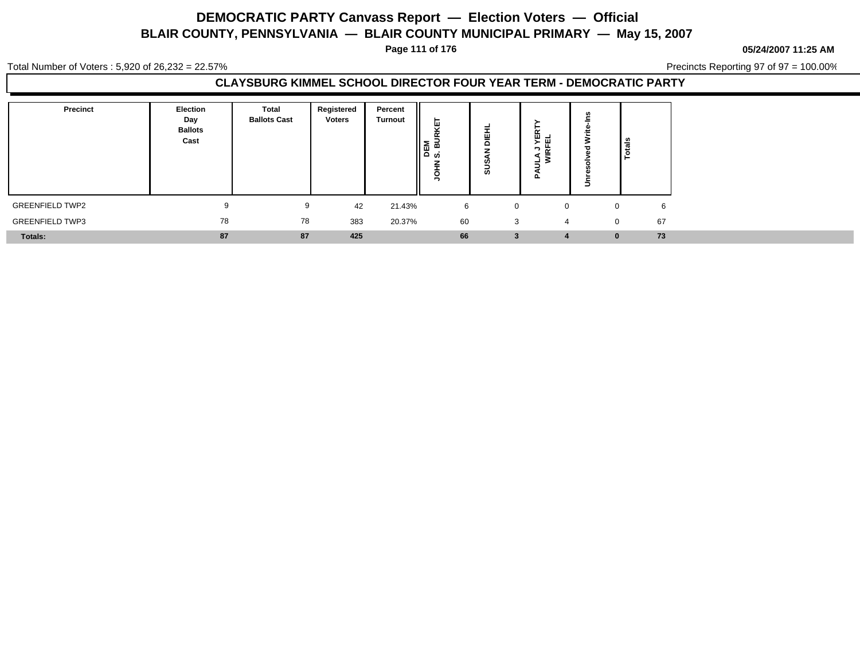**Page 111 of 176**

**05/24/2007 11:25 AM**

Total Number of Voters : 5,920 of 26,232 = 22.57%

Precincts Reporting 97 of 97 = 100.00%

### **CLAYSBURG KIMMEL SCHOOL DIRECTOR FOUR YEAR TERM - DEMOCRATIC PARTY**

| <b>Precinct</b>        | Election<br>Day<br><b>Ballots</b><br>Cast | Total<br><b>Ballots Cast</b> | Registered<br><b>Voters</b> | Percent<br><b>Turnout</b> | -<br>ш<br>$\overline{\phantom{a}}$<br>`ੜ ਡੋ<br>ŏ<br>ဖာ | -<br>$\epsilon$<br><b>SC</b> | )<br>현대<br>≂<br>$\overline{\phantom{a}}$<br>><br>– ≥<br>u | Totals            |
|------------------------|-------------------------------------------|------------------------------|-----------------------------|---------------------------|--------------------------------------------------------|------------------------------|-----------------------------------------------------------|-------------------|
| <b>GREENFIELD TWP2</b> |                                           | 9                            | 42                          | 21.43%                    | 6                                                      | 0                            | $\Omega$                                                  | 6<br>$\mathbf{0}$ |
| <b>GREENFIELD TWP3</b> | 78                                        | 78                           | 383                         | 20.37%                    | 60                                                     | 3                            | 4                                                         | 67<br>$\Omega$    |
| <b>Totals:</b>         | 87                                        | 87                           | 425                         |                           | 66                                                     | 3                            | 4                                                         | 73<br>$\bf{0}$    |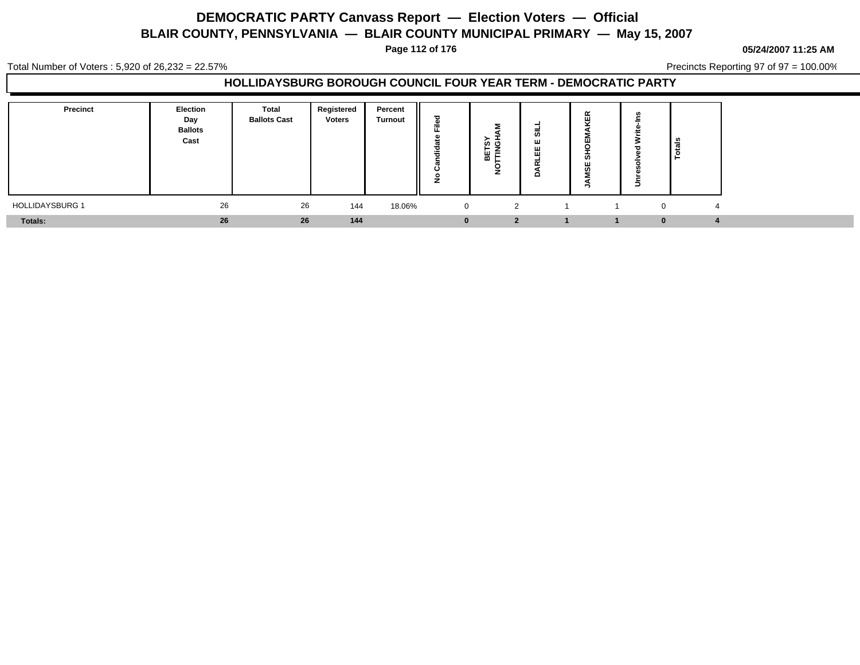**Page 112 of 176**

**05/24/2007 11:25 AM**

Total Number of Voters : 5,920 of 26,232 = 22.57%

Precincts Reporting 97 of 97 = 100.00%

| Precinct               | Election<br>Day<br><b>Ballots</b><br>Cast | Total<br><b>Ballots Cast</b> | Registered<br><b>Voters</b> | Percent<br><b>Turnout</b> | ᇰ<br>-<br>≂<br>÷<br>÷<br>∼<br>г | ı<br>້ທ ເງ<br>-<br>붑<br>- | -<br>ဖာ<br>ш<br>. | œ<br>ш<br>ш<br>ທ<br>ш<br>ഗ | ីត |  |
|------------------------|-------------------------------------------|------------------------------|-----------------------------|---------------------------|---------------------------------|---------------------------|-------------------|----------------------------|----|--|
| <b>HOLLIDAYSBURG 1</b> | 26                                        | 26                           | 144                         | 18.06%                    | $\overline{0}$                  | $\overline{2}$            |                   |                            |    |  |
| Totals:                | 26                                        | 26                           | 144                         |                           | $\bf{0}$                        | n                         |                   |                            |    |  |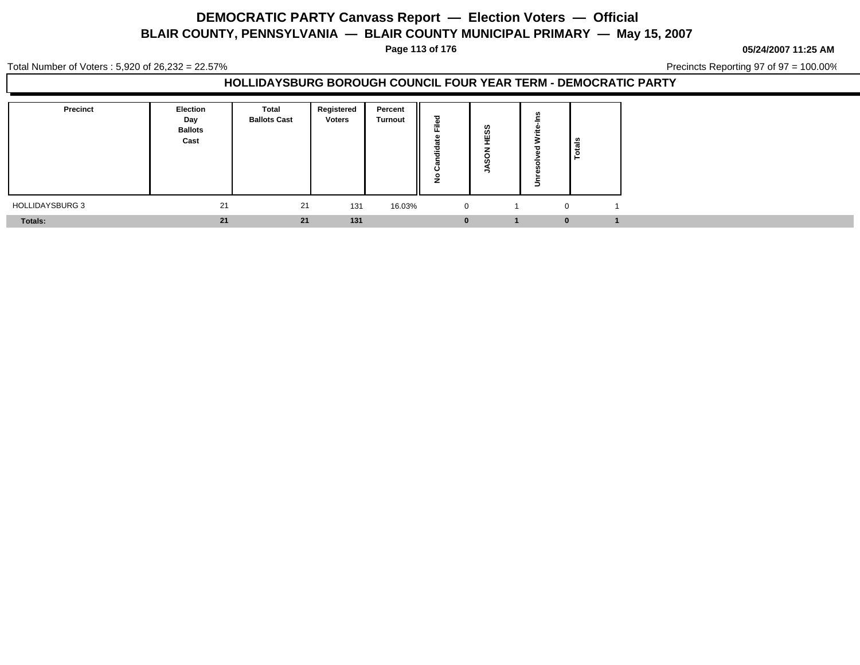**Page 113 of 176**

**05/24/2007 11:25 AM**

Total Number of Voters : 5,920 of 26,232 = 22.57%

Precincts Reporting 97 of 97 = 100.00%

| Precinct               | <b>Election</b><br>Day<br><b>Ballots</b><br>Cast | <b>Total</b><br><b>Ballots Cast</b> | Registered<br><b>Voters</b> | Percent<br><b>Turnout</b> | ≂<br><br>ں<br>∸ | ທ |          | Totals |
|------------------------|--------------------------------------------------|-------------------------------------|-----------------------------|---------------------------|-----------------|---|----------|--------|
| <b>HOLLIDAYSBURG 3</b> | 21                                               | 21                                  | 131                         | 16.03%                    | $\mathbf{0}$    |   |          |        |
| Totals:                | 21                                               | 21                                  | 131                         |                           |                 |   | $\bf{0}$ |        |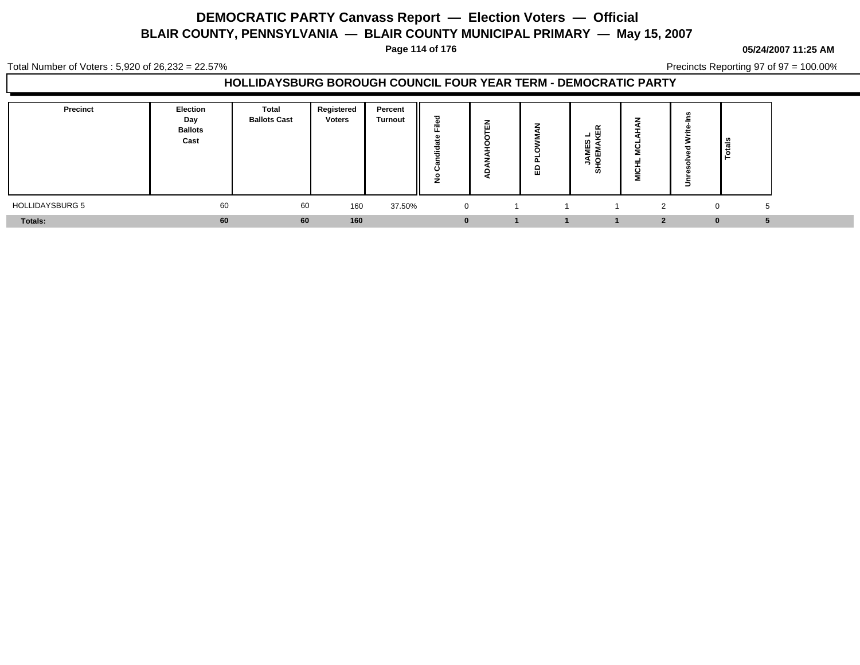**Page 114 of 176**

#### **05/24/2007 11:25 AM**

Total Number of Voters : 5,920 of 26,232 = 22.57%

Precincts Reporting 97 of 97 = 100.00%

| <b>Precinct</b>        | <b>Election</b><br>Day<br><b>Ballots</b><br>Cast | Total<br><b>Ballots Cast</b> | Registered<br><b>Voters</b> | Percent<br><b>Turnout</b> | ъ<br>÷<br>щ.<br>ᄒ<br><br>ပ<br>o | -<br>. . | ш.<br>읎 | œ<br>쁹<br>-<br>ឌ ≩<br>יה ≤<br>≤ ō<br>ဖာ |               | ∍ | ۱÷ |  |
|------------------------|--------------------------------------------------|------------------------------|-----------------------------|---------------------------|---------------------------------|----------|---------|-----------------------------------------|---------------|---|----|--|
| <b>HOLLIDAYSBURG 5</b> | 60                                               | 60                           | 160                         | 37.50%                    | $\mathbf{0}$                    |          |         |                                         | $\Omega$<br>∼ |   |    |  |
| Totals:                | 60                                               | 60                           | 160                         |                           | $\Omega$                        |          |         |                                         | $\bullet$     |   | Λ  |  |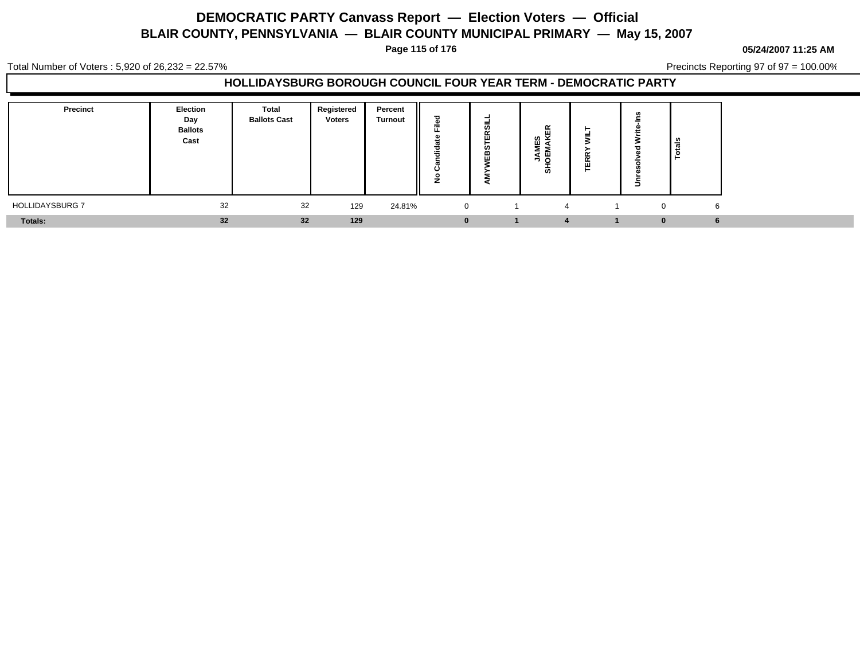**Page 115 of 176**

**05/24/2007 11:25 AM**

Total Number of Voters : 5,920 of 26,232 = 22.57%

Precincts Reporting 97 of 97 = 100.00%

| <b>Precinct</b>        | <b>Election</b><br>Day<br><b>Ballots</b><br>Cast | Total<br><b>Ballots Cast</b> | Registered<br><b>Voters</b> | Percent<br><b>Turnout</b> | ъ<br>=<br>щ.<br>ಕ<br><br>ပ<br>$\circ$ | U. | $\overline{\phantom{a}}$<br>MES<br>MAKI<br>ろと<br>÷<br>ທ | - - |   | ਫ਼ੰ |  |
|------------------------|--------------------------------------------------|------------------------------|-----------------------------|---------------------------|---------------------------------------|----|---------------------------------------------------------|-----|---|-----|--|
| <b>HOLLIDAYSBURG 7</b> | 32                                               | 32                           | 129                         | 24.81%                    | $\overline{0}$                        |    | 4                                                       |     | 0 | 6   |  |
| Totals:                | 32                                               | 32                           | 129                         |                           | $\bf{0}$                              |    | $\mathbf{A}$                                            |     |   |     |  |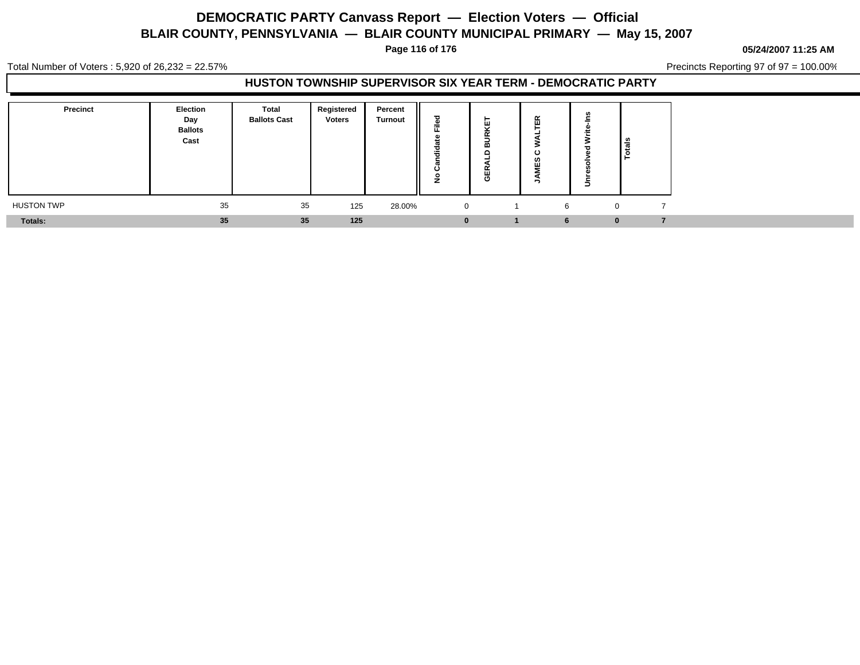**Page 116 of 176**

**05/24/2007 11:25 AM**

Total Number of Voters : 5,920 of 26,232 = 22.57%

Precincts Reporting 97 of 97 = 100.00%

### **HUSTON TOWNSHIP SUPERVISOR SIX YEAR TERM - DEMOCRATIC PARTY**

| Precinct          | Election<br>Day<br><b>Ballots</b><br>Cast | Total<br><b>Ballots Cast</b> | Registered<br>Voters | Percent<br><b>Turnout</b> | --          | ш<br>$\ddot{\phantom{1}}$<br>-<br>m<br>c<br>ш<br>C | ≃<br>$\cdots$<br>$\cdot$<br>ັ<br>ဖာ |   | <u>"</u>     |
|-------------------|-------------------------------------------|------------------------------|----------------------|---------------------------|-------------|----------------------------------------------------|-------------------------------------|---|--------------|
| <b>HUSTON TWP</b> | 35                                        | 35                           | 125                  | 28.00%                    | $\mathbf 0$ |                                                    |                                     | 6 | $\mathbf{0}$ |
| <b>Totals:</b>    | 35                                        | 35                           | 125                  |                           | $\bf{0}$    |                                                    |                                     |   | $\bf{0}$     |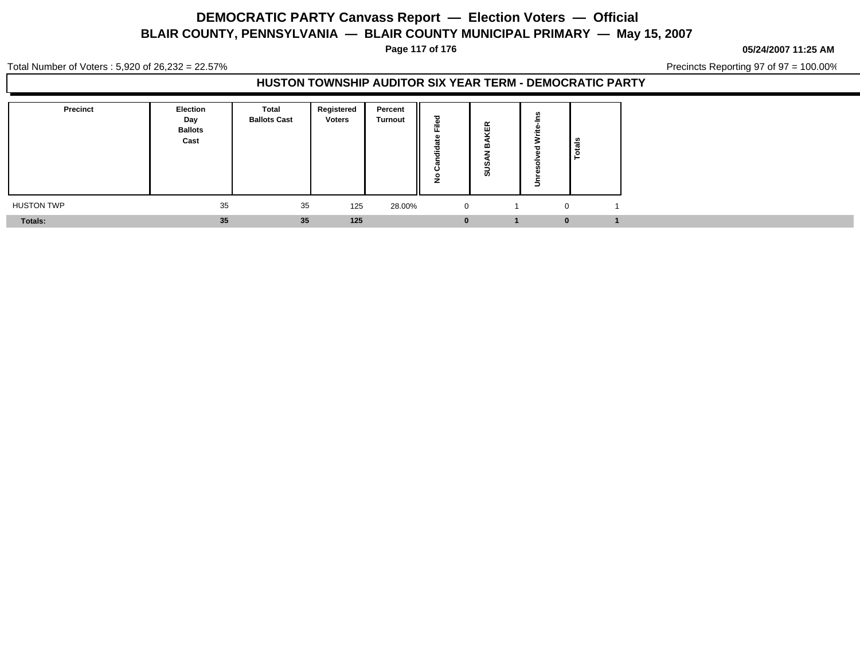**Page 117 of 176**

**05/24/2007 11:25 AM**

Total Number of Voters : 5,920 of 26,232 = 22.57%

Precincts Reporting 97 of 97 = 100.00%

### **HUSTON TOWNSHIP AUDITOR SIX YEAR TERM - DEMOCRATIC PARTY**

| <b>Precinct</b>   | <b>Election</b><br>Day<br><b>Ballots</b><br>Cast | <b>Total</b><br><b>Ballots Cast</b> | Registered<br><b>Voters</b> | Percent<br><b>Turnout</b> | --          | $\propto$<br>ш<br>œ<br>U.<br>ທ | ۰        | l ៖<br>تت<br><u>م</u> |
|-------------------|--------------------------------------------------|-------------------------------------|-----------------------------|---------------------------|-------------|--------------------------------|----------|-----------------------|
| <b>HUSTON TWP</b> | 35                                               | 35                                  | 125                         | 28.00%                    | $\mathbf 0$ |                                | $\Omega$ |                       |
| Totals:           | 35                                               | 35                                  | 125                         |                           |             |                                | $\bf{0}$ |                       |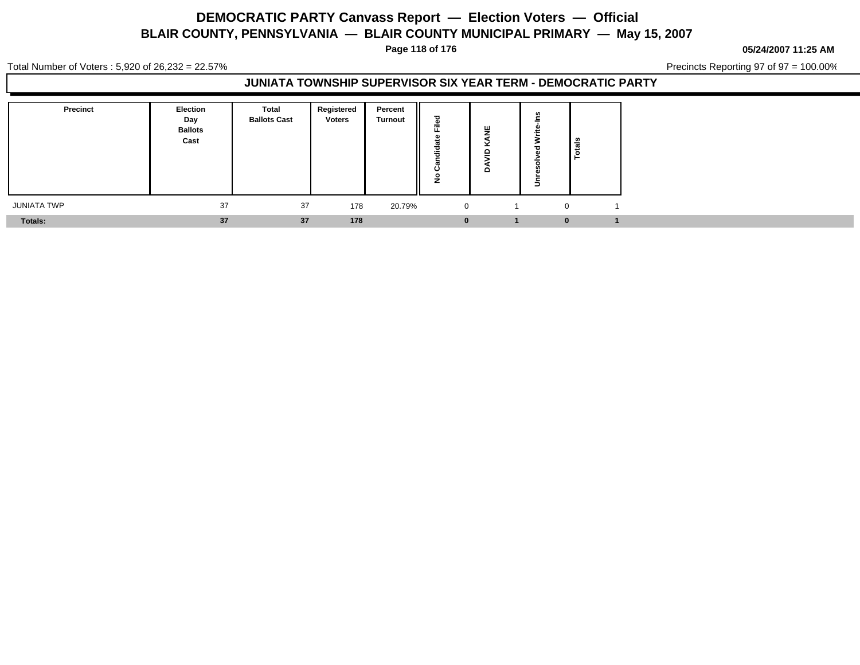**Page 118 of 176**

**05/24/2007 11:25 AM**

Total Number of Voters : 5,920 of 26,232 = 22.57%

Precincts Reporting 97 of 97 = 100.00%

### **JUNIATA TOWNSHIP SUPERVISOR SIX YEAR TERM - DEMOCRATIC PARTY**

| <b>Precinct</b>    | <b>Election</b><br>Day<br><b>Ballots</b><br>Cast | <b>Total</b><br><b>Ballots Cast</b> | Registered<br>Voters | Percent<br><b>Turnout</b><br>║ | ъ<br>--<br>÷<br>- 1<br>≂<br>-0 | ш<br>-<br>-<br>≏ | <b>lais</b><br>인. |  |
|--------------------|--------------------------------------------------|-------------------------------------|----------------------|--------------------------------|--------------------------------|------------------|-------------------|--|
| <b>JUNIATA TWP</b> | 37                                               | 37                                  | 178                  | 20.79%                         | 0                              |                  | $\Omega$          |  |
| Totals:            | 37                                               | 37                                  | 178                  |                                | $\bf{0}$                       |                  | 0                 |  |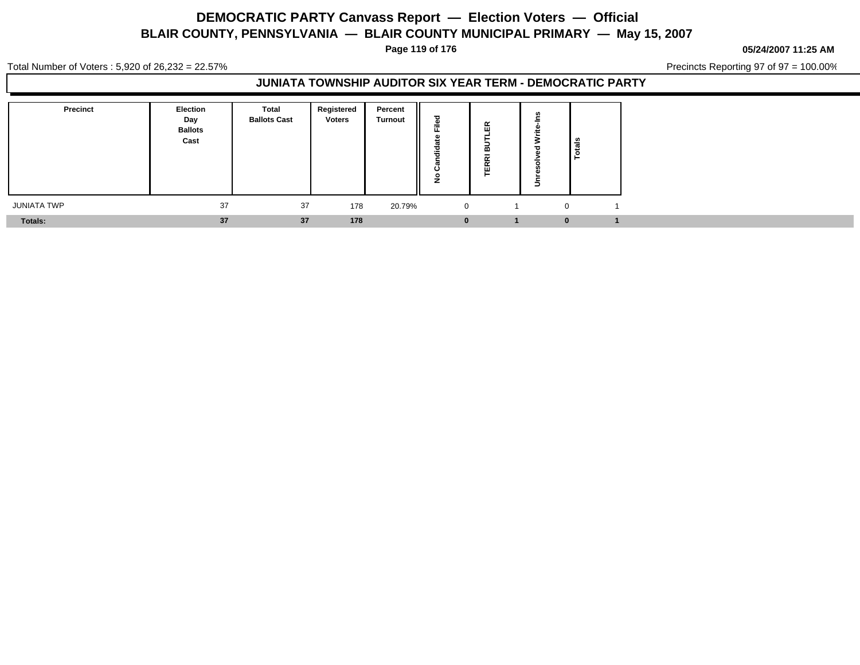**Page 119 of 176**

**05/24/2007 11:25 AM**

Total Number of Voters : 5,920 of 26,232 = 22.57%

Precincts Reporting 97 of 97 = 100.00%

### **JUNIATA TOWNSHIP AUDITOR SIX YEAR TERM - DEMOCRATIC PARTY**

| <b>Precinct</b>    | <b>Election</b><br>Day<br><b>Ballots</b><br>Cast | <b>Total</b><br><b>Ballots Cast</b> | Registered<br><b>Voters</b> | Percent<br><b>Turnout</b> | $\sim$       | $\propto$<br>$\cdots$<br>œ<br>$\qquad \qquad$<br>- nd<br>$\propto$<br>$\sim$ | ۰        | ا چّ<br>تت<br><u>ه</u> ۱ |  |
|--------------------|--------------------------------------------------|-------------------------------------|-----------------------------|---------------------------|--------------|------------------------------------------------------------------------------|----------|--------------------------|--|
| <b>JUNIATA TWP</b> | 37                                               | 37                                  | 178                         | 20.79%                    | $\mathbf{0}$ |                                                                              | $\Omega$ |                          |  |
| Totals:            | 37                                               | 37                                  | 178                         |                           |              |                                                                              |          | $\bf{0}$                 |  |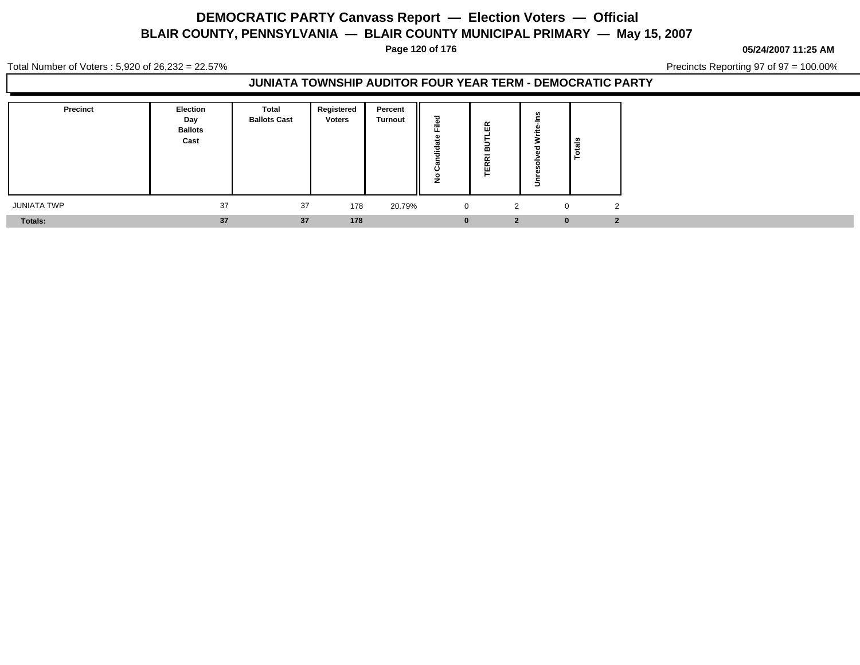**Page 120 of 176**

**05/24/2007 11:25 AM**

Total Number of Voters : 5,920 of 26,232 = 22.57%

Precincts Reporting 97 of 97 = 100.00%

### **JUNIATA TOWNSHIP AUDITOR FOUR YEAR TERM - DEMOCRATIC PARTY**

| Precinct    | <b>Election</b><br>Day<br><b>Ballots</b><br>Cast | <b>Total</b><br><b>Ballots Cast</b> | Registered<br>Voters | Percent<br><b>Turnout</b> | $\overline{\phantom{a}}$<br>╼<br>║<br>$\overline{\phantom{a}}$<br>-2<br>≂<br>c | $\propto$<br>ш<br>⋒<br>-<br>$\tilde{\phantom{a}}$<br>$\propto$<br>画<br>╾ |          | ∎∎<br>l e |
|-------------|--------------------------------------------------|-------------------------------------|----------------------|---------------------------|--------------------------------------------------------------------------------|--------------------------------------------------------------------------|----------|-----------|
| JUNIATA TWP | 37                                               | 37                                  | 178                  | 20.79%                    | 0                                                                              | ຳ                                                                        | $\Omega$ | - 2       |
| Totals:     | 37                                               | 37                                  | 178                  |                           | $\bf{0}$                                                                       | $\overline{2}$                                                           | $\Omega$ |           |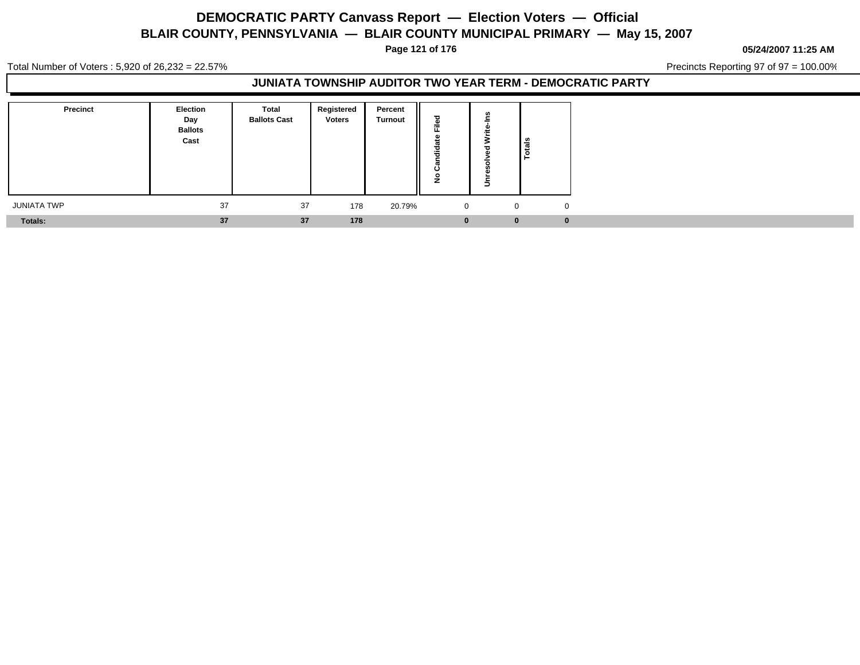**Page 121 of 176**

#### **05/24/2007 11:25 AM**

Total Number of Voters : 5,920 of 26,232 = 22.57%

Precincts Reporting 97 of 97 = 100.00%

### **JUNIATA TOWNSHIP AUDITOR TWO YEAR TERM - DEMOCRATIC PARTY**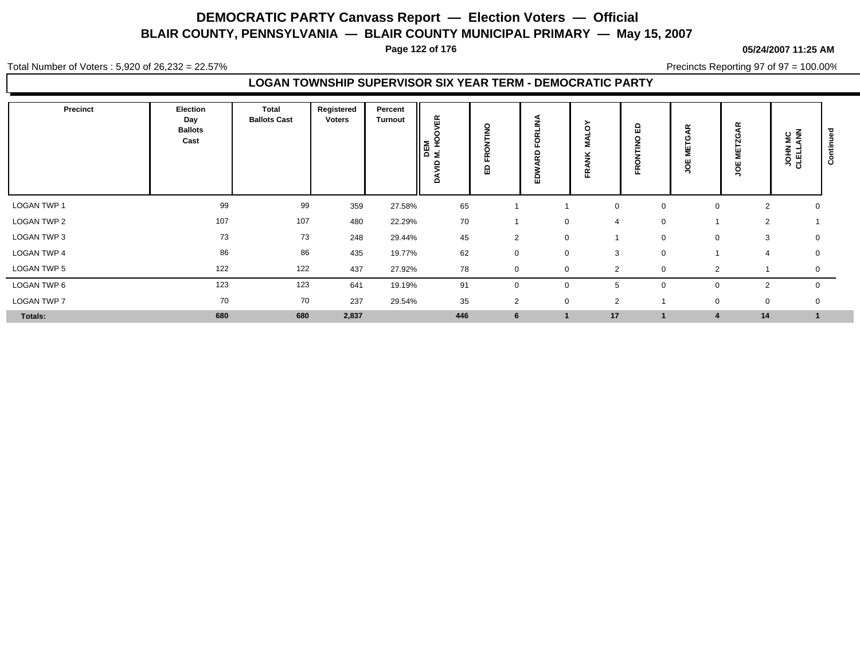**Page 122 of 176**

#### **05/24/2007 11:25 AM**

Total Number of Voters : 5,920 of 26,232 = 22.57%

Precincts Reporting 97 of 97 = 100.00%

### **LOGAN TOWNSHIP SUPERVISOR SIX YEAR TERM - DEMOCRATIC PARTY**

| Precinct           | Election<br>Day<br><b>Ballots</b><br>Cast | <b>Total</b><br><b>Ballots Cast</b> | Registered<br>Voters | Percent<br><b>Turnout</b> | ΛĘΚ<br>٥<br>오<br>$\begin{array}{c} \n\overline{AB} \\ \overline{BC} \\ \overline{BC} \\ \overline{BC} \\ \overline{BC} \\ \overline{BC} \\ \overline{BC} \\ \overline{BC} \\ \overline{BC} \\ \overline{BC} \\ \overline{BC} \\ \overline{BC} \\ \overline{BC} \\ \overline{BC} \\ \overline{BC} \\ \overline{BC} \\ \overline{BC} \\ \overline{BC} \\ \overline{BC} \\ \overline{BC} \\ \overline{BC} \\ \overline{BC} \\ \overline{BC} \\ \overline{BC} \\ \overline{BC} \\ \overline{BC} \\ \overline{BC} \\ \overline{BC} \\ \overline{BC} \\ \overline{BC} \\ \$<br>ξ<br>۵ | $\frac{8}{1}$<br>$\circ$<br>œ<br>щ<br>읎 | Ζ<br>с<br>Δ<br>$\tilde{\phantom{a}}$<br>٥<br>ш | റ<br>-<br>Æ    | ≏<br>ш<br>O<br>ш. | £<br>≝<br>ğΕ   | ≃<br>$\sigma$<br>O<br>Ñ<br>ᇃ<br>ğ | $rac{c}{\epsilon}$<br><b>VOHIJ</b> | $\sim$<br>سد<br>$\circ$<br>ပ |
|--------------------|-------------------------------------------|-------------------------------------|----------------------|---------------------------|---------------------------------------------------------------------------------------------------------------------------------------------------------------------------------------------------------------------------------------------------------------------------------------------------------------------------------------------------------------------------------------------------------------------------------------------------------------------------------------------------------------------------------------------------------------------------------|-----------------------------------------|------------------------------------------------|----------------|-------------------|----------------|-----------------------------------|------------------------------------|------------------------------|
| <b>LOGAN TWP 1</b> | 99                                        | 99                                  | 359                  | 27.58%                    | 65                                                                                                                                                                                                                                                                                                                                                                                                                                                                                                                                                                              |                                         |                                                | $\mathbf 0$    | $\mathbf 0$       | $\Omega$       | 2                                 | 0                                  |                              |
| LOGAN TWP 2        | 107                                       | 107                                 | 480                  | 22.29%                    | 70                                                                                                                                                                                                                                                                                                                                                                                                                                                                                                                                                                              |                                         | 0                                              | $\overline{4}$ | $\mathbf 0$       |                | $\overline{2}$                    |                                    |                              |
| LOGAN TWP 3        | 73                                        | 73                                  | 248                  | 29.44%                    | 45                                                                                                                                                                                                                                                                                                                                                                                                                                                                                                                                                                              | 2                                       | $\mathbf 0$                                    |                | $\mathbf 0$       | 0              | 3                                 | 0                                  |                              |
| LOGAN TWP 4        | 86                                        | 86                                  | 435                  | 19.77%                    | 62                                                                                                                                                                                                                                                                                                                                                                                                                                                                                                                                                                              | 0                                       | $\mathbf 0$                                    | 3              | $\mathbf 0$       |                | 4                                 | 0                                  |                              |
| LOGAN TWP 5        | 122                                       | 122                                 | 437                  | 27.92%                    | 78                                                                                                                                                                                                                                                                                                                                                                                                                                                                                                                                                                              | $\mathbf 0$                             | $\Omega$                                       | $\overline{2}$ | 0                 | 2              |                                   | 0                                  |                              |
| LOGAN TWP 6        | 123                                       | 123                                 | 641                  | 19.19%                    | 91                                                                                                                                                                                                                                                                                                                                                                                                                                                                                                                                                                              | 0                                       | $\mathbf 0$                                    | 5              | 0                 |                | $\overline{2}$                    | $\mathbf 0$                        |                              |
| <b>LOGAN TWP 7</b> | 70                                        | 70                                  | 237                  | 29.54%                    | 35                                                                                                                                                                                                                                                                                                                                                                                                                                                                                                                                                                              | 2                                       | $\mathbf 0$                                    | $\overline{2}$ |                   | $\Omega$       | 0                                 | 0                                  |                              |
| Totals:            | 680                                       | 680                                 | 2,837                |                           | 446                                                                                                                                                                                                                                                                                                                                                                                                                                                                                                                                                                             | 6                                       |                                                | 17             |                   | $\overline{4}$ | 14                                | $\mathbf{1}$                       |                              |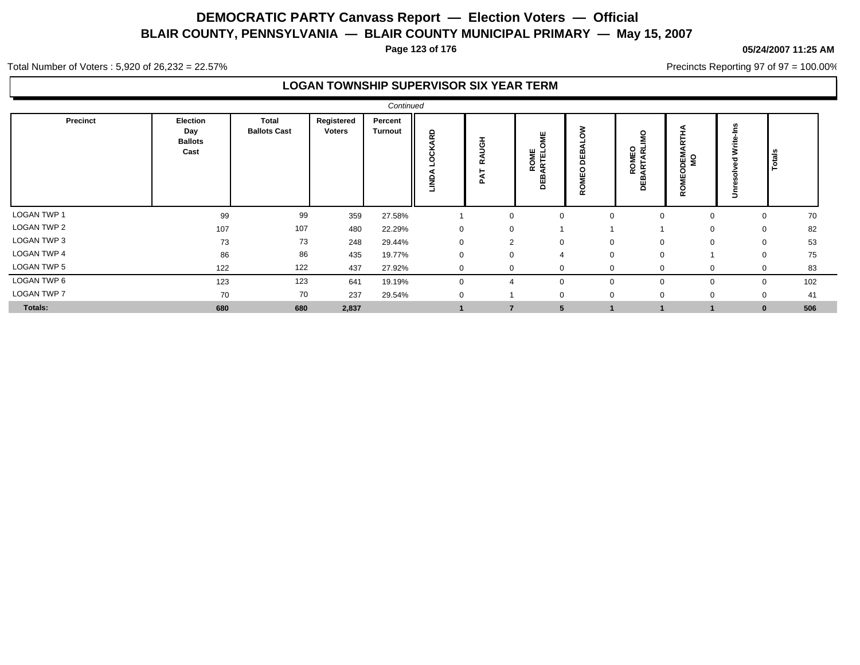**Page 123 of 176**

#### **05/24/2007 11:25 AM**

Precincts Reporting 97 of 97 = 100.00%

Total Number of Voters : 5,920 of 26,232 = 22.57%

### **LOGAN TOWNSHIP SUPERVISOR SIX YEAR TERM**

|                    |                                           |                                     |                      | Continued                 |             |                                           |                                   |                                                 |                                  |                                         |                                         |                   |
|--------------------|-------------------------------------------|-------------------------------------|----------------------|---------------------------|-------------|-------------------------------------------|-----------------------------------|-------------------------------------------------|----------------------------------|-----------------------------------------|-----------------------------------------|-------------------|
| <b>Precinct</b>    | Election<br>Day<br><b>Ballots</b><br>Cast | <b>Total</b><br><b>Ballots Cast</b> | Registered<br>Voters | Percent<br><b>Turnout</b> | 5<br>UND.   | <b>I</b><br>g<br>⋖<br>$\propto$<br>◀<br>൨ | 当<br>C<br>ROME<br>ARTEL<br>മ<br>쁌 | š<br>₩<br>$\Omega$<br>$\circ$<br>Ě<br><b>RO</b> | o<br><b>ROMEO</b><br>ARTARL<br>품 | 군<br>DEM.<br>MS<br>$\circ$<br>Ŵ<br>ROMI | ÷<br>≳<br>$\overline{\phantom{a}}$<br>∍ | 효                 |
| <b>LOGAN TWP 1</b> | 99                                        | 99                                  | 359                  | 27.58%                    |             | $\mathbf 0$                               | 0                                 | $\Omega$                                        |                                  | $\Omega$                                | 0                                       | 70                |
| LOGAN TWP 2        | 107                                       | 107                                 | 480                  | 22.29%                    | 0           | 0                                         |                                   |                                                 |                                  |                                         | $\mathbf 0$                             | 82                |
| LOGAN TWP 3        | 73                                        | 73                                  | 248                  | 29.44%                    | $\mathbf 0$ | $\overline{2}$                            | $\mathbf 0$                       | $\mathbf 0$                                     |                                  | $\Omega$                                |                                         | 53<br>0           |
| <b>LOGAN TWP 4</b> | 86                                        | 86                                  | 435                  | 19.77%                    | 0           | 0                                         | $\overline{4}$                    | $\mathbf 0$                                     | $\Omega$                         |                                         |                                         | 75<br>0           |
| LOGAN TWP 5        | 122                                       | 122                                 | 437                  | 27.92%                    | 0           | 0                                         | $\mathbf 0$                       |                                                 |                                  | $\Omega$                                |                                         | 83<br>0           |
| LOGAN TWP 6        | 123                                       | 123                                 | 641                  | 19.19%                    | 0           | $\overline{4}$                            | 0                                 | $\Omega$                                        | $\Omega$                         | $\mathbf{0}$                            |                                         | 102<br>0          |
| <b>LOGAN TWP 7</b> | 70                                        | 70                                  | 237                  | 29.54%                    | 0           |                                           | $\Omega$                          | $\Omega$                                        | O                                | $\Omega$                                |                                         | 41<br>$\mathbf 0$ |
| Totals:            | 680                                       | 680                                 | 2,837                |                           |             | $\overline{7}$                            | 5                                 |                                                 |                                  |                                         |                                         | 506<br>$\bf{0}$   |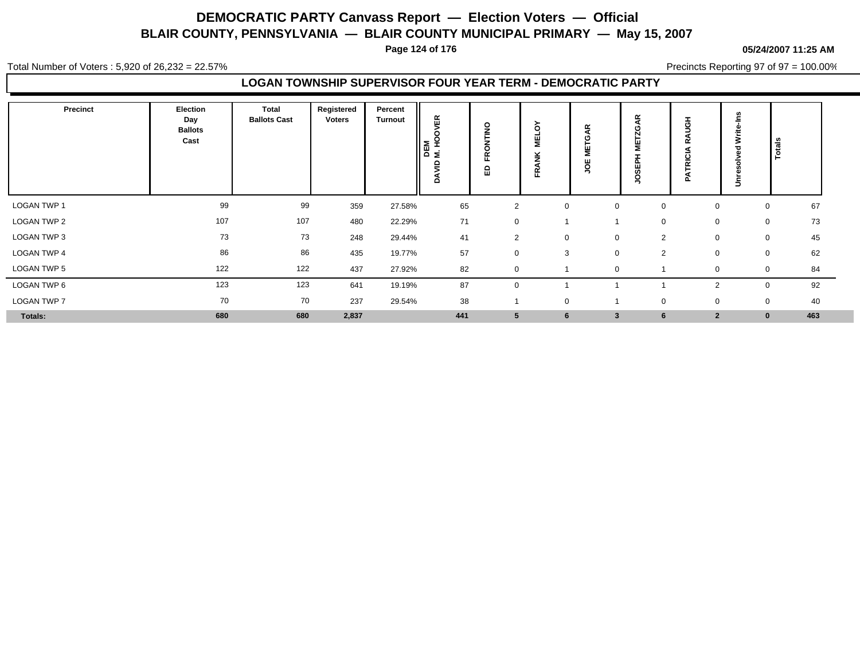**Page 124 of 176**

**05/24/2007 11:25 AM**

Total Number of Voters : 5,920 of 26,232 = 22.57%

Precincts Reporting 97 of 97 = 100.00%

### **LOGAN TOWNSHIP SUPERVISOR FOUR YEAR TERM - DEMOCRATIC PARTY**

| <b>Precinct</b>    | Election<br>Day<br><b>Ballots</b><br>Cast | Total<br><b>Ballots Cast</b> | Registered<br><b>Voters</b> | Percent<br><b>Turnout</b> | VER<br>$\circ$<br>DEM<br>M.HO<br>ξ<br>₫<br>۵ | $\overline{\mathbf{z}}$<br>$\circ$<br>$\alpha$<br>ш<br>읎 | ò<br>픻<br>ž<br>Œ | $\propto$<br>O<br>ш<br>O<br>- | $\alpha$       | Ξ<br><b>RICI</b><br>$\mathbf{a}$ | ഗ<br>€<br>₹<br>$\sim$<br>š | Totals            |  |
|--------------------|-------------------------------------------|------------------------------|-----------------------------|---------------------------|----------------------------------------------|----------------------------------------------------------|------------------|-------------------------------|----------------|----------------------------------|----------------------------|-------------------|--|
| LOGAN TWP 1        | 99                                        | 99                           | 359                         | 27.58%                    | 65                                           | $\overline{2}$                                           | $\mathbf 0$      | $\mathbf 0$                   | $\mathbf 0$    | $\mathbf 0$                      |                            | 67<br>$\mathbf 0$ |  |
| LOGAN TWP 2        | 107                                       | 107                          | 480                         | 22.29%                    | 71                                           | $\mathbf 0$                                              |                  |                               | $\pmb{0}$      | 0                                |                            | 73<br>$\mathbf 0$ |  |
| LOGAN TWP 3        | 73                                        | 73                           | 248                         | 29.44%                    | 41                                           | 2                                                        | $\mathbf 0$      | $\mathbf 0$                   | $\overline{2}$ | $\mathbf 0$                      |                            | 45<br>$\mathbf 0$ |  |
| LOGAN TWP 4        | 86                                        | 86                           | 435                         | 19.77%                    | 57                                           | 0                                                        | 3                | $\mathbf 0$                   | $\overline{2}$ | $\mathbf 0$                      |                            | 62<br>0           |  |
| <b>LOGAN TWP 5</b> | 122                                       | 122                          | 437                         | 27.92%                    | 82                                           | 0                                                        |                  | $\mathbf 0$                   |                | $\mathbf 0$                      |                            | 84<br>$\mathbf 0$ |  |
| LOGAN TWP 6        | 123                                       | 123                          | 641                         | 19.19%                    | 87                                           | $\mathbf 0$                                              |                  |                               |                | 2                                |                            | 92<br>$\mathbf 0$ |  |
| LOGAN TWP 7        | 70                                        | 70                           | 237                         | 29.54%                    | 38                                           |                                                          | $\mathbf 0$      |                               | 0              | 0                                |                            | 40<br>$\mathbf 0$ |  |
| Totals:            | 680                                       | 680                          | 2,837                       |                           | 441                                          | $5\phantom{.0}$                                          | 6                | $\overline{\mathbf{3}}$       | 6              | $\overline{2}$                   |                            | 463<br>$\bf{0}$   |  |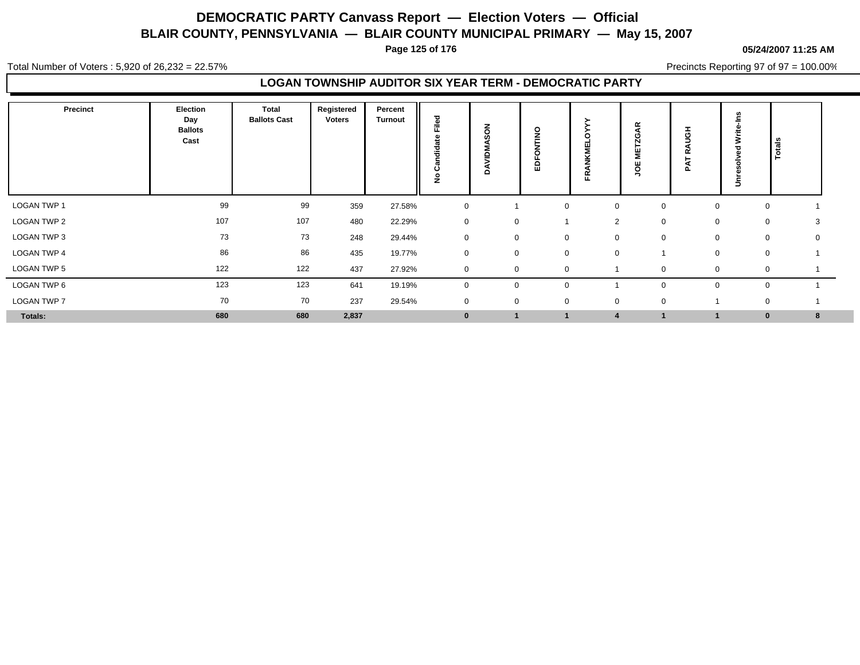**Page 125 of 176**

#### **05/24/2007 11:25 AM**

Total Number of Voters : 5,920 of 26,232 = 22.57%

Precincts Reporting 97 of 97 = 100.00%

### **LOGAN TOWNSHIP AUDITOR SIX YEAR TERM - DEMOCRATIC PARTY**

| <b>Precinct</b>    | Election<br>Day<br><b>Ballots</b><br>Cast | Total<br><b>Ballots Cast</b> | Registered<br>Voters | Percent<br><b>Turnout</b> | <b>Dell</b><br>щ<br>흥<br>ပ<br>£ | る<br><b>SC</b><br>g<br>o | $\circ$<br>Ż<br>o<br>品 | 뚠                          | $\alpha$<br>-11<br>ō<br>∍ | $\bar{5}$<br>œ<br>◀<br>௨ | ≩<br>C<br>5 | Totals           |  |
|--------------------|-------------------------------------------|------------------------------|----------------------|---------------------------|---------------------------------|--------------------------|------------------------|----------------------------|---------------------------|--------------------------|-------------|------------------|--|
| <b>LOGAN TWP 1</b> | 99                                        | 99                           | 359                  | 27.58%                    | $\mathbf 0$                     |                          |                        | $\mathbf 0$<br>$\mathbf 0$ | 0                         | $\mathbf 0$              |             | $\mathbf 0$      |  |
| LOGAN TWP 2        | 107                                       | 107                          | 480                  | 22.29%                    | $\mathbf 0$                     | 0                        |                        | $\overline{2}$             | $\mathbf 0$               | 0                        |             | 0<br>3           |  |
| LOGAN TWP 3        | 73                                        | 73                           | 248                  | 29.44%                    | $\pmb{0}$                       | 0                        |                        | $\mathbf 0$<br>0           | $\mathbf 0$               |                          | 0           | $\mathbf 0$<br>0 |  |
| LOGAN TWP 4        | 86                                        | 86                           | 435                  | 19.77%                    | $\mathbf 0$                     | 0                        |                        | $\mathbf 0$<br>$\mathbf 0$ |                           |                          | $\mathbf 0$ | $\mathbf 0$      |  |
| <b>LOGAN TWP 5</b> | 122                                       | 122                          | 437                  | 27.92%                    | $\mathbf 0$                     | $\Omega$                 |                        | $\Omega$                   |                           |                          | ∩           | 0                |  |
| LOGAN TWP 6        | 123                                       | 123                          | 641                  | 19.19%                    | $\mathbf 0$                     | 0                        |                        | $\mathbf 0$                | 0                         | $\Omega$                 |             | $\mathbf 0$      |  |
| <b>LOGAN TWP 7</b> | 70                                        | 70                           | 237                  | 29.54%                    | $\overline{0}$                  | 0                        |                        | $\mathbf 0$<br>0           | $\mathbf 0$               |                          |             | 0                |  |
| Totals:            | 680                                       | 680                          | 2,837                |                           | $\mathbf{0}$                    |                          |                        |                            |                           |                          |             | 8<br>$\bf{0}$    |  |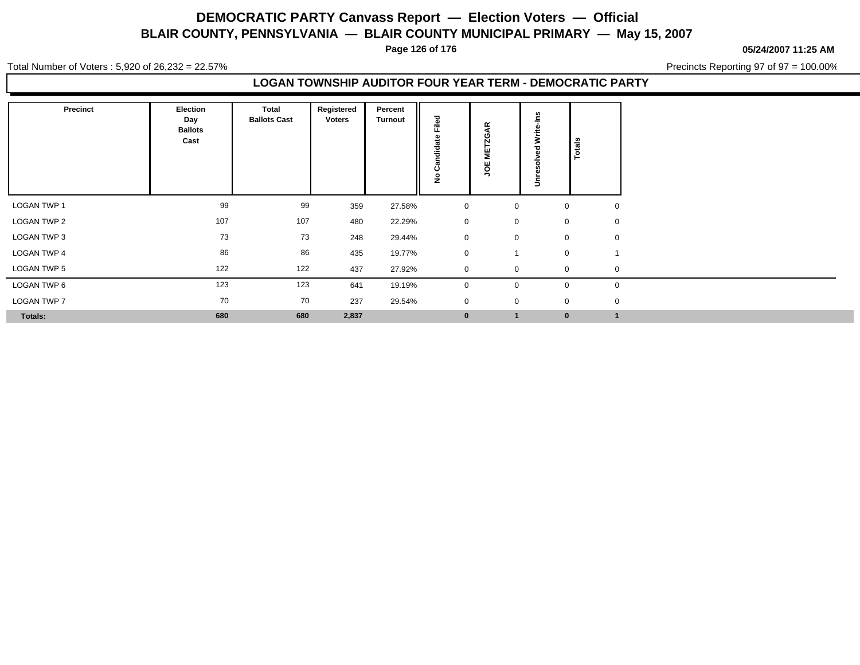**Page 126 of 176**

**05/24/2007 11:25 AM**

Total Number of Voters : 5,920 of 26,232 = 22.57%

Precincts Reporting 97 of 97 = 100.00%

### **LOGAN TOWNSHIP AUDITOR FOUR YEAR TERM - DEMOCRATIC PARTY**

| Precinct       | <b>Election</b><br>Day<br><b>Ballots</b><br>Cast | Total<br><b>Ballots Cast</b> | Registered<br>Voters | Percent<br><b>Turnout</b> | Filed<br>ää<br>$\mathbf{a}$<br>ن<br>$\circ$<br>Ž | $\propto$<br>◢<br>O<br>$\overline{ }$<br>ш<br>5<br>ш<br>ğ | 3<br>Ξ | Totals      |             |
|----------------|--------------------------------------------------|------------------------------|----------------------|---------------------------|--------------------------------------------------|-----------------------------------------------------------|--------|-------------|-------------|
| LOGAN TWP 1    | 99                                               | 99                           | 359                  | 27.58%                    | $\mathbf{0}$                                     | 0                                                         |        | $\mathbf 0$ | $\mathbf 0$ |
| LOGAN TWP 2    | 107                                              | 107                          | 480                  | 22.29%                    | $\mathbf 0$                                      | 0                                                         |        | $\mathbf 0$ | $\mathbf 0$ |
| LOGAN TWP 3    | 73                                               | 73                           | 248                  | 29.44%                    | $\mathbf{0}$                                     | $\mathbf 0$                                               |        | $\mathbf 0$ | $\mathbf 0$ |
| LOGAN TWP 4    | 86                                               | 86                           | 435                  | 19.77%                    | $\mathbf 0$                                      | $\overline{\phantom{a}}$                                  |        | $\pmb{0}$   |             |
| LOGAN TWP 5    | 122                                              | 122                          | 437                  | 27.92%                    | $\mathbf 0$                                      | 0                                                         |        | $\mathbf 0$ | $\mathbf 0$ |
| LOGAN TWP 6    | 123                                              | 123                          | 641                  | 19.19%                    | $\mathbf 0$                                      | 0                                                         |        | $\mathbf 0$ | $\mathbf 0$ |
| LOGAN TWP 7    | 70                                               | 70                           | 237                  | 29.54%                    | $\mathbf 0$                                      | $\mathbf 0$                                               |        | $\mathbf 0$ | $\mathbf 0$ |
| <b>Totals:</b> | 680                                              | 680                          | 2,837                |                           | $\mathbf{0}$                                     | $\mathbf{1}$                                              |        | $\bf{0}$    |             |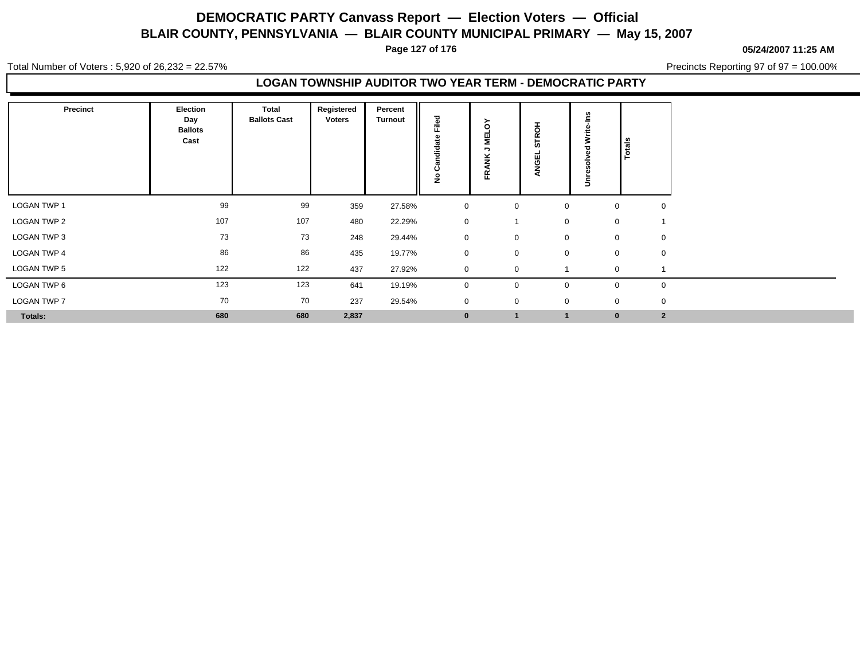**Page 127 of 176**

**05/24/2007 11:25 AM**

Total Number of Voters : 5,920 of 26,232 = 22.57%

Precincts Reporting 97 of 97 = 100.00%

### **LOGAN TOWNSHIP AUDITOR TWO YEAR TERM - DEMOCRATIC PARTY**

| Precinct           | Election<br>Day<br><b>Ballots</b><br>Cast | Total<br><b>Ballots Cast</b> | Registered<br><b>Voters</b> | Percent<br><b>Turnout</b> | Filed<br>흥<br>ن<br>$\circ$<br>Ž | ><br>$\circ$<br>팋<br>,<br>$\alpha$<br>ш. | <b>TROH</b><br><b>in</b><br>ᇳ<br>ပ<br>z | ∍           | Totals       |                |
|--------------------|-------------------------------------------|------------------------------|-----------------------------|---------------------------|---------------------------------|------------------------------------------|-----------------------------------------|-------------|--------------|----------------|
| <b>LOGAN TWP 1</b> | 99                                        | 99                           | 359                         | 27.58%                    | 0                               | $\mathbf 0$                              |                                         | $\mathbf 0$ | 0            | 0              |
| <b>LOGAN TWP 2</b> | 107                                       | 107                          | 480                         | 22.29%                    | $\mathbf{0}$                    |                                          |                                         | $\mathbf 0$ | $\mathbf 0$  |                |
| LOGAN TWP 3        | 73                                        | 73                           | 248                         | 29.44%                    | $\mathbf 0$                     | $\mathbf 0$                              |                                         | $\mathbf 0$ | $\mathbf 0$  | $\overline{0}$ |
| <b>LOGAN TWP 4</b> | 86                                        | 86                           | 435                         | 19.77%                    | $\mathbf 0$                     | $\mathbf 0$                              |                                         | $\mathbf 0$ | $\mathbf 0$  | $\mathbf 0$    |
| <b>LOGAN TWP 5</b> | 122                                       | 122                          | 437                         | 27.92%                    | $\mathbf 0$                     | $\mathbf 0$                              |                                         |             | $\mathbf 0$  |                |
| LOGAN TWP 6        | 123                                       | 123                          | 641                         | 19.19%                    | 0                               | $\mathbf 0$                              |                                         | 0           | $\mathbf{0}$ | $\mathbf 0$    |
| <b>LOGAN TWP 7</b> | 70                                        | 70                           | 237                         | 29.54%                    | $\mathbf 0$                     | $\mathbf 0$                              |                                         | $\mathbf 0$ | $\mathbf 0$  | $\mathbf 0$    |
| Totals:            | 680                                       | 680                          | 2,837                       |                           | $\bf{0}$                        | $\overline{1}$                           | $\overline{1}$                          |             | $\bf{0}$     | $\overline{2}$ |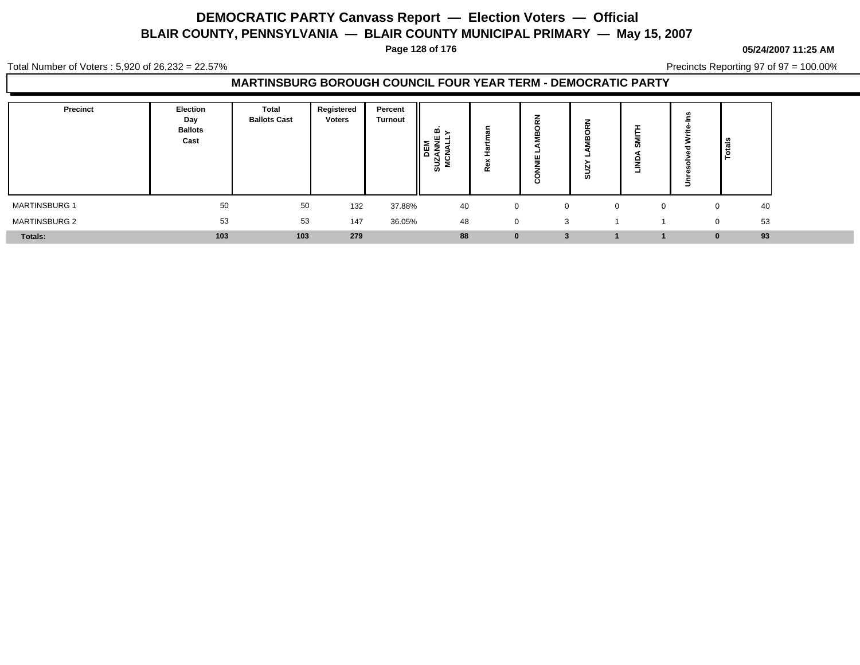**Page 128 of 176**

#### **05/24/2007 11:25 AM**

Total Number of Voters : 5,920 of 26,232 = 22.57%

Precincts Reporting 97 of 97 = 100.00%

| <b>Precinct</b>      | Election<br>Day<br><b>Ballots</b><br>Cast | Total<br><b>Ballots Cast</b> | Registered<br><b>Voters</b> | Percent<br><b>Turnout</b> | ≏ മ<br>3 S<br><b>ທ</b> | - -         | -<br>$\sim$        | ∸<br>$\sim$<br>ഗ | α | ∍ | ڇّ ا           |  |
|----------------------|-------------------------------------------|------------------------------|-----------------------------|---------------------------|------------------------|-------------|--------------------|------------------|---|---|----------------|--|
| <b>MARTINSBURG 1</b> | 50                                        | 50                           | 132                         | 37.88%                    | 40                     | $\mathbf 0$ | 0                  | $\Omega$         |   |   | 40             |  |
| <b>MARTINSBURG 2</b> | 53                                        | 53                           | 147                         | 36.05%                    | 48                     | 0           | 3                  |                  |   |   | 53<br>$\Omega$ |  |
| Totals:              | 103                                       | 103                          | 279                         |                           | 88                     | 0           | $\cdot$<br>$\cdot$ |                  |   |   | 93<br>$\bf{0}$ |  |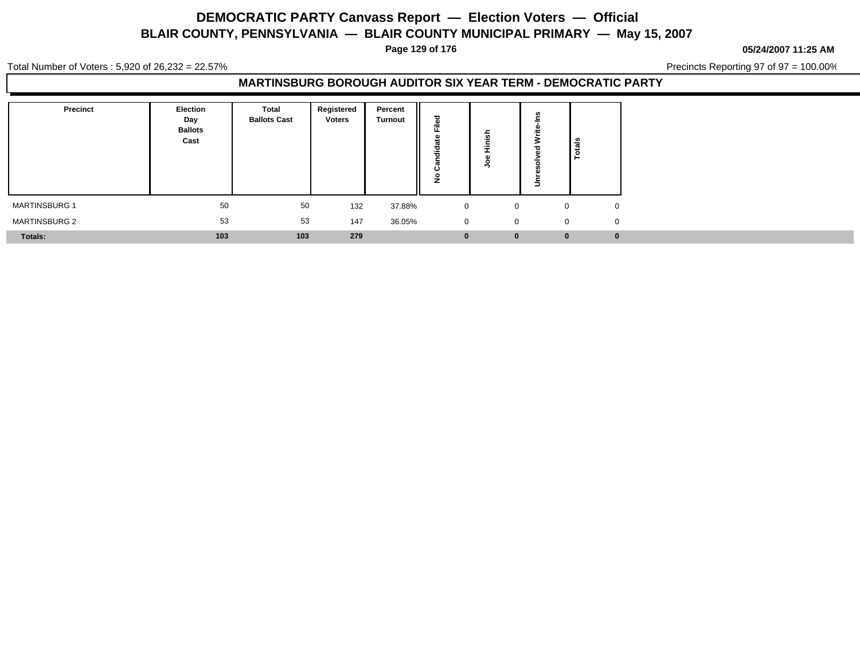**Page 129 of 176**

**05/24/2007 11:25 AM**

Total Number of Voters : 5,920 of 26,232 = 22.57%

Precincts Reporting 97 of 97 = 100.00%

### **MARTINSBURG BOROUGH AUDITOR SIX YEAR TERM - DEMOCRATIC PARTY**

| Precinct             | Election<br>Day<br><b>Ballots</b><br>Cast | <b>Total</b><br><b>Ballots Cast</b> | Registered<br><b>Voters</b> | Percent<br><b>Turnout</b> | ਠ<br>≗<br>щ.<br>ಕ<br>--<br>Ŧ<br>ပ<br>$\circ$<br>Ž | --           | Ξ           | Totals |
|----------------------|-------------------------------------------|-------------------------------------|-----------------------------|---------------------------|---------------------------------------------------|--------------|-------------|--------|
| <b>MARTINSBURG 1</b> | 50                                        | 50                                  | 132                         | 37.88%                    | $\mathbf 0$                                       | $\mathbf{0}$ |             | 0      |
| <b>MARTINSBURG 2</b> | 53                                        | 53                                  | 147                         | 36.05%                    | $\mathbf 0$                                       | $\mathbf{0}$ | $\mathbf 0$ |        |
| Totals:              | 103                                       | 103                                 | 279                         |                           | $\bf{0}$                                          | $\bf{0}$     | $\bf{0}$    |        |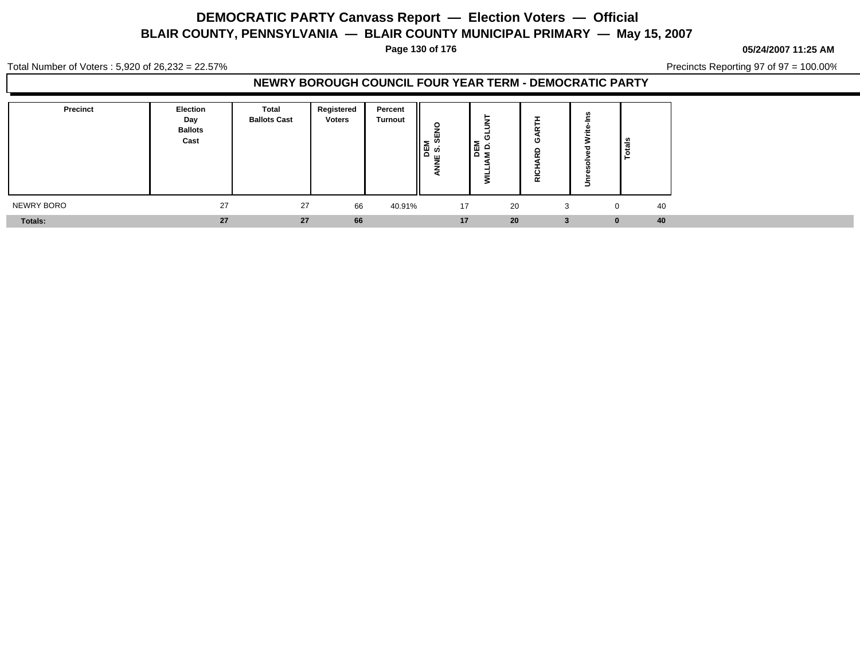**Page 130 of 176**

#### **05/24/2007 11:25 AM**

Total Number of Voters : 5,920 of 26,232 = 22.57%

Precincts Reporting 97 of 97 = 100.00%

### **NEWRY BOROUGH COUNCIL FOUR YEAR TERM - DEMOCRATIC PARTY**

| Precinct   | <b>Election</b><br>Day<br><b>Ballots</b><br>Cast | <b>Total</b><br><b>Ballots Cast</b> | Registered<br><b>Voters</b> | Percent<br><b>Turnout</b> | ш<br>≥ ∾<br>မှု လွ<br>ш | ≏<br>I۳<br>Σ. | - -<br>$\tilde{\phantom{a}}$<br>ட | ౨                  |
|------------|--------------------------------------------------|-------------------------------------|-----------------------------|---------------------------|-------------------------|---------------|-----------------------------------|--------------------|
| NEWRY BORO | 27                                               | 27                                  | 66                          | 40.91%                    | 17                      | 20            | 3                                 | 40<br>$\Omega$     |
| Totals:    | 27                                               | 27                                  | 66                          |                           | 17                      | 20            | 3 <sup>7</sup>                    | 40<br>$\mathbf{0}$ |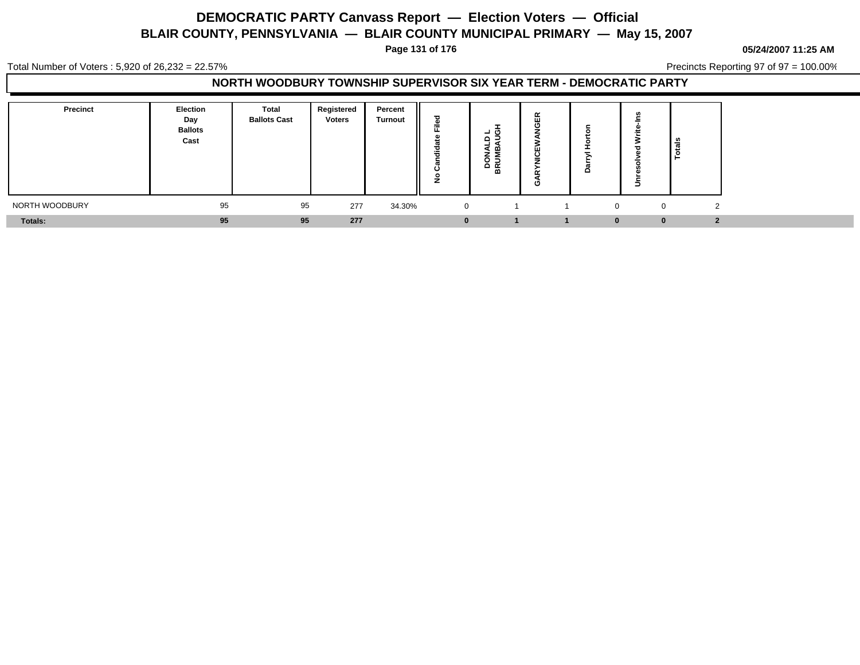**Page 131 of 176**

**05/24/2007 11:25 AM**

Total Number of Voters : 5,920 of 26,232 = 22.57%

Precincts Reporting 97 of 97 = 100.00%

### **NORTH WOODBURY TOWNSHIP SUPERVISOR SIX YEAR TERM - DEMOCRATIC PARTY**

| Precinct       | Election<br>Day<br><b>Ballots</b><br>Cast | Total<br><b>Ballots Cast</b> | Registered<br><b>Voters</b> | Percent<br><b>Turnout</b> | ≈            | - 67<br>ــ<br>o<br>- -<br>മ<br>÷<br><u>요 돌</u><br>m | 띥<br>ш<br>$\circ$<br>Ο |              |          | ۱ඝ        |  |
|----------------|-------------------------------------------|------------------------------|-----------------------------|---------------------------|--------------|-----------------------------------------------------|------------------------|--------------|----------|-----------|--|
| NORTH WOODBURY | 95                                        | 95                           | 277                         | 34.30%                    | $\mathbf{0}$ |                                                     |                        |              | $\Omega$ |           |  |
| <b>Totals:</b> | 95                                        | 95                           | 277                         |                           |              |                                                     |                        | $\mathbf{0}$ |          | $\bullet$ |  |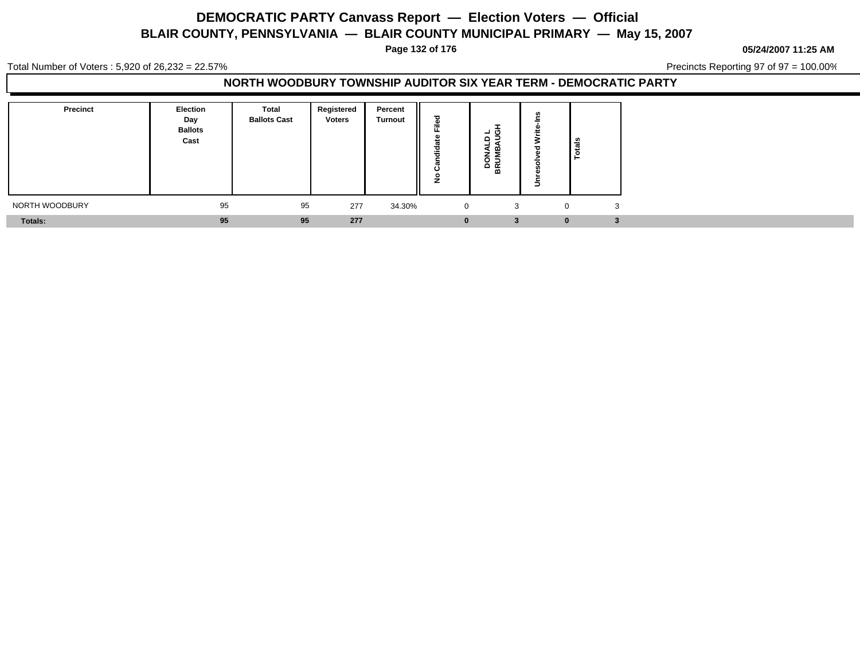**Page 132 of 176**

**05/24/2007 11:25 AM**

Total Number of Voters : 5,920 of 26,232 = 22.57%

Precincts Reporting 97 of 97 = 100.00%

### **NORTH WOODBURY TOWNSHIP AUDITOR SIX YEAR TERM - DEMOCRATIC PARTY**

| <b>Precinct</b> | <b>Election</b><br>Day<br><b>Ballots</b><br>Cast | Total<br><b>Ballots Cast</b> | Registered<br><b>Voters</b> | Percent<br><b>Turnout</b> | ъ<br>÷<br>ட<br>ಕ<br>瑞<br>ပ<br>$\circ$<br>∼ | ੌ<br>- -<br>മ<br>≅<br>훖<br>o<br>≃ |          | <b>l</b> as |
|-----------------|--------------------------------------------------|------------------------------|-----------------------------|---------------------------|--------------------------------------------|-----------------------------------|----------|-------------|
| NORTH WOODBURY  | 95                                               | 95                           | 277                         | 34.30%                    | $\mathbf{0}$                               | 3                                 |          | 3           |
| <b>Totals:</b>  | 95                                               | 95                           | 277                         |                           | $\bf{0}$                                   | -2<br>Ð                           | $\bf{0}$ |             |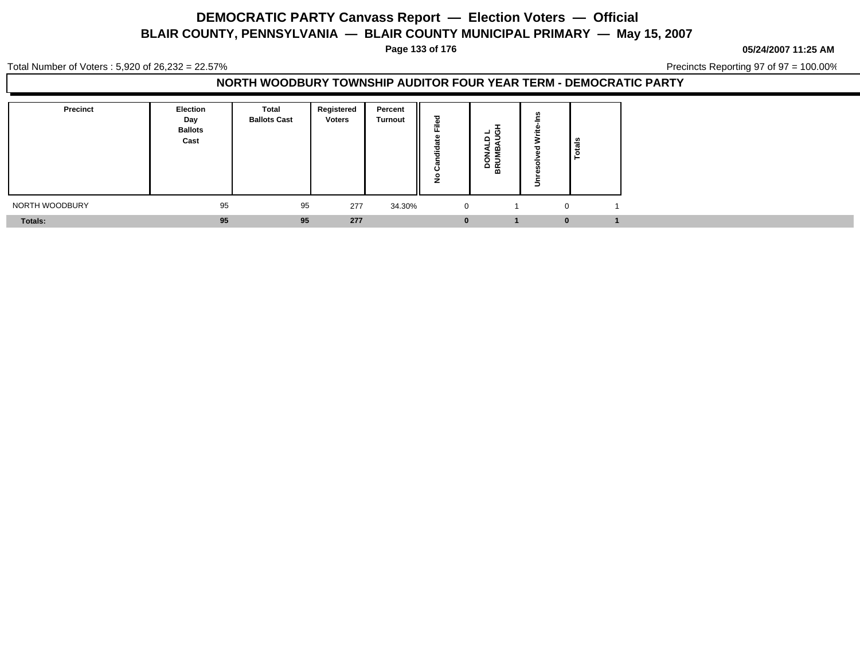**Page 133 of 176**

**05/24/2007 11:25 AM**

Total Number of Voters : 5,920 of 26,232 = 22.57%

Precincts Reporting 97 of 97 = 100.00%

### **NORTH WOODBURY TOWNSHIP AUDITOR FOUR YEAR TERM - DEMOCRATIC PARTY**

| <b>Precinct</b> | Election<br>Day<br><b>Ballots</b><br>Cast | Total<br><b>Ballots Cast</b> | Registered<br><b>Voters</b> | Percent<br><b>Turnout</b> | $=$<br><br>ີ | - CD<br>= a<br>മ<br>$\mathbf{z}$<br>음<br>m |   | $\frac{2}{3}$<br>⊢ |
|-----------------|-------------------------------------------|------------------------------|-----------------------------|---------------------------|--------------|--------------------------------------------|---|--------------------|
| NORTH WOODBURY  | 95                                        | 95                           | 277                         | 34.30%                    | $\mathbf{0}$ |                                            |   |                    |
| Totals:         | 95                                        | 95                           | 277                         |                           | 0            |                                            | U |                    |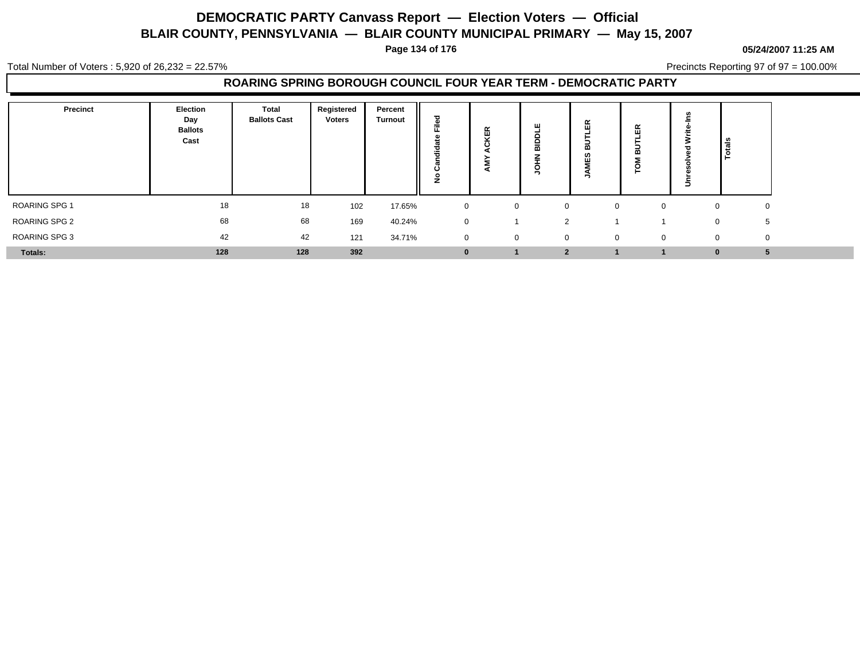**Page 134 of 176**

#### **05/24/2007 11:25 AM**

Total Number of Voters : 5,920 of 26,232 = 22.57%

Precincts Reporting 97 of 97 = 100.00%

### **ROARING SPRING BOROUGH COUNCIL FOUR YEAR TERM - DEMOCRATIC PARTY**

| <b>Precinct</b> | Election<br>Day<br><b>Ballots</b><br>Cast | Total<br><b>Ballots Cast</b> | Registered<br><b>Voters</b> | Percent<br><b>Turnout</b> | ъ<br>≗<br>∠    | 監<br>. .    | ш<br>≏<br>ᄒ    | $\propto$<br>画<br>⋒<br>ທ<br>шı | $\propto$<br>ш<br>∞ | ⋍        | <u> ¦ទី</u>       |  |
|-----------------|-------------------------------------------|------------------------------|-----------------------------|---------------------------|----------------|-------------|----------------|--------------------------------|---------------------|----------|-------------------|--|
| ROARING SPG 1   | 18                                        | 18                           | 102                         | 17.65%                    | $\mathbf{0}$   | $\Omega$    | $\mathbf 0$    | $\Omega$                       | $\Omega$            | $\Omega$ | 0                 |  |
| ROARING SPG 2   | 68                                        | 68                           | 169                         | 40.24%                    | $\mathbf{0}$   |             | 2              |                                |                     |          | 5<br>$\mathbf{0}$ |  |
| ROARING SPG 3   | 42                                        | 42                           | 121                         | 34.71%                    | $\overline{0}$ | $\mathbf 0$ | $\mathbf{0}$   | $\mathbf 0$                    | $\mathbf 0$         | 0        | $\mathbf 0$       |  |
| Totals:         | 128                                       | 128                          | 392                         |                           | $\bf{0}$       |             | $\overline{2}$ |                                |                     | $\bf{0}$ |                   |  |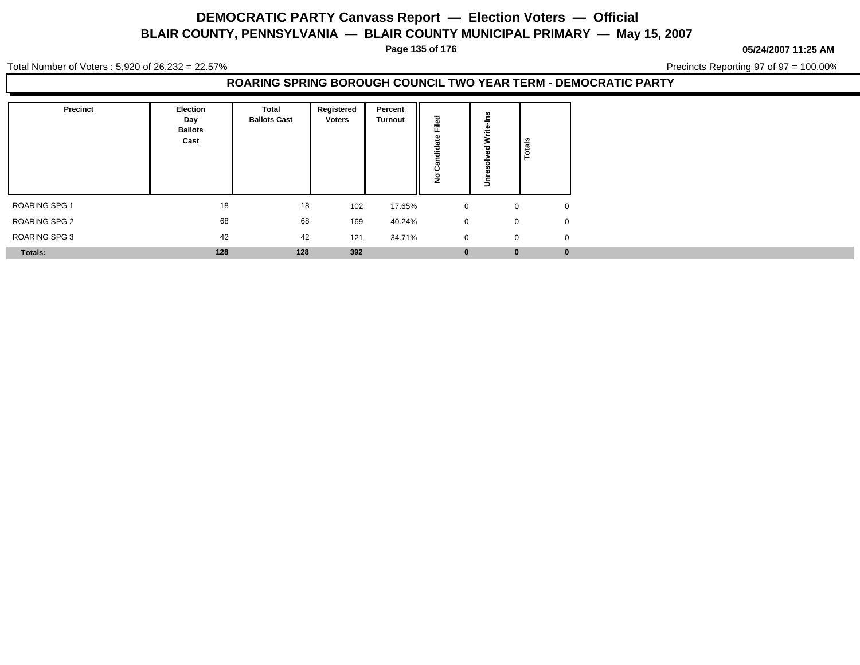**Page 135 of 176**

**05/24/2007 11:25 AM**

Total Number of Voters : 5,920 of 26,232 = 22.57%

Precincts Reporting 97 of 97 = 100.00%

#### **ROARING SPRING BOROUGH COUNCIL TWO YEAR TERM - DEMOCRATIC PARTY**

| Precinct       | <b>Election</b><br>Day<br><b>Ballots</b><br>Cast | <b>Total</b><br><b>Ballots Cast</b> | Registered<br><b>Voters</b> | Percent<br><b>Turnout</b> | ъ<br>÷<br>ᄔ    |          | <b>elgio</b>                  |
|----------------|--------------------------------------------------|-------------------------------------|-----------------------------|---------------------------|----------------|----------|-------------------------------|
| ROARING SPG 1  | 18                                               | 18                                  | 102                         | 17.65%                    | $\mathbf 0$    |          | $\mathbf{0}$<br>0             |
| ROARING SPG 2  | 68                                               | 68                                  | 169                         | 40.24%                    | $\mathbf 0$    |          | $\mathbf 0$<br>$\mathbf 0$    |
| ROARING SPG 3  | 42                                               | 42                                  | 121                         | 34.71%                    | $\overline{0}$ |          | $\mathbf 0$<br>$\overline{0}$ |
| <b>Totals:</b> | 128                                              | 128                                 | 392                         |                           | $\mathbf{0}$   | $\bf{0}$ | $\bf{0}$                      |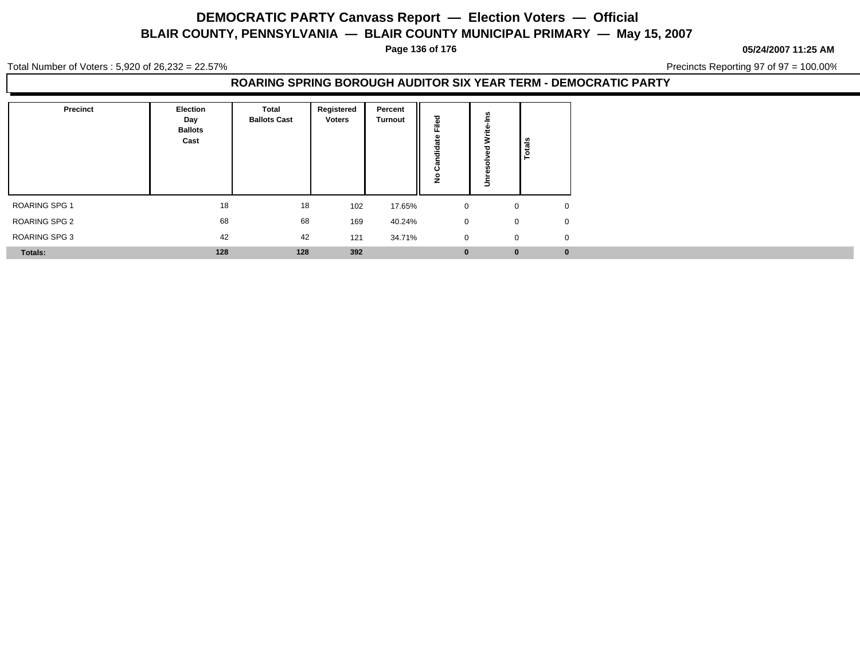**Page 136 of 176**

**05/24/2007 11:25 AM**

Total Number of Voters : 5,920 of 26,232 = 22.57%

Precincts Reporting 97 of 97 = 100.00%

### **ROARING SPRING BOROUGH AUDITOR SIX YEAR TERM - DEMOCRATIC PARTY**

| Precinct      | Election<br>Day<br><b>Ballots</b><br>Cast | Total<br><b>Ballots Cast</b> | Registered<br><b>Voters</b> | Percent<br><b>Turnout</b> | ≗<br>ய<br>ت<br>ಕ<br><br>د، |              | မ္မ         |
|---------------|-------------------------------------------|------------------------------|-----------------------------|---------------------------|----------------------------|--------------|-------------|
| ROARING SPG 1 | 18                                        | 18                           | 102                         | 17.65%                    | $\mathbf{0}$               | 0            |             |
| ROARING SPG 2 | 68                                        | 68                           | 169                         | 40.24%                    | $\mathbf{0}$               | $\mathbf{0}$ | $\mathbf 0$ |
| ROARING SPG 3 | 42                                        | 42                           | 121                         | 34.71%                    | $\overline{0}$             | $\mathbf{0}$ | $\mathbf 0$ |
| Totals:       | 128                                       | 128                          | 392                         |                           | $\bf{0}$                   | $\bf{0}$     | $\bf{0}$    |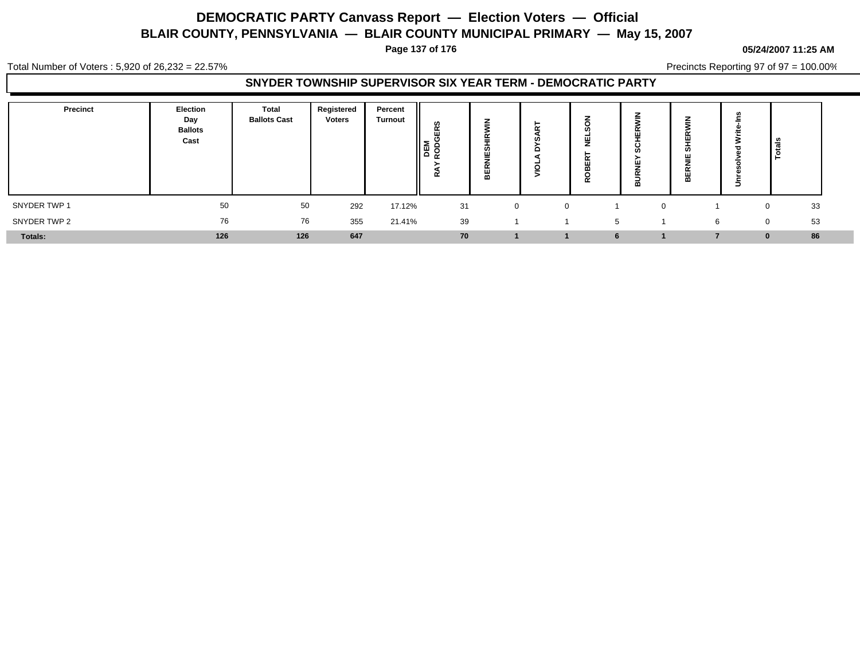**Page 137 of 176**

#### **05/24/2007 11:25 AM**

Total Number of Voters : 5,920 of 26,232 = 22.57%

Precincts Reporting 97 of 97 = 100.00%

### **SNYDER TOWNSHIP SUPERVISOR SIX YEAR TERM - DEMOCRATIC PARTY**

| Precinct     | Election<br>Day<br><b>Ballots</b><br>Cast | Total<br><b>Ballots Cast</b> | Registered<br><b>Voters</b> | Percent<br><b>Turnout</b> | ဖာ<br>α<br>画<br>DEM<br>RODC<br>α | Ш<br><br>$\overline{\mathbf{r}}$ | -<br>с | ш<br>$\cdots$<br>~ | œ | ≖<br>ш<br>ຑ<br>ш<br>- -<br>ш<br>m | ∍ | ≅ ا                |  |
|--------------|-------------------------------------------|------------------------------|-----------------------------|---------------------------|----------------------------------|----------------------------------|--------|--------------------|---|-----------------------------------|---|--------------------|--|
| SNYDER TWP 1 | 50                                        | 50                           | 292                         | 17.12%                    | 31                               | $\mathbf{0}$                     |        |                    |   |                                   |   | 33<br>$\mathbf{0}$ |  |
| SNYDER TWP 2 | 76                                        | 76                           | 355                         | 21.41%                    | 39                               |                                  |        | $\mathbf b$        |   |                                   | 6 | 53<br>$\Omega$     |  |
| Totals:      | 126                                       | 126                          | 647                         |                           | 70                               |                                  |        | 6                  |   |                                   |   | 86<br>0            |  |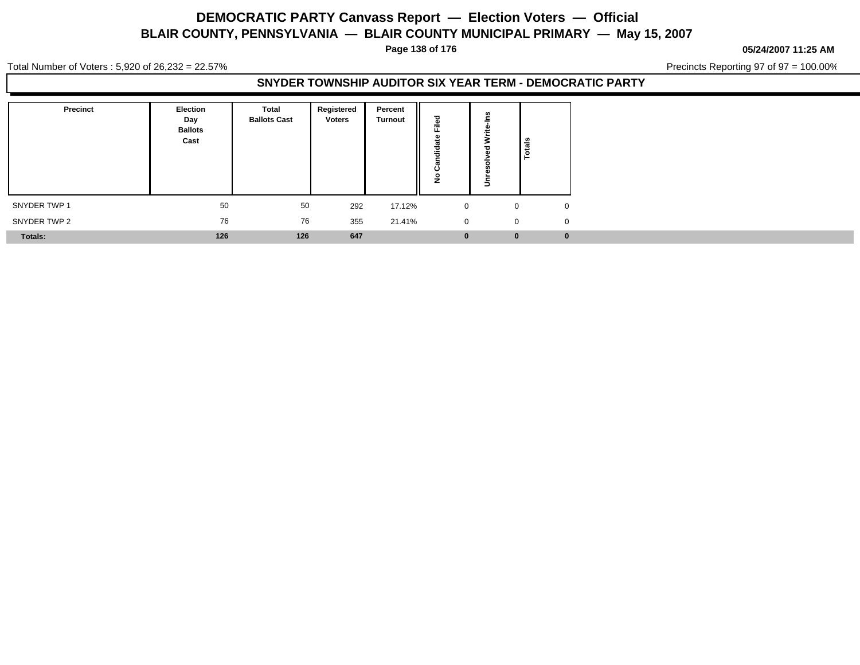**Page 138 of 176**

#### **05/24/2007 11:25 AM**

Total Number of Voters : 5,920 of 26,232 = 22.57%

Precincts Reporting 97 of 97 = 100.00%

### **SNYDER TOWNSHIP AUDITOR SIX YEAR TERM - DEMOCRATIC PARTY**

| Precinct     | Election<br>Day<br><b>Ballots</b><br>Cast | <b>Total</b><br><b>Ballots Cast</b> | Registered<br><b>Voters</b> | Percent<br><b>Turnout</b> | ਠ<br>Φ<br>=<br>ட<br>-61<br>-23<br>ಕ<br><br>┯<br>ပ<br>$\circ$<br>Ž | ≃            |          |
|--------------|-------------------------------------------|-------------------------------------|-----------------------------|---------------------------|-------------------------------------------------------------------|--------------|----------|
| SNYDER TWP 1 | 50                                        | 50                                  | 292                         | 17.12%                    | $\mathbf 0$                                                       | $\mathbf{0}$ | $\Omega$ |
| SNYDER TWP 2 | 76                                        | 76                                  | 355                         | 21.41%                    | $\mathbf 0$                                                       | 0            | $\Omega$ |
| Totals:      | 126                                       | 126                                 | 647                         |                           | $\bf{0}$                                                          | $\bf{0}$     | $\bf{0}$ |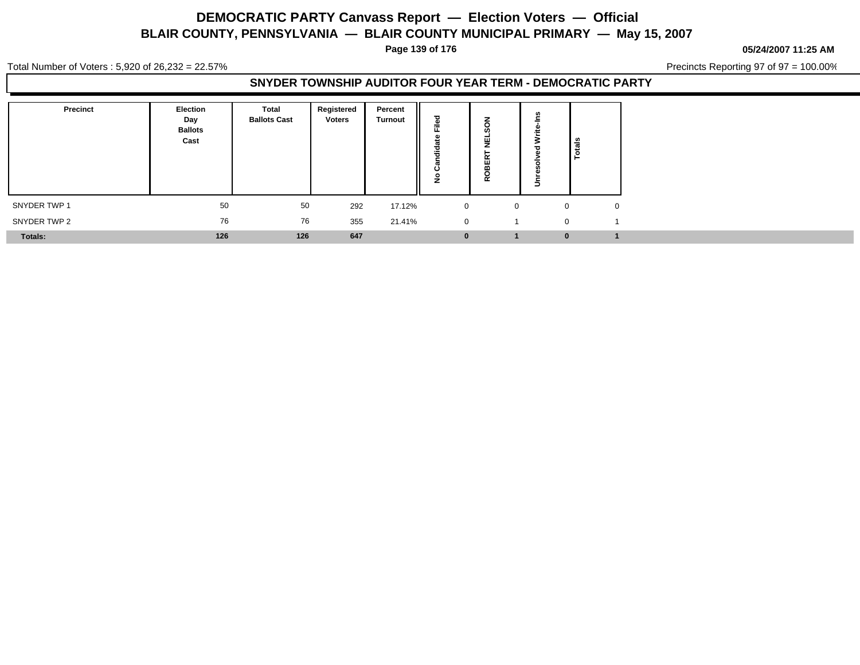**Page 139 of 176**

**05/24/2007 11:25 AM**

Total Number of Voters : 5,920 of 26,232 = 22.57%

Precincts Reporting 97 of 97 = 100.00%

### **SNYDER TOWNSHIP AUDITOR FOUR YEAR TERM - DEMOCRATIC PARTY**

| Precinct     | Election<br>Day<br><b>Ballots</b><br>Cast | <b>Total</b><br><b>Ballots Cast</b> | Registered<br><b>Voters</b> | Percent<br><b>Turnout</b> | ਠ<br>ω<br>÷<br>щ.<br>- 20<br>흫<br>ပ<br>$\circ$<br>Ż | z<br>ш<br><br>- -<br>$\alpha$ | Ξ        | Totals   |              |
|--------------|-------------------------------------------|-------------------------------------|-----------------------------|---------------------------|-----------------------------------------------------|-------------------------------|----------|----------|--------------|
| SNYDER TWP 1 | 50                                        | 50                                  | 292                         | 17.12%                    | $\mathbf 0$                                         | $\mathbf{0}$                  |          | $\Omega$ | $\mathbf{0}$ |
| SNYDER TWP 2 | 76                                        | 76                                  | 355                         | 21.41%                    | $\mathbf 0$                                         |                               | $\Omega$ |          |              |
| Totals:      | 126                                       | 126                                 | 647                         |                           | $\bf{0}$                                            |                               |          | $\bf{0}$ |              |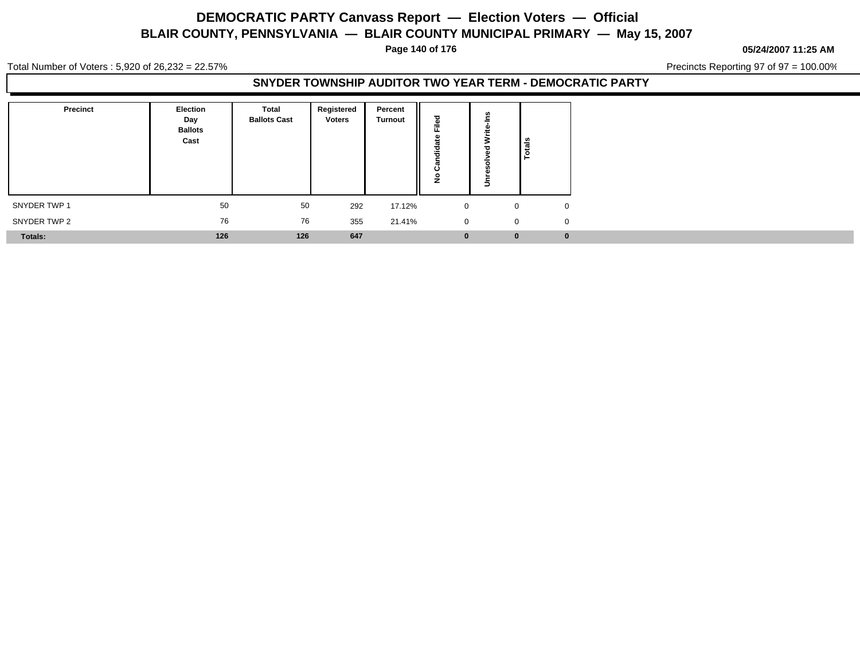**Page 140 of 176**

#### **05/24/2007 11:25 AM**

Total Number of Voters : 5,920 of 26,232 = 22.57%

Precincts Reporting 97 of 97 = 100.00%

### **SNYDER TOWNSHIP AUDITOR TWO YEAR TERM - DEMOCRATIC PARTY**

| <b>Precinct</b> | Election<br>Day<br><b>Ballots</b><br>Cast | <b>Total</b><br><b>Ballots Cast</b> | Registered<br><b>Voters</b> | Percent<br><b>Turnout</b> | ъ<br>Ē<br>Õ<br>垢<br>ن<br>o | 쓺            |          |
|-----------------|-------------------------------------------|-------------------------------------|-----------------------------|---------------------------|----------------------------|--------------|----------|
| SNYDER TWP 1    | 50                                        | 50                                  | 292                         | 17.12%                    | $\mathbf 0$                | $\mathbf{0}$ | $\Omega$ |
| SNYDER TWP 2    | 76                                        | 76                                  | 355                         | 21.41%                    | $\mathbf 0$                | 0            | $\Omega$ |
| <b>Totals:</b>  | 126                                       | 126                                 | 647                         |                           | $\mathbf{0}$               | $\bf{0}$     | $\bf{0}$ |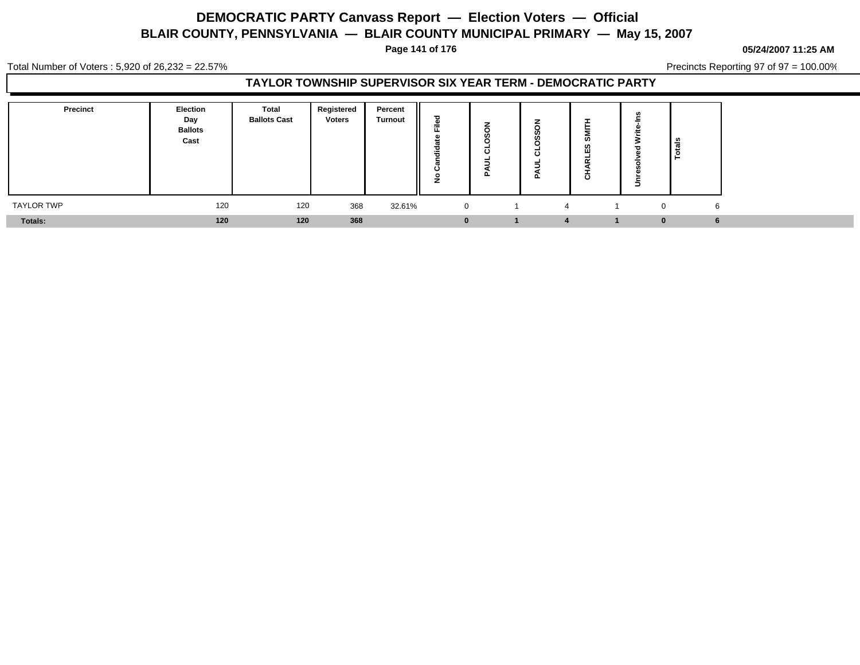**Page 141 of 176**

#### **05/24/2007 11:25 AM**

Total Number of Voters : 5,920 of 26,232 = 22.57%

Precincts Reporting 97 of 97 = 100.00%

### **TAYLOR TOWNSHIP SUPERVISOR SIX YEAR TERM - DEMOCRATIC PARTY**

| <b>Precinct</b> | <b>Election</b><br>Day<br><b>Ballots</b><br>Cast | Total<br><b>Ballots Cast</b> | Registered<br><b>Voters</b> | Percent<br><b>Turnout</b> | ъ<br>÷<br>щ.<br>ಕ<br>÷<br>ပ<br>$\circ$<br>∼ | $\circ$ | o<br><b>CO</b><br>m<br>ರ<br>ட | ဖာ<br>$\mathbf C$ |          | ್ಣೆ<br>تت |  |
|-----------------|--------------------------------------------------|------------------------------|-----------------------------|---------------------------|---------------------------------------------|---------|-------------------------------|-------------------|----------|-----------|--|
| 120             |                                                  | 120                          | 368                         | 32.61%                    | $\overline{0}$                              |         | 4                             |                   | $\Omega$ | 6         |  |
|                 | 120                                              | 120                          | 368                         |                           | $\bf{0}$                                    |         |                               |                   |          |           |  |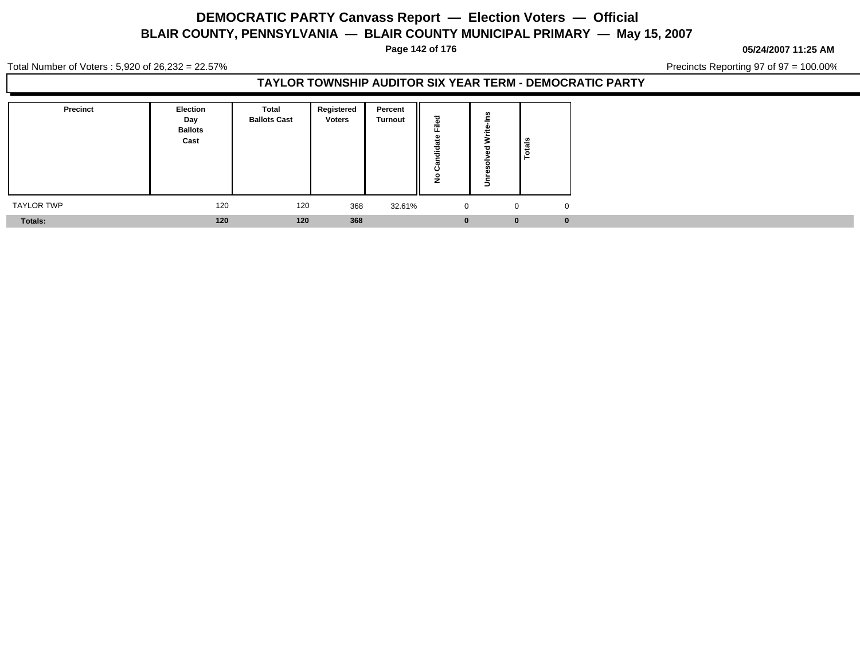**Page 142 of 176**

**05/24/2007 11:25 AM**

Total Number of Voters : 5,920 of 26,232 = 22.57%

Precincts Reporting 97 of 97 = 100.00%

### **TAYLOR TOWNSHIP AUDITOR SIX YEAR TERM - DEMOCRATIC PARTY**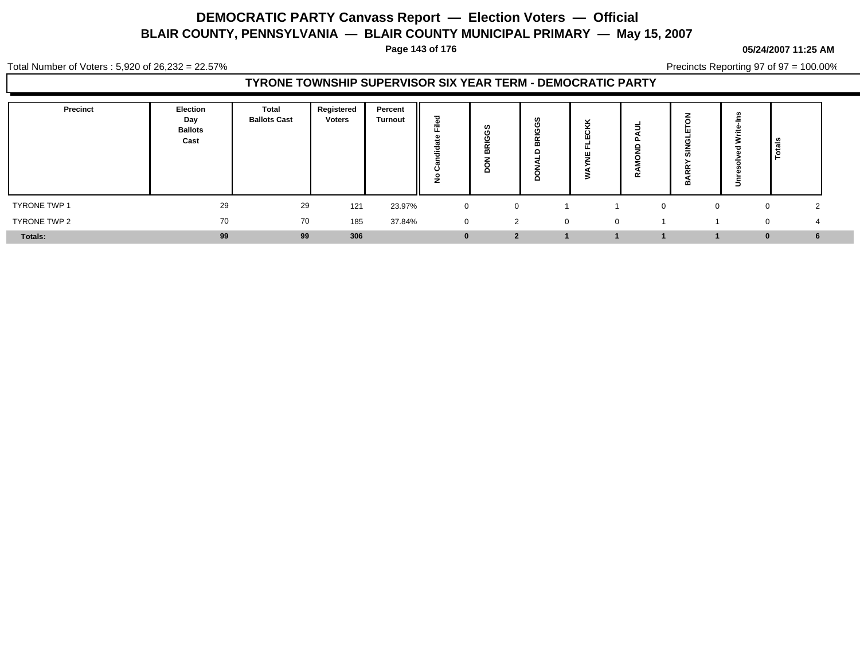**Page 143 of 176**

#### **05/24/2007 11:25 AM**

Total Number of Voters : 5,920 of 26,232 = 22.57%

Precincts Reporting 97 of 97 = 100.00%

### **TYRONE TOWNSHIP SUPERVISOR SIX YEAR TERM - DEMOCRATIC PARTY**

| <b>Precinct</b> | Election<br>Day<br><b>Ballots</b><br>Cast | <b>Total</b><br><b>Ballots Cast</b> | Registered<br><b>Voters</b> | Percent<br><b>Turnout</b> | ਹ<br>=<br>ъ<br><br>c | ທ<br>ť    | $\sim$<br>--<br>m<br>o | ပ<br>ш   | $\alpha$ | n<br>œ | ∍ | ا ≋<br>تتدا<br>1은 |  |
|-----------------|-------------------------------------------|-------------------------------------|-----------------------------|---------------------------|----------------------|-----------|------------------------|----------|----------|--------|---|-------------------|--|
| TYRONE TWP 1    | 29                                        | 29                                  | 121                         | 23.97%                    | $\mathbf{0}$         |           |                        |          |          |        |   | ◠<br>0            |  |
| TYRONE TWP 2    | 70                                        | 70                                  | 185                         | 37.84%                    | $\mathbf 0$          | 2         | $\mathbf 0$            | $\Omega$ |          |        |   | $\Omega$          |  |
| Totals:         | 99                                        | 99                                  | 306                         |                           | $\bf{0}$             | $\bullet$ |                        |          |          |        |   | 6<br>0            |  |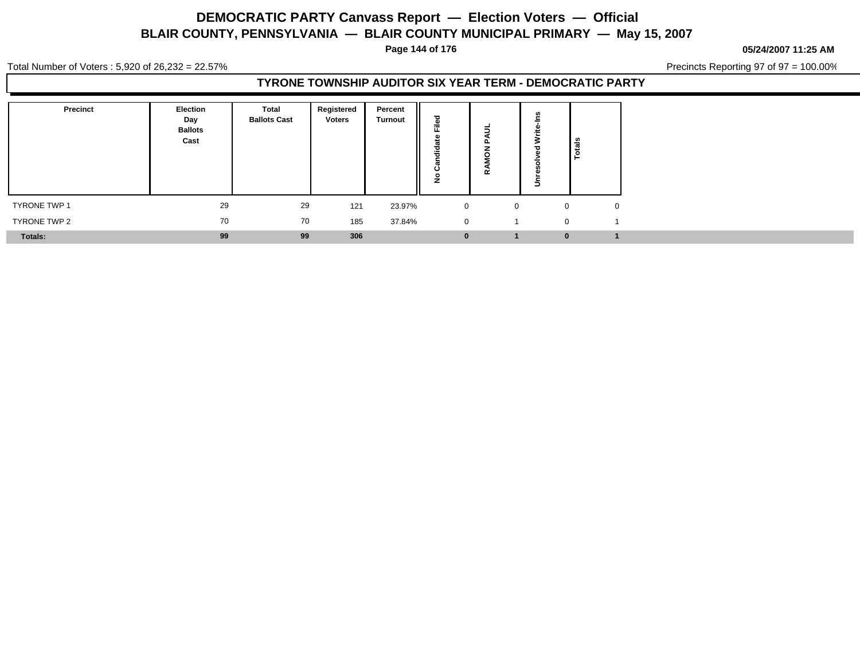**Page 144 of 176**

**05/24/2007 11:25 AM**

Total Number of Voters : 5,920 of 26,232 = 22.57%

Precincts Reporting 97 of 97 = 100.00%

### **TYRONE TOWNSHIP AUDITOR SIX YEAR TERM - DEMOCRATIC PARTY**

| Precinct     | Election<br>Day<br><b>Ballots</b><br>Cast | <b>Total</b><br><b>Ballots Cast</b> | Registered<br><b>Voters</b> | Percent<br><b>Turnout</b> | ਹ<br>⋍<br>ಕ<br>÷<br>T<br>◡<br>o | $\sim$       |              | Totals |
|--------------|-------------------------------------------|-------------------------------------|-----------------------------|---------------------------|---------------------------------|--------------|--------------|--------|
| TYRONE TWP 1 | 29                                        | 29                                  | 121                         | 23.97%                    | $\mathbf 0$                     | $\mathbf{0}$ | $\Omega$     |        |
| TYRONE TWP 2 | 70                                        | 70                                  | 185                         | 37.84%                    | $\mathbf 0$                     |              | $\Omega$     |        |
| Totals:      | 99                                        | 99                                  | 306                         |                           | $\bf{0}$                        |              | $\mathbf{0}$ |        |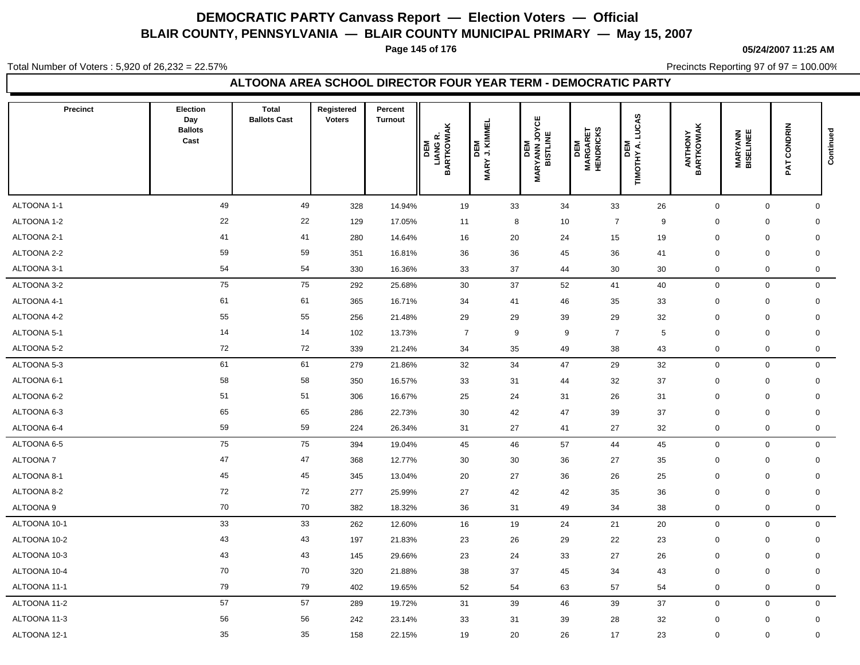**Page 145 of 176**

**05/24/2007 11:25 AM**

Total Number of Voters : 5,920 of 26,232 = 22.57%

Precincts Reporting 97 of 97 = 100.00%

### **ALTOONA AREA SCHOOL DIRECTOR FOUR YEAR TERM - DEMOCRATIC PARTY**

| <b>Precinct</b> | <b>Election</b><br>Day<br><b>Ballots</b><br>Cast | <b>Total</b><br><b>Ballots Cast</b> | Registered<br><b>Voters</b> | Percent<br><b>Turnout</b> | DEM<br>LIANG R.<br>BARTKOWIAK | DEM<br>' J. KIMMEL<br>'<br><b>MARY</b> | <b>MARYANN JOYCE<br/>BISTLINE</b><br>DEM | <b>DEM<br/>MARGARET<br/>HENDRICKS</b> | LUCAS<br>DEM<br>TIMOTHY A. I | <b>ANTHONY</b><br>BARTKOWIAK | <b>MARYANN<br/>BISELINEE</b> | PAT CONDRIN | Continued    |
|-----------------|--------------------------------------------------|-------------------------------------|-----------------------------|---------------------------|-------------------------------|----------------------------------------|------------------------------------------|---------------------------------------|------------------------------|------------------------------|------------------------------|-------------|--------------|
| ALTOONA 1-1     | 49                                               | 49                                  | 328                         | 14.94%                    | 19                            | 33                                     | 34                                       | 33                                    | 26                           | $\mathbf 0$                  | $\mathbf 0$                  | $\mathbf 0$ |              |
| ALTOONA 1-2     | 22                                               | 22                                  | 129                         | 17.05%                    | 11                            | 8                                      | 10                                       | $\overline{7}$                        | 9                            | $\Omega$                     | $\mathbf 0$                  | $\mathbf 0$ |              |
| ALTOONA 2-1     | 41                                               | 41                                  | 280                         | 14.64%                    | 16                            | 20                                     | 24                                       | 15                                    | 19                           | $\mathbf 0$                  | $\mathbf 0$                  | $\mathbf 0$ |              |
| ALTOONA 2-2     | 59                                               | 59                                  | 351                         | 16.81%                    | 36                            | 36                                     | 45                                       | 36                                    | 41                           | $\mathbf 0$                  | $\mathbf 0$                  | $\mathbf 0$ |              |
| ALTOONA 3-1     | 54                                               | 54                                  | 330                         | 16.36%                    | 33                            | 37                                     | 44                                       | 30                                    | 30                           | $\mathbf 0$                  | $\pmb{0}$                    |             | 0            |
| ALTOONA 3-2     | 75                                               | 75                                  | 292                         | 25.68%                    | 30                            | 37                                     | 52                                       | 41                                    | 40                           | $\mathbf 0$                  | $\mathbf 0$                  |             | $\mathbf 0$  |
| ALTOONA 4-1     | 61                                               | 61                                  | 365                         | 16.71%                    | 34                            | 41                                     | 46                                       | 35                                    | 33                           | $\Omega$                     | $\mathbf 0$                  | $\mathbf 0$ |              |
| ALTOONA 4-2     | 55                                               | 55                                  | 256                         | 21.48%                    | 29                            | 29                                     | 39                                       | 29                                    | 32                           | $\mathbf 0$                  | $\mathbf 0$                  | $\mathbf 0$ |              |
| ALTOONA 5-1     | 14                                               | 14                                  | 102                         | 13.73%                    | $\overline{7}$                | 9                                      | 9                                        | $\overline{7}$                        | 5                            | $\mathbf 0$                  | $\mathbf 0$                  | $\mathbf 0$ |              |
| ALTOONA 5-2     | 72                                               | 72                                  | 339                         | 21.24%                    | 34                            | 35                                     | 49                                       | 38                                    | 43                           | $\mathbf 0$                  | $\mathsf{O}\xspace$          |             | 0            |
| ALTOONA 5-3     | 61                                               | 61                                  | 279                         | 21.86%                    | 32                            | 34                                     | 47                                       | 29                                    | 32                           | $\mathbf 0$                  | $\mathbf 0$                  |             | $\mathbf 0$  |
| ALTOONA 6-1     | 58                                               | 58                                  | 350                         | 16.57%                    | 33                            | 31                                     | 44                                       | 32                                    | 37                           | $\mathbf 0$                  | $\pmb{0}$                    | $\mathbf 0$ |              |
| ALTOONA 6-2     | 51                                               | 51                                  | 306                         | 16.67%                    | 25                            | 24                                     | 31                                       | 26                                    | 31                           | $\mathbf 0$                  | $\mathbf 0$                  | $\mathbf 0$ |              |
| ALTOONA 6-3     | 65                                               | 65                                  | 286                         | 22.73%                    | 30                            | 42                                     | 47                                       | 39                                    | 37                           | $\mathbf 0$                  | $\mathbf 0$                  | $\mathbf 0$ |              |
| ALTOONA 6-4     | 59                                               | 59                                  | 224                         | 26.34%                    | 31                            | 27                                     | 41                                       | 27                                    | 32                           | $\mathbf 0$                  | $\mathbf 0$                  |             | 0            |
| ALTOONA 6-5     | 75                                               | 75                                  | 394                         | 19.04%                    | 45                            | 46                                     | 57                                       | 44                                    | 45                           | $\mathbf 0$                  | $\mathbf 0$                  |             | $\mathsf{O}$ |
| <b>ALTOONA7</b> | 47                                               | 47                                  | 368                         | 12.77%                    | 30                            | 30                                     | 36                                       | 27                                    | 35                           | $\Omega$                     | $\pmb{0}$                    | 0           |              |
| ALTOONA 8-1     | 45                                               | 45                                  | 345                         | 13.04%                    | 20                            | 27                                     | 36                                       | 26                                    | 25                           | $\mathbf 0$                  | $\mathbf 0$                  | $\mathbf 0$ |              |
| ALTOONA 8-2     | 72                                               | 72                                  | 277                         | 25.99%                    | 27                            | 42                                     | 42                                       | 35                                    | 36                           | $\mathbf 0$                  | $\mathbf 0$                  | $\mathbf 0$ |              |
| ALTOONA 9       | 70                                               | $70\,$                              | 382                         | 18.32%                    | 36                            | 31                                     | 49                                       | 34                                    | 38                           | $\mathbf 0$                  | $\mathbf 0$                  |             | 0            |
| ALTOONA 10-1    | 33                                               | 33                                  | 262                         | 12.60%                    | 16                            | 19                                     | 24                                       | 21                                    | 20                           | $\mathbf 0$                  | $\mathbf 0$                  |             | $\mathbf 0$  |
| ALTOONA 10-2    | 43                                               | 43                                  | 197                         | 21.83%                    | 23                            | 26                                     | 29                                       | 22                                    | 23                           | $\mathbf 0$                  | $\pmb{0}$                    | $\mathbf 0$ |              |
| ALTOONA 10-3    | 43                                               | 43                                  | 145                         | 29.66%                    | 23                            | 24                                     | 33                                       | 27                                    | 26                           | $\mathbf 0$                  | $\mathbf 0$                  | $\mathbf 0$ |              |
| ALTOONA 10-4    | 70                                               | 70                                  | 320                         | 21.88%                    | 38                            | 37                                     | 45                                       | 34                                    | 43                           | $\Omega$                     | $\mathbf 0$                  | $\mathbf 0$ |              |
| ALTOONA 11-1    | 79                                               | 79                                  | 402                         | 19.65%                    | 52                            | 54                                     | 63                                       | 57                                    | 54                           | $\mathbf 0$                  | $\mathbf 0$                  |             | 0            |
| ALTOONA 11-2    | 57                                               | 57                                  | 289                         | 19.72%                    | 31                            | 39                                     | 46                                       | 39                                    | 37                           | $\mathbf 0$                  | $\mathbf 0$                  |             | $\mathsf{O}$ |
| ALTOONA 11-3    | 56                                               | 56                                  | 242                         | 23.14%                    | 33                            | 31                                     | 39                                       | 28                                    | 32                           | 0                            | $\mathbf 0$                  | $\mathbf 0$ |              |
| ALTOONA 12-1    | 35                                               | 35                                  | 158                         | 22.15%                    | 19                            | 20                                     | 26                                       | 17                                    | 23                           | $\mathbf 0$                  | $\mathbf 0$                  | $\mathbf 0$ |              |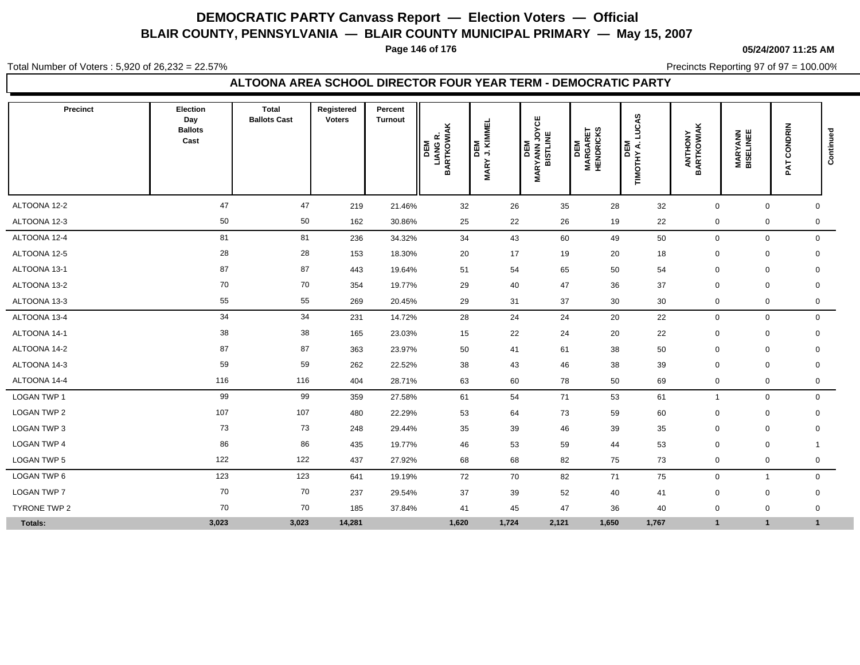**Page 146 of 176**

**05/24/2007 11:25 AM**

Total Number of Voters : 5,920 of 26,232 = 22.57%

Precincts Reporting 97 of 97 = 100.00%

### **ALTOONA AREA SCHOOL DIRECTOR FOUR YEAR TERM - DEMOCRATIC PARTY**

| Precinct           | Election<br>Day<br><b>Ballots</b><br>Cast | <b>Total</b><br><b>Ballots Cast</b> | Registered<br><b>Voters</b> | Percent<br><b>Turnout</b> | <b>LIANG R.<br/>BARTKOWIAK</b><br>DEM | DEM<br>J. KIMMEL<br><b>MARY</b> | <b><i>IARYANN JOYCE</i></b><br>BISTLINE<br>DEM<br>Σ | <b>MARGARET</b><br>HENDRICKS<br><b>INE</b> | CAS<br>Ě<br>DEM<br>TIMOTHY A. I | <b>ANTHONY</b><br>BARTKOWIAK | <b>MARYANN</b><br>BISELINEE | CONDRIN<br>PAT | Continued |
|--------------------|-------------------------------------------|-------------------------------------|-----------------------------|---------------------------|---------------------------------------|---------------------------------|-----------------------------------------------------|--------------------------------------------|---------------------------------|------------------------------|-----------------------------|----------------|-----------|
| ALTOONA 12-2       | 47                                        | 47                                  | 219                         | 21.46%                    | 32                                    | 26                              | 35                                                  | 28                                         | 32                              | $\mathbf 0$                  | $\mathbf 0$                 | $\mathbf 0$    |           |
| ALTOONA 12-3       | 50                                        | 50                                  | 162                         | 30.86%                    | 25                                    | 22                              | 26                                                  | 19                                         | 22                              | $\mathbf 0$                  | 0                           | 0              |           |
| ALTOONA 12-4       | 81                                        | 81                                  | 236                         | 34.32%                    | 34                                    | 43                              | 60                                                  | 49                                         | 50                              | $\mathbf 0$                  | 0                           | $\mathbf 0$    |           |
| ALTOONA 12-5       | 28                                        | 28                                  | 153                         | 18.30%                    | 20                                    | 17                              | 19                                                  | 20                                         | 18                              | $\mathbf 0$                  | $\mathbf 0$                 | 0              |           |
| ALTOONA 13-1       | 87                                        | 87                                  | 443                         | 19.64%                    | 51                                    | 54                              | 65                                                  | 50                                         | 54                              | $\mathbf 0$                  | $\mathbf 0$                 | 0              |           |
| ALTOONA 13-2       | 70                                        | 70                                  | 354                         | 19.77%                    | 29                                    | 40                              | 47                                                  | 36                                         | 37                              | $\mathbf 0$                  | $\mathbf 0$                 | $\mathbf 0$    |           |
| ALTOONA 13-3       | 55                                        | 55                                  | 269                         | 20.45%                    | 29                                    | 31                              | 37                                                  | 30                                         | 30                              | $\mathbf 0$                  | 0                           | $\mathbf 0$    |           |
| ALTOONA 13-4       | 34                                        | 34                                  | 231                         | 14.72%                    | 28                                    | 24                              | 24                                                  | 20                                         | 22                              | $\mathbf 0$                  | $\mathsf{O}\xspace$         | $\mathbf 0$    |           |
| ALTOONA 14-1       | 38                                        | 38                                  | 165                         | 23.03%                    | 15                                    | 22                              | 24                                                  | 20                                         | 22                              | $\mathbf 0$                  | $\pmb{0}$                   | 0              |           |
| ALTOONA 14-2       | 87                                        | 87                                  | 363                         | 23.97%                    | 50                                    | 41                              | 61                                                  | 38                                         | 50                              | 0                            | $\mathbf 0$                 | $\mathbf 0$    |           |
| ALTOONA 14-3       | 59                                        | 59                                  | 262                         | 22.52%                    | 38                                    | 43                              | 46                                                  | 38                                         | 39                              | $\mathbf 0$                  | $\mathbf 0$                 | $\mathbf 0$    |           |
| ALTOONA 14-4       | 116                                       | 116                                 | 404                         | 28.71%                    | 63                                    | 60                              | 78                                                  | 50                                         | 69                              | $\mathbf 0$                  | 0                           | 0              |           |
| LOGAN TWP 1        | 99                                        | 99                                  | 359                         | 27.58%                    | 61                                    | 54                              | 71                                                  | 53                                         | 61                              | -1                           | $\mathbf 0$                 | $\mathbf 0$    |           |
| LOGAN TWP 2        | 107                                       | 107                                 | 480                         | 22.29%                    | 53                                    | 64                              | 73                                                  | 59                                         | 60                              | $\mathbf 0$                  | $\mathbf 0$                 | $\mathbf 0$    |           |
| LOGAN TWP 3        | 73                                        | 73                                  | 248                         | 29.44%                    | 35                                    | 39                              | 46                                                  | 39                                         | 35                              | $\Omega$                     | $\mathbf 0$                 | 0              |           |
| <b>LOGAN TWP 4</b> | 86                                        | 86                                  | 435                         | 19.77%                    | 46                                    | 53                              | 59                                                  | 44                                         | 53                              | $\mathbf 0$                  | $\mathbf 0$                 | $\mathbf{1}$   |           |
| LOGAN TWP 5        | 122                                       | 122                                 | 437                         | 27.92%                    | 68                                    | 68                              | 82                                                  | 75                                         | 73                              | $\mathbf 0$                  | 0                           | 0              |           |
| LOGAN TWP 6        | 123                                       | 123                                 | 641                         | 19.19%                    | 72                                    | 70                              | 82                                                  | 71                                         | 75                              | $\mathbf 0$                  | 1                           | $\mathbf 0$    |           |
| LOGAN TWP 7        | 70                                        | 70                                  | 237                         | 29.54%                    | 37                                    | 39                              | 52                                                  | 40                                         | 41                              | $\mathbf 0$                  | $\mathbf 0$                 | 0              |           |
| TYRONE TWP 2       | 70                                        | 70                                  | 185                         | 37.84%                    | 41                                    | 45                              | 47                                                  | 36                                         | 40                              | $\mathbf 0$                  | $\mathbf 0$                 | 0              |           |
| Totals:            | 3,023                                     | 3,023                               | 14,281                      |                           | 1,620                                 | 1,724                           | 2,121                                               | 1,650                                      | 1,767                           | $\overline{1}$               | $\mathbf{1}$                | $\mathbf{1}$   |           |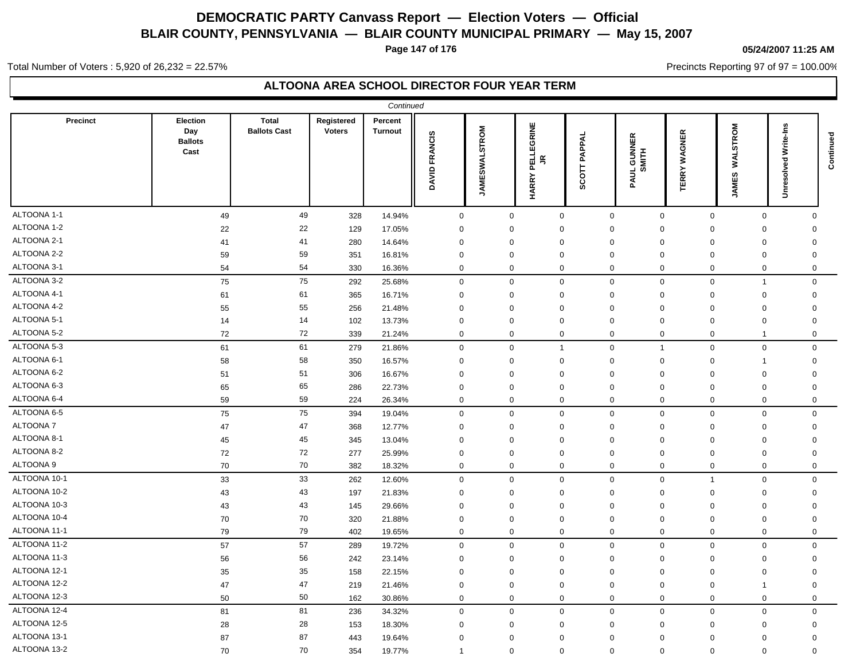**Page 147 of 176**

### **05/24/2007 11:25 AM**

Precincts Reporting 97 of 97 = 100.00%

Total Number of Voters : 5,920 of 26,232 = 22.57%

|                 |                                                  |                                     |                             | Continued          |               |                      |                                                        |                 |                                  |                        |                          |                            |           |
|-----------------|--------------------------------------------------|-------------------------------------|-----------------------------|--------------------|---------------|----------------------|--------------------------------------------------------|-----------------|----------------------------------|------------------------|--------------------------|----------------------------|-----------|
| <b>Precinct</b> | <b>Election</b><br>Day<br><b>Ballots</b><br>Cast | <b>Total</b><br><b>Ballots Cast</b> | Registered<br><b>Voters</b> | Percent<br>Turnout | DAVID FRANCIS | <b>JAMESWALSTROM</b> | PELLEGRINE<br>$\widetilde{\mathbb{R}}$<br><b>HARRY</b> | PAPPAL<br>SCOTT | 띥<br><b>GUNN</b><br>MITH<br>PAUL | WAGNER<br><b>TERRY</b> | WALSTROM<br><b>JAMES</b> | Write-Ins<br>g<br>Unresolv | Continued |
| ALTOONA 1-1     | 49                                               | 49                                  | 328                         | 14.94%             | $\mathbf 0$   | 0                    | $\mathbf 0$                                            | $\mathbf 0$     | $\mathbf 0$                      | $\mathbf 0$            | $\mathbf 0$              | $\Omega$                   |           |
| ALTOONA 1-2     | 22                                               | 22                                  | 129                         | 17.05%             | 0             | $\mathbf 0$          | 0                                                      | $\mathbf 0$     | $\Omega$                         | 0                      | $\mathbf 0$              | 0                          |           |
| ALTOONA 2-1     | 41                                               | 41                                  | 280                         | 14.64%             | $\mathbf 0$   | $\mathbf 0$          | $\mathbf 0$                                            | $\mathbf 0$     | $\mathbf 0$                      | $\mathbf 0$            | $\mathbf 0$              | $\mathbf 0$                |           |
| ALTOONA 2-2     | 59                                               | 59                                  | 351                         | 16.81%             | 0             | $\mathbf 0$          | $\mathbf 0$                                            | $\mathbf 0$     | $\mathbf 0$                      | 0                      | $\mathbf 0$              | 0                          |           |
| ALTOONA 3-1     | 54                                               | 54                                  | 330                         | 16.36%             | $\mathbf 0$   | 0                    | $\mathbf 0$                                            | $\mathbf 0$     | $\mathbf 0$                      | $\mathbf 0$            | $\mathbf 0$              | 0                          |           |
| ALTOONA 3-2     | 75                                               | 75                                  | 292                         | 25.68%             | $\mathbf 0$   | 0                    | $\mathbf 0$                                            | $\mathbf 0$     | $\mathbf 0$                      | $\mathbf 0$            | $\overline{1}$           | $\mathbf 0$                |           |
| ALTOONA 4-1     | 61                                               | 61                                  | 365                         | 16.71%             | $\mathbf 0$   | $\mathbf 0$          | $\mathbf 0$                                            | $\mathbf 0$     | $\mathbf 0$                      | $\mathbf 0$            | $\mathbf 0$              | $\mathbf 0$                |           |
| ALTOONA 4-2     | 55                                               | 55                                  | 256                         | 21.48%             | $\mathbf 0$   | $\mathbf 0$          | $\mathbf 0$                                            | $\mathbf 0$     | $\mathbf 0$                      | $\mathbf 0$            | $\mathbf 0$              | $\mathbf 0$                |           |
| ALTOONA 5-1     | 14                                               | 14                                  | 102                         | 13.73%             | $\mathbf 0$   | $\mathbf 0$          | $\mathbf 0$                                            | $\mathbf 0$     | $\mathbf 0$                      | $\mathbf 0$            | $\mathbf 0$              | $\mathbf 0$                |           |
| ALTOONA 5-2     | 72                                               | 72                                  | 339                         | 21.24%             | $\mathbf 0$   | 0                    | $\mathbf 0$                                            | $\mathbf 0$     | $\mathbf 0$                      | $\mathbf 0$            | -1                       | $\mathbf 0$                |           |
| ALTOONA 5-3     | 61                                               | 61                                  | 279                         | 21.86%             | $\mathbf 0$   | $\mathbf 0$          | $\mathbf{1}$                                           | $\mathbf 0$     | $\overline{1}$                   | $\mathbf 0$            | $\mathbf{0}$             | $\Omega$                   |           |
| ALTOONA 6-1     | 58                                               | 58                                  | 350                         | 16.57%             | $\mathbf 0$   | $\Omega$             | $\mathbf 0$                                            | $\Omega$        | $\Omega$                         | $\Omega$               | $\overline{1}$           | $\mathbf 0$                |           |
| ALTOONA 6-2     | 51                                               | 51                                  | 306                         | 16.67%             | $\mathbf 0$   | $\Omega$             | $\mathbf 0$                                            | $\Omega$        | $\Omega$                         | $\mathbf 0$            | $\mathbf 0$              | $\mathbf 0$                |           |
| ALTOONA 6-3     | 65                                               | 65                                  | 286                         | 22.73%             | $\mathbf 0$   | $\Omega$             | $\mathbf 0$                                            | $\Omega$        | $\Omega$                         | $\mathbf 0$            | $\mathbf 0$              | $\Omega$                   |           |
| ALTOONA 6-4     | 59                                               | 59                                  | 224                         | 26.34%             | $\mathbf 0$   | $\Omega$             | $\mathbf 0$                                            | $\mathbf 0$     | $\mathbf 0$                      | $\mathbf 0$            | $\mathbf 0$              | $\mathbf 0$                |           |
| ALTOONA 6-5     | 75                                               | 75                                  | 394                         | 19.04%             | $\mathsf 0$   | $\Omega$             | $\mathbf 0$                                            | $\Omega$        | $\mathbf 0$                      | $\mathbf 0$            | $\mathbf 0$              | $\mathbf 0$                |           |
| ALTOONA 7       | 47                                               | 47                                  | 368                         | 12.77%             | $\mathbf 0$   | $\mathbf 0$          | 0                                                      | $\mathbf 0$     | $\mathbf 0$                      | $\mathbf 0$            | $\mathbf 0$              | $\mathbf 0$                |           |
| ALTOONA 8-1     | 45                                               | 45                                  | 345                         | 13.04%             | $\mathbf 0$   | $\Omega$             | $\mathbf 0$                                            | $\Omega$        | $\mathbf 0$                      | $\mathbf 0$            | $\mathbf 0$              | 0                          |           |
| ALTOONA 8-2     | 72                                               | 72                                  | 277                         | 25.99%             | 0             | $\mathbf 0$          | $\mathbf 0$                                            | $\mathbf 0$     | 0                                | 0                      | $\mathbf 0$              | 0                          |           |
| ALTOONA 9       | 70                                               | 70                                  | 382                         | 18.32%             | $\mathbf 0$   | 0                    | $\mathbf 0$                                            | $\Omega$        | $\mathbf 0$                      | $\mathbf 0$            | $\mathbf 0$              | $\Omega$                   |           |
| ALTOONA 10-1    | 33                                               | 33                                  | 262                         | 12.60%             | $\mathsf 0$   | $\mathbf 0$          | $\mathbf 0$                                            | $\Omega$        | $\mathbf 0$                      | $\overline{1}$         | $\mathsf 0$              | $\Omega$                   |           |
| ALTOONA 10-2    | 43                                               | 43                                  | 197                         | 21.83%             | $\mathbf 0$   | $\Omega$             | $\mathbf 0$                                            | $\Omega$        | $\Omega$                         | $\mathbf 0$            | $\mathbf 0$              | $\Omega$                   |           |
| ALTOONA 10-3    | 43                                               | 43                                  | 145                         | 29.66%             | $\mathbf 0$   | $\Omega$             | $\mathbf 0$                                            | $\Omega$        | $\Omega$                         | $\mathbf 0$            | $\mathsf 0$              | $\Omega$                   |           |
| ALTOONA 10-4    | 70                                               | 70                                  | 320                         | 21.88%             | 0             | $\Omega$             | $\mathbf 0$                                            | $\Omega$        | $\Omega$                         | 0                      | $\mathbf 0$              | $\Omega$                   |           |
| ALTOONA 11-1    | 79                                               | 79                                  | 402                         | 19.65%             | $\mathbf 0$   | $\mathbf 0$          | $\mathbf 0$                                            | $\mathbf 0$     | $\mathbf{0}$                     | $\mathbf 0$            | $\mathbf 0$              | $\mathbf 0$                |           |
| ALTOONA 11-2    | 57                                               | 57                                  | 289                         | 19.72%             | $\mathbf 0$   | $\mathbf 0$          | $\mathbf 0$                                            | $\mathbf 0$     | $\mathbf{0}$                     | $\mathbf 0$            | $\mathbf 0$              | $\mathbf 0$                |           |
| ALTOONA 11-3    | 56                                               | 56                                  | 242                         | 23.14%             | $\mathbf 0$   | $\mathbf 0$          | $\mathbf 0$                                            | $\mathbf 0$     | 0                                | $\mathbf 0$            | $\mathbf 0$              | 0                          |           |
| ALTOONA 12-1    | 35                                               | 35                                  | 158                         | 22.15%             | 0             | $\mathbf 0$          | $\mathbf 0$                                            | $\mathbf 0$     | $\mathbf 0$                      | 0                      | $\mathbf 0$              | 0                          |           |
| ALTOONA 12-2    | 47                                               | 47                                  | 219                         | 21.46%             | $\mathbf 0$   | $\Omega$             | $\mathbf 0$                                            | $\mathbf 0$     | $\mathbf 0$                      | $\mathbf 0$            | $\overline{1}$           | $\mathbf 0$                |           |
| ALTOONA 12-3    | 50                                               | 50                                  | 162                         | 30.86%             | $\mathbf 0$   | 0                    | $\mathbf 0$                                            | $\mathbf 0$     | $\mathbf 0$                      | $\mathbf 0$            | $\mathbf 0$              | $\mathbf 0$                |           |
| ALTOONA 12-4    | 81                                               | 81                                  | 236                         | 34.32%             | $\mathbf 0$   | $\mathbf 0$          | $\mathbf 0$                                            | $\mathbf 0$     | $\mathbf 0$                      | $\mathbf 0$            | $\mathbf 0$              | $\mathbf 0$                |           |
| ALTOONA 12-5    | 28                                               | 28                                  | 153                         | 18.30%             | $\mathbf 0$   | $\mathbf 0$          | $\mathbf 0$                                            | $\mathbf 0$     | 0                                | $\mathbf 0$            | $\mathbf 0$              | $\mathbf 0$                |           |
| ALTOONA 13-1    | 87                                               | 87                                  | 443                         | 19.64%             | $\Omega$      | $\Omega$             | $\mathbf 0$                                            | $\mathbf 0$     | $\mathbf 0$                      | $\mathbf 0$            | $\mathbf 0$              | $\mathbf 0$                |           |
| ALTOONA 13-2    | 70                                               | 70                                  | 354                         | 19.77%             | $\mathbf 1$   | 0                    | $\mathbf 0$                                            | $\mathbf 0$     | $\mathbf 0$                      | $\mathbf 0$            | $\mathbf 0$              | $\mathbf 0$                |           |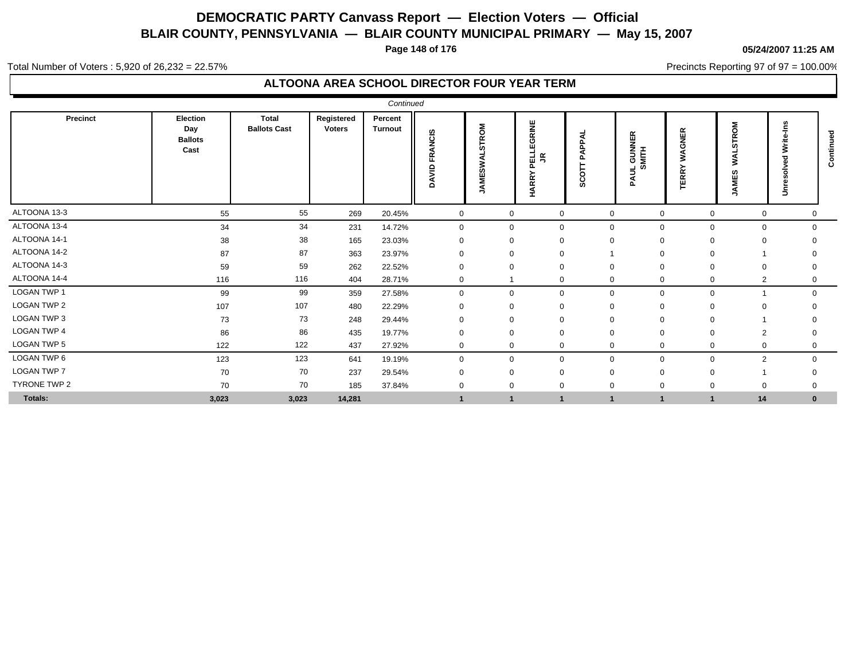**Page 148 of 176**

#### **05/24/2007 11:25 AM**

Precincts Reporting 97 of 97 = 100.00%

Total Number of Voters : 5,920 of 26,232 = 22.57%

|                    |                                           |                                     |                             | Continued                 |                  |                                            |                                             |                                    |                                                           |                              |                                               |                               |             |
|--------------------|-------------------------------------------|-------------------------------------|-----------------------------|---------------------------|------------------|--------------------------------------------|---------------------------------------------|------------------------------------|-----------------------------------------------------------|------------------------------|-----------------------------------------------|-------------------------------|-------------|
| <b>Precinct</b>    | Election<br>Day<br><b>Ballots</b><br>Cast | <b>Total</b><br><b>Ballots Cast</b> | Registered<br><b>Voters</b> | Percent<br><b>Turnout</b> | FRANCIS<br>DAVID | <b>STROM</b><br>នី<br>ស<br><b>ANE</b><br>∍ | <b>GRINE</b><br>모<br>내<br>목<br><b>HARRY</b> | ⋖<br>۵.<br>ᡶ<br>$\circ$<br>Ō<br>ō, | 띥<br>$\bar{z}$ =<br>공 등<br>$\equiv \frac{1}{2}$<br>⋖<br>൨ | <b>GNER</b><br>℥<br>RRY<br>ш | Σ<br>$\circ$<br>$\alpha$<br>cr<br>ഗ<br>ш<br>− | $\Rightarrow$                 | ಕ<br>ō<br>ت |
| ALTOONA 13-3       | 55                                        | 55                                  | 269                         | 20.45%                    | $\overline{0}$   | $\mathbf 0$                                | $\mathbf 0$                                 | $\mathbf{0}$                       | $\mathbf 0$                                               | $\mathbf 0$                  |                                               | $\mathbf{0}$<br>$\mathbf 0$   |             |
| ALTOONA 13-4       | 34                                        | 34                                  | 231                         | 14.72%                    | 0                | $\mathbf{0}$                               | $\Omega$                                    | $\mathbf 0$                        | 0                                                         | 0                            |                                               | $\mathbf 0$<br>0              |             |
| ALTOONA 14-1       | 38                                        | 38                                  | 165                         | 23.03%                    | 0                | $\Omega$                                   | $\Omega$                                    | $\Omega$                           | $\Omega$                                                  | $\mathbf 0$                  |                                               | $\mathbf 0$                   |             |
| ALTOONA 14-2       | 87                                        | 87                                  | 363                         | 23.97%                    | $\Omega$         | $\Omega$                                   |                                             |                                    | $\Omega$                                                  | 0                            |                                               |                               |             |
| ALTOONA 14-3       | 59                                        | 59                                  | 262                         | 22.52%                    | $\Omega$         | $\Omega$                                   | $\Omega$                                    | $\Omega$                           | $\Omega$                                                  | $\Omega$                     |                                               | $\mathbf 0$<br>0              |             |
| ALTOONA 14-4       | 116                                       | 116                                 | 404                         | 28.71%                    | $\mathbf 0$      |                                            | $\mathbf 0$                                 | $\mathbf 0$                        | $\mathbf{0}$                                              | $\mathbf 0$                  |                                               | $\overline{2}$<br>$\mathbf 0$ |             |
| LOGAN TWP 1        | 99                                        | 99                                  | 359                         | 27.58%                    | $\mathbf 0$      | $\mathbf 0$                                | $\Omega$                                    | $\mathbf{0}$                       | $\mathbf 0$                                               | $\mathbf 0$                  |                                               | $\mathbf 0$                   |             |
| LOGAN TWP 2        | 107                                       | 107                                 | 480                         | 22.29%                    | $\Omega$         | $\Omega$                                   | $\Omega$                                    | $\Omega$                           | $\Omega$                                                  | $\Omega$                     |                                               | $\Omega$                      |             |
| LOGAN TWP 3        | 73                                        | 73                                  | 248                         | 29.44%                    | $\mathbf{0}$     | $\Omega$                                   | $\Omega$                                    | 0                                  | $\Omega$                                                  | 0                            |                                               |                               |             |
| <b>LOGAN TWP 4</b> | 86                                        | 86                                  | 435                         | 19.77%                    | 0                | $\Omega$                                   |                                             |                                    | $\Omega$                                                  | $\Omega$                     |                                               | $\overline{2}$<br>0           |             |
| LOGAN TWP 5        | 122                                       | 122                                 | 437                         | 27.92%                    | $\mathbf 0$      | $\mathbf{0}$                               | $\mathbf 0$                                 | 0                                  | 0                                                         | 0                            |                                               | $\mathbf 0$<br>0              |             |
| LOGAN TWP 6        | 123                                       | 123                                 | 641                         | 19.19%                    | $\mathbf 0$      | $\mathbf 0$                                | $\Omega$                                    | $\mathbf 0$                        | $\mathbf 0$                                               | $\mathbf 0$                  |                                               | $\overline{2}$<br>$\mathbf 0$ |             |
| <b>LOGAN TWP 7</b> | 70                                        | 70                                  | 237                         | 29.54%                    | $\Omega$         | $\Omega$                                   | $\Omega$                                    | 0                                  | $\Omega$                                                  | $\Omega$                     |                                               |                               |             |
| TYRONE TWP 2       | 70                                        | 70                                  | 185                         | 37.84%                    | 0                | $\mathbf 0$                                |                                             | 0                                  | $\mathbf 0$                                               | $\mathbf 0$                  |                                               | $\overline{0}$                |             |
| Totals:            | 3,023                                     | 3,023                               | 14,281                      |                           |                  |                                            | $\mathbf{1}$                                |                                    | $\blacktriangleleft$                                      |                              | 14                                            | $\bf{0}$                      |             |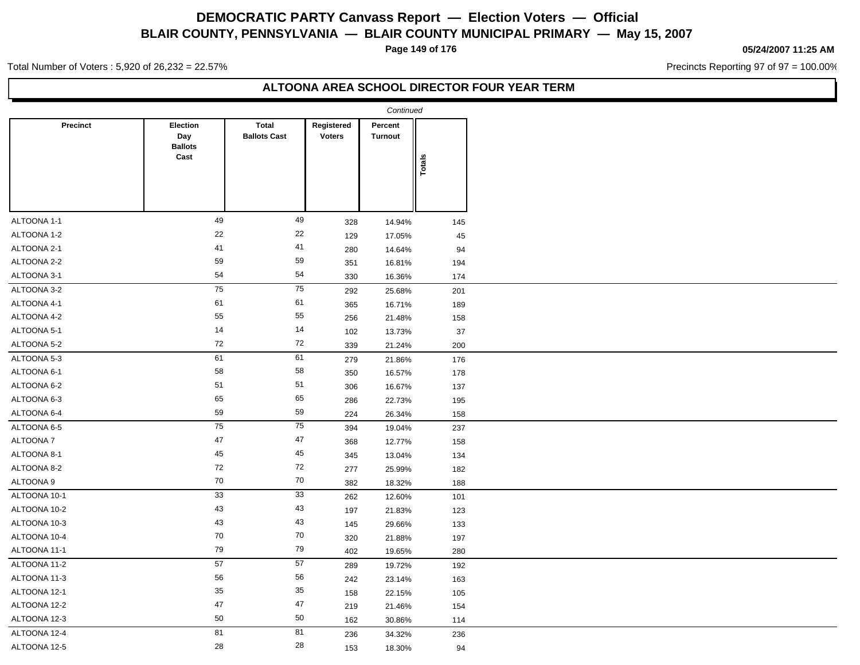**Page 149 of 176**

#### **05/24/2007 11:25 AM**

Precincts Reporting 97 of 97 = 100.00%

Total Number of Voters : 5,920 of 26,232 = 22.57%

|                 |                                           |                                     |                             | Continued                 |            |
|-----------------|-------------------------------------------|-------------------------------------|-----------------------------|---------------------------|------------|
| <b>Precinct</b> | Election<br>Day<br><b>Ballots</b><br>Cast | <b>Total</b><br><b>Ballots Cast</b> | Registered<br><b>Voters</b> | Percent<br><b>Turnout</b> |            |
|                 |                                           |                                     |                             |                           | Totals     |
| ALTOONA 1-1     | 49                                        | 49                                  | 328                         | 14.94%                    | 145        |
| ALTOONA 1-2     | $22\,$                                    | 22                                  | 129                         | 17.05%                    | 45         |
| ALTOONA 2-1     | 41                                        | 41                                  | 280                         | 14.64%                    | 94         |
| ALTOONA 2-2     | 59                                        | 59                                  | 351                         | 16.81%                    | 194        |
| ALTOONA 3-1     | 54                                        | 54                                  | 330                         | 16.36%                    | 174        |
| ALTOONA 3-2     | 75                                        | $\overline{75}$                     | 292                         | 25.68%                    | 201        |
| ALTOONA 4-1     | 61                                        | 61                                  |                             |                           |            |
| ALTOONA 4-2     | 55                                        | 55                                  | 365                         | 16.71%                    | 189        |
| ALTOONA 5-1     | 14                                        | 14                                  | 256                         | 21.48%                    | 158        |
| ALTOONA 5-2     | 72                                        | 72                                  | 102<br>339                  | 13.73%<br>21.24%          | 37<br>200  |
| ALTOONA 5-3     | 61                                        | 61                                  | 279                         | 21.86%                    | 176        |
| ALTOONA 6-1     | 58                                        | 58                                  |                             |                           | 178        |
| ALTOONA 6-2     | 51                                        | 51                                  | 350<br>306                  | 16.57%<br>16.67%          | 137        |
| ALTOONA 6-3     | 65                                        | 65                                  |                             |                           |            |
| ALTOONA 6-4     | 59                                        | 59                                  | 286                         | 22.73%                    | 195        |
| ALTOONA 6-5     | 75                                        | 75                                  | 224<br>394                  | 26.34%<br>19.04%          | 158<br>237 |
| ALTOONA 7       | 47                                        | $47\,$                              |                             | 12.77%                    | 158        |
| ALTOONA 8-1     | 45                                        | 45                                  | 368                         |                           |            |
| ALTOONA 8-2     | 72                                        | 72                                  | 345                         | 13.04%                    | 134        |
| ALTOONA 9       | 70                                        | $70\,$                              | 277                         | 25.99%                    | 182        |
|                 | 33                                        | 33                                  | 382                         | 18.32%                    | 188        |
| ALTOONA 10-1    |                                           | 43                                  | 262                         | 12.60%                    | 101        |
| ALTOONA 10-2    | 43<br>43                                  | 43                                  | 197                         | 21.83%                    | 123        |
| ALTOONA 10-3    | 70                                        | 70                                  | 145                         | 29.66%                    | 133        |
| ALTOONA 10-4    | 79                                        | 79                                  | 320                         | 21.88%                    | 197        |
| ALTOONA 11-1    |                                           | 57                                  | 402                         | 19.65%                    | 280        |
| ALTOONA 11-2    | 57                                        |                                     | 289                         | 19.72%                    | 192        |
| ALTOONA 11-3    | 56                                        | 56                                  | 242                         | 23.14%                    | 163        |
| ALTOONA 12-1    | 35                                        | 35                                  | 158                         | 22.15%                    | 105        |
| ALTOONA 12-2    | 47                                        | $47\,$                              | 219                         | 21.46%                    | 154        |
| ALTOONA 12-3    | 50                                        | 50                                  | 162                         | 30.86%                    | 114        |
| ALTOONA 12-4    | 81                                        | 81                                  | 236                         | 34.32%                    | 236        |
| ALTOONA 12-5    | 28                                        | 28                                  | 153                         | 18.30%                    | 94         |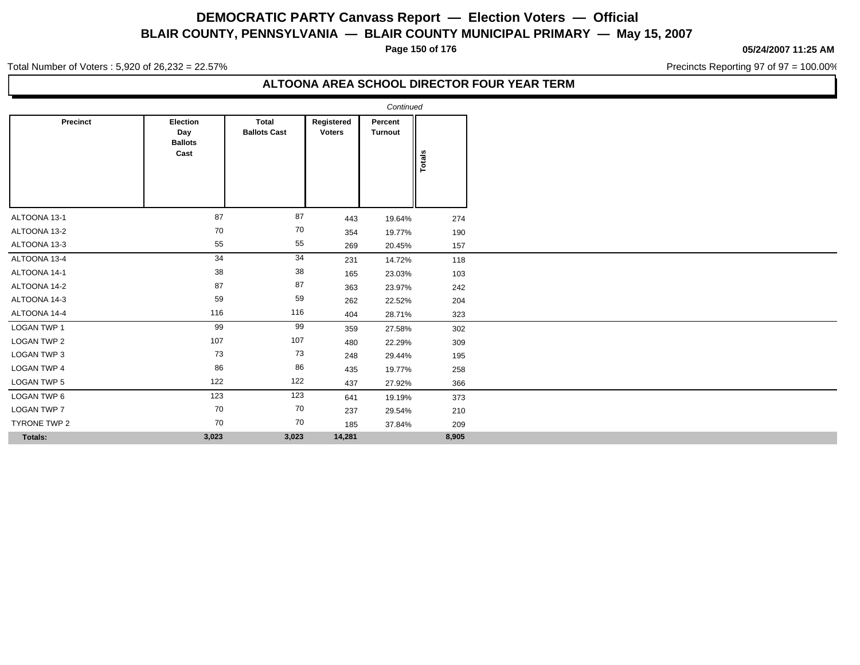**Page 150 of 176**

### **05/24/2007 11:25 AM**

Precincts Reporting 97 of 97 = 100.00%

Total Number of Voters : 5,920 of 26,232 = 22.57%

|                 |                                           |                                     |                             | Continued                 |        |
|-----------------|-------------------------------------------|-------------------------------------|-----------------------------|---------------------------|--------|
| <b>Precinct</b> | Election<br>Day<br><b>Ballots</b><br>Cast | <b>Total</b><br><b>Ballots Cast</b> | Registered<br><b>Voters</b> | Percent<br><b>Turnout</b> | Totals |
| ALTOONA 13-1    | 87                                        | 87                                  | 443                         | 19.64%                    | 274    |
| ALTOONA 13-2    | 70                                        | 70                                  | 354                         | 19.77%                    | 190    |
| ALTOONA 13-3    | 55                                        | 55                                  | 269                         | 20.45%                    | 157    |
| ALTOONA 13-4    | 34                                        | 34                                  | 231                         | 14.72%                    | 118    |
| ALTOONA 14-1    | 38                                        | 38                                  | 165                         | 23.03%                    | 103    |
| ALTOONA 14-2    | 87                                        | 87                                  | 363                         | 23.97%                    | 242    |
| ALTOONA 14-3    | 59                                        | 59                                  | 262                         | 22.52%                    | 204    |
| ALTOONA 14-4    | 116                                       | 116                                 | 404                         | 28.71%                    | 323    |
| LOGAN TWP 1     | 99                                        | 99                                  | 359                         | 27.58%                    | 302    |
| LOGAN TWP 2     | 107                                       | 107                                 | 480                         | 22.29%                    | 309    |
| LOGAN TWP 3     | 73                                        | 73                                  | 248                         | 29.44%                    | 195    |
| LOGAN TWP 4     | 86                                        | 86                                  | 435                         | 19.77%                    | 258    |
| LOGAN TWP 5     | 122                                       | 122                                 | 437                         | 27.92%                    | 366    |
| LOGAN TWP 6     | 123                                       | 123                                 | 641                         | 19.19%                    | 373    |
| LOGAN TWP 7     | 70                                        | 70                                  | 237                         | 29.54%                    | 210    |
| TYRONE TWP 2    | 70                                        | 70                                  | 185                         | 37.84%                    | 209    |
| Totals:         | 3,023                                     | 3,023                               | 14,281                      |                           | 8,905  |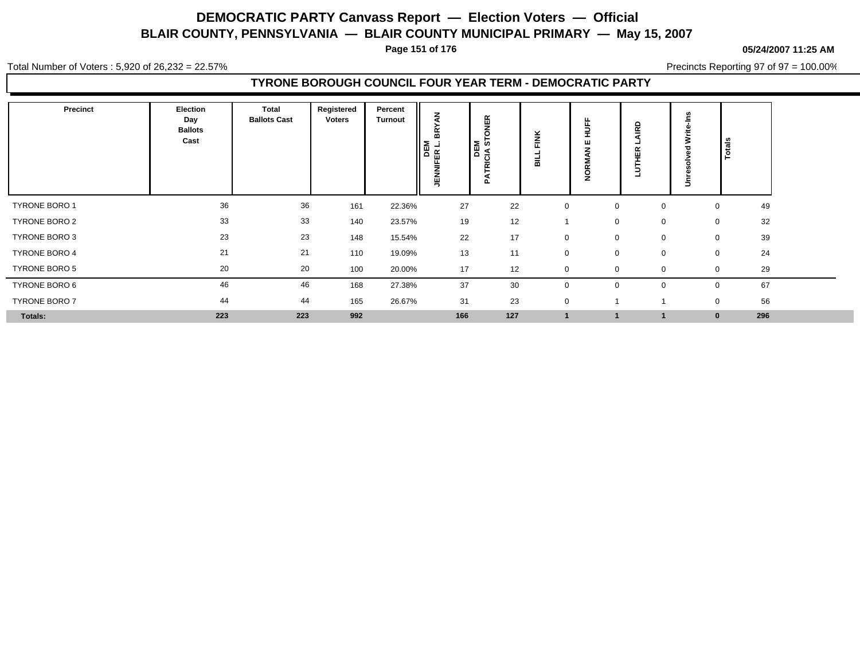**Page 151 of 176**

**05/24/2007 11:25 AM**

Total Number of Voters : 5,920 of 26,232 = 22.57%

Precincts Reporting 97 of 97 = 100.00%

### **TYRONE BOROUGH COUNCIL FOUR YEAR TERM - DEMOCRATIC PARTY**

| <b>Precinct</b>      | Election<br>Day<br><b>Ballots</b><br>Cast | Total<br><b>Ballots Cast</b> | Registered<br>Voters | Percent<br><b>Turnout</b> | ₹<br>≻<br>ã<br><b>DEM</b><br>JENNIFER L. | NEK<br>K<br>C<br>U.<br>IŦ.<br><b>RICIA</b><br>$\Omega$ | Ň<br>ш<br>$\overline{\phantom{0}}$<br>붊 | ш<br>ш               | ≏<br>$\sim$ | ۴Ë<br>≳<br>∍ | Totals              |  |
|----------------------|-------------------------------------------|------------------------------|----------------------|---------------------------|------------------------------------------|--------------------------------------------------------|-----------------------------------------|----------------------|-------------|--------------|---------------------|--|
| TYRONE BORO 1        | 36                                        | 36                           | 161                  | 22.36%                    | 27                                       | 22                                                     | $\mathbf 0$                             | $\mathbf 0$          | 0           |              | 49<br>0             |  |
| TYRONE BORO 2        | 33                                        | 33                           | 140                  | 23.57%                    | 19                                       | 12                                                     |                                         | $\mathbf 0$          | $\mathbf 0$ | $\mathbf 0$  | 32                  |  |
| TYRONE BORO 3        | 23                                        | 23                           | 148                  | 15.54%                    | 22                                       | 17                                                     | 0                                       | $\mathbf 0$          | 0           | $\mathbf 0$  | 39                  |  |
| TYRONE BORO 4        | 21                                        | 21                           | 110                  | 19.09%                    | 13                                       | 11                                                     | $\mathbf 0$                             | $\mathbf 0$          | $\mathbf 0$ | $\mathbf 0$  | 24                  |  |
| <b>TYRONE BORO 5</b> | 20                                        | 20                           | 100                  | 20.00%                    | 17                                       | 12                                                     | $\mathbf 0$                             | $\overline{0}$       | $\mathbf 0$ | $\Omega$     | 29                  |  |
| TYRONE BORO 6        | 46                                        | 46                           | 168                  | 27.38%                    | 37                                       | 30                                                     | $\mathbf 0$                             | $\mathbf 0$          | $\mathbf 0$ |              | 67                  |  |
| TYRONE BORO 7        | 44                                        | 44                           | 165                  | 26.67%                    | 31                                       | 23                                                     | 0                                       |                      |             | 0            | 56                  |  |
| Totals:              | 223                                       | 223                          | 992                  |                           | 166                                      | 127                                                    |                                         | $\blacktriangleleft$ |             |              | 296<br>$\mathbf{0}$ |  |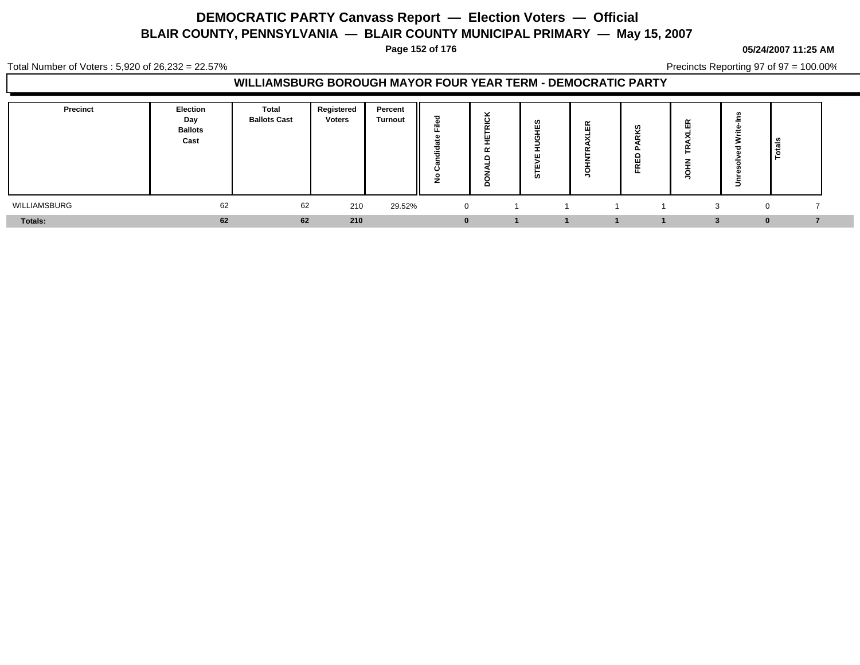**Page 152 of 176**

#### **05/24/2007 11:25 AM**

Total Number of Voters : 5,920 of 26,232 = 22.57%

Precincts Reporting 97 of 97 = 100.00%

### **WILLIAMSBURG BOROUGH MAYOR FOUR YEAR TERM - DEMOCRATIC PARTY**

| <b>Precinct</b> | <b>Election</b><br>Day<br><b>Ballots</b><br>Cast | <b>Total</b><br><b>Ballots Cast</b> | Registered<br><b>Voters</b> | Percent<br><b>Turnout</b> | -<br>=<br>÷<br>ັ | $\mathbf c$<br>-<br>$\sim$<br>$\alpha$<br>o | ທ<br>Ŵ<br>ш<br>ш<br>ທ | 岊 | Ţ, | ш<br>- | -<br>÷ |  |
|-----------------|--------------------------------------------------|-------------------------------------|-----------------------------|---------------------------|------------------|---------------------------------------------|-----------------------|---|----|--------|--------|--|
| WILLIAMSBURG    | 62                                               | 62                                  | 210                         | 29.52%                    |                  |                                             |                       |   |    |        |        |  |
| Totals:         | 62                                               | 62                                  | 210                         |                           |                  |                                             |                       |   |    |        |        |  |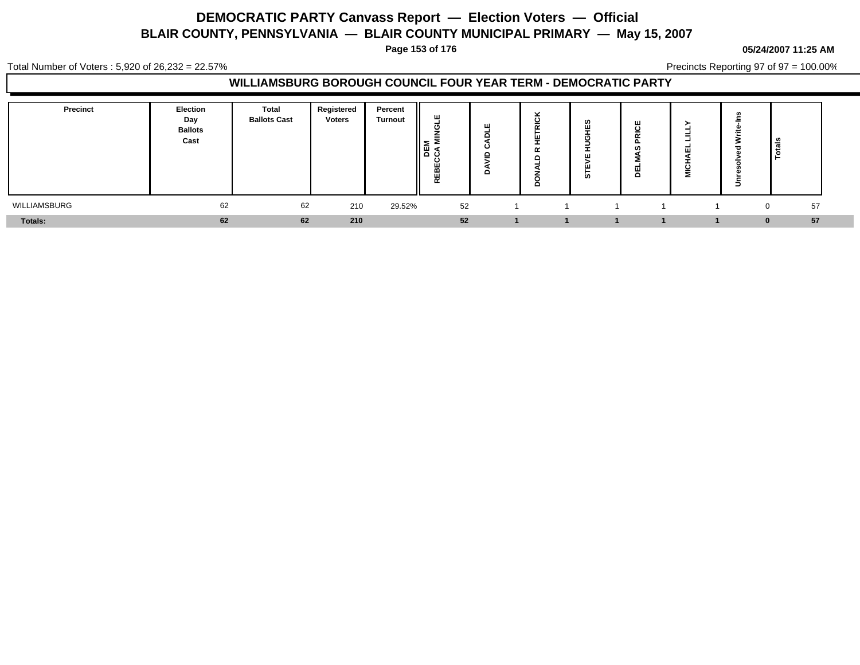**Page 153 of 176**

#### **05/24/2007 11:25 AM**

Total Number of Voters : 5,920 of 26,232 = 22.57%

Precincts Reporting 97 of 97 = 100.00%

### **WILLIAMSBURG BOROUGH COUNCIL FOUR YEAR TERM - DEMOCRATIC PARTY**

| <b>Precinct</b> | <b>Election</b><br>Day<br><b>Ballots</b><br>Cast | Total<br><b>Ballots Cast</b> | Registered<br><b>Voters</b> | Percent<br><b>Turnout</b> | ш<br>$=$<br>≤ ≥<br>ី កី<br>ω<br>ш<br>REB | ັ<br>-<br>ပ<br>ш<br>-<br>$\alpha$<br>o | ц | _<br>ш<br>⋍ | سد | . .            |  |
|-----------------|--------------------------------------------------|------------------------------|-----------------------------|---------------------------|------------------------------------------|----------------------------------------|---|-------------|----|----------------|--|
| WILLIAMSBURG    | 62                                               | 62                           | 210                         | 29.52%                    | 52                                       |                                        |   |             |    | 57<br>$\Omega$ |  |
| Totals:         | 62                                               | 62                           | 210                         |                           | 52                                       |                                        |   |             |    | 57<br>n        |  |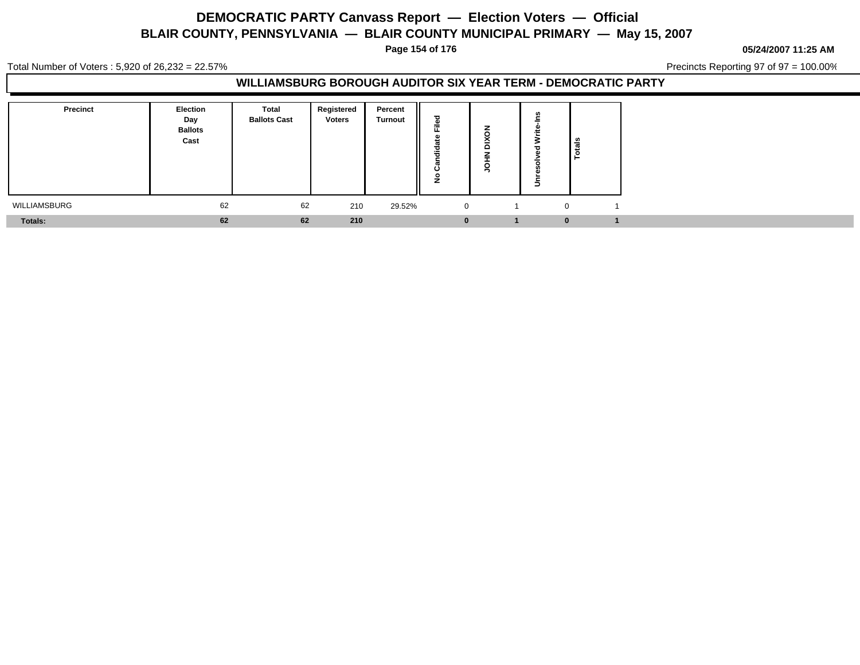**Page 154 of 176**

**05/24/2007 11:25 AM**

Total Number of Voters : 5,920 of 26,232 = 22.57%

Precincts Reporting 97 of 97 = 100.00%

### **WILLIAMSBURG BOROUGH AUDITOR SIX YEAR TERM - DEMOCRATIC PARTY**

| <b>Precinct</b> | <b>Election</b><br>Day<br><b>Ballots</b><br>Cast | Total<br><b>Ballots Cast</b> | Registered<br><b>Voters</b> | Percent<br><b>Turnout</b> | $=$<br>- -<br>ن<br>∠ | -<br>∽<br><b>__</b><br>Ω | $\overline{\phantom{0}}$ | Totals |
|-----------------|--------------------------------------------------|------------------------------|-----------------------------|---------------------------|----------------------|--------------------------|--------------------------|--------|
| WILLIAMSBURG    | 62                                               | 62                           | 210                         | 29.52%                    | $\mathbf{0}$         |                          |                          |        |
| Totals:         | 62                                               | 62                           | 210                         |                           |                      |                          | $\bf{0}$                 |        |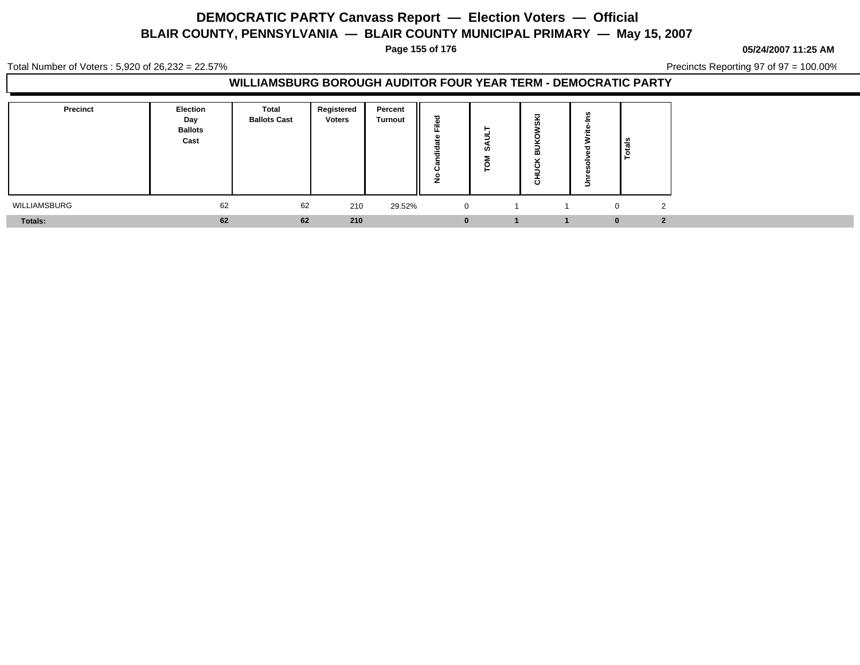**Page 155 of 176**

**05/24/2007 11:25 AM**

Total Number of Voters : 5,920 of 26,232 = 22.57%

Precincts Reporting 97 of 97 = 100.00%

### **WILLIAMSBURG BOROUGH AUDITOR FOUR YEAR TERM - DEMOCRATIC PARTY**

| Precinct     | <b>Election</b><br>Day<br><b>Ballots</b><br>Cast | Total<br><b>Ballots Cast</b> | Registered<br><b>Voters</b> | Percent<br><b>Turnout</b> | ᅙ<br>ക<br>$\sim$<br>ъ<br>- 1<br>₹<br>o | ທ |          | _உ                       |
|--------------|--------------------------------------------------|------------------------------|-----------------------------|---------------------------|----------------------------------------|---|----------|--------------------------|
| WILLIAMSBURG | 62                                               | 62                           | 210                         | 29.52%                    | 0                                      |   |          | $\sim$<br>$\overline{0}$ |
| Totals:      | 62                                               | 62                           | 210                         |                           | $\bf{0}$                               |   | $\bf{0}$ | $\overline{2}$           |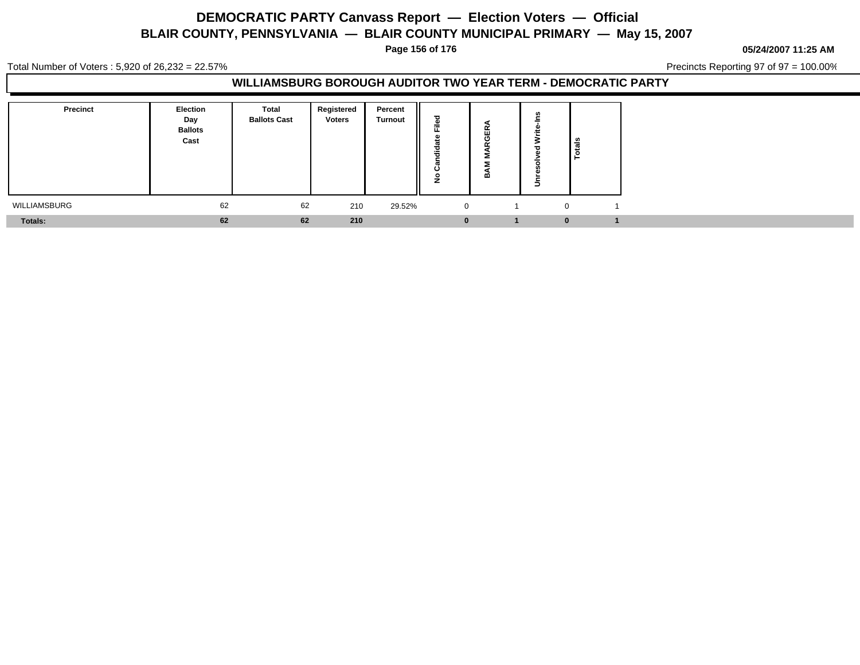**Page 156 of 176**

**05/24/2007 11:25 AM**

Total Number of Voters : 5,920 of 26,232 = 22.57%

Precincts Reporting 97 of 97 = 100.00%

### **WILLIAMSBURG BOROUGH AUDITOR TWO YEAR TERM - DEMOCRATIC PARTY**

| <b>Precinct</b> | <b>Election</b><br>Day<br><b>Ballots</b><br>Cast | <b>Total</b><br><b>Ballots Cast</b> | Registered<br><b>Voters</b> | Percent<br><b>Turnout</b> | ≔<br>ں       | ≃<br>-111<br>m | $\overline{\phantom{0}}$ | <sup>d</sup><br><u>ە</u> |  |
|-----------------|--------------------------------------------------|-------------------------------------|-----------------------------|---------------------------|--------------|----------------|--------------------------|--------------------------|--|
| WILLIAMSBURG    | 62                                               | 62                                  | 210                         | 29.52%                    | $\mathbf{0}$ |                |                          |                          |  |
| Totals:         | 62                                               | 62                                  | 210                         |                           |              |                |                          | $\bf{0}$                 |  |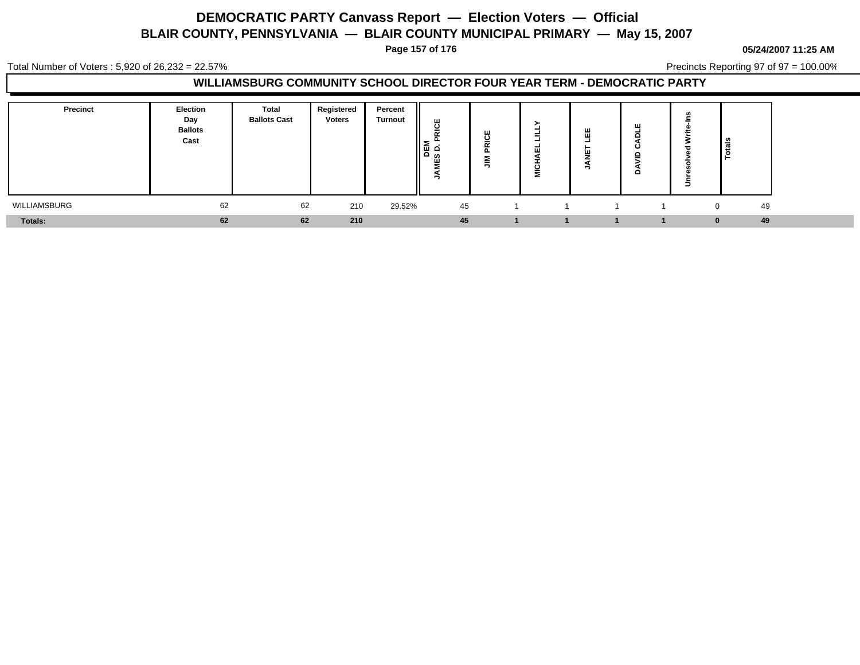**Page 157 of 176**

#### **05/24/2007 11:25 AM**

Total Number of Voters : 5,920 of 26,232 = 22.57%

Precincts Reporting 97 of 97 = 100.00%

### **WILLIAMSBURG COMMUNITY SCHOOL DIRECTOR FOUR YEAR TERM - DEMOCRATIC PARTY**

| <b>Precinct</b> | Election<br>Day<br><b>Ballots</b><br>Cast | <b>Total</b><br><b>Ballots Cast</b> | Registered<br><b>Voters</b> | Percent<br><b>Turnout</b> | ш<br>ပ<br>-<br>$\sim$<br>-<br>팀<br><b>Q</b><br>ဖာ<br>ш<br>- | Щ<br>$\cdot$<br>$\overline{\phantom{a}}$<br>$\sim$ | -<br>ш<br>c<br>Ξ | ш<br>ய | Ξ | ≅ ا                |  |
|-----------------|-------------------------------------------|-------------------------------------|-----------------------------|---------------------------|-------------------------------------------------------------|----------------------------------------------------|------------------|--------|---|--------------------|--|
| WILLIAMSBURG    | 62                                        | 62                                  | 210                         | 29.52%                    | 45                                                          |                                                    |                  |        |   | 49<br>$\Omega$     |  |
| <b>Totals:</b>  | 62                                        | 62                                  | 210                         |                           | 45                                                          |                                                    |                  |        |   | 49<br>$\mathbf{0}$ |  |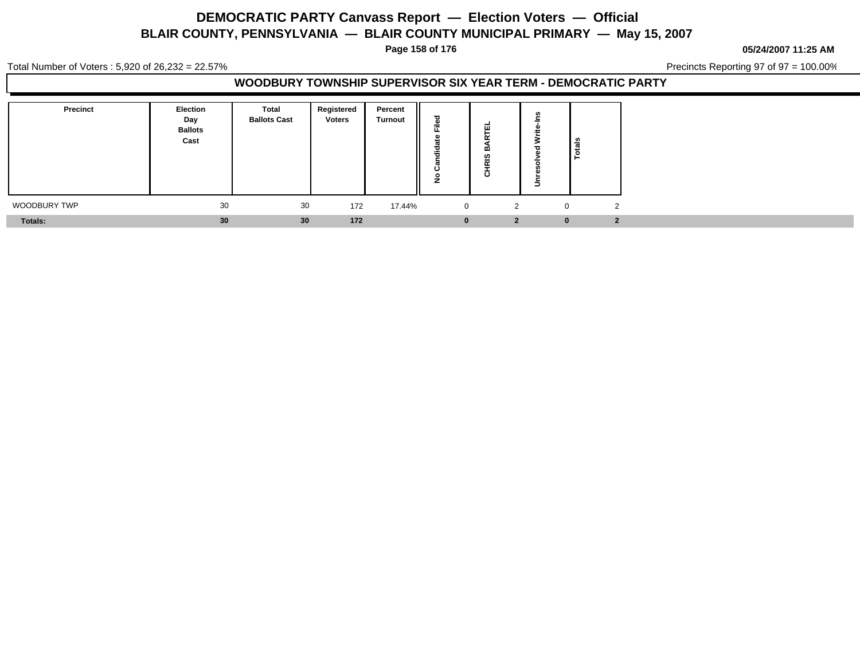**Page 158 of 176**

**05/24/2007 11:25 AM**

Total Number of Voters : 5,920 of 26,232 = 22.57%

Precincts Reporting 97 of 97 = 100.00%

### **WOODBURY TOWNSHIP SUPERVISOR SIX YEAR TERM - DEMOCRATIC PARTY**

| Precinct     | Election<br>Day<br><b>Ballots</b><br>Cast | <b>Total</b><br><b>Ballots Cast</b> | Registered<br><b>Voters</b> | Percent<br><b>Turnout</b> | --          | ш<br>-<br>œ<br>Ø<br>$\tilde{\phantom{a}}$<br>ㅎ | ÷<br>Ξ   | l es<br>تت<br>인 |
|--------------|-------------------------------------------|-------------------------------------|-----------------------------|---------------------------|-------------|------------------------------------------------|----------|-----------------|
| WOODBURY TWP | 30                                        | 30                                  | 172                         | 17.44%                    | $\mathbf 0$ | $\mathcal{L}$                                  | $\Omega$ | 0               |
| Totals:      | 30                                        | 30                                  | 172                         |                           | υ           | $\mathbf{2}$                                   | $\bf{0}$ |                 |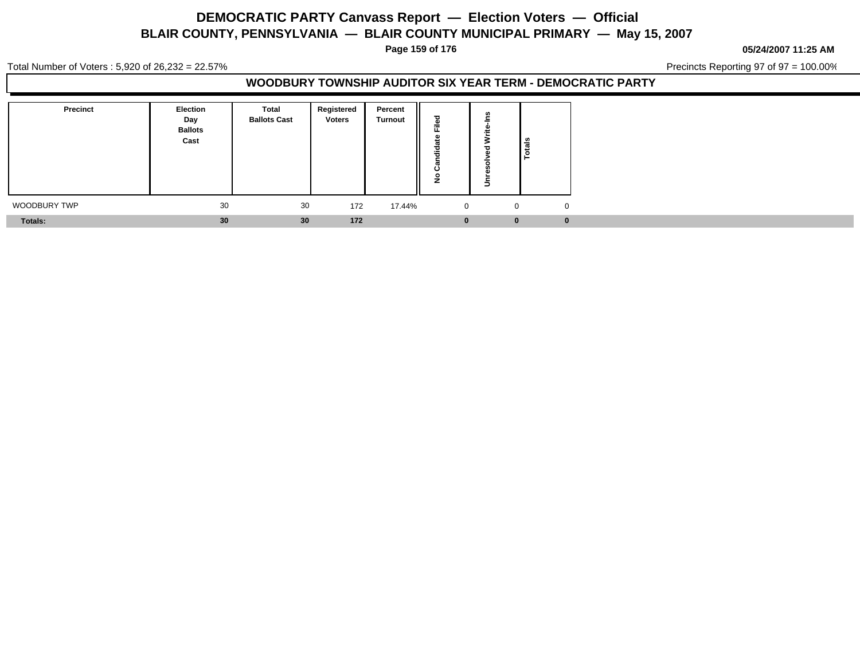**Page 159 of 176**

**05/24/2007 11:25 AM**

Total Number of Voters : 5,920 of 26,232 = 22.57%

Precincts Reporting 97 of 97 = 100.00%

### **WOODBURY TOWNSHIP AUDITOR SIX YEAR TERM - DEMOCRATIC PARTY**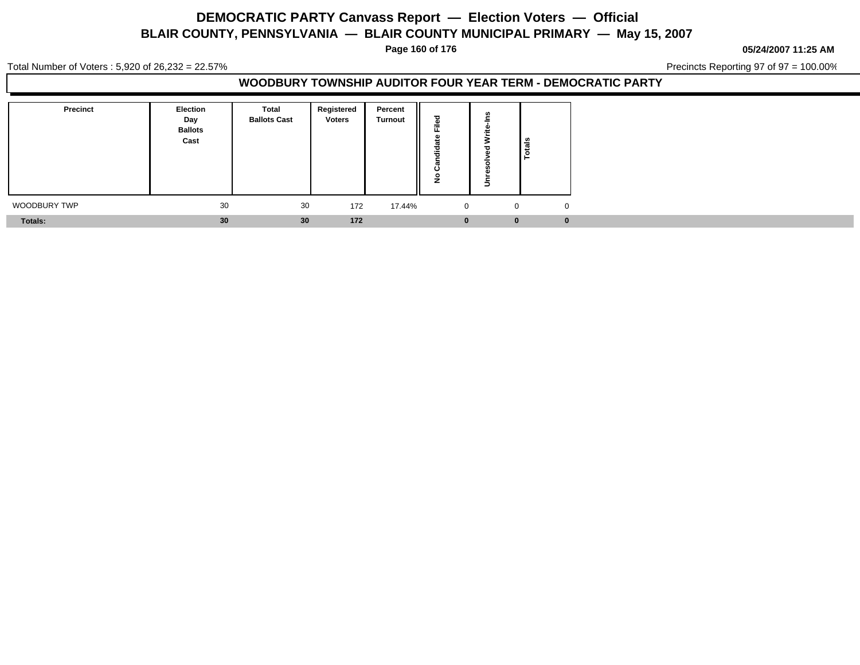**Page 160 of 176**

**05/24/2007 11:25 AM**

Total Number of Voters : 5,920 of 26,232 = 22.57%

Precincts Reporting 97 of 97 = 100.00%

### **WOODBURY TOWNSHIP AUDITOR FOUR YEAR TERM - DEMOCRATIC PARTY**

| Precinct       | Election<br>Day<br><b>Ballots</b><br>Cast | Total<br><b>Ballots Cast</b> | Registered<br><b>Voters</b> | Percent<br><b>Turnout</b> | ≈              | ÷              |
|----------------|-------------------------------------------|------------------------------|-----------------------------|---------------------------|----------------|----------------|
| WOODBURY TWP   | 30                                        | 30                           | 172                         | 17.44%                    | $\overline{0}$ | $\overline{0}$ |
| <b>Totals:</b> | 30 <sup>°</sup>                           | 30                           | 172                         |                           | $\bf{0}$       | $\bf{0}$       |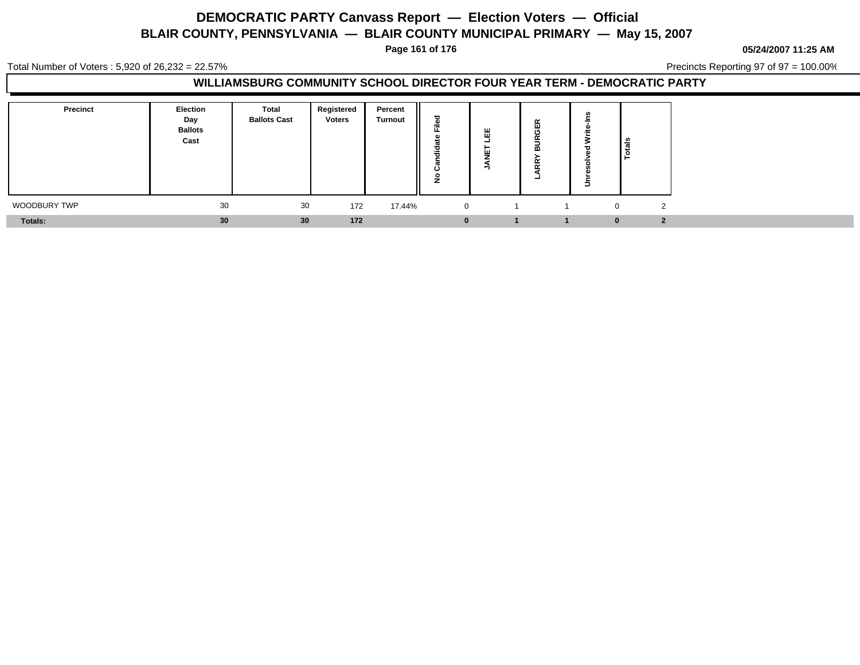**Page 161 of 176**

**05/24/2007 11:25 AM**

Total Number of Voters : 5,920 of 26,232 = 22.57%

Precincts Reporting 97 of 97 = 100.00%

### **WILLIAMSBURG COMMUNITY SCHOOL DIRECTOR FOUR YEAR TERM - DEMOCRATIC PARTY**

| <b>Precinct</b> | Election<br>Day<br><b>Ballots</b><br>Cast | Total<br><b>Ballots Cast</b> | Registered<br><b>Voters</b> | Percent<br><b>Turnout</b> | --          | ш | $\alpha$<br>画<br>O<br>≃<br>$\sim$<br>$\overline{\phantom{0}}$ | ¦∄                              |
|-----------------|-------------------------------------------|------------------------------|-----------------------------|---------------------------|-------------|---|---------------------------------------------------------------|---------------------------------|
| WOODBURY TWP    | 30                                        | 30                           | 172                         | 17.44%                    | $\mathbf 0$ |   |                                                               | $\mathcal{P}$<br>$\overline{0}$ |
| Totals:         | 30                                        | 30 <sup>°</sup>              | 172                         |                           |             |   |                                                               | $\cdot$<br>$\bf{0}$             |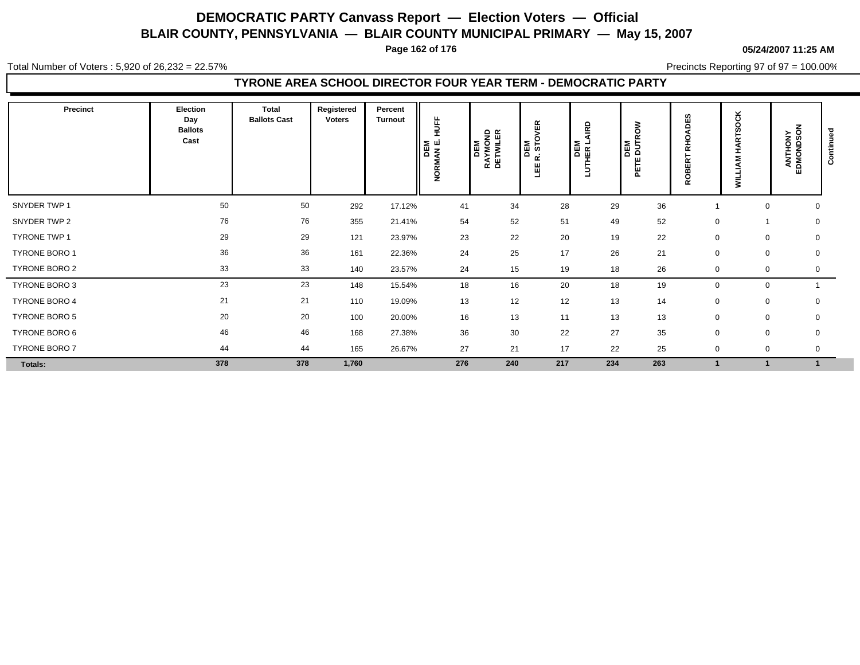**Page 162 of 176**

#### **05/24/2007 11:25 AM**

Total Number of Voters : 5,920 of 26,232 = 22.57%

Precincts Reporting 97 of 97 = 100.00%

### **TYRONE AREA SCHOOL DIRECTOR FOUR YEAR TERM - DEMOCRATIC PARTY**

| Precinct             | <b>Election</b><br>Day<br><b>Ballots</b><br>Cast | Total<br><b>Ballots Cast</b> | Registered<br><b>Voters</b> | Percent<br>Turnout | HUFF<br>DEM<br>IMANE.<br>ЙQК | <b>DEM</b><br>RAYMOND<br>DETWILER | DEM<br>R. STOVER<br>삠 | <b>RD</b><br>DEM<br>THER L | š<br>턟<br>ш<br>ш<br>ក | DES<br><b>DHO</b><br>띥<br>m<br>ខ្លួ | ×<br>ARTSOC<br>I.<br>Σ<br>₹<br>š | ANTHONY<br>EDMONDSON | ಕ<br>Continue |
|----------------------|--------------------------------------------------|------------------------------|-----------------------------|--------------------|------------------------------|-----------------------------------|-----------------------|----------------------------|-----------------------|-------------------------------------|----------------------------------|----------------------|---------------|
| SNYDER TWP 1         | 50                                               | 50                           | 292                         | 17.12%             | 41                           | 34                                | 28                    | 29                         | 36                    |                                     | 0                                | 0                    |               |
| SNYDER TWP 2         | 76                                               | 76                           | 355                         | 21.41%             | 54                           | 52                                | 51                    | 49                         | 52                    | 0                                   |                                  |                      | 0             |
| TYRONE TWP 1         | 29                                               | 29                           | 121                         | 23.97%             | 23                           | 22                                | 20                    | 19                         | 22                    | 0                                   | 0                                | 0                    |               |
| TYRONE BORO 1        | 36                                               | 36                           | 161                         | 22.36%             | 24                           | 25                                | 17                    | 26                         | 21                    | $\mathbf 0$                         | $\mathbf 0$                      | 0                    |               |
| TYRONE BORO 2        | 33                                               | 33                           | 140                         | 23.57%             | 24                           | 15                                | 19                    | 18                         | 26                    | $\mathbf 0$                         | 0                                | 0                    |               |
| TYRONE BORO 3        | 23                                               | 23                           | 148                         | 15.54%             | 18                           | 16                                | 20                    | 18                         | 19                    | $\mathbf 0$                         | 0                                |                      |               |
| TYRONE BORO 4        | 21                                               | 21                           | 110                         | 19.09%             | 13                           | 12                                | 12                    | 13                         | 14                    | 0                                   | 0                                | 0                    |               |
| TYRONE BORO 5        | 20                                               | 20                           | 100                         | 20.00%             | 16                           | 13                                | 11                    | 13                         | 13                    | $\mathbf 0$                         | 0                                | 0                    |               |
| TYRONE BORO 6        | 46                                               | 46                           | 168                         | 27.38%             | 36                           | 30                                | 22                    | 27                         | 35                    | $\mathbf 0$                         | $\mathbf 0$                      | 0                    |               |
| <b>TYRONE BORO 7</b> | 44                                               | 44                           | 165                         | 26.67%             | 27                           | 21                                | 17                    | 22                         | 25                    | $\mathbf 0$                         | 0                                | $\mathbf 0$          |               |
| Totals:              | 378                                              | 378                          | 1,760                       |                    | 276                          | 240                               | 217                   | 234                        | 263                   |                                     |                                  |                      |               |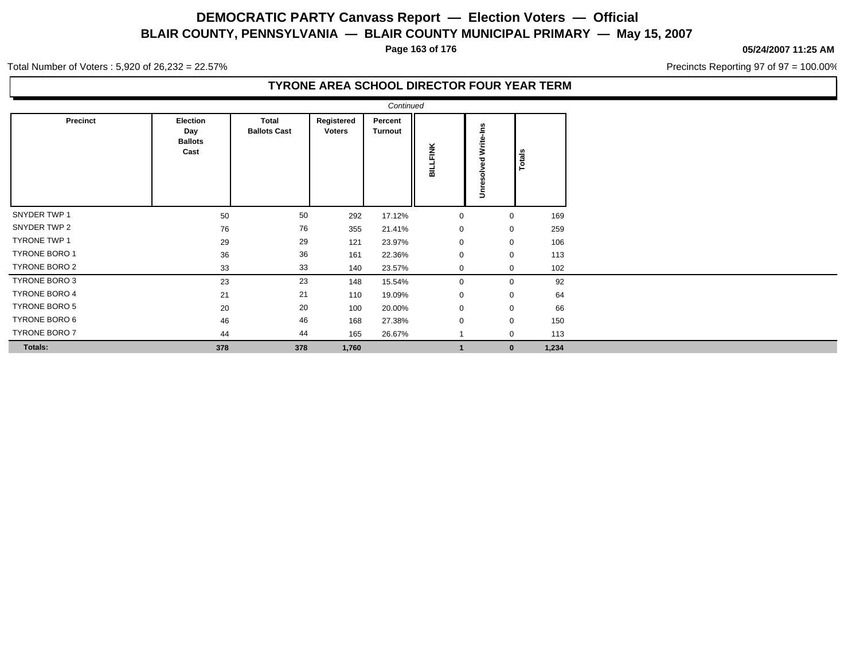**Page 163 of 176**

#### **05/24/2007 11:25 AM**

Precincts Reporting 97 of 97 = 100.00%

Total Number of Voters : 5,920 of 26,232 = 22.57%

| Precinct             | Election<br>Day | <b>Total</b><br><b>Ballots Cast</b> | Registered<br><b>Voters</b> | Percent<br>Turnout |                |              |        |
|----------------------|-----------------|-------------------------------------|-----------------------------|--------------------|----------------|--------------|--------|
|                      | <b>Ballots</b>  |                                     |                             |                    |                | Write-Ins    |        |
|                      | Cast            |                                     |                             |                    | LFINK          |              | Totals |
|                      |                 |                                     |                             |                    | 륿              |              |        |
|                      |                 |                                     |                             |                    |                | Unresolved   |        |
|                      |                 |                                     |                             |                    |                |              |        |
| SNYDER TWP 1         | 50              | 50                                  | 292                         | 17.12%             | $\mathbf 0$    | $\mathbf 0$  | 169    |
| SNYDER TWP 2         | 76              | 76                                  | 355                         | 21.41%             | 0              | $\mathbf 0$  | 259    |
| <b>TYRONE TWP 1</b>  | 29              | 29                                  | 121                         | 23.97%             | $\mathbf 0$    | $\Omega$     | 106    |
| <b>TYRONE BORO 1</b> | 36              | 36                                  | 161                         | 22.36%             | $\mathbf 0$    | $\Omega$     | 113    |
| TYRONE BORO 2        | 33              | 33                                  | 140                         | 23.57%             | $\mathbf 0$    | $\Omega$     | 102    |
| TYRONE BORO 3        | 23              | 23                                  | 148                         | 15.54%             | $\mathbf 0$    | $\Omega$     | 92     |
| <b>TYRONE BORO 4</b> | 21              | 21                                  | 110                         | 19.09%             | $\mathbf 0$    | $\mathbf 0$  | 64     |
| TYRONE BORO 5        | 20              | 20                                  | 100                         | 20.00%             | $\mathbf 0$    | $\mathbf 0$  | 66     |
| TYRONE BORO 6        | 46              | 46                                  | 168                         | 27.38%             | $\mathbf 0$    | $\mathbf 0$  | 150    |
| TYRONE BORO 7        | 44              | 44                                  | 165                         | 26.67%             |                | $\Omega$     | 113    |
| Totals:              | 378             | 378                                 | 1,760                       |                    | $\overline{1}$ | $\mathbf{0}$ | 1,234  |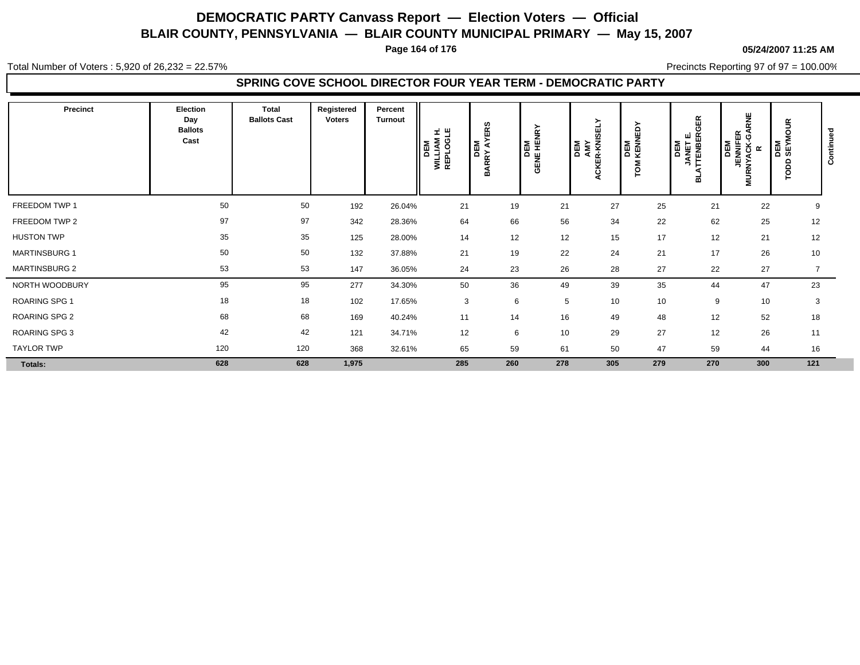**Page 164 of 176**

#### **05/24/2007 11:25 AM**

Total Number of Voters : 5,920 of 26,232 = 22.57%

Precincts Reporting 97 of 97 = 100.00%

### **SPRING COVE SCHOOL DIRECTOR FOUR YEAR TERM - DEMOCRATIC PARTY**

| Precinct             | Election<br>Day<br><b>Ballots</b><br>Cast | <b>Total</b><br><b>Ballots Cast</b> | Registered<br><b>Voters</b> | Percent<br>Turnout | 国巴<br><b>WILLIAM</b><br>REPLOGI<br>DEM | ဖာ<br>쯦<br>DEM<br>ARRY AYI<br>m | <b>DEM</b><br>GENE HENRY | <b>SELY</b><br>DEM<br>AMY<br>ACKER-KNIS | δ<br>粤<br><b>DEM</b><br>KENN<br>$\circ$ | 띥<br>O<br><b>JANET E<br/>TTENBER</b><br>DEM<br>ᆱ | 쁮<br>⊞ פֿ<br><b>DEM<br/>JENNIFE<br/>JENNIFE</b><br>NYACK-<br>ᄛ | $\tilde{5}$<br>$\circ$<br><b>DEM</b><br>SEYI<br>ap | ontin<br>Ö |
|----------------------|-------------------------------------------|-------------------------------------|-----------------------------|--------------------|----------------------------------------|---------------------------------|--------------------------|-----------------------------------------|-----------------------------------------|--------------------------------------------------|----------------------------------------------------------------|----------------------------------------------------|------------|
| FREEDOM TWP 1        | 50                                        | 50                                  | 192                         | 26.04%             | 21                                     | 19                              | 21                       | 27                                      | 25                                      | 21                                               | 22                                                             | 9                                                  |            |
| FREEDOM TWP 2        | 97                                        | 97                                  | 342                         | 28.36%             | 64                                     | 66                              | 56                       | 34                                      | 22                                      | 62                                               | 25                                                             | 12                                                 |            |
| <b>HUSTON TWP</b>    | 35                                        | 35                                  | 125                         | 28.00%             | 14                                     | 12                              | 12                       | 15                                      | 17                                      | 12                                               | 21                                                             | 12                                                 |            |
| <b>MARTINSBURG 1</b> | 50                                        | 50                                  | 132                         | 37.88%             | 21                                     | 19                              | 22                       | 24                                      | 21                                      | 17                                               | 26                                                             | 10                                                 |            |
| <b>MARTINSBURG 2</b> | 53                                        | 53                                  | 147                         | 36.05%             | 24                                     | 23                              | 26                       | 28                                      | 27                                      | 22                                               | 27                                                             | $\overline{7}$                                     |            |
| NORTH WOODBURY       | 95                                        | 95                                  | 277                         | 34.30%             | 50                                     | 36                              | 49                       | 39                                      | 35                                      | 44                                               | 47                                                             | 23                                                 |            |
| <b>ROARING SPG 1</b> | 18                                        | 18                                  | 102                         | 17.65%             | 3                                      | 6                               | 5                        | 10                                      | 10                                      | 9                                                | 10                                                             | 3                                                  |            |
| ROARING SPG 2        | 68                                        | 68                                  | 169                         | 40.24%             | 11                                     | 14                              | 16                       | 49                                      | 48                                      | 12                                               | 52                                                             | 18                                                 |            |
| ROARING SPG 3        | 42                                        | 42                                  | 121                         | 34.71%             | 12                                     | 6                               | 10                       | 29                                      | 27                                      | 12                                               | 26                                                             | 11                                                 |            |
| <b>TAYLOR TWP</b>    | 120                                       | 120                                 | 368                         | 32.61%             | 65                                     | 59                              | 61                       | 50                                      | 47                                      | 59                                               | 44                                                             | 16                                                 |            |
| <b>Totals:</b>       | 628                                       | 628                                 | 1,975                       |                    | 285                                    | 260                             | 278                      | 305                                     | 279                                     | 270                                              | 300                                                            | 121                                                |            |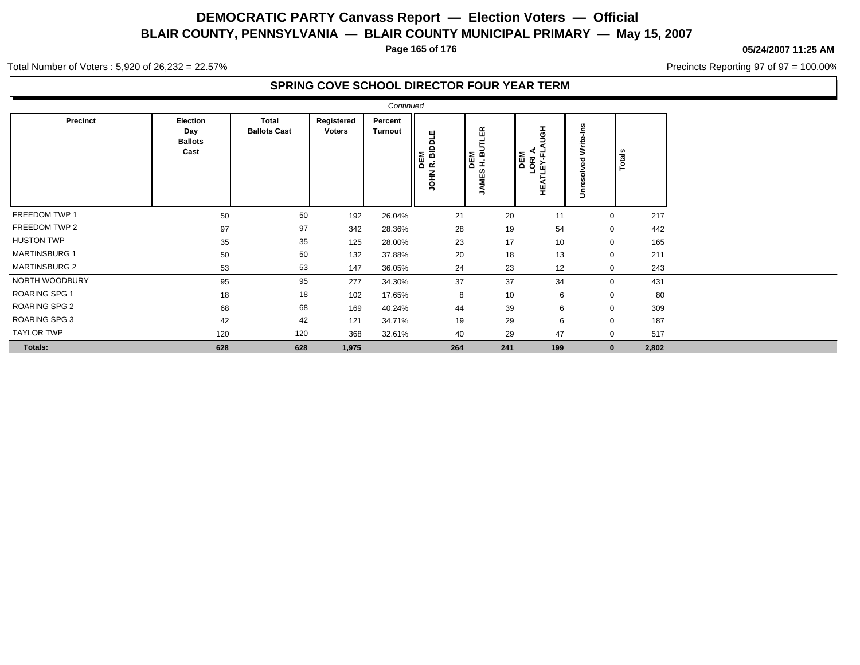**Page 165 of 176**

#### **05/24/2007 11:25 AM**

Precincts Reporting 97 of 97 = 100.00%

Total Number of Voters : 5,920 of 26,232 = 22.57%

### **SPRING COVE SCHOOL DIRECTOR FOUR YEAR TERM**

|                      |                                                  |                                     |                             | Continued          |                                 |                                          |                                                   |                                 |                      |
|----------------------|--------------------------------------------------|-------------------------------------|-----------------------------|--------------------|---------------------------------|------------------------------------------|---------------------------------------------------|---------------------------------|----------------------|
| Precinct             | <b>Election</b><br>Day<br><b>Ballots</b><br>Cast | <b>Total</b><br><b>Ballots Cast</b> | Registered<br><b>Voters</b> | Percent<br>Turnout | DEM<br>R. BIDDLE<br><b>NHOL</b> | ĒR<br>DEM<br>H. BU'<br>ဖာ<br><b>JAME</b> | 픃<br><b>DEM<br/>LORIA.<br/>LLEY-FL.</b><br>능<br>뿦 | <b>Nrite</b><br>ᇾ<br>ㅎ<br>Unres | Totals               |
| FREEDOM TWP 1        | 50                                               | 50                                  | 192                         | 26.04%             | 21                              | 20                                       | 11                                                |                                 | 217<br>0             |
| FREEDOM TWP 2        | 97                                               | 97                                  | 342                         | 28.36%             | 28                              | 19                                       | 54                                                |                                 | 442<br>0             |
| <b>HUSTON TWP</b>    | 35                                               | 35                                  | 125                         | 28.00%             | 23                              | 17                                       | 10                                                |                                 | 165<br>0             |
| <b>MARTINSBURG 1</b> | 50                                               | 50                                  | 132                         | 37.88%             | 20                              | 18                                       | 13                                                |                                 | 211<br>0             |
| <b>MARTINSBURG 2</b> | 53                                               | 53                                  | 147                         | 36.05%             | 24                              | 23                                       | 12                                                |                                 | 0<br>243             |
| NORTH WOODBURY       | 95                                               | 95                                  | 277                         | 34.30%             | 37                              | 37                                       | 34                                                |                                 | 431<br>0             |
| <b>ROARING SPG 1</b> | 18                                               | 18                                  | 102                         | 17.65%             | 8                               | 10                                       | 6                                                 |                                 | 80<br>0              |
| <b>ROARING SPG 2</b> | 68                                               | 68                                  | 169                         | 40.24%             | 44                              | 39                                       | 6                                                 |                                 | 309<br>0             |
| <b>ROARING SPG 3</b> | 42                                               | 42                                  | 121                         | 34.71%             | 19                              | 29                                       | 6                                                 |                                 | 0<br>187             |
| <b>TAYLOR TWP</b>    | 120                                              | 120                                 | 368                         | 32.61%             | 40                              | 29                                       | 47                                                |                                 | 517<br>0             |
| Totals:              | 628                                              | 628                                 | 1,975                       |                    | 264                             | 241                                      | 199                                               |                                 | 2,802<br>$\mathbf 0$ |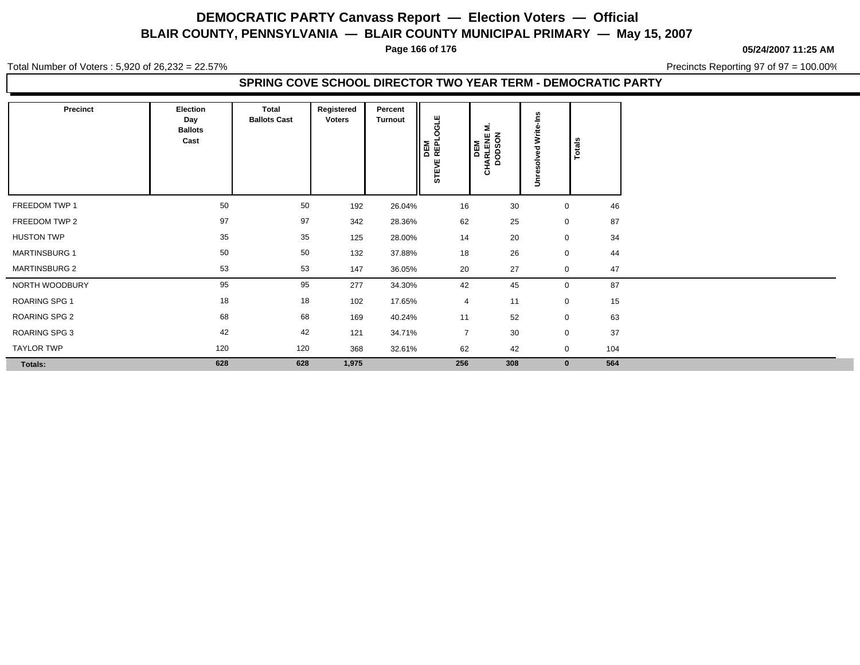**Page 166 of 176**

**05/24/2007 11:25 AM**

Total Number of Voters : 5,920 of 26,232 = 22.57%

Precincts Reporting 97 of 97 = 100.00%

### **SPRING COVE SCHOOL DIRECTOR TWO YEAR TERM - DEMOCRATIC PARTY**

| Precinct             | Election<br>Day<br><b>Ballots</b><br>Cast | Total<br><b>Ballots Cast</b> | Registered<br><b>Voters</b> | Percent<br><b>Turnout</b> | a۳<br><b>DEM<br/>REPLO</b><br>STEVE | Σ<br>CHARLENE I<br>DODSON<br>DEM | ےّ<br>Write<br>$\overline{a}$<br>m<br>><br>ā<br>$\Rightarrow$ | Totals |     |
|----------------------|-------------------------------------------|------------------------------|-----------------------------|---------------------------|-------------------------------------|----------------------------------|---------------------------------------------------------------|--------|-----|
| FREEDOM TWP 1        | 50                                        | 50                           | 192                         | 26.04%                    | 16                                  | 30                               | $\mathbf 0$                                                   |        | 46  |
| FREEDOM TWP 2        | 97                                        | 97                           | 342                         | 28.36%                    | 62                                  | 25                               | $\mathbf 0$                                                   |        | 87  |
| <b>HUSTON TWP</b>    | 35                                        | 35                           | 125                         | 28.00%                    | 14                                  | 20                               | $\mathbf 0$                                                   |        | 34  |
| <b>MARTINSBURG 1</b> | 50                                        | 50                           | 132                         | 37.88%                    | 18                                  | 26                               | $\mathbf 0$                                                   |        | 44  |
| <b>MARTINSBURG 2</b> | 53                                        | 53                           | 147                         | 36.05%                    | 20                                  | 27                               | $\mathbf 0$                                                   |        | 47  |
| NORTH WOODBURY       | 95                                        | 95                           | 277                         | 34.30%                    | 42                                  | 45                               | $\mathbf 0$                                                   |        | 87  |
| ROARING SPG 1        | 18                                        | 18                           | 102                         | 17.65%                    | $\overline{4}$                      | 11                               | $\mathbf 0$                                                   |        | 15  |
| ROARING SPG 2        | 68                                        | 68                           | 169                         | 40.24%                    | 11                                  | 52                               | $\mathbf 0$                                                   |        | 63  |
| ROARING SPG 3        | 42                                        | 42                           | 121                         | 34.71%                    | $\overline{7}$                      | 30                               | $\mathbf 0$                                                   |        | 37  |
| <b>TAYLOR TWP</b>    | 120                                       | 120                          | 368                         | 32.61%                    | 62                                  | 42                               | $\mathbf 0$                                                   |        | 104 |
| Totals:              | 628                                       | 628                          | 1,975                       |                           | 256                                 | 308                              | $\mathbf 0$                                                   |        | 564 |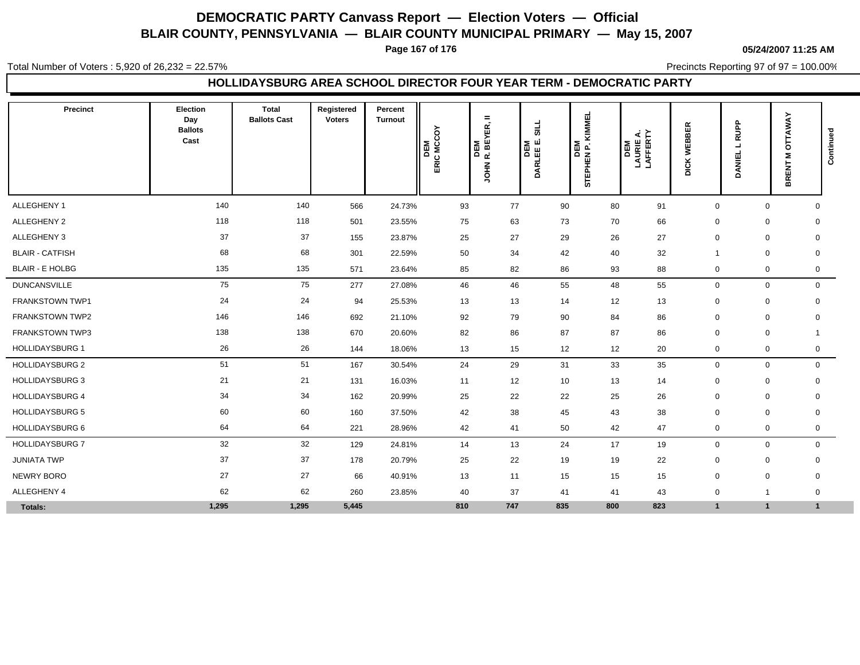**Page 167 of 176**

**05/24/2007 11:25 AM**

Total Number of Voters : 5,920 of 26,232 = 22.57%

Precincts Reporting 97 of 97 = 100.00%

### **HOLLIDAYSBURG AREA SCHOOL DIRECTOR FOUR YEAR TERM - DEMOCRATIC PARTY**

| Precinct               | Election<br>Day<br><b>Ballots</b><br>Cast | <b>Total</b><br><b>Ballots Cast</b> | Registered<br><b>Voters</b> | Percent<br><b>Turnout</b> | DEM<br>ERIC MCCOY | $\equiv$<br>DEM<br>IR. BEYER, I<br><b>NHOL</b> | $\frac{1}{2}$<br>DEM<br>DARLEE E. | <b>KIMMEL</b><br>STEPHEN P. K | <b>DEM<br/>LAURIE A.<br/>LAFFERTY</b> | <b>DICK WEBBER</b> | RUPP<br>$\blacksquare$<br>DANIEL | OTTAWAY<br>Σ<br>BRENT | Continued |
|------------------------|-------------------------------------------|-------------------------------------|-----------------------------|---------------------------|-------------------|------------------------------------------------|-----------------------------------|-------------------------------|---------------------------------------|--------------------|----------------------------------|-----------------------|-----------|
| ALLEGHENY 1            | 140                                       | 140                                 | 566                         | 24.73%                    | 93                | 77                                             | 90                                | 80                            | 91                                    | $\mathbf 0$        | $\mathbf 0$                      | $\mathbf{0}$          |           |
| ALLEGHENY 2            | 118                                       | 118                                 | 501                         | 23.55%                    | 75                | 63                                             | 73                                | 70                            | 66                                    | $\Omega$           | $\mathbf 0$                      | $\mathbf 0$           |           |
| ALLEGHENY 3            | 37                                        | 37                                  | 155                         | 23.87%                    | 25                | 27                                             | 29                                | 26                            | 27                                    | $\mathbf 0$        | $\mathbf 0$                      | $\mathbf 0$           |           |
| <b>BLAIR - CATFISH</b> | 68                                        | 68                                  | 301                         | 22.59%                    | 50                | 34                                             | 42                                | 40                            | 32                                    |                    | $\mathbf 0$                      | $\mathbf 0$           |           |
| <b>BLAIR - E HOLBG</b> | 135                                       | 135                                 | 571                         | 23.64%                    | 85                | 82                                             | 86                                | 93                            | 88                                    | $\mathbf 0$        | 0                                | $\mathbf 0$           |           |
| <b>DUNCANSVILLE</b>    | 75                                        | 75                                  | 277                         | 27.08%                    | 46                | 46                                             | 55                                | 48                            | 55                                    | $\mathbf 0$        | $\mathbf 0$                      | $\mathbf 0$           |           |
| FRANKSTOWN TWP1        | 24                                        | 24                                  | 94                          | 25.53%                    | 13                | 13                                             | 14                                | 12                            | 13                                    | $\mathbf 0$        | $\pmb{0}$                        | 0                     |           |
| <b>FRANKSTOWN TWP2</b> | 146                                       | 146                                 | 692                         | 21.10%                    | 92                | 79                                             | 90                                | 84                            | 86                                    | $\mathbf 0$        | $\mathbf 0$                      | $\mathbf 0$           |           |
| FRANKSTOWN TWP3        | 138                                       | 138                                 | 670                         | 20.60%                    | 82                | 86                                             | 87                                | 87                            | 86                                    | $\mathbf 0$        | $\mathbf 0$                      | $\mathbf 1$           |           |
| <b>HOLLIDAYSBURG 1</b> | 26                                        | 26                                  | 144                         | 18.06%                    | 13                | 15                                             | 12                                | 12                            | 20                                    | $\mathbf 0$        | 0                                | $\mathbf 0$           |           |
| <b>HOLLIDAYSBURG 2</b> | 51                                        | 51                                  | 167                         | 30.54%                    | 24                | 29                                             | 31                                | 33                            | 35                                    | $\mathbf 0$        | $\mathbf 0$                      | $\mathbf 0$           |           |
| <b>HOLLIDAYSBURG 3</b> | 21                                        | 21                                  | 131                         | 16.03%                    | 11                | 12                                             | 10                                | 13                            | 14                                    | $\mathbf 0$        | $\pmb{0}$                        | $\mathbf 0$           |           |
| <b>HOLLIDAYSBURG 4</b> | 34                                        | 34                                  | 162                         | 20.99%                    | 25                | 22                                             | 22                                | 25                            | 26                                    | $\mathbf 0$        | $\pmb{0}$                        | $\mathbf 0$           |           |
| <b>HOLLIDAYSBURG 5</b> | 60                                        | 60                                  | 160                         | 37.50%                    | 42                | 38                                             | 45                                | 43                            | 38                                    | $\mathbf 0$        | $\mathbf 0$                      | $\mathbf 0$           |           |
| HOLLIDAYSBURG 6        | 64                                        | 64                                  | 221                         | 28.96%                    | 42                | 41                                             | 50                                | 42                            | 47                                    | $\mathbf 0$        | $\mathbf 0$                      | $\mathbf 0$           |           |
| <b>HOLLIDAYSBURG 7</b> | 32                                        | 32                                  | 129                         | 24.81%                    | 14                | 13                                             | 24                                | 17                            | 19                                    | $\mathbf{0}$       | $\mathbf 0$                      | $\mathbf 0$           |           |
| <b>JUNIATA TWP</b>     | 37                                        | 37                                  | 178                         | 20.79%                    | 25                | 22                                             | 19                                | 19                            | 22                                    | $\mathbf 0$        | $\mathbf 0$                      | $\mathbf 0$           |           |
| NEWRY BORO             | 27                                        | 27                                  | 66                          | 40.91%                    | 13                | 11                                             | 15                                | 15                            | 15                                    | $\mathbf 0$        | $\mathbf 0$                      | 0                     |           |
| ALLEGHENY 4            | 62                                        | 62                                  | 260                         | 23.85%                    | 40                | 37                                             | 41                                | 41                            | 43                                    | $\mathbf 0$        | 1                                | 0                     |           |
| Totals:                | 1,295                                     | 1,295                               | 5,445                       |                           | 810               | 747                                            | 835                               | 800                           | 823                                   | 1                  | $\mathbf{1}$                     | $\mathbf{1}$          |           |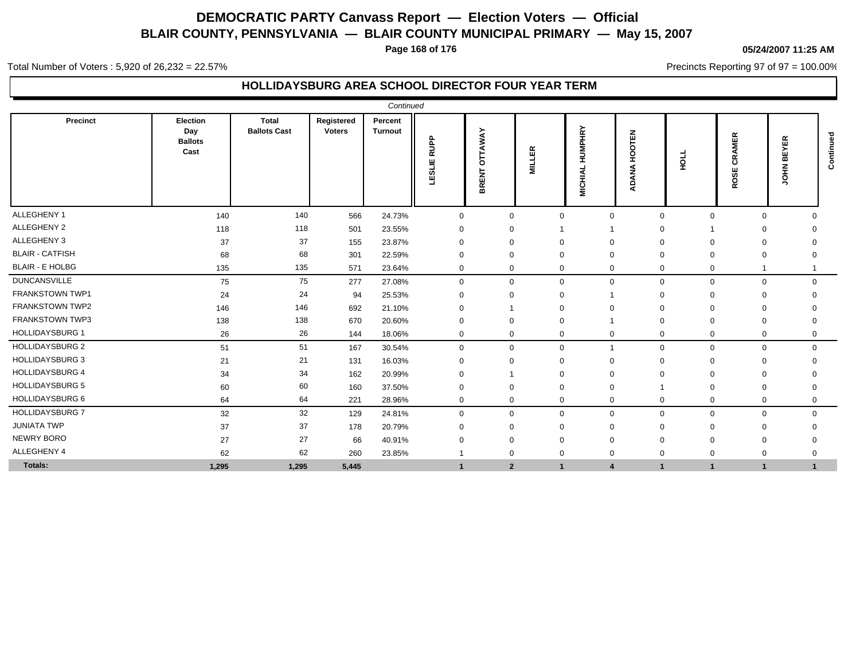**Page 168 of 176**

### **05/24/2007 11:25 AM**

Total Number of Voters : 5,920 of 26,232 = 22.57%

### **HOLLIDAYSBURG AREA SCHOOL DIRECTOR FOUR YEAR TERM**

|                        |                                           |                                     |                             | Continued                 |                       |                                |               |                                 |                                |                            |                                    |                   |           |
|------------------------|-------------------------------------------|-------------------------------------|-----------------------------|---------------------------|-----------------------|--------------------------------|---------------|---------------------------------|--------------------------------|----------------------------|------------------------------------|-------------------|-----------|
| Precinct               | Election<br>Day<br><b>Ballots</b><br>Cast | <b>Total</b><br><b>Ballots Cast</b> | Registered<br><b>Voters</b> | Percent<br><b>Turnout</b> | RUPP<br><b>TESLIE</b> | <b>OTTAWAY</b><br><b>BRENT</b> | <b>MILLER</b> | <b>HUMPHRY</b><br><b>MICHIA</b> | 팉<br>8<br>I.<br><b>AN</b><br>⋖ | HOLL                       | 띥<br>Σ<br>₫<br>≃<br>ပ<br>ш<br>ROSI | ш<br>m<br>줄<br>÷. | Continued |
| ALLEGHENY 1            | 140                                       | 140                                 | 566                         | 24.73%                    | $\mathbf 0$           | $\Omega$                       | $\Omega$      |                                 | $\mathbf 0$<br>$\mathbf 0$     | $\mathbf 0$                | $\mathbf 0$                        |                   |           |
| ALLEGHENY 2            | 118                                       | 118                                 | 501                         | 23.55%                    | $\Omega$              |                                |               |                                 | $\Omega$                       |                            |                                    |                   |           |
| ALLEGHENY 3            | 37                                        | 37                                  | 155                         | 23.87%                    | $\Omega$              | $\Omega$                       |               |                                 | $\Omega$                       | $\Omega$                   |                                    |                   |           |
| <b>BLAIR - CATFISH</b> | 68                                        | 68                                  | 301                         | 22.59%                    | $\mathbf 0$           | $\Omega$                       |               | $\mathbf 0$                     | $\Omega$                       | 0                          | $\Omega$                           |                   |           |
| <b>BLAIR - E HOLBG</b> | 135                                       | 135                                 | 571                         | 23.64%                    | $\mathbf 0$           | $\mathbf{0}$                   | $\Omega$      |                                 | $\mathbf 0$<br>$\mathbf 0$     | $\mathbf 0$                |                                    |                   |           |
| <b>DUNCANSVILLE</b>    | 75                                        | 75                                  | 277                         | 27.08%                    | $\mathbf 0$           | $\mathbf{0}$                   | $\Omega$      |                                 | $\mathbf{0}$<br>$\mathbf 0$    | $\mathbf 0$                | $\mathbf 0$                        | $\Omega$          |           |
| <b>FRANKSTOWN TWP1</b> | 24                                        | 24                                  | 94                          | 25.53%                    | 0                     | 0                              |               |                                 | $\Omega$                       | $\Omega$                   | $\Omega$                           |                   |           |
| FRANKSTOWN TWP2        | 146                                       | 146                                 | 692                         | 21.10%                    | $\Omega$              |                                |               |                                 | $\Omega$                       | $\Omega$                   | $\Omega$                           |                   |           |
| <b>FRANKSTOWN TWP3</b> | 138                                       | 138                                 | 670                         | 20.60%                    | $\Omega$              | $\Omega$                       |               |                                 | $\Omega$                       | $\Omega$                   | $\Omega$                           | $\Omega$          |           |
| <b>HOLLIDAYSBURG 1</b> | 26                                        | 26                                  | 144                         | 18.06%                    | 0                     | 0                              | 0             |                                 | $\mathbf 0$<br>0               | $\mathbf 0$                | 0                                  | 0                 |           |
| <b>HOLLIDAYSBURG 2</b> | 51                                        | 51                                  | 167                         | 30.54%                    | $\Omega$              | $\Omega$                       | $\Omega$      |                                 | $\Omega$                       | $\mathbf 0$                | $\mathbf 0$                        | $\Omega$          |           |
| <b>HOLLIDAYSBURG 3</b> | 21                                        | 21                                  | 131                         | 16.03%                    | $\Omega$              | $\Omega$                       |               | $\Omega$                        | $\Omega$                       | $\Omega$                   | $\Omega$                           |                   |           |
| <b>HOLLIDAYSBURG 4</b> | 34                                        | 34                                  | 162                         | 20.99%                    | $\Omega$              |                                |               | $\Omega$                        | $\Omega$                       | 0                          | $\Omega$                           |                   |           |
| <b>HOLLIDAYSBURG 5</b> | 60                                        | 60                                  | 160                         | 37.50%                    | $\Omega$              | $\Omega$                       |               | $\Omega$                        |                                | $\Omega$                   | $\Omega$                           | $\Omega$          |           |
| HOLLIDAYSBURG 6        | 64                                        | 64                                  | 221                         | 28.96%                    | $\mathbf 0$           | $\mathbf 0$                    | $\Omega$      |                                 | $\mathbf 0$                    | $\mathbf 0$<br>$\mathbf 0$ | $\mathbf 0$                        | $\mathbf 0$       |           |
| <b>HOLLIDAYSBURG 7</b> | 32                                        | 32                                  | 129                         | 24.81%                    | $\mathbf 0$           | $\mathbf{0}$                   | $\Omega$      |                                 | $\mathbf 0$<br>$\mathbf 0$     | $\mathbf 0$                | $\mathbf 0$                        | $\mathbf{0}$      |           |
| <b>JUNIATA TWP</b>     | 37                                        | 37                                  | 178                         | 20.79%                    | $\Omega$              | $\Omega$                       |               | $\Omega$                        | $\Omega$                       | $\Omega$                   | $\Omega$                           |                   |           |
| <b>NEWRY BORO</b>      | 27                                        | 27                                  | 66                          | 40.91%                    | U                     | 0                              |               | $\Omega$                        | $\Omega$                       | $\Omega$                   | $\Omega$                           |                   |           |
| ALLEGHENY 4            | 62                                        | 62                                  | 260                         | 23.85%                    |                       | $\Omega$                       | $\Omega$      | $\mathbf 0$                     | $\mathbf 0$                    | 0                          | $\mathbf 0$                        | 0                 |           |
| Totals:                | 1,295                                     | 1,295                               | 5,445                       |                           |                       | $\mathbf{2}$                   | $\mathbf{1}$  | $\overline{4}$                  | $\blacktriangleleft$           | $\overline{1}$             | $\mathbf{1}$                       | $\mathbf{1}$      |           |

Precincts Reporting 97 of 97 = 100.00%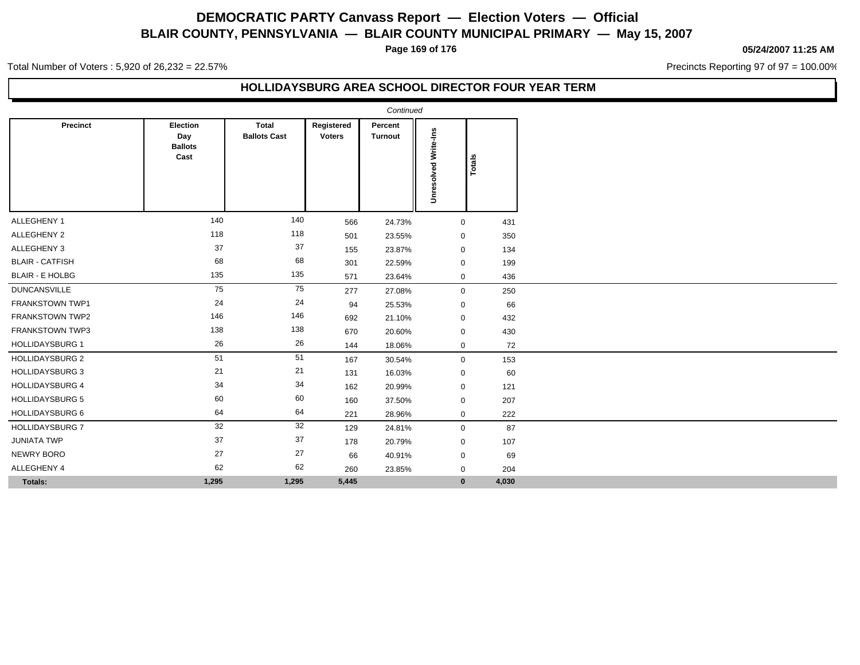**Page 169 of 176**

### **05/24/2007 11:25 AM**

Precincts Reporting 97 of 97 = 100.00%

Total Number of Voters : 5,920 of 26,232 = 22.57%

### **HOLLIDAYSBURG AREA SCHOOL DIRECTOR FOUR YEAR TERM**

|                        |                                           |                                     |                             | Continued                 |                             |        |
|------------------------|-------------------------------------------|-------------------------------------|-----------------------------|---------------------------|-----------------------------|--------|
| Precinct               | Election<br>Day<br><b>Ballots</b><br>Cast | <b>Total</b><br><b>Ballots Cast</b> | Registered<br><b>Voters</b> | Percent<br><b>Turnout</b> | <b>Unresolved Write-Ins</b> | Totals |
| ALLEGHENY 1            | 140                                       | 140                                 | 566                         | 24.73%                    | $\mathbf 0$                 | 431    |
| ALLEGHENY 2            | 118                                       | 118                                 | 501                         | 23.55%                    | $\mathbf 0$                 | 350    |
| ALLEGHENY 3            | 37                                        | $37\,$                              | 155                         | 23.87%                    | $\mathbf 0$                 | 134    |
| <b>BLAIR - CATFISH</b> | 68                                        | 68                                  | 301                         | 22.59%                    | $\mathbf 0$                 | 199    |
| <b>BLAIR - E HOLBG</b> | 135                                       | 135                                 | 571                         | 23.64%                    | $\mathbf 0$                 | 436    |
| <b>DUNCANSVILLE</b>    | 75                                        | 75                                  | 277                         | 27.08%                    | $\mathbf 0$                 | 250    |
| <b>FRANKSTOWN TWP1</b> | 24                                        | 24                                  | 94                          | 25.53%                    | $\mathbf 0$                 | 66     |
| <b>FRANKSTOWN TWP2</b> | 146                                       | 146                                 | 692                         | 21.10%                    | $\mathbf 0$                 | 432    |
| <b>FRANKSTOWN TWP3</b> | 138                                       | 138                                 | 670                         | 20.60%                    | $\mathbf 0$                 | 430    |
| <b>HOLLIDAYSBURG 1</b> | 26                                        | 26                                  | 144                         | 18.06%                    | $\mathbf 0$                 | 72     |
| <b>HOLLIDAYSBURG 2</b> | 51                                        | 51                                  | 167                         | 30.54%                    | $\mathbf 0$                 | 153    |
| <b>HOLLIDAYSBURG 3</b> | 21                                        | 21                                  | 131                         | 16.03%                    | $\mathbf 0$                 | 60     |
| <b>HOLLIDAYSBURG 4</b> | 34                                        | 34                                  | 162                         | 20.99%                    | $\mathbf 0$                 | 121    |
| <b>HOLLIDAYSBURG 5</b> | 60                                        | 60                                  | 160                         | 37.50%                    | $\mathbf 0$                 | 207    |
| HOLLIDAYSBURG 6        | 64                                        | 64                                  | 221                         | 28.96%                    | $\mathbf 0$                 | 222    |
| <b>HOLLIDAYSBURG 7</b> | 32                                        | 32                                  | 129                         | 24.81%                    | $\mathbf 0$                 | 87     |
| <b>JUNIATA TWP</b>     | 37                                        | 37                                  | 178                         | 20.79%                    | $\mathbf 0$                 | 107    |
| NEWRY BORO             | 27                                        | 27                                  | 66                          | 40.91%                    | $\mathbf 0$                 | 69     |
| ALLEGHENY 4            | 62                                        | 62                                  | 260                         | 23.85%                    | 0                           | 204    |
| Totals:                | 1,295                                     | 1,295                               | 5,445                       |                           | $\mathbf{0}$                | 4,030  |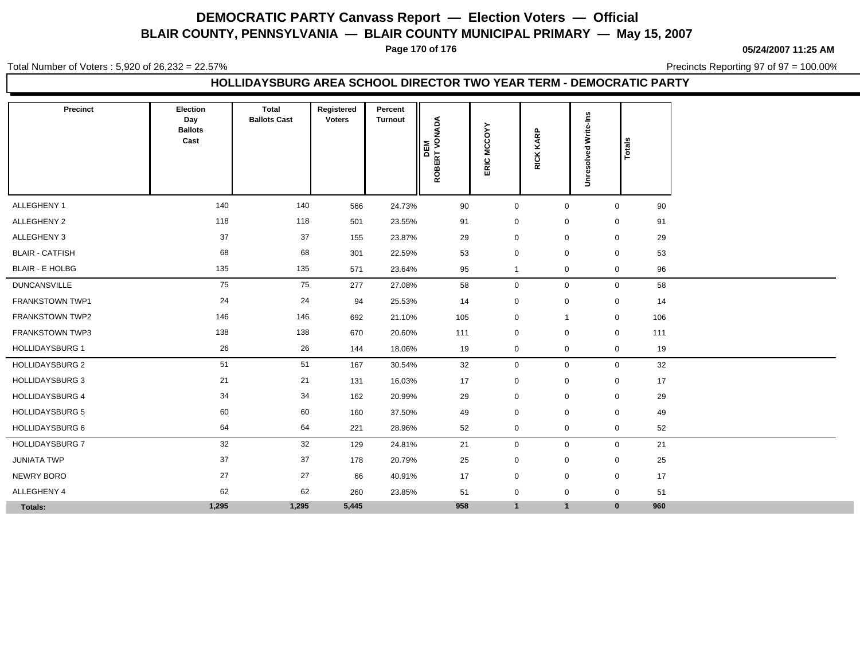**Page 170 of 176**

**05/24/2007 11:25 AM**

Total Number of Voters : 5,920 of 26,232 = 22.57%

Precincts Reporting 97 of 97 = 100.00%

### **HOLLIDAYSBURG AREA SCHOOL DIRECTOR TWO YEAR TERM - DEMOCRATIC PARTY**

| Precinct               | Election<br>Day<br><b>Ballots</b><br>Cast | <b>Total</b><br><b>Ballots Cast</b> | Registered<br><b>Voters</b> | Percent<br><b>Turnout</b> | <b>DEM</b><br>ROBERT VONADA | ERIC MCCOYY  | <b>RICK KARP</b> | Write-Ins<br>73<br>흥<br>ဖို့ | Totals       |     |
|------------------------|-------------------------------------------|-------------------------------------|-----------------------------|---------------------------|-----------------------------|--------------|------------------|------------------------------|--------------|-----|
|                        |                                           |                                     |                             |                           |                             |              |                  | š                            |              |     |
| ALLEGHENY 1            | 140                                       | 140                                 | 566                         | 24.73%                    | 90                          | $\mathbf 0$  | $\mathbf 0$      |                              | $\mathbf 0$  | 90  |
| ALLEGHENY 2            | 118                                       | 118                                 | 501                         | 23.55%                    | 91                          | $\mathbf 0$  | $\mathbf 0$      |                              | $\mathbf 0$  | 91  |
| ALLEGHENY 3            | 37                                        | 37                                  | 155                         | 23.87%                    | 29                          | $\mathbf 0$  | $\mathbf 0$      |                              | $\mathbf 0$  | 29  |
| <b>BLAIR - CATFISH</b> | 68                                        | 68                                  | 301                         | 22.59%                    | 53                          | $\mathbf 0$  | $\mathbf 0$      |                              | $\mathbf 0$  | 53  |
| <b>BLAIR - E HOLBG</b> | 135                                       | 135                                 | 571                         | 23.64%                    | 95                          | $\mathbf{1}$ | $\mathbf 0$      |                              | $\mathbf 0$  | 96  |
| <b>DUNCANSVILLE</b>    | 75                                        | 75                                  | 277                         | 27.08%                    | 58                          | $\mathbf 0$  | $\mathsf 0$      |                              | $\mathbf 0$  | 58  |
| <b>FRANKSTOWN TWP1</b> | 24                                        | 24                                  | 94                          | 25.53%                    | 14                          | $\mathbf 0$  | $\mathbf 0$      |                              | $\mathbf 0$  | 14  |
| <b>FRANKSTOWN TWP2</b> | 146                                       | 146                                 | 692                         | 21.10%                    | 105                         | $\mathbf 0$  | $\overline{1}$   |                              | $\mathbf 0$  | 106 |
| <b>FRANKSTOWN TWP3</b> | 138                                       | 138                                 | 670                         | 20.60%                    | 111                         | $\mathbf 0$  | $\mathbf 0$      |                              | $\mathbf 0$  | 111 |
| <b>HOLLIDAYSBURG 1</b> | 26                                        | 26                                  | 144                         | 18.06%                    | 19                          | 0            | $\mathbf 0$      |                              | $\mathbf{0}$ | 19  |
| <b>HOLLIDAYSBURG 2</b> | 51                                        | 51                                  | 167                         | 30.54%                    | 32                          | $\mathbf 0$  | $\boldsymbol{0}$ |                              | $\mathbf 0$  | 32  |
| <b>HOLLIDAYSBURG 3</b> | 21                                        | 21                                  | 131                         | 16.03%                    | 17                          | $\mathbf 0$  | $\mathbf 0$      |                              | $\mathbf 0$  | 17  |
| <b>HOLLIDAYSBURG 4</b> | 34                                        | 34                                  | 162                         | 20.99%                    | 29                          | $\mathbf 0$  | $\mathbf 0$      |                              | $\mathbf 0$  | 29  |
| <b>HOLLIDAYSBURG 5</b> | 60                                        | 60                                  | 160                         | 37.50%                    | 49                          | $\mathbf 0$  | $\mathbf 0$      |                              | $\mathbf 0$  | 49  |
| <b>HOLLIDAYSBURG 6</b> | 64                                        | 64                                  | 221                         | 28.96%                    | 52                          | $\mathbf 0$  | $\mathbf 0$      |                              | $\mathbf 0$  | 52  |
| <b>HOLLIDAYSBURG 7</b> | 32                                        | 32                                  | 129                         | 24.81%                    | 21                          | $\mathbf 0$  | $\mathbf 0$      |                              | $\mathbf 0$  | 21  |
| <b>JUNIATA TWP</b>     | 37                                        | 37                                  | 178                         | 20.79%                    | 25                          | $\mathbf 0$  | $\mathbf 0$      |                              | $\mathbf 0$  | 25  |
| <b>NEWRY BORO</b>      | 27                                        | 27                                  | 66                          | 40.91%                    | 17                          | $\mathbf 0$  | $\mathbf 0$      |                              | $\mathbf 0$  | 17  |
| ALLEGHENY 4            | 62                                        | 62                                  | 260                         | 23.85%                    | 51                          | $\mathbf 0$  | $\mathbf 0$      |                              | $\pmb{0}$    | 51  |
| Totals:                | 1,295                                     | 1,295                               | 5,445                       |                           | 958                         | $\mathbf{1}$ | $\mathbf{1}$     |                              | $\bf{0}$     | 960 |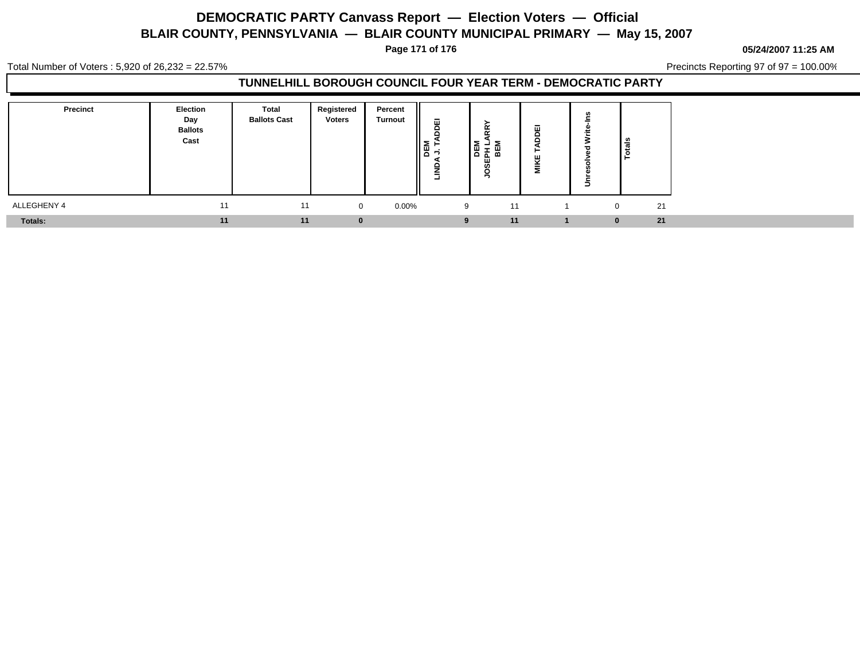**Page 171 of 176**

#### **05/24/2007 11:25 AM**

Total Number of Voters : 5,920 of 26,232 = 22.57%

Precincts Reporting 97 of 97 = 100.00%

### **TUNNELHILL BOROUGH COUNCIL FOUR YEAR TERM - DEMOCRATIC PARTY**

| Precinct       | <b>Election</b><br>Day<br><b>Ballots</b><br>Cast | Total<br><b>Ballots Cast</b> | Registered<br><b>Voters</b> | Percent<br><b>Turnout</b> | 靣<br>$\begin{array}{c} \n\mathbb{E} \downarrow \\ \n\mathbb{E} \downarrow \\ \n\mathbb{E} \downarrow \n\end{array}$<br>-<br>≂ | IЖ<br>준 胎<br>ш<br>ഗ | ш<br>$\blacksquare$ |          | ீ              |
|----------------|--------------------------------------------------|------------------------------|-----------------------------|---------------------------|-------------------------------------------------------------------------------------------------------------------------------|---------------------|---------------------|----------|----------------|
| ALLEGHENY 4    | 11                                               | 11                           | $\Omega$                    | $0.00\%$                  | 9                                                                                                                             | 11                  |                     |          | 21<br>$\Omega$ |
| <b>Totals:</b> | 11                                               | 11                           |                             |                           | 9                                                                                                                             | 11                  |                     | $\bf{0}$ | 21             |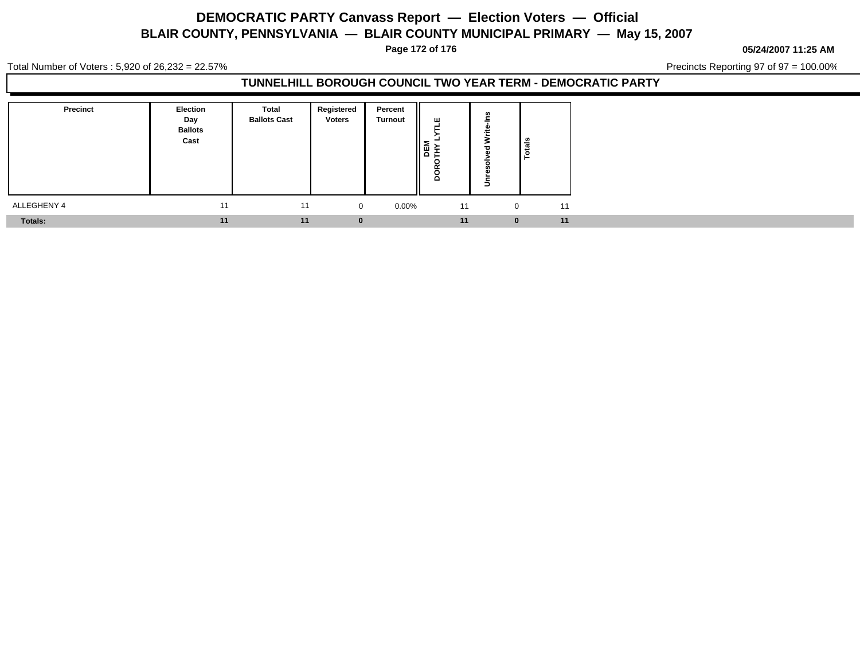**Page 172 of 176**

**05/24/2007 11:25 AM**

Total Number of Voters : 5,920 of 26,232 = 22.57%

Precincts Reporting 97 of 97 = 100.00%

### **TUNNELHILL BOROUGH COUNCIL TWO YEAR TERM - DEMOCRATIC PARTY**

| <b>Precinct</b> | Election<br>Day<br><b>Ballots</b><br>Cast | <b>Total</b><br><b>Ballots Cast</b> | Registered<br><b>Voters</b> | Percent<br><b>Turnout</b> | ш<br>*<br>r.<br>ــ<br>$\sim$<br>o |          | Totals             |  |
|-----------------|-------------------------------------------|-------------------------------------|-----------------------------|---------------------------|-----------------------------------|----------|--------------------|--|
| ALLEGHENY 4     | 11                                        | 11                                  | $\overline{0}$              | $0.00\%$                  | 11                                |          | 11<br>$\mathbf{0}$ |  |
| <b>Totals:</b>  | 11                                        | 11                                  |                             |                           | 11                                | $\bf{0}$ | 11                 |  |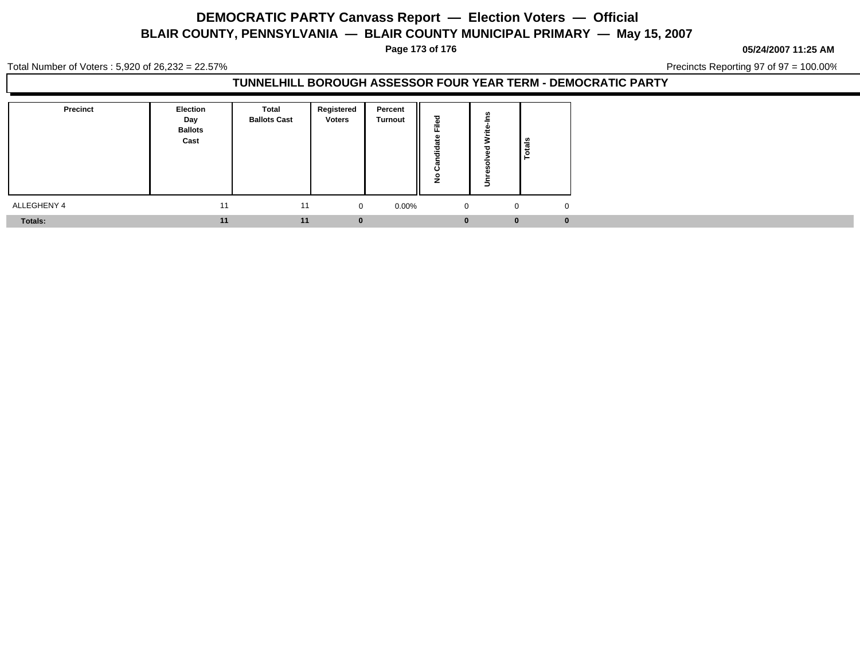**Page 173 of 176**

**05/24/2007 11:25 AM**

Total Number of Voters : 5,920 of 26,232 = 22.57%

Precincts Reporting 97 of 97 = 100.00%

### **TUNNELHILL BOROUGH ASSESSOR FOUR YEAR TERM - DEMOCRATIC PARTY**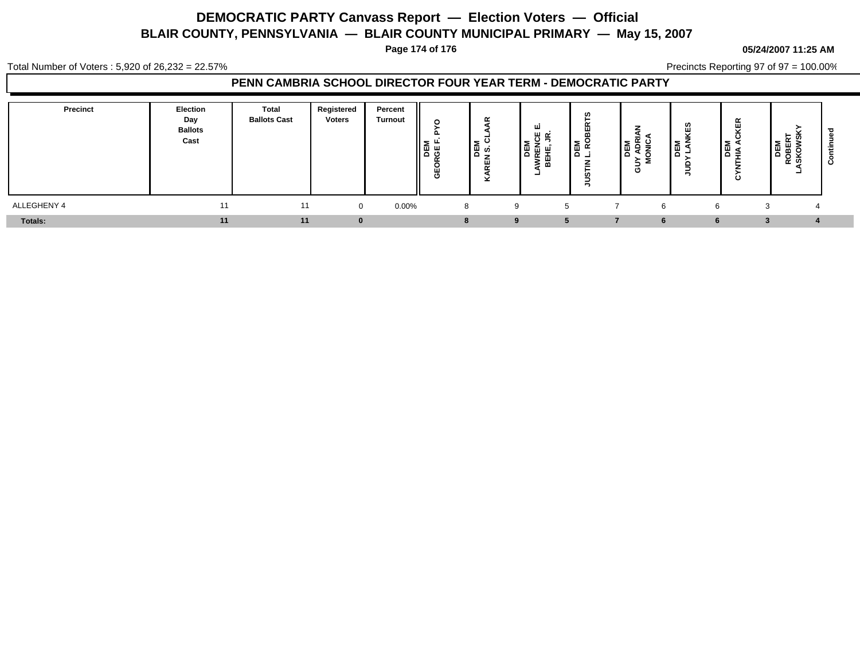**Page 174 of 176**

#### **05/24/2007 11:25 AM**

Precincts Reporting 97 of 97 = 100.00%

Total Number of Voters : 5,920 of 26,232 = 22.57%

### **PENN CAMBRIA SCHOOL DIRECTOR FOUR YEAR TERM - DEMOCRATIC PARTY**

| Precinct    | Election<br>Day<br><b>Ballots</b><br>Cast | Total<br><b>Ballots Cast</b> | Registered<br><b>Voters</b> | Percent<br><b>Turnout</b> | Ο<br>Σ.<br><b>BRGE</b><br>щ<br>ၑ | ∄້ ∾ | ш<br>யெ<br>面些<br>۱ŏ<br>로 또<br>ŏ | <b>DEM</b><br>L.RO | ల<br>١ª<br>롱 | ഗ<br>≂<br>le<br>1<br>- | $\tilde{\phantom{a}}$<br>│≋<br>⊟<br>ပ | ≃<br>ھ ∡ت<br>- | ౿ |
|-------------|-------------------------------------------|------------------------------|-----------------------------|---------------------------|----------------------------------|------|---------------------------------|--------------------|--------------|------------------------|---------------------------------------|----------------|---|
| ALLEGHENY 4 | 11                                        | 11                           | $\overline{0}$              | 0.00%                     | 8                                | 9    |                                 |                    | 6            |                        | 6                                     |                |   |
| Totals:     | 11                                        | 11                           | $\bf{0}$                    |                           |                                  | -9   | -5                              |                    | 6            |                        | 6                                     |                |   |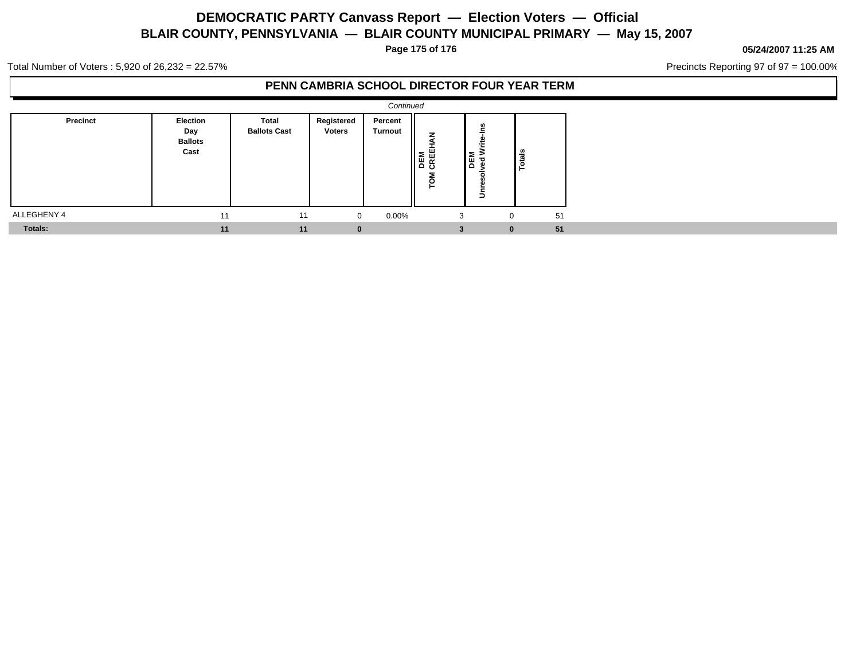**Page 175 of 176**

#### **05/24/2007 11:25 AM**

Precincts Reporting 97 of 97 = 100.00%

Total Number of Voters : 5,920 of 26,232 = 22.57%

### **PENN CAMBRIA SCHOOL DIRECTOR FOUR YEAR TERM**

|                | Continued                                 |                              |                             |                    |                                 |                                      |               |  |  |  |  |  |
|----------------|-------------------------------------------|------------------------------|-----------------------------|--------------------|---------------------------------|--------------------------------------|---------------|--|--|--|--|--|
| Precinct       | Election<br>Day<br><b>Ballots</b><br>Cast | Total<br><b>Ballots Cast</b> | Registered<br><b>Voters</b> | Percent<br>Turnout | z<br>п<br>DEM<br>CREE<br>ం<br>힡 | ۴å<br>₽<br><b>DEM</b><br>ᇃ<br>c<br>š | <b>Totals</b> |  |  |  |  |  |
| ALLEGHENY 4    | 11                                        | 11                           | $\Omega$                    | 0.00%              | 3                               | 0                                    | 51            |  |  |  |  |  |
| <b>Totals:</b> | 11                                        | 11                           | $\mathbf{0}$                |                    |                                 | $\bf{0}$                             | 51            |  |  |  |  |  |